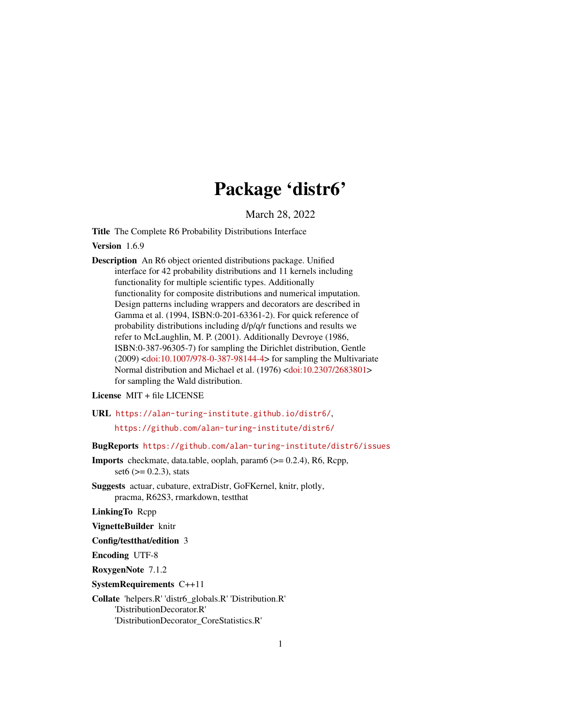# Package 'distr6'

March 28, 2022

<span id="page-0-0"></span>Title The Complete R6 Probability Distributions Interface

Version 1.6.9

Description An R6 object oriented distributions package. Unified interface for 42 probability distributions and 11 kernels including functionality for multiple scientific types. Additionally functionality for composite distributions and numerical imputation. Design patterns including wrappers and decorators are described in Gamma et al. (1994, ISBN:0-201-63361-2). For quick reference of probability distributions including d/p/q/r functions and results we refer to McLaughlin, M. P. (2001). Additionally Devroye (1986, ISBN:0-387-96305-7) for sampling the Dirichlet distribution, Gentle (2009) [<doi:10.1007/978-0-387-98144-4>](https://doi.org/10.1007/978-0-387-98144-4) for sampling the Multivariate Normal distribution and Michael et al. (1976) [<doi:10.2307/2683801>](https://doi.org/10.2307/2683801) for sampling the Wald distribution.

License MIT + file LICENSE

URL <https://alan-turing-institute.github.io/distr6/>,

<https://github.com/alan-turing-institute/distr6/>

BugReports <https://github.com/alan-turing-institute/distr6/issues>

- Imports checkmate, data.table, ooplah, param6 (>= 0.2.4), R6, Rcpp,  $set6$  ( $>= 0.2.3$ ), stats
- Suggests actuar, cubature, extraDistr, GoFKernel, knitr, plotly, pracma, R62S3, rmarkdown, testthat

LinkingTo Rcpp

VignetteBuilder knitr

Config/testthat/edition 3

Encoding UTF-8

RoxygenNote 7.1.2

SystemRequirements C++11

Collate 'helpers.R' 'distr6\_globals.R' 'Distribution.R' 'DistributionDecorator.R' 'DistributionDecorator\_CoreStatistics.R'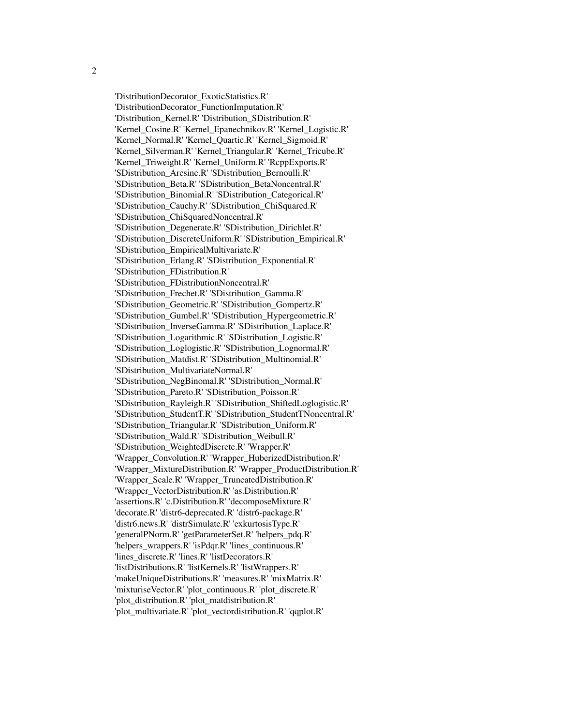'DistributionDecorator\_ExoticStatistics.R' 'DistributionDecorator\_FunctionImputation.R' 'Distribution\_Kernel.R' 'Distribution\_SDistribution.R' 'Kernel\_Cosine.R' 'Kernel\_Epanechnikov.R' 'Kernel\_Logistic.R' 'Kernel\_Normal.R' 'Kernel\_Quartic.R' 'Kernel\_Sigmoid.R' 'Kernel\_Silverman.R' 'Kernel\_Triangular.R' 'Kernel\_Tricube.R' 'Kernel\_Triweight.R' 'Kernel\_Uniform.R' 'RcppExports.R' 'SDistribution\_Arcsine.R' 'SDistribution\_Bernoulli.R' 'SDistribution\_Beta.R' 'SDistribution\_BetaNoncentral.R' 'SDistribution\_Binomial.R' 'SDistribution\_Categorical.R' 'SDistribution\_Cauchy.R' 'SDistribution\_ChiSquared.R' 'SDistribution\_ChiSquaredNoncentral.R' 'SDistribution\_Degenerate.R' 'SDistribution\_Dirichlet.R' 'SDistribution\_DiscreteUniform.R' 'SDistribution\_Empirical.R' 'SDistribution\_EmpiricalMultivariate.R' 'SDistribution\_Erlang.R' 'SDistribution\_Exponential.R' 'SDistribution\_FDistribution.R' 'SDistribution\_FDistributionNoncentral.R' 'SDistribution\_Frechet.R' 'SDistribution\_Gamma.R' 'SDistribution\_Geometric.R' 'SDistribution\_Gompertz.R' 'SDistribution\_Gumbel.R' 'SDistribution\_Hypergeometric.R' 'SDistribution\_InverseGamma.R' 'SDistribution\_Laplace.R' 'SDistribution\_Logarithmic.R' 'SDistribution\_Logistic.R' 'SDistribution\_Loglogistic.R' 'SDistribution\_Lognormal.R' 'SDistribution\_Matdist.R' 'SDistribution\_Multinomial.R' 'SDistribution\_MultivariateNormal.R' 'SDistribution\_NegBinomal.R' 'SDistribution\_Normal.R' 'SDistribution\_Pareto.R' 'SDistribution\_Poisson.R' 'SDistribution\_Rayleigh.R' 'SDistribution\_ShiftedLoglogistic.R' 'SDistribution\_StudentT.R' 'SDistribution\_StudentTNoncentral.R' 'SDistribution\_Triangular.R' 'SDistribution\_Uniform.R' 'SDistribution\_Wald.R' 'SDistribution\_Weibull.R' 'SDistribution\_WeightedDiscrete.R' 'Wrapper.R'

'Wrapper\_Convolution.R' 'Wrapper\_HuberizedDistribution.R' 'Wrapper\_MixtureDistribution.R' 'Wrapper\_ProductDistribution.R' 'Wrapper\_Scale.R' 'Wrapper\_TruncatedDistribution.R' 'Wrapper\_VectorDistribution.R' 'as.Distribution.R' 'assertions.R' 'c.Distribution.R' 'decomposeMixture.R' 'decorate.R' 'distr6-deprecated.R' 'distr6-package.R' 'distr6.news.R' 'distrSimulate.R' 'exkurtosisType.R' 'generalPNorm.R' 'getParameterSet.R' 'helpers\_pdq.R' 'helpers\_wrappers.R' 'isPdqr.R' 'lines\_continuous.R' 'lines\_discrete.R' 'lines.R' 'listDecorators.R' 'listDistributions.R' 'listKernels.R' 'listWrappers.R' 'makeUniqueDistributions.R' 'measures.R' 'mixMatrix.R' 'mixturiseVector.R' 'plot\_continuous.R' 'plot\_discrete.R'

'plot\_distribution.R' 'plot\_matdistribution.R'

'plot\_multivariate.R' 'plot\_vectordistribution.R' 'qqplot.R'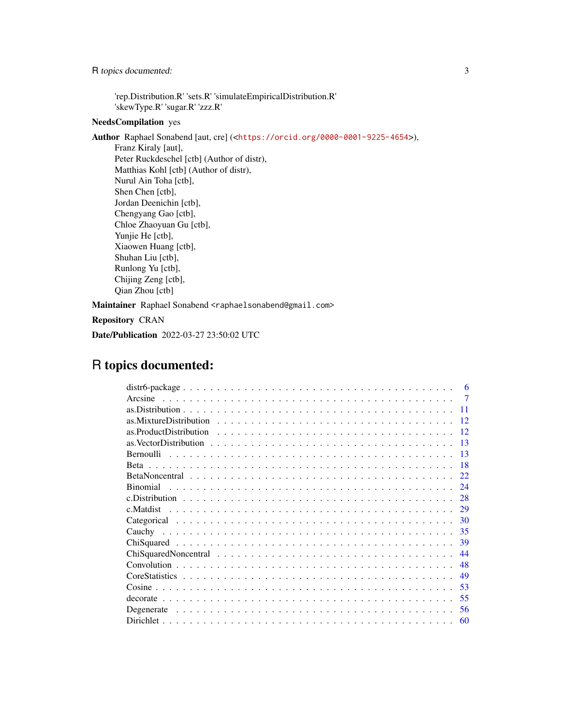R topics documented: 3

'rep.Distribution.R' 'sets.R' 'simulateEmpiricalDistribution.R' 'skewType.R' 'sugar.R' 'zzz.R'

## NeedsCompilation yes

Author Raphael Sonabend [aut, cre] (<<https://orcid.org/0000-0001-9225-4654>>), Franz Kiraly [aut], Peter Ruckdeschel [ctb] (Author of distr), Matthias Kohl [ctb] (Author of distr), Nurul Ain Toha [ctb], Shen Chen [ctb], Jordan Deenichin [ctb], Chengyang Gao [ctb], Chloe Zhaoyuan Gu [ctb], Yunjie He [ctb], Xiaowen Huang [ctb], Shuhan Liu [ctb], Runlong Yu [ctb], Chijing Zeng [ctb], Qian Zhou [ctb]

Maintainer Raphael Sonabend <raphaelsonabend@gmail.com>

Repository CRAN

Date/Publication 2022-03-27 23:50:02 UTC

# R topics documented:

| 6              |  |
|----------------|--|
| $\overline{7}$ |  |
| 11             |  |
| -12            |  |
| -12            |  |
| $-13$          |  |
| -13            |  |
| -18            |  |
| 22.            |  |
| 24             |  |
| 28             |  |
| 29             |  |
| 30             |  |
| 35             |  |
| 39             |  |
| 44             |  |
| 48             |  |
| 49             |  |
| 53             |  |
| 55             |  |
| 56             |  |
| 60             |  |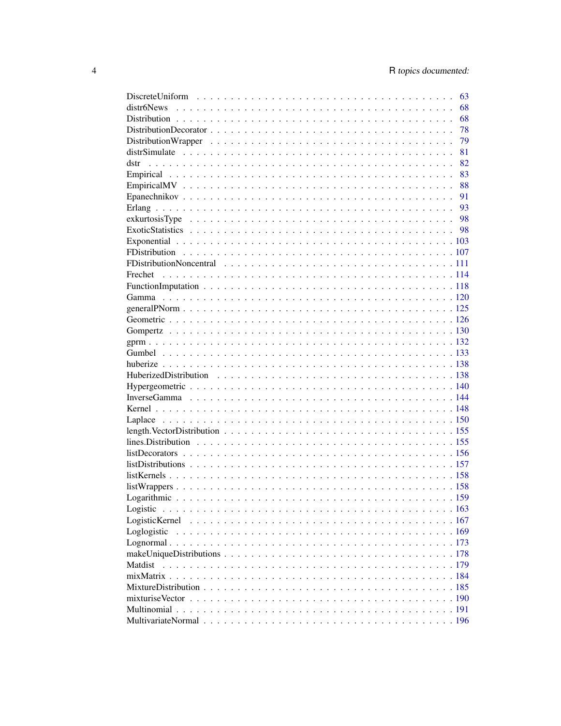|          | 63 |
|----------|----|
|          | 68 |
|          | 68 |
|          | 78 |
|          | 79 |
|          | 81 |
|          | 82 |
|          | 83 |
|          | 88 |
|          | 91 |
|          | 93 |
|          |    |
|          |    |
|          |    |
|          |    |
|          |    |
| Frechet  |    |
|          |    |
|          |    |
|          |    |
|          |    |
|          |    |
|          |    |
|          |    |
|          |    |
|          |    |
|          |    |
|          |    |
|          |    |
|          |    |
|          |    |
|          |    |
|          |    |
|          |    |
|          |    |
|          |    |
|          |    |
|          |    |
| Logistic |    |
|          |    |
|          |    |
|          |    |
|          |    |
| Matdist  |    |
|          |    |
|          |    |
|          |    |
|          |    |
|          |    |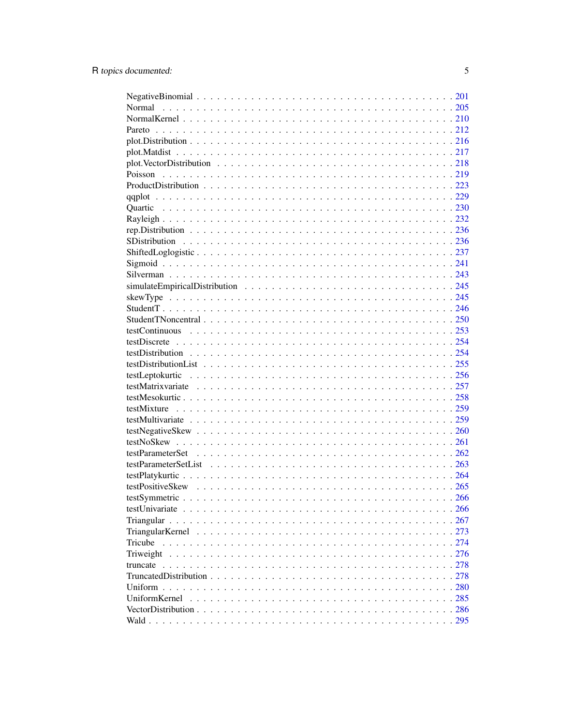| Tricube       |     |
|---------------|-----|
| Triweight     |     |
| truncate      |     |
|               |     |
| Uniform.      |     |
| UniformKernel | 285 |
|               | 286 |
|               |     |
|               |     |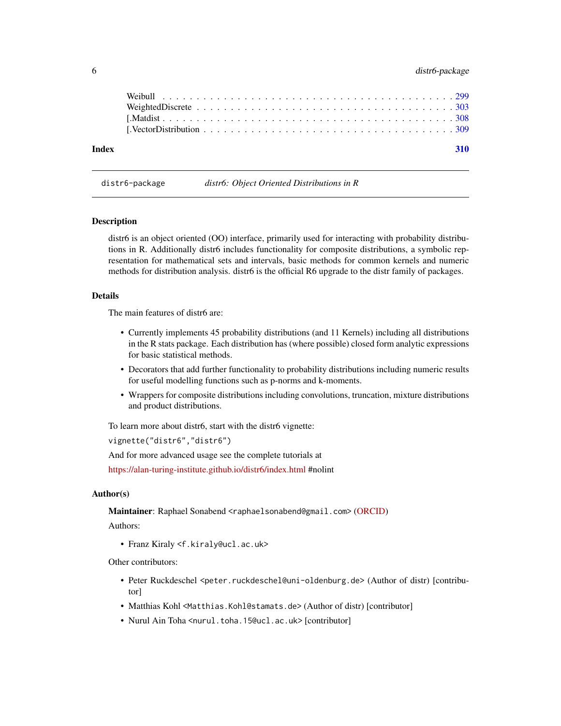<span id="page-5-0"></span>

| Index |  |  |  |  |  |  |  |  |  |  |  |  |  | 310 |  |
|-------|--|--|--|--|--|--|--|--|--|--|--|--|--|-----|--|
|       |  |  |  |  |  |  |  |  |  |  |  |  |  |     |  |
|       |  |  |  |  |  |  |  |  |  |  |  |  |  |     |  |
|       |  |  |  |  |  |  |  |  |  |  |  |  |  |     |  |
|       |  |  |  |  |  |  |  |  |  |  |  |  |  |     |  |
|       |  |  |  |  |  |  |  |  |  |  |  |  |  |     |  |

distr6-package *distr6: Object Oriented Distributions in R*

### Description

distr6 is an object oriented (OO) interface, primarily used for interacting with probability distributions in R. Additionally distr6 includes functionality for composite distributions, a symbolic representation for mathematical sets and intervals, basic methods for common kernels and numeric methods for distribution analysis. distr6 is the official R6 upgrade to the distr family of packages.

#### Details

The main features of distr6 are:

- Currently implements 45 probability distributions (and 11 Kernels) including all distributions in the R stats package. Each distribution has (where possible) closed form analytic expressions for basic statistical methods.
- Decorators that add further functionality to probability distributions including numeric results for useful modelling functions such as p-norms and k-moments.
- Wrappers for composite distributions including convolutions, truncation, mixture distributions and product distributions.

To learn more about distr6, start with the distr6 vignette:

vignette("distr6","distr6")

And for more advanced usage see the complete tutorials at

<https://alan-turing-institute.github.io/distr6/index.html> #nolint

# Author(s)

Maintainer: Raphael Sonabend <raphaelsonabend@gmail.com> [\(ORCID\)](https://orcid.org/0000-0001-9225-4654)

Authors:

• Franz Kiraly <f.kiraly@ucl.ac.uk>

Other contributors:

- Peter Ruckdeschel <peter.ruckdeschel@uni-oldenburg.de> (Author of distr) [contributor]
- Matthias Kohl <Matthias.Kohl@stamats.de> (Author of distr) [contributor]
- Nurul Ain Toha <nurul.toha.15@ucl.ac.uk> [contributor]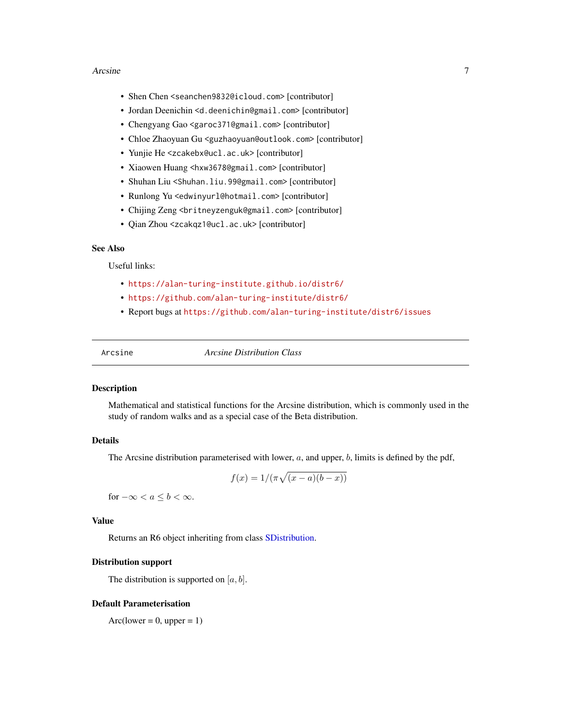- <span id="page-6-0"></span>• Shen Chen <seanchen9832@icloud.com> [contributor]
- Jordan Deenichin <d.deenichin@gmail.com> [contributor]
- Chengyang Gao <garoc371@gmail.com> [contributor]
- Chloe Zhaoyuan Gu <guzhaoyuan@outlook.com> [contributor]
- Yunjie He <zcakebx@ucl.ac.uk> [contributor]
- Xiaowen Huang <hxw3678@gmail.com> [contributor]
- Shuhan Liu <Shuhan.liu.99@gmail.com> [contributor]
- Runlong Yu <edwinyurl@hotmail.com> [contributor]
- Chijing Zeng <britneyzenguk@gmail.com> [contributor]
- Qian Zhou <zcakqz1@ucl.ac.uk> [contributor]

#### See Also

Useful links:

- <https://alan-turing-institute.github.io/distr6/>
- <https://github.com/alan-turing-institute/distr6/>
- Report bugs at <https://github.com/alan-turing-institute/distr6/issues>

<span id="page-6-1"></span>Arcsine *Arcsine Distribution Class*

# Description

Mathematical and statistical functions for the Arcsine distribution, which is commonly used in the study of random walks and as a special case of the Beta distribution.

#### Details

The Arcsine distribution parameterised with lower,  $a$ , and upper,  $b$ , limits is defined by the pdf,

$$
f(x) = 1/(\pi\sqrt{(x-a)(b-x)})
$$

for  $-\infty < a \leq b < \infty$ .

# Value

Returns an R6 object inheriting from class [SDistribution.](#page-235-1)

#### Distribution support

The distribution is supported on  $[a, b]$ .

#### Default Parameterisation

 $Arc(lower = 0, upper = 1)$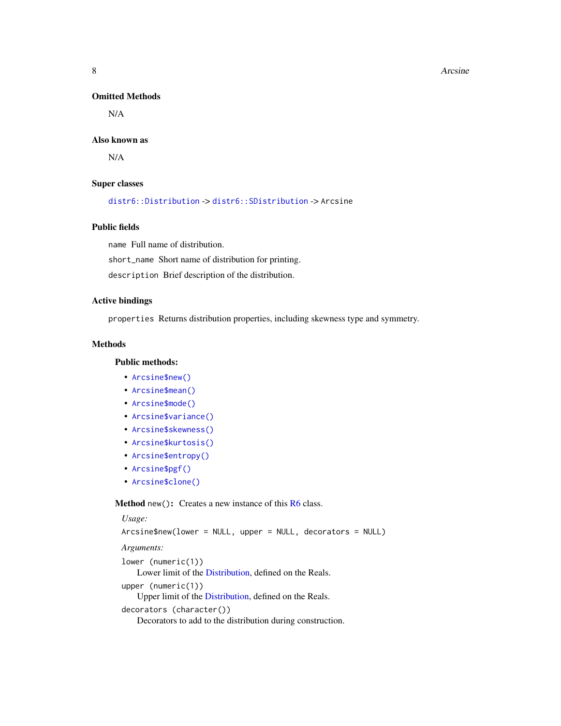#### Omitted Methods

N/A

#### Also known as

N/A

#### Super classes

[distr6::Distribution](#page-0-0) -> [distr6::SDistribution](#page-0-0) -> Arcsine

# Public fields

name Full name of distribution.

short\_name Short name of distribution for printing.

description Brief description of the distribution.

#### Active bindings

properties Returns distribution properties, including skewness type and symmetry.

## Methods

# Public methods:

- [Arcsine\\$new\(\)](#page-7-0)
- [Arcsine\\$mean\(\)](#page-7-1)
- [Arcsine\\$mode\(\)](#page-8-0)
- [Arcsine\\$variance\(\)](#page-8-1)
- [Arcsine\\$skewness\(\)](#page-8-2)
- [Arcsine\\$kurtosis\(\)](#page-8-3)
- [Arcsine\\$entropy\(\)](#page-9-0)
- [Arcsine\\$pgf\(\)](#page-9-1)
- [Arcsine\\$clone\(\)](#page-9-2)

<span id="page-7-0"></span>Method new(): Creates a new instance of this [R6](#page-0-0) class.

# <span id="page-7-1"></span>*Usage:* Arcsine\$new(lower = NULL, upper = NULL, decorators = NULL) *Arguments:* lower (numeric(1)) Lower limit of the [Distribution,](#page-67-1) defined on the Reals. upper (numeric(1)) Upper limit of the [Distribution,](#page-67-1) defined on the Reals. decorators (character()) Decorators to add to the distribution during construction.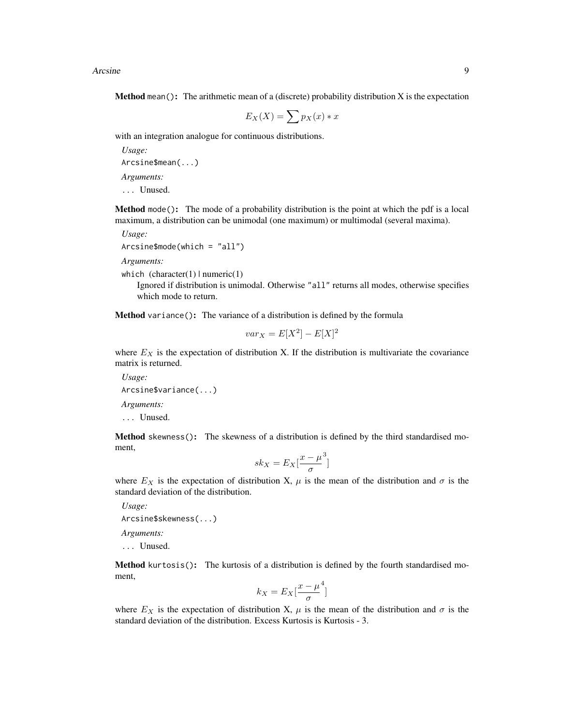**Method** mean(): The arithmetic mean of a (discrete) probability distribution  $X$  is the expectation

$$
E_X(X) = \sum p_X(x) * x
$$

with an integration analogue for continuous distributions.

*Usage:* Arcsine\$mean(...) *Arguments:* ... Unused.

<span id="page-8-0"></span>Method mode(): The mode of a probability distribution is the point at which the pdf is a local maximum, a distribution can be unimodal (one maximum) or multimodal (several maxima).

*Usage:*

```
Arcsine$mode(which = "all")
```
*Arguments:*

which  $(character(1) | numeric(1))$ 

Ignored if distribution is unimodal. Otherwise "all" returns all modes, otherwise specifies which mode to return.

<span id="page-8-1"></span>Method variance(): The variance of a distribution is defined by the formula

$$
var_X = E[X^2] - E[X]^2
$$

where  $E_X$  is the expectation of distribution X. If the distribution is multivariate the covariance matrix is returned.

```
Usage:
Arcsine$variance(...)
Arguments:
... Unused.
```
<span id="page-8-2"></span>Method skewness(): The skewness of a distribution is defined by the third standardised moment,

$$
sk_X = E_X \left[ \frac{x - \mu^3}{\sigma} \right]
$$

where  $E_X$  is the expectation of distribution X,  $\mu$  is the mean of the distribution and  $\sigma$  is the standard deviation of the distribution.

*Usage:* Arcsine\$skewness(...)

*Arguments:*

... Unused.

<span id="page-8-3"></span>Method kurtosis(): The kurtosis of a distribution is defined by the fourth standardised moment,

$$
k_X = E_X \left[ \frac{x - \mu^4}{\sigma} \right]
$$

]

where  $E_X$  is the expectation of distribution X,  $\mu$  is the mean of the distribution and  $\sigma$  is the standard deviation of the distribution. Excess Kurtosis is Kurtosis - 3.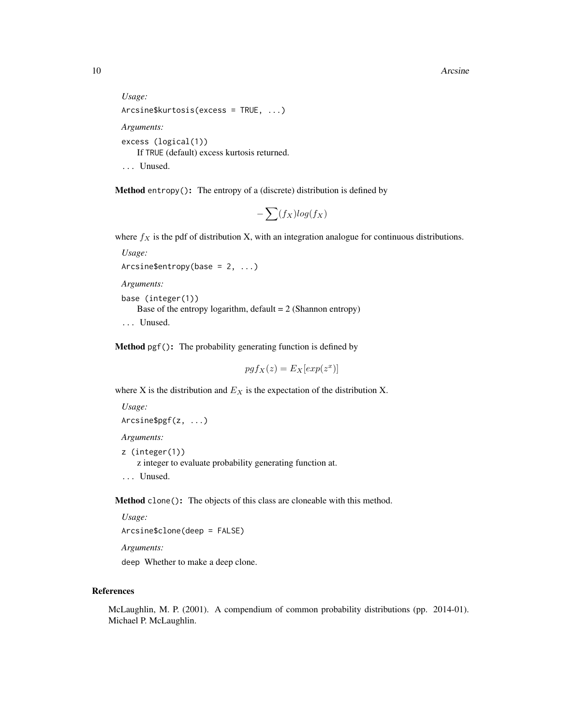```
Usage:
Arcsine$kurtosis(excess = TRUE, ...)
Arguments:
excess (logical(1))
   If TRUE (default) excess kurtosis returned.
... Unused.
```
<span id="page-9-0"></span>Method entropy(): The entropy of a (discrete) distribution is defined by

$$
-\sum(f_X)log(f_X)
$$

where  $f_X$  is the pdf of distribution X, with an integration analogue for continuous distributions.

*Usage:*

```
Arcsine$entropy(base = 2, ...)
```
*Arguments:*

```
base (integer(1))
   Base of the entropy logarithm, default = 2 (Shannon entropy)
... Unused.
```
<span id="page-9-1"></span>Method pgf(): The probability generating function is defined by

$$
pgf_X(z) = E_X[exp(z^x)]
$$

where X is the distribution and  $E<sub>X</sub>$  is the expectation of the distribution X.

```
Usage:
Arcsine$pgf(z, ...)
Arguments:
z (integer(1))
    z integer to evaluate probability generating function at.
```
... Unused.

<span id="page-9-2"></span>Method clone(): The objects of this class are cloneable with this method.

*Usage:* Arcsine\$clone(deep = FALSE)

*Arguments:*

deep Whether to make a deep clone.

# References

McLaughlin, M. P. (2001). A compendium of common probability distributions (pp. 2014-01). Michael P. McLaughlin.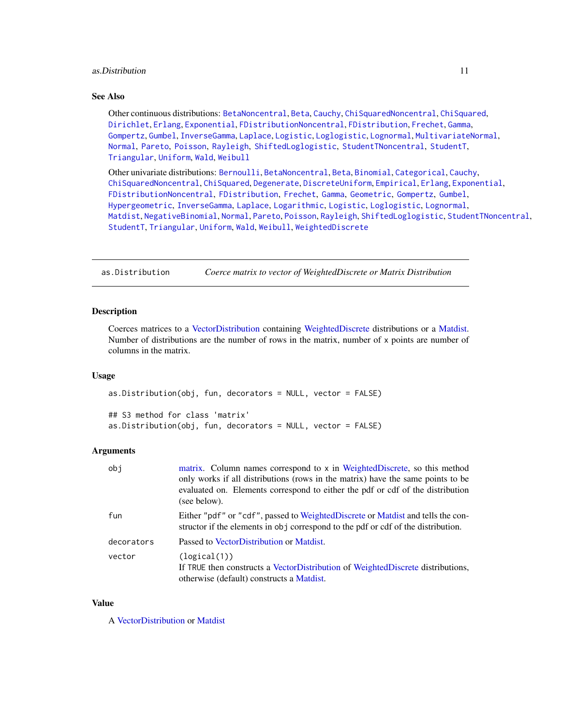# <span id="page-10-0"></span>as. Distribution 11

# See Also

Other continuous distributions: [BetaNoncentral](#page-21-1), [Beta](#page-17-1), [Cauchy](#page-34-1), [ChiSquaredNoncentral](#page-43-1), [ChiSquared](#page-38-1), [Dirichlet](#page-59-1), [Erlang](#page-92-1), [Exponential](#page-102-1), [FDistributionNoncentral](#page-110-1), [FDistribution](#page-106-1), [Frechet](#page-113-1), [Gamma](#page-119-1), [Gompertz](#page-129-1), [Gumbel](#page-132-1), [InverseGamma](#page-143-1), [Laplace](#page-149-1), [Logistic](#page-162-1), [Loglogistic](#page-168-1), [Lognormal](#page-172-1), [MultivariateNormal](#page-195-1), [Normal](#page-204-1), [Pareto](#page-211-1), [Poisson](#page-218-1), [Rayleigh](#page-231-1), [ShiftedLoglogistic](#page-236-1), [StudentTNoncentral](#page-249-1), [StudentT](#page-245-1), [Triangular](#page-266-1), [Uniform](#page-279-1), [Wald](#page-294-1), [Weibull](#page-298-1)

Other univariate distributions: [Bernoulli](#page-12-1), [BetaNoncentral](#page-21-1), [Beta](#page-17-1), [Binomial](#page-23-1), [Categorical](#page-29-1), [Cauchy](#page-34-1), [ChiSquaredNoncentral](#page-43-1), [ChiSquared](#page-38-1), [Degenerate](#page-55-1), [DiscreteUniform](#page-62-1), [Empirical](#page-82-1), [Erlang](#page-92-1), [Exponential](#page-102-1), [FDistributionNoncentral](#page-110-1), [FDistribution](#page-106-1), [Frechet](#page-113-1), [Gamma](#page-119-1), [Geometric](#page-125-1), [Gompertz](#page-129-1), [Gumbel](#page-132-1), [Hypergeometric](#page-139-1), [InverseGamma](#page-143-1), [Laplace](#page-149-1), [Logarithmic](#page-158-1), [Logistic](#page-162-1), [Loglogistic](#page-168-1), [Lognormal](#page-172-1), [Matdist](#page-178-1), [NegativeBinomial](#page-200-1), [Normal](#page-204-1), [Pareto](#page-211-1), [Poisson](#page-218-1), [Rayleigh](#page-231-1), [ShiftedLoglogistic](#page-236-1), [StudentTNoncentral](#page-249-1), [StudentT](#page-245-1), [Triangular](#page-266-1), [Uniform](#page-279-1), [Wald](#page-294-1), [Weibull](#page-298-1), [WeightedDiscrete](#page-302-1)

as.Distribution *Coerce matrix to vector of WeightedDiscrete or Matrix Distribution*

#### **Description**

Coerces matrices to a [VectorDistribution](#page-285-1) containing [WeightedDiscrete](#page-302-1) distributions or a [Matdist.](#page-178-1) Number of distributions are the number of rows in the matrix, number of  $x$  points are number of columns in the matrix.

#### Usage

as.Distribution(obj, fun, decorators = NULL, vector = FALSE) ## S3 method for class 'matrix' as.Distribution(obj, fun, decorators = NULL, vector = FALSE)

## Arguments

| obi        | matrix. Column names correspond to x in WeightedDiscrete, so this method<br>only works if all distributions (rows in the matrix) have the same points to be<br>evaluated on. Elements correspond to either the pdf or cdf of the distribution<br>(see below). |
|------------|---------------------------------------------------------------------------------------------------------------------------------------------------------------------------------------------------------------------------------------------------------------|
| fun        | Either "pdf" or "cdf", passed to WeightedDiscrete or Matdist and tells the con-<br>structor if the elements in obj correspond to the pdf or cdf of the distribution.                                                                                          |
| decorators | Passed to VectorDistribution or Matdist.                                                                                                                                                                                                                      |
| vector     | (logical(1))<br>If TRUE then constructs a VectorDistribution of WeightedDiscrete distributions,<br>otherwise (default) constructs a Matdist.                                                                                                                  |

#### Value

A [VectorDistribution](#page-285-1) or [Matdist](#page-178-1)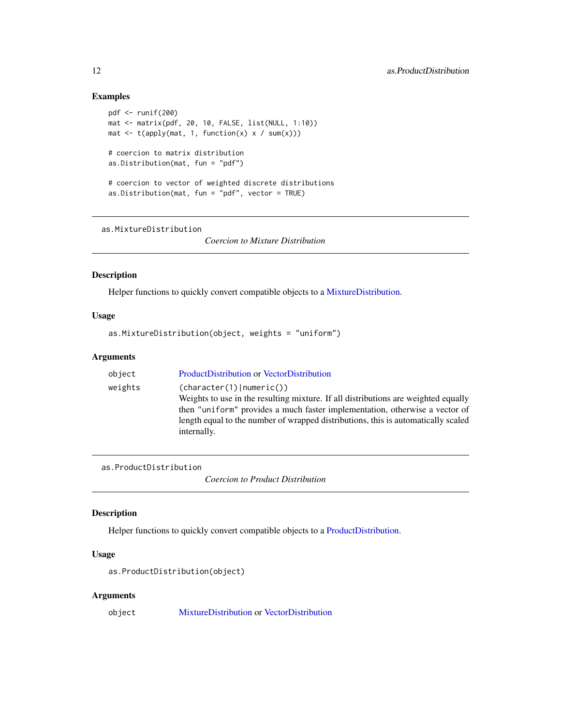# Examples

```
pdf <- runif(200)
mat <- matrix(pdf, 20, 10, FALSE, list(NULL, 1:10))
mat \leq t(apply(mat, 1, function(x) x / sum(x)))
# coercion to matrix distribution
as.Distribution(mat, fun = "pdf")
# coercion to vector of weighted discrete distributions
as.Distribution(mat, fun = "pdf", vector = TRUE)
```
as.MixtureDistribution

*Coercion to Mixture Distribution*

# Description

Helper functions to quickly convert compatible objects to a [MixtureDistribution.](#page-184-1)

#### Usage

as.MixtureDistribution(object, weights = "uniform")

# Arguments

| object  | ProductDistribution or VectorDistribution                                                                                                                                                                                                                                                           |
|---------|-----------------------------------------------------------------------------------------------------------------------------------------------------------------------------------------------------------------------------------------------------------------------------------------------------|
| weights | (character(1)   numeric())<br>Weights to use in the resulting mixture. If all distributions are weighted equally<br>then "uniform" provides a much faster implementation, otherwise a vector of<br>length equal to the number of wrapped distributions, this is automatically scaled<br>internally. |
|         |                                                                                                                                                                                                                                                                                                     |

as.ProductDistribution

*Coercion to Product Distribution*

# Description

Helper functions to quickly convert compatible objects to a [ProductDistribution.](#page-222-1)

# Usage

```
as.ProductDistribution(object)
```
# Arguments

object [MixtureDistribution](#page-184-1) or [VectorDistribution](#page-285-1)

<span id="page-11-0"></span>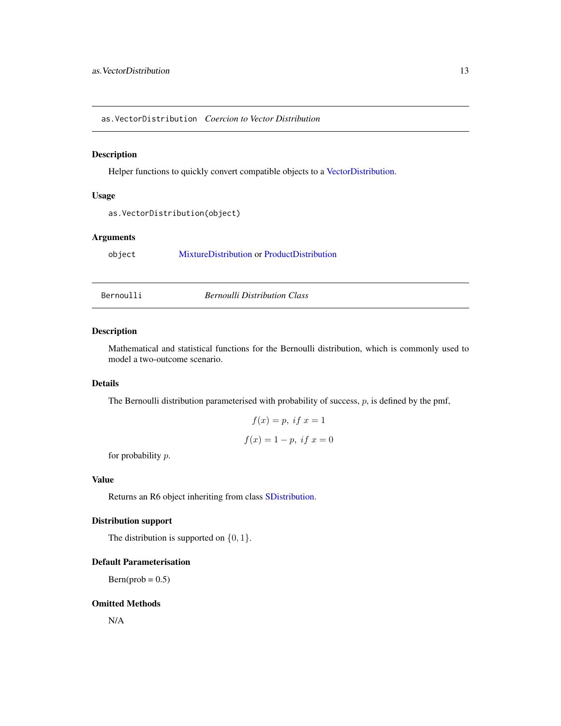<span id="page-12-0"></span>as.VectorDistribution *Coercion to Vector Distribution*

#### Description

Helper functions to quickly convert compatible objects to a [VectorDistribution.](#page-285-1)

# Usage

```
as.VectorDistribution(object)
```
# Arguments

object [MixtureDistribution](#page-184-1) or [ProductDistribution](#page-222-1)

<span id="page-12-1"></span>Bernoulli *Bernoulli Distribution Class*

### Description

Mathematical and statistical functions for the Bernoulli distribution, which is commonly used to model a two-outcome scenario.

# Details

The Bernoulli distribution parameterised with probability of success,  $p$ , is defined by the pmf,

$$
f(x) = p, if x = 1
$$

$$
f(x) = 1 - p, if x = 0
$$

for probability  $p$ .

# Value

Returns an R6 object inheriting from class [SDistribution.](#page-235-1)

# Distribution support

The distribution is supported on  $\{0, 1\}$ .

# Default Parameterisation

 $Bern(prob = 0.5)$ 

# Omitted Methods

N/A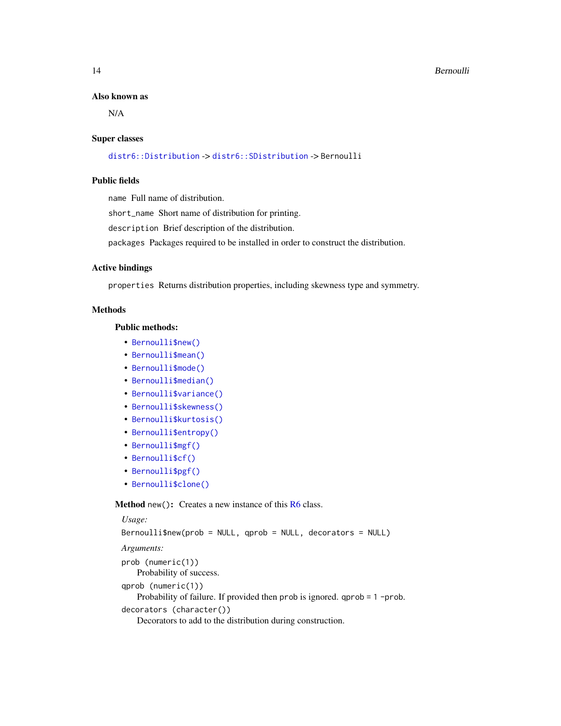#### 14 **Bernoulli**

#### Also known as

N/A

#### Super classes

[distr6::Distribution](#page-0-0) -> [distr6::SDistribution](#page-0-0) -> Bernoulli

# Public fields

name Full name of distribution.

short\_name Short name of distribution for printing.

description Brief description of the distribution.

packages Packages required to be installed in order to construct the distribution.

#### Active bindings

properties Returns distribution properties, including skewness type and symmetry.

#### Methods

## Public methods:

- [Bernoulli\\$new\(\)](#page-7-0)
- [Bernoulli\\$mean\(\)](#page-7-1)
- [Bernoulli\\$mode\(\)](#page-8-0)
- [Bernoulli\\$median\(\)](#page-14-0)
- [Bernoulli\\$variance\(\)](#page-8-1)
- [Bernoulli\\$skewness\(\)](#page-8-2)
- [Bernoulli\\$kurtosis\(\)](#page-8-3)
- [Bernoulli\\$entropy\(\)](#page-9-0)
- [Bernoulli\\$mgf\(\)](#page-15-0)
- [Bernoulli\\$cf\(\)](#page-15-1)
- [Bernoulli\\$pgf\(\)](#page-9-1)
- [Bernoulli\\$clone\(\)](#page-9-2)

Method new(): Creates a new instance of this [R6](#page-0-0) class.

```
Usage:
Bernoulli$new(prob = NULL, qprob = NULL, decorators = NULL)
Arguments:
prob (numeric(1))
   Probability of success.
qprob (numeric(1))
   Probability of failure. If provided then prob is ignored. qprob = 1 -prob.
decorators (character())
   Decorators to add to the distribution during construction.
```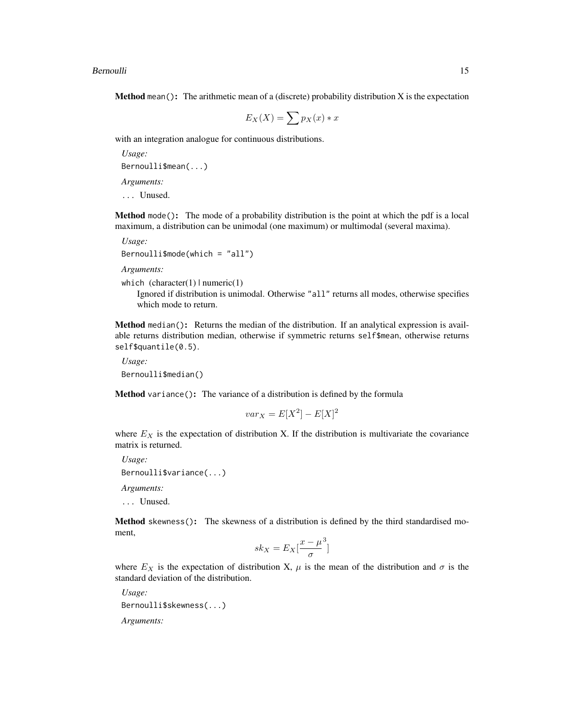**Method** mean(): The arithmetic mean of a (discrete) probability distribution  $X$  is the expectation

$$
E_X(X) = \sum p_X(x) * x
$$

with an integration analogue for continuous distributions.

*Usage:* Bernoulli\$mean(...) *Arguments:*

... Unused.

Method mode(): The mode of a probability distribution is the point at which the pdf is a local maximum, a distribution can be unimodal (one maximum) or multimodal (several maxima).

*Usage:*  $Bernoulli$mode(which = "all")$ 

*Arguments:*

```
which (character(1) | numeric(1))
```
Ignored if distribution is unimodal. Otherwise "all" returns all modes, otherwise specifies which mode to return.

<span id="page-14-0"></span>Method median(): Returns the median of the distribution. If an analytical expression is available returns distribution median, otherwise if symmetric returns self\$mean, otherwise returns self\$quantile(0.5).

*Usage:* Bernoulli\$median()

Method variance(): The variance of a distribution is defined by the formula

$$
var_X = E[X^2] - E[X]^2
$$

where  $E<sub>X</sub>$  is the expectation of distribution X. If the distribution is multivariate the covariance matrix is returned.

*Usage:* Bernoulli\$variance(...) *Arguments:* ... Unused.

Method skewness(): The skewness of a distribution is defined by the third standardised moment,

$$
sk_X = E_X \left[ \frac{x - \mu^3}{\sigma} \right]
$$

where  $E_X$  is the expectation of distribution X,  $\mu$  is the mean of the distribution and  $\sigma$  is the standard deviation of the distribution.

*Usage:* Bernoulli\$skewness(...) *Arguments:*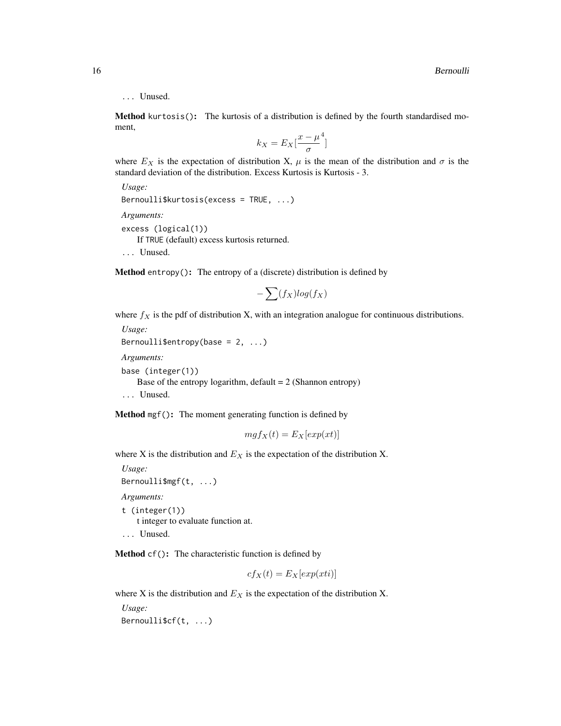# ... Unused.

Method kurtosis(): The kurtosis of a distribution is defined by the fourth standardised moment,

$$
k_X = E_X \left[ \frac{x - \mu^4}{\sigma} \right]
$$

where  $E_X$  is the expectation of distribution X,  $\mu$  is the mean of the distribution and  $\sigma$  is the standard deviation of the distribution. Excess Kurtosis is Kurtosis - 3.

```
Usage:
Bernoulli$kurtosis(excess = TRUE, ...)
Arguments:
excess (logical(1))
   If TRUE (default) excess kurtosis returned.
... Unused.
```
Method entropy(): The entropy of a (discrete) distribution is defined by

$$
-\sum(f_X)log(f_X)
$$

where  $f_X$  is the pdf of distribution X, with an integration analogue for continuous distributions. *Usage:*

```
Bernoulli$entropy(base = 2, ...)
Arguments:
base (integer(1))
   Base of the entropy logarithm, default = 2 (Shannon entropy)
```
... Unused.

<span id="page-15-0"></span>Method mgf(): The moment generating function is defined by

$$
mgf_X(t) = E_X[exp(xt)]
$$

where X is the distribution and  $E<sub>X</sub>$  is the expectation of the distribution X.

*Usage:* Bernoulli\$mgf(t, ...) *Arguments:* t (integer(1))

t integer to evaluate function at. ... Unused.

<span id="page-15-1"></span>Method cf(): The characteristic function is defined by

$$
cf_X(t) = E_X[exp(xti)]
$$

where X is the distribution and  $E<sub>X</sub>$  is the expectation of the distribution X.

*Usage:* Bernoulli\$cf(t, ...)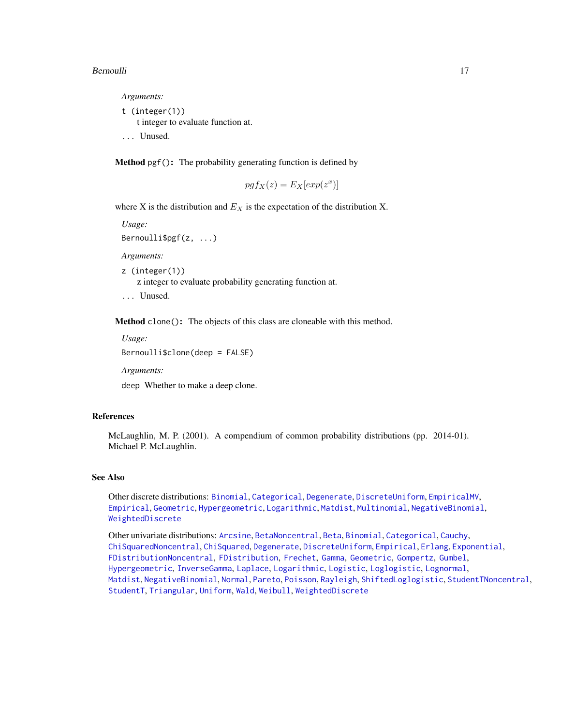#### Bernoulli **17**

*Arguments:*

t (integer(1)) t integer to evaluate function at. ... Unused.

Method pgf(): The probability generating function is defined by

$$
pgf_X(z) = E_X[exp(z^x)]
$$

where X is the distribution and  $E<sub>X</sub>$  is the expectation of the distribution X.

*Usage:* Bernoulli\$pgf(z, ...) *Arguments:* z (integer(1)) z integer to evaluate probability generating function at. ... Unused.

Method clone(): The objects of this class are cloneable with this method.

*Usage:* Bernoulli\$clone(deep = FALSE)

*Arguments:*

deep Whether to make a deep clone.

## References

McLaughlin, M. P. (2001). A compendium of common probability distributions (pp. 2014-01). Michael P. McLaughlin.

#### See Also

Other discrete distributions: [Binomial](#page-23-1), [Categorical](#page-29-1), [Degenerate](#page-55-1), [DiscreteUniform](#page-62-1), [EmpiricalMV](#page-87-1), [Empirical](#page-82-1), [Geometric](#page-125-1), [Hypergeometric](#page-139-1), [Logarithmic](#page-158-1), [Matdist](#page-178-1), [Multinomial](#page-190-1), [NegativeBinomial](#page-200-1), [WeightedDiscrete](#page-302-1)

Other univariate distributions: [Arcsine](#page-6-1), [BetaNoncentral](#page-21-1), [Beta](#page-17-1), [Binomial](#page-23-1), [Categorical](#page-29-1), [Cauchy](#page-34-1), [ChiSquaredNoncentral](#page-43-1), [ChiSquared](#page-38-1), [Degenerate](#page-55-1), [DiscreteUniform](#page-62-1), [Empirical](#page-82-1), [Erlang](#page-92-1), [Exponential](#page-102-1), [FDistributionNoncentral](#page-110-1), [FDistribution](#page-106-1), [Frechet](#page-113-1), [Gamma](#page-119-1), [Geometric](#page-125-1), [Gompertz](#page-129-1), [Gumbel](#page-132-1), [Hypergeometric](#page-139-1), [InverseGamma](#page-143-1), [Laplace](#page-149-1), [Logarithmic](#page-158-1), [Logistic](#page-162-1), [Loglogistic](#page-168-1), [Lognormal](#page-172-1), [Matdist](#page-178-1), [NegativeBinomial](#page-200-1), [Normal](#page-204-1), [Pareto](#page-211-1), [Poisson](#page-218-1), [Rayleigh](#page-231-1), [ShiftedLoglogistic](#page-236-1), [StudentTNoncentral](#page-249-1), [StudentT](#page-245-1), [Triangular](#page-266-1), [Uniform](#page-279-1), [Wald](#page-294-1), [Weibull](#page-298-1), [WeightedDiscrete](#page-302-1)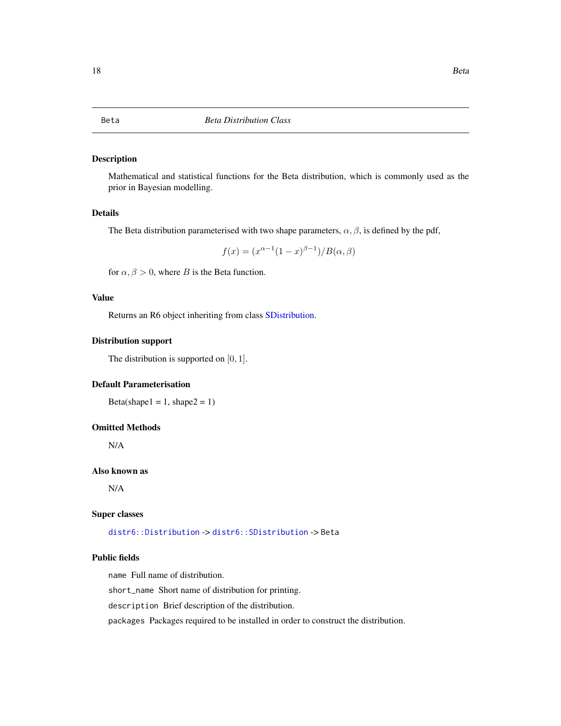## <span id="page-17-1"></span><span id="page-17-0"></span>Description

Mathematical and statistical functions for the Beta distribution, which is commonly used as the prior in Bayesian modelling.

# Details

The Beta distribution parameterised with two shape parameters,  $\alpha$ ,  $\beta$ , is defined by the pdf,

$$
f(x) = (x^{\alpha - 1}(1 - x)^{\beta - 1})/B(\alpha, \beta)
$$

for  $\alpha, \beta > 0$ , where B is the Beta function.

# Value

Returns an R6 object inheriting from class [SDistribution.](#page-235-1)

#### Distribution support

The distribution is supported on  $[0, 1]$ .

# Default Parameterisation

Beta(shape $1 = 1$ , shape $2 = 1$ )

# Omitted Methods

N/A

# Also known as

N/A

# Super classes

[distr6::Distribution](#page-0-0) -> [distr6::SDistribution](#page-0-0) -> Beta

# Public fields

name Full name of distribution.

short\_name Short name of distribution for printing.

description Brief description of the distribution.

packages Packages required to be installed in order to construct the distribution.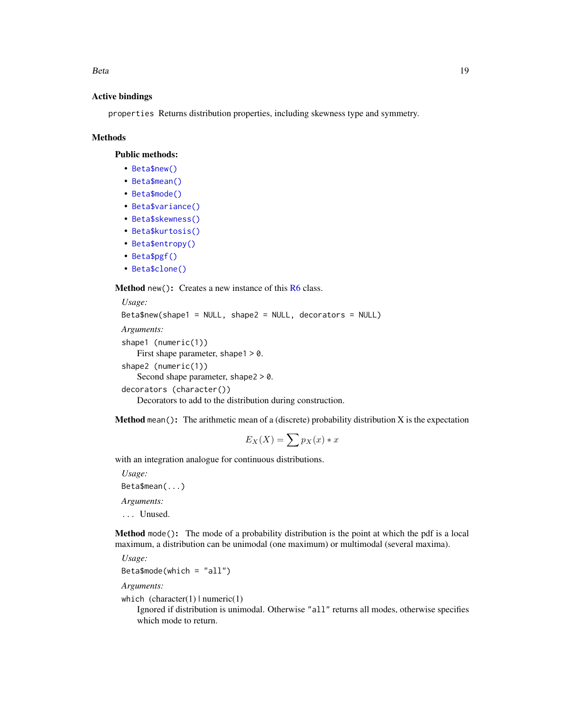Beta 2008 and 2008 and 2008 and 2008 and 2008 and 2008 and 2008 and 2008 and 2008 and 2008 and 2008 and 2008 and 2008 and 2008 and 2008 and 2008 and 2008 and 2008 and 2008 and 2008 and 2008 and 2008 and 2008 and 2008 and 2

#### Active bindings

properties Returns distribution properties, including skewness type and symmetry.

#### Methods

Public methods:

- [Beta\\$new\(\)](#page-7-0)
- [Beta\\$mean\(\)](#page-7-1)
- [Beta\\$mode\(\)](#page-8-0)
- [Beta\\$variance\(\)](#page-8-1)
- [Beta\\$skewness\(\)](#page-8-2)
- [Beta\\$kurtosis\(\)](#page-8-3)
- [Beta\\$entropy\(\)](#page-9-0)
- [Beta\\$pgf\(\)](#page-9-1)
- [Beta\\$clone\(\)](#page-9-2)

Method new(): Creates a new instance of this [R6](#page-0-0) class.

```
Usage:
Beta$new(shape1 = NULL, shape2 = NULL, decorators = NULL)
Arguments:
shape1 (numeric(1))
   First shape parameter, shape 1 > 0.
shape2 (numeric(1))
   Second shape parameter, shape2 > 0.
decorators (character())
   Decorators to add to the distribution during construction.
```
**Method** mean(): The arithmetic mean of a (discrete) probability distribution  $X$  is the expectation

$$
E_X(X) = \sum p_X(x) * x
$$

with an integration analogue for continuous distributions.

*Usage:* Beta\$mean(...) *Arguments:* ... Unused.

Method mode(): The mode of a probability distribution is the point at which the pdf is a local maximum, a distribution can be unimodal (one maximum) or multimodal (several maxima).

*Usage:* Beta\$mode(which = "all")

*Arguments:*

which  $(character(1) | numeric(1))$ 

Ignored if distribution is unimodal. Otherwise "all" returns all modes, otherwise specifies which mode to return.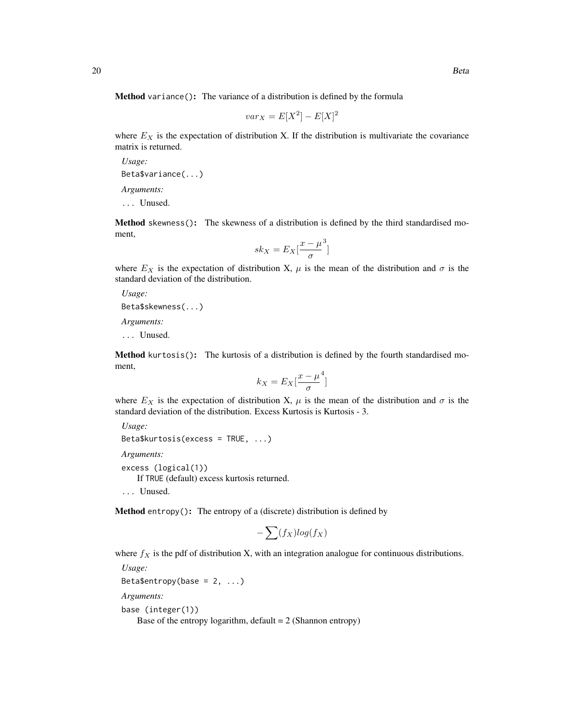Method variance(): The variance of a distribution is defined by the formula

$$
var_X = E[X^2] - E[X]^2
$$

where  $E_X$  is the expectation of distribution X. If the distribution is multivariate the covariance matrix is returned.

*Usage:* Beta\$variance(...) *Arguments:*

... Unused.

Method skewness(): The skewness of a distribution is defined by the third standardised moment,

$$
sk_X = E_X \left[ \frac{x - \mu^3}{\sigma} \right]
$$

where  $E_X$  is the expectation of distribution X,  $\mu$  is the mean of the distribution and  $\sigma$  is the standard deviation of the distribution.

*Usage:*

Beta\$skewness(...)

*Arguments:*

... Unused.

Method kurtosis(): The kurtosis of a distribution is defined by the fourth standardised moment,

$$
k_X = E_X \left[ \frac{x - \mu^4}{\sigma} \right]
$$

where  $E_X$  is the expectation of distribution X,  $\mu$  is the mean of the distribution and  $\sigma$  is the standard deviation of the distribution. Excess Kurtosis is Kurtosis - 3.

*Usage:* Beta\$kurtosis(excess = TRUE, ...)

*Arguments:*

excess (logical(1))

If TRUE (default) excess kurtosis returned.

... Unused.

Method entropy(): The entropy of a (discrete) distribution is defined by

$$
-\sum(f_X)log(f_X)
$$

where  $f_X$  is the pdf of distribution X, with an integration analogue for continuous distributions.

```
Usage:
Beta$entropy(base = 2, ...)
Arguments:
base (integer(1))
```
Base of the entropy logarithm, default  $= 2$  (Shannon entropy)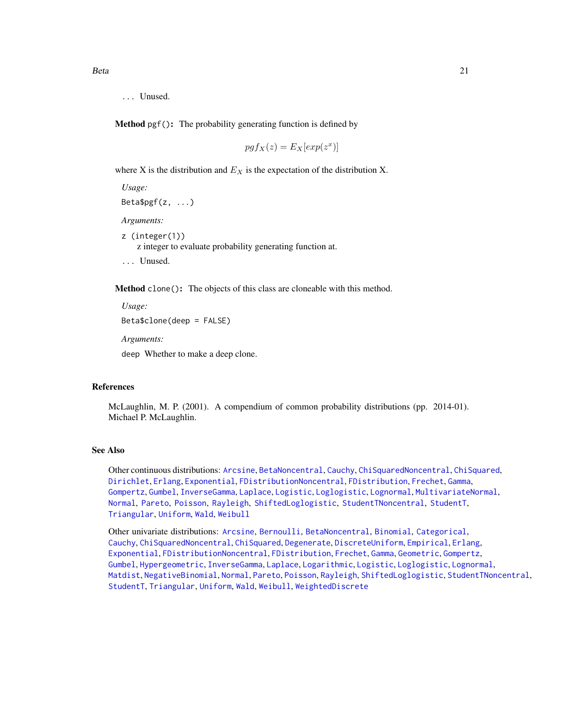... Unused.

Method pgf(): The probability generating function is defined by

$$
pgf_X(z) = E_X[exp(z^x)]
$$

where X is the distribution and  $E<sub>X</sub>$  is the expectation of the distribution X.

*Usage:* Beta\$pgf(z, ...) *Arguments:* z (integer(1)) z integer to evaluate probability generating function at. ... Unused.

Method clone(): The objects of this class are cloneable with this method.

```
Usage:
Beta$clone(deep = FALSE)
Arguments:
```
deep Whether to make a deep clone.

# References

McLaughlin, M. P. (2001). A compendium of common probability distributions (pp. 2014-01). Michael P. McLaughlin.

## See Also

Other continuous distributions: [Arcsine](#page-6-1), [BetaNoncentral](#page-21-1), [Cauchy](#page-34-1), [ChiSquaredNoncentral](#page-43-1), [ChiSquared](#page-38-1), [Dirichlet](#page-59-1), [Erlang](#page-92-1), [Exponential](#page-102-1), [FDistributionNoncentral](#page-110-1), [FDistribution](#page-106-1), [Frechet](#page-113-1), [Gamma](#page-119-1), [Gompertz](#page-129-1), [Gumbel](#page-132-1), [InverseGamma](#page-143-1), [Laplace](#page-149-1), [Logistic](#page-162-1), [Loglogistic](#page-168-1), [Lognormal](#page-172-1), [MultivariateNormal](#page-195-1), [Normal](#page-204-1), [Pareto](#page-211-1), [Poisson](#page-218-1), [Rayleigh](#page-231-1), [ShiftedLoglogistic](#page-236-1), [StudentTNoncentral](#page-249-1), [StudentT](#page-245-1), [Triangular](#page-266-1), [Uniform](#page-279-1), [Wald](#page-294-1), [Weibull](#page-298-1)

Other univariate distributions: [Arcsine](#page-6-1), [Bernoulli](#page-12-1), [BetaNoncentral](#page-21-1), [Binomial](#page-23-1), [Categorical](#page-29-1), [Cauchy](#page-34-1), [ChiSquaredNoncentral](#page-43-1), [ChiSquared](#page-38-1), [Degenerate](#page-55-1), [DiscreteUniform](#page-62-1), [Empirical](#page-82-1), [Erlang](#page-92-1), [Exponential](#page-102-1), [FDistributionNoncentral](#page-110-1), [FDistribution](#page-106-1), [Frechet](#page-113-1), [Gamma](#page-119-1), [Geometric](#page-125-1), [Gompertz](#page-129-1), [Gumbel](#page-132-1), [Hypergeometric](#page-139-1), [InverseGamma](#page-143-1), [Laplace](#page-149-1), [Logarithmic](#page-158-1), [Logistic](#page-162-1), [Loglogistic](#page-168-1), [Lognormal](#page-172-1), [Matdist](#page-178-1), [NegativeBinomial](#page-200-1), [Normal](#page-204-1), [Pareto](#page-211-1), [Poisson](#page-218-1), [Rayleigh](#page-231-1), [ShiftedLoglogistic](#page-236-1), [StudentTNoncentral](#page-249-1), [StudentT](#page-245-1), [Triangular](#page-266-1), [Uniform](#page-279-1), [Wald](#page-294-1), [Weibull](#page-298-1), [WeightedDiscrete](#page-302-1)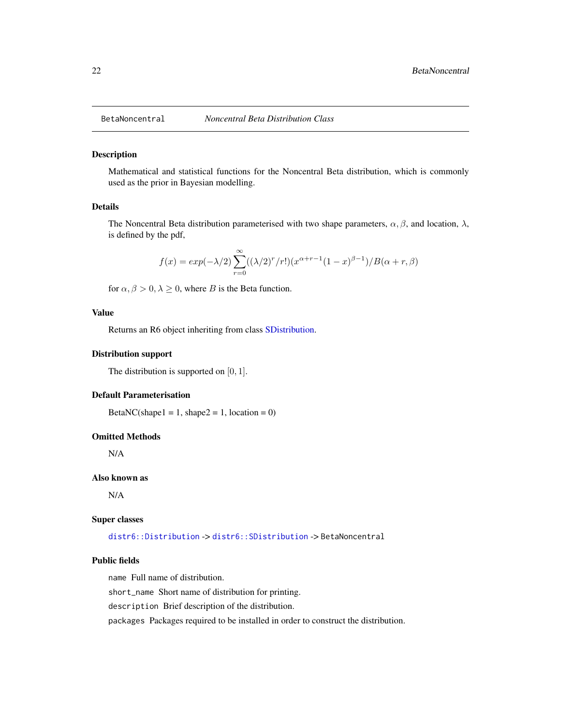<span id="page-21-1"></span><span id="page-21-0"></span>

#### Description

Mathematical and statistical functions for the Noncentral Beta distribution, which is commonly used as the prior in Bayesian modelling.

## Details

The Noncentral Beta distribution parameterised with two shape parameters,  $\alpha, \beta$ , and location,  $\lambda$ , is defined by the pdf,

$$
f(x) = exp(-\lambda/2) \sum_{r=0}^{\infty} ((\lambda/2)^r/r!)(x^{\alpha+r-1}(1-x)^{\beta-1})/B(\alpha+r,\beta)
$$

for  $\alpha, \beta > 0, \lambda \geq 0$ , where B is the Beta function.

# Value

Returns an R6 object inheriting from class [SDistribution.](#page-235-1)

# Distribution support

The distribution is supported on  $[0, 1]$ .

## Default Parameterisation

BetaNC(shape $1 = 1$ , shape $2 = 1$ , location = 0)

#### Omitted Methods

N/A

# Also known as

N/A

#### Super classes

[distr6::Distribution](#page-0-0) -> [distr6::SDistribution](#page-0-0) -> BetaNoncentral

# Public fields

name Full name of distribution.

short\_name Short name of distribution for printing.

description Brief description of the distribution.

packages Packages required to be installed in order to construct the distribution.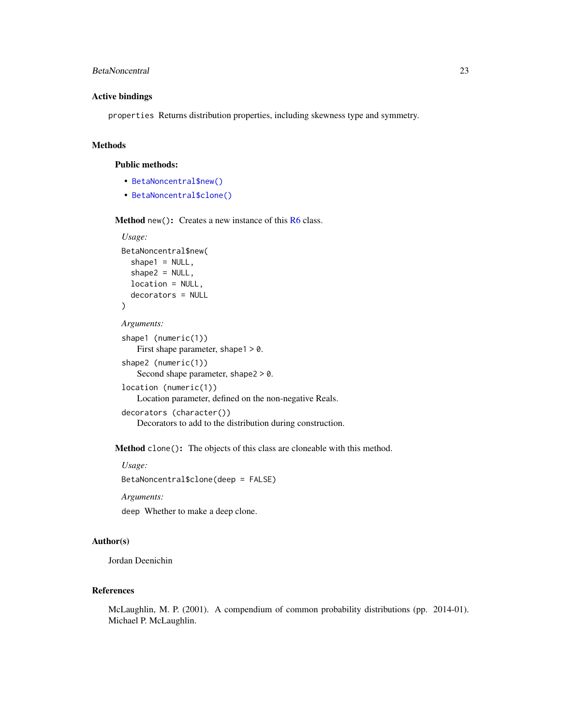# BetaNoncentral 23

# Active bindings

properties Returns distribution properties, including skewness type and symmetry.

# Methods

## Public methods:

- [BetaNoncentral\\$new\(\)](#page-7-0)
- [BetaNoncentral\\$clone\(\)](#page-9-2)

Method new(): Creates a new instance of this [R6](#page-0-0) class.

# *Usage:*

```
BetaNoncentral$new(
  shape1 = NULL,shape2 = NULL,
  location = NULL,
  decorators = NULL
)
Arguments:
```

```
shape1 (numeric(1))
   First shape parameter, shape1 > 0.
shape2 (numeric(1))
   Second shape parameter, shape2 > 0.
location (numeric(1))
   Location parameter, defined on the non-negative Reals.
decorators (character())
   Decorators to add to the distribution during construction.
```
Method clone(): The objects of this class are cloneable with this method.

*Usage:*

BetaNoncentral\$clone(deep = FALSE)

*Arguments:*

deep Whether to make a deep clone.

#### Author(s)

Jordan Deenichin

# References

McLaughlin, M. P. (2001). A compendium of common probability distributions (pp. 2014-01). Michael P. McLaughlin.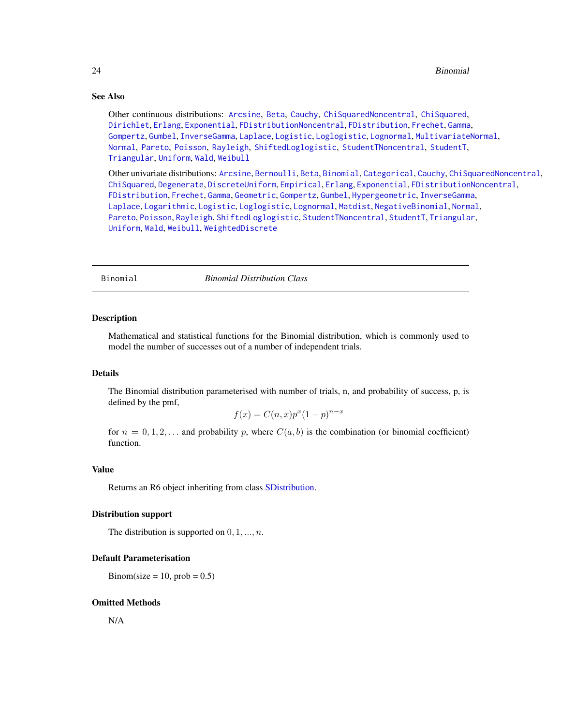# <span id="page-23-0"></span>See Also

Other continuous distributions: [Arcsine](#page-6-1), [Beta](#page-17-1), [Cauchy](#page-34-1), [ChiSquaredNoncentral](#page-43-1), [ChiSquared](#page-38-1), [Dirichlet](#page-59-1), [Erlang](#page-92-1), [Exponential](#page-102-1), [FDistributionNoncentral](#page-110-1), [FDistribution](#page-106-1), [Frechet](#page-113-1), [Gamma](#page-119-1), [Gompertz](#page-129-1), [Gumbel](#page-132-1), [InverseGamma](#page-143-1), [Laplace](#page-149-1), [Logistic](#page-162-1), [Loglogistic](#page-168-1), [Lognormal](#page-172-1), [MultivariateNormal](#page-195-1), [Normal](#page-204-1), [Pareto](#page-211-1), [Poisson](#page-218-1), [Rayleigh](#page-231-1), [ShiftedLoglogistic](#page-236-1), [StudentTNoncentral](#page-249-1), [StudentT](#page-245-1), [Triangular](#page-266-1), [Uniform](#page-279-1), [Wald](#page-294-1), [Weibull](#page-298-1)

Other univariate distributions: [Arcsine](#page-6-1), [Bernoulli](#page-12-1), [Beta](#page-17-1), [Binomial](#page-23-1), [Categorical](#page-29-1), [Cauchy](#page-34-1), [ChiSquaredNoncentral](#page-43-1), [ChiSquared](#page-38-1), [Degenerate](#page-55-1), [DiscreteUniform](#page-62-1), [Empirical](#page-82-1), [Erlang](#page-92-1), [Exponential](#page-102-1), [FDistributionNoncentral](#page-110-1), [FDistribution](#page-106-1), [Frechet](#page-113-1), [Gamma](#page-119-1), [Geometric](#page-125-1), [Gompertz](#page-129-1), [Gumbel](#page-132-1), [Hypergeometric](#page-139-1), [InverseGamma](#page-143-1), [Laplace](#page-149-1), [Logarithmic](#page-158-1), [Logistic](#page-162-1), [Loglogistic](#page-168-1), [Lognormal](#page-172-1), [Matdist](#page-178-1), [NegativeBinomial](#page-200-1), [Normal](#page-204-1), [Pareto](#page-211-1), [Poisson](#page-218-1), [Rayleigh](#page-231-1), [ShiftedLoglogistic](#page-236-1), [StudentTNoncentral](#page-249-1), [StudentT](#page-245-1), [Triangular](#page-266-1), [Uniform](#page-279-1), [Wald](#page-294-1), [Weibull](#page-298-1), [WeightedDiscrete](#page-302-1)

<span id="page-23-1"></span>

Binomial *Binomial Distribution Class*

#### Description

Mathematical and statistical functions for the Binomial distribution, which is commonly used to model the number of successes out of a number of independent trials.

# Details

The Binomial distribution parameterised with number of trials, n, and probability of success, p, is defined by the pmf,

$$
f(x) = C(n,x)p^{x}(1-p)^{n-x}
$$

for  $n = 0, 1, 2, \ldots$  and probability p, where  $C(a, b)$  is the combination (or binomial coefficient) function.

#### Value

Returns an R6 object inheriting from class [SDistribution.](#page-235-1)

#### Distribution support

The distribution is supported on  $0, 1, ..., n$ .

#### Default Parameterisation

Binom(size = 10, prob =  $0.5$ )

#### Omitted Methods

N/A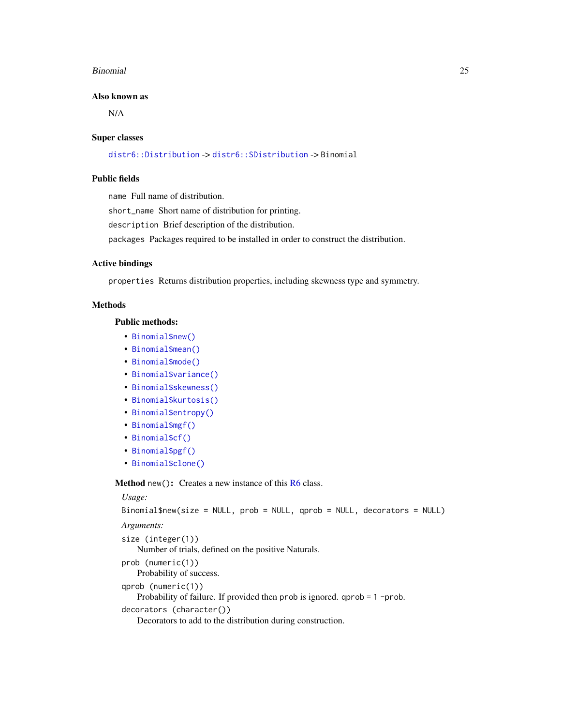#### Binomial 25

#### Also known as

N/A

#### Super classes

```
distr6::Distribution -> distr6::SDistribution -> Binomial
```
# Public fields

name Full name of distribution.

short\_name Short name of distribution for printing.

description Brief description of the distribution.

packages Packages required to be installed in order to construct the distribution.

## Active bindings

properties Returns distribution properties, including skewness type and symmetry.

#### Methods

# Public methods:

- [Binomial\\$new\(\)](#page-7-0)
- [Binomial\\$mean\(\)](#page-7-1)
- [Binomial\\$mode\(\)](#page-8-0)
- [Binomial\\$variance\(\)](#page-8-1)
- [Binomial\\$skewness\(\)](#page-8-2)
- [Binomial\\$kurtosis\(\)](#page-8-3)
- [Binomial\\$entropy\(\)](#page-9-0)
- [Binomial\\$mgf\(\)](#page-15-0)
- [Binomial\\$cf\(\)](#page-15-1)
- [Binomial\\$pgf\(\)](#page-9-1)
- [Binomial\\$clone\(\)](#page-9-2)

Method new(): Creates a new instance of this [R6](#page-0-0) class.

```
Usage:
Binomial$new(size = NULL, prob = NULL, qprob = NULL, decorators = NULL)
Arguments:
size (integer(1))
   Number of trials, defined on the positive Naturals.
prob (numeric(1))
   Probability of success.
qprob (numeric(1))
   Probability of failure. If provided then prob is ignored. qprob = 1 -prob.
decorators (character())
   Decorators to add to the distribution during construction.
```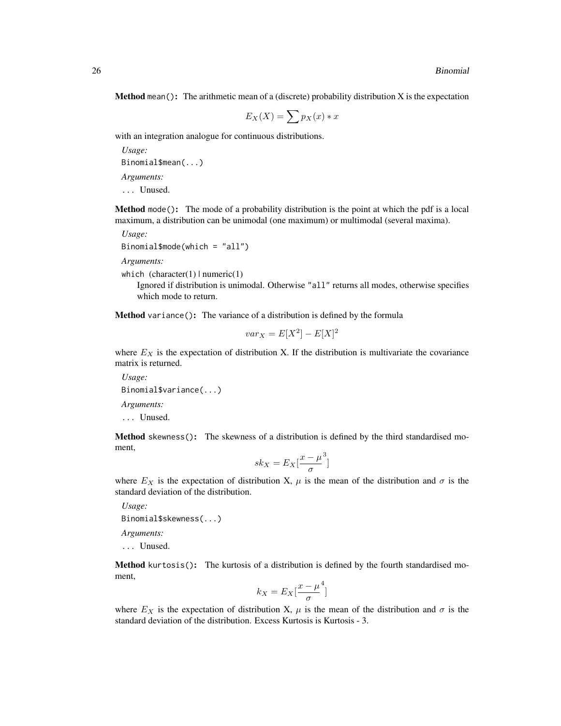**Method** mean(): The arithmetic mean of a (discrete) probability distribution  $X$  is the expectation

$$
E_X(X) = \sum p_X(x) * x
$$

with an integration analogue for continuous distributions.

*Usage:* Binomial\$mean(...) *Arguments:* ... Unused.

Method mode(): The mode of a probability distribution is the point at which the pdf is a local maximum, a distribution can be unimodal (one maximum) or multimodal (several maxima).

*Usage:*

```
Binomial$mode(which = "all")
```
*Arguments:*

which  $(character(1) | numeric(1))$ 

Ignored if distribution is unimodal. Otherwise "all" returns all modes, otherwise specifies which mode to return.

Method variance(): The variance of a distribution is defined by the formula

$$
var_X = E[X^2] - E[X]^2
$$

where  $E_X$  is the expectation of distribution X. If the distribution is multivariate the covariance matrix is returned.

*Usage:* Binomial\$variance(...) *Arguments:* ... Unused.

Method skewness(): The skewness of a distribution is defined by the third standardised moment,

$$
sk_X = E_X \left[ \frac{x - \mu^3}{\sigma} \right]
$$

where  $E_X$  is the expectation of distribution X,  $\mu$  is the mean of the distribution and  $\sigma$  is the standard deviation of the distribution.

*Usage:* Binomial\$skewness(...)

*Arguments:*

... Unused.

Method kurtosis(): The kurtosis of a distribution is defined by the fourth standardised moment,

$$
k_X = E_X \left[ \frac{x - \mu^4}{\sigma} \right]
$$

]

where  $E_X$  is the expectation of distribution X,  $\mu$  is the mean of the distribution and  $\sigma$  is the standard deviation of the distribution. Excess Kurtosis is Kurtosis - 3.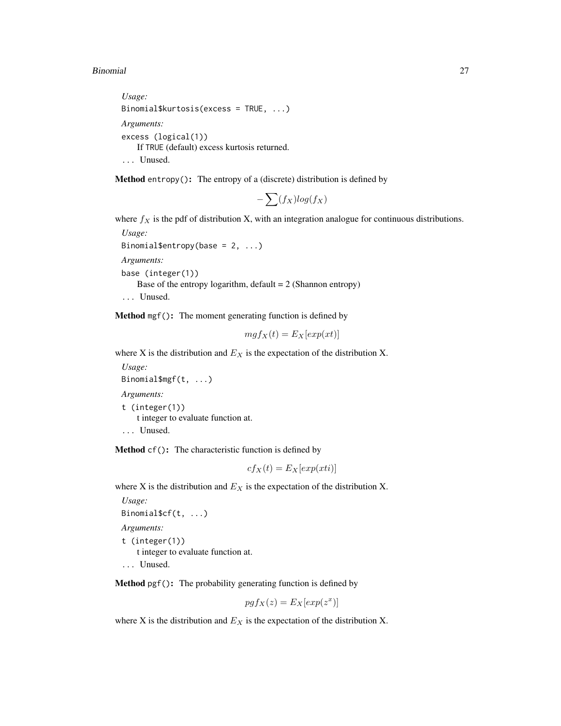#### Binomial 27

```
Usage:
Binomial$kurtosis(excess = TRUE, ...)
Arguments:
excess (logical(1))
   If TRUE (default) excess kurtosis returned.
... Unused.
```
Method entropy(): The entropy of a (discrete) distribution is defined by

$$
-\sum(f_X)log(f_X)
$$

where  $f_X$  is the pdf of distribution X, with an integration analogue for continuous distributions.

```
Usage:
Binomial$entropy(base = 2, ...)
Arguments:
base (integer(1))
   Base of the entropy logarithm, default = 2 (Shannon entropy)
... Unused.
```
Method mgf(): The moment generating function is defined by

$$
mgf_X(t) = E_X[exp(xt)]
$$

where X is the distribution and  $E<sub>X</sub>$  is the expectation of the distribution X.

*Usage:* Binomial\$mgf(t, ...) *Arguments:* t (integer(1)) t integer to evaluate function at. ... Unused.

Method cf(): The characteristic function is defined by

$$
cf_X(t) = E_X[exp(xti)]
$$

where X is the distribution and  $E<sub>X</sub>$  is the expectation of the distribution X.

```
Usage:
Binomial$cf(t, ...)
Arguments:
t (integer(1))
    t integer to evaluate function at.
... Unused.
```
Method pgf(): The probability generating function is defined by

$$
pgf_X(z) = E_X[exp(z^x)]
$$

where X is the distribution and  $E<sub>X</sub>$  is the expectation of the distribution X.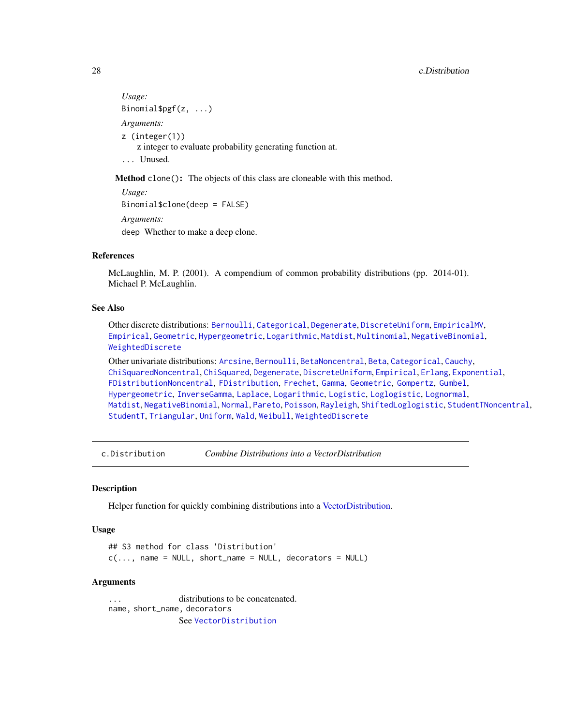```
Usage:
Binomial$pgf(z, ...)
Arguments:
z (integer(1))
    z integer to evaluate probability generating function at.
... Unused.
```
Method clone(): The objects of this class are cloneable with this method.

```
Usage:
Binomial$clone(deep = FALSE)
Arguments:
deep Whether to make a deep clone.
```
### References

McLaughlin, M. P. (2001). A compendium of common probability distributions (pp. 2014-01). Michael P. McLaughlin.

# See Also

Other discrete distributions: [Bernoulli](#page-12-1), [Categorical](#page-29-1), [Degenerate](#page-55-1), [DiscreteUniform](#page-62-1), [EmpiricalMV](#page-87-1), [Empirical](#page-82-1), [Geometric](#page-125-1), [Hypergeometric](#page-139-1), [Logarithmic](#page-158-1), [Matdist](#page-178-1), [Multinomial](#page-190-1), [NegativeBinomial](#page-200-1), [WeightedDiscrete](#page-302-1)

Other univariate distributions: [Arcsine](#page-6-1), [Bernoulli](#page-12-1), [BetaNoncentral](#page-21-1), [Beta](#page-17-1), [Categorical](#page-29-1), [Cauchy](#page-34-1), [ChiSquaredNoncentral](#page-43-1), [ChiSquared](#page-38-1), [Degenerate](#page-55-1), [DiscreteUniform](#page-62-1), [Empirical](#page-82-1), [Erlang](#page-92-1), [Exponential](#page-102-1), [FDistributionNoncentral](#page-110-1), [FDistribution](#page-106-1), [Frechet](#page-113-1), [Gamma](#page-119-1), [Geometric](#page-125-1), [Gompertz](#page-129-1), [Gumbel](#page-132-1), [Hypergeometric](#page-139-1), [InverseGamma](#page-143-1), [Laplace](#page-149-1), [Logarithmic](#page-158-1), [Logistic](#page-162-1), [Loglogistic](#page-168-1), [Lognormal](#page-172-1), [Matdist](#page-178-1), [NegativeBinomial](#page-200-1), [Normal](#page-204-1), [Pareto](#page-211-1), [Poisson](#page-218-1), [Rayleigh](#page-231-1), [ShiftedLoglogistic](#page-236-1), [StudentTNoncentral](#page-249-1), [StudentT](#page-245-1), [Triangular](#page-266-1), [Uniform](#page-279-1), [Wald](#page-294-1), [Weibull](#page-298-1), [WeightedDiscrete](#page-302-1)

c.Distribution *Combine Distributions into a VectorDistribution*

#### **Description**

Helper function for quickly combining distributions into a [VectorDistribution.](#page-285-1)

## Usage

## S3 method for class 'Distribution'  $c(\ldots, n$ ame = NULL, short\_name = NULL, decorators = NULL)

#### Arguments

... distributions to be concatenated. name, short\_name, decorators See [VectorDistribution](#page-285-1)

<span id="page-27-0"></span>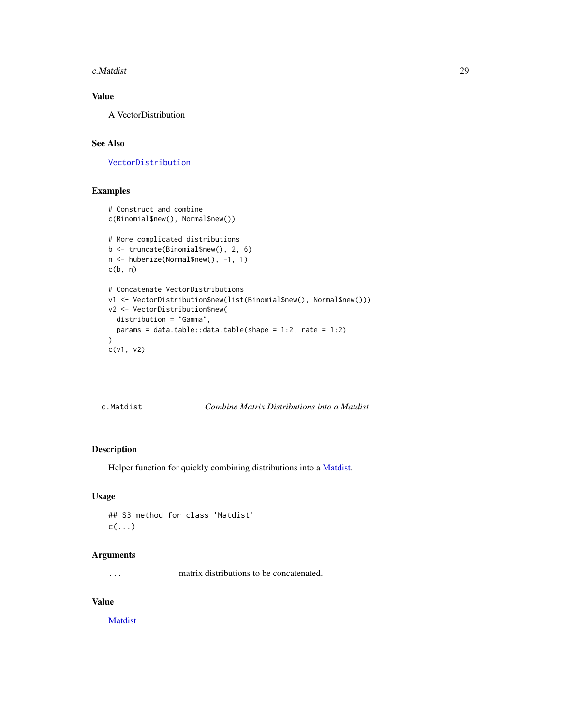<span id="page-28-0"></span>c.Matdist 29

# Value

A VectorDistribution

# See Also

[VectorDistribution](#page-285-1)

# Examples

```
# Construct and combine
c(Binomial$new(), Normal$new())
# More complicated distributions
b <- truncate(Binomial$new(), 2, 6)
n <- huberize(Normal$new(), -1, 1)
c(b, n)
# Concatenate VectorDistributions
v1 <- VectorDistribution$new(list(Binomial$new(), Normal$new()))
v2 <- VectorDistribution$new(
  distribution = "Gamma",
  params = data.table::data.table(shape = 1:2, rate = 1:2)
)
c(v1, v2)
```
c.Matdist *Combine Matrix Distributions into a Matdist*

# Description

Helper function for quickly combining distributions into a [Matdist.](#page-178-1)

## Usage

```
## S3 method for class 'Matdist'
c(\ldots)
```
# Arguments

... matrix distributions to be concatenated.

# Value

[Matdist](#page-178-1)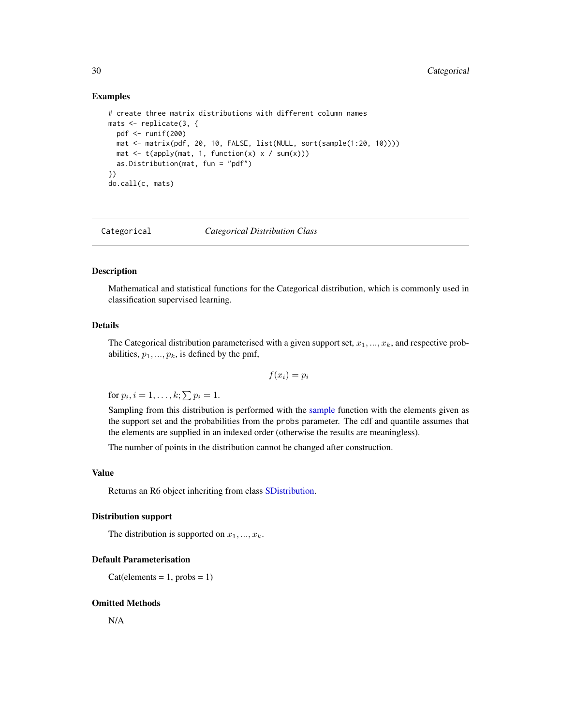#### <span id="page-29-0"></span>Examples

```
# create three matrix distributions with different column names
mats <- replicate(3, {
  pdf <- runif(200)
 mat <- matrix(pdf, 20, 10, FALSE, list(NULL, sort(sample(1:20, 10))))
 mat \leq t(apply(mat, 1, function(x) x / sum(x)))
  as.Distribution(mat, fun = "pdf")
})
do.call(c, mats)
```
<span id="page-29-1"></span>Categorical *Categorical Distribution Class*

# Description

Mathematical and statistical functions for the Categorical distribution, which is commonly used in classification supervised learning.

#### Details

The Categorical distribution parameterised with a given support set,  $x_1, ..., x_k$ , and respective probabilities,  $p_1, ..., p_k$ , is defined by the pmf,

$$
f(x_i) = p_i
$$

for  $p_i$ ,  $i = 1, \ldots, k; \sum p_i = 1$ .

Sampling from this distribution is performed with the [sample](#page-0-0) function with the elements given as the support set and the probabilities from the probs parameter. The cdf and quantile assumes that the elements are supplied in an indexed order (otherwise the results are meaningless).

The number of points in the distribution cannot be changed after construction.

# Value

Returns an R6 object inheriting from class [SDistribution.](#page-235-1)

#### Distribution support

The distribution is supported on  $x_1, ..., x_k$ .

#### Default Parameterisation

 $Cat(elements = 1, probs = 1)$ 

#### Omitted Methods

N/A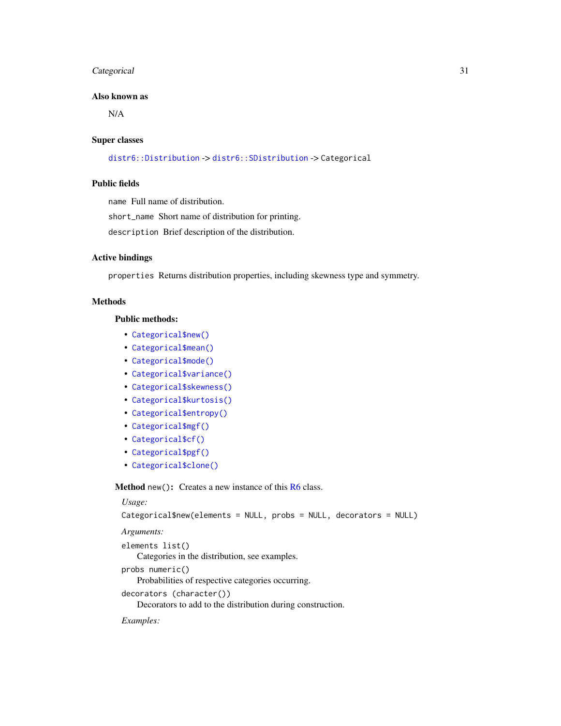# Categorical 31

# Also known as

N/A

#### Super classes

[distr6::Distribution](#page-0-0) -> [distr6::SDistribution](#page-0-0) -> Categorical

# Public fields

name Full name of distribution.

short\_name Short name of distribution for printing.

description Brief description of the distribution.

# Active bindings

properties Returns distribution properties, including skewness type and symmetry.

# Methods

# Public methods:

- [Categorical\\$new\(\)](#page-7-0)
- [Categorical\\$mean\(\)](#page-7-1)
- [Categorical\\$mode\(\)](#page-8-0)
- [Categorical\\$variance\(\)](#page-8-1)
- [Categorical\\$skewness\(\)](#page-8-2)
- [Categorical\\$kurtosis\(\)](#page-8-3)
- [Categorical\\$entropy\(\)](#page-9-0)
- [Categorical\\$mgf\(\)](#page-15-0)
- [Categorical\\$cf\(\)](#page-15-1)
- [Categorical\\$pgf\(\)](#page-9-1)
- [Categorical\\$clone\(\)](#page-9-2)

**Method** new(): Creates a new instance of this  $R6$  class.

# *Usage:* Categorical\$new(elements = NULL, probs = NULL, decorators = NULL) *Arguments:* elements list() Categories in the distribution, see examples. probs numeric() Probabilities of respective categories occurring. decorators (character()) Decorators to add to the distribution during construction.

# *Examples:*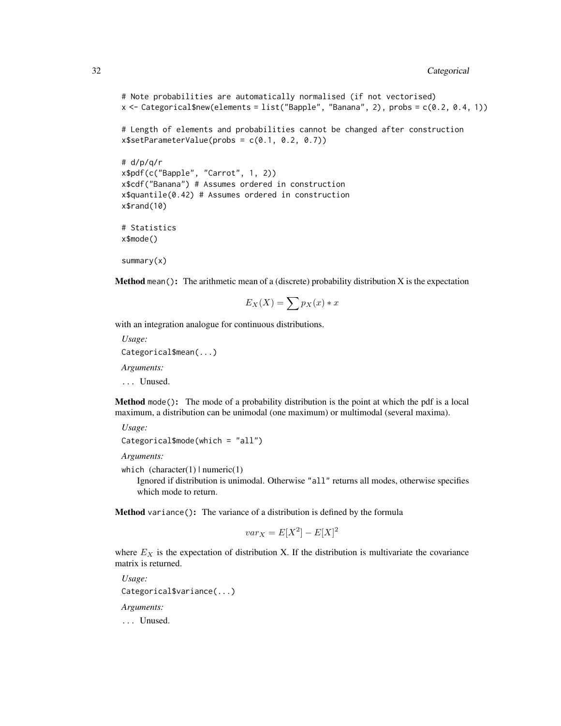```
# Note probabilities are automatically normalised (if not vectorised)
x \leftarrow Categorical$new(elements = list("Bapple", "Banana", 2), probs = c(0.2, 0.4, 1))
# Length of elements and probabilities cannot be changed after construction
x$setParameterValue(probs = c(0.1, 0.2, 0.7))# d/p/q/r
x$pdf(c("Bapple", "Carrot", 1, 2))
x$cdf("Banana") # Assumes ordered in construction
x$quantile(0.42) # Assumes ordered in construction
x$rand(10)
# Statistics
x$mode()
```

```
summary(x)
```
**Method** mean(): The arithmetic mean of a (discrete) probability distribution  $X$  is the expectation

$$
E_X(X) = \sum p_X(x) * x
$$

with an integration analogue for continuous distributions.

*Usage:* Categorical\$mean(...) *Arguments:* ... Unused.

Method mode(): The mode of a probability distribution is the point at which the pdf is a local maximum, a distribution can be unimodal (one maximum) or multimodal (several maxima).

```
Usage:
Categorical$mode(which = "all")
```
*Arguments:*

which  $(character(1) | numeric(1))$ 

Ignored if distribution is unimodal. Otherwise "all" returns all modes, otherwise specifies which mode to return.

Method variance(): The variance of a distribution is defined by the formula

$$
var_X = E[X^2] - E[X]^2
$$

where  $E<sub>X</sub>$  is the expectation of distribution X. If the distribution is multivariate the covariance matrix is returned.

*Usage:* Categorical\$variance(...) *Arguments:* ... Unused.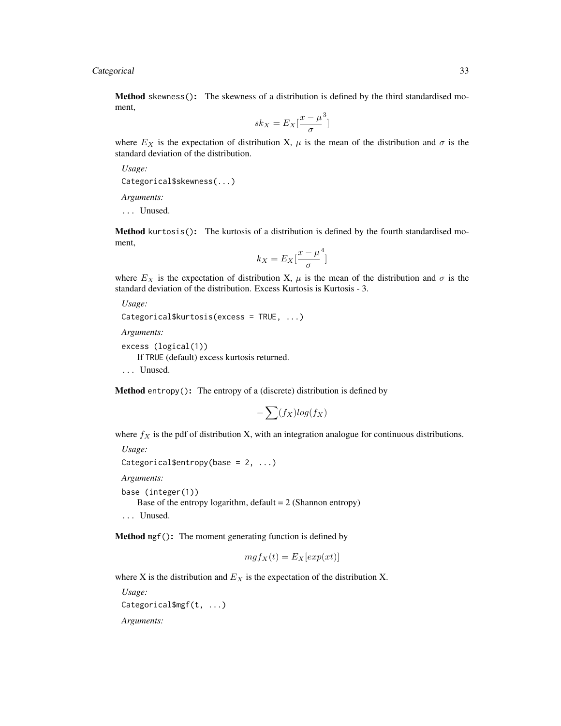# Categorical 33

Method skewness(): The skewness of a distribution is defined by the third standardised moment,

$$
sk_X = E_X \left[ \frac{x - \mu^3}{\sigma} \right]
$$

where  $E_X$  is the expectation of distribution X,  $\mu$  is the mean of the distribution and  $\sigma$  is the standard deviation of the distribution.

*Usage:*

Categorical\$skewness(...)

*Arguments:*

... Unused.

Method kurtosis(): The kurtosis of a distribution is defined by the fourth standardised moment,

$$
k_X = E_X \left[ \frac{x - \mu^4}{\sigma} \right]
$$

where  $E_X$  is the expectation of distribution X,  $\mu$  is the mean of the distribution and  $\sigma$  is the standard deviation of the distribution. Excess Kurtosis is Kurtosis - 3.

*Usage:*

```
Categorical$kurtosis(excess = TRUE, ...)
```
*Arguments:*

```
excess (logical(1))
```
If TRUE (default) excess kurtosis returned.

... Unused.

Method entropy(): The entropy of a (discrete) distribution is defined by

$$
-\sum(f_X)log(f_X)
$$

where  $f_X$  is the pdf of distribution X, with an integration analogue for continuous distributions.

```
Usage:
Categorical$entropy(base = 2, ...)
Arguments:
base (integer(1))
   Base of the entropy logarithm, default = 2 (Shannon entropy)
```
... Unused.

Method mgf(): The moment generating function is defined by

$$
mgf_X(t) = E_X[exp(xt)]
$$

where X is the distribution and  $E<sub>X</sub>$  is the expectation of the distribution X.

*Usage:* Categorical\$mgf(t, ...) *Arguments:*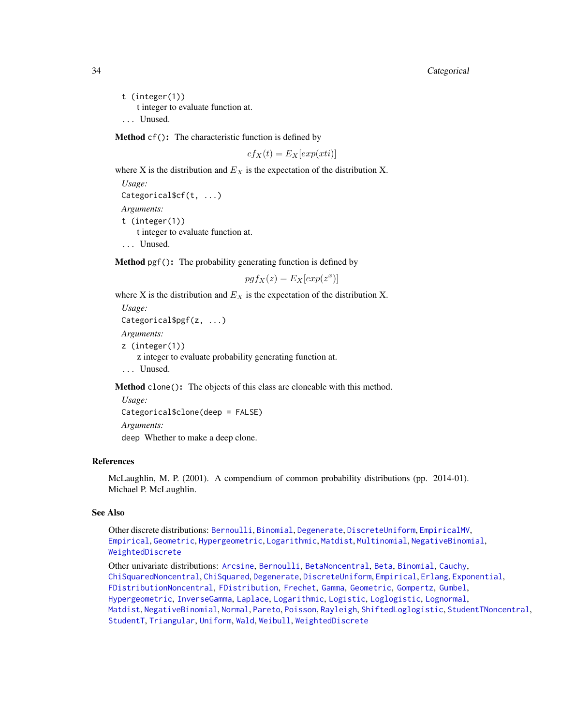t (integer(1)) t integer to evaluate function at. ... Unused.

Method cf(): The characteristic function is defined by

$$
cf_X(t) = E_X[exp(xti)]
$$

where X is the distribution and  $E<sub>X</sub>$  is the expectation of the distribution X.

*Usage:* Categorical\$cf(t, ...) *Arguments:* t (integer(1)) t integer to evaluate function at. ... Unused.

Method pgf(): The probability generating function is defined by

$$
pgf_X(z) = E_X[exp(z^x)]
$$

where X is the distribution and  $E_X$  is the expectation of the distribution X.

```
Usage:
Categorical$pgf(z, ...)
Arguments:
z (integer(1))
    z integer to evaluate probability generating function at.
... Unused.
```
Method clone(): The objects of this class are cloneable with this method.

```
Usage:
Categorical$clone(deep = FALSE)
Arguments:
deep Whether to make a deep clone.
```
## References

McLaughlin, M. P. (2001). A compendium of common probability distributions (pp. 2014-01). Michael P. McLaughlin.

# See Also

Other discrete distributions: [Bernoulli](#page-12-1), [Binomial](#page-23-1), [Degenerate](#page-55-1), [DiscreteUniform](#page-62-1), [EmpiricalMV](#page-87-1), [Empirical](#page-82-1), [Geometric](#page-125-1), [Hypergeometric](#page-139-1), [Logarithmic](#page-158-1), [Matdist](#page-178-1), [Multinomial](#page-190-1), [NegativeBinomial](#page-200-1), [WeightedDiscrete](#page-302-1)

Other univariate distributions: [Arcsine](#page-6-1), [Bernoulli](#page-12-1), [BetaNoncentral](#page-21-1), [Beta](#page-17-1), [Binomial](#page-23-1), [Cauchy](#page-34-1), [ChiSquaredNoncentral](#page-43-1), [ChiSquared](#page-38-1), [Degenerate](#page-55-1), [DiscreteUniform](#page-62-1), [Empirical](#page-82-1), [Erlang](#page-92-1), [Exponential](#page-102-1), [FDistributionNoncentral](#page-110-1), [FDistribution](#page-106-1), [Frechet](#page-113-1), [Gamma](#page-119-1), [Geometric](#page-125-1), [Gompertz](#page-129-1), [Gumbel](#page-132-1), [Hypergeometric](#page-139-1), [InverseGamma](#page-143-1), [Laplace](#page-149-1), [Logarithmic](#page-158-1), [Logistic](#page-162-1), [Loglogistic](#page-168-1), [Lognormal](#page-172-1), [Matdist](#page-178-1), [NegativeBinomial](#page-200-1), [Normal](#page-204-1), [Pareto](#page-211-1), [Poisson](#page-218-1), [Rayleigh](#page-231-1), [ShiftedLoglogistic](#page-236-1), [StudentTNoncentral](#page-249-1), [StudentT](#page-245-1), [Triangular](#page-266-1), [Uniform](#page-279-1), [Wald](#page-294-1), [Weibull](#page-298-1), [WeightedDiscrete](#page-302-1)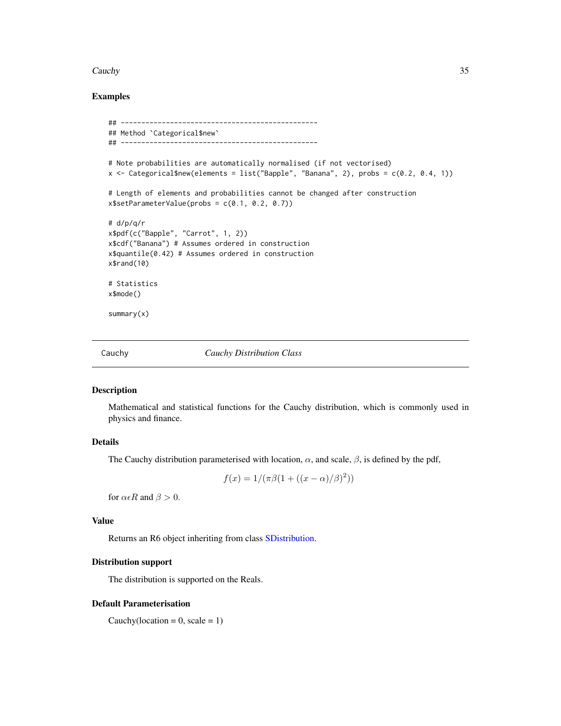#### <span id="page-34-0"></span>Cauchy 35

# Examples

```
## ------------------------------------------------
## Method `Categorical$new`
## ------------------------------------------------
# Note probabilities are automatically normalised (if not vectorised)
x <- Categorical$new(elements = list("Bapple", "Banana", 2), probs = c(0.2, 0.4, 1))
# Length of elements and probabilities cannot be changed after construction
x$setParameterValue(probs = c(0.1, 0.2, 0.7))
# d/p/q/r
x$pdf(c("Bapple", "Carrot", 1, 2))
x$cdf("Banana") # Assumes ordered in construction
x$quantile(0.42) # Assumes ordered in construction
x$rand(10)
# Statistics
x$mode()
summary(x)
```
<span id="page-34-1"></span>Cauchy *Cauchy Distribution Class*

#### Description

Mathematical and statistical functions for the Cauchy distribution, which is commonly used in physics and finance.

# Details

The Cauchy distribution parameterised with location,  $\alpha$ , and scale,  $\beta$ , is defined by the pdf,

$$
f(x) = 1/(\pi \beta (1 + ((x - \alpha)/\beta)^2))
$$

for  $\alpha \in R$  and  $\beta > 0$ .

#### Value

Returns an R6 object inheriting from class [SDistribution.](#page-235-1)

#### Distribution support

The distribution is supported on the Reals.

#### Default Parameterisation

Cauchy(location =  $0$ , scale =  $1$ )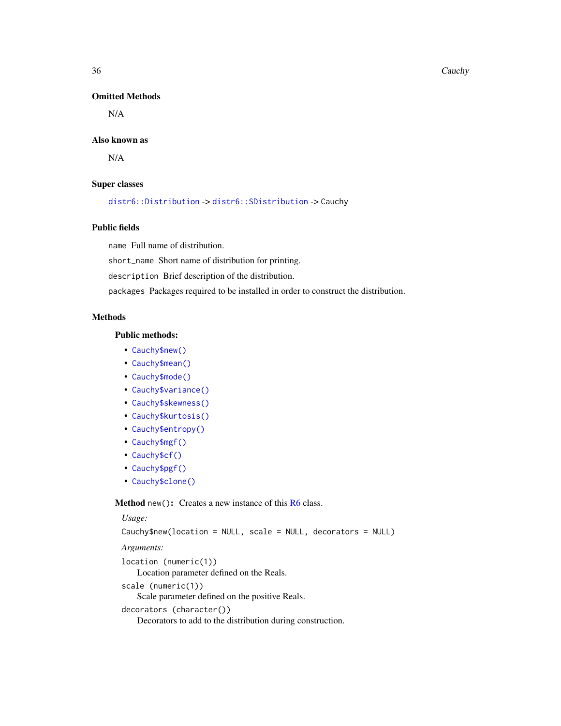#### 36 Cauchy

## Omitted Methods

N/A

#### Also known as

N/A

#### Super classes

[distr6::Distribution](#page-0-0) -> [distr6::SDistribution](#page-0-0) -> Cauchy

# Public fields

name Full name of distribution.

short\_name Short name of distribution for printing.

description Brief description of the distribution.

packages Packages required to be installed in order to construct the distribution.

# Methods

#### Public methods:

- [Cauchy\\$new\(\)](#page-7-0)
- [Cauchy\\$mean\(\)](#page-7-1)
- [Cauchy\\$mode\(\)](#page-8-0)
- [Cauchy\\$variance\(\)](#page-8-1)
- [Cauchy\\$skewness\(\)](#page-8-2)
- [Cauchy\\$kurtosis\(\)](#page-8-3)
- [Cauchy\\$entropy\(\)](#page-9-0)
- [Cauchy\\$mgf\(\)](#page-15-0)
- [Cauchy\\$cf\(\)](#page-15-1)
- [Cauchy\\$pgf\(\)](#page-9-1)
- [Cauchy\\$clone\(\)](#page-9-2)

Method new(): Creates a new instance of this [R6](#page-0-0) class.

#### *Usage:*

Cauchy\$new(location = NULL, scale = NULL, decorators = NULL)

*Arguments:* location (numeric(1)) Location parameter defined on the Reals. scale (numeric(1)) Scale parameter defined on the positive Reals. decorators (character()) Decorators to add to the distribution during construction.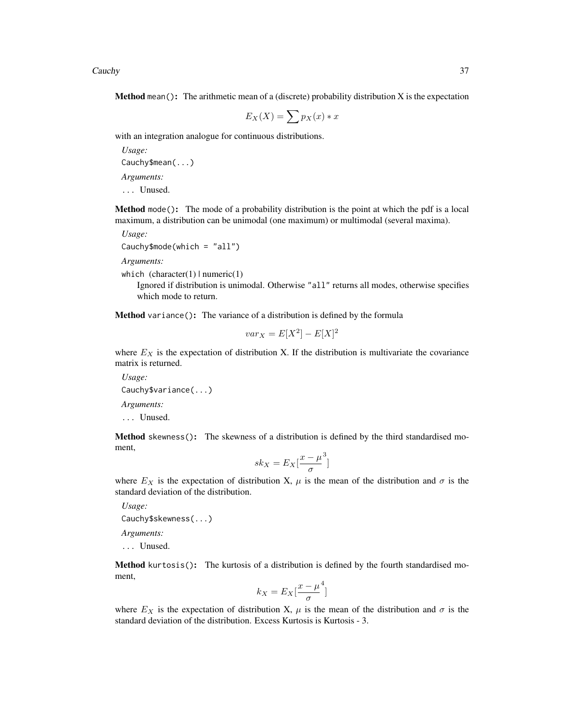Cauchy 37

**Method** mean(): The arithmetic mean of a (discrete) probability distribution  $X$  is the expectation

$$
E_X(X) = \sum p_X(x) * x
$$

with an integration analogue for continuous distributions.

*Usage:* Cauchy\$mean(...) *Arguments:* ... Unused.

Method mode(): The mode of a probability distribution is the point at which the pdf is a local maximum, a distribution can be unimodal (one maximum) or multimodal (several maxima).

*Usage:*

Cauchy\$mode(which = "all")

*Arguments:*

which  $(character(1) | numeric(1))$ 

Ignored if distribution is unimodal. Otherwise "all" returns all modes, otherwise specifies which mode to return.

Method variance(): The variance of a distribution is defined by the formula

$$
var_X = E[X^2] - E[X]^2
$$

where  $E_X$  is the expectation of distribution X. If the distribution is multivariate the covariance matrix is returned.

*Usage:* Cauchy\$variance(...) *Arguments:* ... Unused.

Method skewness(): The skewness of a distribution is defined by the third standardised moment,

$$
sk_X = E_X \left[ \frac{x - \mu^3}{\sigma} \right]
$$

where  $E_X$  is the expectation of distribution X,  $\mu$  is the mean of the distribution and  $\sigma$  is the standard deviation of the distribution.

*Usage:* Cauchy\$skewness(...)

*Arguments:*

... Unused.

Method kurtosis(): The kurtosis of a distribution is defined by the fourth standardised moment,

$$
k_X = E_X \left[ \frac{x - \mu^4}{\sigma} \right]
$$

]

where  $E_X$  is the expectation of distribution X,  $\mu$  is the mean of the distribution and  $\sigma$  is the standard deviation of the distribution. Excess Kurtosis is Kurtosis - 3.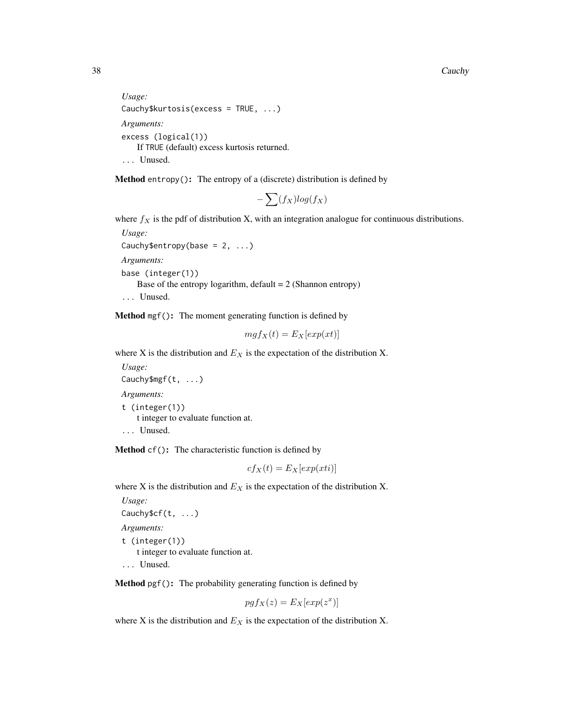```
Usage:
Cauchy$kurtosis(excess = TRUE, ...)
Arguments:
excess (logical(1))
   If TRUE (default) excess kurtosis returned.
... Unused.
```
Method entropy(): The entropy of a (discrete) distribution is defined by

$$
-\sum(f_X)log(f_X)
$$

where  $f_X$  is the pdf of distribution X, with an integration analogue for continuous distributions.

*Usage:* Cauchy\$entropy(base =  $2, ...$ ) *Arguments:* base (integer(1)) Base of the entropy logarithm, default  $= 2$  (Shannon entropy) ... Unused.

Method mgf(): The moment generating function is defined by

$$
mgf_X(t) = E_X[exp(xt)]
$$

where X is the distribution and  $E<sub>X</sub>$  is the expectation of the distribution X.

*Usage:* Cauchy\$mgf(t, ...) *Arguments:* t (integer(1)) t integer to evaluate function at. ... Unused.

Method cf(): The characteristic function is defined by

$$
cf_X(t) = E_X[exp(xti)]
$$

where X is the distribution and  $E<sub>X</sub>$  is the expectation of the distribution X.

*Usage:* Cauchy\$cf(t, ...) *Arguments:* t (integer(1)) t integer to evaluate function at. ... Unused.

Method pgf(): The probability generating function is defined by

$$
pgf_X(z) = E_X[exp(z^x)]
$$

where X is the distribution and  $E<sub>X</sub>$  is the expectation of the distribution X.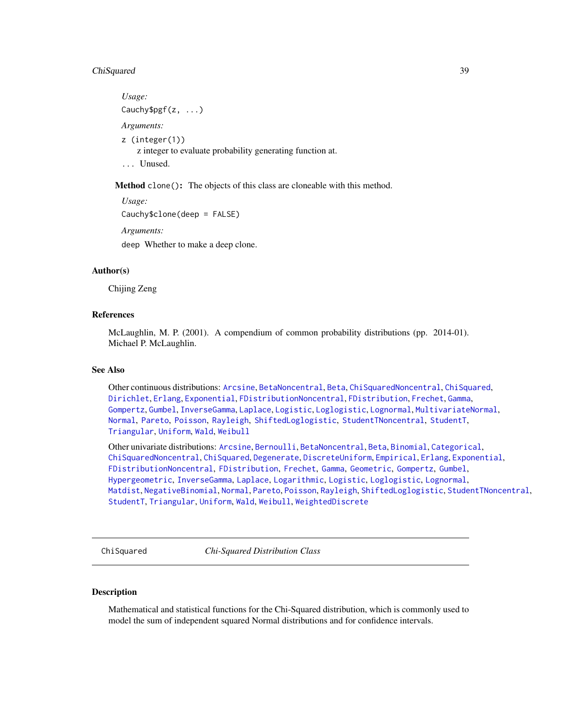# ChiSquared 39

*Usage:* Cauchy\$pgf(z, ...) *Arguments:* z (integer(1)) z integer to evaluate probability generating function at. ... Unused.

Method clone(): The objects of this class are cloneable with this method.

```
Usage:
Cauchy$clone(deep = FALSE)
Arguments:
deep Whether to make a deep clone.
```
#### Author(s)

Chijing Zeng

## References

McLaughlin, M. P. (2001). A compendium of common probability distributions (pp. 2014-01). Michael P. McLaughlin.

#### See Also

Other continuous distributions: [Arcsine](#page-6-0), [BetaNoncentral](#page-21-0), [Beta](#page-17-0), [ChiSquaredNoncentral](#page-43-0), [ChiSquared](#page-38-0), [Dirichlet](#page-59-0), [Erlang](#page-92-0), [Exponential](#page-102-0), [FDistributionNoncentral](#page-110-0), [FDistribution](#page-106-0), [Frechet](#page-113-0), [Gamma](#page-119-0), [Gompertz](#page-129-0), [Gumbel](#page-132-0), [InverseGamma](#page-143-0), [Laplace](#page-149-0), [Logistic](#page-162-0), [Loglogistic](#page-168-0), [Lognormal](#page-172-0), [MultivariateNormal](#page-195-0), [Normal](#page-204-0), [Pareto](#page-211-0), [Poisson](#page-218-0), [Rayleigh](#page-231-0), [ShiftedLoglogistic](#page-236-0), [StudentTNoncentral](#page-249-0), [StudentT](#page-245-0), [Triangular](#page-266-0), [Uniform](#page-279-0), [Wald](#page-294-0), [Weibull](#page-298-0)

Other univariate distributions: [Arcsine](#page-6-0), [Bernoulli](#page-12-0), [BetaNoncentral](#page-21-0), [Beta](#page-17-0), [Binomial](#page-23-0), [Categorical](#page-29-0), [ChiSquaredNoncentral](#page-43-0), [ChiSquared](#page-38-0), [Degenerate](#page-55-0), [DiscreteUniform](#page-62-0), [Empirical](#page-82-0), [Erlang](#page-92-0), [Exponential](#page-102-0), [FDistributionNoncentral](#page-110-0), [FDistribution](#page-106-0), [Frechet](#page-113-0), [Gamma](#page-119-0), [Geometric](#page-125-0), [Gompertz](#page-129-0), [Gumbel](#page-132-0), [Hypergeometric](#page-139-0), [InverseGamma](#page-143-0), [Laplace](#page-149-0), [Logarithmic](#page-158-0), [Logistic](#page-162-0), [Loglogistic](#page-168-0), [Lognormal](#page-172-0), [Matdist](#page-178-0), [NegativeBinomial](#page-200-0), [Normal](#page-204-0), [Pareto](#page-211-0), [Poisson](#page-218-0), [Rayleigh](#page-231-0), [ShiftedLoglogistic](#page-236-0), [StudentTNoncentral](#page-249-0), [StudentT](#page-245-0), [Triangular](#page-266-0), [Uniform](#page-279-0), [Wald](#page-294-0), [Weibull](#page-298-0), [WeightedDiscrete](#page-302-0)

<span id="page-38-0"></span>ChiSquared *Chi-Squared Distribution Class*

## Description

Mathematical and statistical functions for the Chi-Squared distribution, which is commonly used to model the sum of independent squared Normal distributions and for confidence intervals.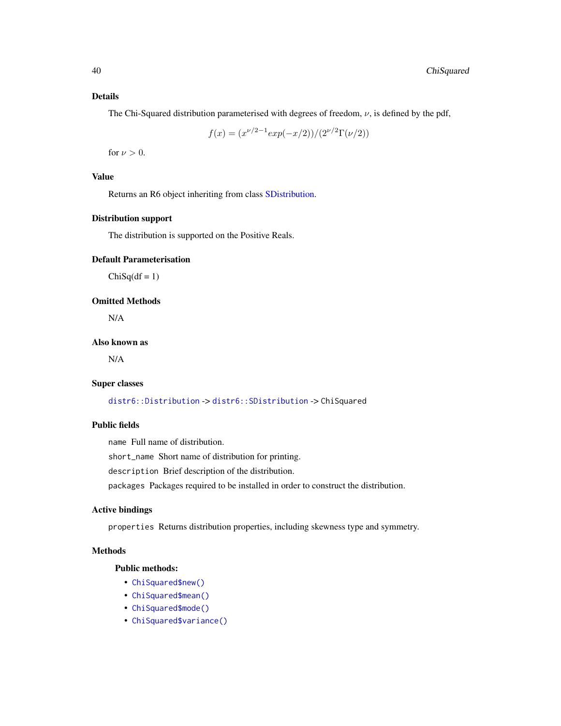## Details

The Chi-Squared distribution parameterised with degrees of freedom,  $\nu$ , is defined by the pdf,

$$
f(x) = (x^{\nu/2 - 1} exp(-x/2))/(2^{\nu/2} \Gamma(\nu/2))
$$

for  $\nu > 0$ .

# Value

Returns an R6 object inheriting from class [SDistribution.](#page-235-0)

# Distribution support

The distribution is supported on the Positive Reals.

# Default Parameterisation

 $ChiSq(df = 1)$ 

# Omitted Methods

N/A

# Also known as

N/A

## Super classes

[distr6::Distribution](#page-0-0) -> [distr6::SDistribution](#page-0-0) -> ChiSquared

# Public fields

name Full name of distribution.

short\_name Short name of distribution for printing.

description Brief description of the distribution.

packages Packages required to be installed in order to construct the distribution.

# Active bindings

properties Returns distribution properties, including skewness type and symmetry.

# Methods

# Public methods:

- [ChiSquared\\$new\(\)](#page-7-0)
- [ChiSquared\\$mean\(\)](#page-7-1)
- [ChiSquared\\$mode\(\)](#page-8-0)
- [ChiSquared\\$variance\(\)](#page-8-1)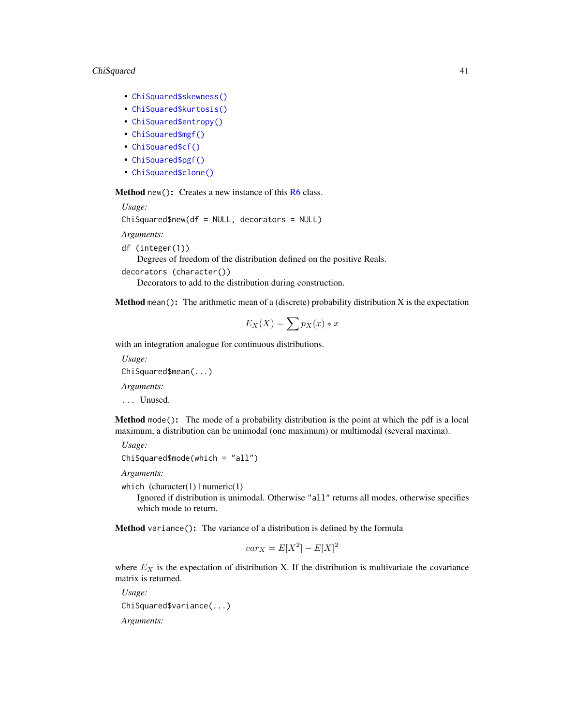## ChiSquared 41

- [ChiSquared\\$skewness\(\)](#page-8-2)
- [ChiSquared\\$kurtosis\(\)](#page-8-3)
- [ChiSquared\\$entropy\(\)](#page-9-0)
- [ChiSquared\\$mgf\(\)](#page-15-0)
- [ChiSquared\\$cf\(\)](#page-15-1)
- [ChiSquared\\$pgf\(\)](#page-9-1)
- [ChiSquared\\$clone\(\)](#page-9-2)

Method new(): Creates a new instance of this [R6](#page-0-0) class.

*Usage:*

ChiSquared\$new(df = NULL, decorators = NULL)

*Arguments:*

df (integer(1))

Degrees of freedom of the distribution defined on the positive Reals.

```
decorators (character())
```
Decorators to add to the distribution during construction.

**Method** mean(): The arithmetic mean of a (discrete) probability distribution  $X$  is the expectation

$$
E_X(X) = \sum p_X(x) * x
$$

with an integration analogue for continuous distributions.

*Usage:*

ChiSquared\$mean(...)

*Arguments:*

... Unused.

Method mode(): The mode of a probability distribution is the point at which the pdf is a local maximum, a distribution can be unimodal (one maximum) or multimodal (several maxima).

*Usage:* ChiSquared\$mode(which = "all")

*Arguments:*

which  $(character(1) | numeric(1))$ 

Ignored if distribution is unimodal. Otherwise "all" returns all modes, otherwise specifies which mode to return.

Method variance(): The variance of a distribution is defined by the formula

$$
var_X = E[X^2] - E[X]^2
$$

where  $E<sub>X</sub>$  is the expectation of distribution X. If the distribution is multivariate the covariance matrix is returned.

*Usage:* ChiSquared\$variance(...) *Arguments:*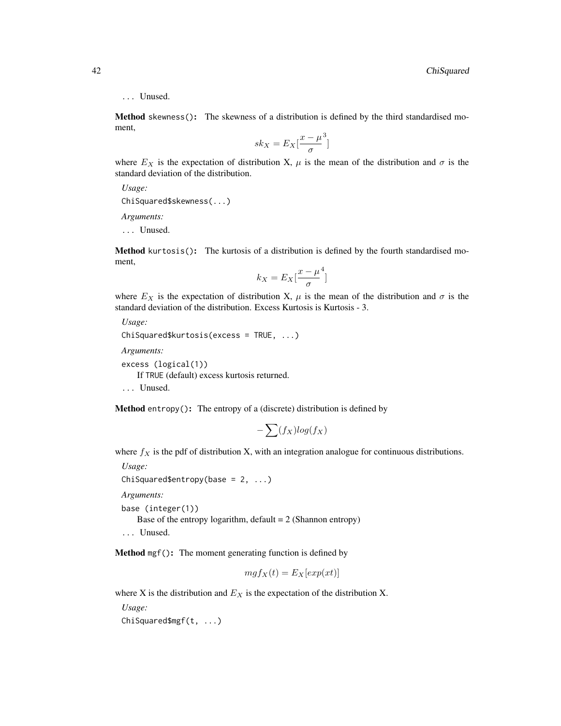#### ... Unused.

Method skewness(): The skewness of a distribution is defined by the third standardised moment,

$$
sk_X = E_X \left[ \frac{x - \mu^3}{\sigma} \right]
$$

where  $E_X$  is the expectation of distribution X,  $\mu$  is the mean of the distribution and  $\sigma$  is the standard deviation of the distribution.

*Usage:*

ChiSquared\$skewness(...)

*Arguments:*

... Unused.

Method kurtosis(): The kurtosis of a distribution is defined by the fourth standardised moment,

$$
k_X = E_X \left[ \frac{x - \mu^4}{\sigma} \right]
$$

where  $E_X$  is the expectation of distribution X,  $\mu$  is the mean of the distribution and  $\sigma$  is the standard deviation of the distribution. Excess Kurtosis is Kurtosis - 3.

```
Usage:
ChiSquared$kurtosis(excess = TRUE, ...)
Arguments:
excess (logical(1))
```
If TRUE (default) excess kurtosis returned.

... Unused.

**Method** entropy(): The entropy of a (discrete) distribution is defined by

$$
-\sum(f_X)log(f_X)
$$

where  $f_X$  is the pdf of distribution X, with an integration analogue for continuous distributions.

*Usage:* ChiSquared\$entropy(base =  $2, ...$ ) *Arguments:* base (integer(1)) Base of the entropy logarithm, default  $= 2$  (Shannon entropy)

... Unused.

Method mgf(): The moment generating function is defined by

$$
mgf_X(t) = E_X[exp(xt)]
$$

where X is the distribution and  $E<sub>X</sub>$  is the expectation of the distribution X.

*Usage:*

ChiSquared\$mgf(t, ...)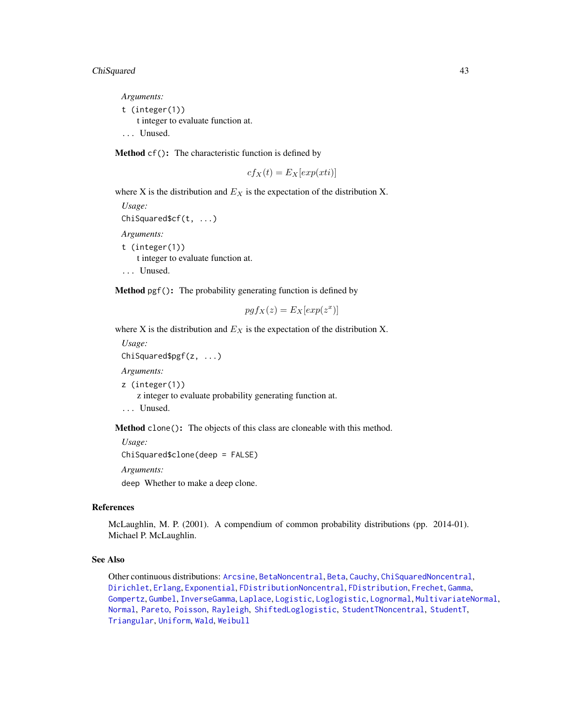# ChiSquared 43

*Arguments:* t (integer(1)) t integer to evaluate function at. ... Unused.

Method cf(): The characteristic function is defined by

$$
cf_X(t) = E_X[exp(xti)]
$$

where X is the distribution and  $E<sub>X</sub>$  is the expectation of the distribution X.

```
Usage:
ChiSquared$cf(t, ...)
Arguments:
t (integer(1))
    t integer to evaluate function at.
... Unused.
```
Method pgf(): The probability generating function is defined by

$$
pgf_X(z) = E_X[exp(z^x)]
$$

where X is the distribution and  $E<sub>X</sub>$  is the expectation of the distribution X.

*Usage:* ChiSquared\$pgf(z, ...) *Arguments:* z (integer(1)) z integer to evaluate probability generating function at.

... Unused.

Method clone(): The objects of this class are cloneable with this method.

*Usage:*

```
ChiSquared$clone(deep = FALSE)
```
*Arguments:*

deep Whether to make a deep clone.

# References

McLaughlin, M. P. (2001). A compendium of common probability distributions (pp. 2014-01). Michael P. McLaughlin.

# See Also

Other continuous distributions: [Arcsine](#page-6-0), [BetaNoncentral](#page-21-0), [Beta](#page-17-0), [Cauchy](#page-34-0), [ChiSquaredNoncentral](#page-43-0), [Dirichlet](#page-59-0), [Erlang](#page-92-0), [Exponential](#page-102-0), [FDistributionNoncentral](#page-110-0), [FDistribution](#page-106-0), [Frechet](#page-113-0), [Gamma](#page-119-0), [Gompertz](#page-129-0), [Gumbel](#page-132-0), [InverseGamma](#page-143-0), [Laplace](#page-149-0), [Logistic](#page-162-0), [Loglogistic](#page-168-0), [Lognormal](#page-172-0), [MultivariateNormal](#page-195-0), [Normal](#page-204-0), [Pareto](#page-211-0), [Poisson](#page-218-0), [Rayleigh](#page-231-0), [ShiftedLoglogistic](#page-236-0), [StudentTNoncentral](#page-249-0), [StudentT](#page-245-0), [Triangular](#page-266-0), [Uniform](#page-279-0), [Wald](#page-294-0), [Weibull](#page-298-0)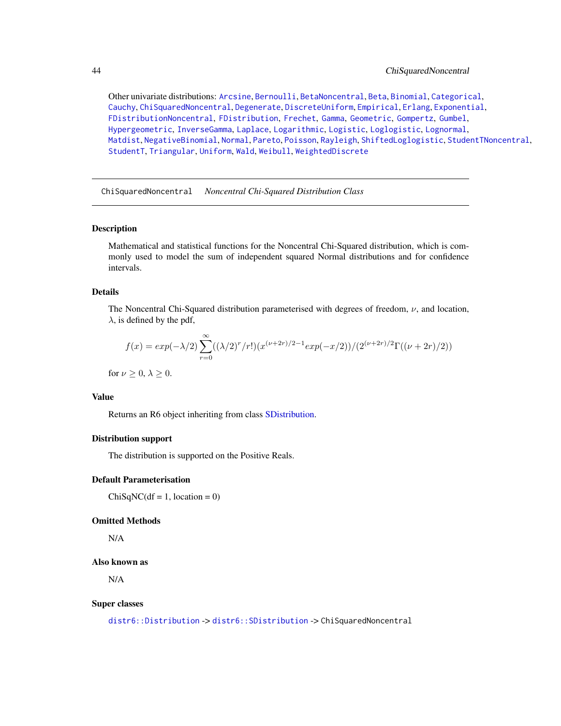Other univariate distributions: [Arcsine](#page-6-0), [Bernoulli](#page-12-0), [BetaNoncentral](#page-21-0), [Beta](#page-17-0), [Binomial](#page-23-0), [Categorical](#page-29-0), [Cauchy](#page-34-0), [ChiSquaredNoncentral](#page-43-0), [Degenerate](#page-55-0), [DiscreteUniform](#page-62-0), [Empirical](#page-82-0), [Erlang](#page-92-0), [Exponential](#page-102-0), [FDistributionNoncentral](#page-110-0), [FDistribution](#page-106-0), [Frechet](#page-113-0), [Gamma](#page-119-0), [Geometric](#page-125-0), [Gompertz](#page-129-0), [Gumbel](#page-132-0), [Hypergeometric](#page-139-0), [InverseGamma](#page-143-0), [Laplace](#page-149-0), [Logarithmic](#page-158-0), [Logistic](#page-162-0), [Loglogistic](#page-168-0), [Lognormal](#page-172-0), [Matdist](#page-178-0), [NegativeBinomial](#page-200-0), [Normal](#page-204-0), [Pareto](#page-211-0), [Poisson](#page-218-0), [Rayleigh](#page-231-0), [ShiftedLoglogistic](#page-236-0), [StudentTNoncentral](#page-249-0), [StudentT](#page-245-0), [Triangular](#page-266-0), [Uniform](#page-279-0), [Wald](#page-294-0), [Weibull](#page-298-0), [WeightedDiscrete](#page-302-0)

<span id="page-43-0"></span>ChiSquaredNoncentral *Noncentral Chi-Squared Distribution Class*

#### **Description**

Mathematical and statistical functions for the Noncentral Chi-Squared distribution, which is commonly used to model the sum of independent squared Normal distributions and for confidence intervals.

## Details

The Noncentral Chi-Squared distribution parameterised with degrees of freedom,  $\nu$ , and location,  $\lambda$ , is defined by the pdf,

$$
f(x) = exp(-\lambda/2) \sum_{r=0}^{\infty} ((\lambda/2)^r/r!) (x^{(\nu+2r)/2-1} exp(-x/2))/(2^{(\nu+2r)/2} \Gamma((\nu+2r)/2))
$$

for  $\nu \geq 0, \lambda \geq 0$ .

#### Value

Returns an R6 object inheriting from class [SDistribution.](#page-235-0)

## Distribution support

The distribution is supported on the Positive Reals.

## Default Parameterisation

 $ChiSqNC(df = 1, location = 0)$ 

#### Omitted Methods

N/A

#### Also known as

N/A

#### Super classes

[distr6::Distribution](#page-0-0) -> [distr6::SDistribution](#page-0-0) -> ChiSquaredNoncentral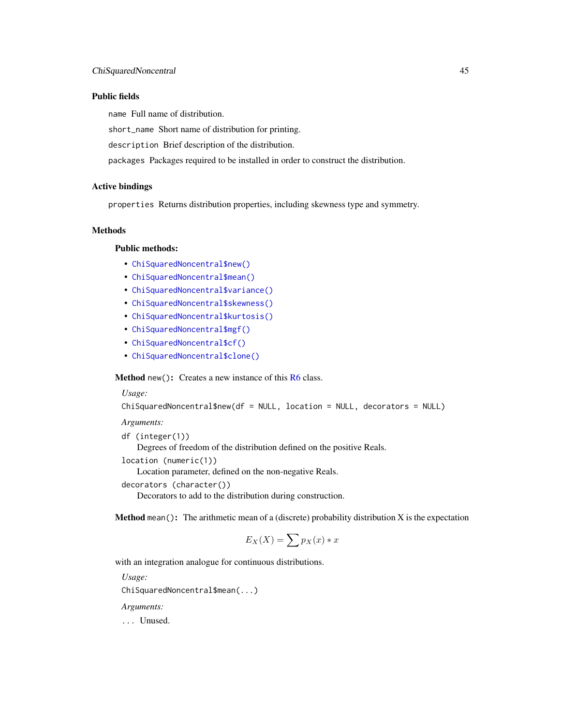## Public fields

name Full name of distribution.

short\_name Short name of distribution for printing.

description Brief description of the distribution.

packages Packages required to be installed in order to construct the distribution.

# Active bindings

properties Returns distribution properties, including skewness type and symmetry.

# **Methods**

#### Public methods:

- [ChiSquaredNoncentral\\$new\(\)](#page-7-0)
- [ChiSquaredNoncentral\\$mean\(\)](#page-7-1)
- [ChiSquaredNoncentral\\$variance\(\)](#page-8-1)
- [ChiSquaredNoncentral\\$skewness\(\)](#page-8-2)
- [ChiSquaredNoncentral\\$kurtosis\(\)](#page-8-3)
- [ChiSquaredNoncentral\\$mgf\(\)](#page-15-0)
- [ChiSquaredNoncentral\\$cf\(\)](#page-15-1)
- [ChiSquaredNoncentral\\$clone\(\)](#page-9-2)

Method new(): Creates a new instance of this [R6](#page-0-0) class.

*Usage:*

```
ChiSquaredNoncentral$new(df = NULL, location = NULL, decorators = NULL)
```
*Arguments:*

df (integer(1))

Degrees of freedom of the distribution defined on the positive Reals.

location (numeric(1))

Location parameter, defined on the non-negative Reals.

```
decorators (character())
```
Decorators to add to the distribution during construction.

**Method** mean(): The arithmetic mean of a (discrete) probability distribution  $X$  is the expectation

$$
E_X(X) = \sum p_X(x) * x
$$

with an integration analogue for continuous distributions.

*Usage:*

ChiSquaredNoncentral\$mean(...)

*Arguments:*

... Unused.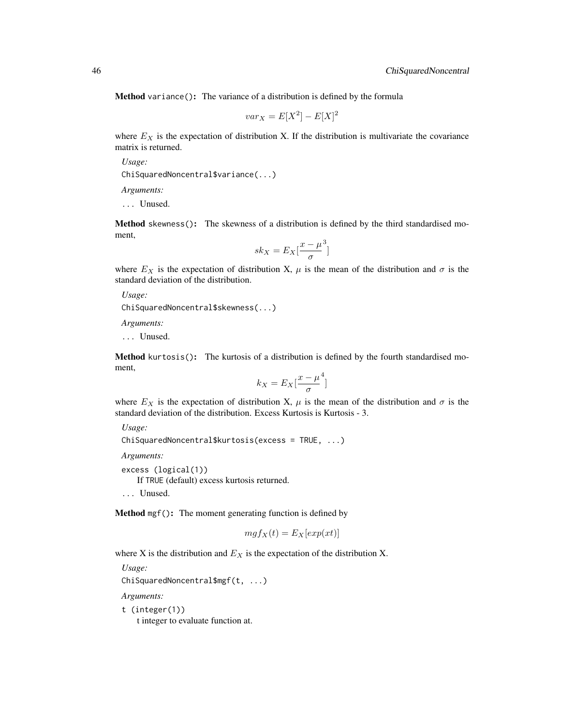Method variance(): The variance of a distribution is defined by the formula

$$
var_X = E[X^2] - E[X]^2
$$

where  $E<sub>X</sub>$  is the expectation of distribution X. If the distribution is multivariate the covariance matrix is returned.

*Usage:* ChiSquaredNoncentral\$variance(...)

*Arguments:*

... Unused.

Method skewness(): The skewness of a distribution is defined by the third standardised moment,

$$
sk_X = E_X \left[ \frac{x - \mu^3}{\sigma} \right]
$$

where  $E_X$  is the expectation of distribution X,  $\mu$  is the mean of the distribution and  $\sigma$  is the standard deviation of the distribution.

*Usage:*

```
ChiSquaredNoncentral$skewness(...)
```
*Arguments:*

... Unused.

Method kurtosis(): The kurtosis of a distribution is defined by the fourth standardised moment,

$$
k_X = E_X \left[ \frac{x - \mu^4}{\sigma} \right]
$$

where  $E_X$  is the expectation of distribution X,  $\mu$  is the mean of the distribution and  $\sigma$  is the standard deviation of the distribution. Excess Kurtosis is Kurtosis - 3.

*Usage:*

ChiSquaredNoncentral\$kurtosis(excess = TRUE, ...)

*Arguments:*

excess (logical(1))

If TRUE (default) excess kurtosis returned.

... Unused.

Method mgf(): The moment generating function is defined by

$$
mgf_X(t) = E_X[exp(xt)]
$$

where X is the distribution and  $E<sub>X</sub>$  is the expectation of the distribution X.

*Usage:*

ChiSquaredNoncentral\$mgf(t, ...)

*Arguments:*

t (integer(1))

t integer to evaluate function at.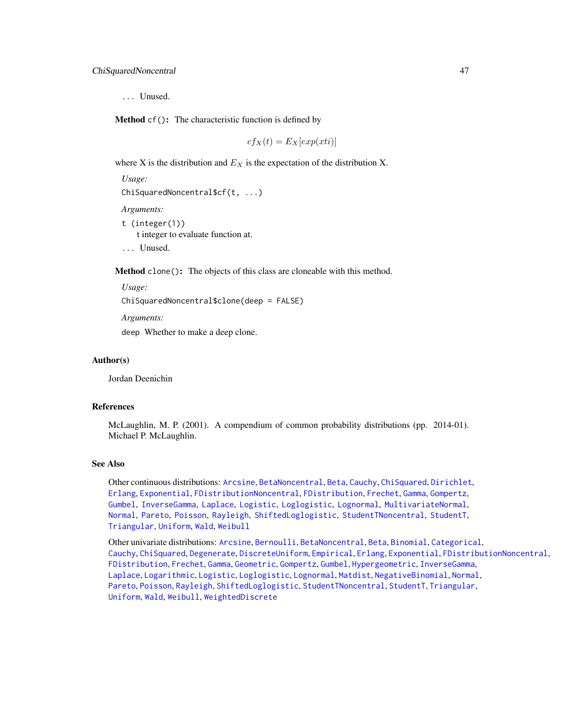... Unused.

Method cf(): The characteristic function is defined by

 $cf_X(t) = E_X[exp(xti)]$ 

where X is the distribution and  $E<sub>X</sub>$  is the expectation of the distribution X.

*Usage:*

```
ChiSquaredNoncentral$cf(t, ...)
```
*Arguments:*

- t (integer(1)) t integer to evaluate function at.
- ... Unused.

Method clone(): The objects of this class are cloneable with this method.

*Usage:*

```
ChiSquaredNoncentral$clone(deep = FALSE)
```
*Arguments:*

deep Whether to make a deep clone.

#### Author(s)

Jordan Deenichin

#### References

McLaughlin, M. P. (2001). A compendium of common probability distributions (pp. 2014-01). Michael P. McLaughlin.

#### See Also

Other continuous distributions: [Arcsine](#page-6-0), [BetaNoncentral](#page-21-0), [Beta](#page-17-0), [Cauchy](#page-34-0), [ChiSquared](#page-38-0), [Dirichlet](#page-59-0), [Erlang](#page-92-0), [Exponential](#page-102-0), [FDistributionNoncentral](#page-110-0), [FDistribution](#page-106-0), [Frechet](#page-113-0), [Gamma](#page-119-0), [Gompertz](#page-129-0), [Gumbel](#page-132-0), [InverseGamma](#page-143-0), [Laplace](#page-149-0), [Logistic](#page-162-0), [Loglogistic](#page-168-0), [Lognormal](#page-172-0), [MultivariateNormal](#page-195-0), [Normal](#page-204-0), [Pareto](#page-211-0), [Poisson](#page-218-0), [Rayleigh](#page-231-0), [ShiftedLoglogistic](#page-236-0), [StudentTNoncentral](#page-249-0), [StudentT](#page-245-0), [Triangular](#page-266-0), [Uniform](#page-279-0), [Wald](#page-294-0), [Weibull](#page-298-0)

Other univariate distributions: [Arcsine](#page-6-0), [Bernoulli](#page-12-0), [BetaNoncentral](#page-21-0), [Beta](#page-17-0), [Binomial](#page-23-0), [Categorical](#page-29-0), [Cauchy](#page-34-0), [ChiSquared](#page-38-0), [Degenerate](#page-55-0), [DiscreteUniform](#page-62-0), [Empirical](#page-82-0), [Erlang](#page-92-0), [Exponential](#page-102-0), [FDistributionNoncentral](#page-110-0), [FDistribution](#page-106-0), [Frechet](#page-113-0), [Gamma](#page-119-0), [Geometric](#page-125-0), [Gompertz](#page-129-0), [Gumbel](#page-132-0), [Hypergeometric](#page-139-0), [InverseGamma](#page-143-0), [Laplace](#page-149-0), [Logarithmic](#page-158-0), [Logistic](#page-162-0), [Loglogistic](#page-168-0), [Lognormal](#page-172-0), [Matdist](#page-178-0), [NegativeBinomial](#page-200-0), [Normal](#page-204-0), [Pareto](#page-211-0), [Poisson](#page-218-0), [Rayleigh](#page-231-0), [ShiftedLoglogistic](#page-236-0), [StudentTNoncentral](#page-249-0), [StudentT](#page-245-0), [Triangular](#page-266-0), [Uniform](#page-279-0), [Wald](#page-294-0), [Weibull](#page-298-0), [WeightedDiscrete](#page-302-0)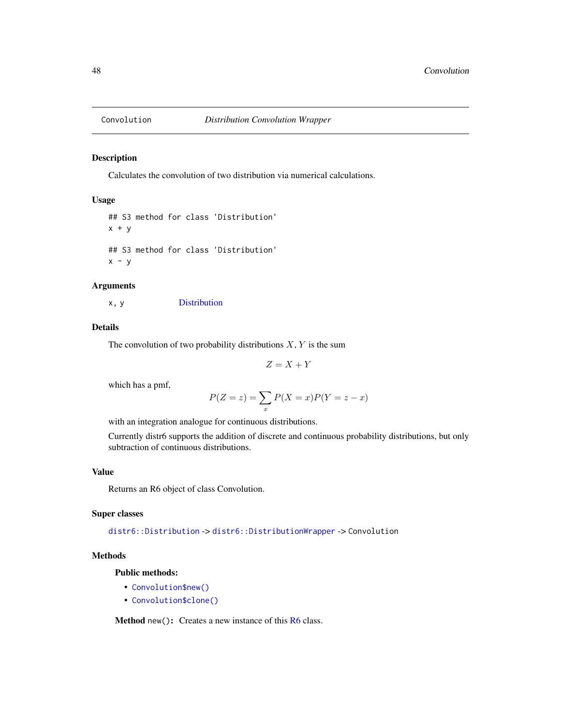## Description

Calculates the convolution of two distribution via numerical calculations.

## Usage

```
## S3 method for class 'Distribution'
x + y## S3 method for class 'Distribution'
x - y
```
## Arguments

x, y [Distribution](#page-67-0)

# Details

The convolution of two probability distributions  $X, Y$  is the sum

$$
Z = X + Y
$$

which has a pmf,

$$
P(Z = z) = \sum_{x} P(X = x)P(Y = z - x)
$$

with an integration analogue for continuous distributions.

Currently distr6 supports the addition of discrete and continuous probability distributions, but only subtraction of continuous distributions.

# Value

Returns an R6 object of class Convolution.

## Super classes

[distr6::Distribution](#page-0-0) -> [distr6::DistributionWrapper](#page-0-0) -> Convolution

## Methods

# Public methods:

- [Convolution\\$new\(\)](#page-7-0)
- [Convolution\\$clone\(\)](#page-9-2)

Method new(): Creates a new instance of this [R6](#page-0-0) class.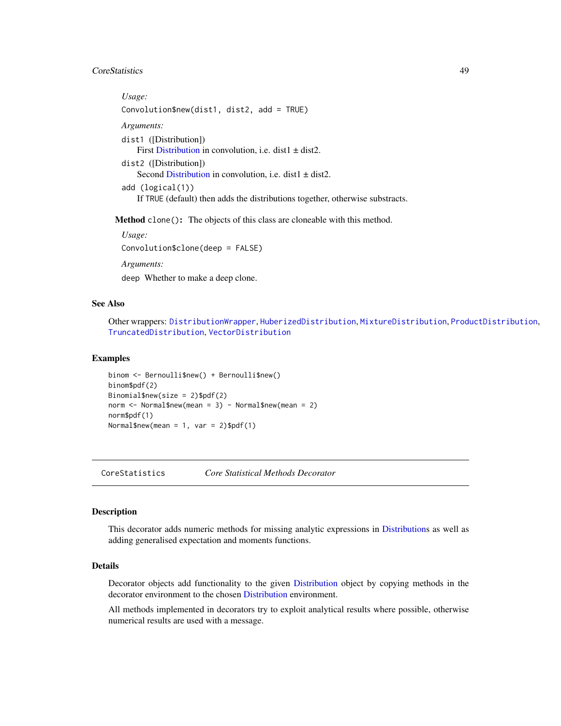# CoreStatistics 49

*Usage:* Convolution\$new(dist1, dist2, add = TRUE) *Arguments:* dist1 ([Distribution]) First [Distribution](#page-67-0) in convolution, i.e. dist1  $\pm$  dist2. dist2 ([Distribution]) Second [Distribution](#page-67-0) in convolution, i.e. dist $1 \pm dist2$ . add (logical(1)) If TRUE (default) then adds the distributions together, otherwise substracts.

Method clone(): The objects of this class are cloneable with this method.

*Usage:* Convolution\$clone(deep = FALSE) *Arguments:*

deep Whether to make a deep clone.

# See Also

Other wrappers: [DistributionWrapper](#page-78-0), [HuberizedDistribution](#page-137-0), [MixtureDistribution](#page-184-0), [ProductDistribution](#page-222-0), [TruncatedDistribution](#page-277-0), [VectorDistribution](#page-285-0)

#### Examples

```
binom <- Bernoulli$new() + Bernoulli$new()
binom$pdf(2)
Binomial$new(size = 2)$pdf(2)
norm < - Normal$new(mean = 3) - Normal$new(mean = 2)norm$pdf(1)
Normal$new(mean = 1, var = 2)$pdf(1)
```
CoreStatistics *Core Statistical Methods Decorator*

#### Description

This decorator adds numeric methods for missing analytic expressions in [Distributions](#page-67-0) as well as adding generalised expectation and moments functions.

#### Details

Decorator objects add functionality to the given [Distribution](#page-67-0) object by copying methods in the decorator environment to the chosen [Distribution](#page-67-0) environment.

All methods implemented in decorators try to exploit analytical results where possible, otherwise numerical results are used with a message.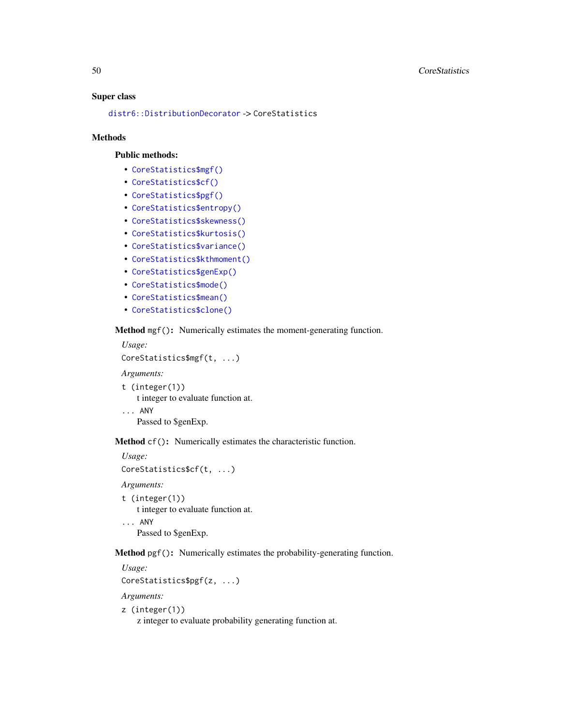#### Super class

[distr6::DistributionDecorator](#page-0-0) -> CoreStatistics

#### Methods

#### Public methods:

- [CoreStatistics\\$mgf\(\)](#page-15-0)
- [CoreStatistics\\$cf\(\)](#page-15-1)
- [CoreStatistics\\$pgf\(\)](#page-9-1)
- [CoreStatistics\\$entropy\(\)](#page-9-0)
- [CoreStatistics\\$skewness\(\)](#page-8-2)
- [CoreStatistics\\$kurtosis\(\)](#page-8-3)
- [CoreStatistics\\$variance\(\)](#page-8-1)
- [CoreStatistics\\$kthmoment\(\)](#page-50-0)
- [CoreStatistics\\$genExp\(\)](#page-51-0)
- [CoreStatistics\\$mode\(\)](#page-8-0)
- [CoreStatistics\\$mean\(\)](#page-7-1)
- [CoreStatistics\\$clone\(\)](#page-9-2)

#### Method mgf(): Numerically estimates the moment-generating function.

*Usage:* CoreStatistics\$mgf(t, ...)

*Arguments:*

```
t (integer(1))
   t integer to evaluate function at.
```
... ANY Passed to \$genExp.

Method cf(): Numerically estimates the characteristic function.

```
Usage:
CoreStatistics$cf(t, ...)
Arguments:
```
t (integer(1)) t integer to evaluate function at. ... ANY Passed to \$genExp.

Method pgf(): Numerically estimates the probability-generating function.

*Usage:*

```
CoreStatistics$pgf(z, ...)
```
*Arguments:*

# z (integer(1))

z integer to evaluate probability generating function at.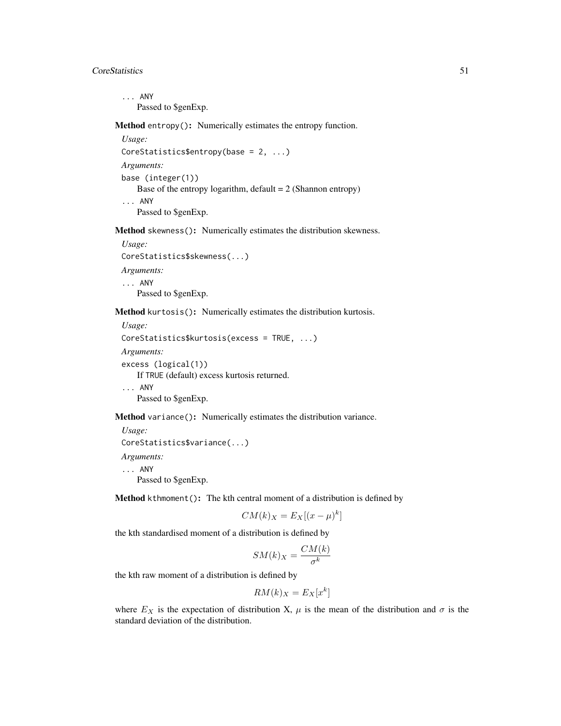# CoreStatistics 51

... ANY Passed to \$genExp.

Method entropy(): Numerically estimates the entropy function.

*Usage:* CoreStatistics\$entropy(base = 2, ...) *Arguments:* base (integer(1)) Base of the entropy logarithm, default  $= 2$  (Shannon entropy) ... ANY Passed to \$genExp.

Method skewness(): Numerically estimates the distribution skewness.

*Usage:* CoreStatistics\$skewness(...) *Arguments:* ... ANY Passed to \$genExp.

Method kurtosis(): Numerically estimates the distribution kurtosis.

```
Usage:
CoreStatistics$kurtosis(excess = TRUE, ...)
Arguments:
excess (logical(1))
   If TRUE (default) excess kurtosis returned.
... ANY
   Passed to $genExp.
```
Method variance(): Numerically estimates the distribution variance.

```
Usage:
CoreStatistics$variance(...)
Arguments:
... ANY
```
Passed to \$genExp.

<span id="page-50-0"></span>Method kthmoment(): The kth central moment of a distribution is defined by

$$
CM(k)_X = E_X[(x - \mu)^k]
$$

the kth standardised moment of a distribution is defined by

$$
SM(k)_X = \frac{CM(k)}{\sigma^k}
$$

the kth raw moment of a distribution is defined by

$$
RM(k)_X = E_X[x^k]
$$

where  $E_X$  is the expectation of distribution X,  $\mu$  is the mean of the distribution and  $\sigma$  is the standard deviation of the distribution.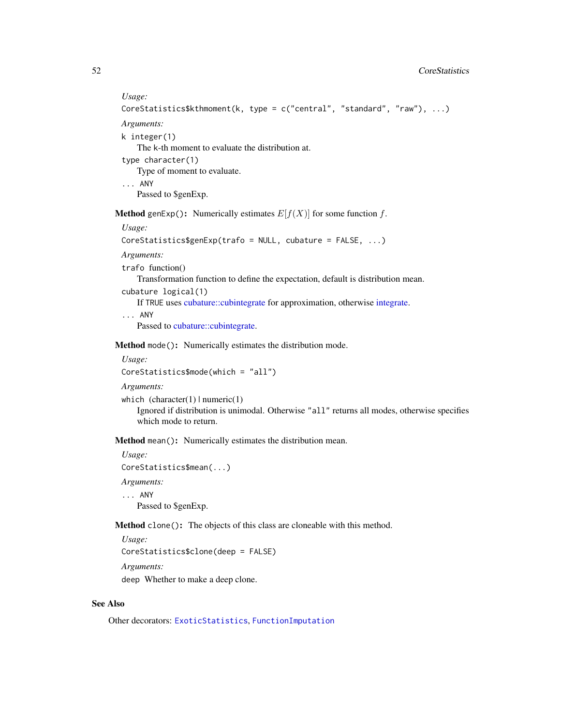#### *Usage:*

CoreStatistics\$kthmoment(k, type = c("central", "standard", "raw"), ...)

*Arguments:*

k integer(1)

The k-th moment to evaluate the distribution at.

type character(1)

Type of moment to evaluate.

... ANY

Passed to \$genExp.

<span id="page-51-0"></span>**Method** genExp(): Numerically estimates  $E[f(X)]$  for some function f.

*Usage:*

CoreStatistics\$genExp(trafo = NULL, cubature = FALSE, ...)

*Arguments:*

trafo function()

Transformation function to define the expectation, default is distribution mean.

cubature logical(1)

If TRUE uses [cubature::cubintegrate](#page-0-0) for approximation, otherwise [integrate.](#page-0-0)

... ANY

Passed to [cubature::cubintegrate.](#page-0-0)

Method mode(): Numerically estimates the distribution mode.

## *Usage:*

CoreStatistics\$mode(which = "all")

*Arguments:*

which  $(character(1) | numeric(1))$ 

Ignored if distribution is unimodal. Otherwise "all" returns all modes, otherwise specifies which mode to return.

Method mean(): Numerically estimates the distribution mean.

*Usage:* CoreStatistics\$mean(...) *Arguments:*

... ANY

Passed to \$genExp.

Method clone(): The objects of this class are cloneable with this method.

*Usage:*

CoreStatistics\$clone(deep = FALSE)

*Arguments:*

deep Whether to make a deep clone.

## See Also

Other decorators: [ExoticStatistics](#page-97-0), [FunctionImputation](#page-117-0)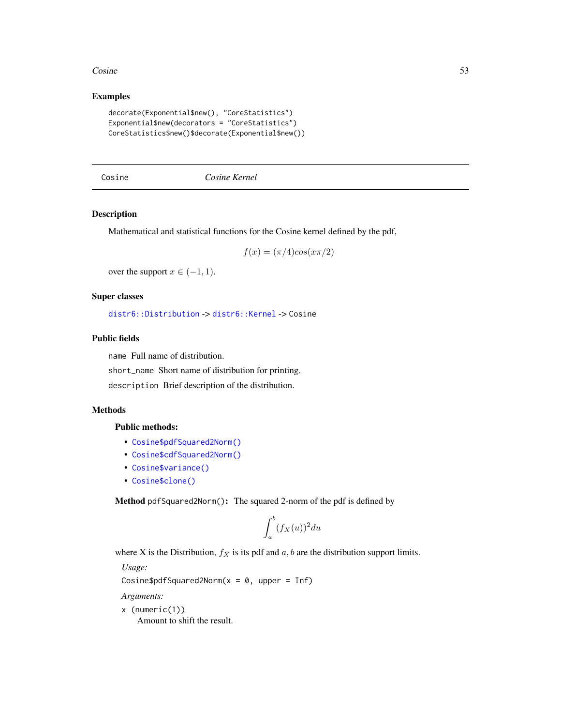#### $\cos$ ine 53

## Examples

```
decorate(Exponential$new(), "CoreStatistics")
Exponential$new(decorators = "CoreStatistics")
CoreStatistics$new()$decorate(Exponential$new())
```
Cosine *Cosine Kernel*

## Description

Mathematical and statistical functions for the Cosine kernel defined by the pdf,

$$
f(x) = (\pi/4)\cos(x\pi/2)
$$

over the support  $x \in (-1, 1)$ .

# Super classes

[distr6::Distribution](#page-0-0) -> [distr6::Kernel](#page-0-0) -> Cosine

#### Public fields

name Full name of distribution.

short\_name Short name of distribution for printing.

description Brief description of the distribution.

# Methods

## Public methods:

- [Cosine\\$pdfSquared2Norm\(\)](#page-52-0)
- [Cosine\\$cdfSquared2Norm\(\)](#page-53-0)
- [Cosine\\$variance\(\)](#page-8-1)
- [Cosine\\$clone\(\)](#page-9-2)

<span id="page-52-0"></span>Method pdfSquared2Norm(): The squared 2-norm of the pdf is defined by

$$
\int_a^b (f_X(u))^2 du
$$

where X is the Distribution,  $f_X$  is its pdf and  $a, b$  are the distribution support limits.

*Usage:*

```
Cosine$pdfSquared2Norm(x = 0, upper = Inf)
```
*Arguments:*

```
x (numeric(1))
```
Amount to shift the result.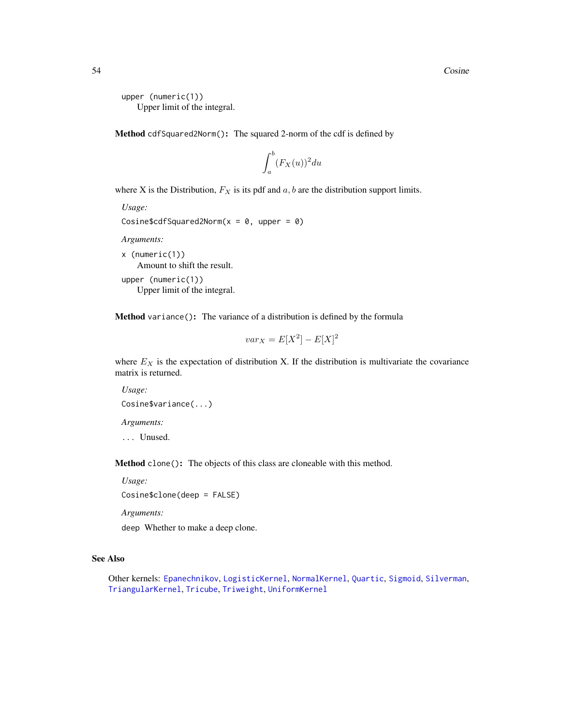```
upper (numeric(1))
   Upper limit of the integral.
```
<span id="page-53-0"></span>Method cdfSquared2Norm(): The squared 2-norm of the cdf is defined by

$$
\int_a^b (F_X(u))^2 du
$$

where X is the Distribution,  $F_X$  is its pdf and  $a, b$  are the distribution support limits.

```
Usage:
Cosine$cdfSquared2Norm(x = 0, upper = 0)
```
*Arguments:*

x (numeric(1)) Amount to shift the result. upper (numeric(1)) Upper limit of the integral.

Method variance(): The variance of a distribution is defined by the formula

$$
var_X = E[X^2] - E[X]^2
$$

where  $E_X$  is the expectation of distribution X. If the distribution is multivariate the covariance matrix is returned.

```
Usage:
Cosine$variance(...)
Arguments:
```
... Unused.

Method clone(): The objects of this class are cloneable with this method.

*Usage:*

Cosine\$clone(deep = FALSE)

*Arguments:*

deep Whether to make a deep clone.

## See Also

Other kernels: [Epanechnikov](#page-90-0), [LogisticKernel](#page-166-0), [NormalKernel](#page-209-0), [Quartic](#page-229-0), [Sigmoid](#page-240-0), [Silverman](#page-242-0), [TriangularKernel](#page-272-0), [Tricube](#page-273-0), [Triweight](#page-275-0), [UniformKernel](#page-284-0)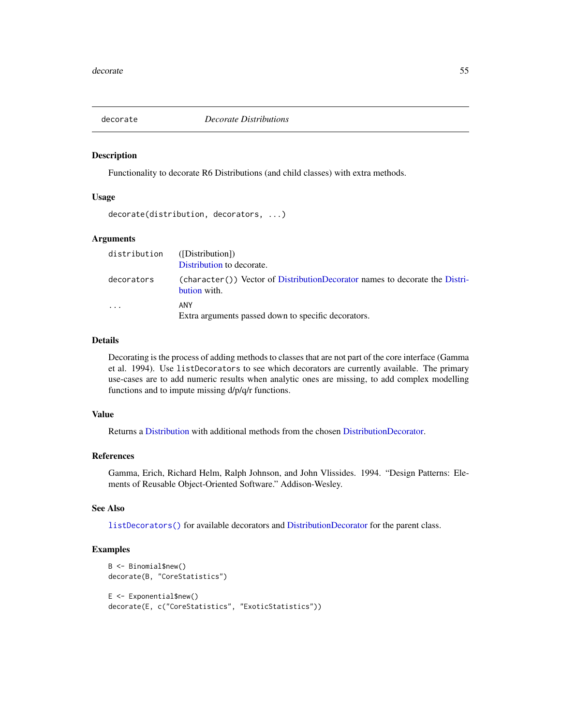# Description

Functionality to decorate R6 Distributions (and child classes) with extra methods.

#### Usage

```
decorate(distribution, decorators, ...)
```
## Arguments

| distribution | ([Distribution])<br>Distribution to decorate.                                                  |
|--------------|------------------------------------------------------------------------------------------------|
| decorators   | $(character()$ ) Vector of DistributionDecorator names to decorate the Distri-<br>bution with. |
| $\cdots$     | ANY<br>Extra arguments passed down to specific decorators.                                     |

# Details

Decorating is the process of adding methods to classes that are not part of the core interface (Gamma et al. 1994). Use listDecorators to see which decorators are currently available. The primary use-cases are to add numeric results when analytic ones are missing, to add complex modelling functions and to impute missing d/p/q/r functions.

# Value

Returns a [Distribution](#page-67-0) with additional methods from the chosen [DistributionDecorator.](#page-77-0)

## References

Gamma, Erich, Richard Helm, Ralph Johnson, and John Vlissides. 1994. "Design Patterns: Elements of Reusable Object-Oriented Software." Addison-Wesley.

# See Also

[listDecorators\(\)](#page-155-0) for available decorators and [DistributionDecorator](#page-77-0) for the parent class.

# Examples

```
B <- Binomial$new()
decorate(B, "CoreStatistics")
E <- Exponential$new()
decorate(E, c("CoreStatistics", "ExoticStatistics"))
```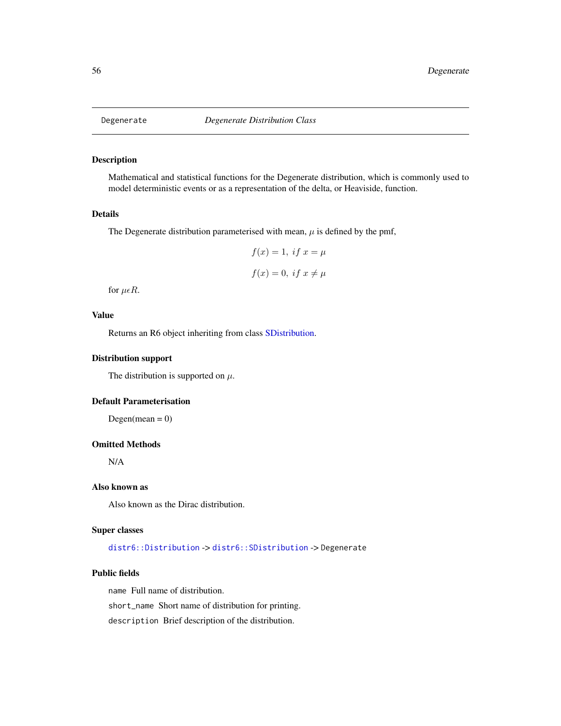<span id="page-55-0"></span>

## Description

Mathematical and statistical functions for the Degenerate distribution, which is commonly used to model deterministic events or as a representation of the delta, or Heaviside, function.

## Details

The Degenerate distribution parameterised with mean,  $\mu$  is defined by the pmf,

$$
f(x) = 1, \text{ if } x = \mu
$$

$$
f(x) = 0, \text{ if } x \neq \mu
$$

for  $\mu \epsilon R$ .

# Value

Returns an R6 object inheriting from class [SDistribution.](#page-235-0)

## Distribution support

The distribution is supported on  $\mu$ .

#### Default Parameterisation

 $Degen(mean = 0)$ 

#### Omitted Methods

N/A

## Also known as

Also known as the Dirac distribution.

# Super classes

[distr6::Distribution](#page-0-0) -> [distr6::SDistribution](#page-0-0) -> Degenerate

#### Public fields

name Full name of distribution.

short\_name Short name of distribution for printing.

description Brief description of the distribution.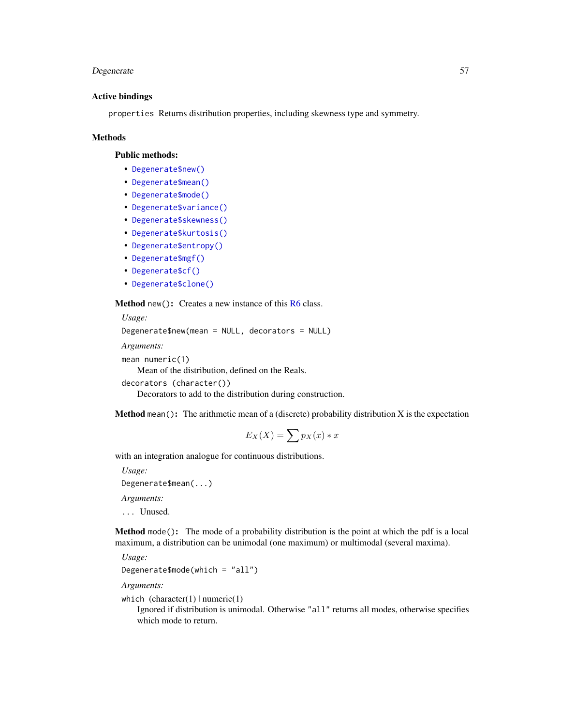# Degenerate 57

#### Active bindings

properties Returns distribution properties, including skewness type and symmetry.

#### Methods

#### Public methods:

- [Degenerate\\$new\(\)](#page-7-0)
- [Degenerate\\$mean\(\)](#page-7-1)
- [Degenerate\\$mode\(\)](#page-8-0)
- [Degenerate\\$variance\(\)](#page-8-1)
- [Degenerate\\$skewness\(\)](#page-8-2)
- [Degenerate\\$kurtosis\(\)](#page-8-3)
- [Degenerate\\$entropy\(\)](#page-9-0)
- [Degenerate\\$mgf\(\)](#page-15-0)
- [Degenerate\\$cf\(\)](#page-15-1)
- [Degenerate\\$clone\(\)](#page-9-2)

**Method** new(): Creates a new instance of this  $R6$  class.

```
Usage:
Degenerate$new(mean = NULL, decorators = NULL)
Arguments:
mean numeric(1)
   Mean of the distribution, defined on the Reals.
```

```
decorators (character())
```
Decorators to add to the distribution during construction.

**Method** mean(): The arithmetic mean of a (discrete) probability distribution  $X$  is the expectation

$$
E_X(X) = \sum p_X(x) * x
$$

with an integration analogue for continuous distributions.

*Usage:*

Degenerate\$mean(...)

*Arguments:*

... Unused.

Method mode(): The mode of a probability distribution is the point at which the pdf is a local maximum, a distribution can be unimodal (one maximum) or multimodal (several maxima).

*Usage:*

```
Degenerate$mode(which = "all")
```
*Arguments:*

which  $(character(1) | numeric(1))$ 

Ignored if distribution is unimodal. Otherwise "all" returns all modes, otherwise specifies which mode to return.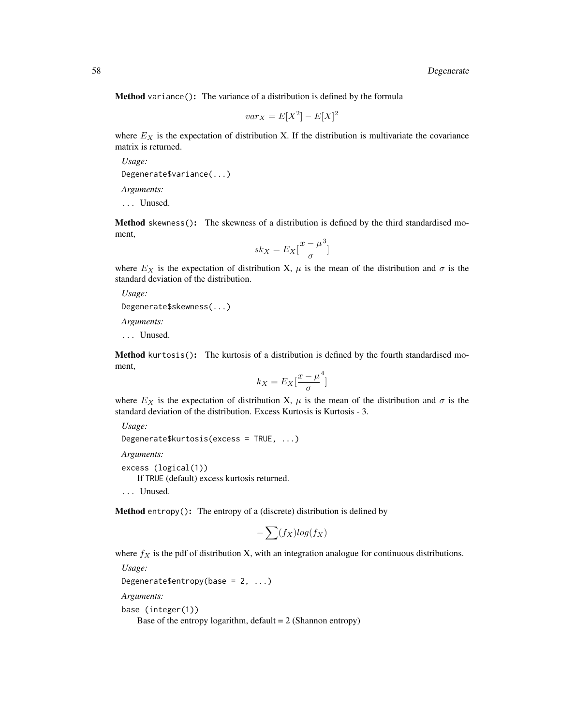Method variance(): The variance of a distribution is defined by the formula

$$
var_X = E[X^2] - E[X]^2
$$

where  $E_X$  is the expectation of distribution X. If the distribution is multivariate the covariance matrix is returned.

*Usage:* Degenerate\$variance(...) *Arguments:*

... Unused.

Method skewness(): The skewness of a distribution is defined by the third standardised moment,

$$
sk_X = E_X \left[ \frac{x - \mu^3}{\sigma} \right]
$$

where  $E_X$  is the expectation of distribution X,  $\mu$  is the mean of the distribution and  $\sigma$  is the standard deviation of the distribution.

*Usage:*

```
Degenerate$skewness(...)
```
*Arguments:*

... Unused.

Method kurtosis(): The kurtosis of a distribution is defined by the fourth standardised moment,

$$
k_X = E_X \left[ \frac{x - \mu^4}{\sigma} \right]
$$

where  $E_X$  is the expectation of distribution X,  $\mu$  is the mean of the distribution and  $\sigma$  is the standard deviation of the distribution. Excess Kurtosis is Kurtosis - 3.

*Usage:*

Degenerate\$kurtosis(excess = TRUE, ...)

*Arguments:*

excess (logical(1))

If TRUE (default) excess kurtosis returned.

... Unused.

Method entropy(): The entropy of a (discrete) distribution is defined by

$$
-\sum(f_X)log(f_X)
$$

where  $f_X$  is the pdf of distribution X, with an integration analogue for continuous distributions.

*Usage:*

```
Degenerate$entropy(base = 2, ...)
```
*Arguments:*

base (integer(1))

Base of the entropy logarithm, default  $= 2$  (Shannon entropy)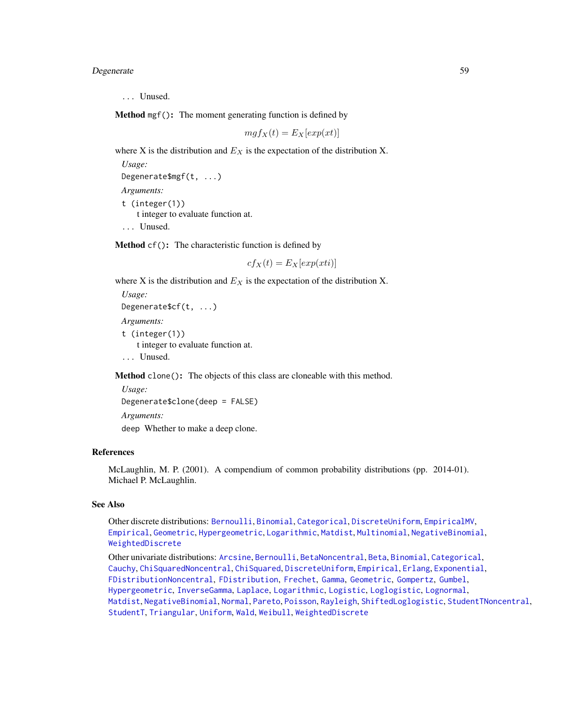Degenerate 59

... Unused.

Method mgf(): The moment generating function is defined by

$$
mgf_X(t) = E_X[exp(xt)]
$$

where X is the distribution and  $E<sub>X</sub>$  is the expectation of the distribution X.

*Usage:*

Degenerate\$mgf(t, ...)

*Arguments:* t (integer(1)) t integer to evaluate function at.

... Unused.

Method cf(): The characteristic function is defined by

 $cf_X(t) = E_X[exp(xti)]$ 

where X is the distribution and  $E<sub>X</sub>$  is the expectation of the distribution X.

*Usage:* Degenerate\$cf(t, ...) *Arguments:* t (integer(1)) t integer to evaluate function at. ... Unused.

Method clone(): The objects of this class are cloneable with this method.

*Usage:* Degenerate\$clone(deep = FALSE) *Arguments:* deep Whether to make a deep clone.

## References

McLaughlin, M. P. (2001). A compendium of common probability distributions (pp. 2014-01). Michael P. McLaughlin.

# See Also

Other discrete distributions: [Bernoulli](#page-12-0), [Binomial](#page-23-0), [Categorical](#page-29-0), [DiscreteUniform](#page-62-0), [EmpiricalMV](#page-87-0), [Empirical](#page-82-0), [Geometric](#page-125-0), [Hypergeometric](#page-139-0), [Logarithmic](#page-158-0), [Matdist](#page-178-0), [Multinomial](#page-190-0), [NegativeBinomial](#page-200-0), [WeightedDiscrete](#page-302-0)

Other univariate distributions: [Arcsine](#page-6-0), [Bernoulli](#page-12-0), [BetaNoncentral](#page-21-0), [Beta](#page-17-0), [Binomial](#page-23-0), [Categorical](#page-29-0), [Cauchy](#page-34-0), [ChiSquaredNoncentral](#page-43-0), [ChiSquared](#page-38-0), [DiscreteUniform](#page-62-0), [Empirical](#page-82-0), [Erlang](#page-92-0), [Exponential](#page-102-0), [FDistributionNoncentral](#page-110-0), [FDistribution](#page-106-0), [Frechet](#page-113-0), [Gamma](#page-119-0), [Geometric](#page-125-0), [Gompertz](#page-129-0), [Gumbel](#page-132-0), [Hypergeometric](#page-139-0), [InverseGamma](#page-143-0), [Laplace](#page-149-0), [Logarithmic](#page-158-0), [Logistic](#page-162-0), [Loglogistic](#page-168-0), [Lognormal](#page-172-0), [Matdist](#page-178-0), [NegativeBinomial](#page-200-0), [Normal](#page-204-0), [Pareto](#page-211-0), [Poisson](#page-218-0), [Rayleigh](#page-231-0), [ShiftedLoglogistic](#page-236-0), [StudentTNoncentral](#page-249-0), [StudentT](#page-245-0), [Triangular](#page-266-0), [Uniform](#page-279-0), [Wald](#page-294-0), [Weibull](#page-298-0), [WeightedDiscrete](#page-302-0)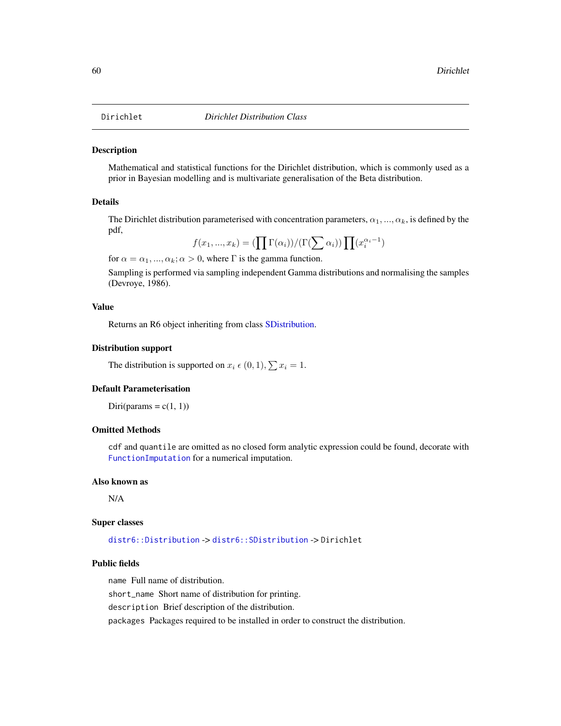<span id="page-59-0"></span>

## **Description**

Mathematical and statistical functions for the Dirichlet distribution, which is commonly used as a prior in Bayesian modelling and is multivariate generalisation of the Beta distribution.

# Details

The Dirichlet distribution parameterised with concentration parameters,  $\alpha_1, ..., \alpha_k$ , is defined by the pdf,

$$
f(x_1, ..., x_k) = \left(\prod \Gamma(\alpha_i)\right) / \left(\Gamma(\sum \alpha_i)\right) \prod (x_i^{\alpha_i - 1})
$$

for  $\alpha = \alpha_1, ..., \alpha_k; \alpha > 0$ , where  $\Gamma$  is the gamma function.

Sampling is performed via sampling independent Gamma distributions and normalising the samples (Devroye, 1986).

#### Value

Returns an R6 object inheriting from class [SDistribution.](#page-235-0)

#### Distribution support

The distribution is supported on  $x_i \in (0, 1), \sum x_i = 1$ .

#### Default Parameterisation

Diri(params =  $c(1, 1)$ )

## Omitted Methods

cdf and quantile are omitted as no closed form analytic expression could be found, decorate with [FunctionImputation](#page-117-0) for a numerical imputation.

#### Also known as

N/A

#### Super classes

[distr6::Distribution](#page-0-0) -> [distr6::SDistribution](#page-0-0) -> Dirichlet

#### Public fields

name Full name of distribution.

short\_name Short name of distribution for printing.

description Brief description of the distribution.

packages Packages required to be installed in order to construct the distribution.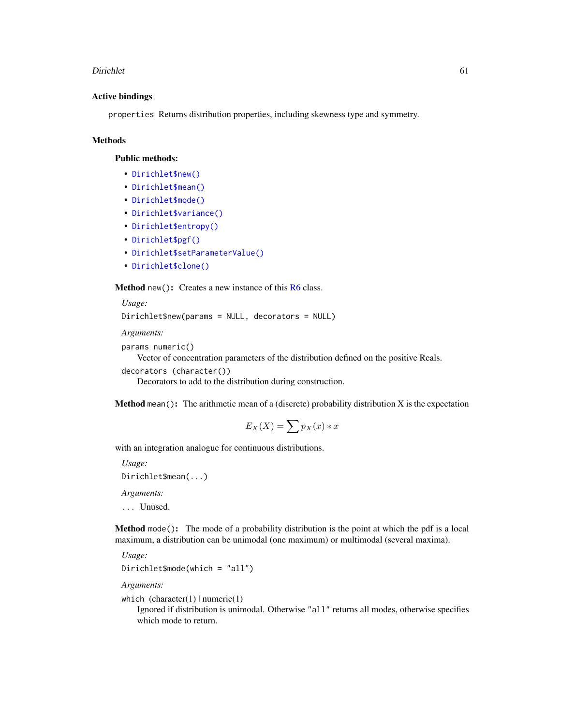#### Dirichlet 61

## Active bindings

properties Returns distribution properties, including skewness type and symmetry.

# Methods

## Public methods:

- [Dirichlet\\$new\(\)](#page-7-0)
- [Dirichlet\\$mean\(\)](#page-7-1)
- [Dirichlet\\$mode\(\)](#page-8-0)
- [Dirichlet\\$variance\(\)](#page-8-1)
- [Dirichlet\\$entropy\(\)](#page-9-0)
- [Dirichlet\\$pgf\(\)](#page-9-1)
- [Dirichlet\\$setParameterValue\(\)](#page-61-0)
- [Dirichlet\\$clone\(\)](#page-9-2)

Method new(): Creates a new instance of this [R6](#page-0-0) class.

```
Usage:
Dirichlet$new(params = NULL, decorators = NULL)
Arguments:
```

```
params numeric()
```
Vector of concentration parameters of the distribution defined on the positive Reals.

```
decorators (character())
```
Decorators to add to the distribution during construction.

**Method** mean(): The arithmetic mean of a (discrete) probability distribution  $X$  is the expectation

$$
E_X(X) = \sum p_X(x) * x
$$

with an integration analogue for continuous distributions.

*Usage:*

```
Dirichlet$mean(...)
```
*Arguments:*

... Unused.

Method mode(): The mode of a probability distribution is the point at which the pdf is a local maximum, a distribution can be unimodal (one maximum) or multimodal (several maxima).

*Usage:*

```
Dirichlet$mode(which = "all")
```
*Arguments:*

which  $(character(1) | numeric(1))$ 

Ignored if distribution is unimodal. Otherwise "all" returns all modes, otherwise specifies which mode to return.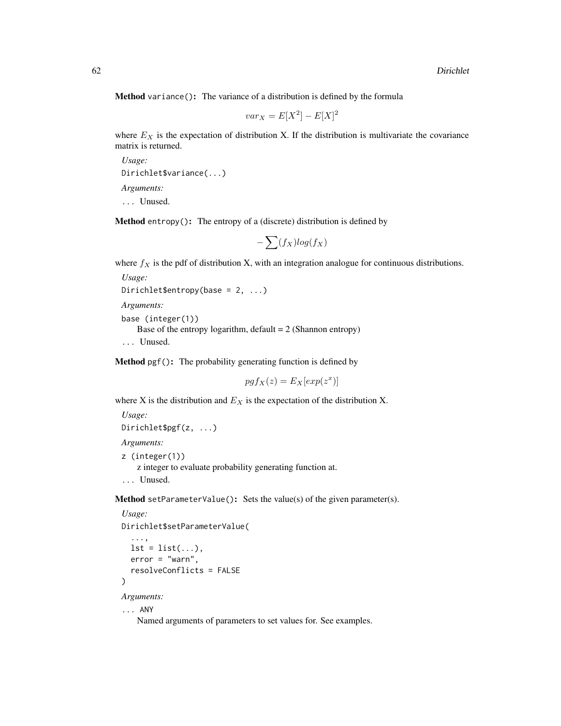Method variance(): The variance of a distribution is defined by the formula

$$
var_X = E[X^2] - E[X]^2
$$

where  $E_X$  is the expectation of distribution X. If the distribution is multivariate the covariance matrix is returned.

*Usage:* Dirichlet\$variance(...) *Arguments:* ... Unused.

Method entropy(): The entropy of a (discrete) distribution is defined by

$$
-\sum(f_X)log(f_X)
$$

where  $f_X$  is the pdf of distribution X, with an integration analogue for continuous distributions.

```
Usage:
Dirichlet$entropy(base = 2, ...)
```
*Arguments:*

base (integer(1)) Base of the entropy logarithm, default  $= 2$  (Shannon entropy) ... Unused.

Method pgf(): The probability generating function is defined by

$$
pgf_X(z) = E_X[exp(z^x)]
$$

where X is the distribution and  $E<sub>X</sub>$  is the expectation of the distribution X.

```
Usage:
Dirichlet$pgf(z, ...)
Arguments:
z (integer(1))
    z integer to evaluate probability generating function at.
```
... Unused.

<span id="page-61-0"></span>Method setParameterValue(): Sets the value(s) of the given parameter(s).

```
Usage:
Dirichlet$setParameterValue(
  ...,
  lst = list(...),error = "warn",resolveConflicts = FALSE
)
Arguments:
... ANY
```
Named arguments of parameters to set values for. See examples.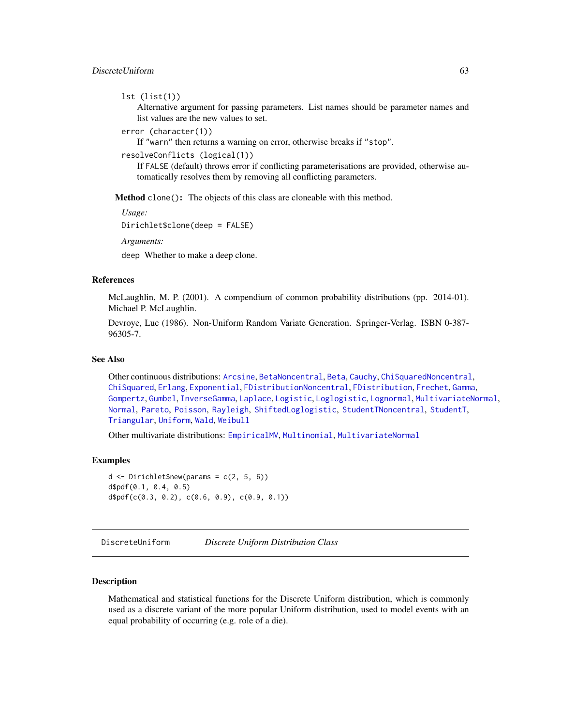# DiscreteUniform 63

```
lst (list(1))
```
Alternative argument for passing parameters. List names should be parameter names and list values are the new values to set.

```
error (character(1))
```
If "warn" then returns a warning on error, otherwise breaks if "stop".

```
resolveConflicts (logical(1))
```
If FALSE (default) throws error if conflicting parameterisations are provided, otherwise automatically resolves them by removing all conflicting parameters.

Method clone(): The objects of this class are cloneable with this method.

*Usage:*

Dirichlet\$clone(deep = FALSE)

*Arguments:*

deep Whether to make a deep clone.

## References

McLaughlin, M. P. (2001). A compendium of common probability distributions (pp. 2014-01). Michael P. McLaughlin.

Devroye, Luc (1986). Non-Uniform Random Variate Generation. Springer-Verlag. ISBN 0-387- 96305-7.

## See Also

Other continuous distributions: [Arcsine](#page-6-0), [BetaNoncentral](#page-21-0), [Beta](#page-17-0), [Cauchy](#page-34-0), [ChiSquaredNoncentral](#page-43-0), [ChiSquared](#page-38-0), [Erlang](#page-92-0), [Exponential](#page-102-0), [FDistributionNoncentral](#page-110-0), [FDistribution](#page-106-0), [Frechet](#page-113-0), [Gamma](#page-119-0), [Gompertz](#page-129-0), [Gumbel](#page-132-0), [InverseGamma](#page-143-0), [Laplace](#page-149-0), [Logistic](#page-162-0), [Loglogistic](#page-168-0), [Lognormal](#page-172-0), [MultivariateNormal](#page-195-0), [Normal](#page-204-0), [Pareto](#page-211-0), [Poisson](#page-218-0), [Rayleigh](#page-231-0), [ShiftedLoglogistic](#page-236-0), [StudentTNoncentral](#page-249-0), [StudentT](#page-245-0), [Triangular](#page-266-0), [Uniform](#page-279-0), [Wald](#page-294-0), [Weibull](#page-298-0)

Other multivariate distributions: [EmpiricalMV](#page-87-0), [Multinomial](#page-190-0), [MultivariateNormal](#page-195-0)

#### Examples

```
d \le - Dirichlet$new(params = c(2, 5, 6))
d$pdf(0.1, 0.4, 0.5)
d$pdf(c(0.3, 0.2), c(0.6, 0.9), c(0.9, 0.1))
```
<span id="page-62-0"></span>DiscreteUniform *Discrete Uniform Distribution Class*

# **Description**

Mathematical and statistical functions for the Discrete Uniform distribution, which is commonly used as a discrete variant of the more popular Uniform distribution, used to model events with an equal probability of occurring (e.g. role of a die).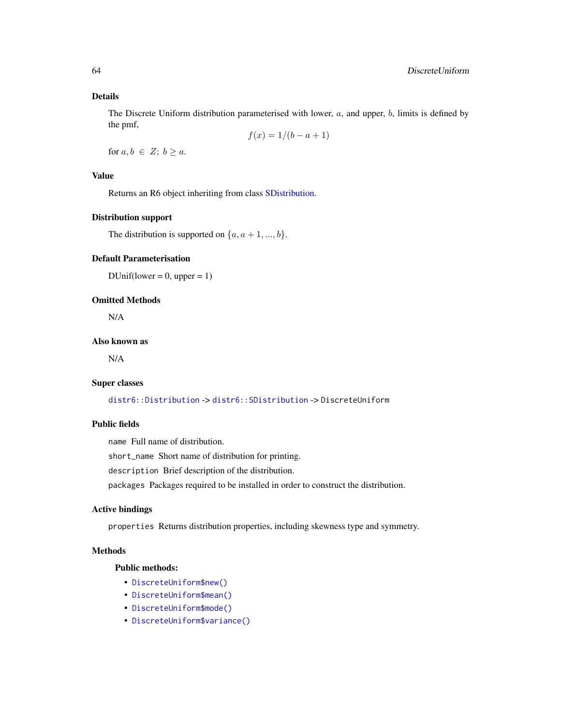## Details

The Discrete Uniform distribution parameterised with lower,  $a$ , and upper,  $b$ , limits is defined by the pmf,

$$
f(x) = 1/(b - a + 1)
$$

for  $a, b \in Z$ ;  $b \ge a$ .

# Value

Returns an R6 object inheriting from class [SDistribution.](#page-235-0)

#### Distribution support

The distribution is supported on  $\{a, a+1, ..., b\}$ .

#### Default Parameterisation

 $DUnif(lower = 0, upper = 1)$ 

## Omitted Methods

N/A

## Also known as

N/A

## Super classes

[distr6::Distribution](#page-0-0) -> [distr6::SDistribution](#page-0-0) -> DiscreteUniform

# Public fields

name Full name of distribution.

short\_name Short name of distribution for printing.

description Brief description of the distribution.

packages Packages required to be installed in order to construct the distribution.

# Active bindings

properties Returns distribution properties, including skewness type and symmetry.

# Methods

## Public methods:

- [DiscreteUniform\\$new\(\)](#page-7-0)
- [DiscreteUniform\\$mean\(\)](#page-7-1)
- [DiscreteUniform\\$mode\(\)](#page-8-0)
- [DiscreteUniform\\$variance\(\)](#page-8-1)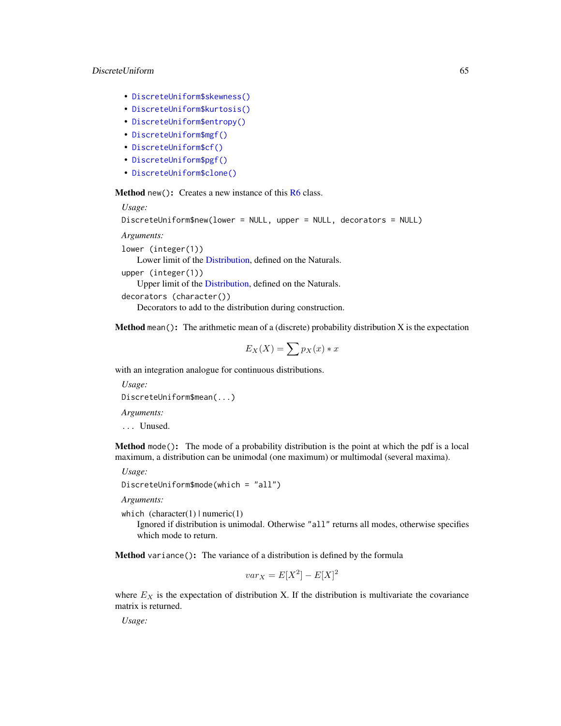## DiscreteUniform 65

- [DiscreteUniform\\$skewness\(\)](#page-8-2)
- [DiscreteUniform\\$kurtosis\(\)](#page-8-3)
- [DiscreteUniform\\$entropy\(\)](#page-9-0)
- [DiscreteUniform\\$mgf\(\)](#page-15-0)
- [DiscreteUniform\\$cf\(\)](#page-15-1)
- [DiscreteUniform\\$pgf\(\)](#page-9-1)
- [DiscreteUniform\\$clone\(\)](#page-9-2)

**Method** new(): Creates a new instance of this  $R6$  class.

```
Usage:
DiscreteUniform$new(lower = NULL, upper = NULL, decorators = NULL)
Arguments:
lower (integer(1))
   Lower limit of the Distribution, defined on the Naturals.
upper (integer(1))
   Upper limit of the Distribution, defined on the Naturals.
decorators (character())
```
Decorators to add to the distribution during construction.

**Method** mean(): The arithmetic mean of a (discrete) probability distribution  $X$  is the expectation

$$
E_X(X) = \sum p_X(x) * x
$$

with an integration analogue for continuous distributions.

```
Usage:
DiscreteUniform$mean(...)
Arguments:
```
... Unused.

Method mode(): The mode of a probability distribution is the point at which the pdf is a local maximum, a distribution can be unimodal (one maximum) or multimodal (several maxima).

*Usage:*

DiscreteUniform\$mode(which = "all")

*Arguments:*

which  $(character(1) | numeric(1))$ 

Ignored if distribution is unimodal. Otherwise "all" returns all modes, otherwise specifies which mode to return.

Method variance(): The variance of a distribution is defined by the formula

$$
var_X = E[X^2] - E[X]^2
$$

where  $E<sub>X</sub>$  is the expectation of distribution X. If the distribution is multivariate the covariance matrix is returned.

*Usage:*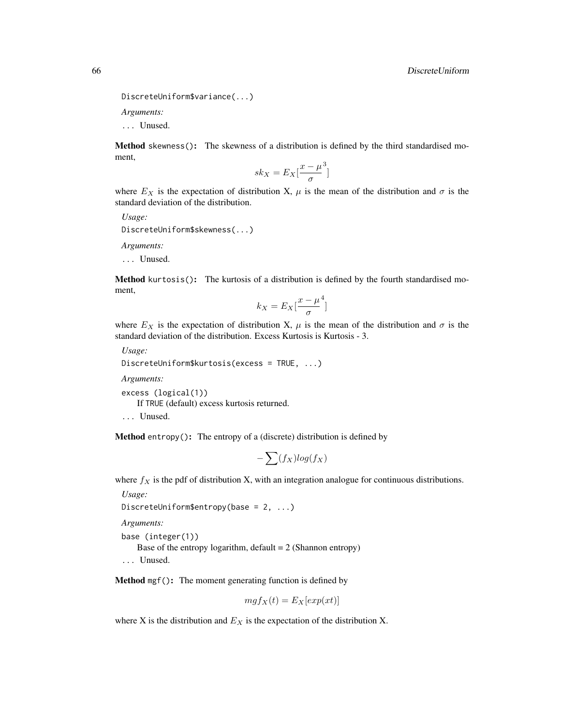```
DiscreteUniform$variance(...)
```
*Arguments:*

... Unused.

Method skewness(): The skewness of a distribution is defined by the third standardised moment,

$$
sk_X = E_X \left[ \frac{x - \mu^3}{\sigma} \right]
$$

where  $E_X$  is the expectation of distribution X,  $\mu$  is the mean of the distribution and  $\sigma$  is the standard deviation of the distribution.

*Usage:*

DiscreteUniform\$skewness(...)

*Arguments:*

... Unused.

Method kurtosis(): The kurtosis of a distribution is defined by the fourth standardised moment,

$$
k_X = E_X \left[ \frac{x - \mu^4}{\sigma} \right]
$$

where  $E_X$  is the expectation of distribution X,  $\mu$  is the mean of the distribution and  $\sigma$  is the standard deviation of the distribution. Excess Kurtosis is Kurtosis - 3.

*Usage:*

```
DiscreteUniform$kurtosis(excess = TRUE, ...)
```
*Arguments:*

excess (logical(1)) If TRUE (default) excess kurtosis returned.

... Unused.

**Method** entropy(): The entropy of a (discrete) distribution is defined by

$$
-\sum(f_X)log(f_X)
$$

where  $f_X$  is the pdf of distribution X, with an integration analogue for continuous distributions.

*Usage:*

```
DiscreteUniform$entropy(base = 2, ...)
```
*Arguments:*

base (integer(1))

Base of the entropy logarithm, default  $= 2$  (Shannon entropy)

... Unused.

Method mgf(): The moment generating function is defined by

$$
mgf_X(t) = E_X[exp(xt)]
$$

where X is the distribution and  $E<sub>X</sub>$  is the expectation of the distribution X.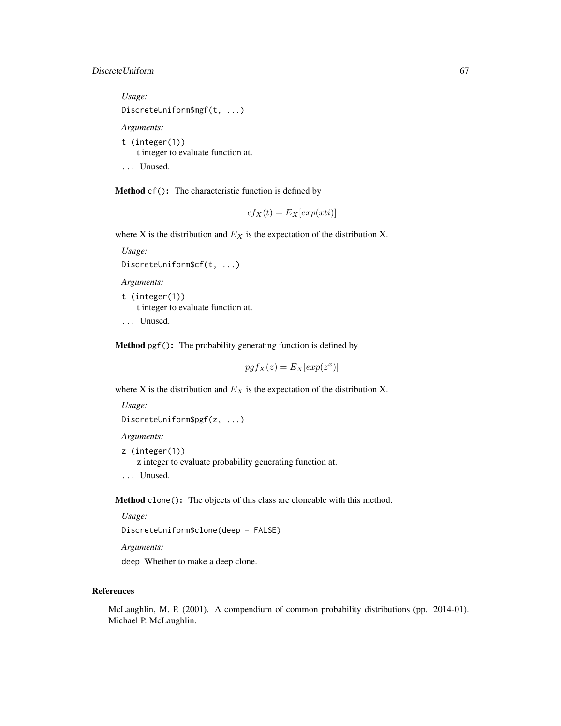# DiscreteUniform 67

*Usage:* DiscreteUniform\$mgf(t, ...) *Arguments:* t (integer(1)) t integer to evaluate function at.

... Unused.

Method cf(): The characteristic function is defined by

$$
cf_X(t) = E_X[exp(xti)]
$$

where X is the distribution and  $E<sub>X</sub>$  is the expectation of the distribution X.

```
Usage:
DiscreteUniform$cf(t, ...)
Arguments:
t (integer(1))
    t integer to evaluate function at.
```
... Unused.

Method pgf(): The probability generating function is defined by

$$
pgf_X(z) = E_X[exp(z^x)]
$$

where X is the distribution and  $E<sub>X</sub>$  is the expectation of the distribution X.

```
Usage:
DiscreteUniform$pgf(z, ...)
```
*Arguments:*

z (integer(1)) z integer to evaluate probability generating function at. ... Unused.

Method clone(): The objects of this class are cloneable with this method.

*Usage:*

DiscreteUniform\$clone(deep = FALSE)

*Arguments:*

deep Whether to make a deep clone.

# References

McLaughlin, M. P. (2001). A compendium of common probability distributions (pp. 2014-01). Michael P. McLaughlin.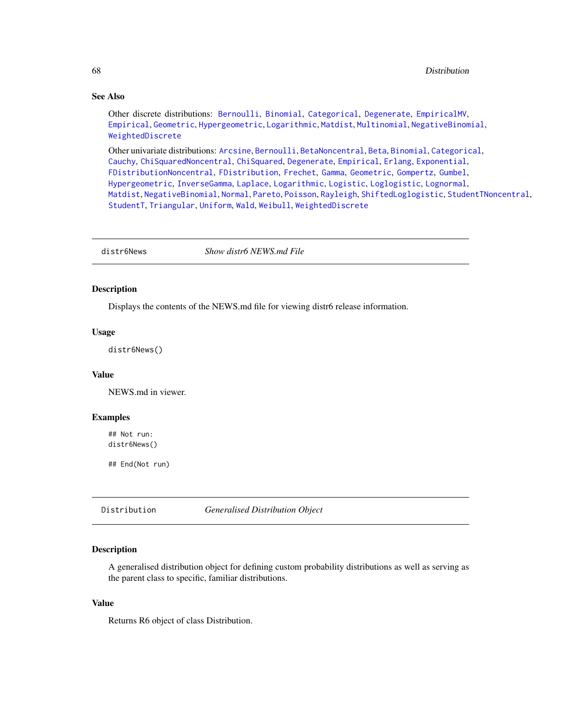# See Also

Other discrete distributions: [Bernoulli](#page-12-0), [Binomial](#page-23-0), [Categorical](#page-29-0), [Degenerate](#page-55-0), [EmpiricalMV](#page-87-0), [Empirical](#page-82-0), [Geometric](#page-125-0), [Hypergeometric](#page-139-0), [Logarithmic](#page-158-0), [Matdist](#page-178-0), [Multinomial](#page-190-0), [NegativeBinomial](#page-200-0), [WeightedDiscrete](#page-302-0)

Other univariate distributions: [Arcsine](#page-6-0), [Bernoulli](#page-12-0), [BetaNoncentral](#page-21-0), [Beta](#page-17-0), [Binomial](#page-23-0), [Categorical](#page-29-0), [Cauchy](#page-34-0), [ChiSquaredNoncentral](#page-43-0), [ChiSquared](#page-38-0), [Degenerate](#page-55-0), [Empirical](#page-82-0), [Erlang](#page-92-0), [Exponential](#page-102-0), [FDistributionNoncentral](#page-110-0), [FDistribution](#page-106-0), [Frechet](#page-113-0), [Gamma](#page-119-0), [Geometric](#page-125-0), [Gompertz](#page-129-0), [Gumbel](#page-132-0), [Hypergeometric](#page-139-0), [InverseGamma](#page-143-0), [Laplace](#page-149-0), [Logarithmic](#page-158-0), [Logistic](#page-162-0), [Loglogistic](#page-168-0), [Lognormal](#page-172-0), [Matdist](#page-178-0), [NegativeBinomial](#page-200-0), [Normal](#page-204-0), [Pareto](#page-211-0), [Poisson](#page-218-0), [Rayleigh](#page-231-0), [ShiftedLoglogistic](#page-236-0), [StudentTNoncentral](#page-249-0), [StudentT](#page-245-0), [Triangular](#page-266-0), [Uniform](#page-279-0), [Wald](#page-294-0), [Weibull](#page-298-0), [WeightedDiscrete](#page-302-0)

distr6News *Show distr6 NEWS.md File*

#### Description

Displays the contents of the NEWS.md file for viewing distr6 release information.

# Usage

distr6News()

## Value

NEWS.md in viewer.

#### Examples

## Not run: distr6News()

## End(Not run)

<span id="page-67-0"></span>Distribution *Generalised Distribution Object*

## Description

A generalised distribution object for defining custom probability distributions as well as serving as the parent class to specific, familiar distributions.

#### Value

Returns R6 object of class Distribution.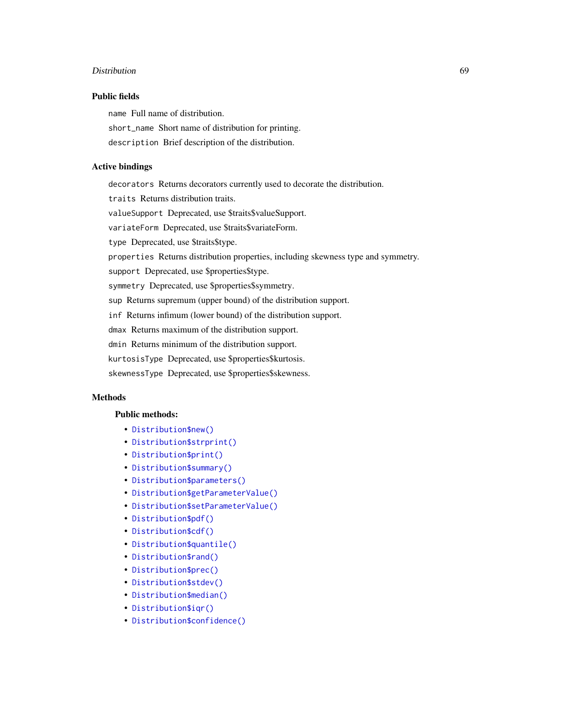#### Distribution 69

## Public fields

name Full name of distribution.

short\_name Short name of distribution for printing.

description Brief description of the distribution.

## Active bindings

decorators Returns decorators currently used to decorate the distribution. traits Returns distribution traits. valueSupport Deprecated, use \$traits\$valueSupport. variateForm Deprecated, use \$traits\$variateForm. type Deprecated, use \$traits\$type. properties Returns distribution properties, including skewness type and symmetry. support Deprecated, use \$properties\$type. symmetry Deprecated, use \$properties\$symmetry. sup Returns supremum (upper bound) of the distribution support. inf Returns infimum (lower bound) of the distribution support. dmax Returns maximum of the distribution support. dmin Returns minimum of the distribution support. kurtosisType Deprecated, use \$properties\$kurtosis. skewnessType Deprecated, use \$properties\$skewness.

# Methods

# Public methods:

- [Distribution\\$new\(\)](#page-7-0)
- [Distribution\\$strprint\(\)](#page-70-0)
- [Distribution\\$print\(\)](#page-70-1)
- [Distribution\\$summary\(\)](#page-70-2)
- [Distribution\\$parameters\(\)](#page-70-3)
- [Distribution\\$getParameterValue\(\)](#page-71-0)
- [Distribution\\$setParameterValue\(\)](#page-61-0)
- [Distribution\\$pdf\(\)](#page-71-1)
- [Distribution\\$cdf\(\)](#page-72-0)
- [Distribution\\$quantile\(\)](#page-73-0)
- [Distribution\\$rand\(\)](#page-74-0)
- [Distribution\\$prec\(\)](#page-74-1)
- [Distribution\\$stdev\(\)](#page-74-2)
- [Distribution\\$median\(\)](#page-14-0)
- [Distribution\\$iqr\(\)](#page-74-3)
- [Distribution\\$confidence\(\)](#page-75-0)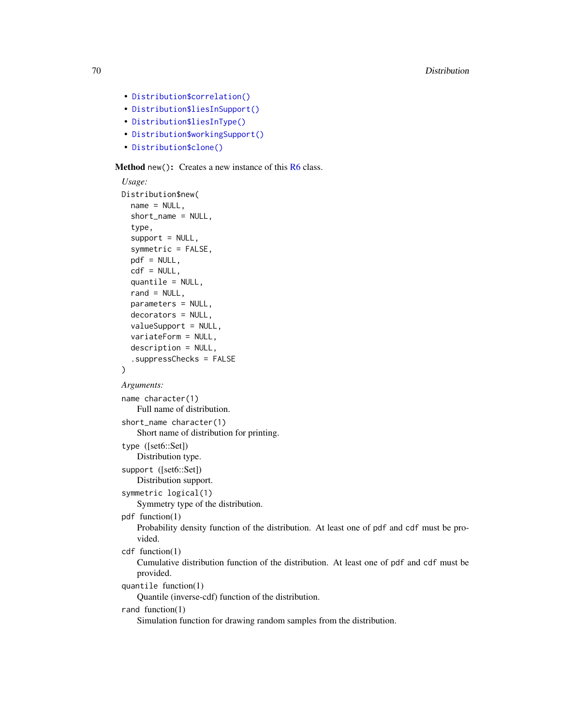- [Distribution\\$correlation\(\)](#page-75-1)
- [Distribution\\$liesInSupport\(\)](#page-75-2)
- [Distribution\\$liesInType\(\)](#page-75-3)
- [Distribution\\$workingSupport\(\)](#page-76-0)
- [Distribution\\$clone\(\)](#page-9-2)

Method new(): Creates a new instance of this [R6](#page-0-0) class.

```
Usage:
Distribution$new(
  name = NULL,
  short_name = NULL,
  type,
  support = NULL,symmetric = FALSE,
  pdf = NULL,
  cdf = NULL,quantile = NULL,
  rand = NULL,
  parameters = NULL,
  decorators = NULL,
  valueSupport = NULL,
  variateForm = NULL,
  description = NULL,
  .suppressChecks = FALSE
)
Arguments:
name character(1)
    Full name of distribution.
short_name character(1)
    Short name of distribution for printing.
type ([set6::Set])
    Distribution type.
support ([set6::Set])
    Distribution support.
symmetric logical(1)
    Symmetry type of the distribution.
pdf function(1)
    Probability density function of the distribution. At least one of pdf and cdf must be pro-
    vided.
cdf function(1)
    Cumulative distribution function of the distribution. At least one of pdf and cdf must be
    provided.
quantile function(1)
    Quantile (inverse-cdf) function of the distribution.
rand function(1)
    Simulation function for drawing random samples from the distribution.
```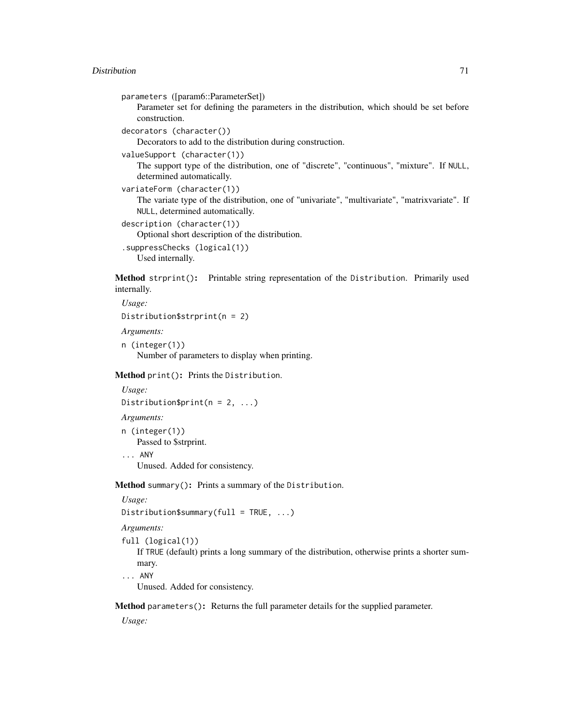#### Distribution 71

```
parameters ([param6::ParameterSet])
```
Parameter set for defining the parameters in the distribution, which should be set before construction.

```
decorators (character())
```
Decorators to add to the distribution during construction.

```
valueSupport (character(1))
```
The support type of the distribution, one of "discrete", "continuous", "mixture". If NULL, determined automatically.

```
variateForm (character(1))
```
The variate type of the distribution, one of "univariate", "multivariate", "matrixvariate". If NULL, determined automatically.

```
description (character(1))
   Optional short description of the distribution.
.suppressChecks (logical(1))
   Used internally.
```
<span id="page-70-0"></span>Method strprint(): Printable string representation of the Distribution. Primarily used internally.

```
Usage:
Distribution$strprint(n = 2)
```
*Arguments:*

```
n (integer(1))
   Number of parameters to display when printing.
```
<span id="page-70-1"></span>Method print(): Prints the Distribution.

```
Usage:
Distribution$print(n = 2, ...)
```
*Arguments:*

n (integer(1)) Passed to \$strprint.

... ANY

Unused. Added for consistency.

<span id="page-70-2"></span>Method summary(): Prints a summary of the Distribution.

*Usage:*

```
Distribution$summary(full = TRUE, \ldots)
```
*Arguments:*

```
full (logical(1))
```
If TRUE (default) prints a long summary of the distribution, otherwise prints a shorter summary.

... ANY

Unused. Added for consistency.

<span id="page-70-3"></span>Method parameters(): Returns the full parameter details for the supplied parameter.

*Usage:*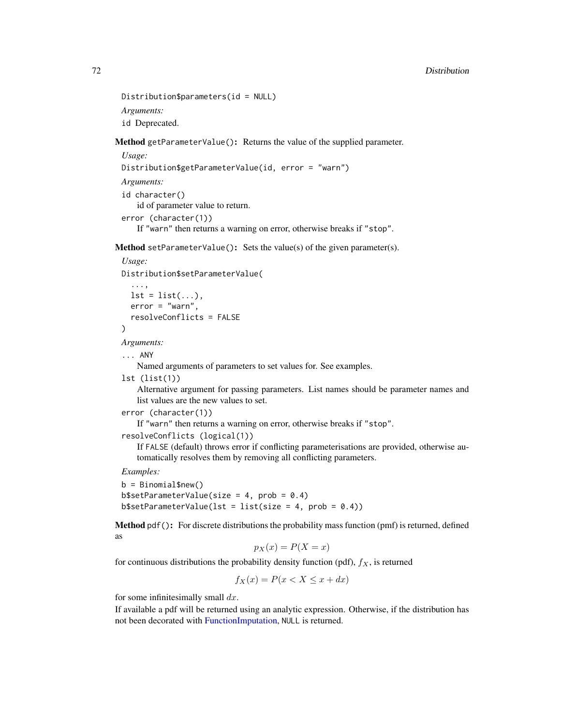```
Distribution$parameters(id = NULL)
Arguments:
id Deprecated.
```
<span id="page-71-0"></span>Method getParameterValue(): Returns the value of the supplied parameter.

```
Usage:
Distribution$getParameterValue(id, error = "warn")
Arguments:
id character()
   id of parameter value to return.
error (character(1))
   If "warn" then returns a warning on error, otherwise breaks if "stop".
```
**Method** setParameterValue(): Sets the value(s) of the given parameter(s).

```
Usage:
Distribution$setParameterValue(
```

```
...,
 lst = list(...),error = "warn",resolveConflicts = FALSE
)
```
*Arguments:*

```
... ANY
```
Named arguments of parameters to set values for. See examples.

lst (list(1))

Alternative argument for passing parameters. List names should be parameter names and list values are the new values to set.

```
error (character(1))
```
If "warn" then returns a warning on error, otherwise breaks if "stop".

```
resolveConflicts (logical(1))
```
If FALSE (default) throws error if conflicting parameterisations are provided, otherwise automatically resolves them by removing all conflicting parameters.

*Examples:*

```
b = Binomial$new()b$setParameterValue(size = 4, prob = 0.4)
b$setParameterValue(lst = list(size = 4, prob = 0.4))
```
<span id="page-71-1"></span>Method pdf(): For discrete distributions the probability mass function (pmf) is returned, defined as

$$
p_X(x) = P(X = x)
$$

for continuous distributions the probability density function (pdf),  $f_X$ , is returned

$$
f_X(x) = P(x < X \le x + dx)
$$

for some infinitesimally small  $dx$ .

If available a pdf will be returned using an analytic expression. Otherwise, if the distribution has not been decorated with [FunctionImputation,](#page-117-0) NULL is returned.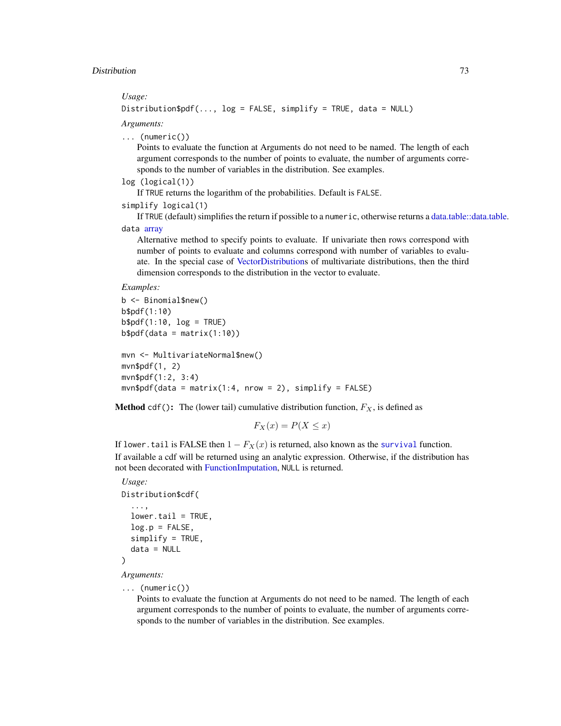#### *Usage:*

Distribution\$pdf(..., log = FALSE, simplify = TRUE, data = NULL)

*Arguments:*

... (numeric())

Points to evaluate the function at Arguments do not need to be named. The length of each argument corresponds to the number of points to evaluate, the number of arguments corresponds to the number of variables in the distribution. See examples.

```
log (logical(1))
```
If TRUE returns the logarithm of the probabilities. Default is FALSE.

```
simplify logical(1)
```
If TRUE (default) simplifies the return if possible to a numeric, otherwise returns a [data.table::data.table.](#page-0-0) data [array](#page-0-0)

Alternative method to specify points to evaluate. If univariate then rows correspond with number of points to evaluate and columns correspond with number of variables to evaluate. In the special case of [VectorDistributions](#page-285-0) of multivariate distributions, then the third dimension corresponds to the distribution in the vector to evaluate.

*Examples:*

```
b <- Binomial$new()
b$pdf(1:10)
b$pdf(1:10, log = TRUE)b$pdf(data = matrix(1:10))mvn <- MultivariateNormal$new()
mvn$pdf(1, 2)
mvn$pdf(1:2, 3:4)
mvn$pdf(data = matrix(1:4, nrow = 2), simplify = FALSE)
```
**Method** cdf(): The (lower tail) cumulative distribution function,  $F_X$ , is defined as

$$
F_X(x) = P(X \le x)
$$

If lower.tail is FALSE then  $1 - F_X(x)$  is returned, also known as the [survival](#page-0-0) function. If available a cdf will be returned using an analytic expression. Otherwise, if the distribution has not been decorated with [FunctionImputation,](#page-117-0) NULL is returned.

# *Usage:* Distribution\$cdf( ...,  $lower.tail = TRUE,$

```
log.p = FALSE,simplify = TRUE,
 data = NULL
)
```
*Arguments:*

```
... (numeric())
```
Points to evaluate the function at Arguments do not need to be named. The length of each argument corresponds to the number of points to evaluate, the number of arguments corresponds to the number of variables in the distribution. See examples.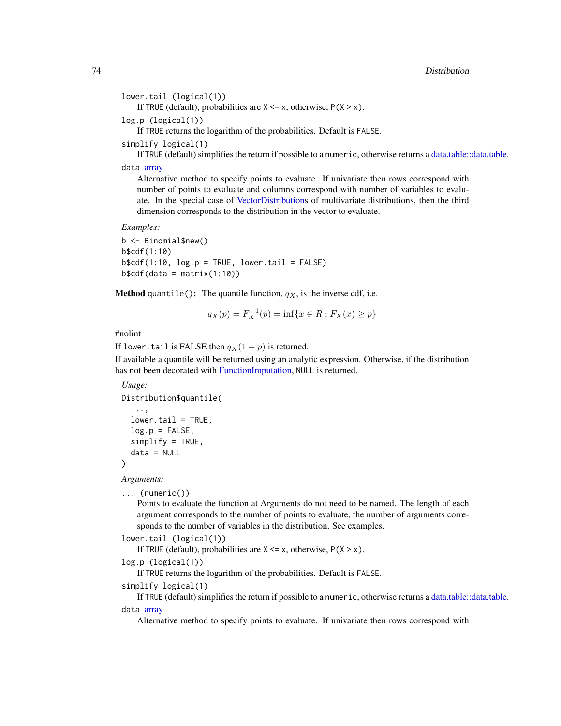#### 74 Distribution

```
lower.tail (logical(1))
```
If TRUE (default), probabilities are  $X \le x$ , otherwise,  $P(X > x)$ .

```
log.p (logical(1))
```
If TRUE returns the logarithm of the probabilities. Default is FALSE.

```
simplify logical(1)
```
If TRUE (default) simplifies the return if possible to a numeric, otherwise returns a [data.table::data.table.](#page-0-0)

data [array](#page-0-0)

Alternative method to specify points to evaluate. If univariate then rows correspond with number of points to evaluate and columns correspond with number of variables to evaluate. In the special case of [VectorDistributions](#page-285-0) of multivariate distributions, then the third dimension corresponds to the distribution in the vector to evaluate.

*Examples:*

b <- Binomial\$new() b\$cdf(1:10)  $b$ \$cdf(1:10,  $log.p = TRUE$ ,  $lower.tail = FALSE$ )  $b$ \$cdf(data = matrix(1:10))

**Method** quantile(): The quantile function,  $q_X$ , is the inverse cdf, i.e.

$$
q_X(p) = F_X^{-1}(p) = \inf\{x \in R : F_X(x) \ge p\}
$$

# #nolint

If lower.tail is FALSE then  $q_X(1-p)$  is returned.

If available a quantile will be returned using an analytic expression. Otherwise, if the distribution has not been decorated with [FunctionImputation,](#page-117-0) NULL is returned.

#### *Usage:*

```
Distribution$quantile(
  ...,
  lower.tail = TRUE,log.p = FALSE,simplify = TRUE,
  data = NULL
)
```
*Arguments:*

```
... (numeric())
```
Points to evaluate the function at Arguments do not need to be named. The length of each argument corresponds to the number of points to evaluate, the number of arguments corresponds to the number of variables in the distribution. See examples.

```
lower.tail (logical(1))
```
If TRUE (default), probabilities are  $X \le x$ , otherwise,  $P(X > x)$ .

```
log.p (logical(1))
```
If TRUE returns the logarithm of the probabilities. Default is FALSE.

```
simplify logical(1)
```
If TRUE (default) simplifies the return if possible to a numeric, otherwise returns a [data.table::data.table.](#page-0-0) data [array](#page-0-0)

Alternative method to specify points to evaluate. If univariate then rows correspond with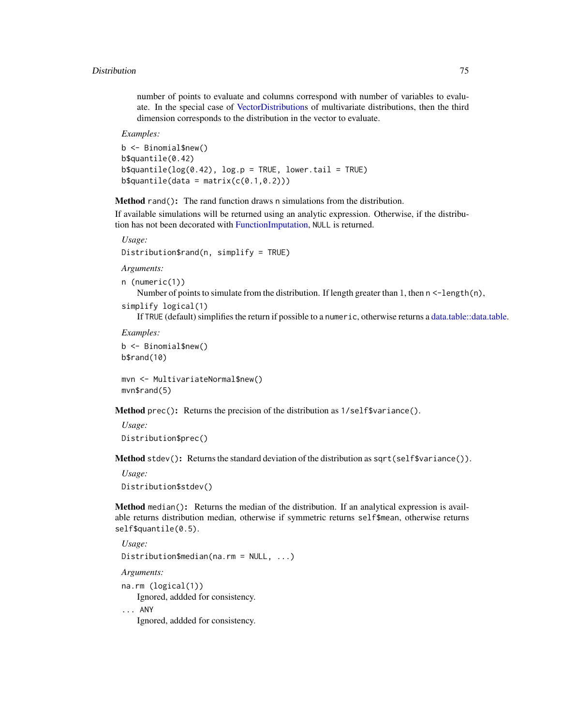number of points to evaluate and columns correspond with number of variables to evaluate. In the special case of [VectorDistributions](#page-285-0) of multivariate distributions, then the third dimension corresponds to the distribution in the vector to evaluate.

*Examples:*

b <- Binomial\$new() b\$quantile(0.42)  $b$ \$quantile(log(0.42), log.p = TRUE, lower.tail = TRUE)  $b$ \$quantile(data = matrix( $c(0.1, 0.2)$ ))

Method rand(): The rand function draws n simulations from the distribution.

If available simulations will be returned using an analytic expression. Otherwise, if the distribution has not been decorated with [FunctionImputation,](#page-117-0) NULL is returned.

```
Usage:
```
Distribution\$rand(n, simplify = TRUE)

*Arguments:*

```
n (numeric(1))
```
Number of points to simulate from the distribution. If length greater than 1, then  $n < -\frac{1}{\epsilon}$ ,  $(n)$ ,

```
simplify logical(1)
```
If TRUE (default) simplifies the return if possible to a numeric, otherwise returns a [data.table::data.table.](#page-0-0)

*Examples:*

```
b <- Binomial$new()
b$rand(10)
```
mvn <- MultivariateNormal\$new() mvn\$rand(5)

Method prec(): Returns the precision of the distribution as 1/self\$variance().

*Usage:* Distribution\$prec()

Method stdev(): Returns the standard deviation of the distribution as sqrt(self\$variance()).

*Usage:* Distribution\$stdev()

Method median(): Returns the median of the distribution. If an analytical expression is available returns distribution median, otherwise if symmetric returns self\$mean, otherwise returns self\$quantile(0.5).

*Usage:* Distribution\$median(na.rm = NULL, ...) *Arguments:* na.rm (logical(1)) Ignored, addded for consistency.

... ANY

Ignored, addded for consistency.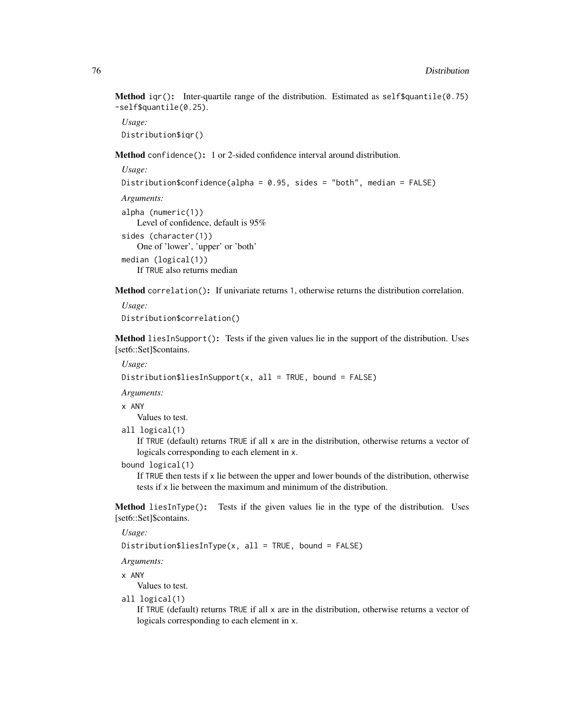**Method**  $iqr()$ : Inter-quartile range of the distribution. Estimated as self\$quantile(0.75) -self\$quantile(0.25).

*Usage:* Distribution\$iqr()

Method confidence(): 1 or 2-sided confidence interval around distribution.

```
Usage:
Distribution$confidence(alpha = 0.95, sides = "both", median = FALSE)
Arguments:
alpha (numeric(1))
   Level of confidence, default is 95%
sides (character(1))
   One of 'lower', 'upper' or 'both'
median (logical(1))
   If TRUE also returns median
```
Method correlation(): If univariate returns 1, otherwise returns the distribution correlation.

```
Usage:
Distribution$correlation()
```
Method liesInSupport(): Tests if the given values lie in the support of the distribution. Uses [set6::Set]\$contains.

*Usage:*

```
Distribution$liesInSupport(x, all = TRUE, bound = FALSE)
```
*Arguments:*

x ANY

Values to test.

all logical(1)

If TRUE (default) returns TRUE if all x are in the distribution, otherwise returns a vector of logicals corresponding to each element in x.

bound logical(1)

If TRUE then tests if  $x$  lie between the upper and lower bounds of the distribution, otherwise tests if x lie between the maximum and minimum of the distribution.

Method liesInType(): Tests if the given values lie in the type of the distribution. Uses [set6::Set]\$contains.

*Usage:*

Distribution\$liesInType(x, all = TRUE, bound = FALSE)

*Arguments:*

x ANY

Values to test.

all logical(1)

If TRUE (default) returns TRUE if all x are in the distribution, otherwise returns a vector of logicals corresponding to each element in x.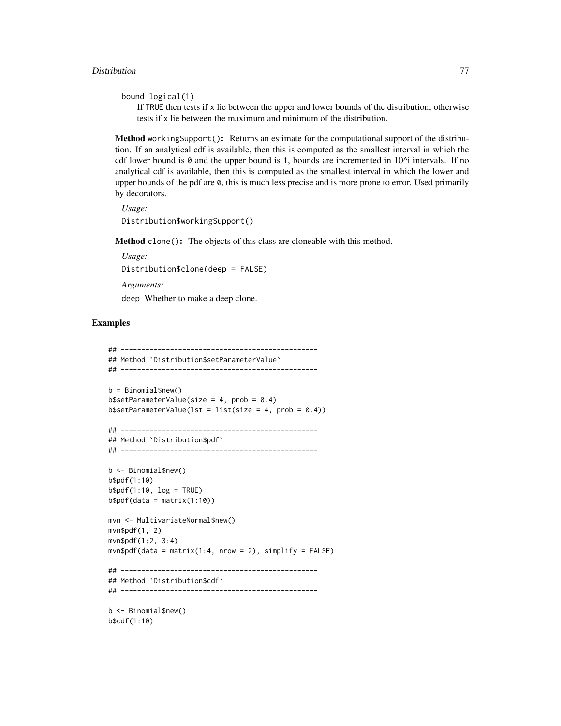```
bound logical(1)
```
If  $TRUE$  then tests if x lie between the upper and lower bounds of the distribution, otherwise tests if x lie between the maximum and minimum of the distribution.

Method workingSupport(): Returns an estimate for the computational support of the distribution. If an analytical cdf is available, then this is computed as the smallest interval in which the cdf lower bound is  $\theta$  and the upper bound is 1, bounds are incremented in  $10^{\lambda_1}$  intervals. If no analytical cdf is available, then this is computed as the smallest interval in which the lower and upper bounds of the pdf are 0, this is much less precise and is more prone to error. Used primarily by decorators.

```
Usage:
Distribution$workingSupport()
```
Method clone(): The objects of this class are cloneable with this method.

*Usage:* Distribution\$clone(deep = FALSE) *Arguments:* deep Whether to make a deep clone.

# Examples

```
## ------------------------------------------------
## Method `Distribution$setParameterValue`
## ------------------------------------------------
b = Binomial$new()
b$setParameterValue(size = 4, prob = 0.4)b$setParameterValue(lst = list(size = 4, prob = 0.4))
## ------------------------------------------------
## Method `Distribution$pdf`
## ------------------------------------------------
b <- Binomial$new()
b$pdf(1:10)
b$pdf(1:10, log = TRUE)b$pdf(data = matrix(1:10))mvn <- MultivariateNormal$new()
mvn$pdf(1, 2)
mvn$pdf(1:2, 3:4)
mvn$pdf(data = matrix(1:4, nrow = 2), simplify = FALSE)## ------------------------------------------------
## Method `Distribution$cdf`
## ------------------------------------------------
```
b <- Binomial\$new() b\$cdf(1:10)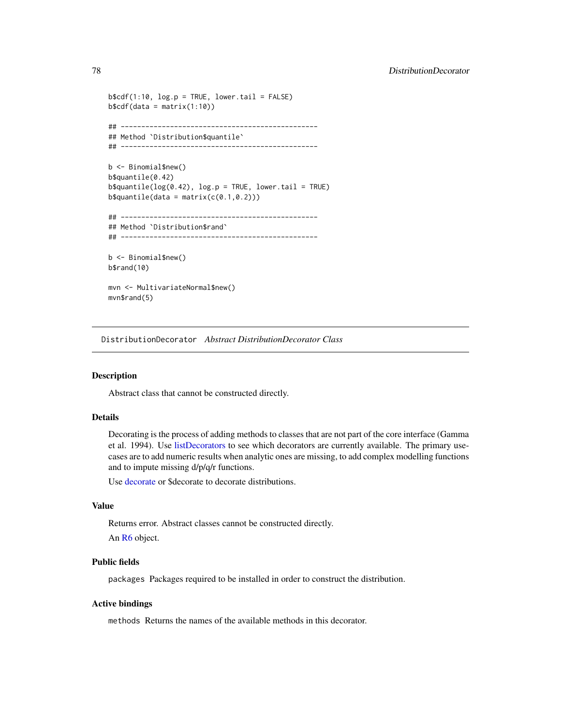```
b$cdf(1:10, log.p = TRUE, lower.tail = FALSE)b$cdf(data = matrix(1:10))
## ------------------------------------------------
## Method `Distribution$quantile`
## ------------------------------------------------
b <- Binomial$new()
b$quantile(0.42)
b$quantile(log(0.42), log.p = TRUE, lower.tail = TRUE)
b$quantile(data = matrix(c(0.1,0.2)))
## ------------------------------------------------
## Method `Distribution$rand`
## ------------------------------------------------
b <- Binomial$new()
b$rand(10)
mvn <- MultivariateNormal$new()
mvn$rand(5)
```
DistributionDecorator *Abstract DistributionDecorator Class*

# Description

Abstract class that cannot be constructed directly.

#### Details

Decorating is the process of adding methods to classes that are not part of the core interface (Gamma et al. 1994). Use [listDecorators](#page-155-0) to see which decorators are currently available. The primary usecases are to add numeric results when analytic ones are missing, to add complex modelling functions and to impute missing d/p/q/r functions.

Use [decorate](#page-54-0) or \$decorate to decorate distributions.

# Value

Returns error. Abstract classes cannot be constructed directly.

An [R6](#page-0-0) object.

# Public fields

packages Packages required to be installed in order to construct the distribution.

### Active bindings

methods Returns the names of the available methods in this decorator.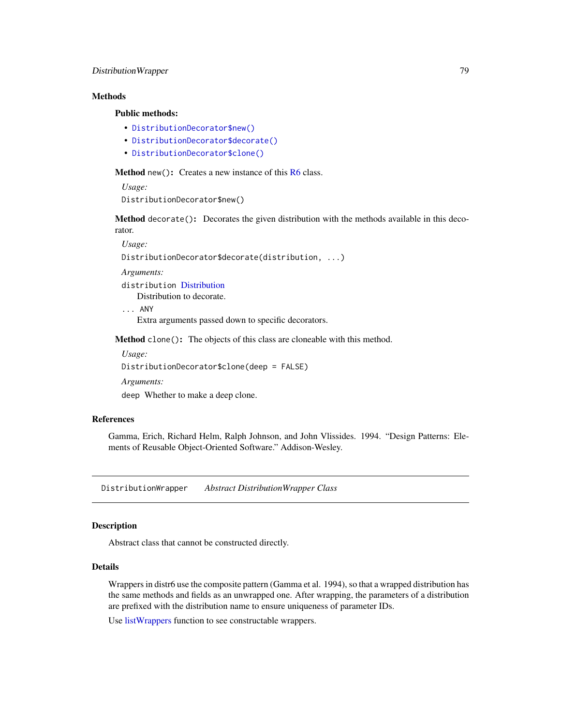# DistributionWrapper 79

# Methods

#### Public methods:

- [DistributionDecorator\\$new\(\)](#page-7-0)
- [DistributionDecorator\\$decorate\(\)](#page-78-0)
- [DistributionDecorator\\$clone\(\)](#page-9-0)

Method new(): Creates a new instance of this [R6](#page-0-0) class.

*Usage:*

DistributionDecorator\$new()

<span id="page-78-0"></span>Method decorate(): Decorates the given distribution with the methods available in this decorator.

*Usage:*

DistributionDecorator\$decorate(distribution, ...)

*Arguments:*

distribution [Distribution](#page-67-0)

Distribution to decorate.

... ANY

Extra arguments passed down to specific decorators.

Method clone(): The objects of this class are cloneable with this method.

*Usage:*

DistributionDecorator\$clone(deep = FALSE)

*Arguments:*

deep Whether to make a deep clone.

# References

Gamma, Erich, Richard Helm, Ralph Johnson, and John Vlissides. 1994. "Design Patterns: Elements of Reusable Object-Oriented Software." Addison-Wesley.

DistributionWrapper *Abstract DistributionWrapper Class*

# Description

Abstract class that cannot be constructed directly.

# **Details**

Wrappers in distr6 use the composite pattern (Gamma et al. 1994), so that a wrapped distribution has the same methods and fields as an unwrapped one. After wrapping, the parameters of a distribution are prefixed with the distribution name to ensure uniqueness of parameter IDs.

Use [listWrappers](#page-157-0) function to see constructable wrappers.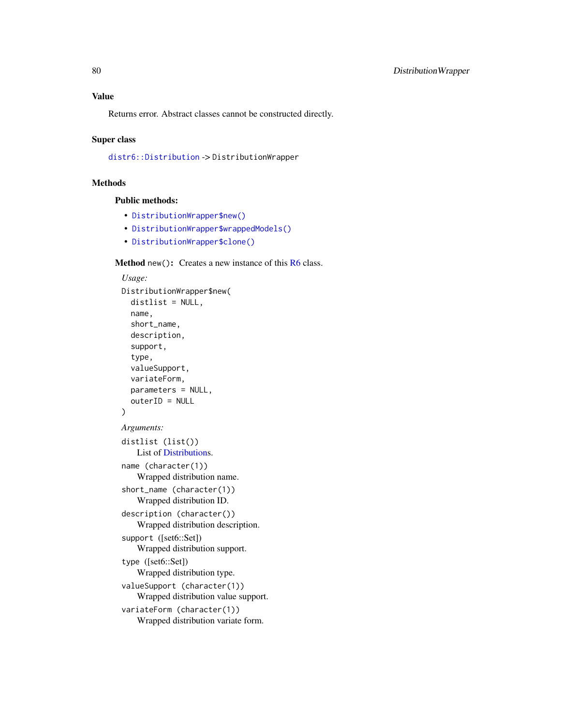Returns error. Abstract classes cannot be constructed directly.

#### Super class

[distr6::Distribution](#page-0-0) -> DistributionWrapper

# Methods

#### Public methods:

- [DistributionWrapper\\$new\(\)](#page-7-0)
- [DistributionWrapper\\$wrappedModels\(\)](#page-80-0)
- [DistributionWrapper\\$clone\(\)](#page-9-0)

### Method new(): Creates a new instance of this [R6](#page-0-0) class.

```
Usage:
DistributionWrapper$new(
  distlist = NULL,
  name,
  short_name,
  description,
  support,
  type,
  valueSupport,
  variateForm,
  parameters = NULL,
  outerID = NULL
)
Arguments:
distlist (list())
    List of Distributions.
name (character(1))
    Wrapped distribution name.
short_name (character(1))
    Wrapped distribution ID.
description (character())
    Wrapped distribution description.
support ([set6::Set])
    Wrapped distribution support.
type ([set6::Set])
    Wrapped distribution type.
valueSupport (character(1))
    Wrapped distribution value support.
variateForm (character(1))
    Wrapped distribution variate form.
```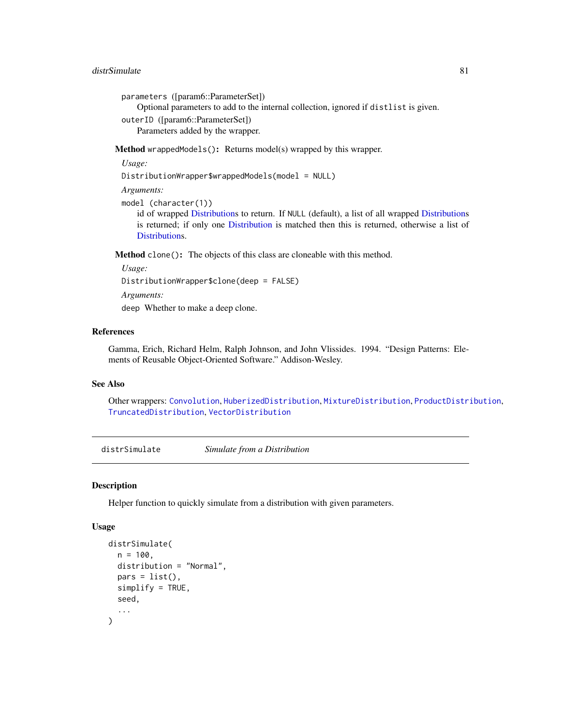#### distrSimulate 81

parameters ([param6::ParameterSet])

Optional parameters to add to the internal collection, ignored if distlist is given.

outerID ([param6::ParameterSet]) Parameters added by the wrapper.

<span id="page-80-0"></span>Method wrappedModels(): Returns model(s) wrapped by this wrapper.

*Usage:*

DistributionWrapper\$wrappedModels(model = NULL)

*Arguments:*

model (character(1))

id of wrapped [Distributions](#page-67-0) to return. If NULL (default), a list of all wrapped [Distributions](#page-67-0) is returned; if only one [Distribution](#page-67-0) is matched then this is returned, otherwise a list of [Distributions](#page-67-0).

Method clone(): The objects of this class are cloneable with this method.

*Usage:* DistributionWrapper\$clone(deep = FALSE) *Arguments:* deep Whether to make a deep clone.

# References

Gamma, Erich, Richard Helm, Ralph Johnson, and John Vlissides. 1994. "Design Patterns: Elements of Reusable Object-Oriented Software." Addison-Wesley.

# See Also

Other wrappers: [Convolution](#page-47-0), [HuberizedDistribution](#page-137-0), [MixtureDistribution](#page-184-0), [ProductDistribution](#page-222-0), [TruncatedDistribution](#page-277-0), [VectorDistribution](#page-285-0)

distrSimulate *Simulate from a Distribution*

#### Description

Helper function to quickly simulate from a distribution with given parameters.

# Usage

```
distrSimulate(
 n = 100.
 distribution = "Normal",
 pars = list(),simplify = TRUE,seed,
  ...
)
```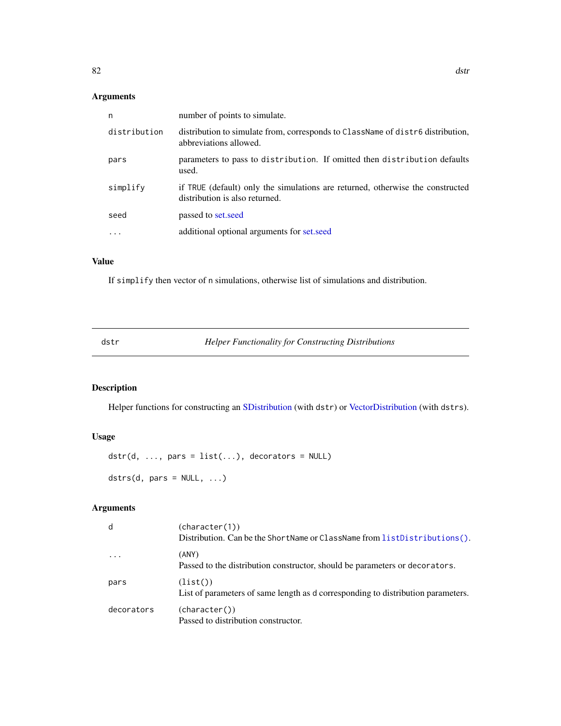# Arguments

| n            | number of points to simulate.                                                                                    |
|--------------|------------------------------------------------------------------------------------------------------------------|
| distribution | distribution to simulate from, corresponds to ClassName of distribution,<br>abbreviations allowed.               |
| pars         | parameters to pass to distribution. If omitted then distribution defaults<br>used.                               |
| simplify     | if TRUE (default) only the simulations are returned, otherwise the constructed<br>distribution is also returned. |
| seed         | passed to set, seed                                                                                              |
|              | additional optional arguments for set, seed                                                                      |
|              |                                                                                                                  |

# Value

If simplify then vector of n simulations, otherwise list of simulations and distribution.

dstr *Helper Functionality for Constructing Distributions*

# Description

Helper functions for constructing an [SDistribution](#page-235-0) (with dstr) or [VectorDistribution](#page-285-0) (with dstrs).

# Usage

```
dstr(d, ..., pars = list(...), decorators = NULL)dstrs(d, pars = NULL, ...)
```
# Arguments

| d          | (character(1))<br>Distribution. Can be the ShortName or ClassName from listDistributions(). |
|------------|---------------------------------------------------------------------------------------------|
| $\ddotsc$  | (ANY)<br>Passed to the distribution constructor, should be parameters or decorators.        |
| pars       | (list()<br>List of parameters of same length as d corresponding to distribution parameters. |
| decorators | (character())<br>Passed to distribution constructor.                                        |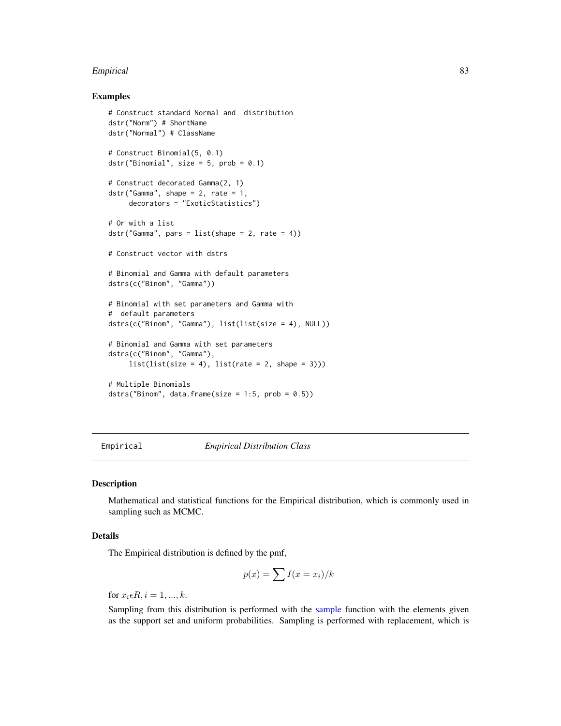#### Empirical 83

# Examples

```
# Construct standard Normal and distribution
dstr("Norm") # ShortName
dstr("Normal") # ClassName
# Construct Binomial(5, 0.1)
dstr("Binomial", size = 5, prob = 0.1)
# Construct decorated Gamma(2, 1)
dstr("Gamma", shape = 2, rate = 1,
     decorators = "ExoticStatistics")
# Or with a list
dstr("Gamma", pars = list(shape = 2, rate = 4))# Construct vector with dstrs
# Binomial and Gamma with default parameters
dstrs(c("Binom", "Gamma"))
# Binomial with set parameters and Gamma with
# default parameters
dstrs(c("Binom", "Gamma"), list(list(size = 4), NULL))
# Binomial and Gamma with set parameters
dstrs(c("Binom", "Gamma"),
    list(list(size = 4), list(rate = 2, shape = 3)))# Multiple Binomials
dstrs("Binom", data.frame(size = 1:5, prob = 0.5))
```
<span id="page-82-0"></span>Empirical *Empirical Distribution Class*

#### Description

Mathematical and statistical functions for the Empirical distribution, which is commonly used in sampling such as MCMC.

### Details

The Empirical distribution is defined by the pmf,

$$
p(x) = \sum I(x = x_i)/k
$$

for  $x_i \in R$ ,  $i = 1, ..., k$ .

Sampling from this distribution is performed with the [sample](#page-0-0) function with the elements given as the support set and uniform probabilities. Sampling is performed with replacement, which is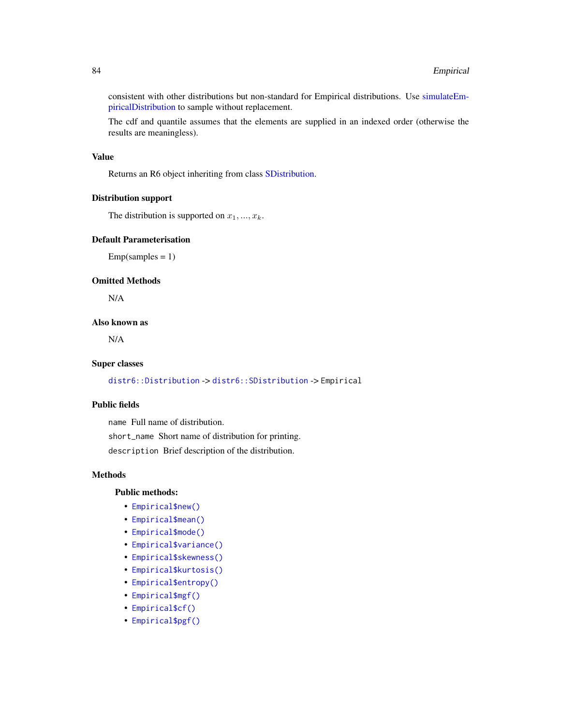consistent with other distributions but non-standard for Empirical distributions. Use [simulateEm](#page-244-0)[piricalDistribution](#page-244-0) to sample without replacement.

The cdf and quantile assumes that the elements are supplied in an indexed order (otherwise the results are meaningless).

#### Value

Returns an R6 object inheriting from class [SDistribution.](#page-235-0)

#### Distribution support

The distribution is supported on  $x_1, ..., x_k$ .

#### Default Parameterisation

 $Emp(samples = 1)$ 

# Omitted Methods

N/A

# Also known as

N/A

# Super classes

[distr6::Distribution](#page-0-0) -> [distr6::SDistribution](#page-0-0) -> Empirical

# Public fields

name Full name of distribution. short\_name Short name of distribution for printing. description Brief description of the distribution.

#### Methods

## Public methods:

- [Empirical\\$new\(\)](#page-7-0)
- [Empirical\\$mean\(\)](#page-7-1)
- [Empirical\\$mode\(\)](#page-8-0)
- [Empirical\\$variance\(\)](#page-8-1)
- [Empirical\\$skewness\(\)](#page-8-2)
- [Empirical\\$kurtosis\(\)](#page-8-3)
- [Empirical\\$entropy\(\)](#page-9-1)
- [Empirical\\$mgf\(\)](#page-15-0)
- [Empirical\\$cf\(\)](#page-15-1)
- [Empirical\\$pgf\(\)](#page-9-2)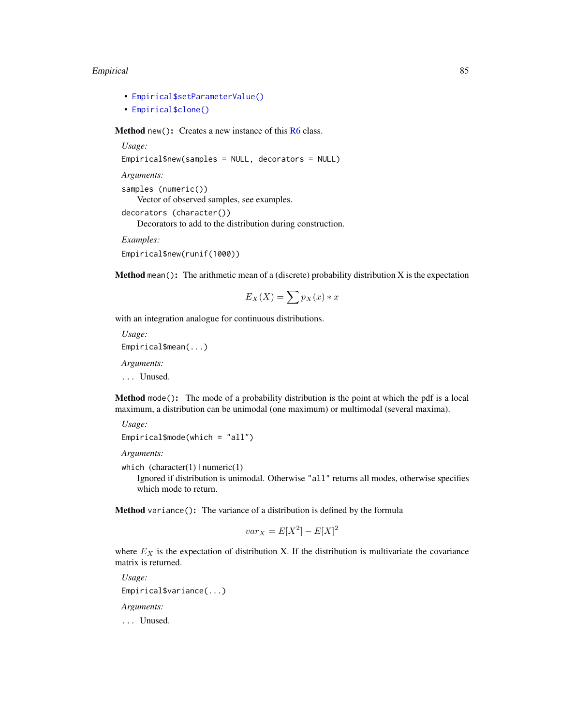#### Empirical 85

- [Empirical\\$setParameterValue\(\)](#page-61-0)
- [Empirical\\$clone\(\)](#page-9-0)

Method new(): Creates a new instance of this [R6](#page-0-0) class.

```
Usage:
Empirical$new(samples = NULL, decorators = NULL)
Arguments:
samples (numeric())
   Vector of observed samples, see examples.
decorators (character())
   Decorators to add to the distribution during construction.
Examples:
Empirical$new(runif(1000))
```
**Method** mean(): The arithmetic mean of a (discrete) probability distribution  $X$  is the expectation

$$
E_X(X) = \sum p_X(x) * x
$$

with an integration analogue for continuous distributions.

*Usage:* Empirical\$mean(...) *Arguments:*

... Unused.

Method mode(): The mode of a probability distribution is the point at which the pdf is a local maximum, a distribution can be unimodal (one maximum) or multimodal (several maxima).

```
Usage:
Empirical$mode(which = "all")
```
*Arguments:*

which  $(character(1) | numeric(1))$ 

Ignored if distribution is unimodal. Otherwise "all" returns all modes, otherwise specifies which mode to return.

Method variance(): The variance of a distribution is defined by the formula

$$
var_X = E[X^2] - E[X]^2
$$

where  $E<sub>X</sub>$  is the expectation of distribution X. If the distribution is multivariate the covariance matrix is returned.

*Usage:* Empirical\$variance(...) *Arguments:* ... Unused.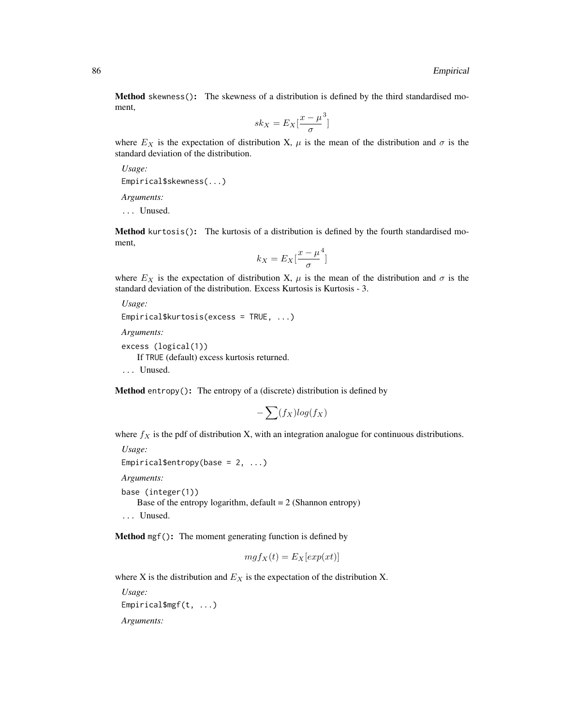Method skewness(): The skewness of a distribution is defined by the third standardised moment,

$$
sk_X = E_X \left[ \frac{x - \mu^3}{\sigma} \right]
$$

where  $E_X$  is the expectation of distribution X,  $\mu$  is the mean of the distribution and  $\sigma$  is the standard deviation of the distribution.

*Usage:*

Empirical\$skewness(...)

*Arguments:*

... Unused.

Method kurtosis(): The kurtosis of a distribution is defined by the fourth standardised moment,

$$
k_X = E_X \left[ \frac{x - \mu^4}{\sigma} \right]
$$

where  $E_X$  is the expectation of distribution X,  $\mu$  is the mean of the distribution and  $\sigma$  is the standard deviation of the distribution. Excess Kurtosis is Kurtosis - 3.

```
Usage:
Empirical$kurtosis(excess = TRUE, ...)
```
*Arguments:*

```
excess (logical(1))
```
If TRUE (default) excess kurtosis returned.

... Unused.

Method entropy(): The entropy of a (discrete) distribution is defined by

$$
-\sum(f_X)log(f_X)
$$

where  $f_X$  is the pdf of distribution X, with an integration analogue for continuous distributions.

```
Usage:
Empirical$entropy(base = 2, ...)
Arguments:
```
base (integer(1)) Base of the entropy logarithm, default  $= 2$  (Shannon entropy) ... Unused.

Method mgf(): The moment generating function is defined by

$$
mgf_X(t) = E_X[exp(xt)]
$$

where X is the distribution and  $E<sub>X</sub>$  is the expectation of the distribution X.

*Usage:* Empirical\$mgf(t, ...) *Arguments:*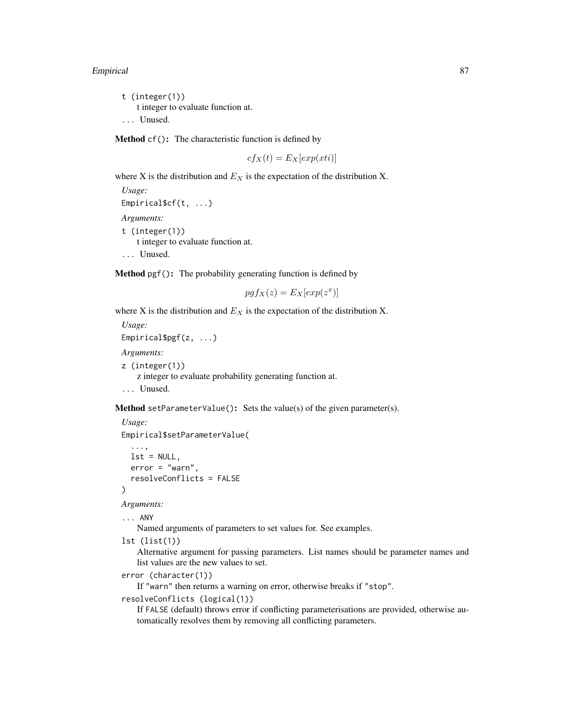#### Empirical 87

t (integer(1)) t integer to evaluate function at. ... Unused.

Method cf(): The characteristic function is defined by

$$
cf_X(t) = E_X[exp(xti)]
$$

where X is the distribution and  $E<sub>X</sub>$  is the expectation of the distribution X.

```
Usage:
Empirical$cf(t, ...)
Arguments:
t (integer(1))
    t integer to evaluate function at.
... Unused.
```
Method pgf(): The probability generating function is defined by

$$
pgf_X(z) = E_X[exp(z^x)]
$$

where X is the distribution and  $E<sub>X</sub>$  is the expectation of the distribution X.

```
Usage:
Empirical$pgf(z, ...)
Arguments:
z (integer(1))
    z integer to evaluate probability generating function at.
... Unused.
```
**Method** setParameterValue(): Sets the value(s) of the given parameter(s).

```
Usage:
Empirical$setParameterValue(
  ...,
 lst = NULL,error = "warn",
  resolveConflicts = FALSE
)
```
*Arguments:*

```
... ANY
```
Named arguments of parameters to set values for. See examples.

lst (list(1))

Alternative argument for passing parameters. List names should be parameter names and list values are the new values to set.

```
error (character(1))
```
If "warn" then returns a warning on error, otherwise breaks if "stop".

```
resolveConflicts (logical(1))
```
If FALSE (default) throws error if conflicting parameterisations are provided, otherwise automatically resolves them by removing all conflicting parameters.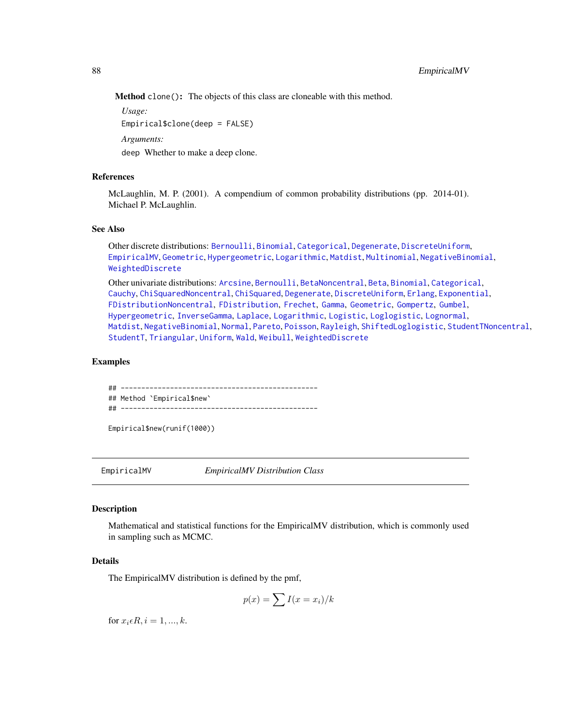Method clone(): The objects of this class are cloneable with this method.

*Usage:* Empirical\$clone(deep = FALSE)

*Arguments:*

deep Whether to make a deep clone.

# References

McLaughlin, M. P. (2001). A compendium of common probability distributions (pp. 2014-01). Michael P. McLaughlin.

#### See Also

Other discrete distributions: [Bernoulli](#page-12-0), [Binomial](#page-23-0), [Categorical](#page-29-0), [Degenerate](#page-55-0), [DiscreteUniform](#page-62-0), [EmpiricalMV](#page-87-0), [Geometric](#page-125-0), [Hypergeometric](#page-139-0), [Logarithmic](#page-158-0), [Matdist](#page-178-0), [Multinomial](#page-190-0), [NegativeBinomial](#page-200-0), [WeightedDiscrete](#page-302-0)

Other univariate distributions: [Arcsine](#page-6-0), [Bernoulli](#page-12-0), [BetaNoncentral](#page-21-0), [Beta](#page-17-0), [Binomial](#page-23-0), [Categorical](#page-29-0), [Cauchy](#page-34-0), [ChiSquaredNoncentral](#page-43-0), [ChiSquared](#page-38-0), [Degenerate](#page-55-0), [DiscreteUniform](#page-62-0), [Erlang](#page-92-0), [Exponential](#page-102-0), [FDistributionNoncentral](#page-110-0), [FDistribution](#page-106-0), [Frechet](#page-113-0), [Gamma](#page-119-0), [Geometric](#page-125-0), [Gompertz](#page-129-0), [Gumbel](#page-132-0), [Hypergeometric](#page-139-0), [InverseGamma](#page-143-0), [Laplace](#page-149-0), [Logarithmic](#page-158-0), [Logistic](#page-162-0), [Loglogistic](#page-168-0), [Lognormal](#page-172-0), [Matdist](#page-178-0), [NegativeBinomial](#page-200-0), [Normal](#page-204-0), [Pareto](#page-211-0), [Poisson](#page-218-0), [Rayleigh](#page-231-0), [ShiftedLoglogistic](#page-236-0), [StudentTNoncentral](#page-249-0), [StudentT](#page-245-0), [Triangular](#page-266-0), [Uniform](#page-279-0), [Wald](#page-294-0), [Weibull](#page-298-0), [WeightedDiscrete](#page-302-0)

# Examples

## ------------------------------------------------ ## Method `Empirical\$new` ## ------------------------------------------------

Empirical\$new(runif(1000))

<span id="page-87-0"></span>

EmpiricalMV *EmpiricalMV Distribution Class*

# Description

Mathematical and statistical functions for the EmpiricalMV distribution, which is commonly used in sampling such as MCMC.

# Details

The EmpiricalMV distribution is defined by the pmf,

$$
p(x) = \sum I(x = x_i)/k
$$

for  $x_i \in R$ ,  $i = 1, ..., k$ .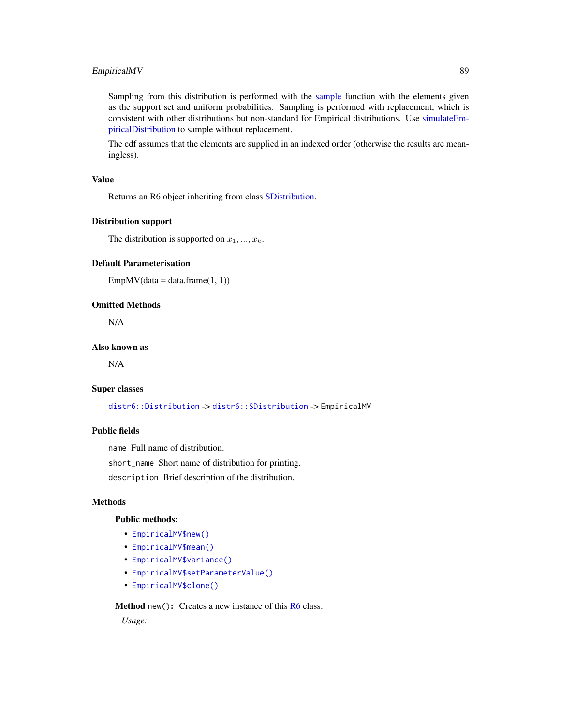# EmpiricalMV 89

Sampling from this distribution is performed with the [sample](#page-0-0) function with the elements given as the support set and uniform probabilities. Sampling is performed with replacement, which is consistent with other distributions but non-standard for Empirical distributions. Use [simulateEm](#page-244-0)[piricalDistribution](#page-244-0) to sample without replacement.

The cdf assumes that the elements are supplied in an indexed order (otherwise the results are meaningless).

## Value

Returns an R6 object inheriting from class [SDistribution.](#page-235-0)

# Distribution support

The distribution is supported on  $x_1, ..., x_k$ .

# Default Parameterisation

```
EmpMV(data = data-frame(1, 1))
```
#### Omitted Methods

N/A

# Also known as

N/A

#### Super classes

[distr6::Distribution](#page-0-0) -> [distr6::SDistribution](#page-0-0) -> EmpiricalMV

#### Public fields

name Full name of distribution.

short\_name Short name of distribution for printing.

description Brief description of the distribution.

# Methods

# Public methods:

- [EmpiricalMV\\$new\(\)](#page-7-0)
- [EmpiricalMV\\$mean\(\)](#page-7-1)
- [EmpiricalMV\\$variance\(\)](#page-8-1)
- [EmpiricalMV\\$setParameterValue\(\)](#page-61-0)
- [EmpiricalMV\\$clone\(\)](#page-9-0)

**Method** new( $)$ : Creates a new instance of this  $R6$  class.

*Usage:*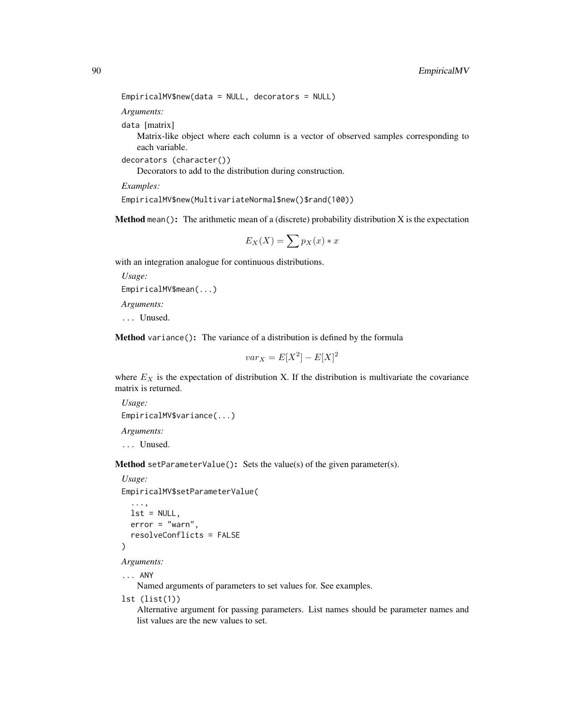```
EmpiricalMV$new(data = NULL, decorators = NULL)
```
*Arguments:*

data [matrix]

Matrix-like object where each column is a vector of observed samples corresponding to each variable.

decorators (character())

Decorators to add to the distribution during construction.

*Examples:*

EmpiricalMV\$new(MultivariateNormal\$new()\$rand(100))

**Method** mean(): The arithmetic mean of a (discrete) probability distribution  $X$  is the expectation

$$
E_X(X) = \sum p_X(x) * x
$$

with an integration analogue for continuous distributions.

```
Usage:
EmpiricalMV$mean(...)
Arguments:
```
... Unused.

Method variance(): The variance of a distribution is defined by the formula

$$
var_X = E[X^2] - E[X]^2
$$

where  $E_X$  is the expectation of distribution X. If the distribution is multivariate the covariance matrix is returned.

*Usage:* EmpiricalMV\$variance(...) *Arguments:* ... Unused.

Method setParameterValue(): Sets the value(s) of the given parameter(s).

*Usage:*

EmpiricalMV\$setParameterValue(

```
...,
lst = NULL,error = "warn",
resolveConflicts = FALSE
```
*Arguments:*

)

... ANY

Named arguments of parameters to set values for. See examples.

lst (list(1))

Alternative argument for passing parameters. List names should be parameter names and list values are the new values to set.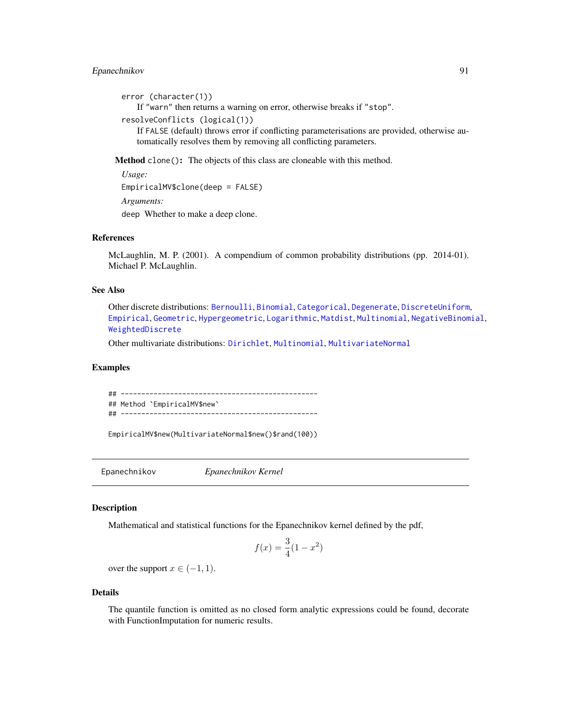# Epanechnikov 91

```
error (character(1))
```
If "warn" then returns a warning on error, otherwise breaks if "stop".

```
resolveConflicts (logical(1))
```
If FALSE (default) throws error if conflicting parameterisations are provided, otherwise automatically resolves them by removing all conflicting parameters.

Method clone(): The objects of this class are cloneable with this method.

*Usage:* EmpiricalMV\$clone(deep = FALSE) *Arguments:* deep Whether to make a deep clone.

# References

McLaughlin, M. P. (2001). A compendium of common probability distributions (pp. 2014-01). Michael P. McLaughlin.

#### See Also

Other discrete distributions: [Bernoulli](#page-12-0), [Binomial](#page-23-0), [Categorical](#page-29-0), [Degenerate](#page-55-0), [DiscreteUniform](#page-62-0), [Empirical](#page-82-0), [Geometric](#page-125-0), [Hypergeometric](#page-139-0), [Logarithmic](#page-158-0), [Matdist](#page-178-0), [Multinomial](#page-190-0), [NegativeBinomial](#page-200-0), [WeightedDiscrete](#page-302-0)

Other multivariate distributions: [Dirichlet](#page-59-0), [Multinomial](#page-190-0), [MultivariateNormal](#page-195-0)

## Examples

## ------------------------------------------------ ## Method `EmpiricalMV\$new` ## ------------------------------------------------

EmpiricalMV\$new(MultivariateNormal\$new()\$rand(100))

Epanechnikov *Epanechnikov Kernel*

#### Description

Mathematical and statistical functions for the Epanechnikov kernel defined by the pdf,

$$
f(x) = \frac{3}{4}(1 - x^2)
$$

over the support  $x \in (-1, 1)$ .

#### Details

The quantile function is omitted as no closed form analytic expressions could be found, decorate with FunctionImputation for numeric results.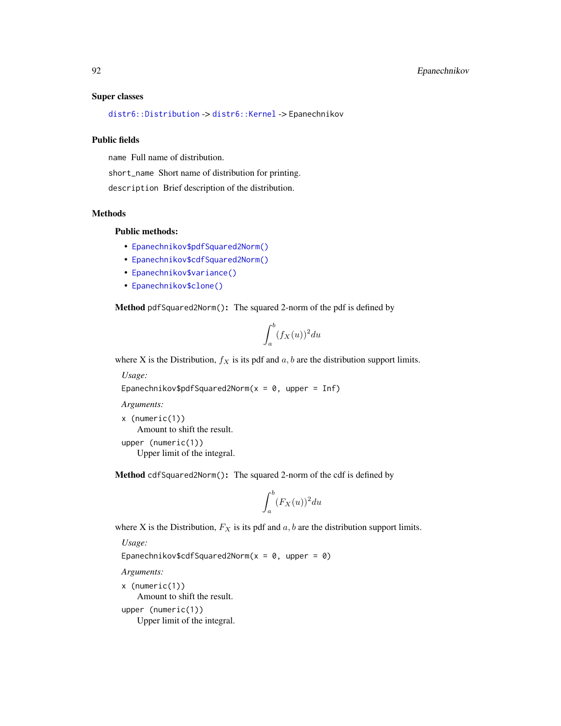#### Super classes

[distr6::Distribution](#page-0-0) -> [distr6::Kernel](#page-0-0) -> Epanechnikov

#### Public fields

name Full name of distribution.

short\_name Short name of distribution for printing.

description Brief description of the distribution.

# Methods

# Public methods:

- [Epanechnikov\\$pdfSquared2Norm\(\)](#page-52-0)
- [Epanechnikov\\$cdfSquared2Norm\(\)](#page-53-0)
- [Epanechnikov\\$variance\(\)](#page-8-1)
- [Epanechnikov\\$clone\(\)](#page-9-0)

Method pdfSquared2Norm(): The squared 2-norm of the pdf is defined by

$$
\int_a^b (f_X(u))^2 du
$$

where X is the Distribution,  $f_X$  is its pdf and  $a, b$  are the distribution support limits.

*Usage:*

```
Epanechnikov$pdfSquared2Norm(x = 0, upper = Inf)
```
*Arguments:*

x (numeric(1)) Amount to shift the result. upper (numeric(1)) Upper limit of the integral.

Method cdfSquared2Norm(): The squared 2-norm of the cdf is defined by

$$
\int_a^b (F_X(u))^2 du
$$

where X is the Distribution,  $F_X$  is its pdf and  $a, b$  are the distribution support limits.

*Usage:*

Epanechnikov\$cdfSquared2Norm( $x = 0$ , upper = 0)

*Arguments:*

x (numeric(1)) Amount to shift the result. upper (numeric(1)) Upper limit of the integral.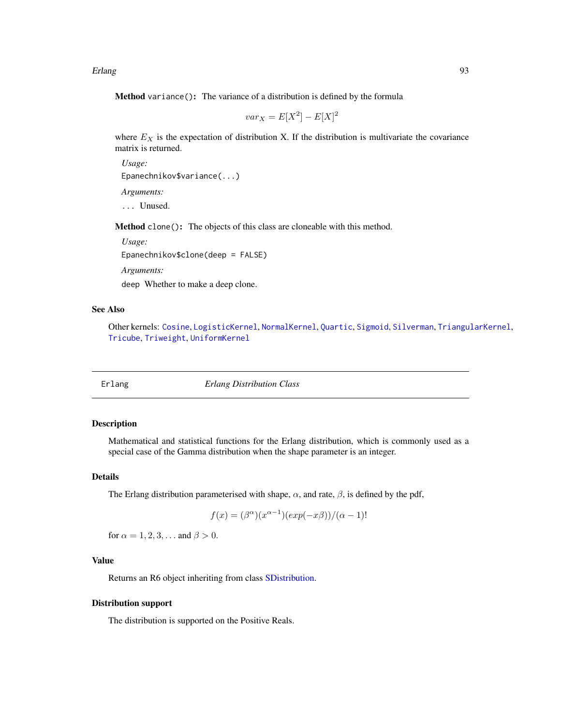Erlang 2003 - 2004 - 2006 - 2007 - 2008 - 2009 - 2009 - 2009 - 2009 - 2009 - 2009 - 2009 - 2009 - 2009 - 2009 - 2009 - 2009 - 2009 - 2009 - 2009 - 2009 - 2009 - 2009 - 2009 - 2009 - 2009 - 2009 - 2009 - 2009 - 2009 - 2009

Method variance(): The variance of a distribution is defined by the formula

$$
var_X = E[X^2] - E[X]^2
$$

where  $E_X$  is the expectation of distribution X. If the distribution is multivariate the covariance matrix is returned.

*Usage:* Epanechnikov\$variance(...) *Arguments:* ... Unused.

Method clone(): The objects of this class are cloneable with this method.

*Usage:*

Epanechnikov\$clone(deep = FALSE)

*Arguments:*

deep Whether to make a deep clone.

### See Also

Other kernels: [Cosine](#page-52-1), [LogisticKernel](#page-166-0), [NormalKernel](#page-209-0), [Quartic](#page-229-0), [Sigmoid](#page-240-0), [Silverman](#page-242-0), [TriangularKernel](#page-272-0), [Tricube](#page-273-0), [Triweight](#page-275-0), [UniformKernel](#page-284-0)

<span id="page-92-0"></span>

Erlang *Erlang Distribution Class*

# **Description**

Mathematical and statistical functions for the Erlang distribution, which is commonly used as a special case of the Gamma distribution when the shape parameter is an integer.

### Details

The Erlang distribution parameterised with shape,  $\alpha$ , and rate,  $\beta$ , is defined by the pdf,

$$
f(x) = (\beta^{\alpha})(x^{\alpha - 1})(exp(-x\beta)) / (\alpha - 1)!
$$

for  $\alpha = 1, 2, 3, \dots$  and  $\beta > 0$ .

# Value

Returns an R6 object inheriting from class [SDistribution.](#page-235-0)

### Distribution support

The distribution is supported on the Positive Reals.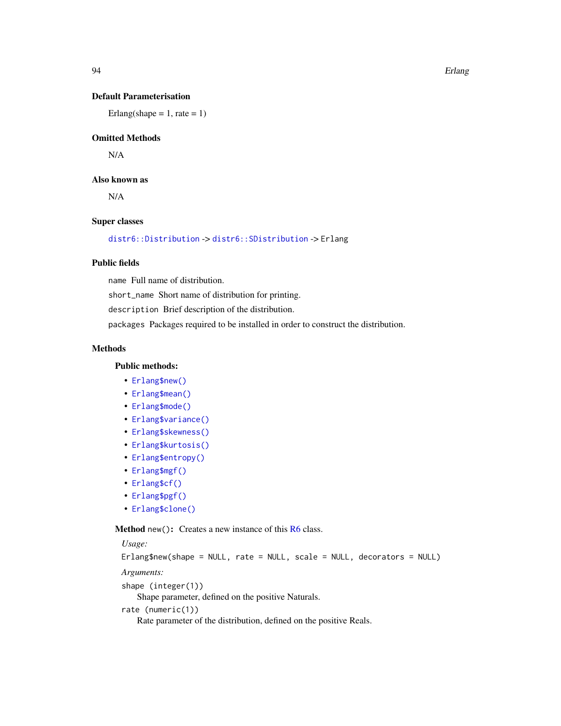94 Erlang

# Default Parameterisation

Erlang(shape = 1, rate = 1)

## Omitted Methods

N/A

# Also known as

N/A

# Super classes

[distr6::Distribution](#page-0-0) -> [distr6::SDistribution](#page-0-0) -> Erlang

# Public fields

name Full name of distribution.

short\_name Short name of distribution for printing.

description Brief description of the distribution.

packages Packages required to be installed in order to construct the distribution.

# Methods

### Public methods:

- [Erlang\\$new\(\)](#page-7-0)
- [Erlang\\$mean\(\)](#page-7-1)
- [Erlang\\$mode\(\)](#page-8-0)
- [Erlang\\$variance\(\)](#page-8-1)
- [Erlang\\$skewness\(\)](#page-8-2)
- [Erlang\\$kurtosis\(\)](#page-8-3)
- [Erlang\\$entropy\(\)](#page-9-1)
- [Erlang\\$mgf\(\)](#page-15-0)
- [Erlang\\$cf\(\)](#page-15-1)
- [Erlang\\$pgf\(\)](#page-9-2)
- [Erlang\\$clone\(\)](#page-9-0)

Method new(): Creates a new instance of this [R6](#page-0-0) class.

# *Usage:* Erlang\$new(shape = NULL, rate = NULL, scale = NULL, decorators = NULL) *Arguments:* shape (integer(1)) Shape parameter, defined on the positive Naturals. rate (numeric(1)) Rate parameter of the distribution, defined on the positive Reals.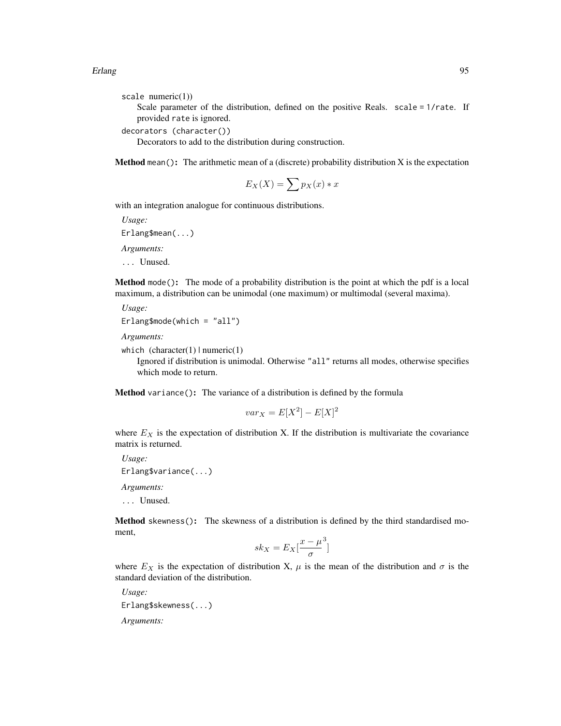#### Erlang 2008 - 2009 - 2009 - 2009 - 2009 - 2009 - 2009 - 2009 - 2009 - 2009 - 2009 - 2009 - 2009 - 2009 - 2009 - 2009 - 2009 - 2009 - 2009 - 2009 - 2009 - 2009 - 2009 - 2009 - 2009 - 2009 - 2009 - 2009 - 2009 - 2009 - 2009

```
scale numeric(1))
```
Scale parameter of the distribution, defined on the positive Reals. scale = 1/rate. If provided rate is ignored.

```
decorators (character())
```
Decorators to add to the distribution during construction.

**Method** mean(): The arithmetic mean of a (discrete) probability distribution  $X$  is the expectation

$$
E_X(X) = \sum p_X(x) * x
$$

with an integration analogue for continuous distributions.

*Usage:*

Erlang\$mean(...)

*Arguments:*

... Unused.

Method mode(): The mode of a probability distribution is the point at which the pdf is a local maximum, a distribution can be unimodal (one maximum) or multimodal (several maxima).

```
Usage:
Erlang$mode(which = "all")
```
*Arguments:*

```
which (character(1) | numeric(1))
```
Ignored if distribution is unimodal. Otherwise "all" returns all modes, otherwise specifies which mode to return.

Method variance(): The variance of a distribution is defined by the formula

$$
var_X = E[X^2] - E[X]^2
$$

where  $E_X$  is the expectation of distribution X. If the distribution is multivariate the covariance matrix is returned.

*Usage:* Erlang\$variance(...) *Arguments:*

... Unused.

Method skewness(): The skewness of a distribution is defined by the third standardised moment,

$$
sk_X = E_X \left[ \frac{x - \mu^3}{\sigma} \right]
$$

where  $E_X$  is the expectation of distribution X,  $\mu$  is the mean of the distribution and  $\sigma$  is the standard deviation of the distribution.

*Usage:* Erlang\$skewness(...) *Arguments:*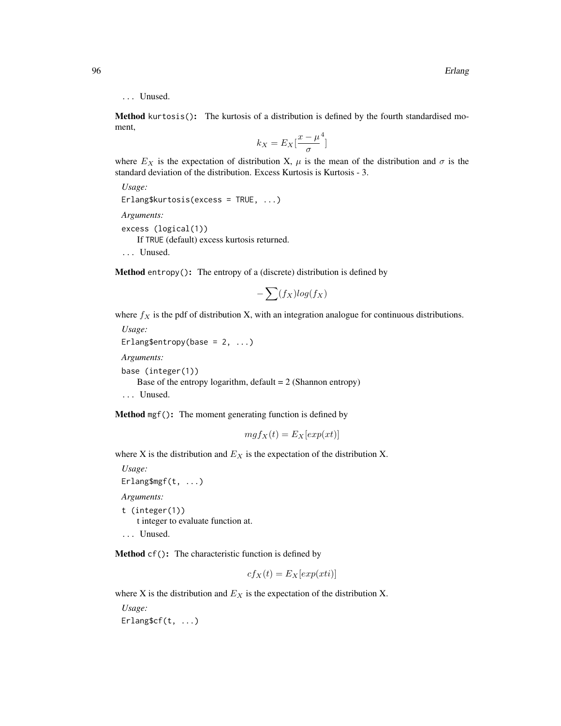# ... Unused.

Method kurtosis(): The kurtosis of a distribution is defined by the fourth standardised moment,

$$
k_X = E_X \left[ \frac{x - \mu^4}{\sigma} \right]
$$

where  $E_X$  is the expectation of distribution X,  $\mu$  is the mean of the distribution and  $\sigma$  is the standard deviation of the distribution. Excess Kurtosis is Kurtosis - 3.

```
Usage:
Erlang$kurtosis(excess = TRUE, ...)
Arguments:
excess (logical(1))
   If TRUE (default) excess kurtosis returned.
... Unused.
```
Method entropy(): The entropy of a (discrete) distribution is defined by

$$
-\sum(f_X)log(f_X)
$$

where  $f_X$  is the pdf of distribution X, with an integration analogue for continuous distributions. *Usage:*

```
Erlang$entropy(base = 2, ...)
Arguments:
base (integer(1))
   Base of the entropy logarithm, default = 2 (Shannon entropy)
... Unused.
```
Method mgf(): The moment generating function is defined by

$$
mgf_X(t) = E_X[exp(xt)]
$$

where X is the distribution and  $E<sub>X</sub>$  is the expectation of the distribution X.

*Usage:* Erlang\$mgf(t, ...) *Arguments:* t (integer(1)) t integer to evaluate function at.

... Unused.

Method cf(): The characteristic function is defined by

$$
cf_X(t) = E_X[exp(xti)]
$$

where X is the distribution and  $E<sub>X</sub>$  is the expectation of the distribution X.

*Usage:* Erlang\$cf(t, ...)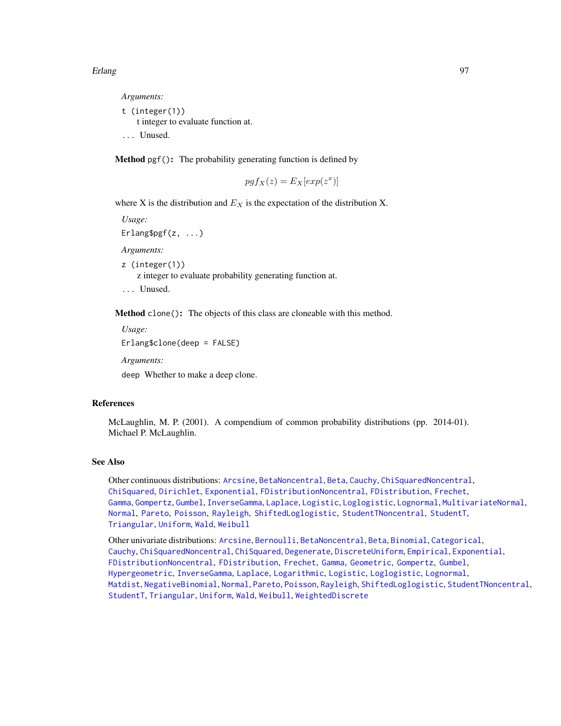#### Erlang 97

*Arguments:*

t (integer(1)) t integer to evaluate function at. ... Unused.

Method pgf(): The probability generating function is defined by

$$
pgf_X(z) = E_X[exp(z^x)]
$$

where X is the distribution and  $E<sub>X</sub>$  is the expectation of the distribution X.

*Usage:*

Erlang\$pgf(z, ...)

*Arguments:*

z (integer(1))

z integer to evaluate probability generating function at.

... Unused.

Method clone(): The objects of this class are cloneable with this method.

*Usage:*

Erlang\$clone(deep = FALSE)

*Arguments:*

deep Whether to make a deep clone.

#### References

McLaughlin, M. P. (2001). A compendium of common probability distributions (pp. 2014-01). Michael P. McLaughlin.

#### See Also

Other continuous distributions: [Arcsine](#page-6-0), [BetaNoncentral](#page-21-0), [Beta](#page-17-0), [Cauchy](#page-34-0), [ChiSquaredNoncentral](#page-43-0), [ChiSquared](#page-38-0), [Dirichlet](#page-59-0), [Exponential](#page-102-0), [FDistributionNoncentral](#page-110-0), [FDistribution](#page-106-0), [Frechet](#page-113-0), [Gamma](#page-119-0), [Gompertz](#page-129-0), [Gumbel](#page-132-0), [InverseGamma](#page-143-0), [Laplace](#page-149-0), [Logistic](#page-162-0), [Loglogistic](#page-168-0), [Lognormal](#page-172-0), [MultivariateNormal](#page-195-0), [Normal](#page-204-0), [Pareto](#page-211-0), [Poisson](#page-218-0), [Rayleigh](#page-231-0), [ShiftedLoglogistic](#page-236-0), [StudentTNoncentral](#page-249-0), [StudentT](#page-245-0), [Triangular](#page-266-0), [Uniform](#page-279-0), [Wald](#page-294-0), [Weibull](#page-298-0)

Other univariate distributions: [Arcsine](#page-6-0), [Bernoulli](#page-12-0), [BetaNoncentral](#page-21-0), [Beta](#page-17-0), [Binomial](#page-23-0), [Categorical](#page-29-0), [Cauchy](#page-34-0), [ChiSquaredNoncentral](#page-43-0), [ChiSquared](#page-38-0), [Degenerate](#page-55-0), [DiscreteUniform](#page-62-0), [Empirical](#page-82-0), [Exponential](#page-102-0), [FDistributionNoncentral](#page-110-0), [FDistribution](#page-106-0), [Frechet](#page-113-0), [Gamma](#page-119-0), [Geometric](#page-125-0), [Gompertz](#page-129-0), [Gumbel](#page-132-0), [Hypergeometric](#page-139-0), [InverseGamma](#page-143-0), [Laplace](#page-149-0), [Logarithmic](#page-158-0), [Logistic](#page-162-0), [Loglogistic](#page-168-0), [Lognormal](#page-172-0), [Matdist](#page-178-0), [NegativeBinomial](#page-200-0), [Normal](#page-204-0), [Pareto](#page-211-0), [Poisson](#page-218-0), [Rayleigh](#page-231-0), [ShiftedLoglogistic](#page-236-0), [StudentTNoncentral](#page-249-0), [StudentT](#page-245-0), [Triangular](#page-266-0), [Uniform](#page-279-0), [Wald](#page-294-0), [Weibull](#page-298-0), [WeightedDiscrete](#page-302-0)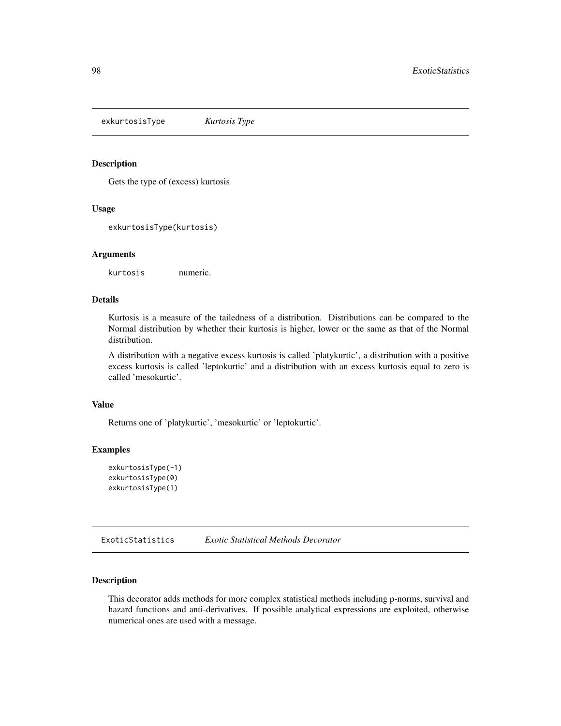exkurtosisType *Kurtosis Type*

# Description

Gets the type of (excess) kurtosis

#### Usage

exkurtosisType(kurtosis)

#### Arguments

kurtosis numeric.

# Details

Kurtosis is a measure of the tailedness of a distribution. Distributions can be compared to the Normal distribution by whether their kurtosis is higher, lower or the same as that of the Normal distribution.

A distribution with a negative excess kurtosis is called 'platykurtic', a distribution with a positive excess kurtosis is called 'leptokurtic' and a distribution with an excess kurtosis equal to zero is called 'mesokurtic'.

# Value

Returns one of 'platykurtic', 'mesokurtic' or 'leptokurtic'.

# **Examples**

```
exkurtosisType(-1)
exkurtosisType(0)
exkurtosisType(1)
```
ExoticStatistics *Exotic Statistical Methods Decorator*

# Description

This decorator adds methods for more complex statistical methods including p-norms, survival and hazard functions and anti-derivatives. If possible analytical expressions are exploited, otherwise numerical ones are used with a message.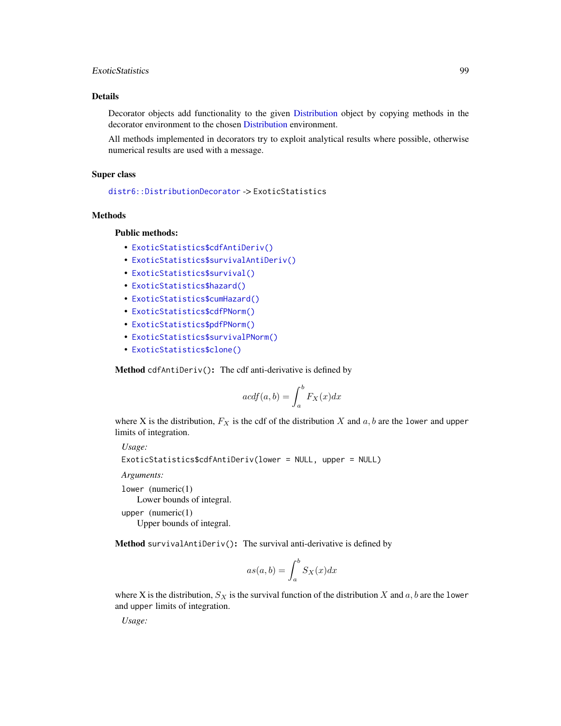# ExoticStatistics 99

# Details

Decorator objects add functionality to the given [Distribution](#page-67-0) object by copying methods in the decorator environment to the chosen [Distribution](#page-67-0) environment.

All methods implemented in decorators try to exploit analytical results where possible, otherwise numerical results are used with a message.

### Super class

[distr6::DistributionDecorator](#page-0-0) -> ExoticStatistics

#### Methods

Public methods:

- [ExoticStatistics\\$cdfAntiDeriv\(\)](#page-98-0)
- [ExoticStatistics\\$survivalAntiDeriv\(\)](#page-98-1)
- [ExoticStatistics\\$survival\(\)](#page-99-0)
- [ExoticStatistics\\$hazard\(\)](#page-99-1)
- [ExoticStatistics\\$cumHazard\(\)](#page-100-0)
- [ExoticStatistics\\$cdfPNorm\(\)](#page-100-1)
- [ExoticStatistics\\$pdfPNorm\(\)](#page-100-2)
- [ExoticStatistics\\$survivalPNorm\(\)](#page-101-0)
- [ExoticStatistics\\$clone\(\)](#page-9-0)

<span id="page-98-0"></span>Method cdfAntiDeriv(): The cdf anti-derivative is defined by

$$
acdf(a,b) = \int_{a}^{b} F_X(x)dx
$$

where X is the distribution,  $F_X$  is the cdf of the distribution X and  $a, b$  are the lower and upper limits of integration.

*Usage:*

```
ExoticStatistics$cdfAntiDeriv(lower = NULL, upper = NULL)
```
*Arguments:*

lower (numeric(1)

Lower bounds of integral.

upper (numeric(1)

Upper bounds of integral.

<span id="page-98-1"></span>Method survivalAntiDeriv(): The survival anti-derivative is defined by

$$
as(a,b) = \int_{a}^{b} S_X(x) dx
$$

where X is the distribution,  $S_X$  is the survival function of the distribution X and a, b are the lower and upper limits of integration.

*Usage:*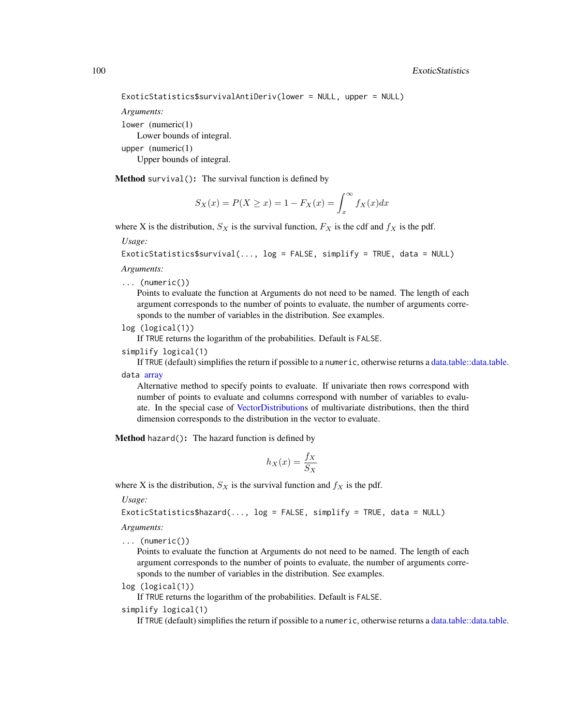100 ExoticStatistics

```
ExoticStatistics$survivalAntiDeriv(lower = NULL, upper = NULL)
```
*Arguments:*

lower (numeric(1)

Lower bounds of integral.

upper (numeric(1)

Upper bounds of integral.

<span id="page-99-0"></span>Method survival(): The survival function is defined by

$$
S_X(x) = P(X \ge x) = 1 - F_X(x) = \int_x^{\infty} f_X(x) dx
$$

where X is the distribution,  $S_X$  is the survival function,  $F_X$  is the cdf and  $f_X$  is the pdf.

*Usage:*

ExoticStatistics\$survival(..., log = FALSE, simplify = TRUE, data = NULL)

*Arguments:*

... (numeric())

Points to evaluate the function at Arguments do not need to be named. The length of each argument corresponds to the number of points to evaluate, the number of arguments corresponds to the number of variables in the distribution. See examples.

```
log (logical(1))
```
If TRUE returns the logarithm of the probabilities. Default is FALSE.

simplify logical(1)

If TRUE (default) simplifies the return if possible to a numeric, otherwise returns a [data.table::data.table.](#page-0-0) data [array](#page-0-0)

Alternative method to specify points to evaluate. If univariate then rows correspond with number of points to evaluate and columns correspond with number of variables to evaluate. In the special case of [VectorDistributions](#page-285-0) of multivariate distributions, then the third dimension corresponds to the distribution in the vector to evaluate.

<span id="page-99-1"></span>Method hazard(): The hazard function is defined by

$$
h_X(x) = \frac{f_X}{S_X}
$$

where X is the distribution,  $S_X$  is the survival function and  $f_X$  is the pdf.

*Usage:*

```
ExoticStatistics$hazard(..., log = FALSE, simplify = TRUE, data = NULL)
```
*Arguments:*

... (numeric())

Points to evaluate the function at Arguments do not need to be named. The length of each argument corresponds to the number of points to evaluate, the number of arguments corresponds to the number of variables in the distribution. See examples.

log (logical(1))

If TRUE returns the logarithm of the probabilities. Default is FALSE.

simplify logical(1)

If TRUE (default) simplifies the return if possible to a numeric, otherwise returns a [data.table::data.table.](#page-0-0)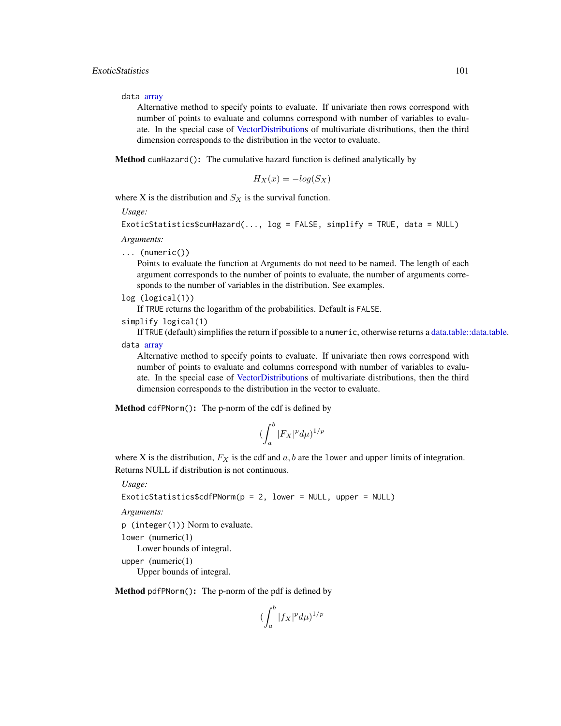data [array](#page-0-0)

Alternative method to specify points to evaluate. If univariate then rows correspond with number of points to evaluate and columns correspond with number of variables to evaluate. In the special case of [VectorDistributions](#page-285-0) of multivariate distributions, then the third dimension corresponds to the distribution in the vector to evaluate.

<span id="page-100-0"></span>Method cumHazard(): The cumulative hazard function is defined analytically by

$$
H_X(x) = -\log(S_X)
$$

where X is the distribution and  $S_X$  is the survival function.

*Usage:*

```
ExoticStatistics$cumHazard(..., log = FALSE, simplify = TRUE, data = NULL)
```
*Arguments:*

... (numeric())

Points to evaluate the function at Arguments do not need to be named. The length of each argument corresponds to the number of points to evaluate, the number of arguments corresponds to the number of variables in the distribution. See examples.

log (logical(1))

If TRUE returns the logarithm of the probabilities. Default is FALSE.

```
simplify logical(1)
```
If TRUE (default) simplifies the return if possible to a numeric, otherwise returns a [data.table::data.table.](#page-0-0) data [array](#page-0-0)

Alternative method to specify points to evaluate. If univariate then rows correspond with number of points to evaluate and columns correspond with number of variables to evaluate. In the special case of [VectorDistributions](#page-285-0) of multivariate distributions, then the third dimension corresponds to the distribution in the vector to evaluate.

<span id="page-100-1"></span>Method cdfPNorm(): The p-norm of the cdf is defined by

$$
(\int_a^b |F_X|^p d\mu)^{1/p}
$$

where X is the distribution,  $F_X$  is the cdf and  $a, b$  are the lower and upper limits of integration. Returns NULL if distribution is not continuous.

*Usage:*

```
ExoticStatistics$cdfPNorm(p = 2, lower = NULL, upper = NULL)
```
*Arguments:*

p (integer(1)) Norm to evaluate.

lower (numeric(1)

Lower bounds of integral.

upper (numeric(1)

Upper bounds of integral.

<span id="page-100-2"></span>Method pdfPNorm(): The p-norm of the pdf is defined by

$$
(\int_a^b|f_X|^pd\mu)^{1/p}
$$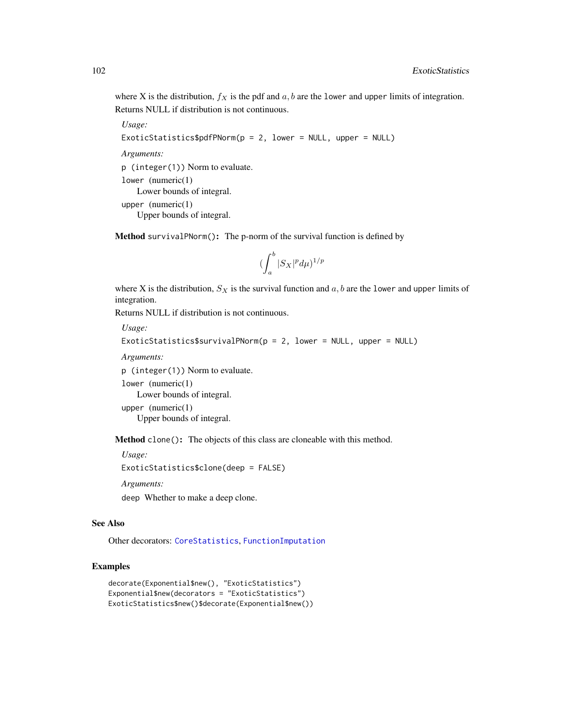where X is the distribution,  $f_X$  is the pdf and a, b are the lower and upper limits of integration. Returns NULL if distribution is not continuous.

*Usage:*

```
ExoticStatistics$pdfPNorm(p = 2, lower = NULL, upper = NULL)
```
*Arguments:*

p (integer(1)) Norm to evaluate.

lower (numeric(1) Lower bounds of integral. upper (numeric(1) Upper bounds of integral.

<span id="page-101-0"></span>Method survivalPNorm(): The p-norm of the survival function is defined by

$$
(\int_a^b |S_X|^p d\mu)^{1/p}
$$

where X is the distribution,  $S_X$  is the survival function and a, b are the lower and upper limits of integration.

Returns NULL if distribution is not continuous.

*Usage:*

```
ExoticStatistics$survivalPNorm(p = 2, lower = NULL, upper = NULL)
```
*Arguments:*

p (integer(1)) Norm to evaluate.

lower (numeric(1)

Lower bounds of integral.

upper (numeric(1) Upper bounds of integral.

Method clone(): The objects of this class are cloneable with this method.

*Usage:* ExoticStatistics\$clone(deep = FALSE) *Arguments:* deep Whether to make a deep clone.

### See Also

Other decorators: [CoreStatistics](#page-48-0), [FunctionImputation](#page-117-0)

# Examples

```
decorate(Exponential$new(), "ExoticStatistics")
Exponential$new(decorators = "ExoticStatistics")
ExoticStatistics$new()$decorate(Exponential$new())
```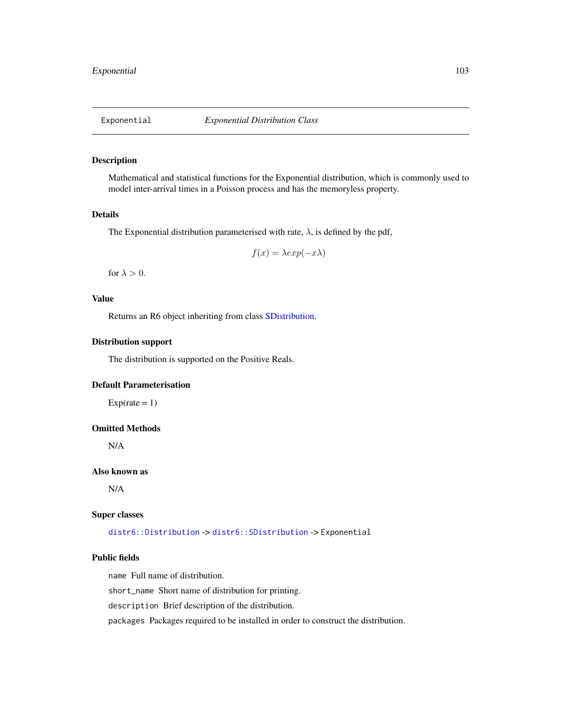<span id="page-102-0"></span>

# Description

Mathematical and statistical functions for the Exponential distribution, which is commonly used to model inter-arrival times in a Poisson process and has the memoryless property.

# Details

The Exponential distribution parameterised with rate,  $\lambda$ , is defined by the pdf,

$$
f(x) = \lambda \exp(-x\lambda)
$$

for  $\lambda > 0$ .

# Value

Returns an R6 object inheriting from class [SDistribution.](#page-235-0)

# Distribution support

The distribution is supported on the Positive Reals.

# Default Parameterisation

 $Exp(\text{rate} = 1)$ 

# Omitted Methods

N/A

#### Also known as

N/A

#### Super classes

[distr6::Distribution](#page-0-0) -> [distr6::SDistribution](#page-0-0) -> Exponential

### Public fields

name Full name of distribution.

short\_name Short name of distribution for printing.

description Brief description of the distribution.

packages Packages required to be installed in order to construct the distribution.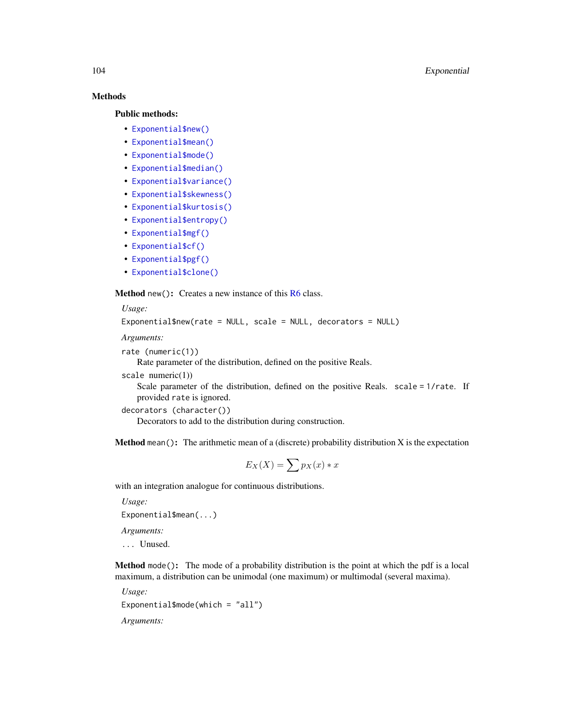# Methods

#### Public methods:

- [Exponential\\$new\(\)](#page-7-0)
- [Exponential\\$mean\(\)](#page-7-1)
- [Exponential\\$mode\(\)](#page-8-0)
- [Exponential\\$median\(\)](#page-14-0)
- [Exponential\\$variance\(\)](#page-8-1)
- [Exponential\\$skewness\(\)](#page-8-2)
- [Exponential\\$kurtosis\(\)](#page-8-3)
- [Exponential\\$entropy\(\)](#page-9-1)
- [Exponential\\$mgf\(\)](#page-15-0)
- [Exponential\\$cf\(\)](#page-15-1)
- [Exponential\\$pgf\(\)](#page-9-2)
- [Exponential\\$clone\(\)](#page-9-0)

Method new(): Creates a new instance of this [R6](#page-0-0) class.

*Usage:*

Exponential\$new(rate = NULL, scale = NULL, decorators = NULL)

*Arguments:*

```
rate (numeric(1))
```
Rate parameter of the distribution, defined on the positive Reals.

scale  $numeric(1)$ )

Scale parameter of the distribution, defined on the positive Reals. scale = 1/rate. If provided rate is ignored.

```
decorators (character())
```
Decorators to add to the distribution during construction.

**Method** mean(): The arithmetic mean of a (discrete) probability distribution  $X$  is the expectation

$$
E_X(X) = \sum p_X(x) * x
$$

with an integration analogue for continuous distributions.

*Usage:* Exponential\$mean(...)

*Arguments:*

... Unused.

Method mode(): The mode of a probability distribution is the point at which the pdf is a local maximum, a distribution can be unimodal (one maximum) or multimodal (several maxima).

*Usage:* Exponential\$mode(which = "all") *Arguments:*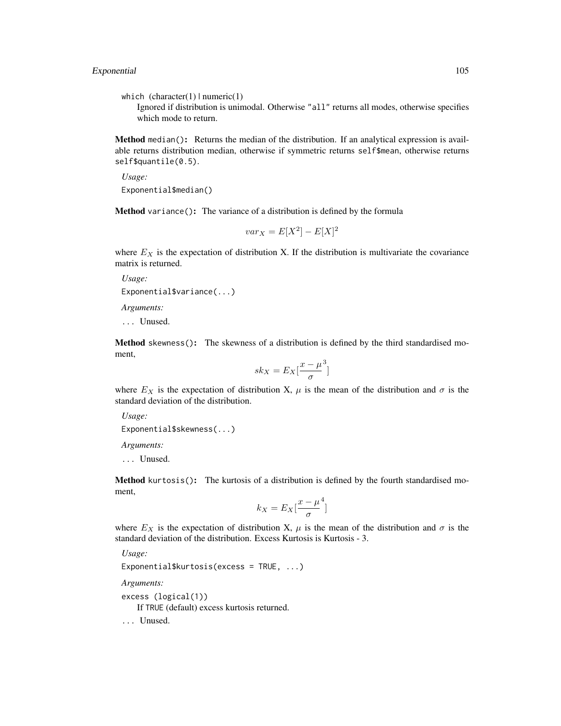which  $(character(1) | numeric(1))$ 

Ignored if distribution is unimodal. Otherwise "all" returns all modes, otherwise specifies which mode to return.

Method median(): Returns the median of the distribution. If an analytical expression is available returns distribution median, otherwise if symmetric returns self\$mean, otherwise returns self\$quantile(0.5).

*Usage:* Exponential\$median()

Method variance(): The variance of a distribution is defined by the formula

$$
var_X = E[X^2] - E[X]^2
$$

where  $E<sub>X</sub>$  is the expectation of distribution X. If the distribution is multivariate the covariance matrix is returned.

*Usage:* Exponential\$variance(...) *Arguments:*

... Unused.

Method skewness(): The skewness of a distribution is defined by the third standardised moment,

$$
sk_X = E_X \left[ \frac{x - \mu^3}{\sigma} \right]
$$

where  $E_X$  is the expectation of distribution X,  $\mu$  is the mean of the distribution and  $\sigma$  is the standard deviation of the distribution.

*Usage:*

```
Exponential$skewness(...)
```
*Arguments:*

... Unused.

Method kurtosis(): The kurtosis of a distribution is defined by the fourth standardised moment,

$$
k_X = E_X \left[ \frac{x - \mu^4}{\sigma} \right]
$$

where  $E_X$  is the expectation of distribution X,  $\mu$  is the mean of the distribution and  $\sigma$  is the standard deviation of the distribution. Excess Kurtosis is Kurtosis - 3.

*Usage:*

Exponential\$kurtosis(excess = TRUE, ...)

*Arguments:*

excess (logical(1))

If TRUE (default) excess kurtosis returned.

... Unused.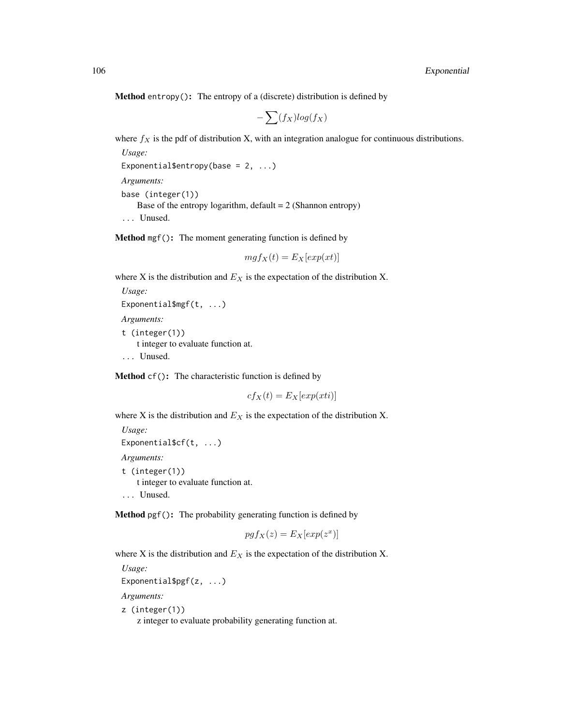**Method** entropy(): The entropy of a (discrete) distribution is defined by

$$
-\sum(f_X)log(f_X)
$$

where  $f_X$  is the pdf of distribution X, with an integration analogue for continuous distributions.

*Usage:* Exponential\$entropy(base =  $2, ...$ )

*Arguments:*

base (integer(1)) Base of the entropy logarithm, default  $= 2$  (Shannon entropy) ... Unused.

Method mgf(): The moment generating function is defined by

$$
mgf_X(t) = E_X[exp(xt)]
$$

where X is the distribution and  $E_X$  is the expectation of the distribution X.

```
Usage:
Exponential$mgf(t, ...)
Arguments:
```
t (integer(1)) t integer to evaluate function at. ... Unused.

Method cf(): The characteristic function is defined by

 $cf_X(t) = E_X[exp(xti)]$ 

where X is the distribution and  $E<sub>X</sub>$  is the expectation of the distribution X.

```
Usage:
Exponential$cf(t, ...)
Arguments:
t (integer(1))
   t integer to evaluate function at.
... Unused.
```
Method pgf(): The probability generating function is defined by

$$
pgf_X(z) = E_X[exp(z^x)]
$$

where X is the distribution and  $E<sub>X</sub>$  is the expectation of the distribution X.

*Usage:*

```
Exponential$pgf(z, ...)
```
*Arguments:*

z (integer(1))

z integer to evaluate probability generating function at.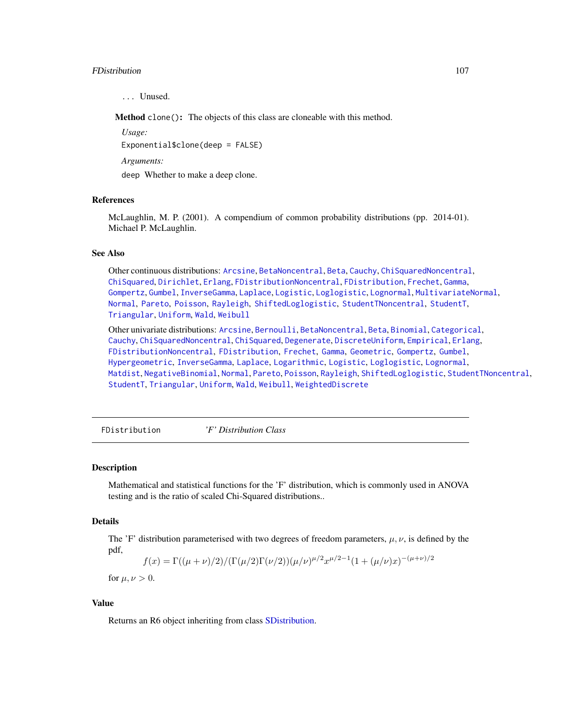#### FDistribution 107

... Unused.

Method clone(): The objects of this class are cloneable with this method.

*Usage:*

Exponential\$clone(deep = FALSE)

*Arguments:*

deep Whether to make a deep clone.

#### References

McLaughlin, M. P. (2001). A compendium of common probability distributions (pp. 2014-01). Michael P. McLaughlin.

#### See Also

Other continuous distributions: [Arcsine](#page-6-0), [BetaNoncentral](#page-21-0), [Beta](#page-17-0), [Cauchy](#page-34-0), [ChiSquaredNoncentral](#page-43-0), [ChiSquared](#page-38-0), [Dirichlet](#page-59-0), [Erlang](#page-92-0), [FDistributionNoncentral](#page-110-0), [FDistribution](#page-106-0), [Frechet](#page-113-0), [Gamma](#page-119-0), [Gompertz](#page-129-0), [Gumbel](#page-132-0), [InverseGamma](#page-143-0), [Laplace](#page-149-0), [Logistic](#page-162-0), [Loglogistic](#page-168-0), [Lognormal](#page-172-0), [MultivariateNormal](#page-195-0), [Normal](#page-204-0), [Pareto](#page-211-0), [Poisson](#page-218-0), [Rayleigh](#page-231-0), [ShiftedLoglogistic](#page-236-0), [StudentTNoncentral](#page-249-0), [StudentT](#page-245-0), [Triangular](#page-266-0), [Uniform](#page-279-0), [Wald](#page-294-0), [Weibull](#page-298-0)

Other univariate distributions: [Arcsine](#page-6-0), [Bernoulli](#page-12-0), [BetaNoncentral](#page-21-0), [Beta](#page-17-0), [Binomial](#page-23-0), [Categorical](#page-29-0), [Cauchy](#page-34-0), [ChiSquaredNoncentral](#page-43-0), [ChiSquared](#page-38-0), [Degenerate](#page-55-0), [DiscreteUniform](#page-62-0), [Empirical](#page-82-0), [Erlang](#page-92-0), [FDistributionNoncentral](#page-110-0), [FDistribution](#page-106-0), [Frechet](#page-113-0), [Gamma](#page-119-0), [Geometric](#page-125-0), [Gompertz](#page-129-0), [Gumbel](#page-132-0), [Hypergeometric](#page-139-0), [InverseGamma](#page-143-0), [Laplace](#page-149-0), [Logarithmic](#page-158-0), [Logistic](#page-162-0), [Loglogistic](#page-168-0), [Lognormal](#page-172-0), [Matdist](#page-178-0), [NegativeBinomial](#page-200-0), [Normal](#page-204-0), [Pareto](#page-211-0), [Poisson](#page-218-0), [Rayleigh](#page-231-0), [ShiftedLoglogistic](#page-236-0), [StudentTNoncentral](#page-249-0), [StudentT](#page-245-0), [Triangular](#page-266-0), [Uniform](#page-279-0), [Wald](#page-294-0), [Weibull](#page-298-0), [WeightedDiscrete](#page-302-0)

<span id="page-106-0"></span>FDistribution *'F' Distribution Class*

# **Description**

Mathematical and statistical functions for the 'F' distribution, which is commonly used in ANOVA testing and is the ratio of scaled Chi-Squared distributions..

#### Details

The 'F' distribution parameterised with two degrees of freedom parameters,  $\mu$ ,  $\nu$ , is defined by the pdf,

$$
f(x) = \Gamma((\mu + \nu)/2)/(\Gamma(\mu/2)\Gamma(\nu/2))(\mu/\nu)^{\mu/2}x^{\mu/2 - 1}(1 + (\mu/\nu)x)^{-(\mu + \nu)/2}
$$

for  $\mu, \nu > 0$ .

#### Value

Returns an R6 object inheriting from class [SDistribution.](#page-235-0)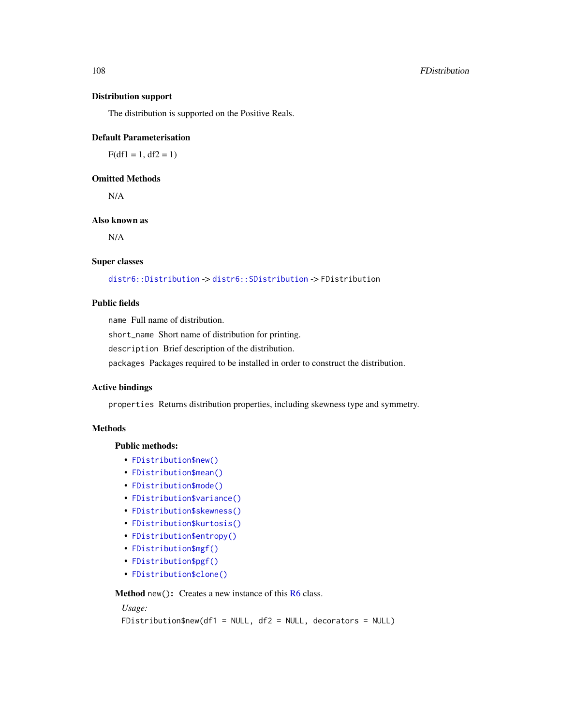#### 108 FDistribution **F**Distribution

#### Distribution support

The distribution is supported on the Positive Reals.

### Default Parameterisation

 $F(df1 = 1, df2 = 1)$ 

# Omitted Methods

N/A

# Also known as

N/A

# Super classes

[distr6::Distribution](#page-0-0) -> [distr6::SDistribution](#page-0-0) -> FDistribution

# Public fields

name Full name of distribution.

short\_name Short name of distribution for printing.

description Brief description of the distribution.

packages Packages required to be installed in order to construct the distribution.

# Active bindings

properties Returns distribution properties, including skewness type and symmetry.

# **Methods**

### Public methods:

- [FDistribution\\$new\(\)](#page-7-0)
- [FDistribution\\$mean\(\)](#page-7-1)
- [FDistribution\\$mode\(\)](#page-8-0)
- [FDistribution\\$variance\(\)](#page-8-1)
- [FDistribution\\$skewness\(\)](#page-8-2)
- [FDistribution\\$kurtosis\(\)](#page-8-3)
- [FDistribution\\$entropy\(\)](#page-9-1)
- [FDistribution\\$mgf\(\)](#page-15-0)
- [FDistribution\\$pgf\(\)](#page-9-2)
- [FDistribution\\$clone\(\)](#page-9-0)

Method new(): Creates a new instance of this [R6](#page-0-0) class.

# *Usage:*

FDistribution\$new(df1 = NULL, df2 = NULL, decorators = NULL)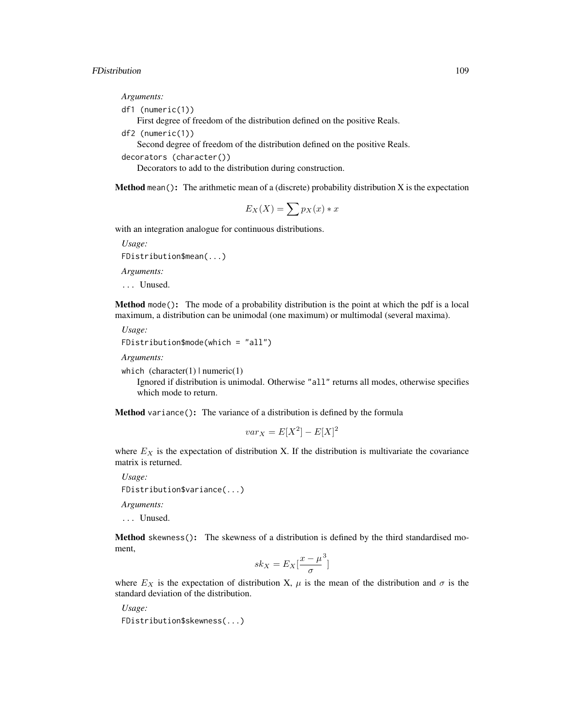*Arguments:*

```
df1 (numeric(1))
```
First degree of freedom of the distribution defined on the positive Reals.

df2 (numeric(1))

Second degree of freedom of the distribution defined on the positive Reals.

decorators (character())

Decorators to add to the distribution during construction.

**Method** mean(): The arithmetic mean of a (discrete) probability distribution  $X$  is the expectation

$$
E_X(X) = \sum p_X(x) * x
$$

with an integration analogue for continuous distributions.

*Usage:* FDistribution\$mean(...) *Arguments:*

... Unused.

Method mode(): The mode of a probability distribution is the point at which the pdf is a local maximum, a distribution can be unimodal (one maximum) or multimodal (several maxima).

*Usage:*

```
FDistribution$mode(which = "all")
```
*Arguments:*

```
which (character(1) | numeric(1))
```
Ignored if distribution is unimodal. Otherwise "all" returns all modes, otherwise specifies which mode to return.

Method variance(): The variance of a distribution is defined by the formula

$$
var_X = E[X^2] - E[X]^2
$$

where  $E_X$  is the expectation of distribution X. If the distribution is multivariate the covariance matrix is returned.

*Usage:*

FDistribution\$variance(...)

*Arguments:*

... Unused.

Method skewness(): The skewness of a distribution is defined by the third standardised moment,

$$
sk_X = E_X \left[ \frac{x - \mu^3}{\sigma} \right]
$$

where  $E_X$  is the expectation of distribution X,  $\mu$  is the mean of the distribution and  $\sigma$  is the standard deviation of the distribution.

*Usage:* FDistribution\$skewness(...)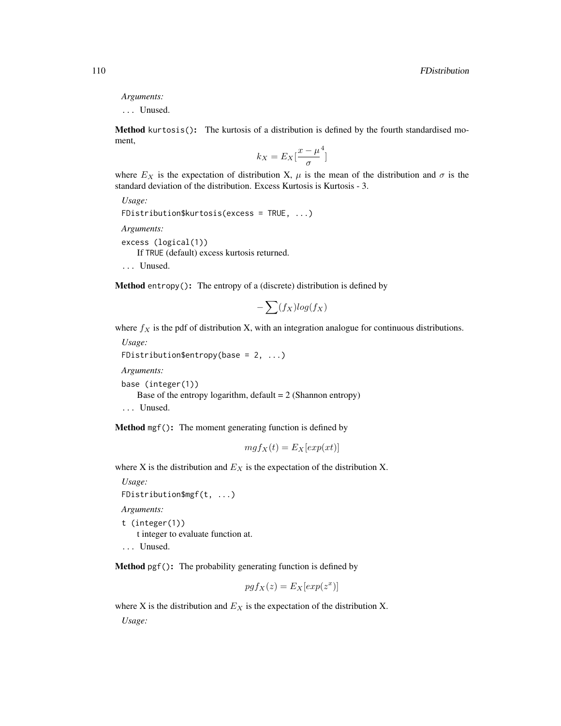```
Arguments:
```
... Unused.

Method kurtosis(): The kurtosis of a distribution is defined by the fourth standardised moment,

$$
k_X = E_X \left[ \frac{x - \mu^4}{\sigma} \right]
$$

where  $E_X$  is the expectation of distribution X,  $\mu$  is the mean of the distribution and  $\sigma$  is the standard deviation of the distribution. Excess Kurtosis is Kurtosis - 3.

```
Usage:
FDistribution$kurtosis(excess = TRUE, ...)
Arguments:
excess (logical(1))
   If TRUE (default) excess kurtosis returned.
... Unused.
```
Method entropy(): The entropy of a (discrete) distribution is defined by

$$
-\sum(f_X)log(f_X)
$$

where  $f_X$  is the pdf of distribution X, with an integration analogue for continuous distributions.

```
Usage:
```

```
FDistribution$entropy(base = 2, ...)
```
*Arguments:*

base (integer(1))

Base of the entropy logarithm, default  $= 2$  (Shannon entropy)

... Unused.

Method mgf(): The moment generating function is defined by

$$
mgf_X(t) = E_X[exp(xt)]
$$

where X is the distribution and  $E<sub>X</sub>$  is the expectation of the distribution X.

```
Usage:
FDistribution$mgf(t, ...)
```
*Arguments:*

```
t (integer(1))
   t integer to evaluate function at.
```
... Unused.

Method pgf(): The probability generating function is defined by

$$
pgf_X(z) = E_X[exp(z^x)]
$$

where X is the distribution and  $E<sub>X</sub>$  is the expectation of the distribution X. *Usage:*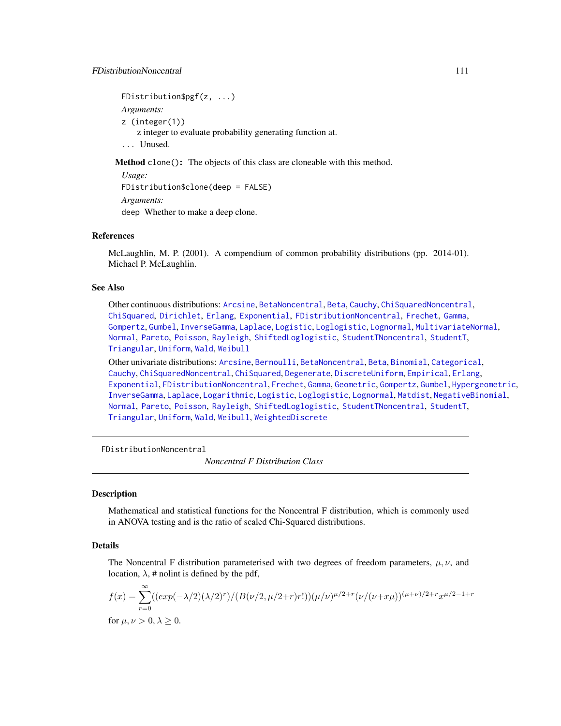FDistribution\$pgf(z, ...) *Arguments:* z (integer(1)) z integer to evaluate probability generating function at. ... Unused.

Method clone(): The objects of this class are cloneable with this method.

*Usage:* FDistribution\$clone(deep = FALSE) *Arguments:* deep Whether to make a deep clone.

## References

McLaughlin, M. P. (2001). A compendium of common probability distributions (pp. 2014-01). Michael P. McLaughlin.

## See Also

Other continuous distributions: [Arcsine](#page-6-0), [BetaNoncentral](#page-21-0), [Beta](#page-17-0), [Cauchy](#page-34-0), [ChiSquaredNoncentral](#page-43-0), [ChiSquared](#page-38-0), [Dirichlet](#page-59-0), [Erlang](#page-92-0), [Exponential](#page-102-0), [FDistributionNoncentral](#page-110-0), [Frechet](#page-113-0), [Gamma](#page-119-0), [Gompertz](#page-129-0), [Gumbel](#page-132-0), [InverseGamma](#page-143-0), [Laplace](#page-149-0), [Logistic](#page-162-0), [Loglogistic](#page-168-0), [Lognormal](#page-172-0), [MultivariateNormal](#page-195-0), [Normal](#page-204-0), [Pareto](#page-211-0), [Poisson](#page-218-0), [Rayleigh](#page-231-0), [ShiftedLoglogistic](#page-236-0), [StudentTNoncentral](#page-249-0), [StudentT](#page-245-0), [Triangular](#page-266-0), [Uniform](#page-279-0), [Wald](#page-294-0), [Weibull](#page-298-0)

Other univariate distributions: [Arcsine](#page-6-0), [Bernoulli](#page-12-0), [BetaNoncentral](#page-21-0), [Beta](#page-17-0), [Binomial](#page-23-0), [Categorical](#page-29-0), [Cauchy](#page-34-0), [ChiSquaredNoncentral](#page-43-0), [ChiSquared](#page-38-0), [Degenerate](#page-55-0), [DiscreteUniform](#page-62-0), [Empirical](#page-82-0), [Erlang](#page-92-0), [Exponential](#page-102-0), [FDistributionNoncentral](#page-110-0), [Frechet](#page-113-0), [Gamma](#page-119-0), [Geometric](#page-125-0), [Gompertz](#page-129-0), [Gumbel](#page-132-0), [Hypergeometric](#page-139-0), [InverseGamma](#page-143-0), [Laplace](#page-149-0), [Logarithmic](#page-158-0), [Logistic](#page-162-0), [Loglogistic](#page-168-0), [Lognormal](#page-172-0), [Matdist](#page-178-0), [NegativeBinomial](#page-200-0), [Normal](#page-204-0), [Pareto](#page-211-0), [Poisson](#page-218-0), [Rayleigh](#page-231-0), [ShiftedLoglogistic](#page-236-0), [StudentTNoncentral](#page-249-0), [StudentT](#page-245-0), [Triangular](#page-266-0), [Uniform](#page-279-0), [Wald](#page-294-0), [Weibull](#page-298-0), [WeightedDiscrete](#page-302-0)

<span id="page-110-0"></span>FDistributionNoncentral

*Noncentral F Distribution Class*

# **Description**

Mathematical and statistical functions for the Noncentral F distribution, which is commonly used in ANOVA testing and is the ratio of scaled Chi-Squared distributions.

# Details

The Noncentral F distribution parameterised with two degrees of freedom parameters,  $\mu, \nu$ , and location,  $\lambda$ , # nolint is defined by the pdf,

$$
f(x) = \sum_{r=0}^{\infty} ((exp(-\lambda/2)(\lambda/2)^r) / (B(\nu/2, \mu/2+r)r!))(\mu/\nu)^{\mu/2+r} (\nu/(\nu+x\mu))^{(\mu+\nu)/2+r} x^{\mu/2-1+r}
$$
  
for  $\mu, \nu > 0, \lambda \ge 0$ .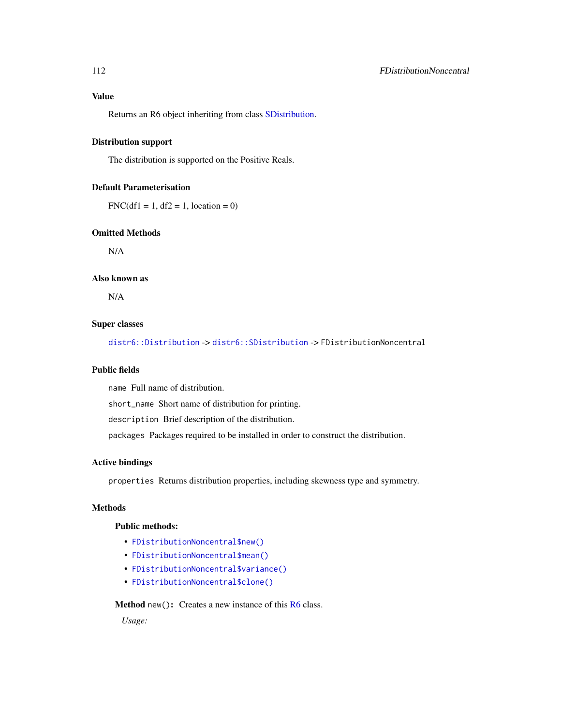Returns an R6 object inheriting from class [SDistribution.](#page-235-0)

# Distribution support

The distribution is supported on the Positive Reals.

# Default Parameterisation

 $FNC(df1 = 1, df2 = 1, location = 0)$ 

# Omitted Methods

N/A

## Also known as

N/A

## Super classes

[distr6::Distribution](#page-0-0) -> [distr6::SDistribution](#page-0-0) -> FDistributionNoncentral

## Public fields

name Full name of distribution.

short\_name Short name of distribution for printing.

description Brief description of the distribution.

packages Packages required to be installed in order to construct the distribution.

# Active bindings

properties Returns distribution properties, including skewness type and symmetry.

# Methods

## Public methods:

- [FDistributionNoncentral\\$new\(\)](#page-7-0)
- [FDistributionNoncentral\\$mean\(\)](#page-7-1)
- [FDistributionNoncentral\\$variance\(\)](#page-8-0)
- [FDistributionNoncentral\\$clone\(\)](#page-9-0)

# Method new(): Creates a new instance of this [R6](#page-0-0) class.

*Usage:*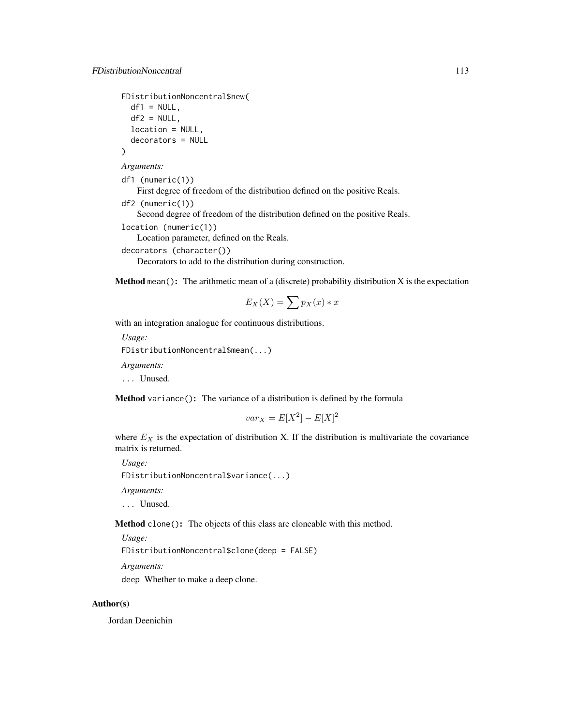```
FDistributionNoncentral$new(
  df1 = NULL,
  df2 = NULL,
  location = NULL,
  decorators = NULL
)
```
*Arguments:*

df1 (numeric(1)) First degree of freedom of the distribution defined on the positive Reals.

```
df2 (numeric(1))
```
Second degree of freedom of the distribution defined on the positive Reals.

```
location (numeric(1))
```
Location parameter, defined on the Reals.

```
decorators (character())
```
Decorators to add to the distribution during construction.

**Method** mean(): The arithmetic mean of a (discrete) probability distribution  $X$  is the expectation

$$
E_X(X) = \sum p_X(x) * x
$$

with an integration analogue for continuous distributions.

```
Usage:
FDistributionNoncentral$mean(...)
Arguments:
```
... Unused.

Method variance(): The variance of a distribution is defined by the formula

$$
var_X = E[X^2] - E[X]^2
$$

where  $E<sub>X</sub>$  is the expectation of distribution X. If the distribution is multivariate the covariance matrix is returned.

*Usage:*

FDistributionNoncentral\$variance(...)

*Arguments:*

... Unused.

Method clone(): The objects of this class are cloneable with this method.

*Usage:*

FDistributionNoncentral\$clone(deep = FALSE)

*Arguments:*

deep Whether to make a deep clone.

## Author(s)

Jordan Deenichin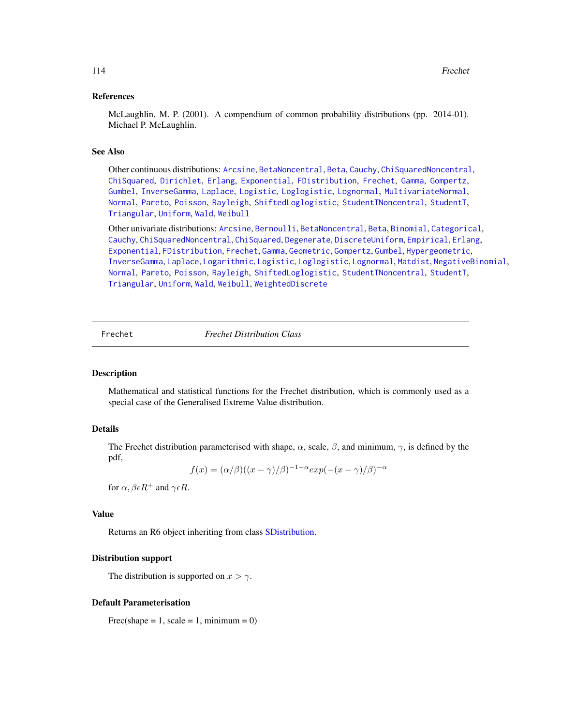## References

McLaughlin, M. P. (2001). A compendium of common probability distributions (pp. 2014-01). Michael P. McLaughlin.

### See Also

Other continuous distributions: [Arcsine](#page-6-0), [BetaNoncentral](#page-21-0), [Beta](#page-17-0), [Cauchy](#page-34-0), [ChiSquaredNoncentral](#page-43-0), [ChiSquared](#page-38-0), [Dirichlet](#page-59-0), [Erlang](#page-92-0), [Exponential](#page-102-0), [FDistribution](#page-106-0), [Frechet](#page-113-0), [Gamma](#page-119-0), [Gompertz](#page-129-0), [Gumbel](#page-132-0), [InverseGamma](#page-143-0), [Laplace](#page-149-0), [Logistic](#page-162-0), [Loglogistic](#page-168-0), [Lognormal](#page-172-0), [MultivariateNormal](#page-195-0), [Normal](#page-204-0), [Pareto](#page-211-0), [Poisson](#page-218-0), [Rayleigh](#page-231-0), [ShiftedLoglogistic](#page-236-0), [StudentTNoncentral](#page-249-0), [StudentT](#page-245-0), [Triangular](#page-266-0), [Uniform](#page-279-0), [Wald](#page-294-0), [Weibull](#page-298-0)

Other univariate distributions: [Arcsine](#page-6-0), [Bernoulli](#page-12-0), [BetaNoncentral](#page-21-0), [Beta](#page-17-0), [Binomial](#page-23-0), [Categorical](#page-29-0), [Cauchy](#page-34-0), [ChiSquaredNoncentral](#page-43-0), [ChiSquared](#page-38-0), [Degenerate](#page-55-0), [DiscreteUniform](#page-62-0), [Empirical](#page-82-0), [Erlang](#page-92-0), [Exponential](#page-102-0), [FDistribution](#page-106-0), [Frechet](#page-113-0), [Gamma](#page-119-0), [Geometric](#page-125-0), [Gompertz](#page-129-0), [Gumbel](#page-132-0), [Hypergeometric](#page-139-0), [InverseGamma](#page-143-0), [Laplace](#page-149-0), [Logarithmic](#page-158-0), [Logistic](#page-162-0), [Loglogistic](#page-168-0), [Lognormal](#page-172-0), [Matdist](#page-178-0), [NegativeBinomial](#page-200-0), [Normal](#page-204-0), [Pareto](#page-211-0), [Poisson](#page-218-0), [Rayleigh](#page-231-0), [ShiftedLoglogistic](#page-236-0), [StudentTNoncentral](#page-249-0), [StudentT](#page-245-0), [Triangular](#page-266-0), [Uniform](#page-279-0), [Wald](#page-294-0), [Weibull](#page-298-0), [WeightedDiscrete](#page-302-0)

<span id="page-113-0"></span>

Frechet *Frechet Distribution Class*

# **Description**

Mathematical and statistical functions for the Frechet distribution, which is commonly used as a special case of the Generalised Extreme Value distribution.

# Details

The Frechet distribution parameterised with shape,  $\alpha$ , scale,  $\beta$ , and minimum,  $\gamma$ , is defined by the pdf,

$$
f(x) = (\alpha/\beta)((x - \gamma)/\beta)^{-1-\alpha} exp(-(x - \gamma)/\beta)^{-\alpha}
$$

for  $\alpha$ ,  $\beta \epsilon R^+$  and  $\gamma \epsilon R$ .

# Value

Returns an R6 object inheriting from class [SDistribution.](#page-235-0)

#### Distribution support

The distribution is supported on  $x > \gamma$ .

#### Default Parameterisation

 $Frec(*shape* = 1, *scale* = 1, *minimum* = 0)$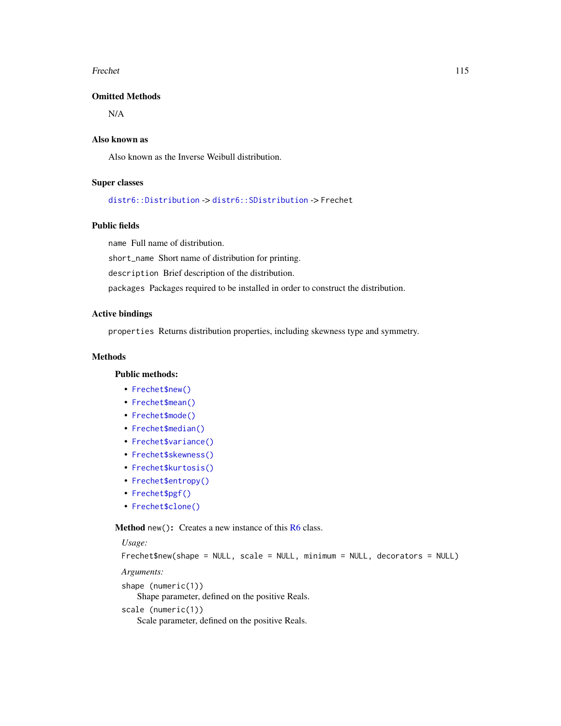#### Frechet 115

# Omitted Methods

N/A

# Also known as

Also known as the Inverse Weibull distribution.

# Super classes

[distr6::Distribution](#page-0-0) -> [distr6::SDistribution](#page-0-0) -> Frechet

## Public fields

name Full name of distribution.

short\_name Short name of distribution for printing.

description Brief description of the distribution.

packages Packages required to be installed in order to construct the distribution.

## Active bindings

properties Returns distribution properties, including skewness type and symmetry.

## **Methods**

## Public methods:

- [Frechet\\$new\(\)](#page-7-0)
- [Frechet\\$mean\(\)](#page-7-1)
- [Frechet\\$mode\(\)](#page-8-1)
- [Frechet\\$median\(\)](#page-14-0)
- [Frechet\\$variance\(\)](#page-8-0)
- [Frechet\\$skewness\(\)](#page-8-2)
- [Frechet\\$kurtosis\(\)](#page-8-3)
- [Frechet\\$entropy\(\)](#page-9-1)
- [Frechet\\$pgf\(\)](#page-9-2)
- [Frechet\\$clone\(\)](#page-9-0)

Method new(): Creates a new instance of this [R6](#page-0-0) class.

## *Usage:*

```
Frechet$new(shape = NULL, scale = NULL, minimum = NULL, decorators = NULL)
```
*Arguments:*

```
shape (numeric(1))
```
Shape parameter, defined on the positive Reals.

```
scale (numeric(1))
```
Scale parameter, defined on the positive Reals.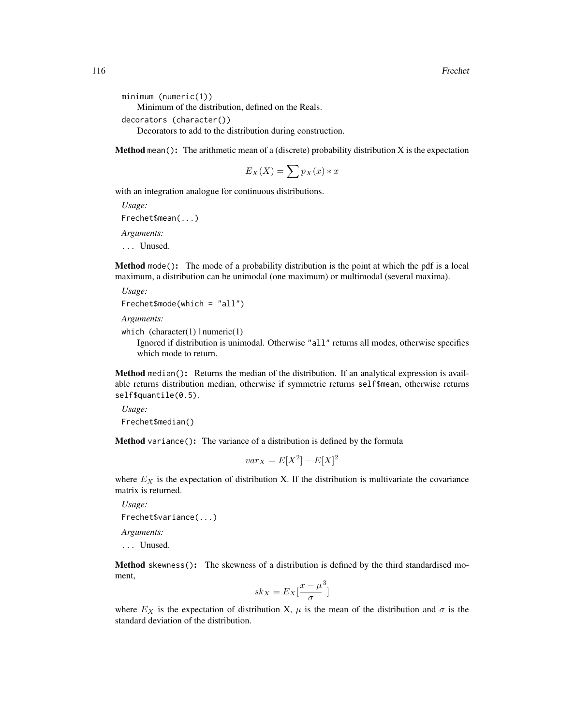```
minimum (numeric(1))
   Minimum of the distribution, defined on the Reals.
decorators (character())
```
Decorators to add to the distribution during construction.

**Method** mean(): The arithmetic mean of a (discrete) probability distribution  $X$  is the expectation

$$
E_X(X) = \sum p_X(x) * x
$$

with an integration analogue for continuous distributions.

*Usage:* Frechet\$mean(...) *Arguments:*

... Unused.

Method mode(): The mode of a probability distribution is the point at which the pdf is a local maximum, a distribution can be unimodal (one maximum) or multimodal (several maxima).

*Usage:*

```
Frechet$mode(which = "all")
```
*Arguments:*

```
which (character(1) | numeric(1))
```
Ignored if distribution is unimodal. Otherwise "all" returns all modes, otherwise specifies which mode to return.

Method median(): Returns the median of the distribution. If an analytical expression is available returns distribution median, otherwise if symmetric returns self\$mean, otherwise returns self\$quantile(0.5).

*Usage:* Frechet\$median()

Method variance(): The variance of a distribution is defined by the formula

$$
var_X = E[X^2] - E[X]^2
$$

where  $E<sub>X</sub>$  is the expectation of distribution X. If the distribution is multivariate the covariance matrix is returned.

*Usage:* Frechet\$variance(...) *Arguments:*

... Unused.

Method skewness(): The skewness of a distribution is defined by the third standardised moment,

$$
sk_X = E_X \left[ \frac{x - \mu^3}{\sigma} \right]
$$

where  $E_X$  is the expectation of distribution X,  $\mu$  is the mean of the distribution and  $\sigma$  is the standard deviation of the distribution.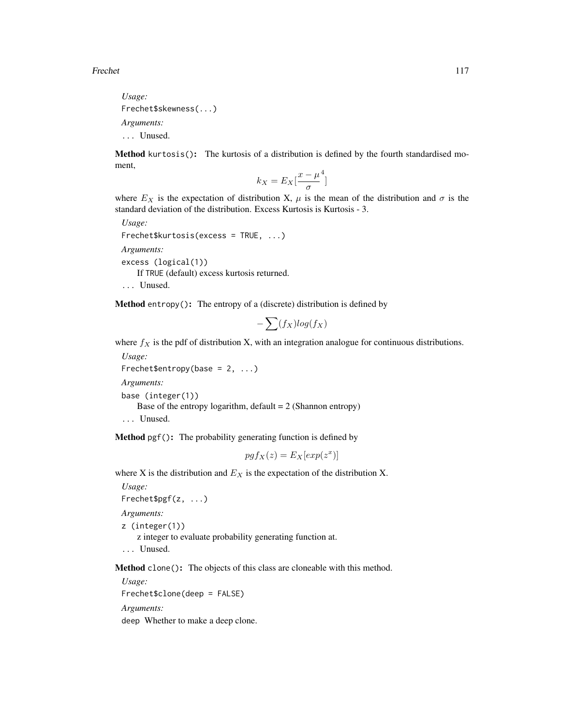*Usage:* Frechet\$skewness(...) *Arguments:* ... Unused.

Method kurtosis(): The kurtosis of a distribution is defined by the fourth standardised moment,

$$
k_X = E_X \left[ \frac{x - \mu^4}{\sigma} \right]
$$

where  $E_X$  is the expectation of distribution X,  $\mu$  is the mean of the distribution and  $\sigma$  is the standard deviation of the distribution. Excess Kurtosis is Kurtosis - 3.

*Usage:* Frechet\$kurtosis(excess = TRUE, ...) *Arguments:* excess (logical(1)) If TRUE (default) excess kurtosis returned. ... Unused.

Method entropy(): The entropy of a (discrete) distribution is defined by

$$
-\sum(f_X)log(f_X)
$$

where  $f_X$  is the pdf of distribution X, with an integration analogue for continuous distributions.

```
Usage:
Frechet$entropy(base = 2, ...)
Arguments:
base (integer(1))
   Base of the entropy logarithm, default = 2 (Shannon entropy)
... Unused.
```
Method pgf(): The probability generating function is defined by

$$
pgf_X(z) = E_X[exp(z^x)]
$$

where X is the distribution and  $E<sub>X</sub>$  is the expectation of the distribution X.

*Usage:* Frechet\$pgf(z, ...) *Arguments:* z (integer(1)) z integer to evaluate probability generating function at. ... Unused.

Method clone(): The objects of this class are cloneable with this method.

*Usage:* Frechet\$clone(deep = FALSE) *Arguments:* deep Whether to make a deep clone.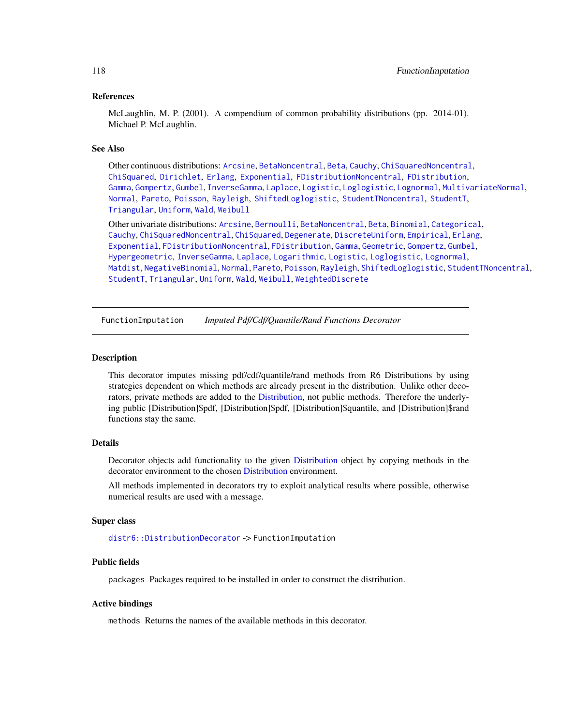## References

McLaughlin, M. P. (2001). A compendium of common probability distributions (pp. 2014-01). Michael P. McLaughlin.

## See Also

Other continuous distributions: [Arcsine](#page-6-0), [BetaNoncentral](#page-21-0), [Beta](#page-17-0), [Cauchy](#page-34-0), [ChiSquaredNoncentral](#page-43-0), [ChiSquared](#page-38-0), [Dirichlet](#page-59-0), [Erlang](#page-92-0), [Exponential](#page-102-0), [FDistributionNoncentral](#page-110-0), [FDistribution](#page-106-0), [Gamma](#page-119-0), [Gompertz](#page-129-0), [Gumbel](#page-132-0), [InverseGamma](#page-143-0), [Laplace](#page-149-0), [Logistic](#page-162-0), [Loglogistic](#page-168-0), [Lognormal](#page-172-0), [MultivariateNormal](#page-195-0), [Normal](#page-204-0), [Pareto](#page-211-0), [Poisson](#page-218-0), [Rayleigh](#page-231-0), [ShiftedLoglogistic](#page-236-0), [StudentTNoncentral](#page-249-0), [StudentT](#page-245-0), [Triangular](#page-266-0), [Uniform](#page-279-0), [Wald](#page-294-0), [Weibull](#page-298-0)

Other univariate distributions: [Arcsine](#page-6-0), [Bernoulli](#page-12-0), [BetaNoncentral](#page-21-0), [Beta](#page-17-0), [Binomial](#page-23-0), [Categorical](#page-29-0), [Cauchy](#page-34-0), [ChiSquaredNoncentral](#page-43-0), [ChiSquared](#page-38-0), [Degenerate](#page-55-0), [DiscreteUniform](#page-62-0), [Empirical](#page-82-0), [Erlang](#page-92-0), [Exponential](#page-102-0), [FDistributionNoncentral](#page-110-0), [FDistribution](#page-106-0), [Gamma](#page-119-0), [Geometric](#page-125-0), [Gompertz](#page-129-0), [Gumbel](#page-132-0), [Hypergeometric](#page-139-0), [InverseGamma](#page-143-0), [Laplace](#page-149-0), [Logarithmic](#page-158-0), [Logistic](#page-162-0), [Loglogistic](#page-168-0), [Lognormal](#page-172-0), [Matdist](#page-178-0), [NegativeBinomial](#page-200-0), [Normal](#page-204-0), [Pareto](#page-211-0), [Poisson](#page-218-0), [Rayleigh](#page-231-0), [ShiftedLoglogistic](#page-236-0), [StudentTNoncentral](#page-249-0), [StudentT](#page-245-0), [Triangular](#page-266-0), [Uniform](#page-279-0), [Wald](#page-294-0), [Weibull](#page-298-0), [WeightedDiscrete](#page-302-0)

<span id="page-117-0"></span>FunctionImputation *Imputed Pdf/Cdf/Quantile/Rand Functions Decorator*

#### Description

This decorator imputes missing pdf/cdf/quantile/rand methods from R6 Distributions by using strategies dependent on which methods are already present in the distribution. Unlike other decorators, private methods are added to the [Distribution,](#page-67-0) not public methods. Therefore the underlying public [Distribution]\$pdf, [Distribution]\$pdf, [Distribution]\$quantile, and [Distribution]\$rand functions stay the same.

# Details

Decorator objects add functionality to the given [Distribution](#page-67-0) object by copying methods in the decorator environment to the chosen [Distribution](#page-67-0) environment.

All methods implemented in decorators try to exploit analytical results where possible, otherwise numerical results are used with a message.

#### Super class

[distr6::DistributionDecorator](#page-0-0) -> FunctionImputation

## Public fields

packages Packages required to be installed in order to construct the distribution.

#### Active bindings

methods Returns the names of the available methods in this decorator.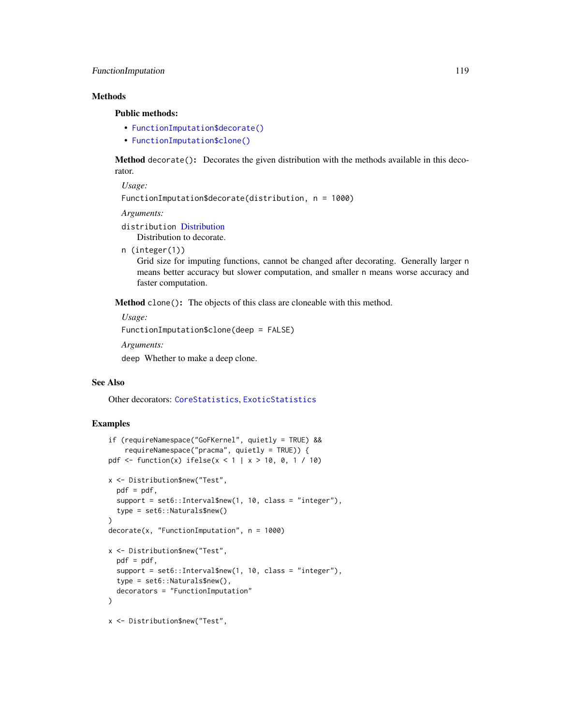# FunctionImputation 119

# **Methods**

## Public methods:

- [FunctionImputation\\$decorate\(\)](#page-78-0)
- [FunctionImputation\\$clone\(\)](#page-9-0)

Method decorate(): Decorates the given distribution with the methods available in this decorator.

*Usage:*

FunctionImputation\$decorate(distribution, n = 1000)

*Arguments:*

distribution [Distribution](#page-67-0)

Distribution to decorate.

n (integer(1))

Grid size for imputing functions, cannot be changed after decorating. Generally larger n means better accuracy but slower computation, and smaller n means worse accuracy and faster computation.

Method clone(): The objects of this class are cloneable with this method.

*Usage:*

FunctionImputation\$clone(deep = FALSE)

*Arguments:*

deep Whether to make a deep clone.

## See Also

Other decorators: [CoreStatistics](#page-48-0), [ExoticStatistics](#page-97-0)

# Examples

```
if (requireNamespace("GoFKernel", quietly = TRUE) &&
    requireNamespace("pracma", quietly = TRUE)) {
pdf <- function(x) ifelse(x < 1 | x > 10, 0, 1 / 10)
x <- Distribution$new("Test",
  pdf = pdf,
  support = set6::Interval$new(1, 10, class = "integer"),
  type = set6::Naturals$new()
)
decorate(x, "FunctionImputation", n = 1000)
x <- Distribution$new("Test",
  pdf = pdf,
  support = set6::Interval$new(1, 10, class = "integer"),
  type = set6::Naturals$new(),
  decorators = "FunctionImputation"
)
x <- Distribution$new("Test",
```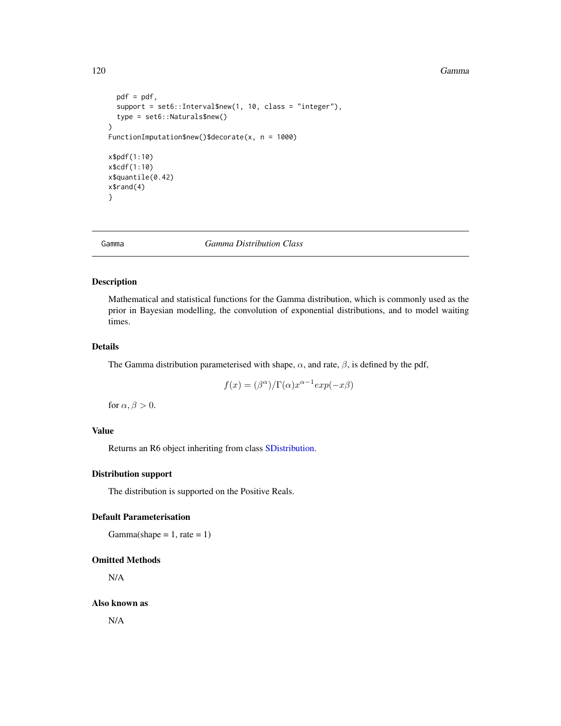#### 120 Gamma Gamma and the Contract of the Contract of the Contract of Gamma and the Contract of Gamma and the Contract of Gamma and the Contract of Gamma and the Contract of Gamma and the Contract of Gamma and the Contract o

```
pdf = pdf,
  support = set6::Interval$new(1, 10, class = "integer"),
  type = set6::Naturals$new()
\mathcal{L}FunctionImputation$new()$decorate(x, n = 1000)
x$pdf(1:10)
x$cdf(1:10)
x$quantile(0.42)
x$rand(4)
}
```
<span id="page-119-0"></span>Gamma *Gamma Distribution Class*

# Description

Mathematical and statistical functions for the Gamma distribution, which is commonly used as the prior in Bayesian modelling, the convolution of exponential distributions, and to model waiting times.

## Details

The Gamma distribution parameterised with shape,  $\alpha$ , and rate,  $\beta$ , is defined by the pdf,

$$
f(x) = (\beta^{\alpha})/\Gamma(\alpha)x^{\alpha-1}exp(-x\beta)
$$

for  $\alpha, \beta > 0$ .

## Value

Returns an R6 object inheriting from class [SDistribution.](#page-235-0)

# Distribution support

The distribution is supported on the Positive Reals.

# Default Parameterisation

 $Gamma(shape = 1, rate = 1)$ 

# Omitted Methods

N/A

Also known as

N/A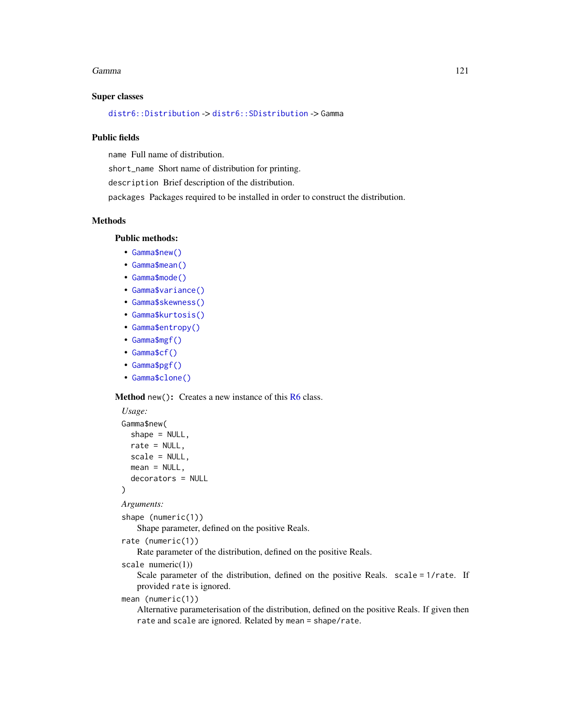#### Gamma 121

## Super classes

[distr6::Distribution](#page-0-0) -> [distr6::SDistribution](#page-0-0) -> Gamma

## Public fields

name Full name of distribution.

short\_name Short name of distribution for printing.

description Brief description of the distribution.

packages Packages required to be installed in order to construct the distribution.

## Methods

# Public methods:

- [Gamma\\$new\(\)](#page-7-0)
- [Gamma\\$mean\(\)](#page-7-1)
- [Gamma\\$mode\(\)](#page-8-1)
- [Gamma\\$variance\(\)](#page-8-0)
- [Gamma\\$skewness\(\)](#page-8-2)
- [Gamma\\$kurtosis\(\)](#page-8-3)
- [Gamma\\$entropy\(\)](#page-9-1)
- [Gamma\\$mgf\(\)](#page-15-0)
- [Gamma\\$cf\(\)](#page-15-1)
- [Gamma\\$pgf\(\)](#page-9-2)
- [Gamma\\$clone\(\)](#page-9-0)

#### **Method** new( $)$ : Creates a new instance of this  $R6$  class.

```
Usage:
Gamma$new(
  shape = NULL,
 rate = NULL,
 scale = NULL,
 mean = NULL,decorators = NULL
)
```

```
Arguments:
```
shape (numeric(1))

Shape parameter, defined on the positive Reals.

```
rate (numeric(1))
```
Rate parameter of the distribution, defined on the positive Reals.

```
scale numeric(1))
```
Scale parameter of the distribution, defined on the positive Reals. scale = 1/rate. If provided rate is ignored.

```
mean (numeric(1))
```
Alternative parameterisation of the distribution, defined on the positive Reals. If given then rate and scale are ignored. Related by mean = shape/rate.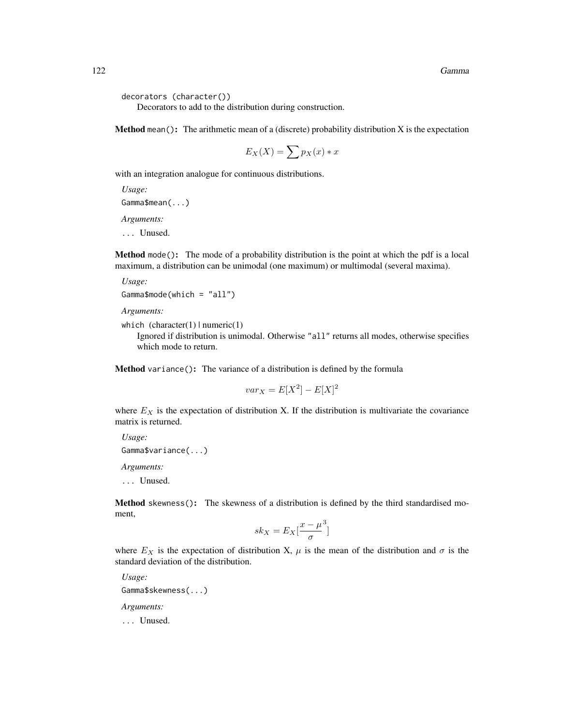```
decorators (character())
```
Decorators to add to the distribution during construction.

**Method** mean(): The arithmetic mean of a (discrete) probability distribution  $X$  is the expectation

$$
E_X(X) = \sum p_X(x) * x
$$

with an integration analogue for continuous distributions.

*Usage:* Gamma\$mean(...) *Arguments:*

... Unused.

Method mode(): The mode of a probability distribution is the point at which the pdf is a local maximum, a distribution can be unimodal (one maximum) or multimodal (several maxima).

*Usage:*

```
Gamma$mode(which = "all")
```
*Arguments:*

which  $(character(1) | numeric(1))$ 

Ignored if distribution is unimodal. Otherwise "all" returns all modes, otherwise specifies which mode to return.

Method variance(): The variance of a distribution is defined by the formula

$$
var_X = E[X^2] - E[X]^2
$$

where  $E_X$  is the expectation of distribution X. If the distribution is multivariate the covariance matrix is returned.

*Usage:* Gamma\$variance(...)

*Arguments:*

... Unused.

Method skewness(): The skewness of a distribution is defined by the third standardised moment,

$$
sk_X = E_X \left[ \frac{x - \mu^3}{\sigma} \right]
$$

where  $E_X$  is the expectation of distribution X,  $\mu$  is the mean of the distribution and  $\sigma$  is the standard deviation of the distribution.

*Usage:* Gamma\$skewness(...) *Arguments:* ... Unused.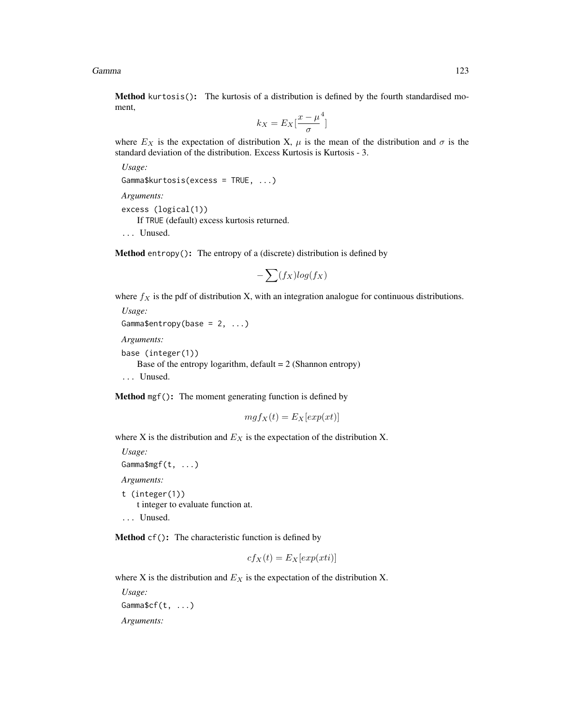Gamma 123

Method kurtosis(): The kurtosis of a distribution is defined by the fourth standardised moment,

$$
k_X = E_X \left[ \frac{x - \mu^4}{\sigma} \right]
$$

where  $E_X$  is the expectation of distribution X,  $\mu$  is the mean of the distribution and  $\sigma$  is the standard deviation of the distribution. Excess Kurtosis is Kurtosis - 3.

*Usage:*

Gamma\$kurtosis(excess = TRUE, ...)

*Arguments:*

excess (logical(1)) If TRUE (default) excess kurtosis returned.

... Unused.

Method entropy(): The entropy of a (discrete) distribution is defined by

$$
-\sum(f_X)log(f_X)
$$

where  $f_X$  is the pdf of distribution X, with an integration analogue for continuous distributions.

```
Usage:
Gamma$entropy(base = 2, ...)
Arguments:
base (integer(1))
   Base of the entropy logarithm, default = 2 (Shannon entropy)
... Unused.
```
Method mgf(): The moment generating function is defined by

$$
mgf_X(t) = E_X[exp(xt)]
$$

where X is the distribution and  $E<sub>X</sub>$  is the expectation of the distribution X.

```
Usage:
Gamma$mgf(t, ...)
Arguments:
t (integer(1))
    t integer to evaluate function at.
```
... Unused.

Method cf(): The characteristic function is defined by

$$
cf_X(t) = E_X[exp(xti)]
$$

where X is the distribution and  $E<sub>X</sub>$  is the expectation of the distribution X.

*Usage:* Gamma\$cf(t, ...) *Arguments:*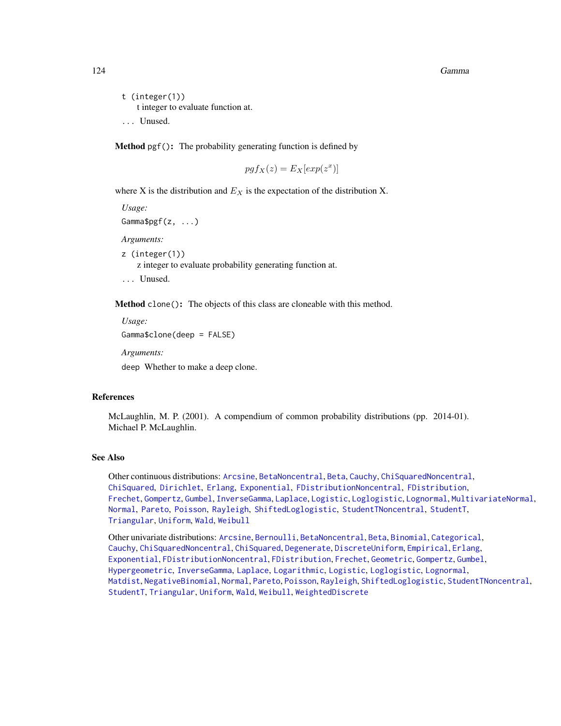t (integer(1)) t integer to evaluate function at. ... Unused.

Method pgf(): The probability generating function is defined by

$$
pgf_X(z) = E_X[exp(z^x)]
$$

where X is the distribution and  $E<sub>X</sub>$  is the expectation of the distribution X.

*Usage:*

Gamma\$pgf(z, ...)

*Arguments:*

z (integer(1)) z integer to evaluate probability generating function at. ... Unused.

Method clone(): The objects of this class are cloneable with this method.

```
Usage:
Gamma$clone(deep = FALSE)
Arguments:
```
deep Whether to make a deep clone.

## References

McLaughlin, M. P. (2001). A compendium of common probability distributions (pp. 2014-01). Michael P. McLaughlin.

### See Also

Other continuous distributions: [Arcsine](#page-6-0), [BetaNoncentral](#page-21-0), [Beta](#page-17-0), [Cauchy](#page-34-0), [ChiSquaredNoncentral](#page-43-0), [ChiSquared](#page-38-0), [Dirichlet](#page-59-0), [Erlang](#page-92-0), [Exponential](#page-102-0), [FDistributionNoncentral](#page-110-0), [FDistribution](#page-106-0), [Frechet](#page-113-0), [Gompertz](#page-129-0), [Gumbel](#page-132-0), [InverseGamma](#page-143-0), [Laplace](#page-149-0), [Logistic](#page-162-0), [Loglogistic](#page-168-0), [Lognormal](#page-172-0), [MultivariateNormal](#page-195-0), [Normal](#page-204-0), [Pareto](#page-211-0), [Poisson](#page-218-0), [Rayleigh](#page-231-0), [ShiftedLoglogistic](#page-236-0), [StudentTNoncentral](#page-249-0), [StudentT](#page-245-0), [Triangular](#page-266-0), [Uniform](#page-279-0), [Wald](#page-294-0), [Weibull](#page-298-0)

Other univariate distributions: [Arcsine](#page-6-0), [Bernoulli](#page-12-0), [BetaNoncentral](#page-21-0), [Beta](#page-17-0), [Binomial](#page-23-0), [Categorical](#page-29-0), [Cauchy](#page-34-0), [ChiSquaredNoncentral](#page-43-0), [ChiSquared](#page-38-0), [Degenerate](#page-55-0), [DiscreteUniform](#page-62-0), [Empirical](#page-82-0), [Erlang](#page-92-0), [Exponential](#page-102-0), [FDistributionNoncentral](#page-110-0), [FDistribution](#page-106-0), [Frechet](#page-113-0), [Geometric](#page-125-0), [Gompertz](#page-129-0), [Gumbel](#page-132-0), [Hypergeometric](#page-139-0), [InverseGamma](#page-143-0), [Laplace](#page-149-0), [Logarithmic](#page-158-0), [Logistic](#page-162-0), [Loglogistic](#page-168-0), [Lognormal](#page-172-0), [Matdist](#page-178-0), [NegativeBinomial](#page-200-0), [Normal](#page-204-0), [Pareto](#page-211-0), [Poisson](#page-218-0), [Rayleigh](#page-231-0), [ShiftedLoglogistic](#page-236-0), [StudentTNoncentral](#page-249-0), [StudentT](#page-245-0), [Triangular](#page-266-0), [Uniform](#page-279-0), [Wald](#page-294-0), [Weibull](#page-298-0), [WeightedDiscrete](#page-302-0)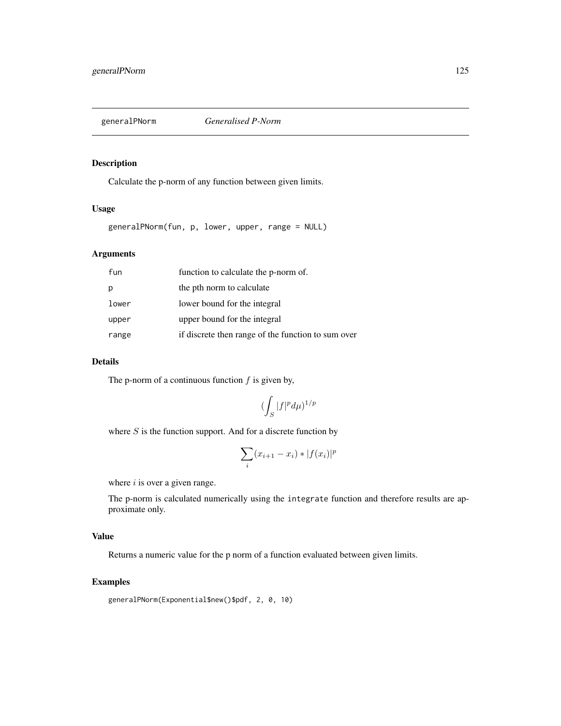## Description

Calculate the p-norm of any function between given limits.

# Usage

generalPNorm(fun, p, lower, upper, range = NULL)

# Arguments

| fun   | function to calculate the p-norm of.               |
|-------|----------------------------------------------------|
| p     | the pth norm to calculate                          |
| lower | lower bound for the integral                       |
| upper | upper bound for the integral                       |
| range | if discrete then range of the function to sum over |

## Details

The p-norm of a continuous function  $f$  is given by,

$$
(\int_S |f|^p d\mu)^{1/p}
$$

where  $S$  is the function support. And for a discrete function by

$$
\sum_i (x_{i+1} - x_i) * |f(x_i)|^p
$$

where  $i$  is over a given range.

The p-norm is calculated numerically using the integrate function and therefore results are approximate only.

# Value

Returns a numeric value for the p norm of a function evaluated between given limits.

# Examples

```
generalPNorm(Exponential$new()$pdf, 2, 0, 10)
```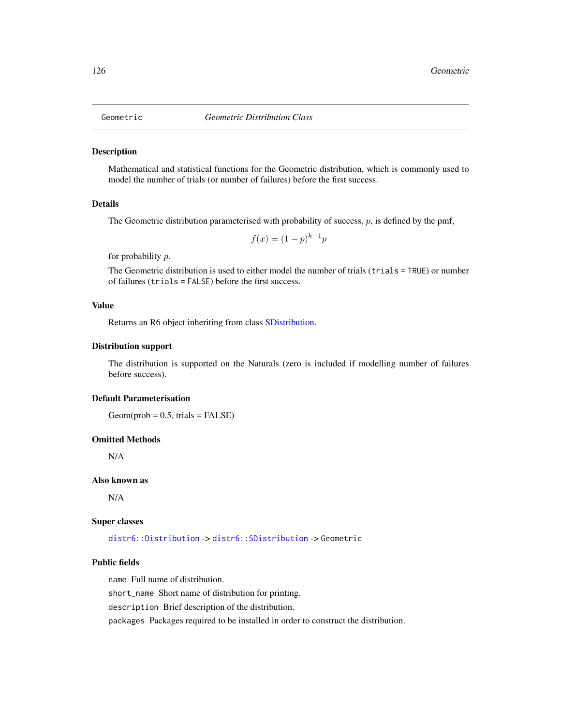<span id="page-125-0"></span>

# **Description**

Mathematical and statistical functions for the Geometric distribution, which is commonly used to model the number of trials (or number of failures) before the first success.

## Details

The Geometric distribution parameterised with probability of success,  $p$ , is defined by the pmf,

$$
f(x) = (1 - p)^{k-1}p
$$

for probability p.

The Geometric distribution is used to either model the number of trials (trials = TRUE) or number of failures (trials = FALSE) before the first success.

## Value

Returns an R6 object inheriting from class [SDistribution.](#page-235-0)

## Distribution support

The distribution is supported on the Naturals (zero is included if modelling number of failures before success).

# Default Parameterisation

 $Geom(prob = 0.5, trials = FALSE)$ 

## Omitted Methods

N/A

# Also known as

N/A

#### Super classes

[distr6::Distribution](#page-0-0) -> [distr6::SDistribution](#page-0-0) -> Geometric

# Public fields

name Full name of distribution.

short\_name Short name of distribution for printing.

description Brief description of the distribution.

packages Packages required to be installed in order to construct the distribution.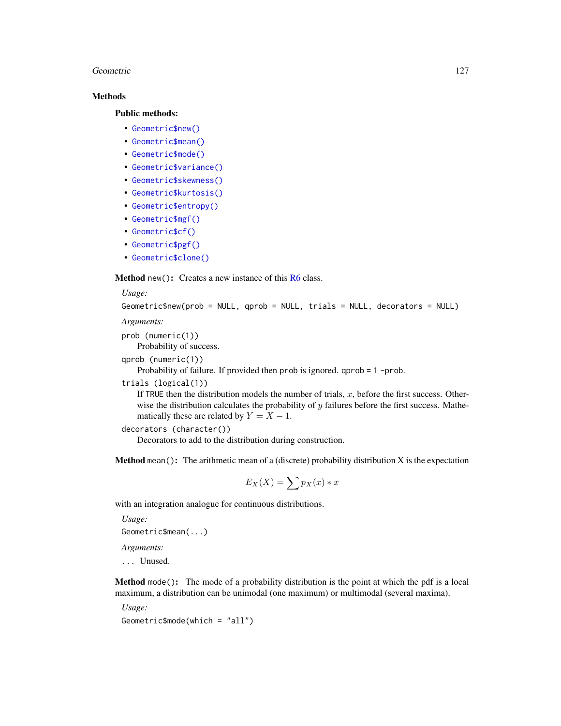## Geometric 127

# Methods

## Public methods:

- [Geometric\\$new\(\)](#page-7-0)
- [Geometric\\$mean\(\)](#page-7-1)
- [Geometric\\$mode\(\)](#page-8-1)
- [Geometric\\$variance\(\)](#page-8-0)
- [Geometric\\$skewness\(\)](#page-8-2)
- [Geometric\\$kurtosis\(\)](#page-8-3)
- [Geometric\\$entropy\(\)](#page-9-1)
- [Geometric\\$mgf\(\)](#page-15-0)
- [Geometric\\$cf\(\)](#page-15-1)
- [Geometric\\$pgf\(\)](#page-9-2)
- [Geometric\\$clone\(\)](#page-9-0)

**Method** new(): Creates a new instance of this  $R6$  class.

## *Usage:*

```
Geometric$new(prob = NULL, qprob = NULL, trials = NULL, decorators = NULL)
```
*Arguments:*

prob (numeric(1))

Probability of success.

qprob (numeric(1))

Probability of failure. If provided then prob is ignored. qprob = 1 -prob.

## trials (logical(1))

If TRUE then the distribution models the number of trials,  $x$ , before the first success. Otherwise the distribution calculates the probability of  $y$  failures before the first success. Mathematically these are related by  $Y = X - 1$ .

```
decorators (character())
```
Decorators to add to the distribution during construction.

**Method** mean(): The arithmetic mean of a (discrete) probability distribution  $X$  is the expectation

$$
E_X(X) = \sum p_X(x) * x
$$

with an integration analogue for continuous distributions.

*Usage:*

```
Geometric$mean(...)
```
*Arguments:*

... Unused.

Method mode(): The mode of a probability distribution is the point at which the pdf is a local maximum, a distribution can be unimodal (one maximum) or multimodal (several maxima).

*Usage:*

Geometric\$mode(which = "all")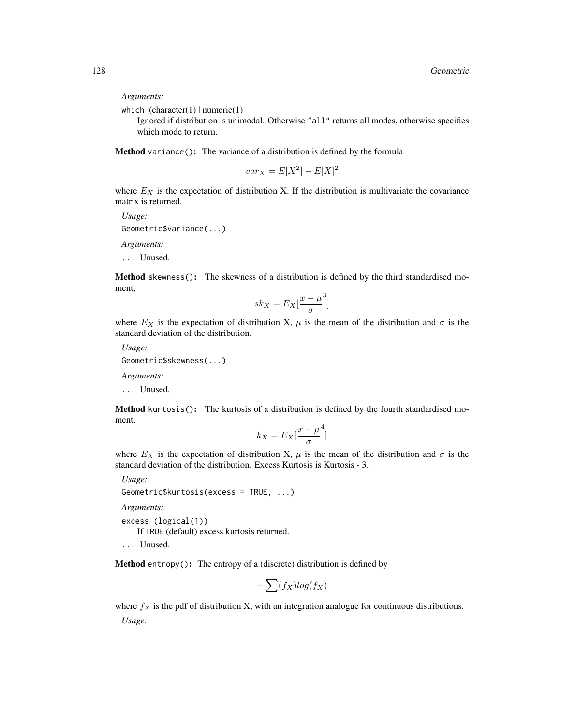*Arguments:*

which  $(character(1) | numeric(1))$ 

Ignored if distribution is unimodal. Otherwise "all" returns all modes, otherwise specifies which mode to return.

Method variance(): The variance of a distribution is defined by the formula

$$
var_X = E[X^2] - E[X]^2
$$

where  $E_X$  is the expectation of distribution X. If the distribution is multivariate the covariance matrix is returned.

*Usage:* Geometric\$variance(...) *Arguments:* ... Unused.

Method skewness(): The skewness of a distribution is defined by the third standardised moment,

$$
sk_X = E_X \left[ \frac{x - \mu^3}{\sigma} \right]
$$

where  $E_X$  is the expectation of distribution X,  $\mu$  is the mean of the distribution and  $\sigma$  is the standard deviation of the distribution.

*Usage:*

Geometric\$skewness(...)

*Arguments:*

... Unused.

Method kurtosis(): The kurtosis of a distribution is defined by the fourth standardised moment,

$$
k_X = E_X \left[ \frac{x - \mu^4}{\sigma} \right]
$$

where  $E_X$  is the expectation of distribution X,  $\mu$  is the mean of the distribution and  $\sigma$  is the standard deviation of the distribution. Excess Kurtosis is Kurtosis - 3.

*Usage:*

```
Geometric$kurtosis(excess = TRUE, ...)
```
*Arguments:*

excess (logical(1))

If TRUE (default) excess kurtosis returned.

... Unused.

Method entropy(): The entropy of a (discrete) distribution is defined by

$$
-\sum(f_X)log(f_X)
$$

where  $f_X$  is the pdf of distribution X, with an integration analogue for continuous distributions. *Usage:*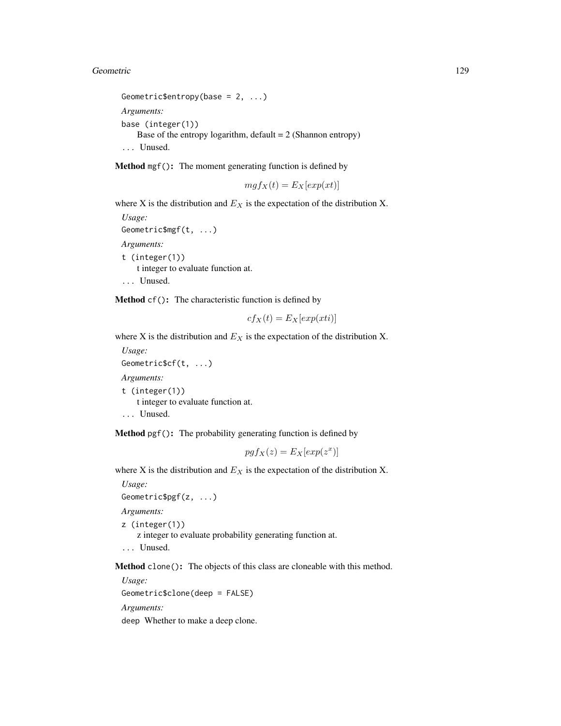#### Geometric 129

```
Geometric$entropy(base = 2, ...)
Arguments:
base (integer(1))
   Base of the entropy logarithm, default = 2 (Shannon entropy)
... Unused.
```
Method mgf(): The moment generating function is defined by

$$
mgf_X(t) = E_X[exp(xt)]
$$

where X is the distribution and  $E<sub>X</sub>$  is the expectation of the distribution X.

*Usage:* Geometric\$mgf(t, ...) *Arguments:* t (integer(1)) t integer to evaluate function at. ... Unused.

Method cf(): The characteristic function is defined by

$$
cf_X(t) = E_X[exp(xti)]
$$

where X is the distribution and  $E<sub>X</sub>$  is the expectation of the distribution X.

*Usage:* Geometric\$cf(t, ...) *Arguments:* t (integer(1)) t integer to evaluate function at. ... Unused.

Method pgf(): The probability generating function is defined by

$$
pgf_X(z) = E_X[exp(z^x)]
$$

where X is the distribution and  $E<sub>X</sub>$  is the expectation of the distribution X.

*Usage:* Geometric\$pgf(z, ...) *Arguments:* z (integer(1)) z integer to evaluate probability generating function at. ... Unused.

Method clone(): The objects of this class are cloneable with this method.

*Usage:* Geometric\$clone(deep = FALSE) *Arguments:* deep Whether to make a deep clone.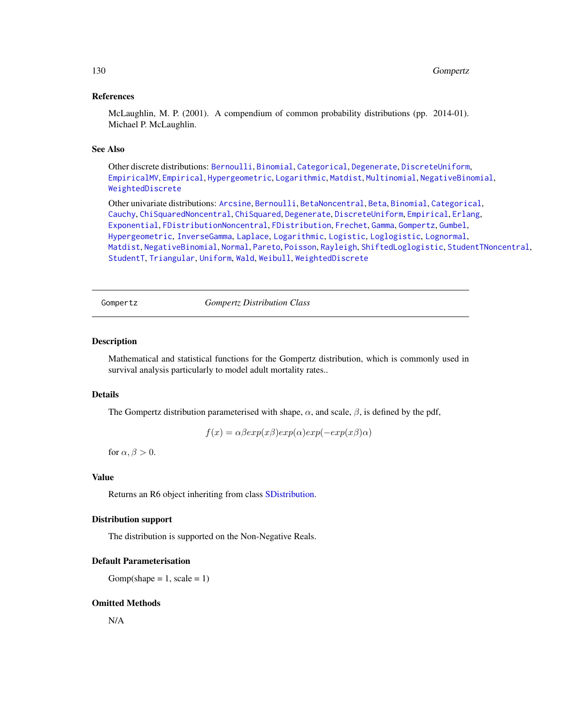## References

McLaughlin, M. P. (2001). A compendium of common probability distributions (pp. 2014-01). Michael P. McLaughlin.

## See Also

Other discrete distributions: [Bernoulli](#page-12-0), [Binomial](#page-23-0), [Categorical](#page-29-0), [Degenerate](#page-55-0), [DiscreteUniform](#page-62-0), [EmpiricalMV](#page-87-0), [Empirical](#page-82-0), [Hypergeometric](#page-139-0), [Logarithmic](#page-158-0), [Matdist](#page-178-0), [Multinomial](#page-190-0), [NegativeBinomial](#page-200-0), [WeightedDiscrete](#page-302-0)

Other univariate distributions: [Arcsine](#page-6-0), [Bernoulli](#page-12-0), [BetaNoncentral](#page-21-0), [Beta](#page-17-0), [Binomial](#page-23-0), [Categorical](#page-29-0), [Cauchy](#page-34-0), [ChiSquaredNoncentral](#page-43-0), [ChiSquared](#page-38-0), [Degenerate](#page-55-0), [DiscreteUniform](#page-62-0), [Empirical](#page-82-0), [Erlang](#page-92-0), [Exponential](#page-102-0), [FDistributionNoncentral](#page-110-0), [FDistribution](#page-106-0), [Frechet](#page-113-0), [Gamma](#page-119-0), [Gompertz](#page-129-0), [Gumbel](#page-132-0), [Hypergeometric](#page-139-0), [InverseGamma](#page-143-0), [Laplace](#page-149-0), [Logarithmic](#page-158-0), [Logistic](#page-162-0), [Loglogistic](#page-168-0), [Lognormal](#page-172-0), [Matdist](#page-178-0), [NegativeBinomial](#page-200-0), [Normal](#page-204-0), [Pareto](#page-211-0), [Poisson](#page-218-0), [Rayleigh](#page-231-0), [ShiftedLoglogistic](#page-236-0), [StudentTNoncentral](#page-249-0), [StudentT](#page-245-0), [Triangular](#page-266-0), [Uniform](#page-279-0), [Wald](#page-294-0), [Weibull](#page-298-0), [WeightedDiscrete](#page-302-0)

<span id="page-129-0"></span>Gompertz *Gompertz Distribution Class*

## Description

Mathematical and statistical functions for the Gompertz distribution, which is commonly used in survival analysis particularly to model adult mortality rates..

## Details

The Gompertz distribution parameterised with shape,  $\alpha$ , and scale,  $\beta$ , is defined by the pdf,

 $f(x) = \alpha \beta exp(x\beta) exp(\alpha) exp(-exp(x\beta)\alpha)$ 

for  $\alpha$ ,  $\beta > 0$ .

## Value

Returns an R6 object inheriting from class [SDistribution.](#page-235-0)

## Distribution support

The distribution is supported on the Non-Negative Reals.

#### Default Parameterisation

 $Gomp(shape = 1, scale = 1)$ 

## Omitted Methods

N/A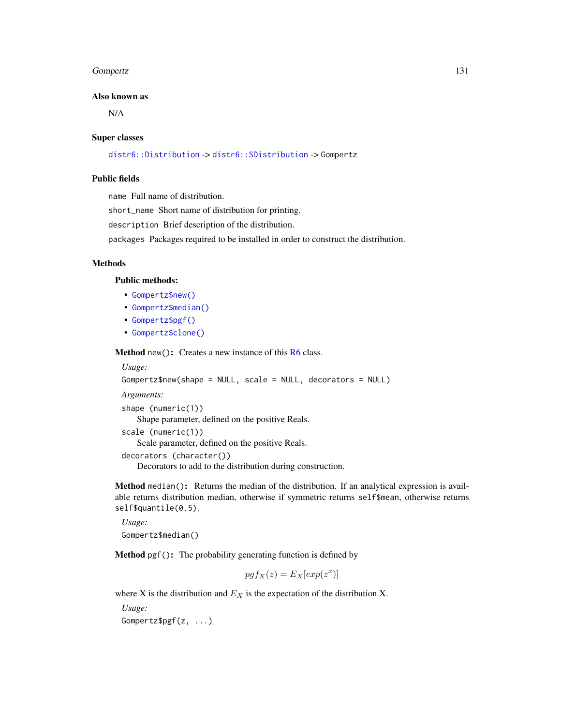#### Gompertz 131

#### Also known as

N/A

#### Super classes

[distr6::Distribution](#page-0-0) -> [distr6::SDistribution](#page-0-0) -> Gompertz

## Public fields

name Full name of distribution.

short\_name Short name of distribution for printing.

description Brief description of the distribution.

packages Packages required to be installed in order to construct the distribution.

## Methods

#### Public methods:

- [Gompertz\\$new\(\)](#page-7-0)
- [Gompertz\\$median\(\)](#page-14-0)
- [Gompertz\\$pgf\(\)](#page-9-2)
- [Gompertz\\$clone\(\)](#page-9-0)

Method new(): Creates a new instance of this [R6](#page-0-0) class.

```
Usage:
Gompertz$new(shape = NULL, scale = NULL, decorators = NULL)
Arguments:
shape (numeric(1))
   Shape parameter, defined on the positive Reals.
scale (numeric(1))
   Scale parameter, defined on the positive Reals.
decorators (character())
   Decorators to add to the distribution during construction.
```
Method median(): Returns the median of the distribution. If an analytical expression is available returns distribution median, otherwise if symmetric returns self\$mean, otherwise returns self\$quantile(0.5).

*Usage:* Gompertz\$median()

Method pgf(): The probability generating function is defined by

 $pgf_X(z) = E_X[exp(z^x)]$ 

where X is the distribution and  $E<sub>X</sub>$  is the expectation of the distribution X.

*Usage:*

Gompertz\$pgf(z, ...)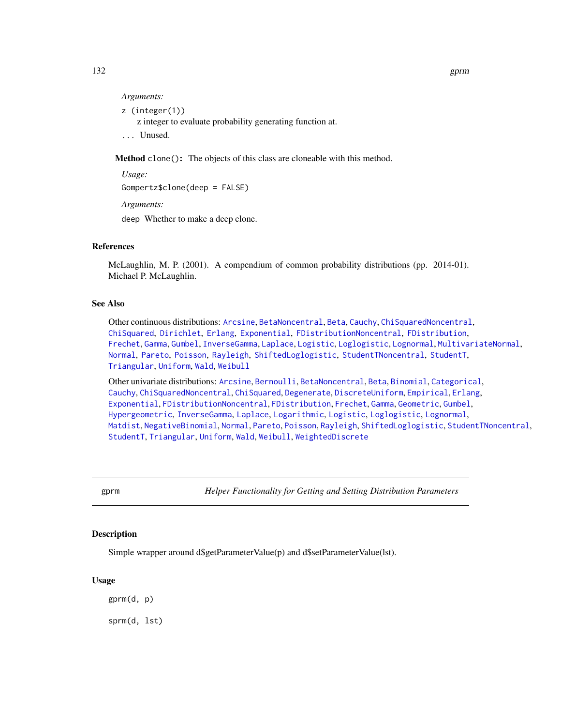132 gprm

#### *Arguments:*

z (integer(1))

z integer to evaluate probability generating function at.

... Unused.

Method clone(): The objects of this class are cloneable with this method.

*Usage:* Gompertz\$clone(deep = FALSE)

*Arguments:*

deep Whether to make a deep clone.

## References

McLaughlin, M. P. (2001). A compendium of common probability distributions (pp. 2014-01). Michael P. McLaughlin.

# See Also

Other continuous distributions: [Arcsine](#page-6-0), [BetaNoncentral](#page-21-0), [Beta](#page-17-0), [Cauchy](#page-34-0), [ChiSquaredNoncentral](#page-43-0), [ChiSquared](#page-38-0), [Dirichlet](#page-59-0), [Erlang](#page-92-0), [Exponential](#page-102-0), [FDistributionNoncentral](#page-110-0), [FDistribution](#page-106-0), [Frechet](#page-113-0), [Gamma](#page-119-0), [Gumbel](#page-132-0), [InverseGamma](#page-143-0), [Laplace](#page-149-0), [Logistic](#page-162-0), [Loglogistic](#page-168-0), [Lognormal](#page-172-0), [MultivariateNormal](#page-195-0), [Normal](#page-204-0), [Pareto](#page-211-0), [Poisson](#page-218-0), [Rayleigh](#page-231-0), [ShiftedLoglogistic](#page-236-0), [StudentTNoncentral](#page-249-0), [StudentT](#page-245-0), [Triangular](#page-266-0), [Uniform](#page-279-0), [Wald](#page-294-0), [Weibull](#page-298-0)

Other univariate distributions: [Arcsine](#page-6-0), [Bernoulli](#page-12-0), [BetaNoncentral](#page-21-0), [Beta](#page-17-0), [Binomial](#page-23-0), [Categorical](#page-29-0), [Cauchy](#page-34-0), [ChiSquaredNoncentral](#page-43-0), [ChiSquared](#page-38-0), [Degenerate](#page-55-0), [DiscreteUniform](#page-62-0), [Empirical](#page-82-0), [Erlang](#page-92-0), [Exponential](#page-102-0), [FDistributionNoncentral](#page-110-0), [FDistribution](#page-106-0), [Frechet](#page-113-0), [Gamma](#page-119-0), [Geometric](#page-125-0), [Gumbel](#page-132-0), [Hypergeometric](#page-139-0), [InverseGamma](#page-143-0), [Laplace](#page-149-0), [Logarithmic](#page-158-0), [Logistic](#page-162-0), [Loglogistic](#page-168-0), [Lognormal](#page-172-0), [Matdist](#page-178-0), [NegativeBinomial](#page-200-0), [Normal](#page-204-0), [Pareto](#page-211-0), [Poisson](#page-218-0), [Rayleigh](#page-231-0), [ShiftedLoglogistic](#page-236-0), [StudentTNoncentral](#page-249-0), [StudentT](#page-245-0), [Triangular](#page-266-0), [Uniform](#page-279-0), [Wald](#page-294-0), [Weibull](#page-298-0), [WeightedDiscrete](#page-302-0)

gprm *Helper Functionality for Getting and Setting Distribution Parameters*

## Description

Simple wrapper around d\$getParameterValue(p) and d\$setParameterValue(lst).

#### Usage

gprm(d, p) sprm(d, lst)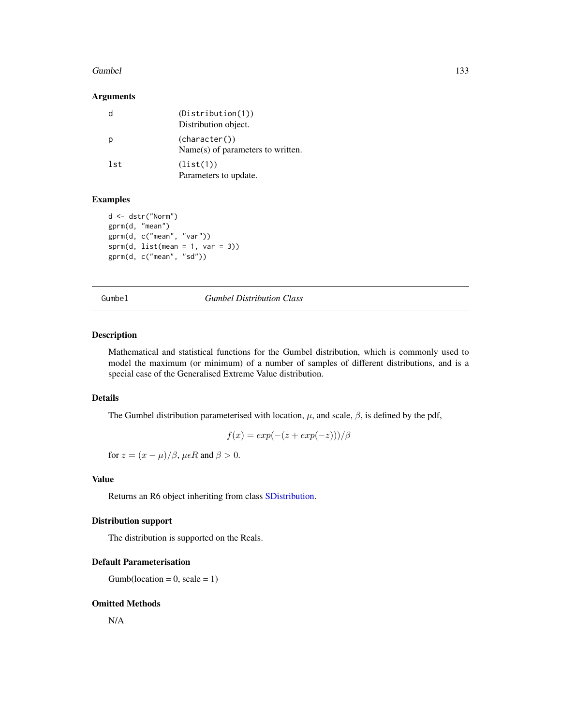#### Gumbel 233

## Arguments

|     | (Distribution(1))<br>Distribution object.          |
|-----|----------------------------------------------------|
| р   | (character())<br>Name(s) of parameters to written. |
| lst | (list(1))<br>Parameters to update.                 |

# Examples

```
d <- dstr("Norm")
gprm(d, "mean")
gprm(d, c("mean", "var"))
sprm(d, list(mean = 1, var = 3))gprm(d, c("mean", "sd"))
```
<span id="page-132-0"></span>Gumbel *Gumbel Distribution Class*

## Description

Mathematical and statistical functions for the Gumbel distribution, which is commonly used to model the maximum (or minimum) of a number of samples of different distributions, and is a special case of the Generalised Extreme Value distribution.

## Details

The Gumbel distribution parameterised with location,  $\mu$ , and scale,  $\beta$ , is defined by the pdf,

$$
f(x) = exp(-(z + exp(-z)))/\beta
$$

for  $z = (x - \mu)/\beta$ ,  $\mu \epsilon R$  and  $\beta > 0$ .

# Value

Returns an R6 object inheriting from class [SDistribution.](#page-235-0)

## Distribution support

The distribution is supported on the Reals.

# Default Parameterisation

 $Gumb(location = 0, scale = 1)$ 

## Omitted Methods

N/A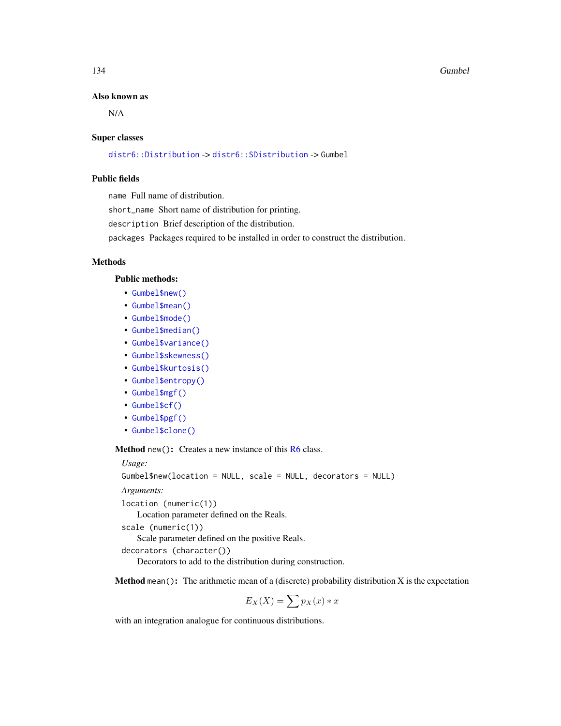#### Also known as

N/A

#### Super classes

[distr6::Distribution](#page-0-0) -> [distr6::SDistribution](#page-0-0) -> Gumbel

## Public fields

name Full name of distribution.

short\_name Short name of distribution for printing.

description Brief description of the distribution.

packages Packages required to be installed in order to construct the distribution.

# Methods

## Public methods:

- [Gumbel\\$new\(\)](#page-7-0)
- [Gumbel\\$mean\(\)](#page-7-1)
- [Gumbel\\$mode\(\)](#page-8-1)
- [Gumbel\\$median\(\)](#page-14-0)
- [Gumbel\\$variance\(\)](#page-8-0)
- [Gumbel\\$skewness\(\)](#page-8-2)
- [Gumbel\\$kurtosis\(\)](#page-8-3)
- [Gumbel\\$entropy\(\)](#page-9-1)
- [Gumbel\\$mgf\(\)](#page-15-0)
- [Gumbel\\$cf\(\)](#page-15-1)
- [Gumbel\\$pgf\(\)](#page-9-2)
- [Gumbel\\$clone\(\)](#page-9-0)

Method new(): Creates a new instance of this [R6](#page-0-0) class.

*Usage:*

Gumbel\$new(location = NULL, scale = NULL, decorators = NULL)

*Arguments:*

location (numeric(1))

Location parameter defined on the Reals.

```
scale (numeric(1))
```
Scale parameter defined on the positive Reals.

```
decorators (character())
```
Decorators to add to the distribution during construction.

**Method** mean(): The arithmetic mean of a (discrete) probability distribution  $X$  is the expectation

 $E_X(X) = \sum p_X(x) * x$ 

with an integration analogue for continuous distributions.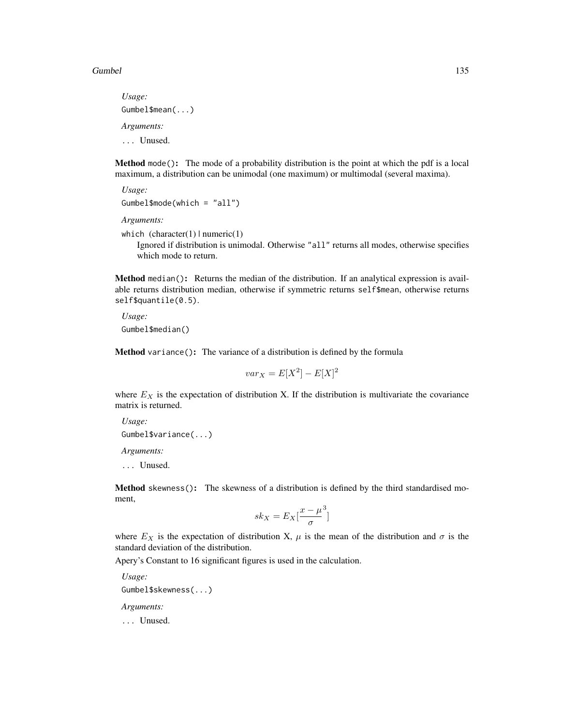#### Gumbel 2008 and 2009 and 2009 and 2009 and 2009 and 2009 and 2009 and 2009 and 2009 and 2009 and 2009 and 2009  $\pm 135$

*Usage:* Gumbel\$mean(...) *Arguments:* ... Unused.

Method mode(): The mode of a probability distribution is the point at which the pdf is a local maximum, a distribution can be unimodal (one maximum) or multimodal (several maxima).

*Usage:*

Gumbel\$mode(which = "all")

*Arguments:*

which  $(character(1) | numeric(1))$ 

Ignored if distribution is unimodal. Otherwise "all" returns all modes, otherwise specifies which mode to return.

Method median(): Returns the median of the distribution. If an analytical expression is available returns distribution median, otherwise if symmetric returns self\$mean, otherwise returns self\$quantile(0.5).

*Usage:* Gumbel\$median()

Method variance(): The variance of a distribution is defined by the formula

 $var_X = E[X^2] - E[X]^2$ 

where  $E_X$  is the expectation of distribution X. If the distribution is multivariate the covariance matrix is returned.

*Usage:* Gumbel\$variance(...)

*Arguments:*

... Unused.

Method skewness(): The skewness of a distribution is defined by the third standardised moment,

$$
sk_X = E_X \left[ \frac{x - \mu^3}{\sigma} \right]
$$

where  $E_X$  is the expectation of distribution X,  $\mu$  is the mean of the distribution and  $\sigma$  is the standard deviation of the distribution.

Apery's Constant to 16 significant figures is used in the calculation.

*Usage:* Gumbel\$skewness(...) *Arguments:*

... Unused.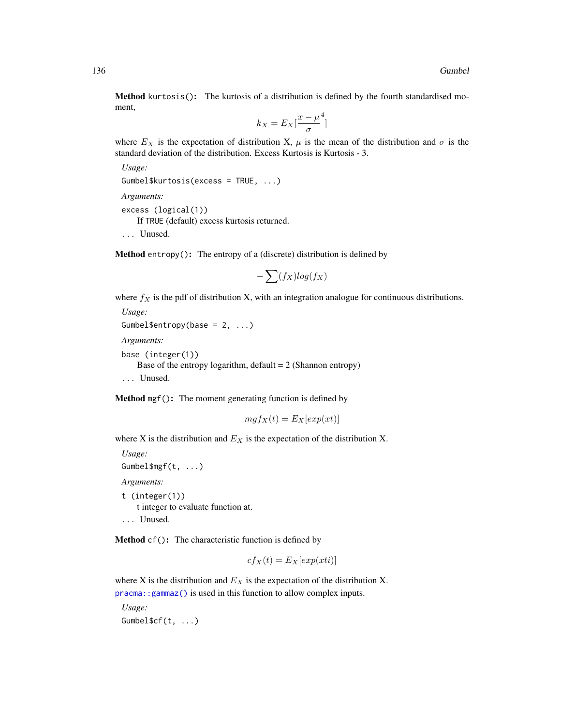Method kurtosis(): The kurtosis of a distribution is defined by the fourth standardised moment,

$$
k_X = E_X \left[ \frac{x - \mu^4}{\sigma} \right]
$$

where  $E_X$  is the expectation of distribution X,  $\mu$  is the mean of the distribution and  $\sigma$  is the standard deviation of the distribution. Excess Kurtosis is Kurtosis - 3.

*Usage:* Gumbel\$kurtosis(excess = TRUE, ...)

*Arguments:*

excess (logical(1)) If TRUE (default) excess kurtosis returned. ... Unused.

Method entropy(): The entropy of a (discrete) distribution is defined by

$$
-\sum(f_X)log(f_X)
$$

where  $f_X$  is the pdf of distribution X, with an integration analogue for continuous distributions.

```
Usage:
Gumbel$entropy(base = 2, ...)
Arguments:
base (integer(1))
   Base of the entropy logarithm, default = 2 (Shannon entropy)
... Unused.
```
Method mgf(): The moment generating function is defined by

$$
mgf_X(t) = E_X[exp(xt)]
$$

where X is the distribution and  $E<sub>X</sub>$  is the expectation of the distribution X.

*Usage:* Gumbel\$mgf(t, ...) *Arguments:* t (integer(1)) t integer to evaluate function at.

... Unused.

Method cf(): The characteristic function is defined by

$$
cf_X(t) = E_X[exp(xti)]
$$

where X is the distribution and  $E<sub>X</sub>$  is the expectation of the distribution X. [pracma::gammaz\(\)](#page-0-0) is used in this function to allow complex inputs.

*Usage:* Gumbel\$cf(t, ...)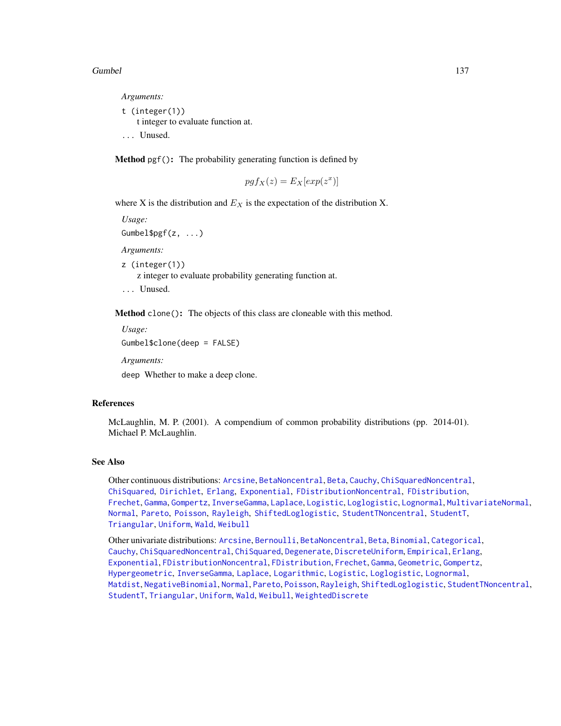#### Gumbel 2008 and 2008 and 2008 and 2008 and 2008 and 2008 and 2008 and 2008 and 2008 and 2008 and 2008 and 2008  $\pm 137$

*Arguments:*

t (integer(1)) t integer to evaluate function at. ... Unused.

Method pgf(): The probability generating function is defined by

$$
pgf_X(z) = E_X[exp(z^x)]
$$

where X is the distribution and  $E<sub>X</sub>$  is the expectation of the distribution X.

*Usage:*

Gumbel\$pgf(z, ...)

*Arguments:*

z (integer(1))

z integer to evaluate probability generating function at.

... Unused.

Method clone(): The objects of this class are cloneable with this method.

*Usage:*

Gumbel\$clone(deep = FALSE)

*Arguments:*

deep Whether to make a deep clone.

## References

McLaughlin, M. P. (2001). A compendium of common probability distributions (pp. 2014-01). Michael P. McLaughlin.

## See Also

Other continuous distributions: [Arcsine](#page-6-0), [BetaNoncentral](#page-21-0), [Beta](#page-17-0), [Cauchy](#page-34-0), [ChiSquaredNoncentral](#page-43-0), [ChiSquared](#page-38-0), [Dirichlet](#page-59-0), [Erlang](#page-92-0), [Exponential](#page-102-0), [FDistributionNoncentral](#page-110-0), [FDistribution](#page-106-0), [Frechet](#page-113-0), [Gamma](#page-119-0), [Gompertz](#page-129-0), [InverseGamma](#page-143-0), [Laplace](#page-149-0), [Logistic](#page-162-0), [Loglogistic](#page-168-0), [Lognormal](#page-172-0), [MultivariateNormal](#page-195-0), [Normal](#page-204-0), [Pareto](#page-211-0), [Poisson](#page-218-0), [Rayleigh](#page-231-0), [ShiftedLoglogistic](#page-236-0), [StudentTNoncentral](#page-249-0), [StudentT](#page-245-0), [Triangular](#page-266-0), [Uniform](#page-279-0), [Wald](#page-294-0), [Weibull](#page-298-0)

Other univariate distributions: [Arcsine](#page-6-0), [Bernoulli](#page-12-0), [BetaNoncentral](#page-21-0), [Beta](#page-17-0), [Binomial](#page-23-0), [Categorical](#page-29-0), [Cauchy](#page-34-0), [ChiSquaredNoncentral](#page-43-0), [ChiSquared](#page-38-0), [Degenerate](#page-55-0), [DiscreteUniform](#page-62-0), [Empirical](#page-82-0), [Erlang](#page-92-0), [Exponential](#page-102-0), [FDistributionNoncentral](#page-110-0), [FDistribution](#page-106-0), [Frechet](#page-113-0), [Gamma](#page-119-0), [Geometric](#page-125-0), [Gompertz](#page-129-0), [Hypergeometric](#page-139-0), [InverseGamma](#page-143-0), [Laplace](#page-149-0), [Logarithmic](#page-158-0), [Logistic](#page-162-0), [Loglogistic](#page-168-0), [Lognormal](#page-172-0), [Matdist](#page-178-0), [NegativeBinomial](#page-200-0), [Normal](#page-204-0), [Pareto](#page-211-0), [Poisson](#page-218-0), [Rayleigh](#page-231-0), [ShiftedLoglogistic](#page-236-0), [StudentTNoncentral](#page-249-0), [StudentT](#page-245-0), [Triangular](#page-266-0), [Uniform](#page-279-0), [Wald](#page-294-0), [Weibull](#page-298-0), [WeightedDiscrete](#page-302-0)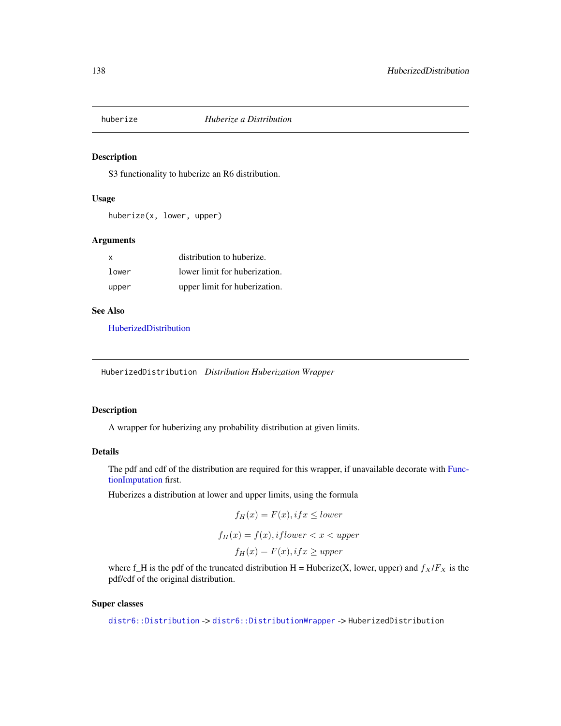# Description

S3 functionality to huberize an R6 distribution.

### Usage

huberize(x, lower, upper)

# Arguments

| X     | distribution to huberize.     |
|-------|-------------------------------|
| lower | lower limit for huberization. |
| upper | upper limit for huberization. |

### See Also

[HuberizedDistribution](#page-137-0)

<span id="page-137-0"></span>HuberizedDistribution *Distribution Huberization Wrapper*

# Description

A wrapper for huberizing any probability distribution at given limits.

#### Details

The pdf and cdf of the distribution are required for this wrapper, if unavailable decorate with [Func](#page-117-0)[tionImputation](#page-117-0) first.

Huberizes a distribution at lower and upper limits, using the formula

$$
f_H(x) = F(x), if x \leq lower
$$
  

$$
f_H(x) = f(x), if lower < x < upper
$$
  

$$
f_H(x) = F(x), if x \geq upper
$$

where f\_H is the pdf of the truncated distribution H = Huberize(X, lower, upper) and  $f_X/F_X$  is the pdf/cdf of the original distribution.

# Super classes

[distr6::Distribution](#page-0-0) -> [distr6::DistributionWrapper](#page-0-0) -> HuberizedDistribution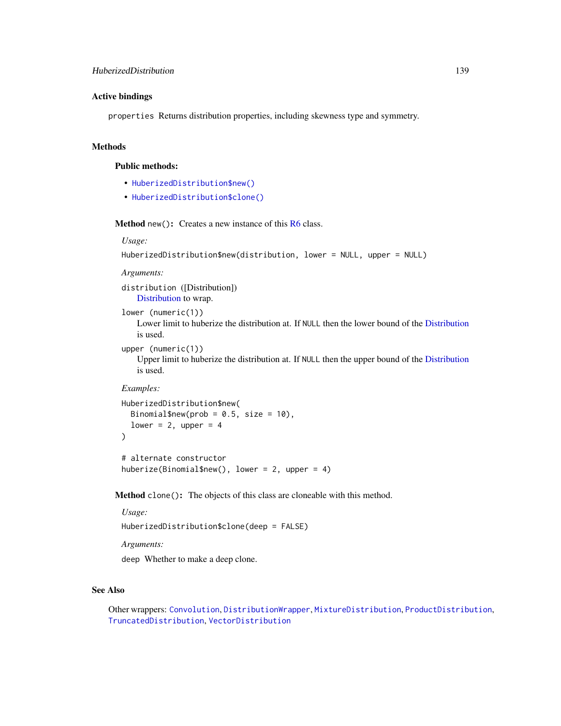# Active bindings

properties Returns distribution properties, including skewness type and symmetry.

# Methods

# Public methods:

- [HuberizedDistribution\\$new\(\)](#page-7-0)
- [HuberizedDistribution\\$clone\(\)](#page-9-0)

**Method** new( $)$ : Creates a new instance of this  $R6$  class.

*Usage:*

```
HuberizedDistribution$new(distribution, lower = NULL, upper = NULL)
```
*Arguments:*

distribution ([Distribution]) [Distribution](#page-67-0) to wrap.

lower (numeric(1))

Lower limit to huberize the distribution at. If NULL then the lower bound of the [Distribution](#page-67-0) is used.

```
upper (numeric(1))
```
Upper limit to huberize the distribution at. If NULL then the upper bound of the [Distribution](#page-67-0) is used.

# *Examples:*

```
HuberizedDistribution$new(
 Binomial$new(prob = 0.5, size = 10),
  lower = 2, upper = 4)
```
# alternate constructor huberize(Binomial\$new(), lower = 2, upper = 4)

Method clone(): The objects of this class are cloneable with this method.

#### *Usage:*

HuberizedDistribution\$clone(deep = FALSE)

*Arguments:*

deep Whether to make a deep clone.

#### See Also

Other wrappers: [Convolution](#page-47-0), [DistributionWrapper](#page-78-1), [MixtureDistribution](#page-184-0), [ProductDistribution](#page-222-0), [TruncatedDistribution](#page-277-0), [VectorDistribution](#page-285-0)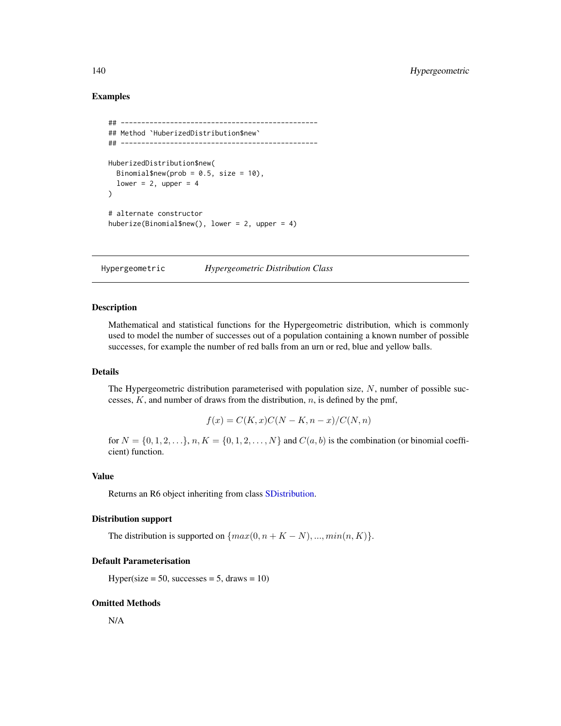# Examples

```
## ------------------------------------------------
## Method `HuberizedDistribution$new`
## ------------------------------------------------
HuberizedDistribution$new(
  Binomial$new(prob = 0.5, size = 10),
  lower = 2, upper = 4
)
# alternate constructor
huberize(Binomial$new(), lower = 2, upper = 4)
```
<span id="page-139-0"></span>Hypergeometric *Hypergeometric Distribution Class*

# Description

Mathematical and statistical functions for the Hypergeometric distribution, which is commonly used to model the number of successes out of a population containing a known number of possible successes, for example the number of red balls from an urn or red, blue and yellow balls.

## Details

The Hypergeometric distribution parameterised with population size,  $N$ , number of possible successes,  $K$ , and number of draws from the distribution,  $n$ , is defined by the pmf,

$$
f(x) = C(K, x)C(N - K, n - x)/C(N, n)
$$

for  $N = \{0, 1, 2, ...\}$ ,  $n, K = \{0, 1, 2, ..., N\}$  and  $C(a, b)$  is the combination (or binomial coefficient) function.

## Value

Returns an R6 object inheriting from class [SDistribution.](#page-235-0)

# Distribution support

The distribution is supported on  $\{max(0, n + K - N), ..., min(n, K)\}.$ 

### Default Parameterisation

 $Hyper(size = 50, success = 5, draws = 10)$ 

#### Omitted Methods

N/A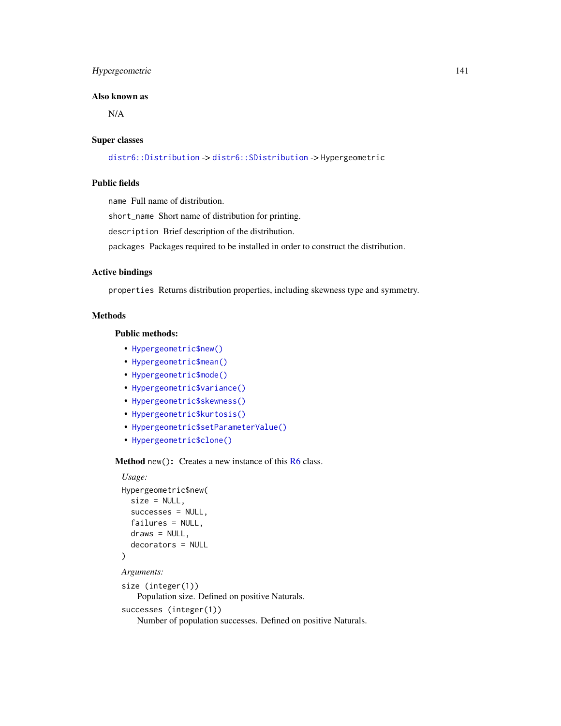# Hypergeometric 141

## Also known as

N/A

#### Super classes

[distr6::Distribution](#page-0-0) -> [distr6::SDistribution](#page-0-0) -> Hypergeometric

# Public fields

name Full name of distribution.

short\_name Short name of distribution for printing.

description Brief description of the distribution.

packages Packages required to be installed in order to construct the distribution.

# Active bindings

properties Returns distribution properties, including skewness type and symmetry.

# Methods

# Public methods:

- [Hypergeometric\\$new\(\)](#page-7-0)
- [Hypergeometric\\$mean\(\)](#page-7-1)
- [Hypergeometric\\$mode\(\)](#page-8-1)
- [Hypergeometric\\$variance\(\)](#page-8-0)
- [Hypergeometric\\$skewness\(\)](#page-8-2)
- [Hypergeometric\\$kurtosis\(\)](#page-8-3)
- [Hypergeometric\\$setParameterValue\(\)](#page-61-0)
- [Hypergeometric\\$clone\(\)](#page-9-0)

Method new(): Creates a new instance of this [R6](#page-0-0) class.

## *Usage:*

```
Hypergeometric$new(
  size = NULL,
  successes = NULL,
  failures = NULL,
  draws = NULL,decorators = NULL
\mathcal{L}Arguments:
size (integer(1))
```
Population size. Defined on positive Naturals.

```
successes (integer(1))
```
Number of population successes. Defined on positive Naturals.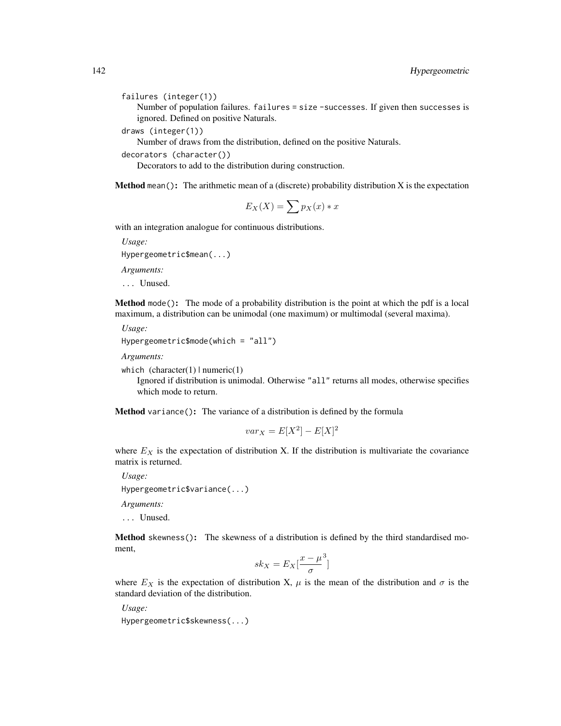failures (integer(1))

Number of population failures. failures = size -successes. If given then successes is ignored. Defined on positive Naturals.

draws (integer(1))

Number of draws from the distribution, defined on the positive Naturals.

decorators (character())

Decorators to add to the distribution during construction.

**Method** mean(): The arithmetic mean of a (discrete) probability distribution  $X$  is the expectation

$$
E_X(X) = \sum p_X(x) * x
$$

with an integration analogue for continuous distributions.

*Usage:* Hypergeometric\$mean(...)

*Arguments:*

... Unused.

Method mode(): The mode of a probability distribution is the point at which the pdf is a local maximum, a distribution can be unimodal (one maximum) or multimodal (several maxima).

*Usage:*

```
Hypergeometric$mode(which = "all")
```
*Arguments:*

which  $(character(1) | numeric(1))$ 

Ignored if distribution is unimodal. Otherwise "all" returns all modes, otherwise specifies which mode to return.

Method variance(): The variance of a distribution is defined by the formula

$$
var_X = E[X^2] - E[X]^2
$$

where  $E_X$  is the expectation of distribution X. If the distribution is multivariate the covariance matrix is returned.

*Usage:*

Hypergeometric\$variance(...)

*Arguments:*

... Unused.

Method skewness(): The skewness of a distribution is defined by the third standardised moment,

$$
sk_X = E_X \left[ \frac{x - \mu^3}{\sigma} \right]
$$

where  $E_X$  is the expectation of distribution X,  $\mu$  is the mean of the distribution and  $\sigma$  is the standard deviation of the distribution.

*Usage:* Hypergeometric\$skewness(...)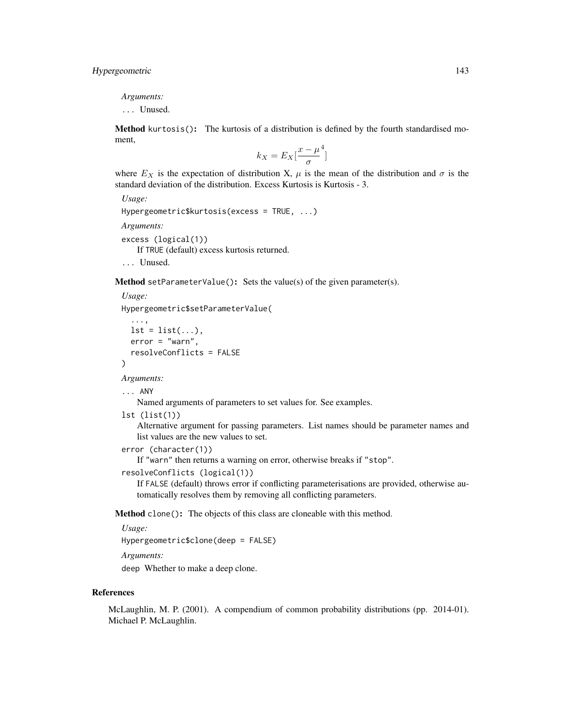*Arguments:*

... Unused.

Method kurtosis(): The kurtosis of a distribution is defined by the fourth standardised moment,

$$
k_X = E_X \left[ \frac{x - \mu^4}{\sigma} \right]
$$

where  $E_X$  is the expectation of distribution X,  $\mu$  is the mean of the distribution and  $\sigma$  is the standard deviation of the distribution. Excess Kurtosis is Kurtosis - 3.

```
Usage:
Hypergeometric$kurtosis(excess = TRUE, ...)
Arguments:
excess (logical(1))
   If TRUE (default) excess kurtosis returned.
... Unused.
```
Method setParameterValue(): Sets the value(s) of the given parameter(s).

*Usage:*

Hypergeometric\$setParameterValue(

```
...,
lst = list(...),error = "warn",resolveConflicts = FALSE
```
*Arguments:*

... ANY

)

Named arguments of parameters to set values for. See examples.

```
lst (list(1))
```
Alternative argument for passing parameters. List names should be parameter names and list values are the new values to set.

```
error (character(1))
```
If "warn" then returns a warning on error, otherwise breaks if "stop".

```
resolveConflicts (logical(1))
```
If FALSE (default) throws error if conflicting parameterisations are provided, otherwise automatically resolves them by removing all conflicting parameters.

Method clone(): The objects of this class are cloneable with this method.

*Usage:*

Hypergeometric\$clone(deep = FALSE)

*Arguments:*

deep Whether to make a deep clone.

#### References

McLaughlin, M. P. (2001). A compendium of common probability distributions (pp. 2014-01). Michael P. McLaughlin.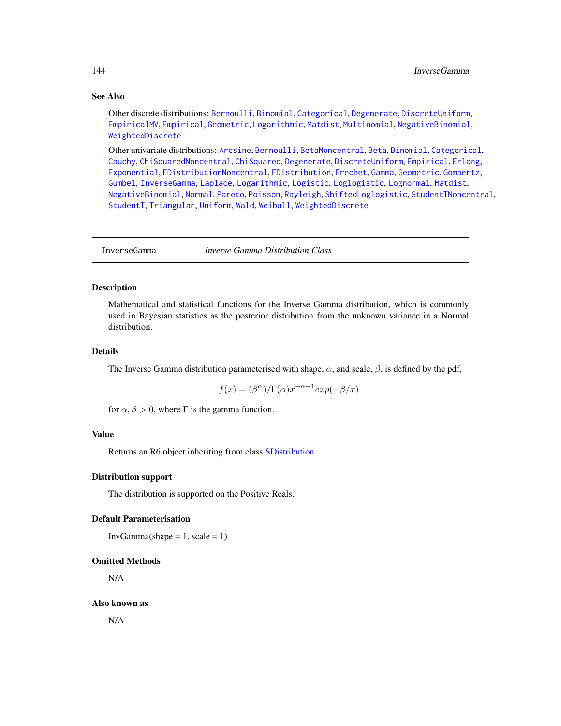# See Also

Other discrete distributions: [Bernoulli](#page-12-0), [Binomial](#page-23-0), [Categorical](#page-29-0), [Degenerate](#page-55-0), [DiscreteUniform](#page-62-0), [EmpiricalMV](#page-87-0), [Empirical](#page-82-0), [Geometric](#page-125-0), [Logarithmic](#page-158-0), [Matdist](#page-178-0), [Multinomial](#page-190-0), [NegativeBinomial](#page-200-0), [WeightedDiscrete](#page-302-0)

Other univariate distributions: [Arcsine](#page-6-0), [Bernoulli](#page-12-0), [BetaNoncentral](#page-21-0), [Beta](#page-17-0), [Binomial](#page-23-0), [Categorical](#page-29-0), [Cauchy](#page-34-0), [ChiSquaredNoncentral](#page-43-0), [ChiSquared](#page-38-0), [Degenerate](#page-55-0), [DiscreteUniform](#page-62-0), [Empirical](#page-82-0), [Erlang](#page-92-0), [Exponential](#page-102-0), [FDistributionNoncentral](#page-110-0), [FDistribution](#page-106-0), [Frechet](#page-113-0), [Gamma](#page-119-0), [Geometric](#page-125-0), [Gompertz](#page-129-0), [Gumbel](#page-132-0), [InverseGamma](#page-143-0), [Laplace](#page-149-0), [Logarithmic](#page-158-0), [Logistic](#page-162-0), [Loglogistic](#page-168-0), [Lognormal](#page-172-0), [Matdist](#page-178-0), [NegativeBinomial](#page-200-0), [Normal](#page-204-0), [Pareto](#page-211-0), [Poisson](#page-218-0), [Rayleigh](#page-231-0), [ShiftedLoglogistic](#page-236-0), [StudentTNoncentral](#page-249-0), [StudentT](#page-245-0), [Triangular](#page-266-0), [Uniform](#page-279-0), [Wald](#page-294-0), [Weibull](#page-298-0), [WeightedDiscrete](#page-302-0)

<span id="page-143-0"></span>InverseGamma *Inverse Gamma Distribution Class*

# Description

Mathematical and statistical functions for the Inverse Gamma distribution, which is commonly used in Bayesian statistics as the posterior distribution from the unknown variance in a Normal distribution.

# Details

The Inverse Gamma distribution parameterised with shape,  $\alpha$ , and scale,  $\beta$ , is defined by the pdf,

$$
f(x) = (\beta^{\alpha})/\Gamma(\alpha)x^{-\alpha-1}exp(-\beta/x)
$$

for  $\alpha, \beta > 0$ , where  $\Gamma$  is the gamma function.

# Value

Returns an R6 object inheriting from class [SDistribution.](#page-235-0)

## Distribution support

The distribution is supported on the Positive Reals.

# Default Parameterisation

 $InvGamma(shape = 1, scale = 1)$ 

#### Omitted Methods

N/A

#### Also known as

N/A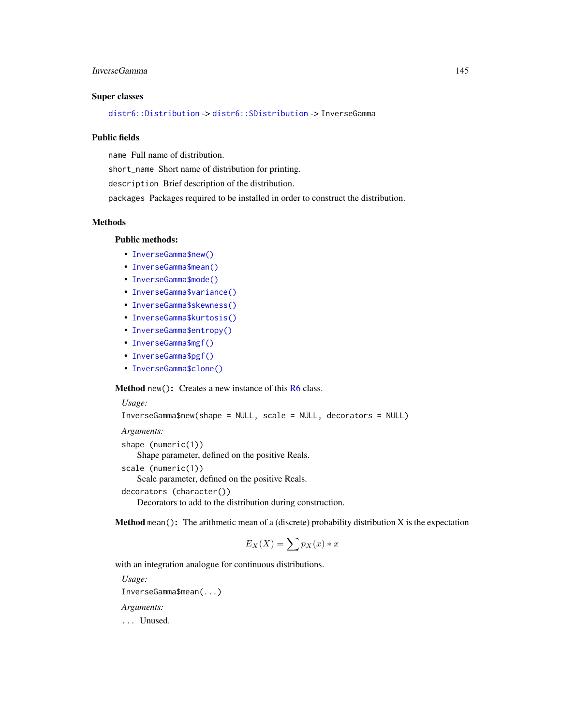# InverseGamma 145

### Super classes

[distr6::Distribution](#page-0-0) -> [distr6::SDistribution](#page-0-0) -> InverseGamma

#### Public fields

name Full name of distribution.

short\_name Short name of distribution for printing.

description Brief description of the distribution.

packages Packages required to be installed in order to construct the distribution.

## Methods

#### Public methods:

- [InverseGamma\\$new\(\)](#page-7-0)
- [InverseGamma\\$mean\(\)](#page-7-1)
- [InverseGamma\\$mode\(\)](#page-8-0)
- [InverseGamma\\$variance\(\)](#page-8-1)
- [InverseGamma\\$skewness\(\)](#page-8-2)
- [InverseGamma\\$kurtosis\(\)](#page-8-3)
- [InverseGamma\\$entropy\(\)](#page-9-0)
- [InverseGamma\\$mgf\(\)](#page-15-0)
- [InverseGamma\\$pgf\(\)](#page-9-1)
- [InverseGamma\\$clone\(\)](#page-9-2)

Method new(): Creates a new instance of this [R6](#page-0-0) class.

*Usage:*

```
InverseGamma$new(shape = NULL, scale = NULL, decorators = NULL)
```

```
Arguments:
shape (numeric(1))
    Shape parameter, defined on the positive Reals.
scale (numeric(1))
    Scale parameter, defined on the positive Reals.
decorators (character())
    Decorators to add to the distribution during construction.
```
**Method** mean(): The arithmetic mean of a (discrete) probability distribution  $X$  is the expectation

$$
E_X(X) = \sum p_X(x) * x
$$

with an integration analogue for continuous distributions.

```
Usage:
InverseGamma$mean(...)
Arguments:
... Unused.
```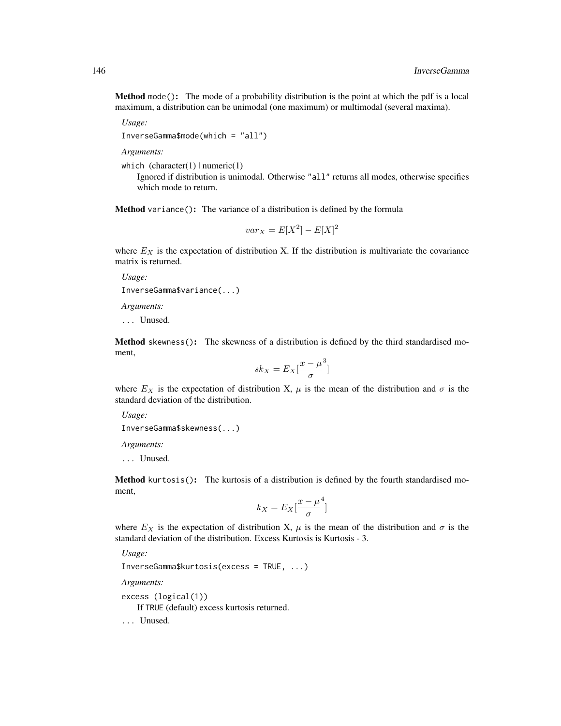Method mode(): The mode of a probability distribution is the point at which the pdf is a local maximum, a distribution can be unimodal (one maximum) or multimodal (several maxima).

*Usage:*

InverseGamma\$mode(which = "all")

*Arguments:*

which  $(character(1) | numeric(1))$ 

Ignored if distribution is unimodal. Otherwise "all" returns all modes, otherwise specifies which mode to return.

Method variance(): The variance of a distribution is defined by the formula

$$
var_X = E[X^2] - E[X]^2
$$

where  $E_X$  is the expectation of distribution X. If the distribution is multivariate the covariance matrix is returned.

*Usage:*

InverseGamma\$variance(...)

*Arguments:*

... Unused.

Method skewness(): The skewness of a distribution is defined by the third standardised moment,

$$
sk_X = E_X \left[ \frac{x - \mu^3}{\sigma} \right]
$$

where  $E_X$  is the expectation of distribution X,  $\mu$  is the mean of the distribution and  $\sigma$  is the standard deviation of the distribution.

*Usage:*

```
InverseGamma$skewness(...)
```
*Arguments:*

... Unused.

Method kurtosis(): The kurtosis of a distribution is defined by the fourth standardised moment,

$$
k_X = E_X \left[ \frac{x - \mu^4}{\sigma} \right]
$$

where  $E_X$  is the expectation of distribution X,  $\mu$  is the mean of the distribution and  $\sigma$  is the standard deviation of the distribution. Excess Kurtosis is Kurtosis - 3.

*Usage:*

InverseGamma\$kurtosis(excess = TRUE, ...)

*Arguments:*

excess (logical(1))

If TRUE (default) excess kurtosis returned.

... Unused.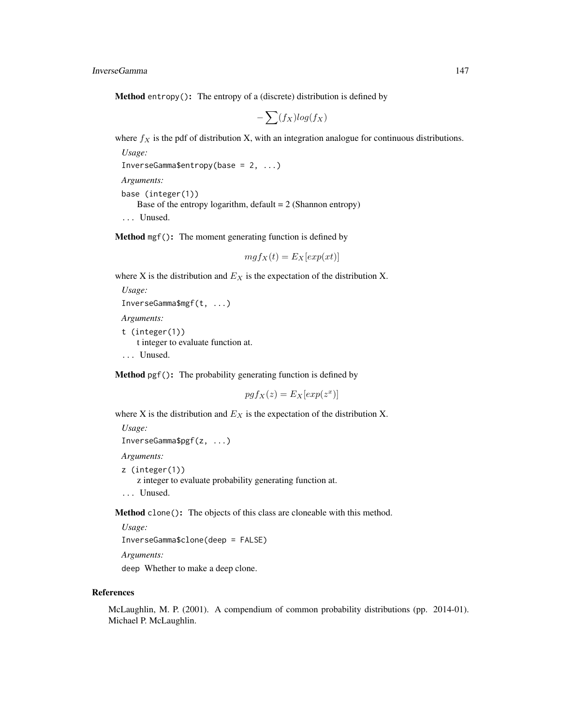**Method** entropy(): The entropy of a (discrete) distribution is defined by

$$
-\sum(f_X)log(f_X)
$$

where  $f_X$  is the pdf of distribution X, with an integration analogue for continuous distributions.

```
Usage:
InverseGamma$entropy(base = 2, ...)
```
*Arguments:*

base (integer(1)) Base of the entropy logarithm, default  $= 2$  (Shannon entropy) ... Unused.

Method mgf(): The moment generating function is defined by

```
mgf_X(t) = E_X[exp(xt)]
```
where X is the distribution and  $E<sub>X</sub>$  is the expectation of the distribution X.

```
Usage:
InverseGamma$mgf(t, ...)
```
*Arguments:*

t (integer(1)) t integer to evaluate function at. ... Unused.

Method pgf(): The probability generating function is defined by

$$
pgf_X(z) = E_X[exp(z^x)]
$$

where X is the distribution and  $E<sub>X</sub>$  is the expectation of the distribution X.

```
Usage:
InverseGamma$pgf(z, ...)
Arguments:
z (integer(1))
    z integer to evaluate probability generating function at.
... Unused.
```
Method clone(): The objects of this class are cloneable with this method.

*Usage:*

InverseGamma\$clone(deep = FALSE)

*Arguments:*

deep Whether to make a deep clone.

#### References

McLaughlin, M. P. (2001). A compendium of common probability distributions (pp. 2014-01). Michael P. McLaughlin.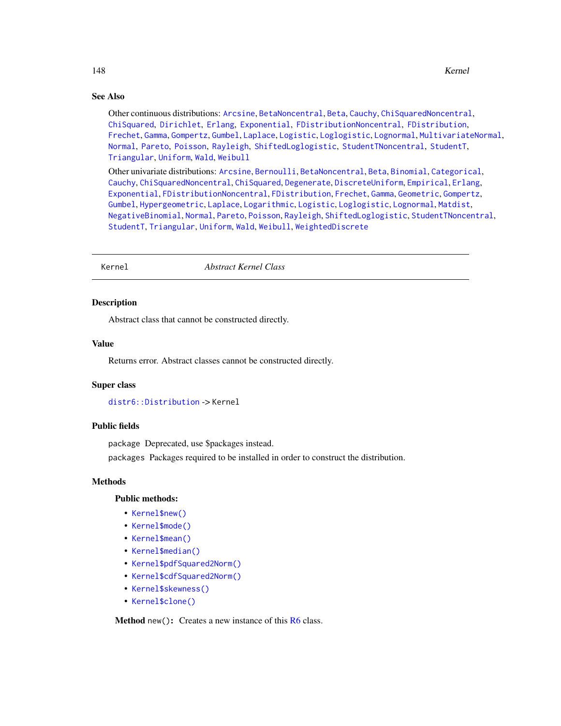## See Also

Other continuous distributions: [Arcsine](#page-6-0), [BetaNoncentral](#page-21-0), [Beta](#page-17-0), [Cauchy](#page-34-0), [ChiSquaredNoncentral](#page-43-0), [ChiSquared](#page-38-0), [Dirichlet](#page-59-0), [Erlang](#page-92-0), [Exponential](#page-102-0), [FDistributionNoncentral](#page-110-0), [FDistribution](#page-106-0), [Frechet](#page-113-0), [Gamma](#page-119-0), [Gompertz](#page-129-0), [Gumbel](#page-132-0), [Laplace](#page-149-0), [Logistic](#page-162-0), [Loglogistic](#page-168-0), [Lognormal](#page-172-0), [MultivariateNormal](#page-195-0), [Normal](#page-204-0), [Pareto](#page-211-0), [Poisson](#page-218-0), [Rayleigh](#page-231-0), [ShiftedLoglogistic](#page-236-0), [StudentTNoncentral](#page-249-0), [StudentT](#page-245-0), [Triangular](#page-266-0), [Uniform](#page-279-0), [Wald](#page-294-0), [Weibull](#page-298-0)

Other univariate distributions: [Arcsine](#page-6-0), [Bernoulli](#page-12-0), [BetaNoncentral](#page-21-0), [Beta](#page-17-0), [Binomial](#page-23-0), [Categorical](#page-29-0), [Cauchy](#page-34-0), [ChiSquaredNoncentral](#page-43-0), [ChiSquared](#page-38-0), [Degenerate](#page-55-0), [DiscreteUniform](#page-62-0), [Empirical](#page-82-0), [Erlang](#page-92-0), [Exponential](#page-102-0), [FDistributionNoncentral](#page-110-0), [FDistribution](#page-106-0), [Frechet](#page-113-0), [Gamma](#page-119-0), [Geometric](#page-125-0), [Gompertz](#page-129-0), [Gumbel](#page-132-0), [Hypergeometric](#page-139-0), [Laplace](#page-149-0), [Logarithmic](#page-158-0), [Logistic](#page-162-0), [Loglogistic](#page-168-0), [Lognormal](#page-172-0), [Matdist](#page-178-0), [NegativeBinomial](#page-200-0), [Normal](#page-204-0), [Pareto](#page-211-0), [Poisson](#page-218-0), [Rayleigh](#page-231-0), [ShiftedLoglogistic](#page-236-0), [StudentTNoncentral](#page-249-0), [StudentT](#page-245-0), [Triangular](#page-266-0), [Uniform](#page-279-0), [Wald](#page-294-0), [Weibull](#page-298-0), [WeightedDiscrete](#page-302-0)

<span id="page-147-0"></span>

Kernel *Abstract Kernel Class*

#### Description

Abstract class that cannot be constructed directly.

#### Value

Returns error. Abstract classes cannot be constructed directly.

#### Super class

[distr6::Distribution](#page-0-0) -> Kernel

#### Public fields

package Deprecated, use \$packages instead.

packages Packages required to be installed in order to construct the distribution.

#### Methods

# Public methods:

- [Kernel\\$new\(\)](#page-7-0)
- [Kernel\\$mode\(\)](#page-8-0)
- [Kernel\\$mean\(\)](#page-7-1)
- [Kernel\\$median\(\)](#page-14-0)
- [Kernel\\$pdfSquared2Norm\(\)](#page-52-0)
- [Kernel\\$cdfSquared2Norm\(\)](#page-53-0)
- [Kernel\\$skewness\(\)](#page-8-2)
- [Kernel\\$clone\(\)](#page-9-2)

Method new(): Creates a new instance of this [R6](#page-0-0) class.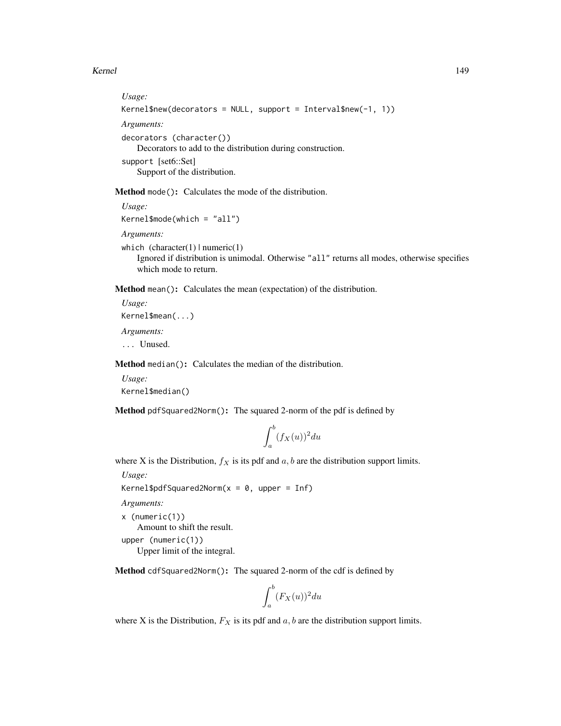#### Kernel 149

```
Usage:
Kernel$new(decorators = NULL, support = Interval$new(-1, 1))
Arguments:
decorators (character())
   Decorators to add to the distribution during construction.
support [set6::Set]
   Support of the distribution.
```
Method mode(): Calculates the mode of the distribution.

*Usage:*

Kernel\$mode(which = "all")

*Arguments:*

which  $(character(1) | numeric(1))$ Ignored if distribution is unimodal. Otherwise "all" returns all modes, otherwise specifies which mode to return.

Method mean(): Calculates the mean (expectation) of the distribution.

*Usage:* Kernel\$mean(...) *Arguments:* ... Unused.

Method median(): Calculates the median of the distribution.

*Usage:* Kernel\$median()

Method pdfSquared2Norm(): The squared 2-norm of the pdf is defined by

$$
\int_a^b (f_X(u))^2 du
$$

where X is the Distribution,  $f_X$  is its pdf and  $a, b$  are the distribution support limits.

*Usage:*

Kernel\$pdfSquared2Norm( $x = 0$ , upper = Inf)

*Arguments:*

x (numeric(1))

Amount to shift the result.

upper (numeric(1))

Upper limit of the integral.

Method cdfSquared2Norm(): The squared 2-norm of the cdf is defined by

$$
\int_a^b (F_X(u))^2 du
$$

where X is the Distribution,  $F_X$  is its pdf and  $a, b$  are the distribution support limits.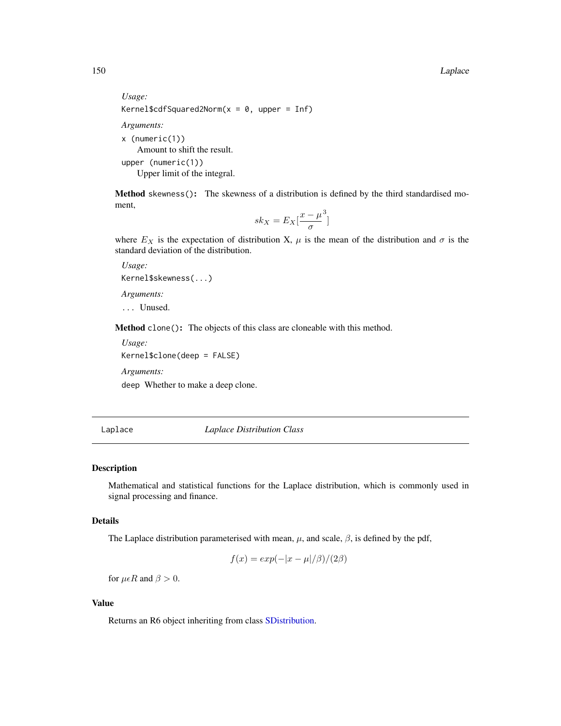150 Laplace **Laplace** Laplace **Laplace** Laplace **Laplace** Laplace **Laplace** Laplace **Laplace** Laplace **Laplace** Laplace **Laplace** Laplace **Laplace** Laplace **Laplace** Laplace **Laplace** Laplace **Laplace** Laplace **Laplace** La

```
Usage:
Kernel$cdfSquared2Norm(x = 0, upper = Inf)
Arguments:
x (numeric(1))
   Amount to shift the result.
upper (numeric(1))
   Upper limit of the integral.
```
Method skewness(): The skewness of a distribution is defined by the third standardised moment,

$$
sk_X = E_X \left[ \frac{x - \mu^3}{\sigma} \right]
$$

where  $E_X$  is the expectation of distribution X,  $\mu$  is the mean of the distribution and  $\sigma$  is the standard deviation of the distribution.

*Usage:* Kernel\$skewness(...) *Arguments:* ... Unused.

Method clone(): The objects of this class are cloneable with this method.

```
Usage:
Kernel$clone(deep = FALSE)
Arguments:
deep Whether to make a deep clone.
```
<span id="page-149-0"></span>Laplace *Laplace Distribution Class*

# Description

Mathematical and statistical functions for the Laplace distribution, which is commonly used in signal processing and finance.

# Details

The Laplace distribution parameterised with mean,  $\mu$ , and scale,  $\beta$ , is defined by the pdf,

$$
f(x) = exp(-|x - \mu|/\beta)/(2\beta)
$$

for  $\mu \in R$  and  $\beta > 0$ .

# Value

Returns an R6 object inheriting from class [SDistribution.](#page-235-0)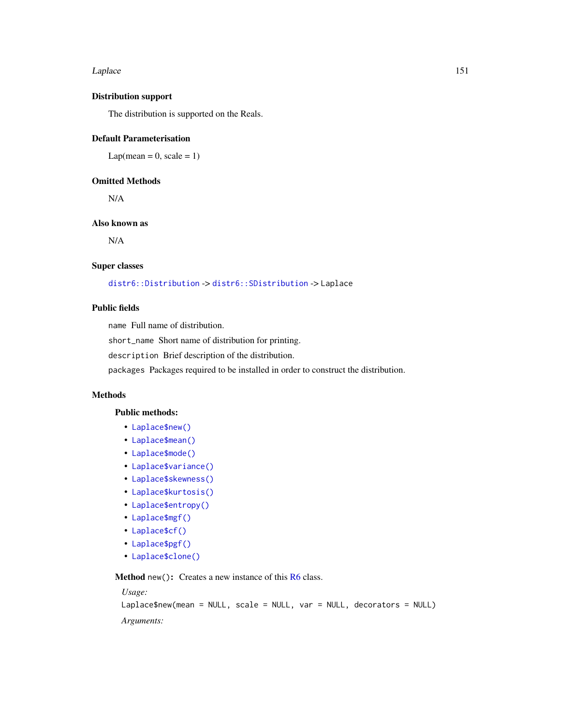#### Laplace 151

## Distribution support

The distribution is supported on the Reals.

# Default Parameterisation

 $Lap(mean = 0, scale = 1)$ 

# Omitted Methods

N/A

# Also known as

N/A

#### Super classes

[distr6::Distribution](#page-0-0) -> [distr6::SDistribution](#page-0-0) -> Laplace

# Public fields

name Full name of distribution.

short\_name Short name of distribution for printing.

description Brief description of the distribution.

packages Packages required to be installed in order to construct the distribution.

## Methods

## Public methods:

- [Laplace\\$new\(\)](#page-7-0)
- [Laplace\\$mean\(\)](#page-7-1)
- [Laplace\\$mode\(\)](#page-8-0)
- [Laplace\\$variance\(\)](#page-8-1)
- [Laplace\\$skewness\(\)](#page-8-2)
- [Laplace\\$kurtosis\(\)](#page-8-3)
- [Laplace\\$entropy\(\)](#page-9-0)
- [Laplace\\$mgf\(\)](#page-15-0)
- [Laplace\\$cf\(\)](#page-15-1)
- [Laplace\\$pgf\(\)](#page-9-1)
- [Laplace\\$clone\(\)](#page-9-2)

Method new(): Creates a new instance of this [R6](#page-0-0) class.

#### *Usage:*

```
Laplace$new(mean = NULL, scale = NULL, var = NULL, decorators = NULL)
```
*Arguments:*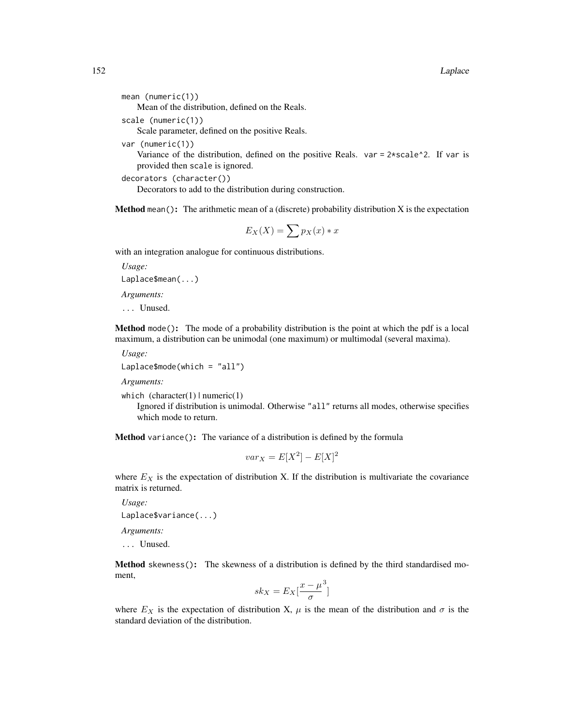```
mean (numeric(1))
```
Mean of the distribution, defined on the Reals.

scale (numeric(1))

Scale parameter, defined on the positive Reals.

var (numeric(1))

Variance of the distribution, defined on the positive Reals. var =  $2*scale^2$ . If var is provided then scale is ignored.

decorators (character())

Decorators to add to the distribution during construction.

**Method** mean(): The arithmetic mean of a (discrete) probability distribution  $X$  is the expectation

$$
E_X(X) = \sum p_X(x) * x
$$

with an integration analogue for continuous distributions.

*Usage:*

Laplace\$mean(...)

*Arguments:*

... Unused.

Method mode(): The mode of a probability distribution is the point at which the pdf is a local maximum, a distribution can be unimodal (one maximum) or multimodal (several maxima).

*Usage:*

Laplace\$mode(which = "all")

*Arguments:*

which  $(character(1) | numeric(1))$ 

Ignored if distribution is unimodal. Otherwise "all" returns all modes, otherwise specifies which mode to return.

Method variance(): The variance of a distribution is defined by the formula

$$
var_X = E[X^2] - E[X]^2
$$

where  $E<sub>X</sub>$  is the expectation of distribution X. If the distribution is multivariate the covariance matrix is returned.

*Usage:* Laplace\$variance(...)

*Arguments:*

... Unused.

Method skewness(): The skewness of a distribution is defined by the third standardised moment,

$$
sk_X = E_X \left[ \frac{x - \mu^3}{\sigma} \right]
$$

where  $E_X$  is the expectation of distribution X,  $\mu$  is the mean of the distribution and  $\sigma$  is the standard deviation of the distribution.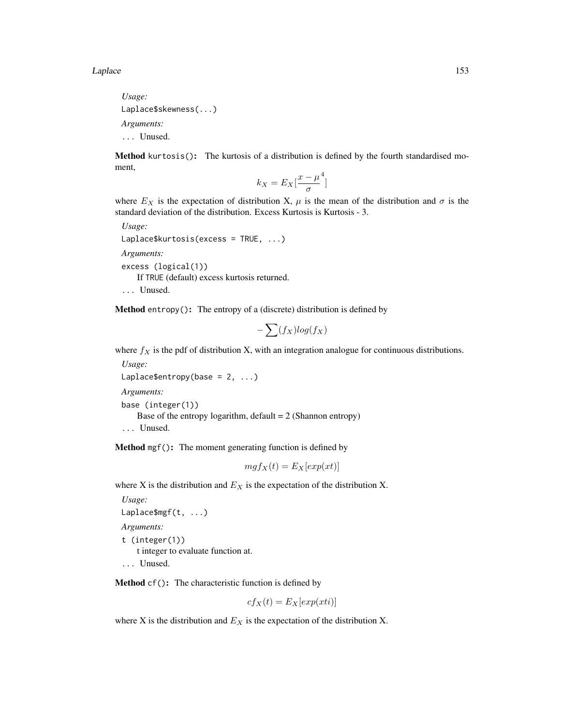*Usage:* Laplace\$skewness(...) *Arguments:* ... Unused.

Method kurtosis(): The kurtosis of a distribution is defined by the fourth standardised moment,

$$
k_X = E_X \left[ \frac{x - \mu^4}{\sigma} \right]
$$

where  $E_X$  is the expectation of distribution X,  $\mu$  is the mean of the distribution and  $\sigma$  is the standard deviation of the distribution. Excess Kurtosis is Kurtosis - 3.

*Usage:* Laplace\$kurtosis(excess = TRUE, ...) *Arguments:* excess (logical(1)) If TRUE (default) excess kurtosis returned.

... Unused.

**Method** entropy(): The entropy of a (discrete) distribution is defined by

$$
-\sum(f_X)log(f_X)
$$

where  $f_X$  is the pdf of distribution X, with an integration analogue for continuous distributions.

*Usage:* Laplace\$entropy(base =  $2, ...$ )

*Arguments:*

```
base (integer(1))
```
Base of the entropy logarithm, default  $= 2$  (Shannon entropy)

... Unused.

Method mgf(): The moment generating function is defined by

$$
mgf_X(t) = E_X[exp(xt)]
$$

where X is the distribution and  $E<sub>X</sub>$  is the expectation of the distribution X.

```
Usage:
Laplace$mgf(t, ...)
Arguments:
t (integer(1))
    t integer to evaluate function at.
... Unused.
```
Method cf(): The characteristic function is defined by

$$
cf_X(t) = E_X[exp(xti)]
$$

where X is the distribution and  $E<sub>X</sub>$  is the expectation of the distribution X.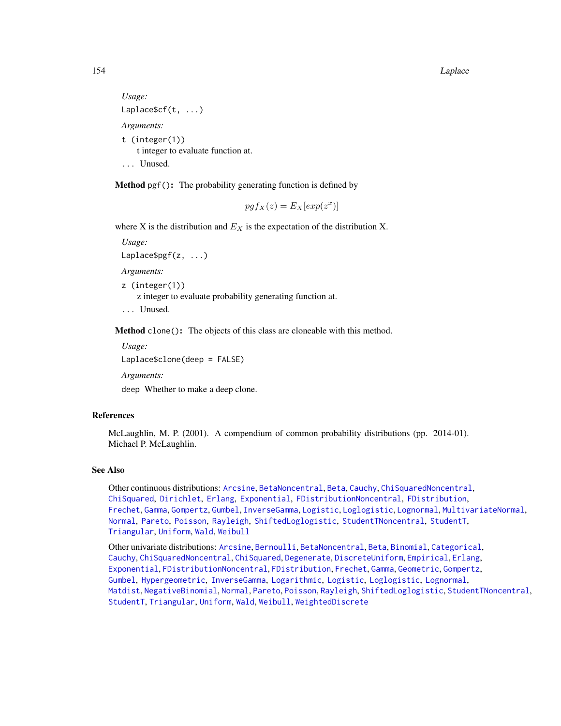#### 154 Laplace **Laplace** Laplace **Laplace** Laplace **Laplace** Laplace **Laplace** Laplace **Laplace** Laplace **Laplace** Laplace **Laplace** Laplace **Laplace** Laplace **Laplace** Laplace **Laplace** Laplace **Laplace** Laplace **Laplace** La

```
Usage:
Laplace$cf(t, ...)
Arguments:
t (integer(1))
    t integer to evaluate function at.
... Unused.
```
Method pgf(): The probability generating function is defined by

$$
pgf_X(z) = E_X[exp(z^x)]
$$

where X is the distribution and  $E<sub>X</sub>$  is the expectation of the distribution X.

*Usage:*

Laplace\$pgf(z, ...)

*Arguments:*

z (integer(1)) z integer to evaluate probability generating function at. ... Unused.

Method clone(): The objects of this class are cloneable with this method.

*Usage:* Laplace\$clone(deep = FALSE)

*Arguments:*

deep Whether to make a deep clone.

## References

McLaughlin, M. P. (2001). A compendium of common probability distributions (pp. 2014-01). Michael P. McLaughlin.

# See Also

Other continuous distributions: [Arcsine](#page-6-0), [BetaNoncentral](#page-21-0), [Beta](#page-17-0), [Cauchy](#page-34-0), [ChiSquaredNoncentral](#page-43-0), [ChiSquared](#page-38-0), [Dirichlet](#page-59-0), [Erlang](#page-92-0), [Exponential](#page-102-0), [FDistributionNoncentral](#page-110-0), [FDistribution](#page-106-0), [Frechet](#page-113-0), [Gamma](#page-119-0), [Gompertz](#page-129-0), [Gumbel](#page-132-0), [InverseGamma](#page-143-0), [Logistic](#page-162-0), [Loglogistic](#page-168-0), [Lognormal](#page-172-0), [MultivariateNormal](#page-195-0), [Normal](#page-204-0), [Pareto](#page-211-0), [Poisson](#page-218-0), [Rayleigh](#page-231-0), [ShiftedLoglogistic](#page-236-0), [StudentTNoncentral](#page-249-0), [StudentT](#page-245-0), [Triangular](#page-266-0), [Uniform](#page-279-0), [Wald](#page-294-0), [Weibull](#page-298-0)

Other univariate distributions: [Arcsine](#page-6-0), [Bernoulli](#page-12-0), [BetaNoncentral](#page-21-0), [Beta](#page-17-0), [Binomial](#page-23-0), [Categorical](#page-29-0), [Cauchy](#page-34-0), [ChiSquaredNoncentral](#page-43-0), [ChiSquared](#page-38-0), [Degenerate](#page-55-0), [DiscreteUniform](#page-62-0), [Empirical](#page-82-0), [Erlang](#page-92-0), [Exponential](#page-102-0), [FDistributionNoncentral](#page-110-0), [FDistribution](#page-106-0), [Frechet](#page-113-0), [Gamma](#page-119-0), [Geometric](#page-125-0), [Gompertz](#page-129-0), [Gumbel](#page-132-0), [Hypergeometric](#page-139-0), [InverseGamma](#page-143-0), [Logarithmic](#page-158-0), [Logistic](#page-162-0), [Loglogistic](#page-168-0), [Lognormal](#page-172-0), [Matdist](#page-178-0), [NegativeBinomial](#page-200-0), [Normal](#page-204-0), [Pareto](#page-211-0), [Poisson](#page-218-0), [Rayleigh](#page-231-0), [ShiftedLoglogistic](#page-236-0), [StudentTNoncentral](#page-249-0), [StudentT](#page-245-0), [Triangular](#page-266-0), [Uniform](#page-279-0), [Wald](#page-294-0), [Weibull](#page-298-0), [WeightedDiscrete](#page-302-0)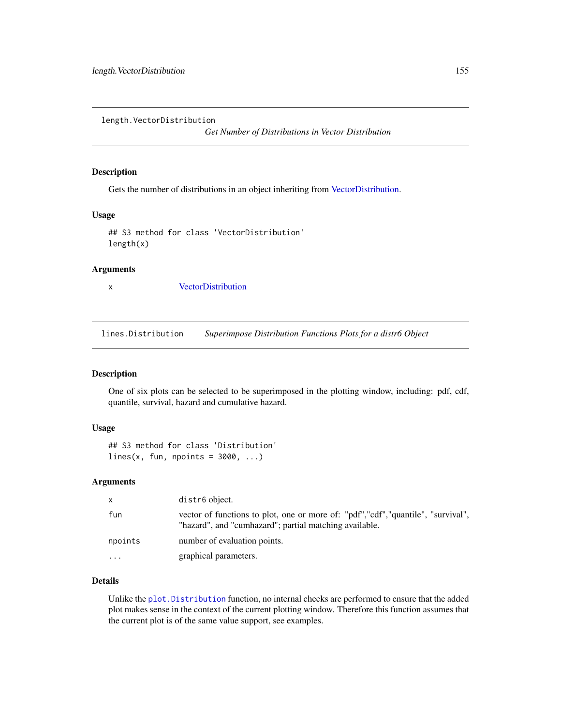length.VectorDistribution

*Get Number of Distributions in Vector Distribution*

## Description

Gets the number of distributions in an object inheriting from [VectorDistribution.](#page-285-0)

#### Usage

```
## S3 method for class 'VectorDistribution'
length(x)
```
# Arguments

x [VectorDistribution](#page-285-0)

lines.Distribution *Superimpose Distribution Functions Plots for a distr6 Object*

## Description

One of six plots can be selected to be superimposed in the plotting window, including: pdf, cdf, quantile, survival, hazard and cumulative hazard.

## Usage

```
## S3 method for class 'Distribution'
lines(x, fun, npoints = 3000, ...)
```
## Arguments

| X         | distr6 object.                                                                                                                               |
|-----------|----------------------------------------------------------------------------------------------------------------------------------------------|
| fun       | vector of functions to plot, one or more of: "pdf", "cdf", "quantile", "survival",<br>"hazard", and "cumhazard"; partial matching available. |
| npoints   | number of evaluation points.                                                                                                                 |
| $\ddotsc$ | graphical parameters.                                                                                                                        |

# Details

Unlike the [plot.Distribution](#page-215-0) function, no internal checks are performed to ensure that the added plot makes sense in the context of the current plotting window. Therefore this function assumes that the current plot is of the same value support, see examples.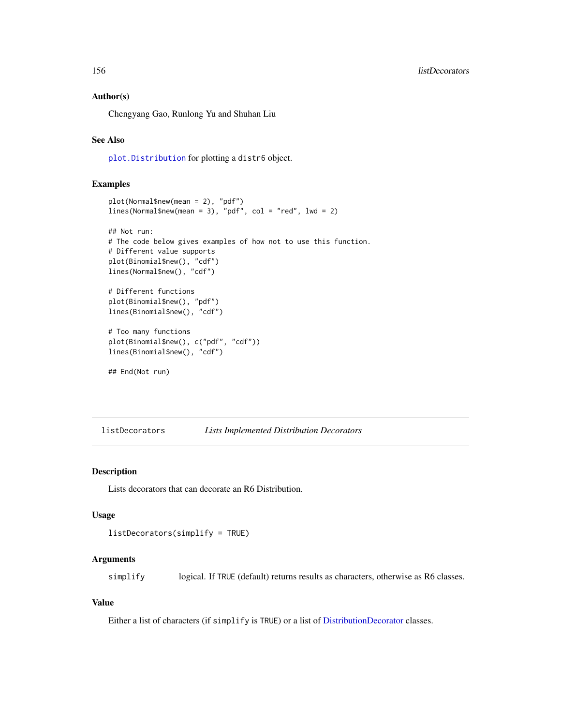### Author(s)

Chengyang Gao, Runlong Yu and Shuhan Liu

## See Also

[plot.Distribution](#page-215-0) for plotting a distr6 object.

## Examples

```
plot(Normal$new(mean = 2), "pdf")
lines(Normal$new(mean = 3), "pdf", col = "red", lwd = 2)
## Not run:
# The code below gives examples of how not to use this function.
# Different value supports
plot(Binomial$new(), "cdf")
lines(Normal$new(), "cdf")
# Different functions
plot(Binomial$new(), "pdf")
lines(Binomial$new(), "cdf")
# Too many functions
plot(Binomial$new(), c("pdf", "cdf"))
lines(Binomial$new(), "cdf")
## End(Not run)
```
listDecorators *Lists Implemented Distribution Decorators*

## Description

Lists decorators that can decorate an R6 Distribution.

## Usage

```
listDecorators(simplify = TRUE)
```
# Arguments

simplify logical. If TRUE (default) returns results as characters, otherwise as R6 classes.

#### Value

Either a list of characters (if simplify is TRUE) or a list of [DistributionDecorator](#page-77-0) classes.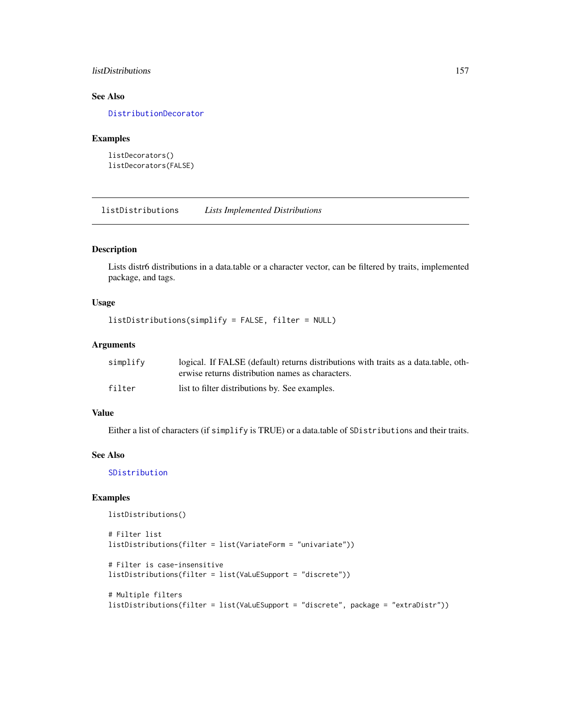## listDistributions 157

# See Also

[DistributionDecorator](#page-77-0)

## Examples

```
listDecorators()
listDecorators(FALSE)
```
listDistributions *Lists Implemented Distributions*

# Description

Lists distr6 distributions in a data.table or a character vector, can be filtered by traits, implemented package, and tags.

# Usage

```
listDistributions(simplify = FALSE, filter = NULL)
```
## Arguments

| simplify | logical. If FALSE (default) returns distributions with traits as a data table, oth- |
|----------|-------------------------------------------------------------------------------------|
|          | erwise returns distribution names as characters.                                    |
| filter   | list to filter distributions by. See examples.                                      |

## Value

Either a list of characters (if simplify is TRUE) or a data.table of SDistributions and their traits.

#### See Also

[SDistribution](#page-235-0)

## Examples

```
listDistributions()
```

```
# Filter list
listDistributions(filter = list(VariateForm = "univariate"))
# Filter is case-insensitive
listDistributions(filter = list(VaLuESupport = "discrete"))
# Multiple filters
listDistributions(filter = list(VaLuESupport = "discrete", package = "extraDistr"))
```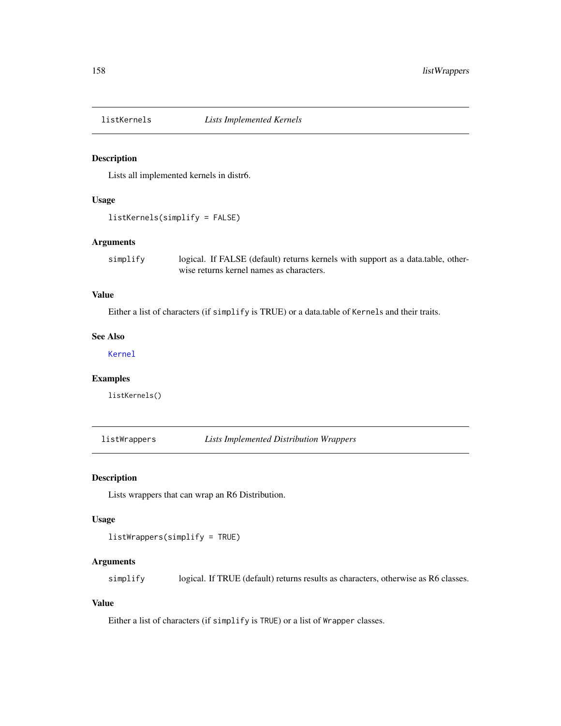# Description

Lists all implemented kernels in distr6.

## Usage

```
listKernels(simplify = FALSE)
```
## Arguments

simplify logical. If FALSE (default) returns kernels with support as a data.table, otherwise returns kernel names as characters.

# Value

Either a list of characters (if simplify is TRUE) or a data.table of Kernels and their traits.

## See Also

[Kernel](#page-147-0)

# Examples

listKernels()

listWrappers *Lists Implemented Distribution Wrappers*

#### Description

Lists wrappers that can wrap an R6 Distribution.

#### Usage

listWrappers(simplify = TRUE)

# Arguments

simplify logical. If TRUE (default) returns results as characters, otherwise as R6 classes.

## Value

Either a list of characters (if simplify is TRUE) or a list of Wrapper classes.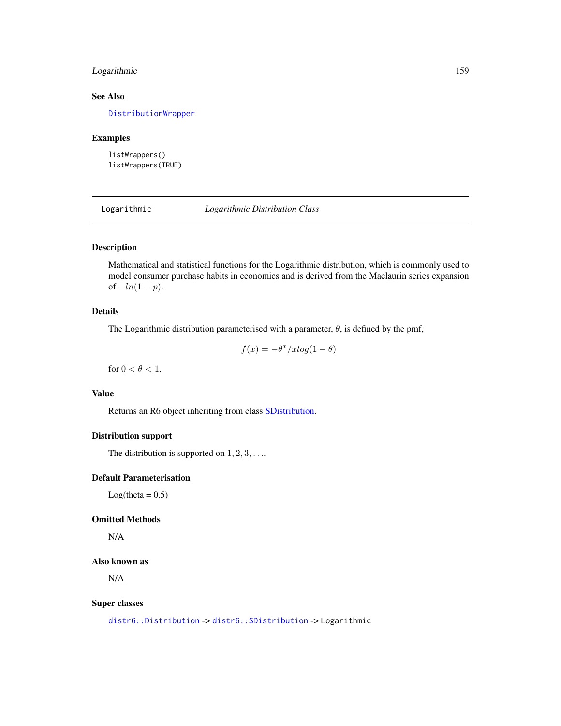# Logarithmic 159

# See Also

[DistributionWrapper](#page-78-0)

## Examples

listWrappers() listWrappers(TRUE)

<span id="page-158-0"></span>Logarithmic *Logarithmic Distribution Class*

# Description

Mathematical and statistical functions for the Logarithmic distribution, which is commonly used to model consumer purchase habits in economics and is derived from the Maclaurin series expansion of  $-ln(1 − p)$ .

## Details

The Logarithmic distribution parameterised with a parameter,  $\theta$ , is defined by the pmf,

$$
f(x) = -\theta^x / x \log(1 - \theta)
$$

for  $0 < \theta < 1$ .

# Value

Returns an R6 object inheriting from class [SDistribution.](#page-235-0)

## Distribution support

The distribution is supported on  $1, 2, 3, \ldots$ 

## Default Parameterisation

 $Log(theta = 0.5)$ 

# Omitted Methods

N/A

## Also known as

N/A

### Super classes

[distr6::Distribution](#page-0-0) -> [distr6::SDistribution](#page-0-0) -> Logarithmic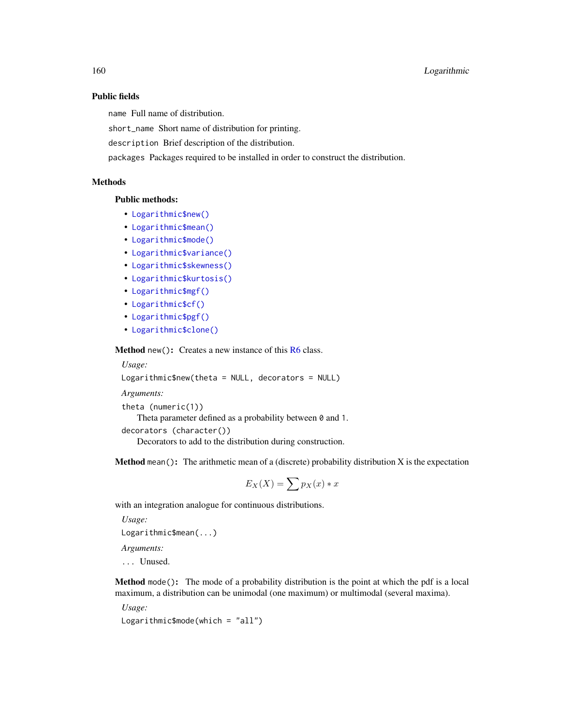## Public fields

name Full name of distribution.

short\_name Short name of distribution for printing.

description Brief description of the distribution.

packages Packages required to be installed in order to construct the distribution.

# **Methods**

# Public methods:

- [Logarithmic\\$new\(\)](#page-7-0)
- [Logarithmic\\$mean\(\)](#page-7-1)
- [Logarithmic\\$mode\(\)](#page-8-0)
- [Logarithmic\\$variance\(\)](#page-8-1)
- [Logarithmic\\$skewness\(\)](#page-8-2)
- [Logarithmic\\$kurtosis\(\)](#page-8-3)
- [Logarithmic\\$mgf\(\)](#page-15-0)
- [Logarithmic\\$cf\(\)](#page-15-1)
- [Logarithmic\\$pgf\(\)](#page-9-1)
- [Logarithmic\\$clone\(\)](#page-9-2)

Method new(): Creates a new instance of this [R6](#page-0-0) class.

*Usage:*

Logarithmic\$new(theta = NULL, decorators = NULL)

*Arguments:*

```
theta (numeric(1))
```
Theta parameter defined as a probability between 0 and 1.

```
decorators (character())
```
Decorators to add to the distribution during construction.

**Method** mean(): The arithmetic mean of a (discrete) probability distribution  $X$  is the expectation

$$
E_X(X) = \sum p_X(x) * x
$$

with an integration analogue for continuous distributions.

```
Usage:
Logarithmic$mean(...)
```
*Arguments:*

... Unused.

Method mode(): The mode of a probability distribution is the point at which the pdf is a local maximum, a distribution can be unimodal (one maximum) or multimodal (several maxima).

*Usage:*

Logarithmic\$mode(which = "all")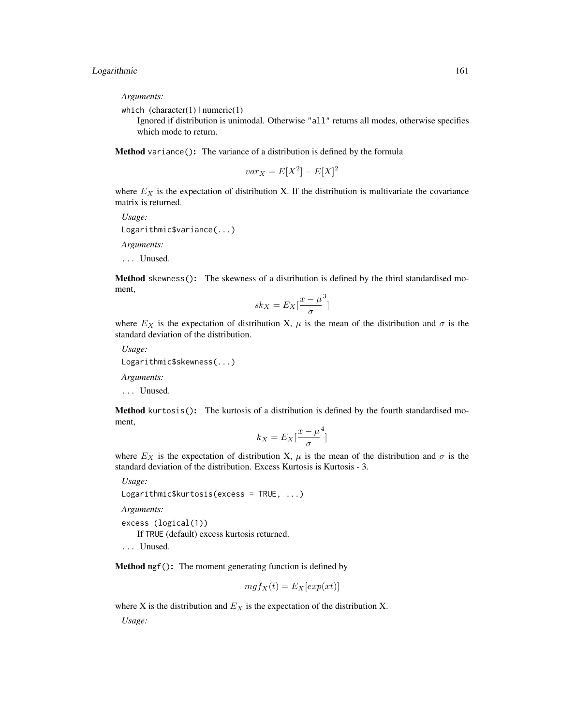*Arguments:*

which  $(character(1) | numeric(1))$ 

Ignored if distribution is unimodal. Otherwise "all" returns all modes, otherwise specifies which mode to return.

Method variance(): The variance of a distribution is defined by the formula

$$
var_X = E[X^2] - E[X]^2
$$

where  $E<sub>X</sub>$  is the expectation of distribution X. If the distribution is multivariate the covariance matrix is returned.

*Usage:* Logarithmic\$variance(...) *Arguments:* ... Unused.

Method skewness(): The skewness of a distribution is defined by the third standardised moment,

$$
sk_X = E_X \left[ \frac{x - \mu^3}{\sigma} \right]
$$

where  $E_X$  is the expectation of distribution X,  $\mu$  is the mean of the distribution and  $\sigma$  is the standard deviation of the distribution.

*Usage:*

Logarithmic\$skewness(...)

*Arguments:*

... Unused.

Method kurtosis(): The kurtosis of a distribution is defined by the fourth standardised moment,

$$
k_X = E_X \left[ \frac{x - \mu^4}{\sigma} \right]
$$

where  $E_X$  is the expectation of distribution X,  $\mu$  is the mean of the distribution and  $\sigma$  is the standard deviation of the distribution. Excess Kurtosis is Kurtosis - 3.

*Usage:*

```
Logarithmic$kurtosis(excess = TRUE, ...)
```
*Arguments:*

excess (logical(1)) If TRUE (default) excess kurtosis returned. ... Unused.

Method mgf(): The moment generating function is defined by

$$
mgf_X(t) = E_X[exp(xt)]
$$

where X is the distribution and  $E<sub>X</sub>$  is the expectation of the distribution X.

*Usage:*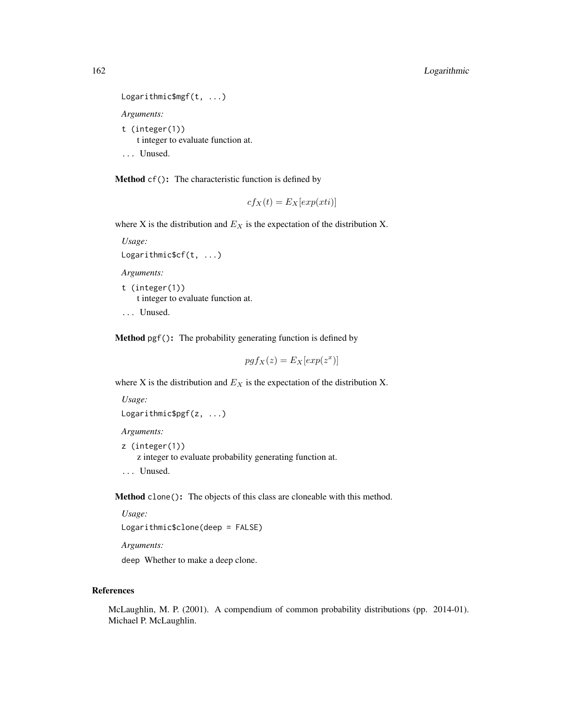```
Logarithmic$mgf(t, ...)
Arguments:
t (integer(1))
   t integer to evaluate function at.
... Unused.
```
Method cf(): The characteristic function is defined by

$$
cf_X(t) = E_X[exp(xti)]
$$

where X is the distribution and  $E<sub>X</sub>$  is the expectation of the distribution X.

```
Usage:
Logarithmic$cf(t, ...)
```
*Arguments:*

t (integer(1)) t integer to evaluate function at.

... Unused.

Method pgf(): The probability generating function is defined by

$$
pgf_X(z) = E_X[exp(z^x)]
$$

where X is the distribution and  $E<sub>X</sub>$  is the expectation of the distribution X.

```
Usage:
Logarithmic$pgf(z, ...)
```
*Arguments:*

z (integer(1)) z integer to evaluate probability generating function at. ... Unused.

Method clone(): The objects of this class are cloneable with this method.

*Usage:*

Logarithmic\$clone(deep = FALSE)

*Arguments:*

deep Whether to make a deep clone.

## References

McLaughlin, M. P. (2001). A compendium of common probability distributions (pp. 2014-01). Michael P. McLaughlin.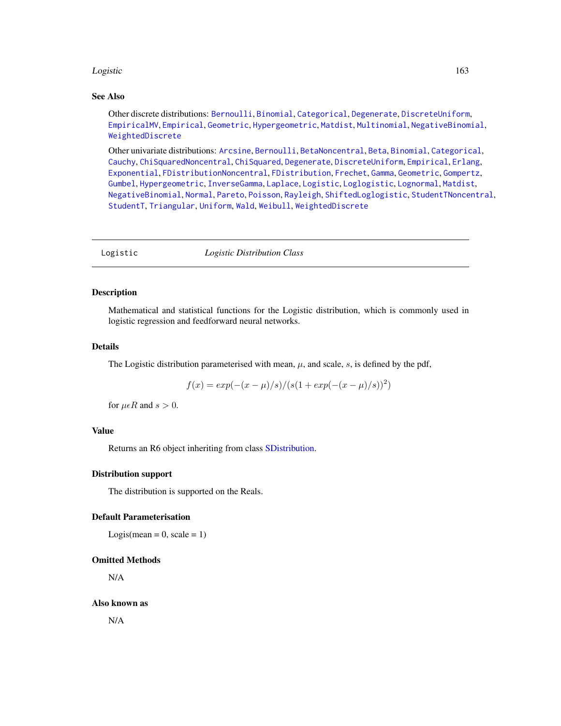#### Logistic the contract of the contract of the contract of the contract of the contract of the contract of the contract of the contract of the contract of the contract of the contract of the contract of the contract of the c

#### See Also

Other discrete distributions: [Bernoulli](#page-12-0), [Binomial](#page-23-0), [Categorical](#page-29-0), [Degenerate](#page-55-0), [DiscreteUniform](#page-62-0), [EmpiricalMV](#page-87-0), [Empirical](#page-82-0), [Geometric](#page-125-0), [Hypergeometric](#page-139-0), [Matdist](#page-178-0), [Multinomial](#page-190-0), [NegativeBinomial](#page-200-0), [WeightedDiscrete](#page-302-0)

Other univariate distributions: [Arcsine](#page-6-0), [Bernoulli](#page-12-0), [BetaNoncentral](#page-21-0), [Beta](#page-17-0), [Binomial](#page-23-0), [Categorical](#page-29-0), [Cauchy](#page-34-0), [ChiSquaredNoncentral](#page-43-0), [ChiSquared](#page-38-0), [Degenerate](#page-55-0), [DiscreteUniform](#page-62-0), [Empirical](#page-82-0), [Erlang](#page-92-0), [Exponential](#page-102-0), [FDistributionNoncentral](#page-110-0), [FDistribution](#page-106-0), [Frechet](#page-113-0), [Gamma](#page-119-0), [Geometric](#page-125-0), [Gompertz](#page-129-0), [Gumbel](#page-132-0), [Hypergeometric](#page-139-0), [InverseGamma](#page-143-0), [Laplace](#page-149-0), [Logistic](#page-162-0), [Loglogistic](#page-168-0), [Lognormal](#page-172-0), [Matdist](#page-178-0), [NegativeBinomial](#page-200-0), [Normal](#page-204-0), [Pareto](#page-211-0), [Poisson](#page-218-0), [Rayleigh](#page-231-0), [ShiftedLoglogistic](#page-236-0), [StudentTNoncentral](#page-249-0), [StudentT](#page-245-0), [Triangular](#page-266-0), [Uniform](#page-279-0), [Wald](#page-294-0), [Weibull](#page-298-0), [WeightedDiscrete](#page-302-0)

<span id="page-162-0"></span>Logistic *Logistic Distribution Class*

## Description

Mathematical and statistical functions for the Logistic distribution, which is commonly used in logistic regression and feedforward neural networks.

## Details

The Logistic distribution parameterised with mean,  $\mu$ , and scale, s, is defined by the pdf,

$$
f(x) = exp(-(x - \mu)/s)/(s(1 + exp(-(x - \mu)/s))^2)
$$

for  $\mu \in R$  and  $s > 0$ .

#### Value

Returns an R6 object inheriting from class [SDistribution.](#page-235-0)

#### Distribution support

The distribution is supported on the Reals.

#### Default Parameterisation

Logis(mean =  $0$ , scale =  $1$ )

## Omitted Methods

N/A

Also known as

N/A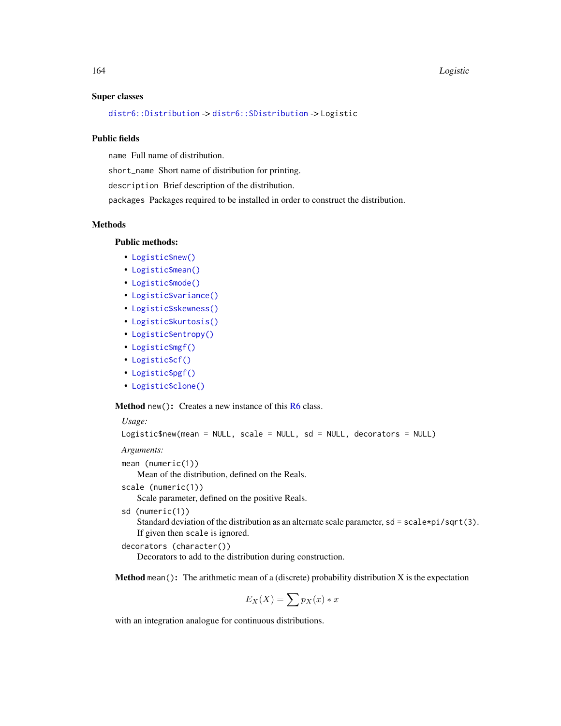#### 164 Logistic

#### Super classes

[distr6::Distribution](#page-0-0) -> [distr6::SDistribution](#page-0-0) -> Logistic

## Public fields

name Full name of distribution.

short\_name Short name of distribution for printing.

description Brief description of the distribution.

packages Packages required to be installed in order to construct the distribution.

## **Methods**

## Public methods:

- [Logistic\\$new\(\)](#page-7-0)
- [Logistic\\$mean\(\)](#page-7-1)
- [Logistic\\$mode\(\)](#page-8-0)
- [Logistic\\$variance\(\)](#page-8-1)
- [Logistic\\$skewness\(\)](#page-8-2)
- [Logistic\\$kurtosis\(\)](#page-8-3)
- [Logistic\\$entropy\(\)](#page-9-0)
- [Logistic\\$mgf\(\)](#page-15-0)
- [Logistic\\$cf\(\)](#page-15-1)
- [Logistic\\$pgf\(\)](#page-9-1)
- [Logistic\\$clone\(\)](#page-9-2)

**Method** new(): Creates a new instance of this  $R6$  class.

```
Usage:
```
Logistic\$new(mean = NULL, scale = NULL, sd = NULL, decorators = NULL)

*Arguments:*

```
mean (numeric(1))
```
Mean of the distribution, defined on the Reals.

scale (numeric(1))

Scale parameter, defined on the positive Reals.

sd (numeric(1))

Standard deviation of the distribution as an alternate scale parameter, sd = scale\*pi/sqrt(3). If given then scale is ignored.

```
decorators (character())
```
Decorators to add to the distribution during construction.

**Method** mean(): The arithmetic mean of a (discrete) probability distribution  $X$  is the expectation

$$
E_X(X) = \sum p_X(x) * x
$$

with an integration analogue for continuous distributions.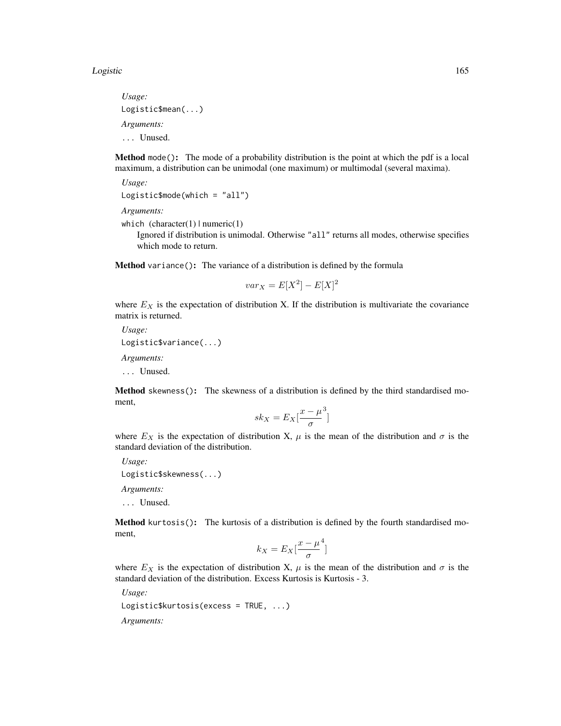#### Logistic the contract of the contract of the contract of the contract of the contract of the contract of the contract of the contract of the contract of the contract of the contract of the contract of the contract of the c

*Usage:* Logistic\$mean(...) *Arguments:* ... Unused.

Method mode(): The mode of a probability distribution is the point at which the pdf is a local maximum, a distribution can be unimodal (one maximum) or multimodal (several maxima).

```
Usage:
Logistic$mode(which = "all")
```
*Arguments:*

```
which (character(1) | numeric(1))
```
Ignored if distribution is unimodal. Otherwise "all" returns all modes, otherwise specifies which mode to return.

Method variance(): The variance of a distribution is defined by the formula

$$
var_X = E[X^2] - E[X]^2
$$

where  $E<sub>X</sub>$  is the expectation of distribution X. If the distribution is multivariate the covariance matrix is returned.

*Usage:* Logistic\$variance(...) *Arguments:*

... Unused.

Method skewness(): The skewness of a distribution is defined by the third standardised moment,

$$
sk_X = E_X \left[ \frac{x - \mu^3}{\sigma} \right]
$$

where  $E_X$  is the expectation of distribution X,  $\mu$  is the mean of the distribution and  $\sigma$  is the standard deviation of the distribution.

*Usage:*

```
Logistic$skewness(...)
```
*Arguments:*

... Unused.

Method kurtosis(): The kurtosis of a distribution is defined by the fourth standardised moment,

$$
k_X = E_X \left[ \frac{x - \mu^4}{\sigma} \right]
$$

where  $E_X$  is the expectation of distribution X,  $\mu$  is the mean of the distribution and  $\sigma$  is the standard deviation of the distribution. Excess Kurtosis is Kurtosis - 3.

*Usage:*

```
Logistic$kurtosis(excess = TRUE, ...)
```
*Arguments:*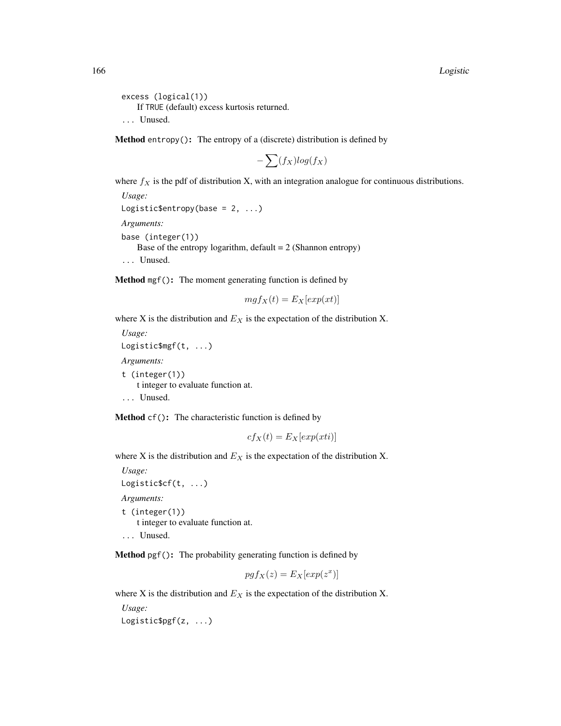```
excess (logical(1))
   If TRUE (default) excess kurtosis returned.
... Unused.
```
**Method** entropy(): The entropy of a (discrete) distribution is defined by

$$
-\sum(f_X)log(f_X)
$$

where  $f_X$  is the pdf of distribution X, with an integration analogue for continuous distributions.

*Usage:* Logistic\$entropy(base =  $2, ...$ ) *Arguments:* base (integer(1)) Base of the entropy logarithm, default  $= 2$  (Shannon entropy) ... Unused.

Method mgf(): The moment generating function is defined by

$$
mgf_X(t) = E_X[exp(xt)]
$$

where X is the distribution and  $E<sub>X</sub>$  is the expectation of the distribution X.

*Usage:* Logistic\$mgf(t, ...) *Arguments:* t (integer(1)) t integer to evaluate function at. ... Unused.

Method cf(): The characteristic function is defined by

$$
cf_X(t) = E_X[exp(xti)]
$$

where X is the distribution and  $E<sub>X</sub>$  is the expectation of the distribution X.

*Usage:* Logistic\$cf(t, ...) *Arguments:* t (integer(1)) t integer to evaluate function at. ... Unused.

Method pgf(): The probability generating function is defined by

$$
pgf_X(z) = E_X[exp(z^x)]
$$

where X is the distribution and  $E<sub>X</sub>$  is the expectation of the distribution X.

*Usage:* Logistic\$pgf(z, ...)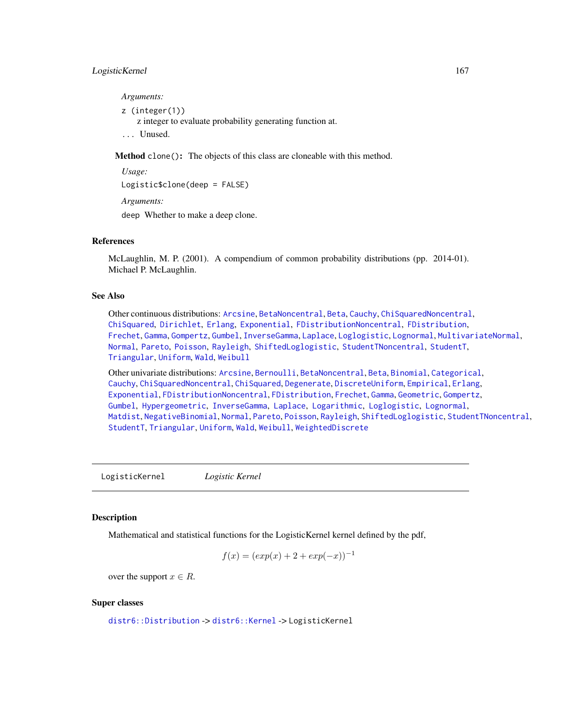# LogisticKernel 167

*Arguments:*

z (integer(1))

z integer to evaluate probability generating function at.

... Unused.

Method clone(): The objects of this class are cloneable with this method.

*Usage:* Logistic\$clone(deep = FALSE) *Arguments:* deep Whether to make a deep clone.

# References

McLaughlin, M. P. (2001). A compendium of common probability distributions (pp. 2014-01). Michael P. McLaughlin.

#### See Also

Other continuous distributions: [Arcsine](#page-6-0), [BetaNoncentral](#page-21-0), [Beta](#page-17-0), [Cauchy](#page-34-0), [ChiSquaredNoncentral](#page-43-0), [ChiSquared](#page-38-0), [Dirichlet](#page-59-0), [Erlang](#page-92-0), [Exponential](#page-102-0), [FDistributionNoncentral](#page-110-0), [FDistribution](#page-106-0), [Frechet](#page-113-0), [Gamma](#page-119-0), [Gompertz](#page-129-0), [Gumbel](#page-132-0), [InverseGamma](#page-143-0), [Laplace](#page-149-0), [Loglogistic](#page-168-0), [Lognormal](#page-172-0), [MultivariateNormal](#page-195-0), [Normal](#page-204-0), [Pareto](#page-211-0), [Poisson](#page-218-0), [Rayleigh](#page-231-0), [ShiftedLoglogistic](#page-236-0), [StudentTNoncentral](#page-249-0), [StudentT](#page-245-0), [Triangular](#page-266-0), [Uniform](#page-279-0), [Wald](#page-294-0), [Weibull](#page-298-0)

Other univariate distributions: [Arcsine](#page-6-0), [Bernoulli](#page-12-0), [BetaNoncentral](#page-21-0), [Beta](#page-17-0), [Binomial](#page-23-0), [Categorical](#page-29-0), [Cauchy](#page-34-0), [ChiSquaredNoncentral](#page-43-0), [ChiSquared](#page-38-0), [Degenerate](#page-55-0), [DiscreteUniform](#page-62-0), [Empirical](#page-82-0), [Erlang](#page-92-0), [Exponential](#page-102-0), [FDistributionNoncentral](#page-110-0), [FDistribution](#page-106-0), [Frechet](#page-113-0), [Gamma](#page-119-0), [Geometric](#page-125-0), [Gompertz](#page-129-0), [Gumbel](#page-132-0), [Hypergeometric](#page-139-0), [InverseGamma](#page-143-0), [Laplace](#page-149-0), [Logarithmic](#page-158-0), [Loglogistic](#page-168-0), [Lognormal](#page-172-0), [Matdist](#page-178-0), [NegativeBinomial](#page-200-0), [Normal](#page-204-0), [Pareto](#page-211-0), [Poisson](#page-218-0), [Rayleigh](#page-231-0), [ShiftedLoglogistic](#page-236-0), [StudentTNoncentral](#page-249-0), [StudentT](#page-245-0), [Triangular](#page-266-0), [Uniform](#page-279-0), [Wald](#page-294-0), [Weibull](#page-298-0), [WeightedDiscrete](#page-302-0)

LogisticKernel *Logistic Kernel*

## **Description**

Mathematical and statistical functions for the LogisticKernel kernel defined by the pdf,

$$
f(x) = (exp(x) + 2 + exp(-x))^{-1}
$$

over the support  $x \in R$ .

#### Super classes

[distr6::Distribution](#page-0-0) -> [distr6::Kernel](#page-0-0) -> LogisticKernel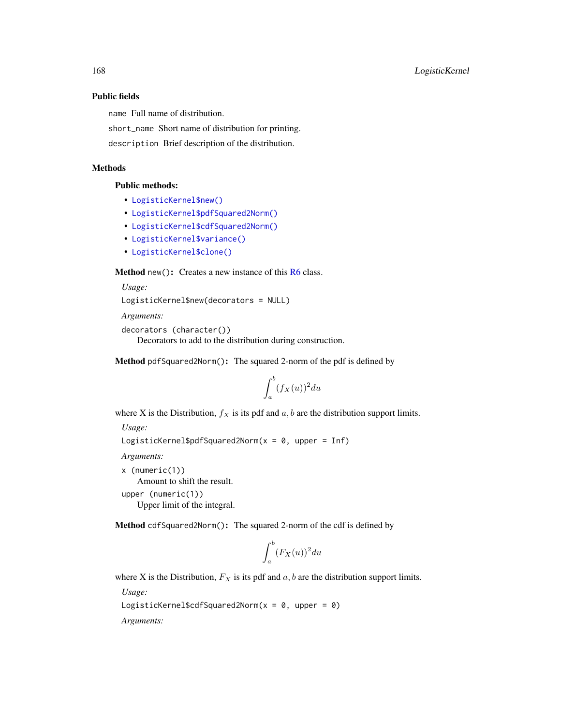## Public fields

name Full name of distribution.

short\_name Short name of distribution for printing.

description Brief description of the distribution.

## Methods

#### Public methods:

- [LogisticKernel\\$new\(\)](#page-7-0)
- [LogisticKernel\\$pdfSquared2Norm\(\)](#page-52-0)
- [LogisticKernel\\$cdfSquared2Norm\(\)](#page-53-0)
- [LogisticKernel\\$variance\(\)](#page-8-1)
- [LogisticKernel\\$clone\(\)](#page-9-2)

**Method** new( $)$ : Creates a new instance of this  $R6$  class.

*Usage:*

```
LogisticKernel$new(decorators = NULL)
```
*Arguments:*

```
decorators (character())
```
Decorators to add to the distribution during construction.

Method pdfSquared2Norm(): The squared 2-norm of the pdf is defined by

$$
\int_a^b (f_X(u))^2 du
$$

where X is the Distribution,  $f_X$  is its pdf and  $a, b$  are the distribution support limits.

*Usage:*

```
LogisticKernel$pdfSquared2Norm(x = 0, upper = Inf)
```
*Arguments:*

x (numeric(1)) Amount to shift the result. upper (numeric(1)) Upper limit of the integral.

Method cdfSquared2Norm(): The squared 2-norm of the cdf is defined by

$$
\int_a^b (F_X(u))^2 du
$$

where X is the Distribution,  $F_X$  is its pdf and  $a, b$  are the distribution support limits.

*Usage:*

LogisticKernel\$cdfSquared2Norm( $x = 0$ , upper = 0)

*Arguments:*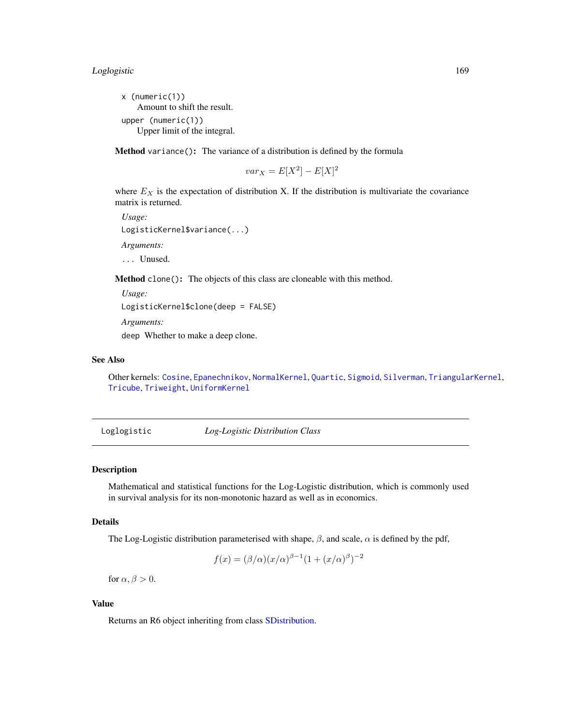x (numeric(1)) Amount to shift the result. upper (numeric(1)) Upper limit of the integral.

Method variance(): The variance of a distribution is defined by the formula

$$
var_X = E[X^2] - E[X]^2
$$

where  $E<sub>X</sub>$  is the expectation of distribution X. If the distribution is multivariate the covariance matrix is returned.

```
Usage:
LogisticKernel$variance(...)
Arguments:
... Unused.
```
Method clone(): The objects of this class are cloneable with this method.

*Usage:*

```
LogisticKernel$clone(deep = FALSE)
```
*Arguments:*

deep Whether to make a deep clone.

## See Also

Other kernels: [Cosine](#page-52-1), [Epanechnikov](#page-90-0), [NormalKernel](#page-209-0), [Quartic](#page-229-0), [Sigmoid](#page-240-0), [Silverman](#page-242-0), [TriangularKernel](#page-272-0), [Tricube](#page-273-0), [Triweight](#page-275-0), [UniformKernel](#page-284-0)

<span id="page-168-0"></span>Loglogistic *Log-Logistic Distribution Class*

# **Description**

Mathematical and statistical functions for the Log-Logistic distribution, which is commonly used in survival analysis for its non-monotonic hazard as well as in economics.

# Details

The Log-Logistic distribution parameterised with shape,  $\beta$ , and scale,  $\alpha$  is defined by the pdf,

$$
f(x) = (\beta/\alpha)(x/\alpha)^{\beta-1}(1 + (x/\alpha)^{\beta})^{-2}
$$

for  $\alpha, \beta > 0$ .

# Value

Returns an R6 object inheriting from class [SDistribution.](#page-235-0)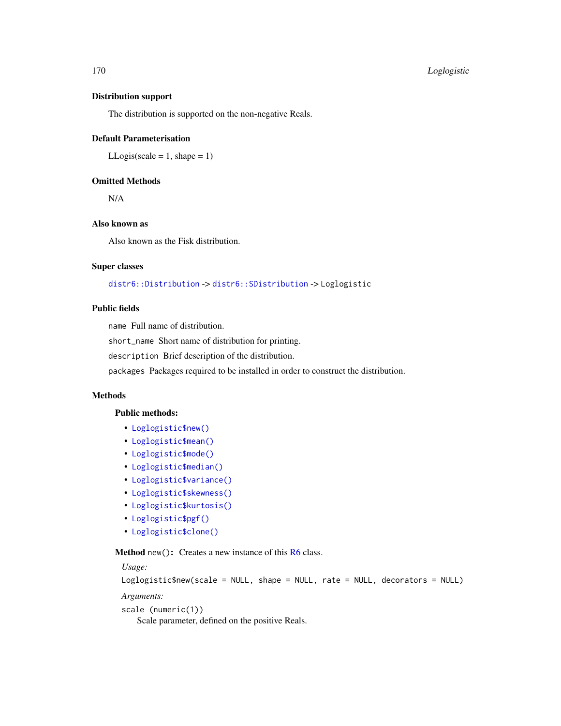#### Distribution support

The distribution is supported on the non-negative Reals.

## Default Parameterisation

 $LLogis(scale = 1, shape = 1)$ 

# Omitted Methods

N/A

# Also known as

Also known as the Fisk distribution.

# Super classes

[distr6::Distribution](#page-0-0) -> [distr6::SDistribution](#page-0-0) -> Loglogistic

# Public fields

name Full name of distribution.

short\_name Short name of distribution for printing.

description Brief description of the distribution.

packages Packages required to be installed in order to construct the distribution.

# Methods

## Public methods:

- [Loglogistic\\$new\(\)](#page-7-0)
- [Loglogistic\\$mean\(\)](#page-7-1)
- [Loglogistic\\$mode\(\)](#page-8-0)
- [Loglogistic\\$median\(\)](#page-14-0)
- [Loglogistic\\$variance\(\)](#page-8-1)
- [Loglogistic\\$skewness\(\)](#page-8-2)
- [Loglogistic\\$kurtosis\(\)](#page-8-3)
- [Loglogistic\\$pgf\(\)](#page-9-1)
- [Loglogistic\\$clone\(\)](#page-9-2)

**Method** new(): Creates a new instance of this  $R6$  class.

*Usage:*

```
Loglogistic$new(scale = NULL, shape = NULL, rate = NULL, decorators = NULL)
```
*Arguments:*

scale (numeric(1))

Scale parameter, defined on the positive Reals.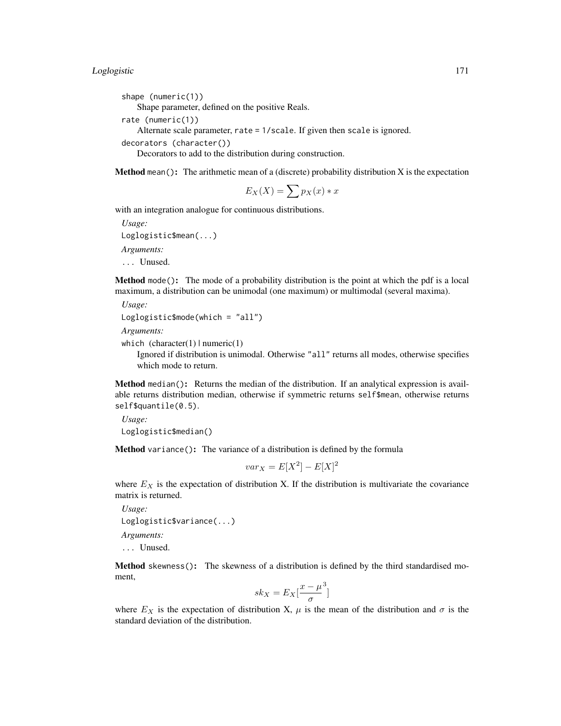shape (numeric(1)) Shape parameter, defined on the positive Reals. rate (numeric(1)) Alternate scale parameter, rate = 1/scale. If given then scale is ignored.

```
decorators (character())
```
Decorators to add to the distribution during construction.

**Method** mean(): The arithmetic mean of a (discrete) probability distribution  $X$  is the expectation

$$
E_X(X) = \sum p_X(x) * x
$$

with an integration analogue for continuous distributions.

```
Usage:
Loglogistic$mean(...)
Arguments:
... Unused.
```
Method mode(): The mode of a probability distribution is the point at which the pdf is a local maximum, a distribution can be unimodal (one maximum) or multimodal (several maxima).

```
Usage:
Loglogistic$mode(which = "all")
```

```
Arguments:
```

```
which (character(1) | numeric(1))
```
Ignored if distribution is unimodal. Otherwise "all" returns all modes, otherwise specifies which mode to return.

Method median(): Returns the median of the distribution. If an analytical expression is available returns distribution median, otherwise if symmetric returns self\$mean, otherwise returns self\$quantile(0.5).

```
Usage:
Loglogistic$median()
```
Method variance(): The variance of a distribution is defined by the formula

$$
var_X = E[X^2] - E[X]^2
$$

where  $E<sub>X</sub>$  is the expectation of distribution X. If the distribution is multivariate the covariance matrix is returned.

```
Usage:
Loglogistic$variance(...)
Arguments:
```
... Unused.

Method skewness(): The skewness of a distribution is defined by the third standardised moment,

$$
sk_X = E_X \left[ \frac{x - \mu^3}{\sigma} \right]
$$

where  $E_X$  is the expectation of distribution X,  $\mu$  is the mean of the distribution and  $\sigma$  is the standard deviation of the distribution.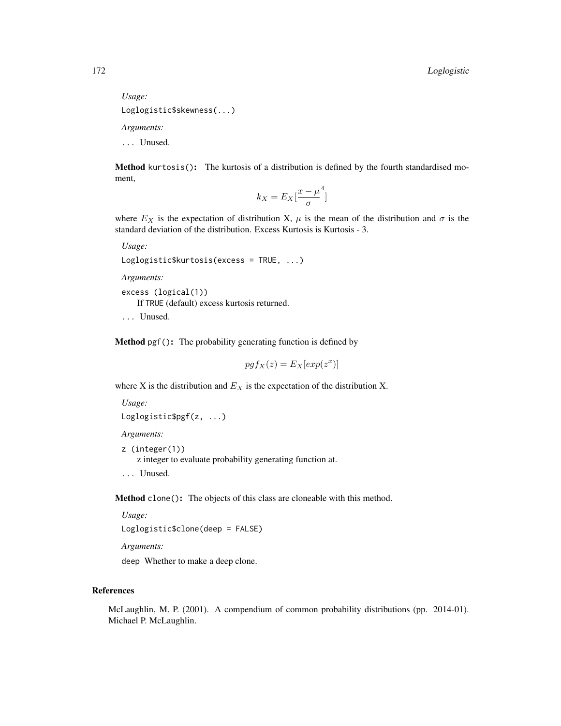*Usage:* Loglogistic\$skewness(...) *Arguments:* ... Unused.

Method kurtosis(): The kurtosis of a distribution is defined by the fourth standardised moment,

$$
k_X = E_X \left[ \frac{x - \mu^4}{\sigma} \right]
$$

where  $E_X$  is the expectation of distribution X,  $\mu$  is the mean of the distribution and  $\sigma$  is the standard deviation of the distribution. Excess Kurtosis is Kurtosis - 3.

*Usage:*

```
Loglogistic$kurtosis(excess = TRUE, ...)
```
*Arguments:*

excess (logical(1)) If TRUE (default) excess kurtosis returned.

... Unused.

Method pgf(): The probability generating function is defined by

$$
pgf_X(z) = E_X[exp(z^x)]
$$

where X is the distribution and  $E_X$  is the expectation of the distribution X.

```
Usage:
Loglogistic$pgf(z, ...)
```
*Arguments:*

z (integer(1))

z integer to evaluate probability generating function at.

... Unused.

Method clone(): The objects of this class are cloneable with this method.

*Usage:* Loglogistic\$clone(deep = FALSE)

*Arguments:*

deep Whether to make a deep clone.

# References

McLaughlin, M. P. (2001). A compendium of common probability distributions (pp. 2014-01). Michael P. McLaughlin.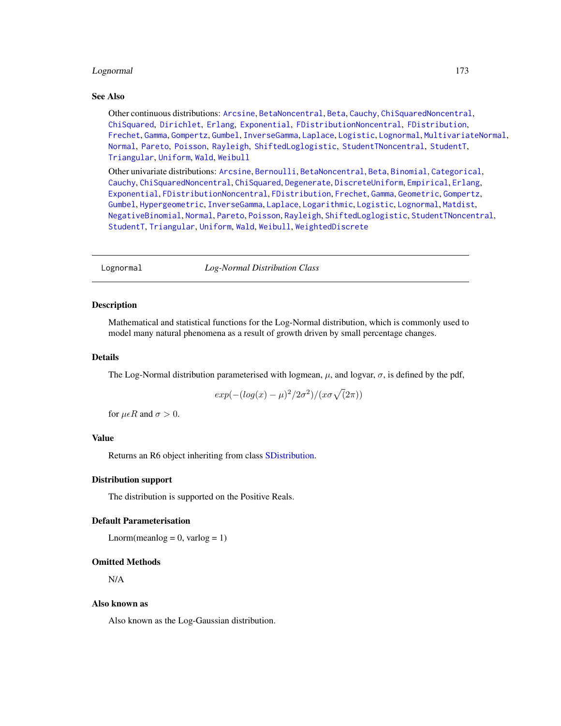## Lognormal 173

#### See Also

Other continuous distributions: [Arcsine](#page-6-0), [BetaNoncentral](#page-21-0), [Beta](#page-17-0), [Cauchy](#page-34-0), [ChiSquaredNoncentral](#page-43-0), [ChiSquared](#page-38-0), [Dirichlet](#page-59-0), [Erlang](#page-92-0), [Exponential](#page-102-0), [FDistributionNoncentral](#page-110-0), [FDistribution](#page-106-0), [Frechet](#page-113-0), [Gamma](#page-119-0), [Gompertz](#page-129-0), [Gumbel](#page-132-0), [InverseGamma](#page-143-0), [Laplace](#page-149-0), [Logistic](#page-162-0), [Lognormal](#page-172-0), [MultivariateNormal](#page-195-0), [Normal](#page-204-0), [Pareto](#page-211-0), [Poisson](#page-218-0), [Rayleigh](#page-231-0), [ShiftedLoglogistic](#page-236-0), [StudentTNoncentral](#page-249-0), [StudentT](#page-245-0), [Triangular](#page-266-0), [Uniform](#page-279-0), [Wald](#page-294-0), [Weibull](#page-298-0)

Other univariate distributions: [Arcsine](#page-6-0), [Bernoulli](#page-12-0), [BetaNoncentral](#page-21-0), [Beta](#page-17-0), [Binomial](#page-23-0), [Categorical](#page-29-0), [Cauchy](#page-34-0), [ChiSquaredNoncentral](#page-43-0), [ChiSquared](#page-38-0), [Degenerate](#page-55-0), [DiscreteUniform](#page-62-0), [Empirical](#page-82-0), [Erlang](#page-92-0), [Exponential](#page-102-0), [FDistributionNoncentral](#page-110-0), [FDistribution](#page-106-0), [Frechet](#page-113-0), [Gamma](#page-119-0), [Geometric](#page-125-0), [Gompertz](#page-129-0), [Gumbel](#page-132-0), [Hypergeometric](#page-139-0), [InverseGamma](#page-143-0), [Laplace](#page-149-0), [Logarithmic](#page-158-0), [Logistic](#page-162-0), [Lognormal](#page-172-0), [Matdist](#page-178-0), [NegativeBinomial](#page-200-0), [Normal](#page-204-0), [Pareto](#page-211-0), [Poisson](#page-218-0), [Rayleigh](#page-231-0), [ShiftedLoglogistic](#page-236-0), [StudentTNoncentral](#page-249-0), [StudentT](#page-245-0), [Triangular](#page-266-0), [Uniform](#page-279-0), [Wald](#page-294-0), [Weibull](#page-298-0), [WeightedDiscrete](#page-302-0)

<span id="page-172-0"></span>Lognormal *Log-Normal Distribution Class*

#### **Description**

Mathematical and statistical functions for the Log-Normal distribution, which is commonly used to model many natural phenomena as a result of growth driven by small percentage changes.

## Details

The Log-Normal distribution parameterised with logmean,  $\mu$ , and logvar,  $\sigma$ , is defined by the pdf,

$$
exp(-(log(x) - \mu)^2/2\sigma^2)/(x\sigma\sqrt(2\pi))
$$

for  $\mu \in R$  and  $\sigma > 0$ .

## Value

Returns an R6 object inheriting from class [SDistribution.](#page-235-0)

#### Distribution support

The distribution is supported on the Positive Reals.

#### Default Parameterisation

Lnorm(meanlog =  $0$ , varlog =  $1$ )

#### Omitted Methods

N/A

#### Also known as

Also known as the Log-Gaussian distribution.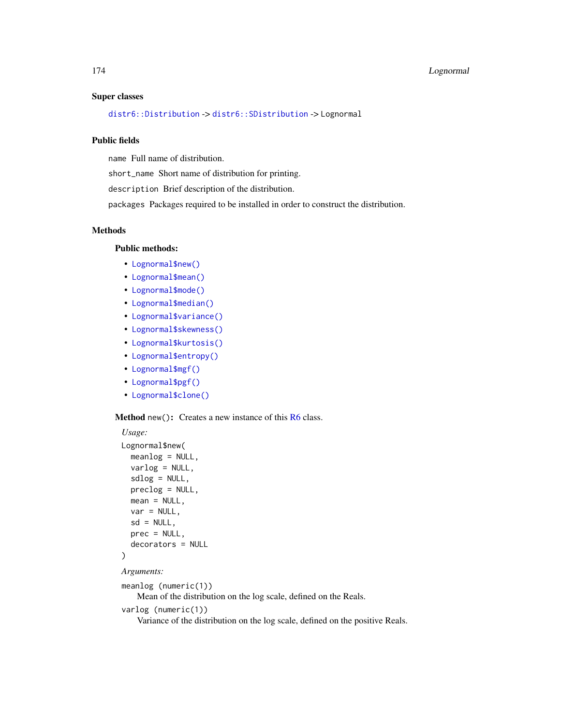#### Super classes

[distr6::Distribution](#page-0-0) -> [distr6::SDistribution](#page-0-0) -> Lognormal

## Public fields

name Full name of distribution.

short\_name Short name of distribution for printing.

description Brief description of the distribution.

packages Packages required to be installed in order to construct the distribution.

## Methods

## Public methods:

- [Lognormal\\$new\(\)](#page-7-0)
- [Lognormal\\$mean\(\)](#page-7-1)
- [Lognormal\\$mode\(\)](#page-8-0)
- [Lognormal\\$median\(\)](#page-14-0)
- [Lognormal\\$variance\(\)](#page-8-1)
- [Lognormal\\$skewness\(\)](#page-8-2)
- [Lognormal\\$kurtosis\(\)](#page-8-3)
- [Lognormal\\$entropy\(\)](#page-9-0)
- [Lognormal\\$mgf\(\)](#page-15-0)
- [Lognormal\\$pgf\(\)](#page-9-1)
- [Lognormal\\$clone\(\)](#page-9-2)

#### Method new(): Creates a new instance of this [R6](#page-0-0) class.

```
Usage:
Lognormal$new(
  meanlog = NULL,
  varlog = NULL,
  sdlog = NULL,
  preclog = NULL,
 mean = NULL,
  var = NULL,sd = NULL,prec = NULL,
  decorators = NULL
\mathcal{L}
```
*Arguments:*

```
meanlog (numeric(1))
```
Mean of the distribution on the log scale, defined on the Reals.

varlog (numeric(1))

Variance of the distribution on the log scale, defined on the positive Reals.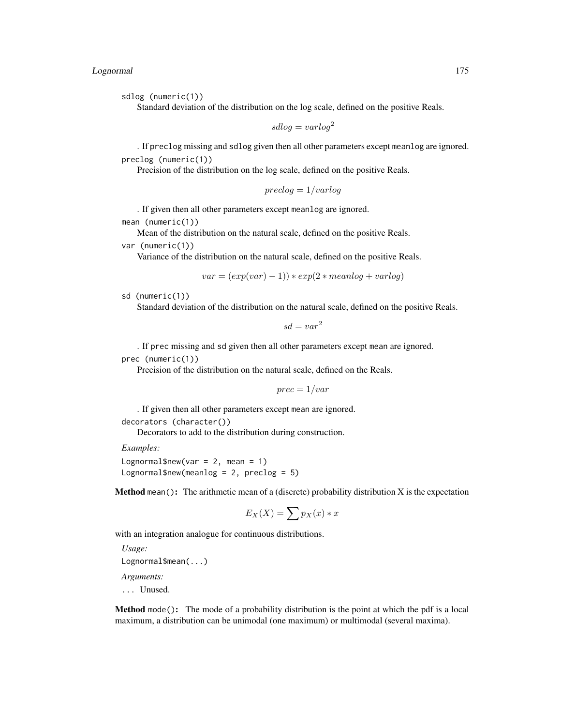## Lognormal 175

sdlog (numeric(1))

Standard deviation of the distribution on the log scale, defined on the positive Reals.

 $sdlog = varlog<sup>2</sup>$ 

. If preclog missing and sdlog given then all other parameters except meanlog are ignored. preclog (numeric(1))

Precision of the distribution on the log scale, defined on the positive Reals.

$$
preclog = 1/varlog
$$

. If given then all other parameters except meanlog are ignored.

mean (numeric(1))

Mean of the distribution on the natural scale, defined on the positive Reals.

var (numeric(1))

Variance of the distribution on the natural scale, defined on the positive Reals.

$$
var = (exp(var) - 1)) * exp(2 * mean log + var log)
$$

$$
sd (numeric(1))
$$

Standard deviation of the distribution on the natural scale, defined on the positive Reals.

 $sd = var^2$ 

. If prec missing and sd given then all other parameters except mean are ignored.

prec (numeric(1))

Precision of the distribution on the natural scale, defined on the Reals.

$$
prec = 1 / var
$$

. If given then all other parameters except mean are ignored.

decorators (character())

Decorators to add to the distribution during construction.

*Examples:*

Lognormal\$new(var =  $2$ , mean = 1) Lognormal\$new(meanlog = 2,  $preclog = 5$ )

**Method** mean(): The arithmetic mean of a (discrete) probability distribution  $X$  is the expectation

$$
E_X(X) = \sum p_X(x) * x
$$

with an integration analogue for continuous distributions.

*Usage:* Lognormal\$mean(...) *Arguments:*

... Unused.

Method mode(): The mode of a probability distribution is the point at which the pdf is a local maximum, a distribution can be unimodal (one maximum) or multimodal (several maxima).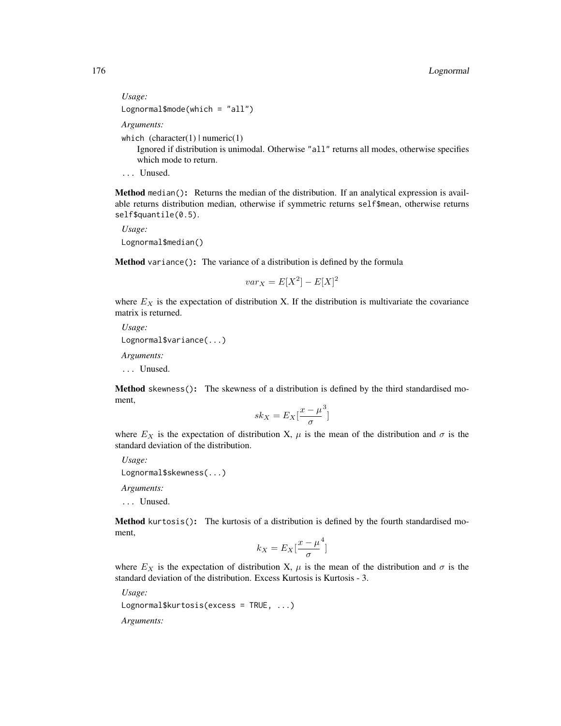*Usage:* Lognormal\$mode(which = "all") *Arguments:*

which  $(character(1) | numeric(1))$ 

Ignored if distribution is unimodal. Otherwise "all" returns all modes, otherwise specifies which mode to return.

... Unused.

Method median(): Returns the median of the distribution. If an analytical expression is available returns distribution median, otherwise if symmetric returns self\$mean, otherwise returns self\$quantile(0.5).

```
Usage:
Lognormal$median()
```
Method variance(): The variance of a distribution is defined by the formula

 $var_X = E[X^2] - E[X]^2$ 

where  $E_X$  is the expectation of distribution X. If the distribution is multivariate the covariance matrix is returned.

*Usage:* Lognormal\$variance(...) *Arguments:*

... Unused.

Method skewness(): The skewness of a distribution is defined by the third standardised moment,

$$
sk_X = E_X \left[ \frac{x - \mu^3}{\sigma} \right]
$$

where  $E_X$  is the expectation of distribution X,  $\mu$  is the mean of the distribution and  $\sigma$  is the standard deviation of the distribution.

*Usage:* Lognormal\$skewness(...)

*Arguments:*

... Unused.

Method kurtosis(): The kurtosis of a distribution is defined by the fourth standardised moment,

$$
k_X = E_X \left[ \frac{x - \mu^4}{\sigma} \right]
$$

where  $E_X$  is the expectation of distribution X,  $\mu$  is the mean of the distribution and  $\sigma$  is the standard deviation of the distribution. Excess Kurtosis is Kurtosis - 3.

*Usage:*

Lognormal\$kurtosis(excess = TRUE, ...)

*Arguments:*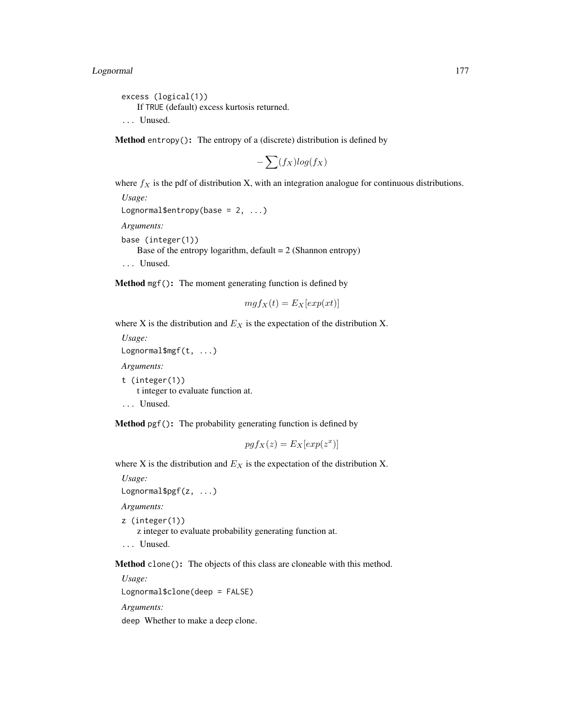# Lognormal 177

excess (logical(1)) If TRUE (default) excess kurtosis returned. ... Unused.

Method entropy(): The entropy of a (discrete) distribution is defined by

$$
-\sum(f_X)log(f_X)
$$

where  $f_X$  is the pdf of distribution X, with an integration analogue for continuous distributions.

*Usage:* Lognormal\$entropy(base =  $2, ...$ ) *Arguments:* base (integer(1)) Base of the entropy logarithm, default  $= 2$  (Shannon entropy) ... Unused.

Method mgf(): The moment generating function is defined by

$$
mgf_X(t) = E_X[exp(xt)]
$$

where X is the distribution and  $E<sub>X</sub>$  is the expectation of the distribution X.

*Usage:* Lognormal\$mgf(t, ...) *Arguments:* t (integer(1)) t integer to evaluate function at. ... Unused.

Method pgf(): The probability generating function is defined by

$$
pgf_X(z) = E_X[exp(z^x)]
$$

where X is the distribution and  $E<sub>X</sub>$  is the expectation of the distribution X.

*Usage:*

Lognormal\$pgf(z, ...)

*Arguments:*

z (integer(1))

z integer to evaluate probability generating function at.

... Unused.

Method clone(): The objects of this class are cloneable with this method.

*Usage:*

Lognormal\$clone(deep = FALSE)

*Arguments:*

deep Whether to make a deep clone.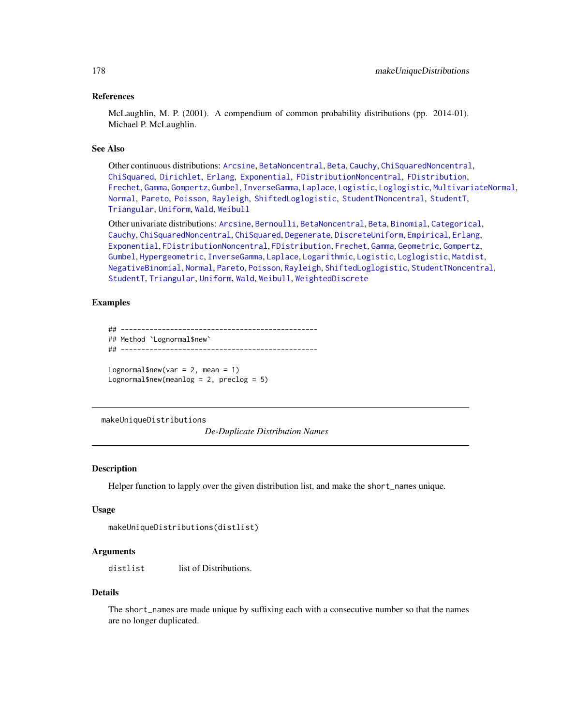## References

McLaughlin, M. P. (2001). A compendium of common probability distributions (pp. 2014-01). Michael P. McLaughlin.

## See Also

Other continuous distributions: [Arcsine](#page-6-0), [BetaNoncentral](#page-21-0), [Beta](#page-17-0), [Cauchy](#page-34-0), [ChiSquaredNoncentral](#page-43-0), [ChiSquared](#page-38-0), [Dirichlet](#page-59-0), [Erlang](#page-92-0), [Exponential](#page-102-0), [FDistributionNoncentral](#page-110-0), [FDistribution](#page-106-0), [Frechet](#page-113-0), [Gamma](#page-119-0), [Gompertz](#page-129-0), [Gumbel](#page-132-0), [InverseGamma](#page-143-0), [Laplace](#page-149-0), [Logistic](#page-162-0), [Loglogistic](#page-168-0), [MultivariateNormal](#page-195-0), [Normal](#page-204-0), [Pareto](#page-211-0), [Poisson](#page-218-0), [Rayleigh](#page-231-0), [ShiftedLoglogistic](#page-236-0), [StudentTNoncentral](#page-249-0), [StudentT](#page-245-0), [Triangular](#page-266-0), [Uniform](#page-279-0), [Wald](#page-294-0), [Weibull](#page-298-0)

Other univariate distributions: [Arcsine](#page-6-0), [Bernoulli](#page-12-0), [BetaNoncentral](#page-21-0), [Beta](#page-17-0), [Binomial](#page-23-0), [Categorical](#page-29-0), [Cauchy](#page-34-0), [ChiSquaredNoncentral](#page-43-0), [ChiSquared](#page-38-0), [Degenerate](#page-55-0), [DiscreteUniform](#page-62-0), [Empirical](#page-82-0), [Erlang](#page-92-0), [Exponential](#page-102-0), [FDistributionNoncentral](#page-110-0), [FDistribution](#page-106-0), [Frechet](#page-113-0), [Gamma](#page-119-0), [Geometric](#page-125-0), [Gompertz](#page-129-0), [Gumbel](#page-132-0), [Hypergeometric](#page-139-0), [InverseGamma](#page-143-0), [Laplace](#page-149-0), [Logarithmic](#page-158-0), [Logistic](#page-162-0), [Loglogistic](#page-168-0), [Matdist](#page-178-0), [NegativeBinomial](#page-200-0), [Normal](#page-204-0), [Pareto](#page-211-0), [Poisson](#page-218-0), [Rayleigh](#page-231-0), [ShiftedLoglogistic](#page-236-0), [StudentTNoncentral](#page-249-0), [StudentT](#page-245-0), [Triangular](#page-266-0), [Uniform](#page-279-0), [Wald](#page-294-0), [Weibull](#page-298-0), [WeightedDiscrete](#page-302-0)

## Examples

```
## ------------------------------------------------
## Method `Lognormal$new`
## ------------------------------------------------
Lognormal$new(var = 2, mean = 1)
```
Lognormal\$new(meanlog = 2, preclog =  $5$ )

makeUniqueDistributions

*De-Duplicate Distribution Names*

## **Description**

Helper function to lapply over the given distribution list, and make the short\_names unique.

## Usage

```
makeUniqueDistributions(distlist)
```
#### Arguments

distlist list of Distributions.

#### Details

The short\_names are made unique by suffixing each with a consecutive number so that the names are no longer duplicated.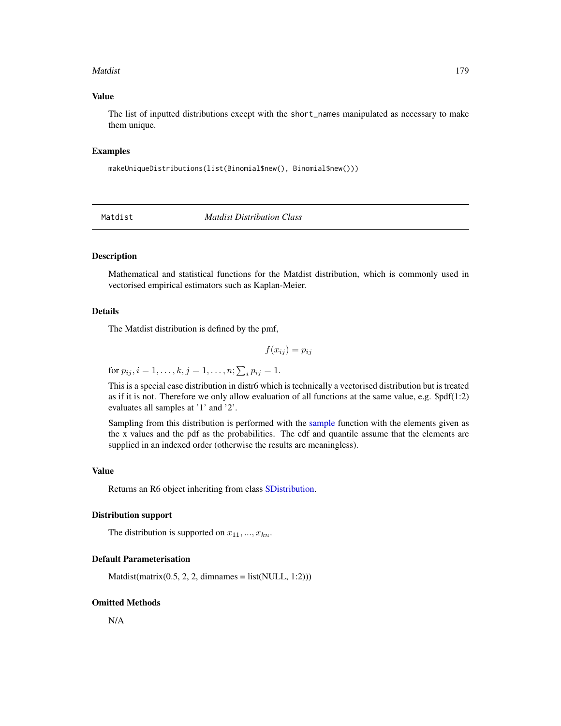#### Matdist 2008 and 2008 and 2008 and 2008 and 2008 and 2008 and 2008 and 2008 and 2008 and 2008 and 2008 and 200

## Value

The list of inputted distributions except with the short\_names manipulated as necessary to make them unique.

## Examples

makeUniqueDistributions(list(Binomial\$new(), Binomial\$new()))

<span id="page-178-0"></span>Matdist *Matdist Distribution Class*

# **Description**

Mathematical and statistical functions for the Matdist distribution, which is commonly used in vectorised empirical estimators such as Kaplan-Meier.

#### Details

The Matdist distribution is defined by the pmf,

$$
f(x_{ij}) = p_{ij}
$$

for  $p_{ij}, i = 1, \ldots, k, j = 1, \ldots, n; \sum_i p_{ij} = 1.$ 

This is a special case distribution in distr6 which is technically a vectorised distribution but is treated as if it is not. Therefore we only allow evaluation of all functions at the same value, e.g.  $$pdf(1:2)$ evaluates all samples at '1' and '2'.

Sampling from this distribution is performed with the [sample](#page-0-0) function with the elements given as the x values and the pdf as the probabilities. The cdf and quantile assume that the elements are supplied in an indexed order (otherwise the results are meaningless).

#### Value

Returns an R6 object inheriting from class [SDistribution.](#page-235-0)

#### Distribution support

The distribution is supported on  $x_{11},..., x_{kn}$ .

#### Default Parameterisation

 $Matdist(matrix(0.5, 2, 2, dimnames = list(NULL, 1:2)))$ 

#### Omitted Methods

N/A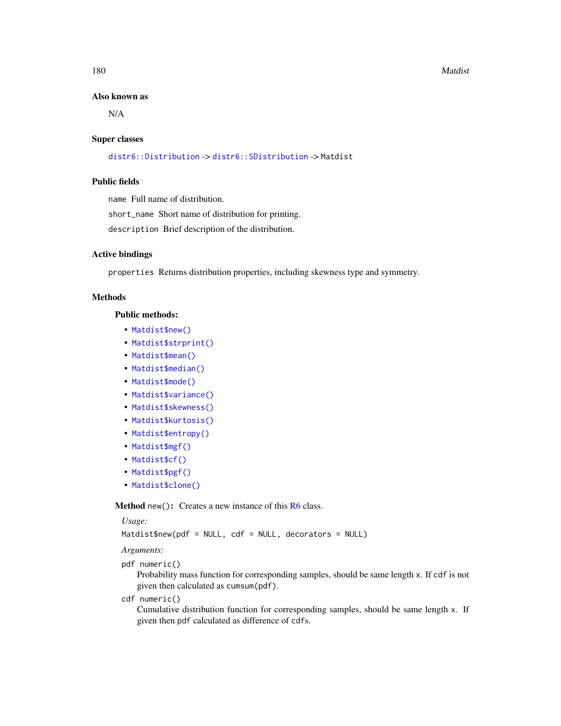#### Also known as

N/A

#### Super classes

[distr6::Distribution](#page-0-0) -> [distr6::SDistribution](#page-0-0) -> Matdist

## Public fields

name Full name of distribution.

short\_name Short name of distribution for printing.

description Brief description of the distribution.

#### Active bindings

properties Returns distribution properties, including skewness type and symmetry.

## Methods

Public methods:

- [Matdist\\$new\(\)](#page-7-0)
- [Matdist\\$strprint\(\)](#page-70-0)
- [Matdist\\$mean\(\)](#page-7-1)
- [Matdist\\$median\(\)](#page-14-0)
- [Matdist\\$mode\(\)](#page-8-0)
- [Matdist\\$variance\(\)](#page-8-1)
- [Matdist\\$skewness\(\)](#page-8-2)
- [Matdist\\$kurtosis\(\)](#page-8-3)
- [Matdist\\$entropy\(\)](#page-9-0)
- [Matdist\\$mgf\(\)](#page-15-0)
- [Matdist\\$cf\(\)](#page-15-1)
- [Matdist\\$pgf\(\)](#page-9-1)
- [Matdist\\$clone\(\)](#page-9-2)

**Method** new(): Creates a new instance of this  $R6$  class.

#### *Usage:*

Matdist\$new(pdf = NULL, cdf = NULL, decorators = NULL)

*Arguments:*

```
pdf numeric()
```
Probability mass function for corresponding samples, should be same length x. If cdf is not given then calculated as cumsum(pdf).

cdf numeric()

Cumulative distribution function for corresponding samples, should be same length x. If given then pdf calculated as difference of cdfs.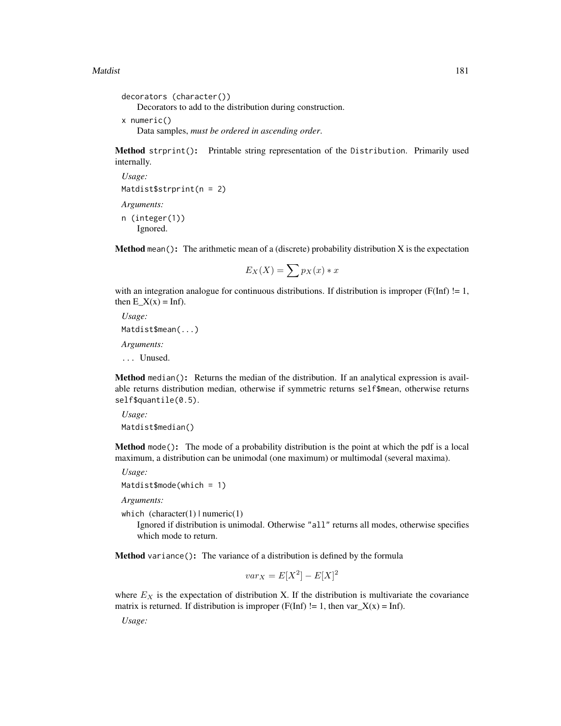#### Matdist 2008 and 2008 and 2008 and 2008 and 2008 and 2008 and 2008 and 2008 and 2008 and 2008 and 2008 and 200

```
decorators (character())
   Decorators to add to the distribution during construction.
x numeric()
   Data samples, must be ordered in ascending order.
```
Method strprint(): Printable string representation of the Distribution. Primarily used internally.

```
Usage:
Matdist$strprint(n = 2)
Arguments:
n (integer(1))
   Ignored.
```
**Method** mean(): The arithmetic mean of a (discrete) probability distribution X is the expectation

$$
E_X(X) = \sum p_X(x) * x
$$

with an integration analogue for continuous distributions. If distribution is improper ( $F(Inf)$  != 1, then  $E_X(x) = \text{Inf}$ .

*Usage:* Matdist\$mean(...) *Arguments:*

... Unused.

Method median(): Returns the median of the distribution. If an analytical expression is available returns distribution median, otherwise if symmetric returns self\$mean, otherwise returns self\$quantile(0.5).

```
Usage:
Matdist$median()
```
Method mode(): The mode of a probability distribution is the point at which the pdf is a local maximum, a distribution can be unimodal (one maximum) or multimodal (several maxima).

```
Usage:
```

```
Matdist$mode(which = 1)
```
*Arguments:*

which  $(character(1) | numeric(1))$ 

Ignored if distribution is unimodal. Otherwise "all" returns all modes, otherwise specifies which mode to return.

Method variance(): The variance of a distribution is defined by the formula

$$
var_X = E[X^2] - E[X]^2
$$

where  $E_X$  is the expectation of distribution X. If the distribution is multivariate the covariance matrix is returned. If distribution is improper (F(Inf)  $!= 1$ , then var $_X(x) = \text{Inf}$ ).

*Usage:*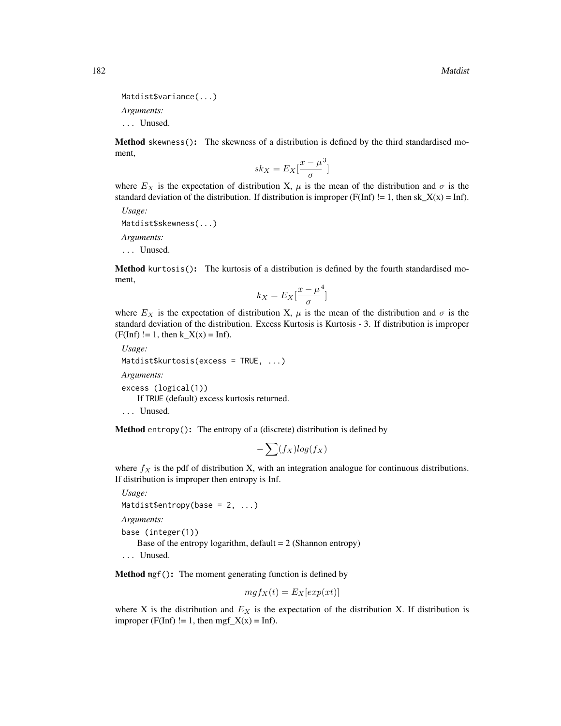```
Matdist$variance(...)
```
*Arguments:*

... Unused.

Method skewness(): The skewness of a distribution is defined by the third standardised moment,

$$
sk_X = E_X \left[ \frac{x - \mu^3}{\sigma} \right]
$$

where  $E_X$  is the expectation of distribution X,  $\mu$  is the mean of the distribution and  $\sigma$  is the standard deviation of the distribution. If distribution is improper ( $F(Inf)$  != 1, then sk\_X(x) = Inf).

*Usage:*

Matdist\$skewness(...)

*Arguments:*

... Unused.

Method kurtosis(): The kurtosis of a distribution is defined by the fourth standardised moment,

$$
k_X = E_X \left[ \frac{x - \mu^4}{\sigma} \right]
$$

where  $E_X$  is the expectation of distribution X,  $\mu$  is the mean of the distribution and  $\sigma$  is the standard deviation of the distribution. Excess Kurtosis is Kurtosis - 3. If distribution is improper  $(F(Inf) != 1, then k_X(x) = Inf).$ 

```
Usage:
Matdist$kurtosis(excess = TRUE, ...)
Arguments:
```

```
excess (logical(1))
   If TRUE (default) excess kurtosis returned.
... Unused.
```
**Method** entropy(): The entropy of a (discrete) distribution is defined by

$$
-\sum(f_X)log(f_X)
$$

where  $f_X$  is the pdf of distribution X, with an integration analogue for continuous distributions. If distribution is improper then entropy is Inf.

*Usage:* Matdist\$entropy(base =  $2, ...$ ) *Arguments:* base (integer(1)) Base of the entropy logarithm, default  $= 2$  (Shannon entropy) ... Unused.

Method mgf(): The moment generating function is defined by

$$
mgf_X(t) = E_X[exp(xt)]
$$

where X is the distribution and  $E<sub>X</sub>$  is the expectation of the distribution X. If distribution is improper (F(Inf) != 1, then mgf\_X(x) = Inf).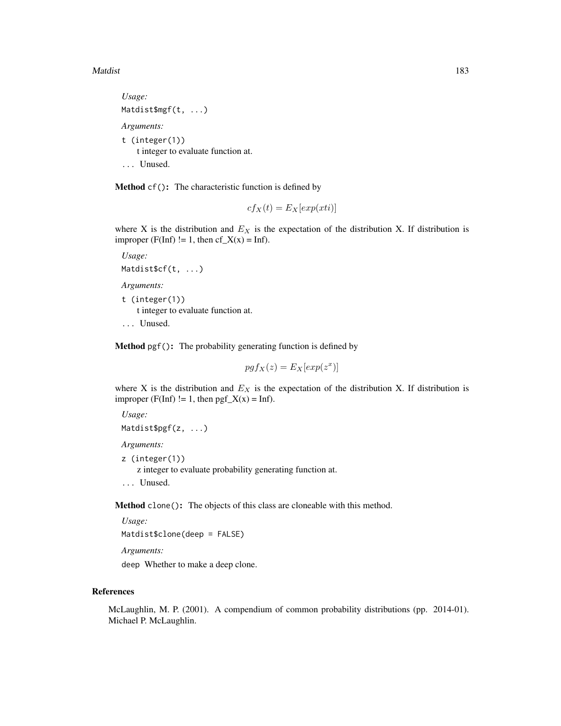#### Matdist 2008 and 2008 and 2008 and 2008 and 2008 and 2008 and 2008 and 2008 and 2008 and 2008 and 2008 and 200

```
Usage:
Matdist$mgf(t, ...)
Arguments:
t (integer(1))
    t integer to evaluate function at.
... Unused.
```
Method cf(): The characteristic function is defined by

$$
cf_X(t) = E_X[exp(xti)]
$$

where X is the distribution and  $E<sub>X</sub>$  is the expectation of the distribution X. If distribution is improper (F(Inf) != 1, then  $cf_X(x) = Inf$ ).

```
Usage:
Matdist$cf(t, ...)
```
*Arguments:*

t (integer(1)) t integer to evaluate function at. ... Unused.

Method pgf(): The probability generating function is defined by

$$
pgf_X(z) = E_X[exp(z^x)]
$$

where X is the distribution and  $E<sub>X</sub>$  is the expectation of the distribution X. If distribution is improper (F(Inf) != 1, then  $pgf_X(x) = Inf$ ).

*Usage:* Matdist\$pgf(z, ...)

*Arguments:*

z (integer(1))

z integer to evaluate probability generating function at.

... Unused.

Method clone(): The objects of this class are cloneable with this method.

*Usage:* Matdist\$clone(deep = FALSE)

*Arguments:*

deep Whether to make a deep clone.

## References

McLaughlin, M. P. (2001). A compendium of common probability distributions (pp. 2014-01). Michael P. McLaughlin.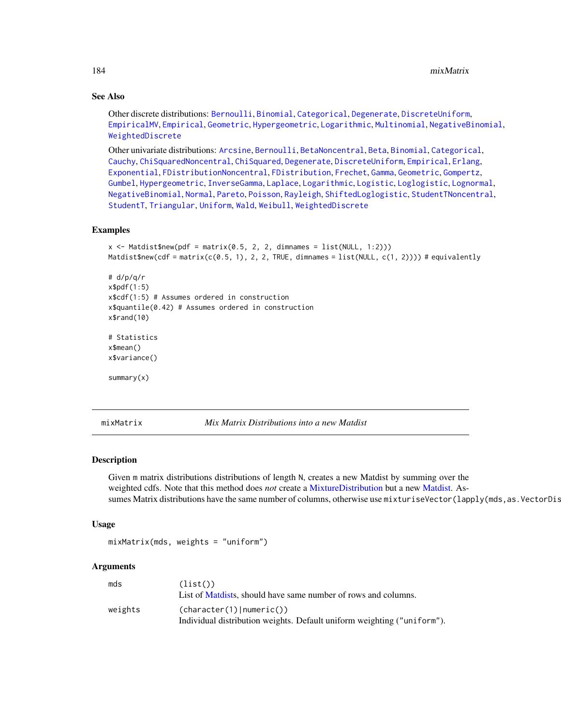## See Also

Other discrete distributions: [Bernoulli](#page-12-0), [Binomial](#page-23-0), [Categorical](#page-29-0), [Degenerate](#page-55-0), [DiscreteUniform](#page-62-0), [EmpiricalMV](#page-87-0), [Empirical](#page-82-0), [Geometric](#page-125-0), [Hypergeometric](#page-139-0), [Logarithmic](#page-158-0), [Multinomial](#page-190-0), [NegativeBinomial](#page-200-0), [WeightedDiscrete](#page-302-0)

Other univariate distributions: [Arcsine](#page-6-0), [Bernoulli](#page-12-0), [BetaNoncentral](#page-21-0), [Beta](#page-17-0), [Binomial](#page-23-0), [Categorical](#page-29-0), [Cauchy](#page-34-0), [ChiSquaredNoncentral](#page-43-0), [ChiSquared](#page-38-0), [Degenerate](#page-55-0), [DiscreteUniform](#page-62-0), [Empirical](#page-82-0), [Erlang](#page-92-0), [Exponential](#page-102-0), [FDistributionNoncentral](#page-110-0), [FDistribution](#page-106-0), [Frechet](#page-113-0), [Gamma](#page-119-0), [Geometric](#page-125-0), [Gompertz](#page-129-0), [Gumbel](#page-132-0), [Hypergeometric](#page-139-0), [InverseGamma](#page-143-0), [Laplace](#page-149-0), [Logarithmic](#page-158-0), [Logistic](#page-162-0), [Loglogistic](#page-168-0), [Lognormal](#page-172-0), [NegativeBinomial](#page-200-0), [Normal](#page-204-0), [Pareto](#page-211-0), [Poisson](#page-218-0), [Rayleigh](#page-231-0), [ShiftedLoglogistic](#page-236-0), [StudentTNoncentral](#page-249-0), [StudentT](#page-245-0), [Triangular](#page-266-0), [Uniform](#page-279-0), [Wald](#page-294-0), [Weibull](#page-298-0), [WeightedDiscrete](#page-302-0)

## Examples

```
x \le Matdist$new(pdf = matrix(0.5, 2, 2, dimnames = list(NULL, 1:2)))
Matdist$new(cdf = matrix(c(0.5, 1), 2, 2, TRUE, dimnames = list(NULL, c(1, 2)))) # equivalently
# d/p/q/r
x$pdf(1:5)
x$cdf(1:5) # Assumes ordered in construction
x$quantile(0.42) # Assumes ordered in construction
x$rand(10)
# Statistics
x$mean()
x$variance()
summary(x)
```
mixMatrix *Mix Matrix Distributions into a new Matdist*

## **Description**

Given m matrix distributions distributions of length N, creates a new Matdist by summing over the weighted cdfs. Note that this method does *not* create a [MixtureDistribution](#page-184-0) but a new [Matdist.](#page-178-0) Assumes Matrix distributions have the same number of columns, otherwise use mixturiseVector(lapply(mds, as.VectorDis

#### Usage

mixMatrix(mds, weights = "uniform")

## **Arguments**

| mds     | (list()<br>List of Matdists, should have same number of rows and columns.                             |
|---------|-------------------------------------------------------------------------------------------------------|
| weights | (character(1)   numeric())<br>Individual distribution weights. Default uniform weighting ("uniform"). |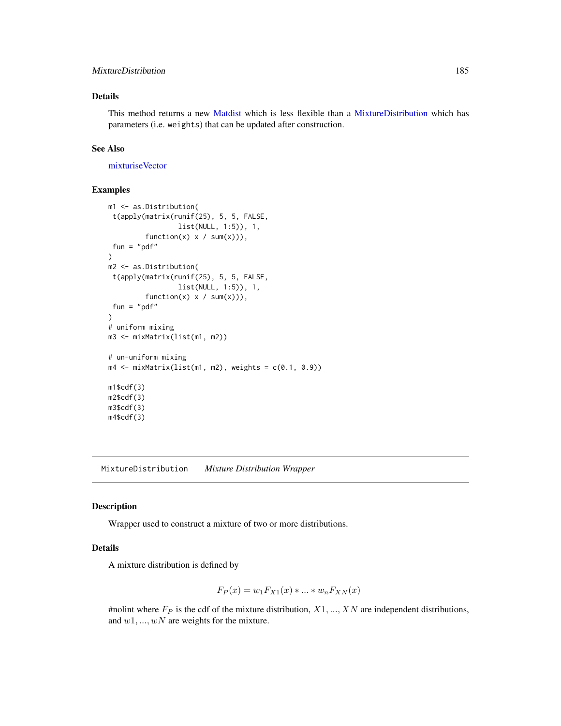## MixtureDistribution 185

## Details

This method returns a new [Matdist](#page-178-0) which is less flexible than a [MixtureDistribution](#page-184-0) which has parameters (i.e. weights) that can be updated after construction.

## See Also

[mixturiseVector](#page-189-0)

## Examples

```
m1 <- as.Distribution(
 t(apply(matrix(runif(25), 5, 5, FALSE,
                  list(NULL, 1:5)), 1,
         function(x) x / sum(x)),
 fun = "pdf"\mathcal{L}m2 <- as.Distribution(
t(apply(matrix(runif(25), 5, 5, FALSE,
                  list(NULL, 1:5)), 1,
         function(x) x / sum(x)),
 fun = "pdf"\mathcal{L}# uniform mixing
m3 <- mixMatrix(list(m1, m2))
# un-uniform mixing
m4 \leq mixMatrix(list(m1, m2), weights = c(0.1, 0.9))m1$cdf(3)
m2$cdf(3)
m3$cdf(3)
m4$cdf(3)
```
<span id="page-184-0"></span>MixtureDistribution *Mixture Distribution Wrapper*

#### Description

Wrapper used to construct a mixture of two or more distributions.

## Details

A mixture distribution is defined by

$$
F_P(x) = w_1 F_{X1}(x) * ... * w_n F_{XN}(x)
$$

#nolint where  $F_P$  is the cdf of the mixture distribution,  $X1, ..., XN$  are independent distributions, and  $w1, ..., wN$  are weights for the mixture.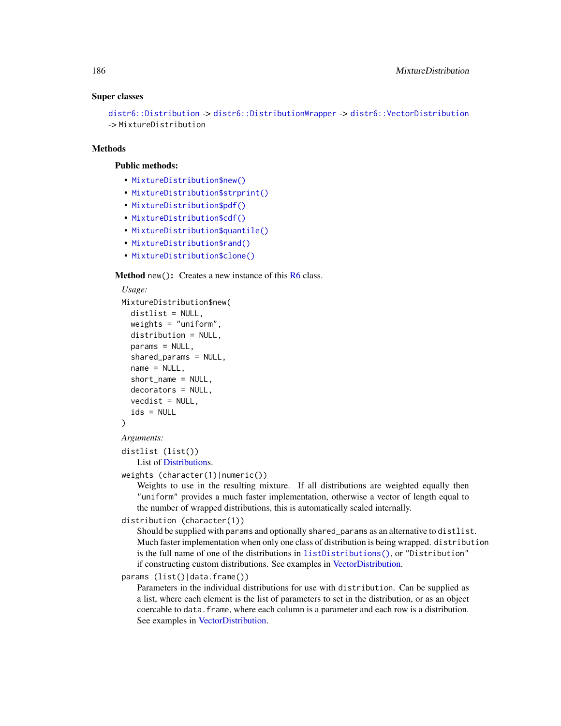#### Super classes

```
distr6::Distribution -> distr6::DistributionWrapper -> distr6::VectorDistribution
-> MixtureDistribution
```
#### Methods

## Public methods:

- [MixtureDistribution\\$new\(\)](#page-7-0)
- [MixtureDistribution\\$strprint\(\)](#page-70-0)
- [MixtureDistribution\\$pdf\(\)](#page-71-0)
- [MixtureDistribution\\$cdf\(\)](#page-72-0)
- [MixtureDistribution\\$quantile\(\)](#page-73-0)
- [MixtureDistribution\\$rand\(\)](#page-74-0)
- [MixtureDistribution\\$clone\(\)](#page-9-0)

#### **Method** new(): Creates a new instance of this  $R6$  class.

# *Usage:* MixtureDistribution\$new( distlist = NULL,

```
weights = "uniform",
 distribution = NULL,
 params = NULL,
  shared_params = NULL,
  name = NULL,short_name = NULL,
  decorators = NULL,
  vecdist = NULL,
  ids = NULL)
```
## *Arguments:*

distlist (list())

```
List of Distributions.
```

```
weights (character(1)|numeric())
```
Weights to use in the resulting mixture. If all distributions are weighted equally then "uniform" provides a much faster implementation, otherwise a vector of length equal to the number of wrapped distributions, this is automatically scaled internally.

```
distribution (character(1))
```
Should be supplied with params and optionally shared\_params as an alternative to distlist. Much faster implementation when only one class of distribution is being wrapped. distribution is the full name of one of the distributions in [listDistributions\(\)](#page-156-0), or "Distribution" if constructing custom distributions. See examples in [VectorDistribution.](#page-285-0)

```
params (list()|data.frame())
```
Parameters in the individual distributions for use with distribution. Can be supplied as a list, where each element is the list of parameters to set in the distribution, or as an object coercable to data.frame, where each column is a parameter and each row is a distribution. See examples in [VectorDistribution.](#page-285-0)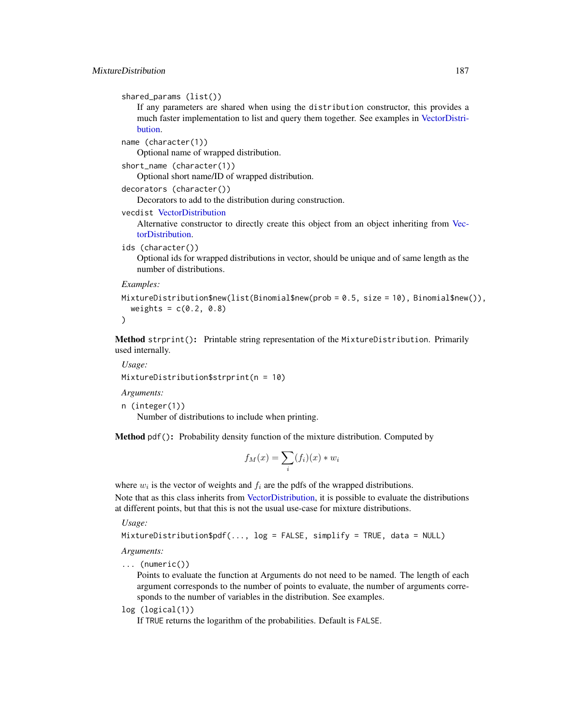```
shared_params (list())
```
If any parameters are shared when using the distribution constructor, this provides a much faster implementation to list and query them together. See examples in [VectorDistri](#page-285-0)[bution.](#page-285-0)

```
name (character(1))
```
Optional name of wrapped distribution.

```
short_name (character(1))
```
Optional short name/ID of wrapped distribution.

```
decorators (character())
```
Decorators to add to the distribution during construction.

```
vecdist VectorDistribution
```
Alternative constructor to directly create this object from an object inheriting from [Vec](#page-285-0)[torDistribution.](#page-285-0)

```
ids (character())
```
Optional ids for wrapped distributions in vector, should be unique and of same length as the number of distributions.

#### *Examples:*

```
MixtureDistribution$new(list(Binomial$new(prob = 0.5, size = 10), Binomial$new()),
  weights = c(0.2, 0.8))
```
Method strprint(): Printable string representation of the MixtureDistribution. Primarily used internally.

*Usage:*

```
MixtureDistribution$strprint(n = 10)
```
*Arguments:*

```
n (integer(1))
```
Number of distributions to include when printing.

Method pdf(): Probability density function of the mixture distribution. Computed by

$$
f_M(x) = \sum_i (f_i)(x) * w_i
$$

where  $w_i$  is the vector of weights and  $f_i$  are the pdfs of the wrapped distributions. Note that as this class inherits from [VectorDistribution,](#page-285-0) it is possible to evaluate the distributions

at different points, but that this is not the usual use-case for mixture distributions.

*Usage:*

```
MixtureDistribution$pdf(..., log = FALSE, simplify = TRUE, data = NULL)
```
*Arguments:*

... (numeric())

Points to evaluate the function at Arguments do not need to be named. The length of each argument corresponds to the number of points to evaluate, the number of arguments corresponds to the number of variables in the distribution. See examples.

log (logical(1))

If TRUE returns the logarithm of the probabilities. Default is FALSE.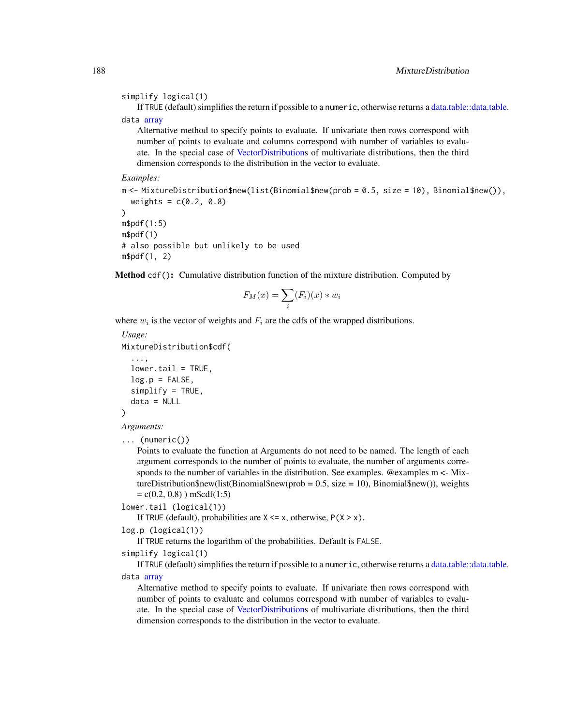#### simplify logical(1)

If TRUE (default) simplifies the return if possible to a numeric, otherwise returns a [data.table::data.table.](#page-0-0) data [array](#page-0-0)

Alternative method to specify points to evaluate. If univariate then rows correspond with number of points to evaluate and columns correspond with number of variables to evaluate. In the special case of [VectorDistributions](#page-285-0) of multivariate distributions, then the third dimension corresponds to the distribution in the vector to evaluate.

#### *Examples:*

m <- MixtureDistribution\$new(list(Binomial\$new(prob = 0.5, size = 10), Binomial\$new()),  $weights = c(0.2, 0.8)$ ) m\$pdf(1:5) m\$pdf(1) # also possible but unlikely to be used m\$pdf(1, 2)

**Method** cdf(): Cumulative distribution function of the mixture distribution. Computed by

$$
F_M(x) = \sum_i (F_i)(x) * w_i
$$

where  $w_i$  is the vector of weights and  $F_i$  are the cdfs of the wrapped distributions.

```
Usage:
MixtureDistribution$cdf(
  ...,
  lower.tail = TRUE,log.p = FALSE,
  simplify = TRUE,
  data = NULL)
```
*Arguments:*

```
... (numeric())
```
Points to evaluate the function at Arguments do not need to be named. The length of each argument corresponds to the number of points to evaluate, the number of arguments corresponds to the number of variables in the distribution. See examples. @examples m <- MixtureDistribution\$new(list(Binomial\$new(prob = 0.5, size = 10), Binomial\$new()), weights  $= c(0.2, 0.8)$ ) m\\$cdf(1:5)

lower.tail (logical(1))

If TRUE (default), probabilities are  $X \le x$ , otherwise,  $P(X > x)$ .

log.p (logical(1))

If TRUE returns the logarithm of the probabilities. Default is FALSE.

```
simplify logical(1)
```
If TRUE (default) simplifies the return if possible to a numeric, otherwise returns a [data.table::data.table.](#page-0-0) data [array](#page-0-0)

Alternative method to specify points to evaluate. If univariate then rows correspond with number of points to evaluate and columns correspond with number of variables to evaluate. In the special case of [VectorDistributions](#page-285-0) of multivariate distributions, then the third dimension corresponds to the distribution in the vector to evaluate.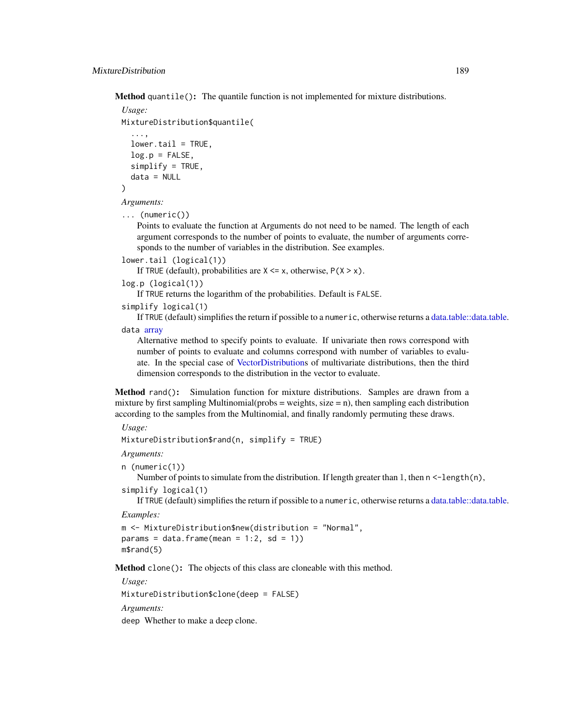Method quantile(): The quantile function is not implemented for mixture distributions.

```
Usage:
MixtureDistribution$quantile(
  ...,
  lower.tail = TRUE,log.p = FALSE,simplify = TRUE,
  data = NULL)
```
*Arguments:*

```
... (numeric())
```
Points to evaluate the function at Arguments do not need to be named. The length of each argument corresponds to the number of points to evaluate, the number of arguments corresponds to the number of variables in the distribution. See examples.

```
lower.tail (logical(1))
```
If TRUE (default), probabilities are  $X \le x$ , otherwise,  $P(X > x)$ .

```
log.p (logical(1))
```
If TRUE returns the logarithm of the probabilities. Default is FALSE.

```
simplify logical(1)
```
If TRUE (default) simplifies the return if possible to a numeric, otherwise returns a [data.table::data.table.](#page-0-0) data [array](#page-0-0)

Alternative method to specify points to evaluate. If univariate then rows correspond with number of points to evaluate and columns correspond with number of variables to evaluate. In the special case of [VectorDistributions](#page-285-0) of multivariate distributions, then the third dimension corresponds to the distribution in the vector to evaluate.

Method rand(): Simulation function for mixture distributions. Samples are drawn from a mixture by first sampling Multinomial(probs = weights, size = n), then sampling each distribution according to the samples from the Multinomial, and finally randomly permuting these draws.

## *Usage:*

MixtureDistribution\$rand(n, simplify = TRUE)

*Arguments:*

```
n (numeric(1))
```
Number of points to simulate from the distribution. If length greater than 1, then  $n < -\frac{1}{\pi}$  (n), simplify logical(1)

If TRUE (default) simplifies the return if possible to a numeric, otherwise returns a [data.table::data.table.](#page-0-0)

*Examples:*

```
m <- MixtureDistribution$new(distribution = "Normal",
params = data.frame(mean = 1:2, sd = 1))
m$rand(5)
```
Method clone(): The objects of this class are cloneable with this method.

*Usage:*

MixtureDistribution\$clone(deep = FALSE)

*Arguments:*

deep Whether to make a deep clone.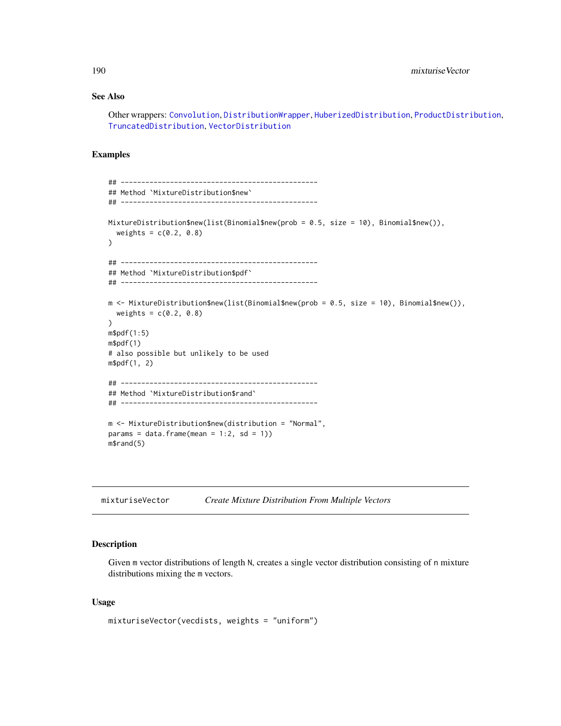## See Also

Other wrappers: [Convolution](#page-47-0), [DistributionWrapper](#page-78-0), [HuberizedDistribution](#page-137-0), [ProductDistribution](#page-222-0), [TruncatedDistribution](#page-277-0), [VectorDistribution](#page-285-0)

## Examples

```
## ------------------------------------------------
## Method `MixtureDistribution$new`
## ------------------------------------------------
MixtureDistribution$new(list(Binomial$new(prob = 0.5, size = 10), Binomial$new()),
  weights = c(0.2, 0.8)\mathcal{L}## ------------------------------------------------
## Method `MixtureDistribution$pdf`
## ------------------------------------------------
m <- MixtureDistribution$new(list(Binomial$new(prob = 0.5, size = 10), Binomial$new()),
  weights = c(0.2, 0.8)\mathcal{L}m$pdf(1:5)
m$pdf(1)
# also possible but unlikely to be used
m$pdf(1, 2)
## ------------------------------------------------
## Method `MixtureDistribution$rand`
## ------------------------------------------------
m <- MixtureDistribution$new(distribution = "Normal",
params = data.frame(mean = 1:2, sd = 1))
m$rand(5)
```
<span id="page-189-0"></span>

| mixturiseVector | <b>Create Mixture Distribution From Multiple Vectors</b> |  |
|-----------------|----------------------------------------------------------|--|
|-----------------|----------------------------------------------------------|--|

## Description

Given m vector distributions of length N, creates a single vector distribution consisting of n mixture distributions mixing the m vectors.

## Usage

```
mixturiseVector(vecdists, weights = "uniform")
```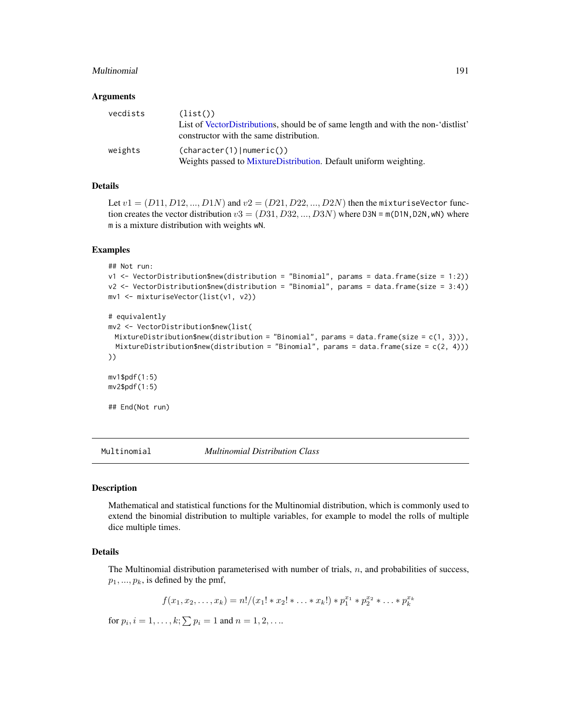#### Multinomial 191

#### Arguments

| vecdists | (list()<br>List of VectorDistributions, should be of same length and with the non-'distlist'<br>constructor with the same distribution. |
|----------|-----------------------------------------------------------------------------------------------------------------------------------------|
| weights  | (character(1)   numeric())<br>Weights passed to MixtureDistribution. Default uniform weighting.                                         |

## Details

Let  $v1 = (D11, D12, ..., D1N)$  and  $v2 = (D21, D22, ..., D2N)$  then the mixturiseVector function creates the vector distribution  $v3 = (D31, D32, ..., D3N)$  where D3N = m(D1N,D2N,wN) where m is a mixture distribution with weights wN.

#### Examples

```
## Not run:
v1 <- VectorDistribution$new(distribution = "Binomial", params = data.frame(size = 1:2))
v2 <- VectorDistribution$new(distribution = "Binomial", params = data.frame(size = 3:4))
mv1 <- mixturiseVector(list(v1, v2))
# equivalently
mv2 <- VectorDistribution$new(list(
 MixtureDistribution$new(distribution = "Binomial", params = data.frame(size = c(1, 3))),
 MixtureDistribution$new(distribution = "Binomial", params = data.frame(size = c(2, 4)))
))
mv1$pdf(1:5)
mv2$pdf(1:5)
## End(Not run)
```
<span id="page-190-0"></span>Multinomial *Multinomial Distribution Class*

#### Description

Mathematical and statistical functions for the Multinomial distribution, which is commonly used to extend the binomial distribution to multiple variables, for example to model the rolls of multiple dice multiple times.

#### Details

The Multinomial distribution parameterised with number of trials,  $n$ , and probabilities of success,  $p_1, \ldots, p_k$ , is defined by the pmf,

$$
f(x_1, x_2, \ldots, x_k) = n!/(x_1! * x_2! * \ldots * x_k!) * p_1^{x_1} * p_2^{x_2} * \ldots * p_k^{x_k}
$$

for  $p_i$ ,  $i = 1, ..., k; \sum p_i = 1$  and  $n = 1, 2, ...$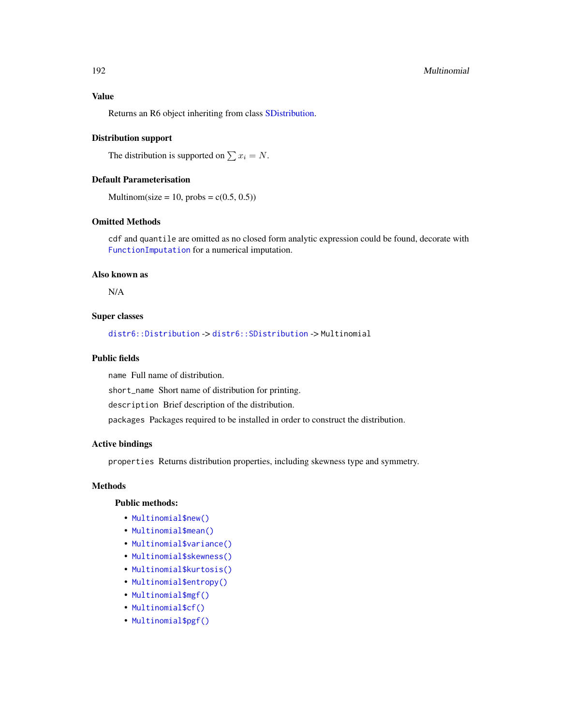## Value

Returns an R6 object inheriting from class [SDistribution.](#page-235-0)

#### Distribution support

The distribution is supported on  $\sum x_i = N$ .

## Default Parameterisation

Multinom(size = 10, probs =  $c(0.5, 0.5)$ )

## Omitted Methods

cdf and quantile are omitted as no closed form analytic expression could be found, decorate with [FunctionImputation](#page-117-0) for a numerical imputation.

#### Also known as

N/A

## Super classes

[distr6::Distribution](#page-0-0) -> [distr6::SDistribution](#page-0-0) -> Multinomial

## Public fields

name Full name of distribution.

short\_name Short name of distribution for printing.

description Brief description of the distribution.

packages Packages required to be installed in order to construct the distribution.

## Active bindings

properties Returns distribution properties, including skewness type and symmetry.

## Methods

#### Public methods:

- [Multinomial\\$new\(\)](#page-7-0)
- [Multinomial\\$mean\(\)](#page-7-1)
- [Multinomial\\$variance\(\)](#page-8-0)
- [Multinomial\\$skewness\(\)](#page-8-1)
- [Multinomial\\$kurtosis\(\)](#page-8-2)
- [Multinomial\\$entropy\(\)](#page-9-1)
- [Multinomial\\$mgf\(\)](#page-15-0)
- [Multinomial\\$cf\(\)](#page-15-1)
- [Multinomial\\$pgf\(\)](#page-9-2)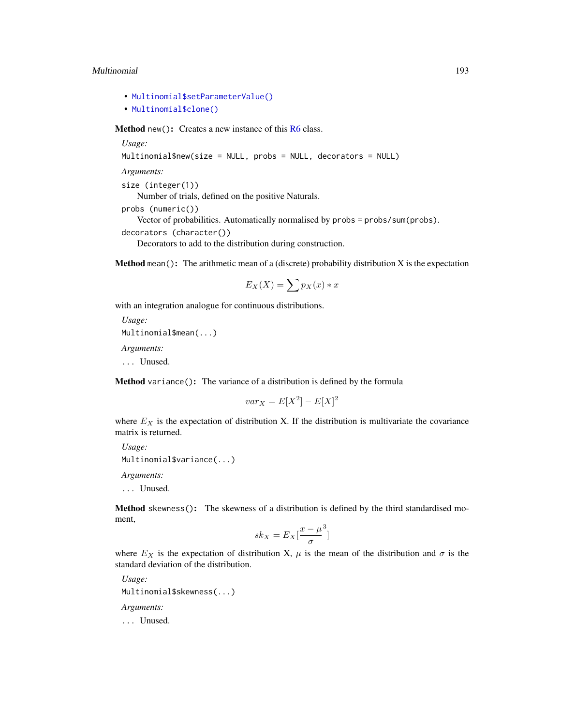#### Multinomial 193

- [Multinomial\\$setParameterValue\(\)](#page-61-0)
- [Multinomial\\$clone\(\)](#page-9-0)

Method new(): Creates a new instance of this [R6](#page-0-0) class.

*Usage:* Multinomial\$new(size = NULL, probs = NULL, decorators = NULL) *Arguments:* size (integer(1)) Number of trials, defined on the positive Naturals. probs (numeric()) Vector of probabilities. Automatically normalised by probs = probs/sum(probs). decorators (character()) Decorators to add to the distribution during construction.

**Method** mean(): The arithmetic mean of a (discrete) probability distribution  $X$  is the expectation

$$
E_X(X) = \sum p_X(x) * x
$$

with an integration analogue for continuous distributions.

```
Usage:
Multinomial$mean(...)
```
*Arguments:*

... Unused.

Method variance(): The variance of a distribution is defined by the formula

$$
var_X = E[X^2] - E[X]^2
$$

where  $E_X$  is the expectation of distribution X. If the distribution is multivariate the covariance matrix is returned.

*Usage:* Multinomial\$variance(...) *Arguments:*

... Unused.

Method skewness(): The skewness of a distribution is defined by the third standardised moment,

$$
sk_X = E_X \left[ \frac{x - \mu^3}{\sigma} \right]
$$

where  $E_X$  is the expectation of distribution X,  $\mu$  is the mean of the distribution and  $\sigma$  is the standard deviation of the distribution.

*Usage:* Multinomial\$skewness(...) *Arguments:* ... Unused.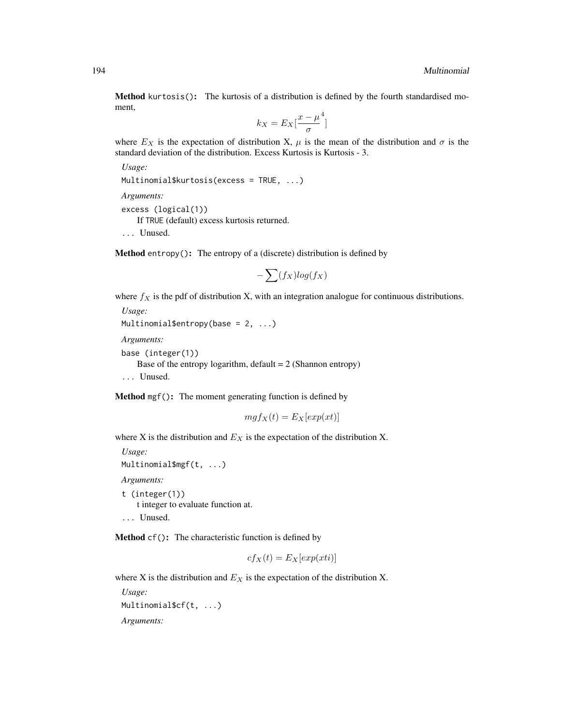Method kurtosis(): The kurtosis of a distribution is defined by the fourth standardised moment,

$$
k_X = E_X \left[ \frac{x - \mu^4}{\sigma} \right]
$$

where  $E_X$  is the expectation of distribution X,  $\mu$  is the mean of the distribution and  $\sigma$  is the standard deviation of the distribution. Excess Kurtosis is Kurtosis - 3.

*Usage:*

```
Multinomial$kurtosis(excess = TRUE, ...)
```
*Arguments:*

excess (logical(1))

If TRUE (default) excess kurtosis returned.

... Unused.

Method entropy(): The entropy of a (discrete) distribution is defined by

$$
-\sum(f_X)log(f_X)
$$

where  $f_X$  is the pdf of distribution X, with an integration analogue for continuous distributions.

```
Usage:
Multinomial$entropy(base = 2, ...)
Arguments:
base (integer(1))
   Base of the entropy logarithm, default = 2 (Shannon entropy)
... Unused.
```
Method mgf(): The moment generating function is defined by

$$
mgf_X(t) = E_X[exp(xt)]
$$

where X is the distribution and  $E<sub>X</sub>$  is the expectation of the distribution X.

```
Usage:
Multinomial$mgf(t, ...)
Arguments:
t (integer(1))
    t integer to evaluate function at.
```
... Unused.

Method cf(): The characteristic function is defined by

$$
cf_X(t) = E_X[exp(xti)]
$$

where X is the distribution and  $E<sub>X</sub>$  is the expectation of the distribution X.

```
Usage:
Multinomial$cf(t, ...)
Arguments:
```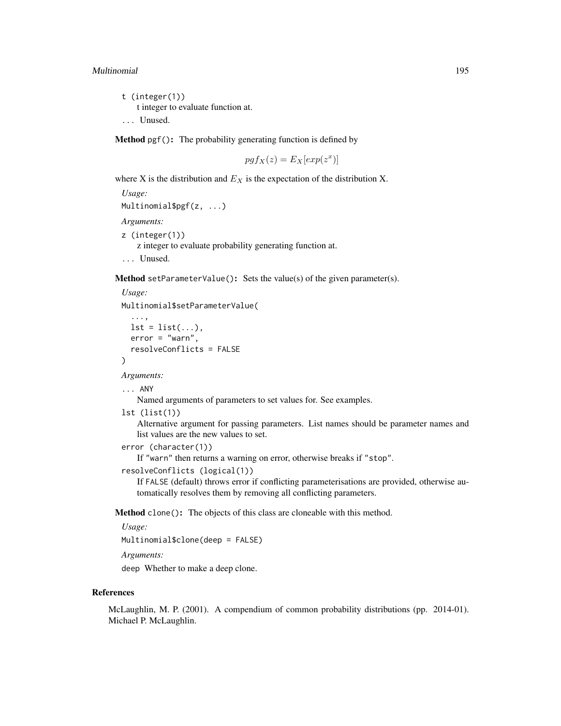#### Multinomial 195

```
t (integer(1))
    t integer to evaluate function at.
... Unused.
```
Method pgf(): The probability generating function is defined by

$$
pgf_X(z) = E_X[exp(z^x)]
$$

where X is the distribution and  $E<sub>X</sub>$  is the expectation of the distribution X.

*Usage:* Multinomial\$pgf(z, ...) *Arguments:* z (integer(1)) z integer to evaluate probability generating function at. ... Unused.

**Method** setParameterValue(): Sets the value(s) of the given parameter(s).

```
Usage:
Multinomial$setParameterValue(
  ...,
  lst = list(...),error = "warn",
  resolveConflicts = FALSE
\lambda
```
*Arguments:*

```
... ANY
```
Named arguments of parameters to set values for. See examples.

```
lst (list(1))
```
Alternative argument for passing parameters. List names should be parameter names and list values are the new values to set.

```
error (character(1))
```
If "warn" then returns a warning on error, otherwise breaks if "stop".

```
resolveConflicts (logical(1))
```
If FALSE (default) throws error if conflicting parameterisations are provided, otherwise automatically resolves them by removing all conflicting parameters.

Method clone(): The objects of this class are cloneable with this method.

*Usage:*

```
Multinomial$clone(deep = FALSE)
```
*Arguments:*

deep Whether to make a deep clone.

#### References

McLaughlin, M. P. (2001). A compendium of common probability distributions (pp. 2014-01). Michael P. McLaughlin.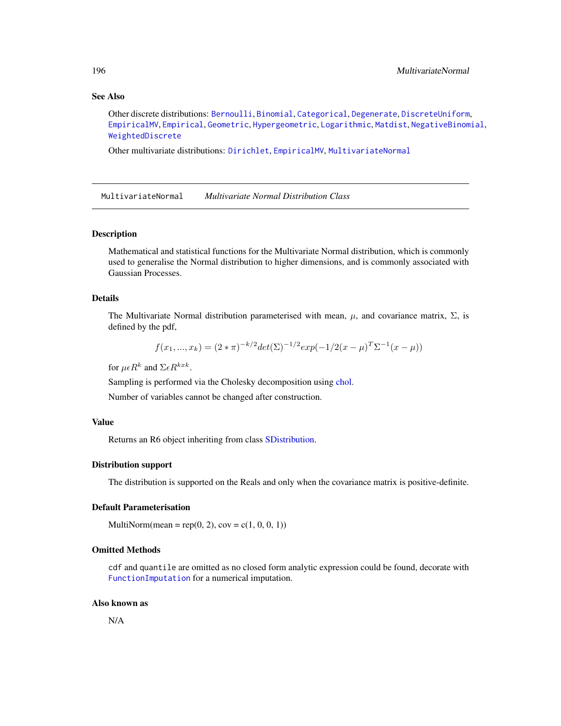## See Also

```
Other discrete distributions: Bernoulli, Binomial, Categorical, Degenerate, DiscreteUniform,
EmpiricalMV, Empirical, Geometric, Hypergeometric, Logarithmic, Matdist, NegativeBinomial,
WeightedDiscrete
```
Other multivariate distributions: [Dirichlet](#page-59-0), [EmpiricalMV](#page-87-0), [MultivariateNormal](#page-195-0)

<span id="page-195-0"></span>MultivariateNormal *Multivariate Normal Distribution Class*

## Description

Mathematical and statistical functions for the Multivariate Normal distribution, which is commonly used to generalise the Normal distribution to higher dimensions, and is commonly associated with Gaussian Processes.

## Details

The Multivariate Normal distribution parameterised with mean,  $\mu$ , and covariance matrix,  $\Sigma$ , is defined by the pdf,

$$
f(x_1, ..., x_k) = (2 * \pi)^{-k/2} \det(\Sigma)^{-1/2} \exp(-1/2(x - \mu)^T \Sigma^{-1} (x - \mu))
$$

for  $\mu \epsilon R^k$  and  $\Sigma \epsilon R^{kxk}$ .

Sampling is performed via the Cholesky decomposition using [chol.](#page-0-0)

Number of variables cannot be changed after construction.

#### Value

Returns an R6 object inheriting from class [SDistribution.](#page-235-0)

### Distribution support

The distribution is supported on the Reals and only when the covariance matrix is positive-definite.

## Default Parameterisation

MultiNorm(mean = rep(0, 2),  $cov = c(1, 0, 0, 1)$ )

## Omitted Methods

cdf and quantile are omitted as no closed form analytic expression could be found, decorate with [FunctionImputation](#page-117-0) for a numerical imputation.

## Also known as

N/A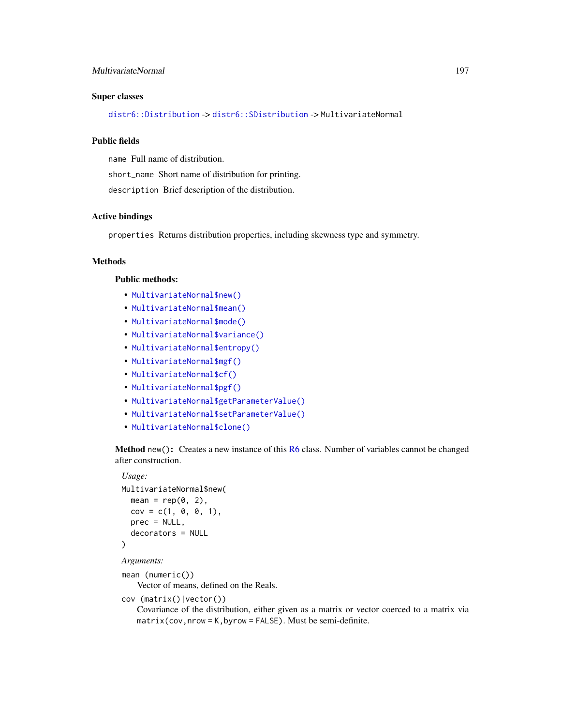## MultivariateNormal 197

### Super classes

[distr6::Distribution](#page-0-0) -> [distr6::SDistribution](#page-0-0) -> MultivariateNormal

## Public fields

name Full name of distribution. short\_name Short name of distribution for printing. description Brief description of the distribution.

## Active bindings

properties Returns distribution properties, including skewness type and symmetry.

## Methods

## Public methods:

- [MultivariateNormal\\$new\(\)](#page-7-0)
- [MultivariateNormal\\$mean\(\)](#page-7-1)
- [MultivariateNormal\\$mode\(\)](#page-8-3)
- [MultivariateNormal\\$variance\(\)](#page-8-0)
- [MultivariateNormal\\$entropy\(\)](#page-9-1)
- [MultivariateNormal\\$mgf\(\)](#page-15-0)
- [MultivariateNormal\\$cf\(\)](#page-15-1)
- [MultivariateNormal\\$pgf\(\)](#page-9-2)
- [MultivariateNormal\\$getParameterValue\(\)](#page-71-1)
- [MultivariateNormal\\$setParameterValue\(\)](#page-61-0)
- [MultivariateNormal\\$clone\(\)](#page-9-0)

Method new(): Creates a new instance of this [R6](#page-0-0) class. Number of variables cannot be changed after construction.

## *Usage:*

```
MultivariateNormal$new(
  mean = rep(0, 2),
  cov = c(1, 0, 0, 1),prec = NULL,
  decorators = NULL
)
```
#### *Arguments:*

```
mean (numeric())
```
Vector of means, defined on the Reals.

```
cov (matrix()|vector())
```
Covariance of the distribution, either given as a matrix or vector coerced to a matrix via matrix(cov,nrow = K,byrow = FALSE). Must be semi-definite.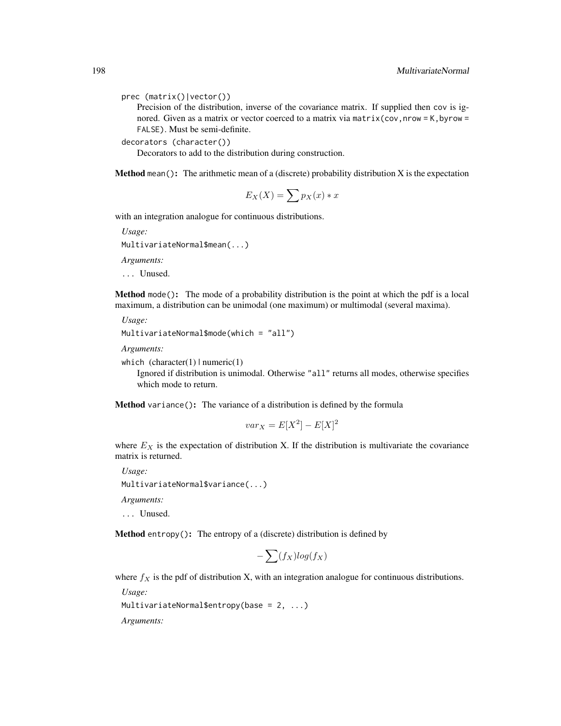prec (matrix()|vector())

Precision of the distribution, inverse of the covariance matrix. If supplied then cov is ignored. Given as a matrix or vector coerced to a matrix via matrix (cov, nrow = K, byrow = FALSE). Must be semi-definite.

decorators (character())

Decorators to add to the distribution during construction.

**Method** mean(): The arithmetic mean of a (discrete) probability distribution X is the expectation

$$
E_X(X) = \sum p_X(x) * x
$$

with an integration analogue for continuous distributions.

*Usage:*

MultivariateNormal\$mean(...)

*Arguments:*

... Unused.

Method mode(): The mode of a probability distribution is the point at which the pdf is a local maximum, a distribution can be unimodal (one maximum) or multimodal (several maxima).

*Usage:*

```
MultivariateNormal$mode(which = "all")
```
*Arguments:*

which  $(character(1) | numeric(1))$ 

Ignored if distribution is unimodal. Otherwise "all" returns all modes, otherwise specifies which mode to return.

Method variance(): The variance of a distribution is defined by the formula

$$
var_X = E[X^2] - E[X]^2
$$

where  $E_X$  is the expectation of distribution X. If the distribution is multivariate the covariance matrix is returned.

*Usage:* MultivariateNormal\$variance(...)

*Arguments:*

... Unused.

Method entropy(): The entropy of a (discrete) distribution is defined by

$$
-\sum(f_X)log(f_X)
$$

where  $f_X$  is the pdf of distribution X, with an integration analogue for continuous distributions.

*Usage:*

MultivariateNormal\$entropy(base = 2, ...)

*Arguments:*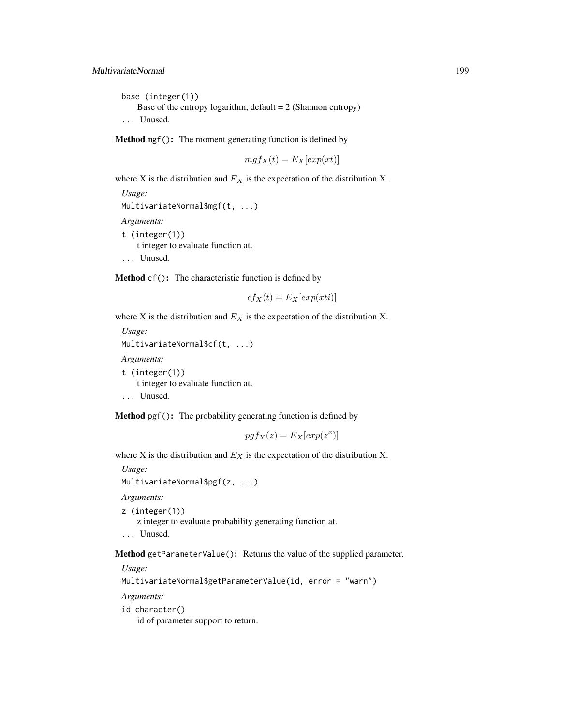```
base (integer(1))
   Base of the entropy logarithm, default = 2 (Shannon entropy)
... Unused.
```
Method mgf(): The moment generating function is defined by

```
mgf_X(t) = E_X[exp(xt)]
```
where X is the distribution and  $E<sub>X</sub>$  is the expectation of the distribution X.

```
Usage:
MultivariateNormal$mgf(t, ...)
Arguments:
t (integer(1))
   t integer to evaluate function at.
```
... Unused.

Method cf(): The characteristic function is defined by

$$
cf_X(t) = E_X[exp(xti)]
$$

where X is the distribution and  $E<sub>X</sub>$  is the expectation of the distribution X.

```
Usage:
MultivariateNormal$cf(t, ...)
Arguments:
t (integer(1))
   t integer to evaluate function at.
... Unused.
```
Method pgf(): The probability generating function is defined by

$$
pgf_X(z) = E_X[exp(z^x)]
$$

where X is the distribution and  $E<sub>X</sub>$  is the expectation of the distribution X.

*Usage:* MultivariateNormal\$pgf(z, ...) *Arguments:*

z (integer(1)) z integer to evaluate probability generating function at.

... Unused.

Method getParameterValue(): Returns the value of the supplied parameter.

*Usage:*

```
MultivariateNormal$getParameterValue(id, error = "warn")
```
*Arguments:*

id character()

id of parameter support to return.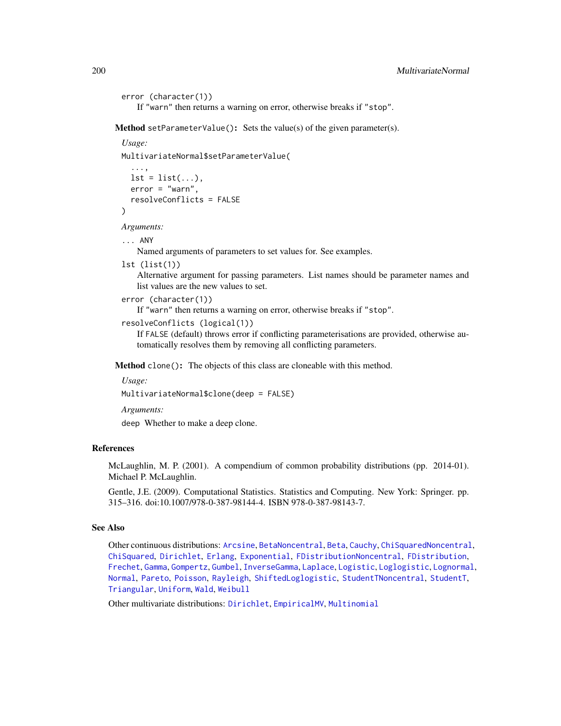```
error (character(1))
```
If "warn" then returns a warning on error, otherwise breaks if "stop".

Method setParameterValue(): Sets the value(s) of the given parameter(s).

```
Usage:
MultivariateNormal$setParameterValue(
  ...,
  lst = list(...),error = "warn",
  resolveConflicts = FALSE
)
```
*Arguments:*

... ANY

Named arguments of parameters to set values for. See examples.

```
lst (list(1))
```
Alternative argument for passing parameters. List names should be parameter names and list values are the new values to set.

```
error (character(1))
```
If "warn" then returns a warning on error, otherwise breaks if "stop".

```
resolveConflicts (logical(1))
```
If FALSE (default) throws error if conflicting parameterisations are provided, otherwise automatically resolves them by removing all conflicting parameters.

Method clone(): The objects of this class are cloneable with this method.

```
Usage:
```
MultivariateNormal\$clone(deep = FALSE)

*Arguments:*

deep Whether to make a deep clone.

## References

McLaughlin, M. P. (2001). A compendium of common probability distributions (pp. 2014-01). Michael P. McLaughlin.

Gentle, J.E. (2009). Computational Statistics. Statistics and Computing. New York: Springer. pp. 315–316. doi:10.1007/978-0-387-98144-4. ISBN 978-0-387-98143-7.

## See Also

Other continuous distributions: [Arcsine](#page-6-0), [BetaNoncentral](#page-21-0), [Beta](#page-17-0), [Cauchy](#page-34-0), [ChiSquaredNoncentral](#page-43-0), [ChiSquared](#page-38-0), [Dirichlet](#page-59-0), [Erlang](#page-92-0), [Exponential](#page-102-0), [FDistributionNoncentral](#page-110-0), [FDistribution](#page-106-0), [Frechet](#page-113-0), [Gamma](#page-119-0), [Gompertz](#page-129-0), [Gumbel](#page-132-0), [InverseGamma](#page-143-0), [Laplace](#page-149-0), [Logistic](#page-162-0), [Loglogistic](#page-168-0), [Lognormal](#page-172-0), [Normal](#page-204-0), [Pareto](#page-211-0), [Poisson](#page-218-0), [Rayleigh](#page-231-0), [ShiftedLoglogistic](#page-236-0), [StudentTNoncentral](#page-249-0), [StudentT](#page-245-0), [Triangular](#page-266-0), [Uniform](#page-279-0), [Wald](#page-294-0), [Weibull](#page-298-0)

Other multivariate distributions: [Dirichlet](#page-59-0), [EmpiricalMV](#page-87-0), [Multinomial](#page-190-0)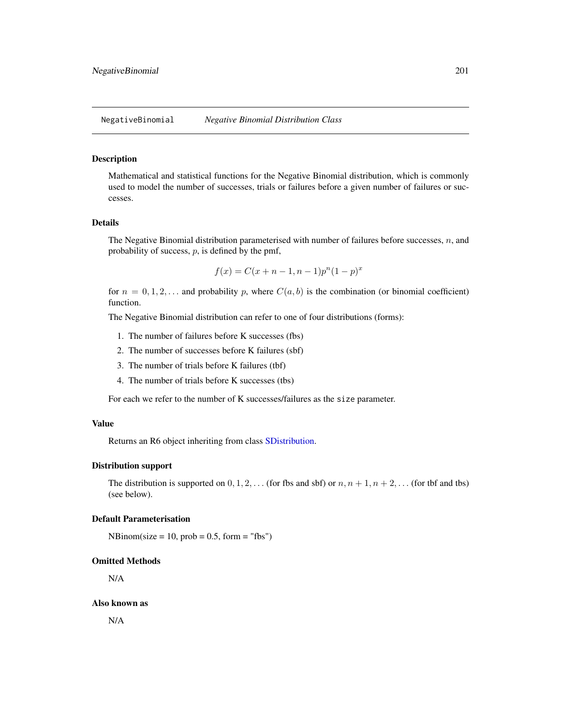<span id="page-200-0"></span>NegativeBinomial *Negative Binomial Distribution Class*

#### Description

Mathematical and statistical functions for the Negative Binomial distribution, which is commonly used to model the number of successes, trials or failures before a given number of failures or successes.

## Details

The Negative Binomial distribution parameterised with number of failures before successes,  $n$ , and probability of success,  $p$ , is defined by the pmf,

$$
f(x) = C(x + n - 1, n - 1)p^{n}(1 - p)^{x}
$$

for  $n = 0, 1, 2, \ldots$  and probability p, where  $C(a, b)$  is the combination (or binomial coefficient) function.

The Negative Binomial distribution can refer to one of four distributions (forms):

- 1. The number of failures before K successes (fbs)
- 2. The number of successes before K failures (sbf)
- 3. The number of trials before K failures (tbf)
- 4. The number of trials before K successes (tbs)

For each we refer to the number of K successes/failures as the size parameter.

## Value

Returns an R6 object inheriting from class [SDistribution.](#page-235-0)

#### Distribution support

The distribution is supported on  $0, 1, 2, \ldots$  (for fbs and sbf) or  $n, n + 1, n + 2, \ldots$  (for the and tbs) (see below).

## Default Parameterisation

 $NBinom(size = 10, prob = 0.5, form = "fbs")$ 

#### Omitted Methods

N/A

#### Also known as

N/A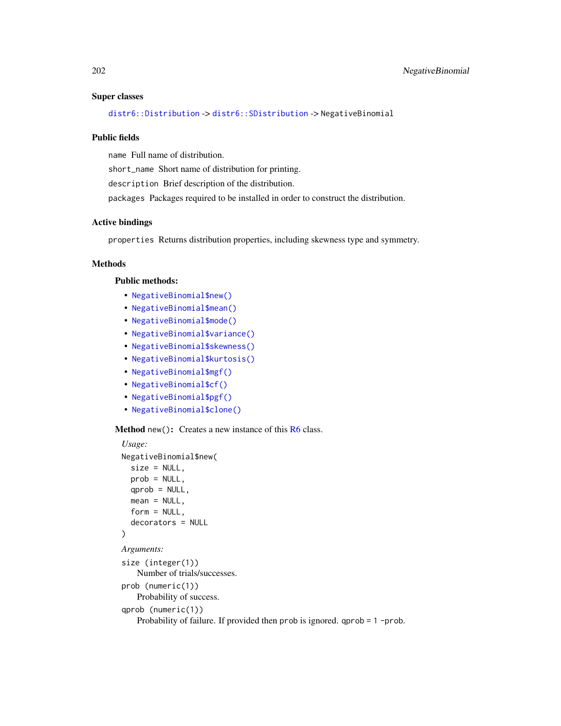#### Super classes

[distr6::Distribution](#page-0-0) -> [distr6::SDistribution](#page-0-0) -> NegativeBinomial

#### Public fields

name Full name of distribution.

short\_name Short name of distribution for printing.

description Brief description of the distribution.

packages Packages required to be installed in order to construct the distribution.

## Active bindings

properties Returns distribution properties, including skewness type and symmetry.

## Methods

#### Public methods:

- [NegativeBinomial\\$new\(\)](#page-7-0)
- [NegativeBinomial\\$mean\(\)](#page-7-1)
- [NegativeBinomial\\$mode\(\)](#page-8-3)
- [NegativeBinomial\\$variance\(\)](#page-8-0)
- [NegativeBinomial\\$skewness\(\)](#page-8-1)
- [NegativeBinomial\\$kurtosis\(\)](#page-8-2)
- [NegativeBinomial\\$mgf\(\)](#page-15-0)
- [NegativeBinomial\\$cf\(\)](#page-15-1)
- [NegativeBinomial\\$pgf\(\)](#page-9-2)
- [NegativeBinomial\\$clone\(\)](#page-9-0)

Method new(): Creates a new instance of this [R6](#page-0-0) class.

```
Usage:
NegativeBinomial$new(
  size = NULL,
  prob = NULL,
  qprob = NULL,mean = NULL,form = NULL,decorators = NULL
\mathcal{L}Arguments:
size (integer(1))
    Number of trials/successes.
prob (numeric(1))
    Probability of success.
qprob (numeric(1))
    Probability of failure. If provided then prob is ignored. qprob = 1 -prob.
```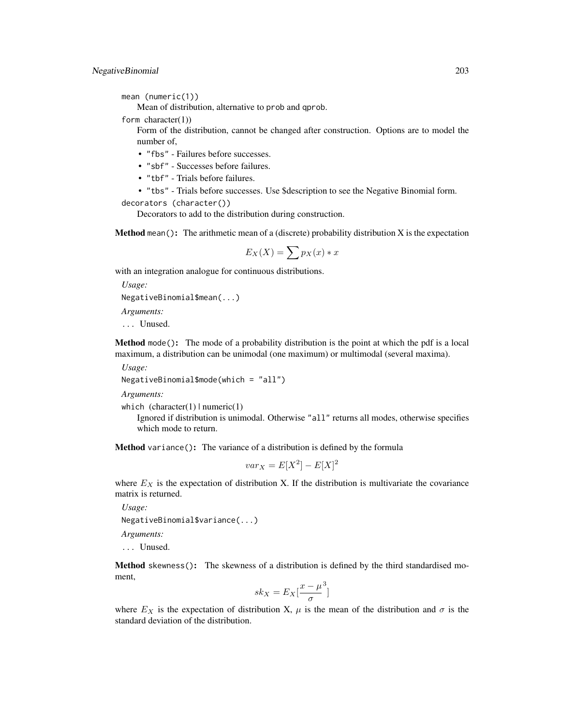mean (numeric(1))

Mean of distribution, alternative to prob and qprob.

form character(1))

Form of the distribution, cannot be changed after construction. Options are to model the number of,

• "fbs" - Failures before successes.

• "sbf" - Successes before failures.

• "tbf" - Trials before failures.

• "tbs" - Trials before successes. Use \$description to see the Negative Binomial form.

```
decorators (character())
```
Decorators to add to the distribution during construction.

**Method** mean(): The arithmetic mean of a (discrete) probability distribution  $X$  is the expectation

$$
E_X(X) = \sum p_X(x) * x
$$

with an integration analogue for continuous distributions.

*Usage:* NegativeBinomial\$mean(...)

*Arguments:*

... Unused.

Method mode(): The mode of a probability distribution is the point at which the pdf is a local maximum, a distribution can be unimodal (one maximum) or multimodal (several maxima).

*Usage:*

NegativeBinomial\$mode(which = "all")

*Arguments:*

which  $(character(1) | numeric(1))$ 

Ignored if distribution is unimodal. Otherwise "all" returns all modes, otherwise specifies which mode to return.

Method variance(): The variance of a distribution is defined by the formula

$$
var_X = E[X^2] - E[X]^2
$$

where  $E_X$  is the expectation of distribution X. If the distribution is multivariate the covariance matrix is returned.

*Usage:* NegativeBinomial\$variance(...)

*Arguments:*

... Unused.

Method skewness(): The skewness of a distribution is defined by the third standardised moment,

$$
sk_X = E_X \left[ \frac{x - \mu^3}{\sigma} \right]
$$

where  $E_X$  is the expectation of distribution X,  $\mu$  is the mean of the distribution and  $\sigma$  is the standard deviation of the distribution.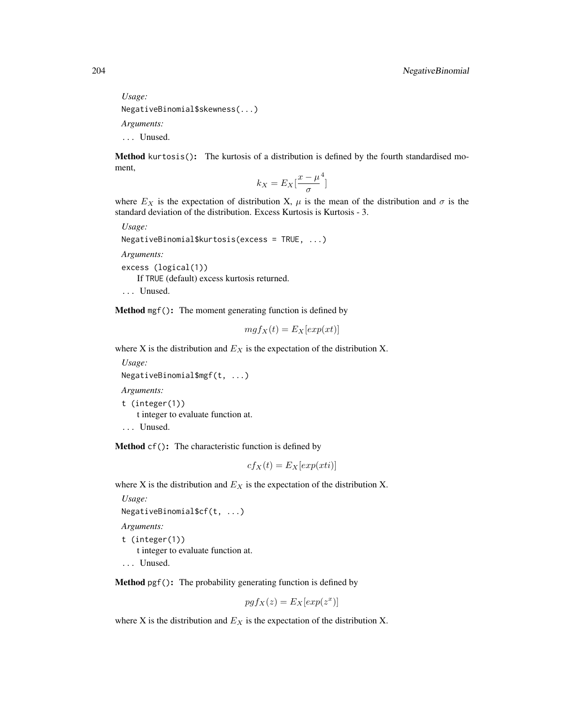*Usage:* NegativeBinomial\$skewness(...) *Arguments:* ... Unused.

Method kurtosis(): The kurtosis of a distribution is defined by the fourth standardised moment,

$$
k_X = E_X \left[ \frac{x - \mu^4}{\sigma} \right]
$$

where  $E_X$  is the expectation of distribution X,  $\mu$  is the mean of the distribution and  $\sigma$  is the standard deviation of the distribution. Excess Kurtosis is Kurtosis - 3.

*Usage:*

```
NegativeBinomial$kurtosis(excess = TRUE, ...)
```
*Arguments:*

```
excess (logical(1))
```
If TRUE (default) excess kurtosis returned.

... Unused.

Method mgf(): The moment generating function is defined by

$$
mgf_X(t) = E_X[exp(xt)]
$$

where X is the distribution and  $E<sub>X</sub>$  is the expectation of the distribution X.

```
Usage:
NegativeBinomial$mgf(t, ...)
```
*Arguments:* t (integer(1))

t integer to evaluate function at.

```
... Unused.
```
Method cf(): The characteristic function is defined by

$$
cf_X(t) = E_X[exp(xti)]
$$

where X is the distribution and  $E<sub>X</sub>$  is the expectation of the distribution X.

```
Usage:
NegativeBinomial$cf(t, ...)
```
*Arguments:*

t (integer(1)) t integer to evaluate function at.

... Unused.

Method pgf(): The probability generating function is defined by

$$
pgf_X(z) = E_X[exp(z^x)]
$$

where X is the distribution and  $E<sub>X</sub>$  is the expectation of the distribution X.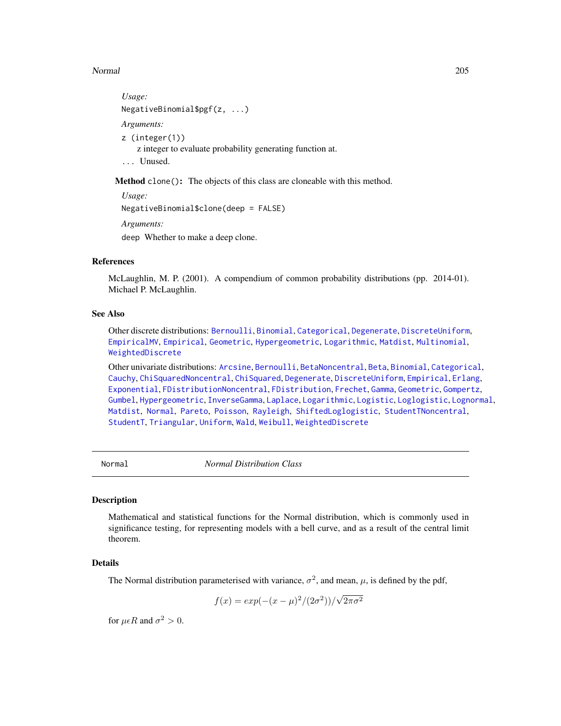## Normal 205

```
Usage:
NegativeBinomial$pgf(z, ...)
Arguments:
z (integer(1))
    z integer to evaluate probability generating function at.
... Unused.
```
Method clone(): The objects of this class are cloneable with this method.

*Usage:* NegativeBinomial\$clone(deep = FALSE) *Arguments:* deep Whether to make a deep clone.

#### References

McLaughlin, M. P. (2001). A compendium of common probability distributions (pp. 2014-01). Michael P. McLaughlin.

## See Also

Other discrete distributions: [Bernoulli](#page-12-0), [Binomial](#page-23-0), [Categorical](#page-29-0), [Degenerate](#page-55-0), [DiscreteUniform](#page-62-0), [EmpiricalMV](#page-87-0), [Empirical](#page-82-0), [Geometric](#page-125-0), [Hypergeometric](#page-139-0), [Logarithmic](#page-158-0), [Matdist](#page-178-0), [Multinomial](#page-190-0), [WeightedDiscrete](#page-302-0)

Other univariate distributions: [Arcsine](#page-6-0), [Bernoulli](#page-12-0), [BetaNoncentral](#page-21-0), [Beta](#page-17-0), [Binomial](#page-23-0), [Categorical](#page-29-0), [Cauchy](#page-34-0), [ChiSquaredNoncentral](#page-43-0), [ChiSquared](#page-38-0), [Degenerate](#page-55-0), [DiscreteUniform](#page-62-0), [Empirical](#page-82-0), [Erlang](#page-92-0), [Exponential](#page-102-0), [FDistributionNoncentral](#page-110-0), [FDistribution](#page-106-0), [Frechet](#page-113-0), [Gamma](#page-119-0), [Geometric](#page-125-0), [Gompertz](#page-129-0), [Gumbel](#page-132-0), [Hypergeometric](#page-139-0), [InverseGamma](#page-143-0), [Laplace](#page-149-0), [Logarithmic](#page-158-0), [Logistic](#page-162-0), [Loglogistic](#page-168-0), [Lognormal](#page-172-0), [Matdist](#page-178-0), [Normal](#page-204-0), [Pareto](#page-211-0), [Poisson](#page-218-0), [Rayleigh](#page-231-0), [ShiftedLoglogistic](#page-236-0), [StudentTNoncentral](#page-249-0), [StudentT](#page-245-0), [Triangular](#page-266-0), [Uniform](#page-279-0), [Wald](#page-294-0), [Weibull](#page-298-0), [WeightedDiscrete](#page-302-0)

<span id="page-204-0"></span>

Normal *Normal Distribution Class*

## Description

Mathematical and statistical functions for the Normal distribution, which is commonly used in significance testing, for representing models with a bell curve, and as a result of the central limit theorem.

#### Details

The Normal distribution parameterised with variance,  $\sigma^2$ , and mean,  $\mu$ , is defined by the pdf,

$$
f(x) = exp(-(x - \mu)^2/(2\sigma^2))/\sqrt{2\pi\sigma^2}
$$

for  $\mu \epsilon R$  and  $\sigma^2 > 0$ .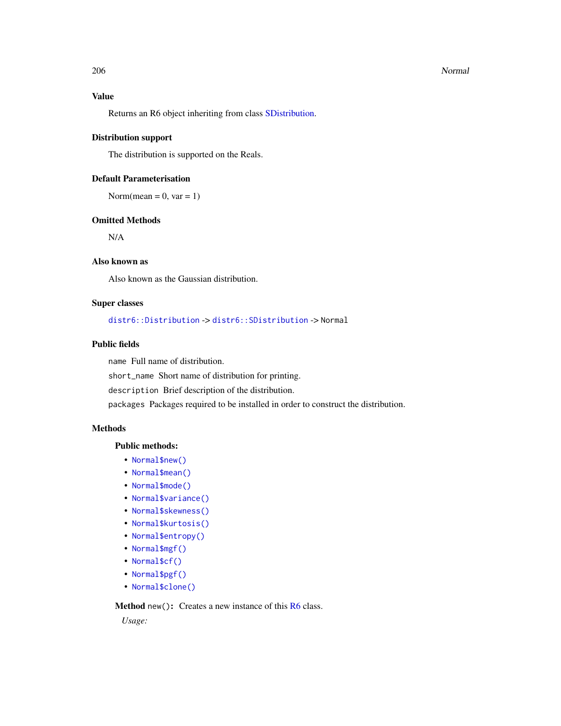#### 206 Normal Research Control of the United States of the United States of the United States of the United States of the United States of the United States of the United States of the United States of the United States of th

# Value

Returns an R6 object inheriting from class [SDistribution.](#page-235-0)

#### Distribution support

The distribution is supported on the Reals.

## Default Parameterisation

Norm(mean =  $0$ , var =  $1$ )

### Omitted Methods

N/A

## Also known as

Also known as the Gaussian distribution.

## Super classes

[distr6::Distribution](#page-0-0) -> [distr6::SDistribution](#page-0-0) -> Normal

## Public fields

name Full name of distribution.

short\_name Short name of distribution for printing.

description Brief description of the distribution.

packages Packages required to be installed in order to construct the distribution.

## **Methods**

#### Public methods:

- [Normal\\$new\(\)](#page-7-0)
- [Normal\\$mean\(\)](#page-7-1)
- [Normal\\$mode\(\)](#page-8-3)
- [Normal\\$variance\(\)](#page-8-0)
- [Normal\\$skewness\(\)](#page-8-1)
- [Normal\\$kurtosis\(\)](#page-8-2)
- [Normal\\$entropy\(\)](#page-9-1)
- [Normal\\$mgf\(\)](#page-15-0)
- [Normal\\$cf\(\)](#page-15-1)
- [Normal\\$pgf\(\)](#page-9-2)
- [Normal\\$clone\(\)](#page-9-0)

Method new(): Creates a new instance of this [R6](#page-0-0) class.

*Usage:*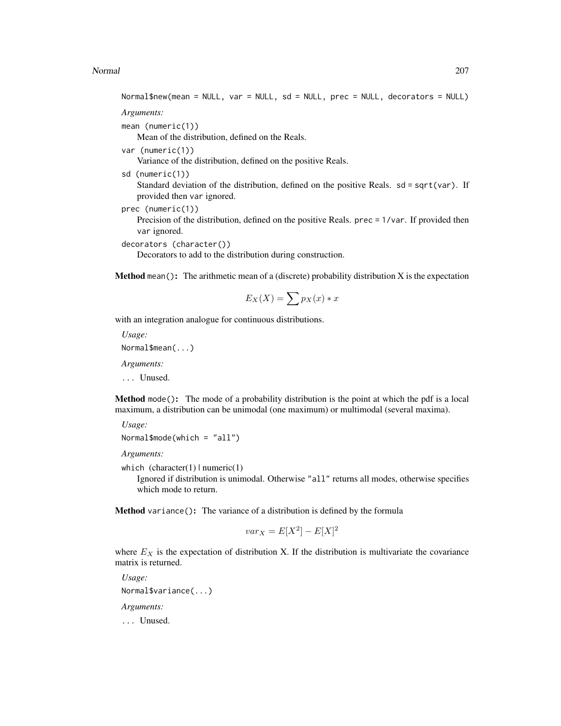#### Normal 207

Normal\$new(mean = NULL, var = NULL, sd = NULL, prec = NULL, decorators = NULL)

*Arguments:*

mean (numeric(1))

Mean of the distribution, defined on the Reals.

var (numeric(1))

Variance of the distribution, defined on the positive Reals.

sd (numeric(1))

Standard deviation of the distribution, defined on the positive Reals.  $sd = sqrt(var)$ . If provided then var ignored.

prec (numeric(1))

Precision of the distribution, defined on the positive Reals. prec = 1/var. If provided then var ignored.

```
decorators (character())
```
Decorators to add to the distribution during construction.

**Method** mean(): The arithmetic mean of a (discrete) probability distribution  $X$  is the expectation

$$
E_X(X) = \sum p_X(x) * x
$$

with an integration analogue for continuous distributions.

*Usage:* Normal\$mean(...)

*Arguments:*

... Unused.

Method mode(): The mode of a probability distribution is the point at which the pdf is a local maximum, a distribution can be unimodal (one maximum) or multimodal (several maxima).

```
Usage:
Normal$mode(which = "all")
```
*Arguments:*

which  $(character(1) | numeric(1))$ 

Ignored if distribution is unimodal. Otherwise "all" returns all modes, otherwise specifies which mode to return.

Method variance(): The variance of a distribution is defined by the formula

$$
var_X = E[X^2] - E[X]^2
$$

where  $E<sub>X</sub>$  is the expectation of distribution X. If the distribution is multivariate the covariance matrix is returned.

*Usage:* Normal\$variance(...) *Arguments:* ... Unused.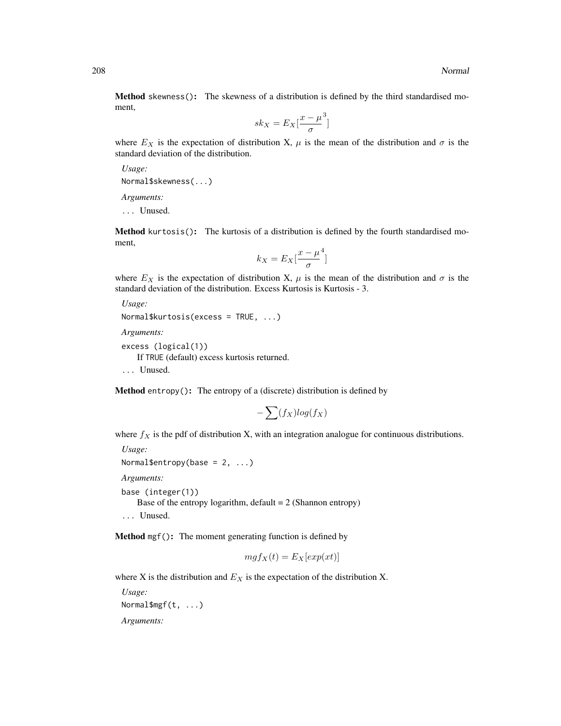Method skewness(): The skewness of a distribution is defined by the third standardised moment,

$$
sk_X = E_X \left[ \frac{x - \mu^3}{\sigma} \right]
$$

where  $E_X$  is the expectation of distribution X,  $\mu$  is the mean of the distribution and  $\sigma$  is the standard deviation of the distribution.

*Usage:*

Normal\$skewness(...)

*Arguments:*

... Unused.

Method kurtosis(): The kurtosis of a distribution is defined by the fourth standardised moment,

$$
k_X = E_X \left[ \frac{x - \mu^4}{\sigma} \right]
$$

where  $E_X$  is the expectation of distribution X,  $\mu$  is the mean of the distribution and  $\sigma$  is the standard deviation of the distribution. Excess Kurtosis is Kurtosis - 3.

```
Usage:
Normal$kurtosis(excess = TRUE, ...)
Arguments:
```

```
excess (logical(1))
   If TRUE (default) excess kurtosis returned.
... Unused.
```
Method entropy(): The entropy of a (discrete) distribution is defined by

$$
-\sum(f_X)log(f_X)
$$

where  $f_X$  is the pdf of distribution X, with an integration analogue for continuous distributions.

```
Usage:
Normal$entropy(base = 2, ...)
Arguments:
base (integer(1))
   Base of the entropy logarithm, default = 2 (Shannon entropy)
```
... Unused.

Method mgf(): The moment generating function is defined by

$$
mgf_X(t) = E_X[exp(xt)]
$$

where X is the distribution and  $E<sub>X</sub>$  is the expectation of the distribution X.

*Usage:* Normal\$mgf(t, ...)

*Arguments:*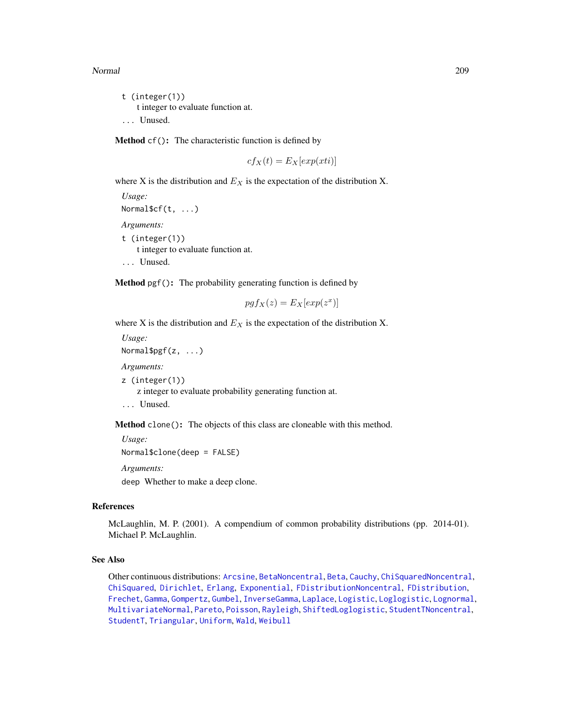#### Normal 209

t (integer(1)) t integer to evaluate function at. ... Unused.

Method cf(): The characteristic function is defined by

$$
cf_X(t) = E_X[exp(xti)]
$$

where X is the distribution and  $E<sub>X</sub>$  is the expectation of the distribution X.

*Usage:* Normal\$cf(t, ...) *Arguments:* t (integer(1)) t integer to evaluate function at. ... Unused.

Method pgf(): The probability generating function is defined by

$$
pgf_X(z) = E_X[exp(z^x)]
$$

where X is the distribution and  $E<sub>X</sub>$  is the expectation of the distribution X.

*Usage:* Normal\$pgf(z, ...) *Arguments:* z (integer(1)) z integer to evaluate probability generating function at. ... Unused.

Method clone(): The objects of this class are cloneable with this method.

*Usage:* Normal\$clone(deep = FALSE)

*Arguments:*

deep Whether to make a deep clone.

## References

McLaughlin, M. P. (2001). A compendium of common probability distributions (pp. 2014-01). Michael P. McLaughlin.

## See Also

Other continuous distributions: [Arcsine](#page-6-0), [BetaNoncentral](#page-21-0), [Beta](#page-17-0), [Cauchy](#page-34-0), [ChiSquaredNoncentral](#page-43-0), [ChiSquared](#page-38-0), [Dirichlet](#page-59-0), [Erlang](#page-92-0), [Exponential](#page-102-0), [FDistributionNoncentral](#page-110-0), [FDistribution](#page-106-0), [Frechet](#page-113-0), [Gamma](#page-119-0), [Gompertz](#page-129-0), [Gumbel](#page-132-0), [InverseGamma](#page-143-0), [Laplace](#page-149-0), [Logistic](#page-162-0), [Loglogistic](#page-168-0), [Lognormal](#page-172-0), [MultivariateNormal](#page-195-0), [Pareto](#page-211-0), [Poisson](#page-218-0), [Rayleigh](#page-231-0), [ShiftedLoglogistic](#page-236-0), [StudentTNoncentral](#page-249-0), [StudentT](#page-245-0), [Triangular](#page-266-0), [Uniform](#page-279-0), [Wald](#page-294-0), [Weibull](#page-298-0)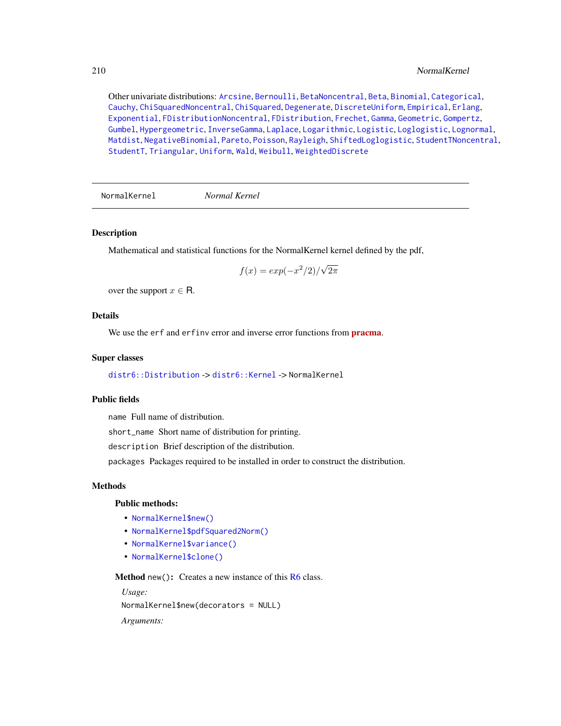Other univariate distributions: [Arcsine](#page-6-0), [Bernoulli](#page-12-0), [BetaNoncentral](#page-21-0), [Beta](#page-17-0), [Binomial](#page-23-0), [Categorical](#page-29-0), [Cauchy](#page-34-0), [ChiSquaredNoncentral](#page-43-0), [ChiSquared](#page-38-0), [Degenerate](#page-55-0), [DiscreteUniform](#page-62-0), [Empirical](#page-82-0), [Erlang](#page-92-0), [Exponential](#page-102-0), [FDistributionNoncentral](#page-110-0), [FDistribution](#page-106-0), [Frechet](#page-113-0), [Gamma](#page-119-0), [Geometric](#page-125-0), [Gompertz](#page-129-0), [Gumbel](#page-132-0), [Hypergeometric](#page-139-0), [InverseGamma](#page-143-0), [Laplace](#page-149-0), [Logarithmic](#page-158-0), [Logistic](#page-162-0), [Loglogistic](#page-168-0), [Lognormal](#page-172-0), [Matdist](#page-178-0), [NegativeBinomial](#page-200-0), [Pareto](#page-211-0), [Poisson](#page-218-0), [Rayleigh](#page-231-0), [ShiftedLoglogistic](#page-236-0), [StudentTNoncentral](#page-249-0), [StudentT](#page-245-0), [Triangular](#page-266-0), [Uniform](#page-279-0), [Wald](#page-294-0), [Weibull](#page-298-0), [WeightedDiscrete](#page-302-0)

NormalKernel *Normal Kernel*

## **Description**

Mathematical and statistical functions for the NormalKernel kernel defined by the pdf,

$$
f(x) = \exp(-x^2/2)/\sqrt{2\pi}
$$

over the support  $x \in \mathsf{R}$ .

## **Details**

We use the erf and erfinv error and inverse error functions from **[pracma](https://CRAN.R-project.org/package=pracma)**.

#### Super classes

[distr6::Distribution](#page-0-0) -> [distr6::Kernel](#page-0-0) -> NormalKernel

## Public fields

name Full name of distribution.

short\_name Short name of distribution for printing.

description Brief description of the distribution.

packages Packages required to be installed in order to construct the distribution.

#### **Methods**

## Public methods:

- [NormalKernel\\$new\(\)](#page-7-0)
- [NormalKernel\\$pdfSquared2Norm\(\)](#page-52-0)
- [NormalKernel\\$variance\(\)](#page-8-0)
- [NormalKernel\\$clone\(\)](#page-9-0)

Method new(): Creates a new instance of this [R6](#page-0-0) class.

*Usage:* NormalKernel\$new(decorators = NULL)

*Arguments:*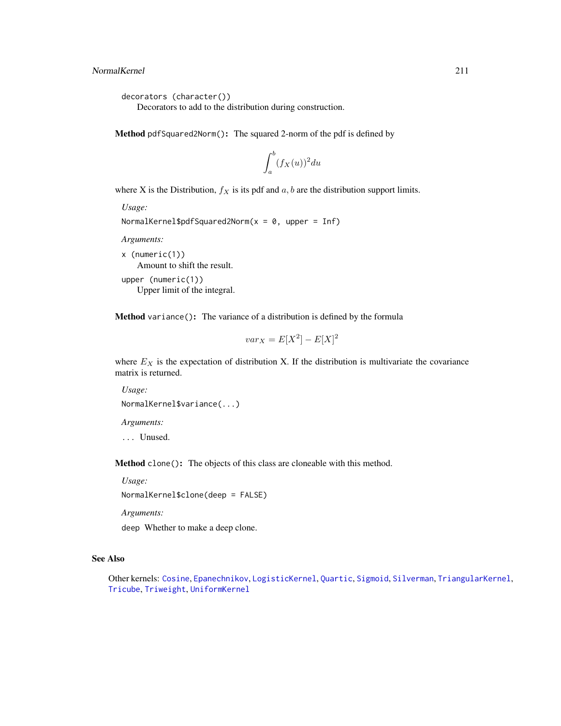```
decorators (character())
```
Decorators to add to the distribution during construction.

Method pdfSquared2Norm(): The squared 2-norm of the pdf is defined by

$$
\int_a^b (f_X(u))^2 du
$$

where X is the Distribution,  $f_X$  is its pdf and  $a, b$  are the distribution support limits.

```
Usage:
NormalKernel$pdfSquared2Norm(x = 0, upper = Inf)
```
*Arguments:*

x (numeric(1)) Amount to shift the result. upper (numeric(1))

Upper limit of the integral.

Method variance(): The variance of a distribution is defined by the formula

$$
var_X = E[X^2] - E[X]^2
$$

where  $E_X$  is the expectation of distribution X. If the distribution is multivariate the covariance matrix is returned.

*Usage:* NormalKernel\$variance(...)

*Arguments:*

... Unused.

Method clone(): The objects of this class are cloneable with this method.

*Usage:*

NormalKernel\$clone(deep = FALSE)

*Arguments:*

deep Whether to make a deep clone.

## See Also

Other kernels: [Cosine](#page-52-1), [Epanechnikov](#page-90-0), [LogisticKernel](#page-166-0), [Quartic](#page-229-0), [Sigmoid](#page-240-0), [Silverman](#page-242-0), [TriangularKernel](#page-272-0), [Tricube](#page-273-0), [Triweight](#page-275-0), [UniformKernel](#page-284-0)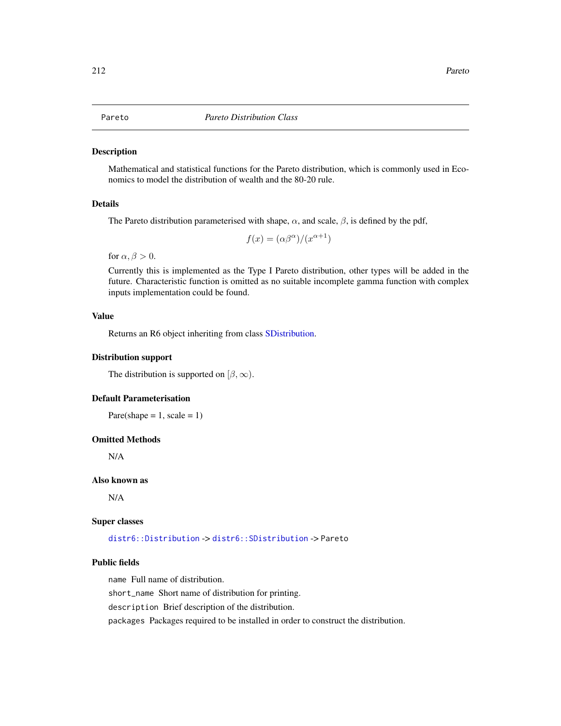## <span id="page-211-0"></span>**Description**

Mathematical and statistical functions for the Pareto distribution, which is commonly used in Economics to model the distribution of wealth and the 80-20 rule.

## Details

The Pareto distribution parameterised with shape,  $\alpha$ , and scale,  $\beta$ , is defined by the pdf,

$$
f(x) = (\alpha \beta^{\alpha})/(x^{\alpha+1})
$$

for  $\alpha, \beta > 0$ .

Currently this is implemented as the Type I Pareto distribution, other types will be added in the future. Characteristic function is omitted as no suitable incomplete gamma function with complex inputs implementation could be found.

## Value

Returns an R6 object inheriting from class [SDistribution.](#page-235-0)

#### Distribution support

The distribution is supported on  $[\beta, \infty)$ .

## Default Parameterisation

Pare(shape =  $1$ , scale =  $1$ )

#### Omitted Methods

N/A

## Also known as

N/A

#### Super classes

[distr6::Distribution](#page-0-0) -> [distr6::SDistribution](#page-0-0) -> Pareto

## Public fields

name Full name of distribution.

short\_name Short name of distribution for printing.

description Brief description of the distribution.

packages Packages required to be installed in order to construct the distribution.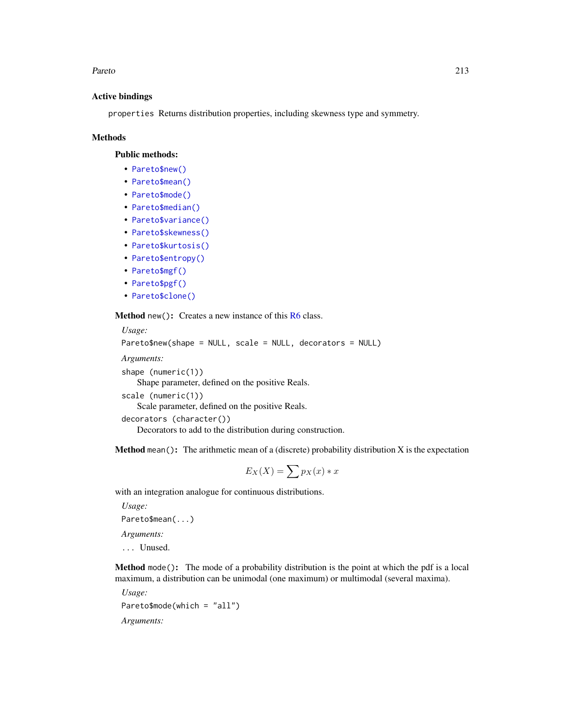#### Pareto 213

## Active bindings

properties Returns distribution properties, including skewness type and symmetry.

### Methods

Public methods:

- [Pareto\\$new\(\)](#page-7-0)
- [Pareto\\$mean\(\)](#page-7-1)
- [Pareto\\$mode\(\)](#page-8-3)
- [Pareto\\$median\(\)](#page-14-0)
- [Pareto\\$variance\(\)](#page-8-0)
- [Pareto\\$skewness\(\)](#page-8-1)
- [Pareto\\$kurtosis\(\)](#page-8-2)
- [Pareto\\$entropy\(\)](#page-9-1)
- [Pareto\\$mgf\(\)](#page-15-0)
- [Pareto\\$pgf\(\)](#page-9-2)
- [Pareto\\$clone\(\)](#page-9-0)

Method new(): Creates a new instance of this [R6](#page-0-0) class.

```
Usage:
Pareto$new(shape = NULL, scale = NULL, decorators = NULL)
Arguments:
shape (numeric(1))
   Shape parameter, defined on the positive Reals.
scale (numeric(1))
   Scale parameter, defined on the positive Reals.
decorators (character())
   Decorators to add to the distribution during construction.
```
**Method** mean(): The arithmetic mean of a (discrete) probability distribution  $X$  is the expectation

$$
E_X(X) = \sum p_X(x) * x
$$

with an integration analogue for continuous distributions.

*Usage:*

Pareto\$mean(...)

*Arguments:*

... Unused.

Method mode(): The mode of a probability distribution is the point at which the pdf is a local maximum, a distribution can be unimodal (one maximum) or multimodal (several maxima).

*Usage:*

Pareto\$mode(which = "all")

*Arguments:*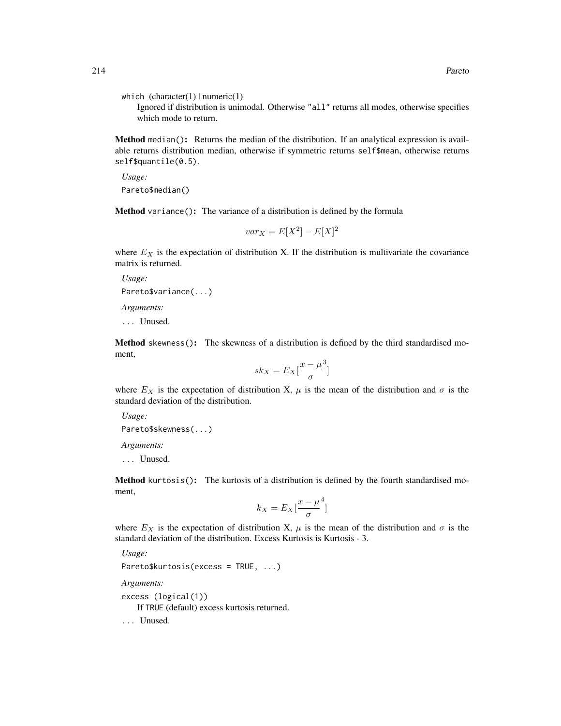which  $(character(1) | numeric(1))$ 

Ignored if distribution is unimodal. Otherwise "all" returns all modes, otherwise specifies which mode to return.

Method median(): Returns the median of the distribution. If an analytical expression is available returns distribution median, otherwise if symmetric returns self\$mean, otherwise returns self\$quantile(0.5).

*Usage:* Pareto\$median()

Method variance(): The variance of a distribution is defined by the formula

$$
var_X = E[X^2] - E[X]^2
$$

where  $E<sub>X</sub>$  is the expectation of distribution X. If the distribution is multivariate the covariance matrix is returned.

*Usage:* Pareto\$variance(...) *Arguments:*

... Unused.

Method skewness(): The skewness of a distribution is defined by the third standardised moment,

$$
sk_X = E_X \left[ \frac{x - \mu^3}{\sigma} \right]
$$

where  $E_X$  is the expectation of distribution X,  $\mu$  is the mean of the distribution and  $\sigma$  is the standard deviation of the distribution.

*Usage:*

Pareto\$skewness(...)

*Arguments:*

... Unused.

Method kurtosis(): The kurtosis of a distribution is defined by the fourth standardised moment,

$$
k_X = E_X \left[ \frac{x - \mu^4}{\sigma} \right]
$$

where  $E_X$  is the expectation of distribution X,  $\mu$  is the mean of the distribution and  $\sigma$  is the standard deviation of the distribution. Excess Kurtosis is Kurtosis - 3.

*Usage:*

```
Pareto$kurtosis(excess = TRUE, ...)
```
*Arguments:*

excess (logical(1))

If TRUE (default) excess kurtosis returned.

... Unused.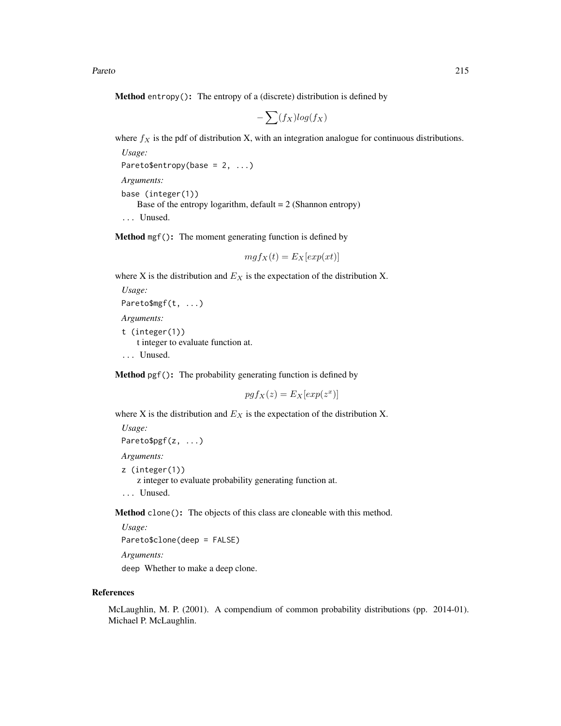Pareto 215

**Method** entropy(): The entropy of a (discrete) distribution is defined by

$$
-\sum(f_X)log(f_X)
$$

where  $f_X$  is the pdf of distribution X, with an integration analogue for continuous distributions.

```
Usage:
Pareto$entropy(base = 2, ...)
Arguments:
```
base (integer(1)) Base of the entropy logarithm, default  $= 2$  (Shannon entropy) ... Unused.

Method mgf(): The moment generating function is defined by

```
mgf_X(t) = E_X[exp(xt)]
```
where X is the distribution and  $E<sub>X</sub>$  is the expectation of the distribution X.

```
Usage:
Pareto$mgf(t, ...)
Arguments:
t (integer(1))
    t integer to evaluate function at.
... Unused.
```
Method pgf(): The probability generating function is defined by

$$
pgf_X(z) = E_X[exp(z^x)]
$$

where X is the distribution and  $E<sub>X</sub>$  is the expectation of the distribution X.

```
Usage:
Pareto$pgf(z, ...)
Arguments:
z (integer(1))
    z integer to evaluate probability generating function at.
... Unused.
```
Method clone(): The objects of this class are cloneable with this method.

*Usage:* Pareto\$clone(deep = FALSE)

*Arguments:*

deep Whether to make a deep clone.

#### References

McLaughlin, M. P. (2001). A compendium of common probability distributions (pp. 2014-01). Michael P. McLaughlin.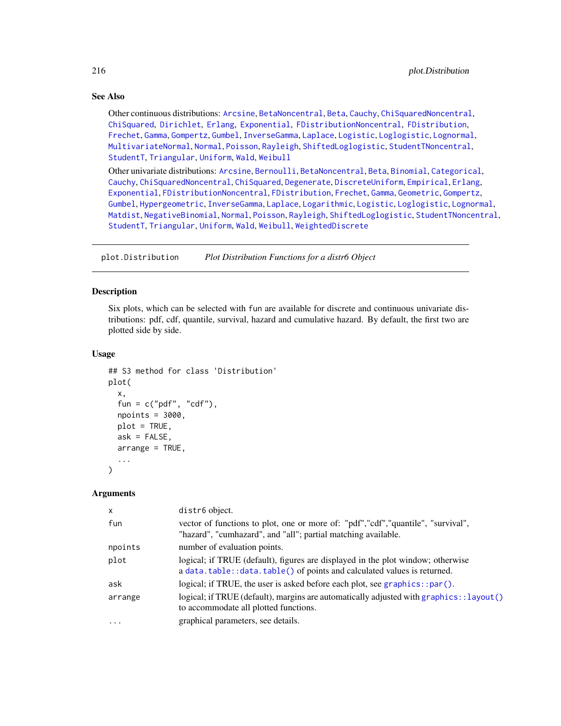## See Also

Other continuous distributions: [Arcsine](#page-6-0), [BetaNoncentral](#page-21-0), [Beta](#page-17-0), [Cauchy](#page-34-0), [ChiSquaredNoncentral](#page-43-0), [ChiSquared](#page-38-0), [Dirichlet](#page-59-0), [Erlang](#page-92-0), [Exponential](#page-102-0), [FDistributionNoncentral](#page-110-0), [FDistribution](#page-106-0), [Frechet](#page-113-0), [Gamma](#page-119-0), [Gompertz](#page-129-0), [Gumbel](#page-132-0), [InverseGamma](#page-143-0), [Laplace](#page-149-0), [Logistic](#page-162-0), [Loglogistic](#page-168-0), [Lognormal](#page-172-0), [MultivariateNormal](#page-195-0), [Normal](#page-204-0), [Poisson](#page-218-0), [Rayleigh](#page-231-0), [ShiftedLoglogistic](#page-236-0), [StudentTNoncentral](#page-249-0), [StudentT](#page-245-0), [Triangular](#page-266-0), [Uniform](#page-279-0), [Wald](#page-294-0), [Weibull](#page-298-0)

Other univariate distributions: [Arcsine](#page-6-0), [Bernoulli](#page-12-0), [BetaNoncentral](#page-21-0), [Beta](#page-17-0), [Binomial](#page-23-0), [Categorical](#page-29-0), [Cauchy](#page-34-0), [ChiSquaredNoncentral](#page-43-0), [ChiSquared](#page-38-0), [Degenerate](#page-55-0), [DiscreteUniform](#page-62-0), [Empirical](#page-82-0), [Erlang](#page-92-0), [Exponential](#page-102-0), [FDistributionNoncentral](#page-110-0), [FDistribution](#page-106-0), [Frechet](#page-113-0), [Gamma](#page-119-0), [Geometric](#page-125-0), [Gompertz](#page-129-0), [Gumbel](#page-132-0), [Hypergeometric](#page-139-0), [InverseGamma](#page-143-0), [Laplace](#page-149-0), [Logarithmic](#page-158-0), [Logistic](#page-162-0), [Loglogistic](#page-168-0), [Lognormal](#page-172-0), [Matdist](#page-178-0), [NegativeBinomial](#page-200-0), [Normal](#page-204-0), [Poisson](#page-218-0), [Rayleigh](#page-231-0), [ShiftedLoglogistic](#page-236-0), [StudentTNoncentral](#page-249-0), [StudentT](#page-245-0), [Triangular](#page-266-0), [Uniform](#page-279-0), [Wald](#page-294-0), [Weibull](#page-298-0), [WeightedDiscrete](#page-302-0)

plot.Distribution *Plot Distribution Functions for a distr6 Object*

## Description

Six plots, which can be selected with fun are available for discrete and continuous univariate distributions: pdf, cdf, quantile, survival, hazard and cumulative hazard. By default, the first two are plotted side by side.

## Usage

```
## S3 method for class 'Distribution'
plot(
 x,
  fun = c("pdf", "cdf"),npoints = 3000,
 plot = TRUE,
  ask = FALSE,arrange = TRUE,
  ...
)
```
## Arguments

| $\mathsf{x}$ | distr6 object.                                                                           |
|--------------|------------------------------------------------------------------------------------------|
| fun          | vector of functions to plot, one or more of: "pdf","cdf","quantile", "survival",         |
|              | "hazard", "cumhazard", and "all"; partial matching available.                            |
| npoints      | number of evaluation points.                                                             |
| plot         | logical; if TRUE (default), figures are displayed in the plot window; otherwise          |
|              | a data.table::data.table() of points and calculated values is returned.                  |
| ask          | logical; if TRUE, the user is asked before each plot, see graphics::par().               |
| arrange      | logical; if TRUE (default), margins are automatically adjusted with graphics:: layout () |
|              | to accommodate all plotted functions.                                                    |
| $\ddotsc$    | graphical parameters, see details.                                                       |
|              |                                                                                          |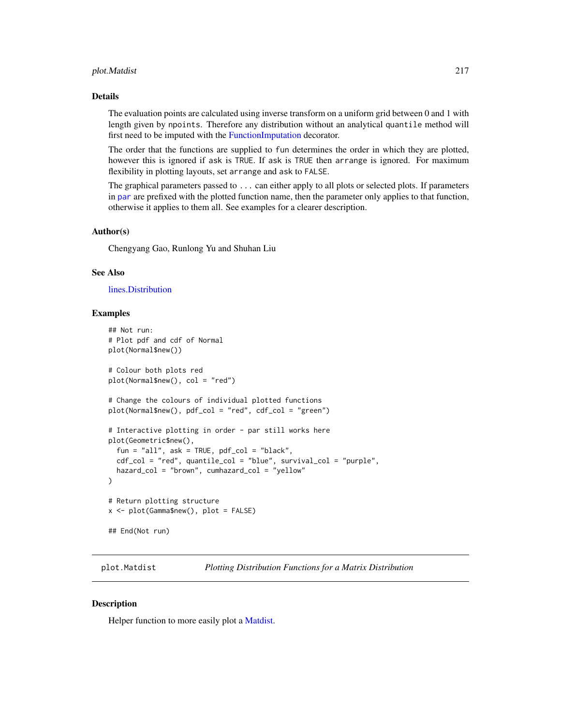#### plot.Matdist 217

#### Details

The evaluation points are calculated using inverse transform on a uniform grid between 0 and 1 with length given by npoints. Therefore any distribution without an analytical quantile method will first need to be imputed with the [FunctionImputation](#page-117-0) decorator.

The order that the functions are supplied to fun determines the order in which they are plotted, however this is ignored if ask is TRUE. If ask is TRUE then arrange is ignored. For maximum flexibility in plotting layouts, set arrange and ask to FALSE.

The graphical parameters passed to ... can either apply to all plots or selected plots. If parameters in [par](#page-0-0) are prefixed with the plotted function name, then the parameter only applies to that function, otherwise it applies to them all. See examples for a clearer description.

## Author(s)

Chengyang Gao, Runlong Yu and Shuhan Liu

#### See Also

#### [lines.Distribution](#page-154-0)

## Examples

```
## Not run:
# Plot pdf and cdf of Normal
plot(Normal$new())
# Colour both plots red
plot(Normal$new(), col = "red")
# Change the colours of individual plotted functions
plot(Normal$new(), pdf_col = "red", cdf_col = "green")
# Interactive plotting in order - par still works here
plot(Geometric$new(),
 fun = "all", ask = TRUE, pdf_col = "black",
 cdf_col = "red", quantile_col = "blue", survival_col = "purple",
 hazard_col = "brown", cumhazard_col = "yellow"
)
# Return plotting structure
x <- plot(Gamma$new(), plot = FALSE)
## End(Not run)
```
plot.Matdist *Plotting Distribution Functions for a Matrix Distribution*

#### **Description**

Helper function to more easily plot a [Matdist.](#page-178-0)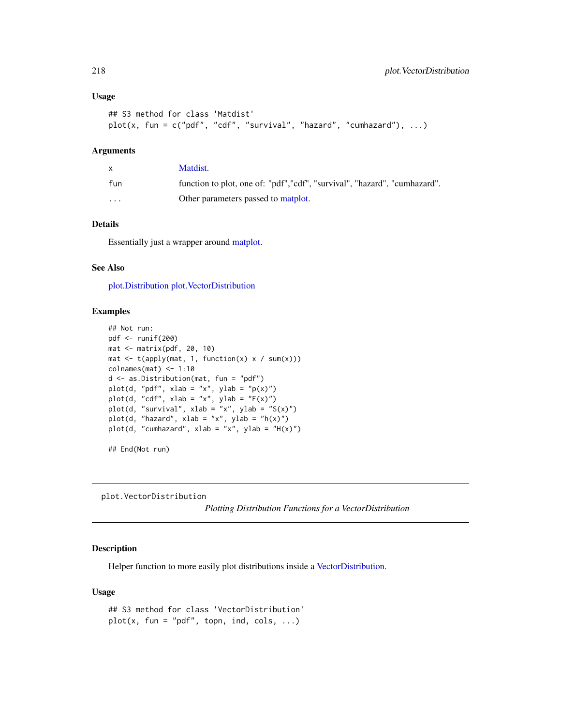#### Usage

```
## S3 method for class 'Matdist'
plot(x, fun = c("pdf", "cdf", "survival", "hazard", "cumhazard"), ...)
```
# Arguments

|          | Matdist.                                                                   |
|----------|----------------------------------------------------------------------------|
| fun      | function to plot, one of: "pdf", "cdf", "survival", "hazard", "cumhazard". |
| $\cdots$ | Other parameters passed to matplot.                                        |

## Details

Essentially just a wrapper around [matplot.](#page-0-0)

## See Also

[plot.Distribution](#page-215-0) [plot.VectorDistribution](#page-217-0)

## Examples

```
## Not run:
pdf <- runif(200)
mat <- matrix(pdf, 20, 10)
mat \leftarrow t(apply(mat, 1, function(x) x / sum(x)))
colnames(mat) <- 1:10
d <- as.Distribution(mat, fun = "pdf")
plot(d, "pdf", xlab = "x", ylab = "p(x)")
plot(d, "cdf", xlab = "x", ylab = "F(x)")
plot(d, "survival", xlab = "x", ylab = "S(x)")
plot(d, "hazard", xlab = "x", ylab = "h(x)")
plot(d, "cumhazard", xlab = "x", ylab = "H(x)")
## End(Not run)
```
<span id="page-217-0"></span>plot.VectorDistribution

*Plotting Distribution Functions for a VectorDistribution*

## Description

Helper function to more easily plot distributions inside a [VectorDistribution.](#page-285-0)

#### Usage

```
## S3 method for class 'VectorDistribution'
plot(x, fun = "pdf", topn, ind, cols, \ldots)
```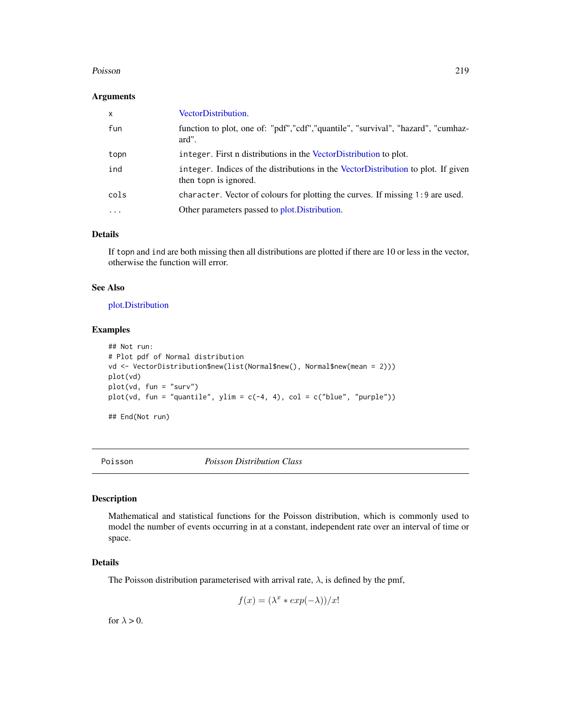#### Poisson 219

#### Arguments

| $\mathsf{x}$ | VectorDistribution.                                                                                        |
|--------------|------------------------------------------------------------------------------------------------------------|
| fun          | function to plot, one of: "pdf","cdf","quantile", "survival", "hazard", "cumhaz-<br>ard".                  |
| topn         | integer. First n distributions in the VectorDistribution to plot.                                          |
| ind          | integer. Indices of the distributions in the VectorDistribution to plot. If given<br>then topn is ignored. |
| cols         | character. Vector of colours for plotting the curves. If missing 1:9 are used.                             |
| .            | Other parameters passed to plot. Distribution.                                                             |

#### Details

If topn and ind are both missing then all distributions are plotted if there are 10 or less in the vector, otherwise the function will error.

## See Also

[plot.Distribution](#page-215-0)

## Examples

```
## Not run:
# Plot pdf of Normal distribution
vd <- VectorDistribution$new(list(Normal$new(), Normal$new(mean = 2)))
plot(vd)
plot(vd, fun = "surv")
plot(vd, fun = "quantile", ylim = c(-4, 4), col = c("blue", "purple"))## End(Not run)
```
<span id="page-218-0"></span>

Poisson *Poisson Distribution Class*

# Description

Mathematical and statistical functions for the Poisson distribution, which is commonly used to model the number of events occurring in at a constant, independent rate over an interval of time or space.

# Details

The Poisson distribution parameterised with arrival rate,  $\lambda$ , is defined by the pmf,

$$
f(x) = (\lambda^x * exp(-\lambda))/x!
$$

for  $\lambda > 0$ .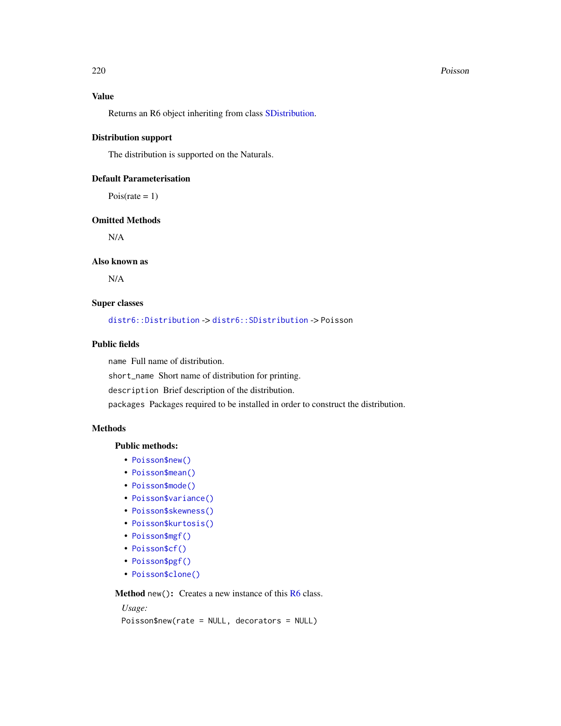#### 220 Poisson and the contract of the contract of the contract of the contract of the contract of the contract of the contract of the contract of the contract of the contract of the contract of the contract of the contract o

# Value

Returns an R6 object inheriting from class [SDistribution.](#page-235-0)

#### Distribution support

The distribution is supported on the Naturals.

## Default Parameterisation

 $Pois(\text{rate} = 1)$ 

## Omitted Methods

N/A

# Also known as

N/A

# Super classes

[distr6::Distribution](#page-0-0) -> [distr6::SDistribution](#page-0-0) -> Poisson

## Public fields

name Full name of distribution.

short\_name Short name of distribution for printing.

description Brief description of the distribution.

packages Packages required to be installed in order to construct the distribution.

## **Methods**

## Public methods:

- [Poisson\\$new\(\)](#page-7-0)
- [Poisson\\$mean\(\)](#page-7-1)
- [Poisson\\$mode\(\)](#page-8-0)
- [Poisson\\$variance\(\)](#page-8-1)
- [Poisson\\$skewness\(\)](#page-8-2)
- [Poisson\\$kurtosis\(\)](#page-8-3)
- [Poisson\\$mgf\(\)](#page-15-0)
- [Poisson\\$cf\(\)](#page-15-1)
- [Poisson\\$pgf\(\)](#page-9-0)
- [Poisson\\$clone\(\)](#page-9-1)

Method new(): Creates a new instance of this [R6](#page-0-0) class.

## *Usage:*

Poisson\$new(rate = NULL, decorators = NULL)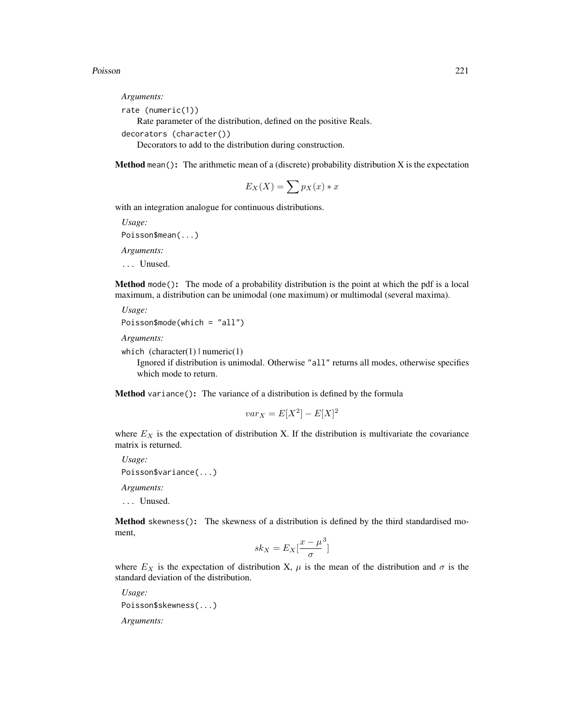#### Poisson 221

*Arguments:* rate (numeric(1)) Rate parameter of the distribution, defined on the positive Reals. decorators (character())

Decorators to add to the distribution during construction.

**Method** mean(): The arithmetic mean of a (discrete) probability distribution  $X$  is the expectation

$$
E_X(X) = \sum p_X(x) * x
$$

with an integration analogue for continuous distributions.

*Usage:*

Poisson\$mean(...)

*Arguments:*

... Unused.

Method mode(): The mode of a probability distribution is the point at which the pdf is a local maximum, a distribution can be unimodal (one maximum) or multimodal (several maxima).

```
Usage:
Poisson$mode(which = "all")
```
*Arguments:*

```
which (character(1) | numeric(1))
```
Ignored if distribution is unimodal. Otherwise "all" returns all modes, otherwise specifies which mode to return.

Method variance(): The variance of a distribution is defined by the formula

$$
var_X = E[X^2] - E[X]^2
$$

where  $E<sub>X</sub>$  is the expectation of distribution X. If the distribution is multivariate the covariance matrix is returned.

*Usage:* Poisson\$variance(...) *Arguments:*

... Unused.

Method skewness(): The skewness of a distribution is defined by the third standardised moment,

$$
sk_X = E_X \left[ \frac{x - \mu^3}{\sigma} \right]
$$

where  $E_X$  is the expectation of distribution X,  $\mu$  is the mean of the distribution and  $\sigma$  is the standard deviation of the distribution.

*Usage:* Poisson\$skewness(...) *Arguments:*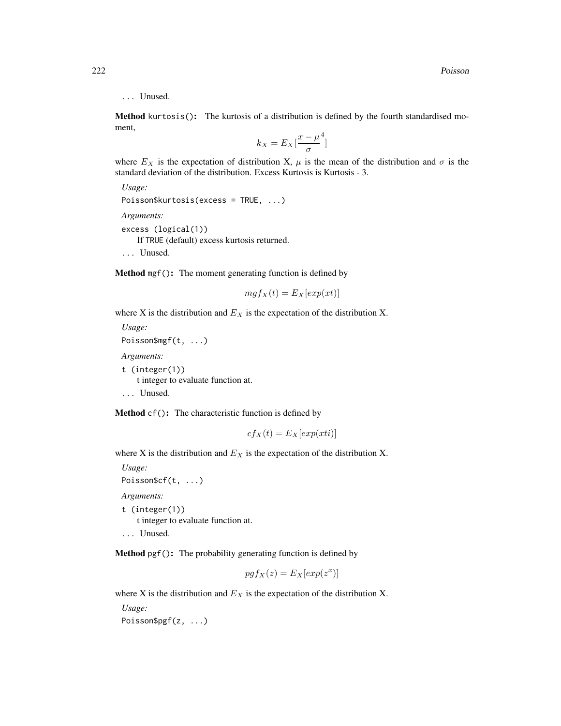## ... Unused.

Method kurtosis(): The kurtosis of a distribution is defined by the fourth standardised moment,

$$
k_X = E_X \left[ \frac{x - \mu^4}{\sigma} \right]
$$

where  $E_X$  is the expectation of distribution X,  $\mu$  is the mean of the distribution and  $\sigma$  is the standard deviation of the distribution. Excess Kurtosis is Kurtosis - 3.

```
Usage:
Poisson$kurtosis(excess = TRUE, ...)
Arguments:
excess (logical(1))
   If TRUE (default) excess kurtosis returned.
... Unused.
```
Method mgf(): The moment generating function is defined by

$$
mgf_X(t) = E_X[exp(xt)]
$$

where X is the distribution and  $E<sub>X</sub>$  is the expectation of the distribution X.

*Usage:* Poisson\$mgf(t, ...) *Arguments:* t (integer(1)) t integer to evaluate function at. ... Unused.

Method cf(): The characteristic function is defined by

$$
cf_X(t) = E_X[exp(xti)]
$$

where X is the distribution and  $E<sub>X</sub>$  is the expectation of the distribution X.

*Usage:* Poisson\$cf(t, ...)

*Arguments:*

t (integer(1)) t integer to evaluate function at. ... Unused.

Method pgf(): The probability generating function is defined by

$$
pgfx(z) = E_X[exp(z^x)]
$$

where X is the distribution and  $E<sub>X</sub>$  is the expectation of the distribution X.

*Usage:* Poisson\$pgf(z, ...)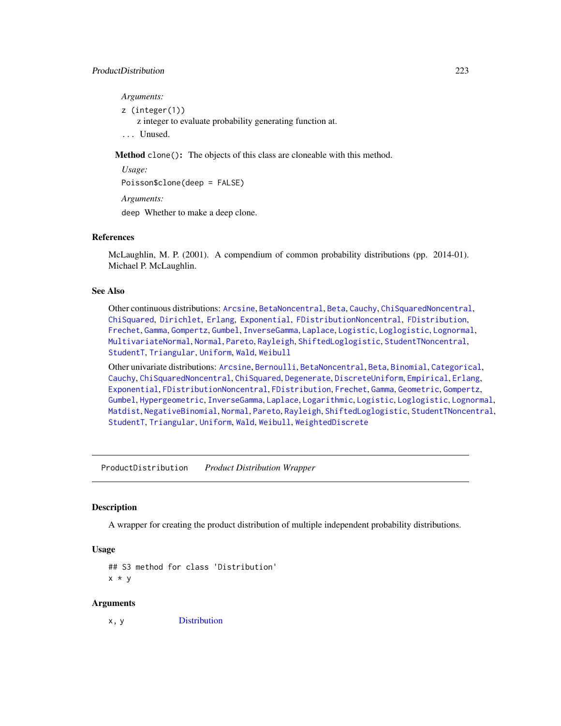*Arguments:*

z (integer(1))

z integer to evaluate probability generating function at.

... Unused.

Method clone(): The objects of this class are cloneable with this method.

*Usage:*

Poisson\$clone(deep = FALSE)

*Arguments:*

deep Whether to make a deep clone.

# References

McLaughlin, M. P. (2001). A compendium of common probability distributions (pp. 2014-01). Michael P. McLaughlin.

## See Also

Other continuous distributions: [Arcsine](#page-6-0), [BetaNoncentral](#page-21-0), [Beta](#page-17-0), [Cauchy](#page-34-0), [ChiSquaredNoncentral](#page-43-0), [ChiSquared](#page-38-0), [Dirichlet](#page-59-0), [Erlang](#page-92-0), [Exponential](#page-102-0), [FDistributionNoncentral](#page-110-0), [FDistribution](#page-106-0), [Frechet](#page-113-0), [Gamma](#page-119-0), [Gompertz](#page-129-0), [Gumbel](#page-132-0), [InverseGamma](#page-143-0), [Laplace](#page-149-0), [Logistic](#page-162-0), [Loglogistic](#page-168-0), [Lognormal](#page-172-0), [MultivariateNormal](#page-195-0), [Normal](#page-204-0), [Pareto](#page-211-0), [Rayleigh](#page-231-0), [ShiftedLoglogistic](#page-236-0), [StudentTNoncentral](#page-249-0), [StudentT](#page-245-0), [Triangular](#page-266-0), [Uniform](#page-279-0), [Wald](#page-294-0), [Weibull](#page-298-0)

Other univariate distributions: [Arcsine](#page-6-0), [Bernoulli](#page-12-0), [BetaNoncentral](#page-21-0), [Beta](#page-17-0), [Binomial](#page-23-0), [Categorical](#page-29-0), [Cauchy](#page-34-0), [ChiSquaredNoncentral](#page-43-0), [ChiSquared](#page-38-0), [Degenerate](#page-55-0), [DiscreteUniform](#page-62-0), [Empirical](#page-82-0), [Erlang](#page-92-0), [Exponential](#page-102-0), [FDistributionNoncentral](#page-110-0), [FDistribution](#page-106-0), [Frechet](#page-113-0), [Gamma](#page-119-0), [Geometric](#page-125-0), [Gompertz](#page-129-0), [Gumbel](#page-132-0), [Hypergeometric](#page-139-0), [InverseGamma](#page-143-0), [Laplace](#page-149-0), [Logarithmic](#page-158-0), [Logistic](#page-162-0), [Loglogistic](#page-168-0), [Lognormal](#page-172-0), [Matdist](#page-178-0), [NegativeBinomial](#page-200-0), [Normal](#page-204-0), [Pareto](#page-211-0), [Rayleigh](#page-231-0), [ShiftedLoglogistic](#page-236-0), [StudentTNoncentral](#page-249-0), [StudentT](#page-245-0), [Triangular](#page-266-0), [Uniform](#page-279-0), [Wald](#page-294-0), [Weibull](#page-298-0), [WeightedDiscrete](#page-302-0)

<span id="page-222-0"></span>ProductDistribution *Product Distribution Wrapper*

## **Description**

A wrapper for creating the product distribution of multiple independent probability distributions.

# Usage

```
## S3 method for class 'Distribution'
x * y
```
#### Arguments

x, y [Distribution](#page-67-0)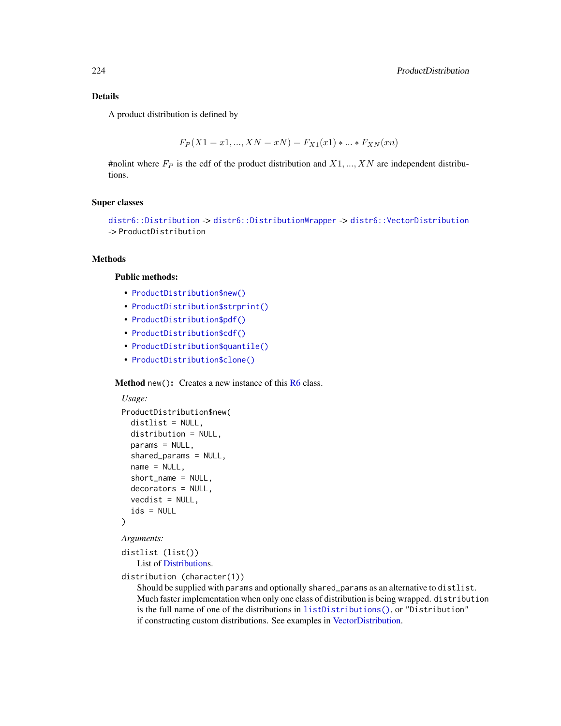## Details

A product distribution is defined by

$$
F_P(X1 = x1, ..., XN = xN) = F_{X1}(x1) * ... * F_{XN}(xn)
$$

#nolint where  $F_P$  is the cdf of the product distribution and  $X1, ..., XN$  are independent distributions.

#### Super classes

```
distr6::Distributiondistr6::DistributionWrapperdistr6::VectorDistribution
-> ProductDistribution
```
#### Methods

## Public methods:

- [ProductDistribution\\$new\(\)](#page-7-0)
- [ProductDistribution\\$strprint\(\)](#page-70-0)
- [ProductDistribution\\$pdf\(\)](#page-71-0)
- [ProductDistribution\\$cdf\(\)](#page-72-0)
- [ProductDistribution\\$quantile\(\)](#page-73-0)
- [ProductDistribution\\$clone\(\)](#page-9-1)

Method new(): Creates a new instance of this [R6](#page-0-0) class.

```
Usage:
ProductDistribution$new(
 distlist = NULL,
 distribution = NULL,
 params = NULL,
  shared_params = NULL,
 name = NULL,short_name = NULL,
  decorators = NULL,
 vect = NULL,
  ids = NULL
)
```
*Arguments:*

distlist (list()) List of [Distributions](#page-67-0).

distribution (character(1))

Should be supplied with params and optionally shared\_params as an alternative to distlist. Much faster implementation when only one class of distribution is being wrapped. distribution is the full name of one of the distributions in [listDistributions\(\)](#page-156-0), or "Distribution" if constructing custom distributions. See examples in [VectorDistribution.](#page-285-0)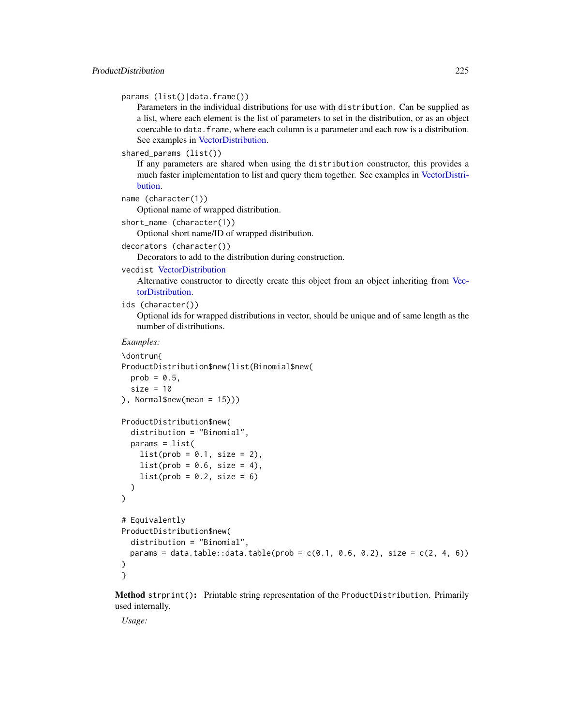params (list()|data.frame())

Parameters in the individual distributions for use with distribution. Can be supplied as a list, where each element is the list of parameters to set in the distribution, or as an object coercable to data.frame, where each column is a parameter and each row is a distribution. See examples in [VectorDistribution.](#page-285-0)

shared\_params (list())

If any parameters are shared when using the distribution constructor, this provides a much faster implementation to list and query them together. See examples in [VectorDistri](#page-285-0)[bution.](#page-285-0)

```
name (character(1))
```
Optional name of wrapped distribution.

short\_name (character(1))

Optional short name/ID of wrapped distribution.

decorators (character())

Decorators to add to the distribution during construction.

#### vecdist [VectorDistribution](#page-285-0)

Alternative constructor to directly create this object from an object inheriting from [Vec](#page-285-0)[torDistribution.](#page-285-0)

```
ids (character())
```
Optional ids for wrapped distributions in vector, should be unique and of same length as the number of distributions.

## *Examples:*

```
\dontrun{
ProductDistribution$new(list(Binomial$new(
 prob = 0.5,
 size = 10), Normal$new(mean = 15)))
```

```
ProductDistribution$new(
  distribution = "Binomial",
  params = list(
    list(prob = 0.1, size = 2),
    list(prob = 0.6, size = 4),list(root = 0.2, size = 6))
\mathcal{L}# Equivalently
ProductDistribution$new(
  distribution = "Binomial",
```
params = data.table::data.table(prob =  $c(0.1, 0.6, 0.2)$ , size =  $c(2, 4, 6)$ ) ) }

Method strprint(): Printable string representation of the ProductDistribution. Primarily used internally.

*Usage:*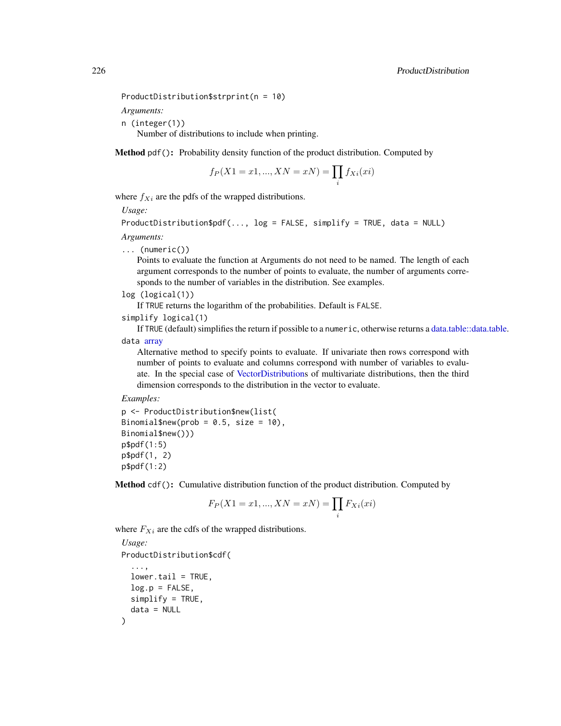```
ProductDistribution$strprint(n = 10)
```
*Arguments:*

n (integer(1))

Number of distributions to include when printing.

Method pdf(): Probability density function of the product distribution. Computed by

$$
f_P(X1 = x1, ..., XN = xN) = \prod_i f_{Xi}(xi)
$$

where  $f_{Xi}$  are the pdfs of the wrapped distributions.

*Usage:*

ProductDistribution\$pdf(..., log = FALSE, simplify = TRUE, data = NULL)

*Arguments:*

... (numeric())

Points to evaluate the function at Arguments do not need to be named. The length of each argument corresponds to the number of points to evaluate, the number of arguments corresponds to the number of variables in the distribution. See examples.

log (logical(1))

If TRUE returns the logarithm of the probabilities. Default is FALSE.

simplify logical(1)

If TRUE (default) simplifies the return if possible to a numeric, otherwise returns a [data.table::data.table.](#page-0-0) data [array](#page-0-0)

Alternative method to specify points to evaluate. If univariate then rows correspond with number of points to evaluate and columns correspond with number of variables to evaluate. In the special case of [VectorDistributions](#page-285-0) of multivariate distributions, then the third dimension corresponds to the distribution in the vector to evaluate.

#### *Examples:*

p <- ProductDistribution\$new(list( Binomial\$new(prob =  $0.5$ , size = 10), Binomial\$new()))  $p$pdf(1:5)$ p\$pdf(1, 2) p\$pdf(1:2)

Method cdf(): Cumulative distribution function of the product distribution. Computed by

$$
F_P(X1 = x1, ..., XN = xN) = \prod_i F_{Xi}(xi)
$$

where  $F_{Xi}$  are the cdfs of the wrapped distributions.

```
Usage:
ProductDistribution$cdf(
  ...,
 lower.tail = TRUE,log.p = FALSE,
 simplify = TRUE,
  data = NULL
)
```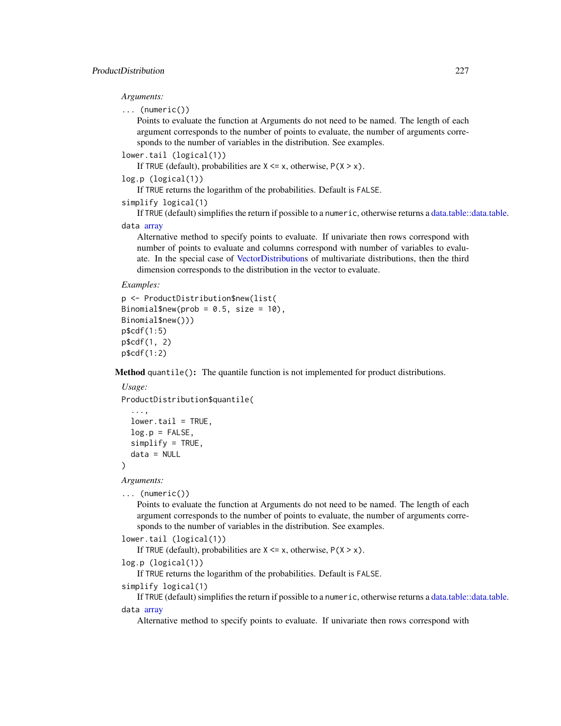## *Arguments:*

```
... (numeric())
```
Points to evaluate the function at Arguments do not need to be named. The length of each argument corresponds to the number of points to evaluate, the number of arguments corresponds to the number of variables in the distribution. See examples.

```
lower.tail (logical(1))
```
If TRUE (default), probabilities are  $X \le x$ , otherwise,  $P(X > x)$ .

```
log.p (logical(1))
```
If TRUE returns the logarithm of the probabilities. Default is FALSE.

```
simplify logical(1)
```
If TRUE (default) simplifies the return if possible to a numeric, otherwise returns a [data.table::data.table.](#page-0-0) data [array](#page-0-0)

Alternative method to specify points to evaluate. If univariate then rows correspond with number of points to evaluate and columns correspond with number of variables to evaluate. In the special case of [VectorDistributions](#page-285-0) of multivariate distributions, then the third dimension corresponds to the distribution in the vector to evaluate.

#### *Examples:*

```
p <- ProductDistribution$new(list(
Binomial$new(prob = 0.5, size = 10),
Binomial$new()))
p$cdf(1:5)
p$cdf(1, 2)
p$cdf(1:2)
```
Method quantile(): The quantile function is not implemented for product distributions.

## *Usage:*

```
ProductDistribution$quantile(
 ...,
 lower.tail = TRUE,log.p = FALSE,
```

```
simplify = TRUE,
data = NULL
```
)

*Arguments:*

```
... (numeric())
```
Points to evaluate the function at Arguments do not need to be named. The length of each argument corresponds to the number of points to evaluate, the number of arguments corresponds to the number of variables in the distribution. See examples.

```
lower.tail (logical(1))
```
If TRUE (default), probabilities are  $X \le x$ , otherwise,  $P(X > x)$ .

```
log.p (logical(1))
```
If TRUE returns the logarithm of the probabilities. Default is FALSE.

```
simplify logical(1)
```
If TRUE (default) simplifies the return if possible to a numeric, otherwise returns a [data.table::data.table.](#page-0-0) data [array](#page-0-0)

Alternative method to specify points to evaluate. If univariate then rows correspond with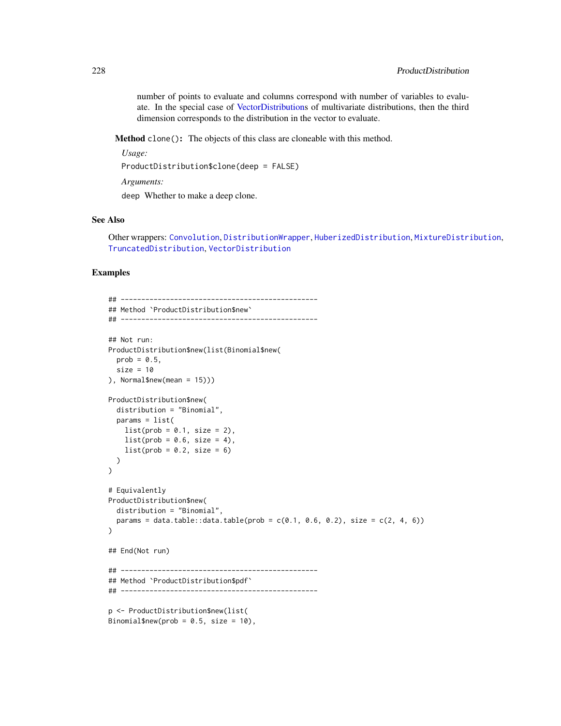number of points to evaluate and columns correspond with number of variables to evaluate. In the special case of [VectorDistributions](#page-285-0) of multivariate distributions, then the third dimension corresponds to the distribution in the vector to evaluate.

Method clone(): The objects of this class are cloneable with this method.

```
Usage:
ProductDistribution$clone(deep = FALSE)
Arguments:
deep Whether to make a deep clone.
```
#### See Also

Other wrappers: [Convolution](#page-47-0), [DistributionWrapper](#page-78-0), [HuberizedDistribution](#page-137-0), [MixtureDistribution](#page-184-0), [TruncatedDistribution](#page-277-0), [VectorDistribution](#page-285-0)

#### Examples

```
## ------------------------------------------------
## Method `ProductDistribution$new`
## ------------------------------------------------
## Not run:
ProductDistribution$new(list(Binomial$new(
 prob = 0.5,
  size = 10), Normal$new(mean = 15)))
ProductDistribution$new(
  distribution = "Binomial",
  params = list(
   list(prob = 0.1, size = 2),list(prob = 0.6, size = 4),list(prob = 0.2, size = 6))
)
# Equivalently
ProductDistribution$new(
  distribution = "Binomial",
  params = data.table::data.table(prob = c(0.1, 0.6, 0.2), size = c(2, 4, 6))
\mathcal{L}## End(Not run)
## ------------------------------------------------
## Method `ProductDistribution$pdf`
## ------------------------------------------------
p <- ProductDistribution$new(list(
Binomial$new(prob = 0.5, size = 10),
```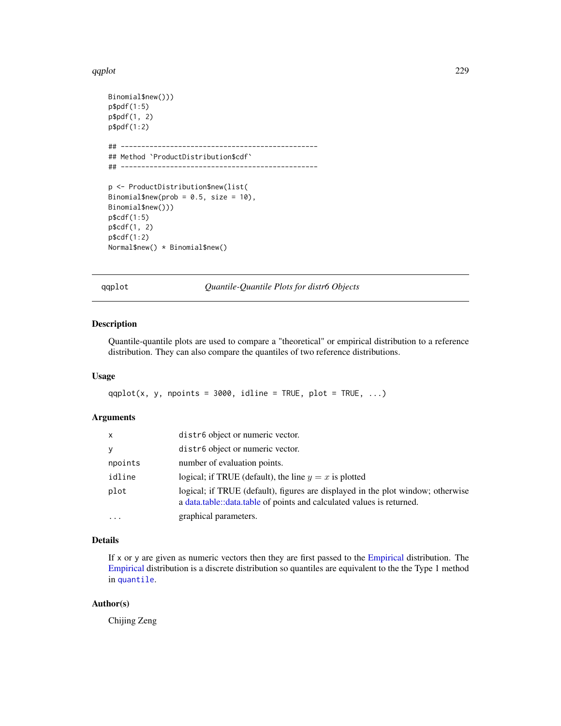#### qqplot 229

```
Binomial$new()))
p$pdf(1:5)
p$pdf(1, 2)
p$pdf(1:2)
## ------------------------------------------------
## Method `ProductDistribution$cdf`
## ------------------------------------------------
p <- ProductDistribution$new(list(
Binomial$new(prob = 0.5, size = 10),
Binomial$new()))
p$cdf(1:5)
p$cdf(1, 2)
p$cdf(1:2)
Normal$new() * Binomial$new()
```
qqplot *Quantile-Quantile Plots for distr6 Objects*

## Description

Quantile-quantile plots are used to compare a "theoretical" or empirical distribution to a reference distribution. They can also compare the quantiles of two reference distributions.

# Usage

qqplot(x, y, npoints = 3000, idline = TRUE, plot = TRUE,  $\ldots$ )

# Arguments

| X         | distr6 object or numeric vector.                                                                                                                         |
|-----------|----------------------------------------------------------------------------------------------------------------------------------------------------------|
| y         | distr <sub>6</sub> object or numeric vector.                                                                                                             |
| npoints   | number of evaluation points.                                                                                                                             |
| idline    | logical; if TRUE (default), the line $y = x$ is plotted                                                                                                  |
| plot      | logical; if TRUE (default), figures are displayed in the plot window; otherwise<br>a data.table::data.table of points and calculated values is returned. |
| $\ddotsc$ | graphical parameters.                                                                                                                                    |

## Details

If x or y are given as numeric vectors then they are first passed to the [Empirical](#page-82-0) distribution. The [Empirical](#page-82-0) distribution is a discrete distribution so quantiles are equivalent to the the Type 1 method in [quantile](#page-0-0).

## Author(s)

Chijing Zeng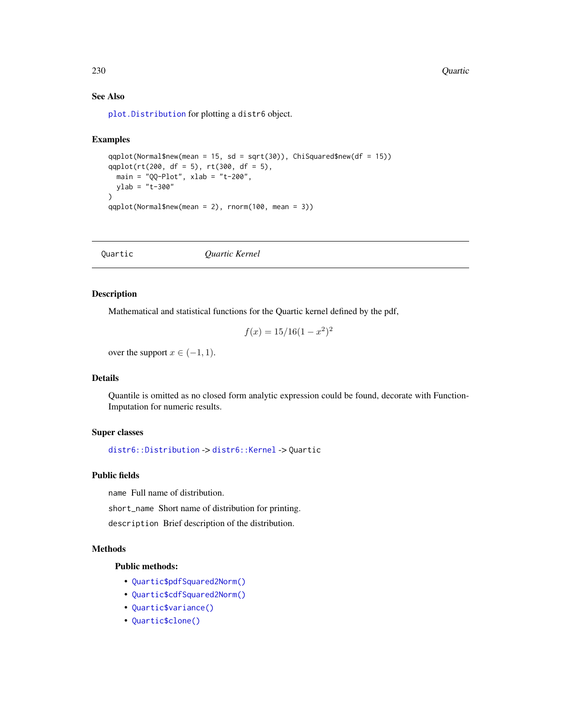230 Quartic Quartic Control of the Control of the Control of the Control of the Control of the Control of the Control of the Control of the Control of the Control of the Control of the Control of the Control of the Control

# See Also

[plot.Distribution](#page-215-0) for plotting a distr6 object.

## Examples

```
qqplot(Normal$new(mean = 15, sd = sqrt(30)), ChiSquared$new(df = 15))
qqplot(rt(200, df = 5), rt(300, df = 5),
 main = "QQ-Plot", xlab = "t-200",ylab = "t-300"
\lambdaqqplot(Normal$new(mean = 2), rnorm(100, mean = 3))
```
<span id="page-229-0"></span>Quartic *Quartic Kernel*

## Description

Mathematical and statistical functions for the Quartic kernel defined by the pdf,

$$
f(x) = 15/16(1 - x^2)^2
$$

over the support  $x \in (-1, 1)$ .

## Details

Quantile is omitted as no closed form analytic expression could be found, decorate with Function-Imputation for numeric results.

## Super classes

[distr6::Distribution](#page-0-0) -> [distr6::Kernel](#page-0-0) -> Quartic

# Public fields

name Full name of distribution.

short\_name Short name of distribution for printing.

description Brief description of the distribution.

## Methods

## Public methods:

- [Quartic\\$pdfSquared2Norm\(\)](#page-52-0)
- [Quartic\\$cdfSquared2Norm\(\)](#page-53-0)
- [Quartic\\$variance\(\)](#page-8-1)
- [Quartic\\$clone\(\)](#page-9-1)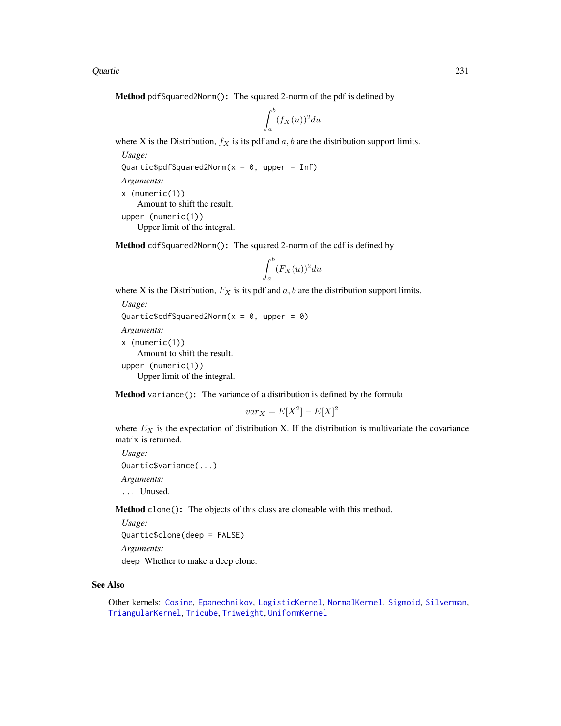Quartic 231

Method pdfSquared2Norm(): The squared 2-norm of the pdf is defined by

$$
\int_a^b (f_X(u))^2 du
$$

where X is the Distribution,  $f_X$  is its pdf and  $a, b$  are the distribution support limits.

```
Usage:
```

```
Quartic$pdfSquared2Norm(x = 0, upper = Inf)
```

```
Arguments:
x (numeric(1))
    Amount to shift the result.
upper (numeric(1))
    Upper limit of the integral.
```
Method cdfSquared2Norm(): The squared 2-norm of the cdf is defined by

$$
\int_a^b (F_X(u))^2 du
$$

where X is the Distribution,  $F_X$  is its pdf and  $a, b$  are the distribution support limits.

```
Usage:
Quartic$cdfSquared2Norm(x = 0, upper = 0)
Arguments:
x (numeric(1))
   Amount to shift the result.
upper (numeric(1))
   Upper limit of the integral.
```
Method variance(): The variance of a distribution is defined by the formula

$$
var_X = E[X^2] - E[X]^2
$$

where  $E_X$  is the expectation of distribution X. If the distribution is multivariate the covariance matrix is returned.

```
Usage:
Quartic$variance(...)
Arguments:
... Unused.
```
Method clone(): The objects of this class are cloneable with this method.

*Usage:*

```
Quartic$clone(deep = FALSE)
```
*Arguments:*

deep Whether to make a deep clone.

# See Also

Other kernels: [Cosine](#page-52-1), [Epanechnikov](#page-90-0), [LogisticKernel](#page-166-0), [NormalKernel](#page-209-0), [Sigmoid](#page-240-0), [Silverman](#page-242-0), [TriangularKernel](#page-272-0), [Tricube](#page-273-0), [Triweight](#page-275-0), [UniformKernel](#page-284-0)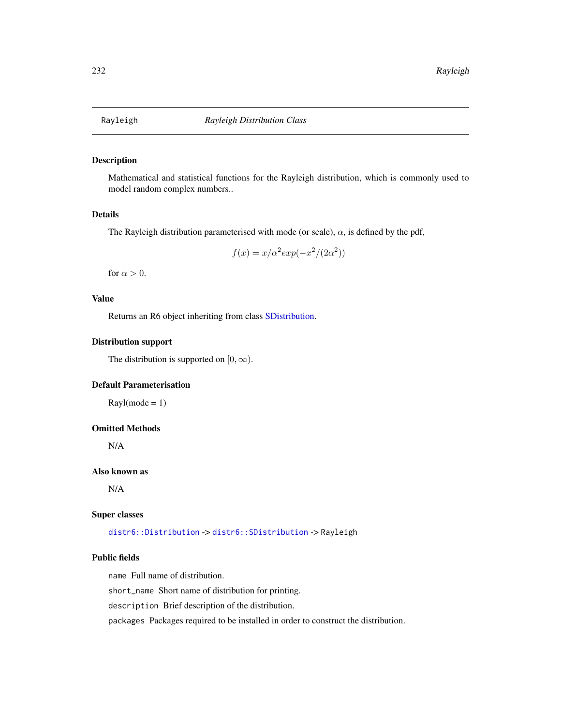<span id="page-231-0"></span>

# Description

Mathematical and statistical functions for the Rayleigh distribution, which is commonly used to model random complex numbers..

## Details

The Rayleigh distribution parameterised with mode (or scale),  $\alpha$ , is defined by the pdf,

$$
f(x) = x/\alpha^2 \exp(-x^2/(2\alpha^2))
$$

for  $\alpha > 0$ .

# Value

Returns an R6 object inheriting from class [SDistribution.](#page-235-0)

# Distribution support

The distribution is supported on  $[0, \infty)$ .

# Default Parameterisation

 $Rayl(model = 1)$ 

## Omitted Methods

N/A

#### Also known as

N/A

#### Super classes

[distr6::Distribution](#page-0-0) -> [distr6::SDistribution](#page-0-0) -> Rayleigh

## Public fields

name Full name of distribution.

short\_name Short name of distribution for printing.

description Brief description of the distribution.

packages Packages required to be installed in order to construct the distribution.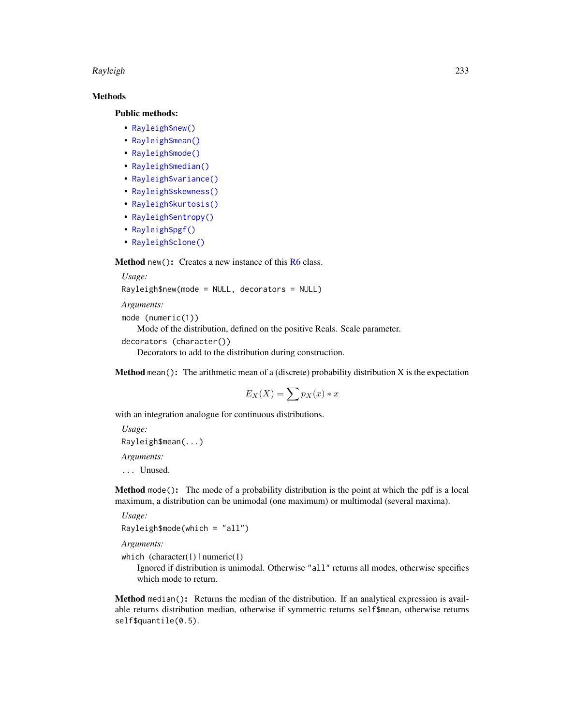#### Rayleigh 233

# Methods

## Public methods:

- [Rayleigh\\$new\(\)](#page-7-0)
- [Rayleigh\\$mean\(\)](#page-7-1)
- [Rayleigh\\$mode\(\)](#page-8-0)
- [Rayleigh\\$median\(\)](#page-14-0)
- [Rayleigh\\$variance\(\)](#page-8-1)
- [Rayleigh\\$skewness\(\)](#page-8-2)
- [Rayleigh\\$kurtosis\(\)](#page-8-3)
- [Rayleigh\\$entropy\(\)](#page-9-2)
- [Rayleigh\\$pgf\(\)](#page-9-0)
- [Rayleigh\\$clone\(\)](#page-9-1)

Method new(): Creates a new instance of this [R6](#page-0-0) class.

*Usage:*

```
Rayleigh$new(mode = NULL, decorators = NULL)
```
*Arguments:*

```
mode (numeric(1))
   Mode of the distribution, defined on the positive Reals. Scale parameter.
decorators (character())
   Decorators to add to the distribution during construction.
```
**Method** mean(): The arithmetic mean of a (discrete) probability distribution  $X$  is the expectation

$$
E_X(X) = \sum p_X(x) * x
$$

with an integration analogue for continuous distributions.

```
Usage:
Rayleigh$mean(...)
Arguments:
```
... Unused.

Method mode(): The mode of a probability distribution is the point at which the pdf is a local maximum, a distribution can be unimodal (one maximum) or multimodal (several maxima).

*Usage:*

```
Rayleigh$mode(which = "all")
```
*Arguments:*

which  $(character(1) | numeric(1))$ 

Ignored if distribution is unimodal. Otherwise "all" returns all modes, otherwise specifies which mode to return.

Method median(): Returns the median of the distribution. If an analytical expression is available returns distribution median, otherwise if symmetric returns self\$mean, otherwise returns self\$quantile(0.5).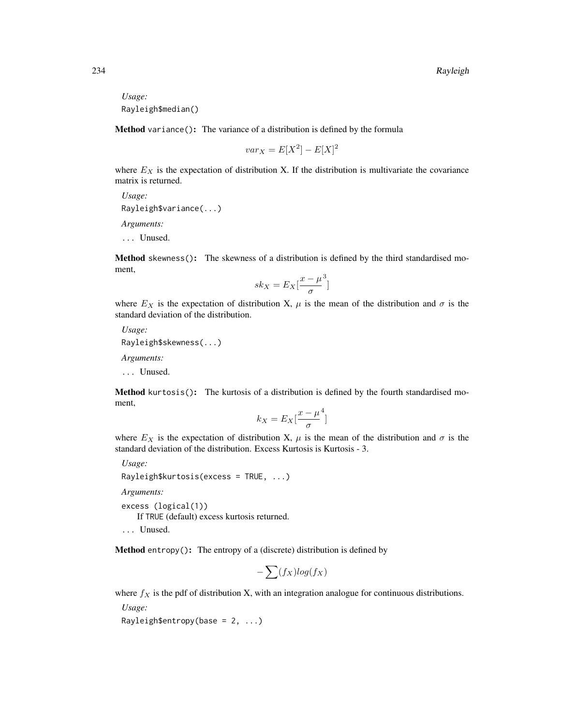*Usage:* Rayleigh\$median()

Method variance(): The variance of a distribution is defined by the formula

$$
var_X = E[X^2] - E[X]^2
$$

where  $E<sub>X</sub>$  is the expectation of distribution X. If the distribution is multivariate the covariance matrix is returned.

*Usage:* Rayleigh\$variance(...) *Arguments:*

... Unused.

Method skewness(): The skewness of a distribution is defined by the third standardised moment,

$$
sk_X = E_X \left[ \frac{x - \mu^3}{\sigma} \right]
$$

where  $E_X$  is the expectation of distribution X,  $\mu$  is the mean of the distribution and  $\sigma$  is the standard deviation of the distribution.

*Usage:* Rayleigh\$skewness(...)

*Arguments:*

... Unused.

Method kurtosis(): The kurtosis of a distribution is defined by the fourth standardised moment,

$$
k_X = E_X \left[ \frac{x - \mu^4}{\sigma} \right]
$$

where  $E_X$  is the expectation of distribution X,  $\mu$  is the mean of the distribution and  $\sigma$  is the standard deviation of the distribution. Excess Kurtosis is Kurtosis - 3.

*Usage:*

Rayleigh\$kurtosis(excess = TRUE, ...)

*Arguments:*

excess (logical(1))

If TRUE (default) excess kurtosis returned.

... Unused.

Method entropy(): The entropy of a (discrete) distribution is defined by

$$
-\sum(f_X)log(f_X)
$$

where  $f_X$  is the pdf of distribution X, with an integration analogue for continuous distributions.

*Usage:*

Rayleigh\$entropy(base =  $2, ...$ )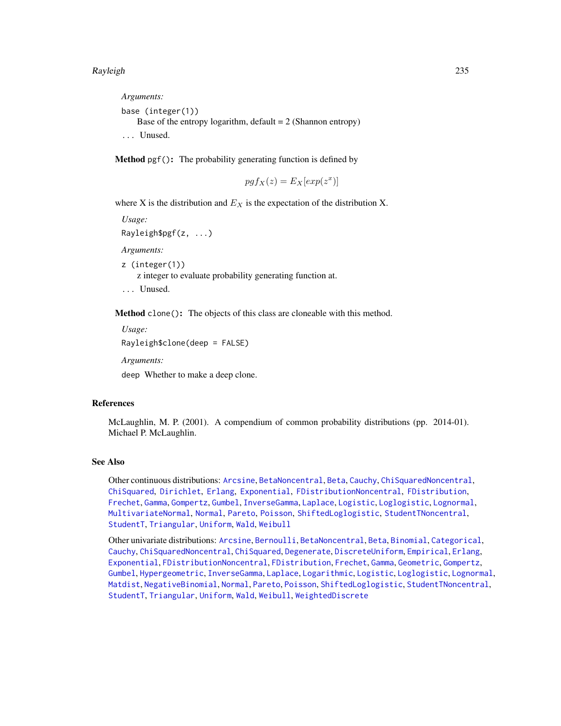*Arguments:* base (integer(1)) Base of the entropy logarithm, default  $= 2$  (Shannon entropy) ... Unused.

Method pgf(): The probability generating function is defined by

$$
pgf_X(z) = E_X[exp(z^x)]
$$

where X is the distribution and  $E<sub>X</sub>$  is the expectation of the distribution X.

*Usage:*

```
Rayleigh$pgf(z, ...)
```
*Arguments:*

z (integer(1))

z integer to evaluate probability generating function at.

... Unused.

Method clone(): The objects of this class are cloneable with this method.

*Usage:*

Rayleigh\$clone(deep = FALSE)

*Arguments:*

deep Whether to make a deep clone.

#### References

McLaughlin, M. P. (2001). A compendium of common probability distributions (pp. 2014-01). Michael P. McLaughlin.

#### See Also

Other continuous distributions: [Arcsine](#page-6-0), [BetaNoncentral](#page-21-0), [Beta](#page-17-0), [Cauchy](#page-34-0), [ChiSquaredNoncentral](#page-43-0), [ChiSquared](#page-38-0), [Dirichlet](#page-59-0), [Erlang](#page-92-0), [Exponential](#page-102-0), [FDistributionNoncentral](#page-110-0), [FDistribution](#page-106-0), [Frechet](#page-113-0), [Gamma](#page-119-0), [Gompertz](#page-129-0), [Gumbel](#page-132-0), [InverseGamma](#page-143-0), [Laplace](#page-149-0), [Logistic](#page-162-0), [Loglogistic](#page-168-0), [Lognormal](#page-172-0), [MultivariateNormal](#page-195-0), [Normal](#page-204-0), [Pareto](#page-211-0), [Poisson](#page-218-0), [ShiftedLoglogistic](#page-236-0), [StudentTNoncentral](#page-249-0), [StudentT](#page-245-0), [Triangular](#page-266-0), [Uniform](#page-279-0), [Wald](#page-294-0), [Weibull](#page-298-0)

Other univariate distributions: [Arcsine](#page-6-0), [Bernoulli](#page-12-0), [BetaNoncentral](#page-21-0), [Beta](#page-17-0), [Binomial](#page-23-0), [Categorical](#page-29-0), [Cauchy](#page-34-0), [ChiSquaredNoncentral](#page-43-0), [ChiSquared](#page-38-0), [Degenerate](#page-55-0), [DiscreteUniform](#page-62-0), [Empirical](#page-82-0), [Erlang](#page-92-0), [Exponential](#page-102-0), [FDistributionNoncentral](#page-110-0), [FDistribution](#page-106-0), [Frechet](#page-113-0), [Gamma](#page-119-0), [Geometric](#page-125-0), [Gompertz](#page-129-0), [Gumbel](#page-132-0), [Hypergeometric](#page-139-0), [InverseGamma](#page-143-0), [Laplace](#page-149-0), [Logarithmic](#page-158-0), [Logistic](#page-162-0), [Loglogistic](#page-168-0), [Lognormal](#page-172-0), [Matdist](#page-178-0), [NegativeBinomial](#page-200-0), [Normal](#page-204-0), [Pareto](#page-211-0), [Poisson](#page-218-0), [ShiftedLoglogistic](#page-236-0), [StudentTNoncentral](#page-249-0), [StudentT](#page-245-0), [Triangular](#page-266-0), [Uniform](#page-279-0), [Wald](#page-294-0), [Weibull](#page-298-0), [WeightedDiscrete](#page-302-0)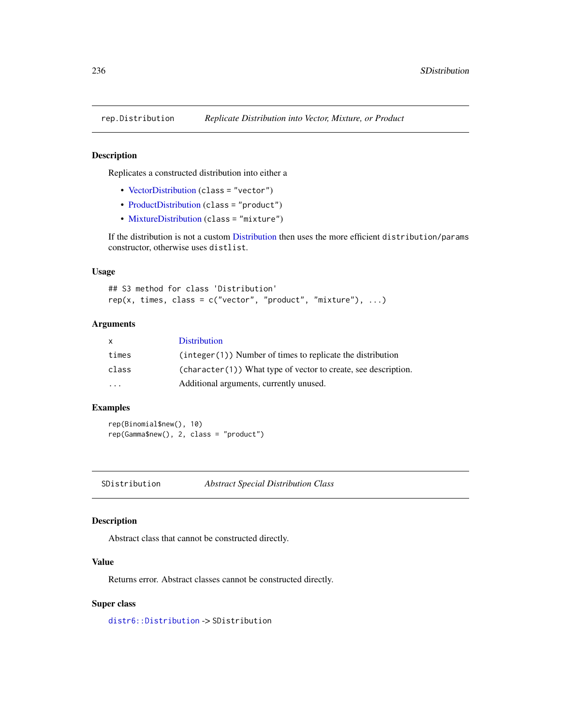# Description

Replicates a constructed distribution into either a

- [VectorDistribution](#page-285-0) (class = "vector")
- [ProductDistribution](#page-222-0) (class = "product")
- [MixtureDistribution](#page-184-0) (class = "mixture")

If the distribution is not a custom [Distribution](#page-67-0) then uses the more efficient distribution/params constructor, otherwise uses distlist.

## Usage

```
## S3 method for class 'Distribution'
rep(x, times, class = c("vector", "product", "mixture"), ...)
```
## **Arguments**

| X                 | <b>Distribution</b>                                              |
|-------------------|------------------------------------------------------------------|
| times             | $(integer(1))$ Number of times to replicate the distribution     |
| class             | $(character(1))$ What type of vector to create, see description. |
| $\cdot\cdot\cdot$ | Additional arguments, currently unused.                          |

# Examples

rep(Binomial\$new(), 10) rep(Gamma\$new(), 2, class = "product")

<span id="page-235-0"></span>SDistribution *Abstract Special Distribution Class*

## Description

Abstract class that cannot be constructed directly.

# Value

Returns error. Abstract classes cannot be constructed directly.

## Super class

[distr6::Distribution](#page-0-0) -> SDistribution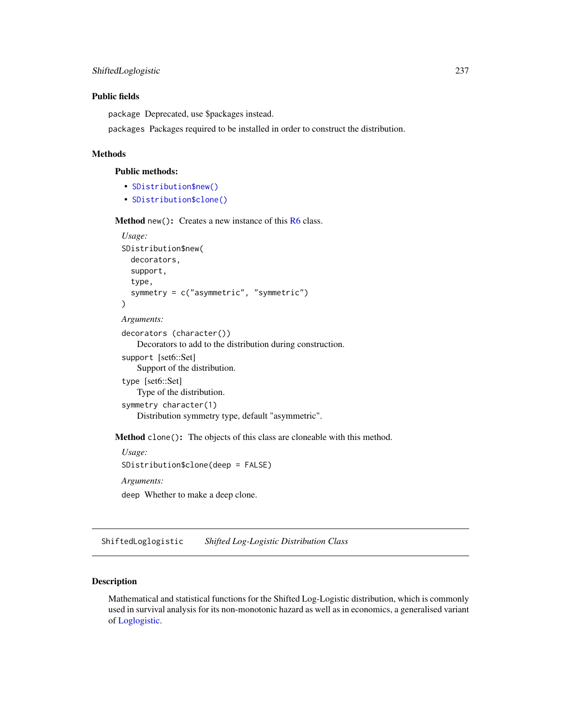## Public fields

package Deprecated, use \$packages instead.

packages Packages required to be installed in order to construct the distribution.

## Methods

## Public methods:

- [SDistribution\\$new\(\)](#page-7-0)
- [SDistribution\\$clone\(\)](#page-9-1)

Method new(): Creates a new instance of this [R6](#page-0-0) class.

```
Usage:
SDistribution$new(
  decorators,
  support,
  type,
  symmetry = c("asymmetric", "symmetric")
)
Arguments:
decorators (character())
    Decorators to add to the distribution during construction.
support [set6::Set]
    Support of the distribution.
type [set6::Set]
    Type of the distribution.
symmetry character(1)
    Distribution symmetry type, default "asymmetric".
```
Method clone(): The objects of this class are cloneable with this method.

```
Usage:
SDistribution$clone(deep = FALSE)
Arguments:
deep Whether to make a deep clone.
```
<span id="page-236-0"></span>ShiftedLoglogistic *Shifted Log-Logistic Distribution Class*

# Description

Mathematical and statistical functions for the Shifted Log-Logistic distribution, which is commonly used in survival analysis for its non-monotonic hazard as well as in economics, a generalised variant of [Loglogistic.](#page-168-0)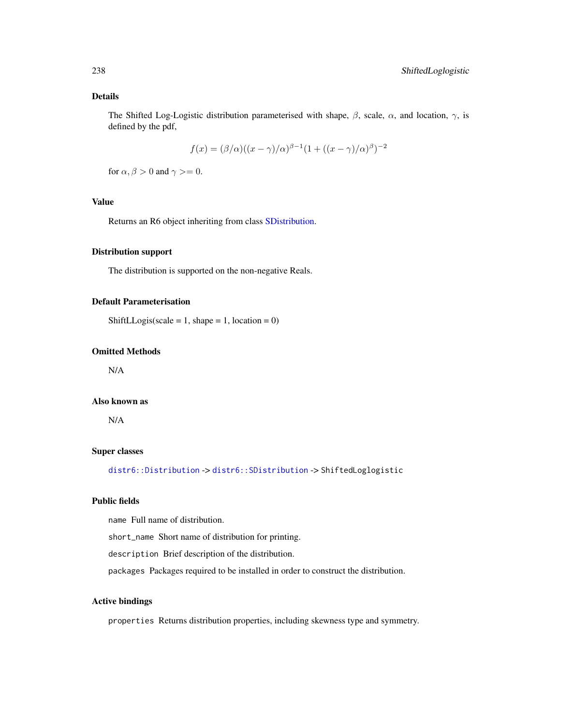# Details

The Shifted Log-Logistic distribution parameterised with shape,  $\beta$ , scale,  $\alpha$ , and location,  $\gamma$ , is defined by the pdf,

$$
f(x) = (\beta/\alpha)((x-\gamma)/\alpha)^{\beta-1}(1 + ((x-\gamma)/\alpha)^{\beta})^{-2}
$$

for  $\alpha$ ,  $\beta > 0$  and  $\gamma \geq 0$ .

# Value

Returns an R6 object inheriting from class [SDistribution.](#page-235-0)

## Distribution support

The distribution is supported on the non-negative Reals.

## Default Parameterisation

ShiftLLogis(scale = 1, shape = 1, location = 0)

#### Omitted Methods

N/A

#### Also known as

N/A

## Super classes

[distr6::Distribution](#page-0-0) -> [distr6::SDistribution](#page-0-0) -> ShiftedLoglogistic

## Public fields

name Full name of distribution.

short\_name Short name of distribution for printing.

description Brief description of the distribution.

packages Packages required to be installed in order to construct the distribution.

## Active bindings

properties Returns distribution properties, including skewness type and symmetry.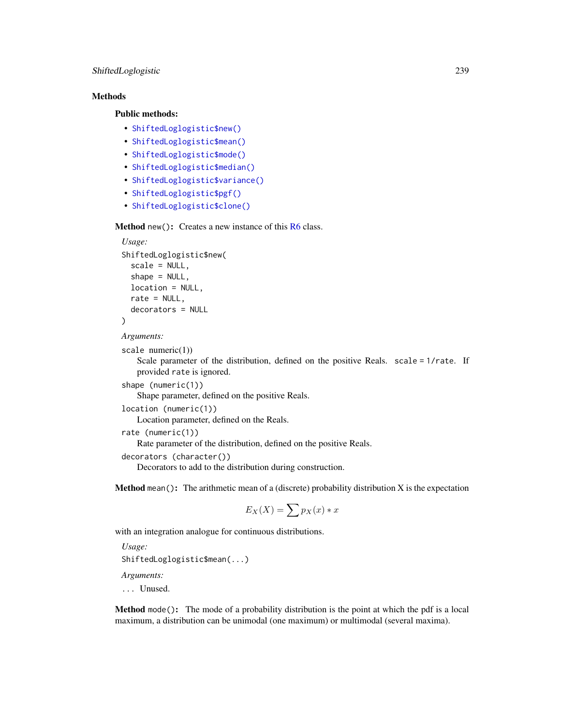# ShiftedLoglogistic 239

## Methods

## Public methods:

- [ShiftedLoglogistic\\$new\(\)](#page-7-0)
- [ShiftedLoglogistic\\$mean\(\)](#page-7-1)
- [ShiftedLoglogistic\\$mode\(\)](#page-8-0)
- [ShiftedLoglogistic\\$median\(\)](#page-14-0)
- [ShiftedLoglogistic\\$variance\(\)](#page-8-1)
- [ShiftedLoglogistic\\$pgf\(\)](#page-9-0)
- [ShiftedLoglogistic\\$clone\(\)](#page-9-1)

Method new(): Creates a new instance of this [R6](#page-0-0) class.

```
Usage:
ShiftedLoglogistic$new(
  scale = NULL,
  shape = NULL,location = NULL,
  rate = NULL,
  decorators = NULL
)
Arguments:
scale numeric(1))
```
Scale parameter of the distribution, defined on the positive Reals. scale = 1/rate. If provided rate is ignored.

```
shape (numeric(1))
```
Shape parameter, defined on the positive Reals.

```
location (numeric(1))
```
Location parameter, defined on the Reals.

```
rate (numeric(1))
```
Rate parameter of the distribution, defined on the positive Reals.

```
decorators (character())
```
Decorators to add to the distribution during construction.

**Method** mean(): The arithmetic mean of a (discrete) probability distribution  $X$  is the expectation

$$
E_X(X) = \sum p_X(x) * x
$$

with an integration analogue for continuous distributions.

*Usage:* ShiftedLoglogistic\$mean(...) *Arguments:*

... Unused.

Method mode(): The mode of a probability distribution is the point at which the pdf is a local maximum, a distribution can be unimodal (one maximum) or multimodal (several maxima).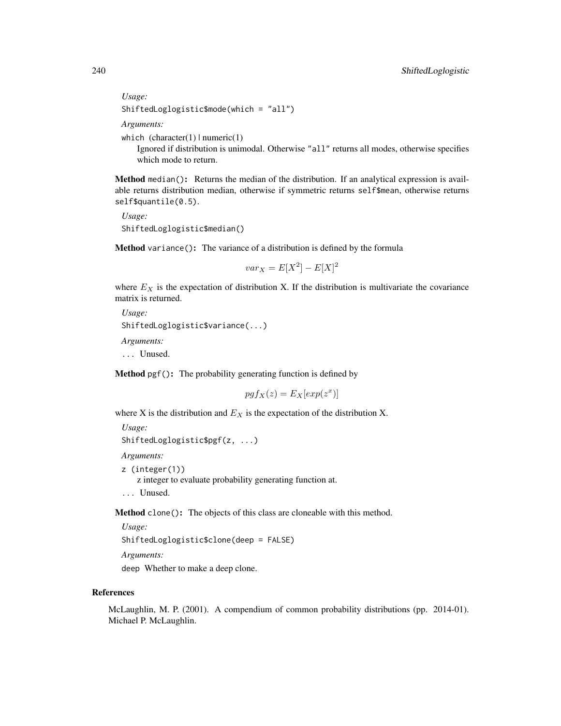*Usage:*

ShiftedLoglogistic\$mode(which = "all")

*Arguments:*

which  $(character(1) | numeric(1))$ 

Ignored if distribution is unimodal. Otherwise "all" returns all modes, otherwise specifies which mode to return.

Method median(): Returns the median of the distribution. If an analytical expression is available returns distribution median, otherwise if symmetric returns self\$mean, otherwise returns self\$quantile(0.5).

*Usage:* ShiftedLoglogistic\$median()

Method variance(): The variance of a distribution is defined by the formula

$$
var_X = E[X^2] - E[X]^2
$$

where  $E_X$  is the expectation of distribution X. If the distribution is multivariate the covariance matrix is returned.

*Usage:* ShiftedLoglogistic\$variance(...) *Arguments:* ... Unused.

Method pgf(): The probability generating function is defined by

$$
pgf_X(z) = E_X[exp(z^x)]
$$

where X is the distribution and  $E<sub>X</sub>$  is the expectation of the distribution X.

*Usage:* ShiftedLoglogistic\$pgf(z, ...)

*Arguments:*

z (integer(1))

z integer to evaluate probability generating function at.

... Unused.

Method clone(): The objects of this class are cloneable with this method.

*Usage:* ShiftedLoglogistic\$clone(deep = FALSE) *Arguments:*

deep Whether to make a deep clone.

#### References

McLaughlin, M. P. (2001). A compendium of common probability distributions (pp. 2014-01). Michael P. McLaughlin.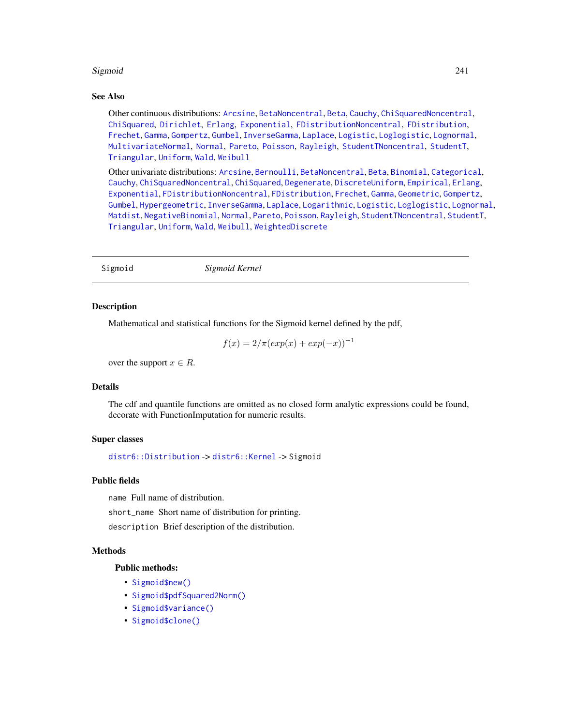## Sigmoid 241

## See Also

Other continuous distributions: [Arcsine](#page-6-0), [BetaNoncentral](#page-21-0), [Beta](#page-17-0), [Cauchy](#page-34-0), [ChiSquaredNoncentral](#page-43-0), [ChiSquared](#page-38-0), [Dirichlet](#page-59-0), [Erlang](#page-92-0), [Exponential](#page-102-0), [FDistributionNoncentral](#page-110-0), [FDistribution](#page-106-0), [Frechet](#page-113-0), [Gamma](#page-119-0), [Gompertz](#page-129-0), [Gumbel](#page-132-0), [InverseGamma](#page-143-0), [Laplace](#page-149-0), [Logistic](#page-162-0), [Loglogistic](#page-168-0), [Lognormal](#page-172-0), [MultivariateNormal](#page-195-0), [Normal](#page-204-0), [Pareto](#page-211-0), [Poisson](#page-218-0), [Rayleigh](#page-231-0), [StudentTNoncentral](#page-249-0), [StudentT](#page-245-0), [Triangular](#page-266-0), [Uniform](#page-279-0), [Wald](#page-294-0), [Weibull](#page-298-0)

Other univariate distributions: [Arcsine](#page-6-0), [Bernoulli](#page-12-0), [BetaNoncentral](#page-21-0), [Beta](#page-17-0), [Binomial](#page-23-0), [Categorical](#page-29-0), [Cauchy](#page-34-0), [ChiSquaredNoncentral](#page-43-0), [ChiSquared](#page-38-0), [Degenerate](#page-55-0), [DiscreteUniform](#page-62-0), [Empirical](#page-82-0), [Erlang](#page-92-0), [Exponential](#page-102-0), [FDistributionNoncentral](#page-110-0), [FDistribution](#page-106-0), [Frechet](#page-113-0), [Gamma](#page-119-0), [Geometric](#page-125-0), [Gompertz](#page-129-0), [Gumbel](#page-132-0), [Hypergeometric](#page-139-0), [InverseGamma](#page-143-0), [Laplace](#page-149-0), [Logarithmic](#page-158-0), [Logistic](#page-162-0), [Loglogistic](#page-168-0), [Lognormal](#page-172-0), [Matdist](#page-178-0), [NegativeBinomial](#page-200-0), [Normal](#page-204-0), [Pareto](#page-211-0), [Poisson](#page-218-0), [Rayleigh](#page-231-0), [StudentTNoncentral](#page-249-0), [StudentT](#page-245-0), [Triangular](#page-266-0), [Uniform](#page-279-0), [Wald](#page-294-0), [Weibull](#page-298-0), [WeightedDiscrete](#page-302-0)

<span id="page-240-0"></span>Sigmoid *Sigmoid Kernel*

## Description

Mathematical and statistical functions for the Sigmoid kernel defined by the pdf,

$$
f(x) = 2/\pi (exp(x) + exp(-x))^{-1}
$$

over the support  $x \in R$ .

## Details

The cdf and quantile functions are omitted as no closed form analytic expressions could be found, decorate with FunctionImputation for numeric results.

#### Super classes

[distr6::Distribution](#page-0-0) -> [distr6::Kernel](#page-0-0) -> Sigmoid

#### Public fields

name Full name of distribution.

short\_name Short name of distribution for printing.

description Brief description of the distribution.

#### Methods

#### Public methods:

- [Sigmoid\\$new\(\)](#page-7-0)
- [Sigmoid\\$pdfSquared2Norm\(\)](#page-52-0)
- [Sigmoid\\$variance\(\)](#page-8-1)
- [Sigmoid\\$clone\(\)](#page-9-1)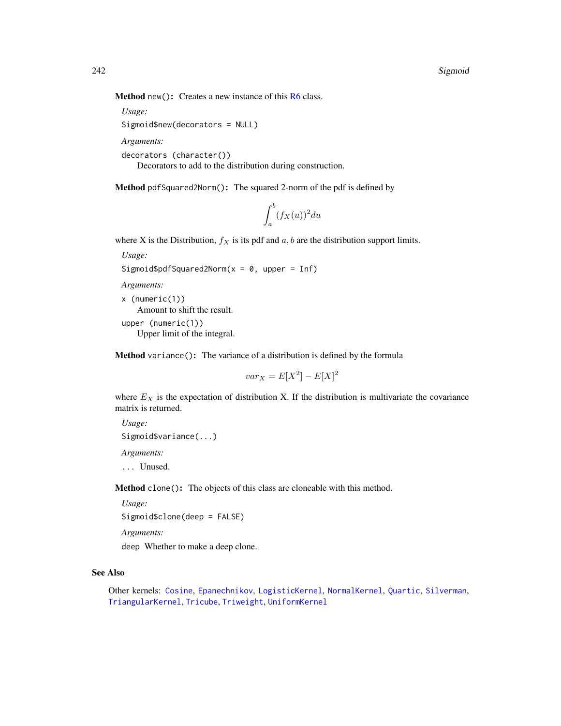Method new(): Creates a new instance of this [R6](#page-0-0) class.

```
Usage:
Sigmoid$new(decorators = NULL)
```
*Arguments:*

```
decorators (character())
```
Decorators to add to the distribution during construction.

Method pdfSquared2Norm(): The squared 2-norm of the pdf is defined by

$$
\int_a^b (f_X(u))^2 du
$$

where X is the Distribution,  $f_X$  is its pdf and  $a, b$  are the distribution support limits.

*Usage:*

```
Sigmoid$pdfSquared2Norm(x = 0, upper = Inf)
```
*Arguments:*

x (numeric(1)) Amount to shift the result. upper (numeric(1)) Upper limit of the integral.

Method variance(): The variance of a distribution is defined by the formula

$$
var_X = E[X^2] - E[X]^2
$$

where  $E_X$  is the expectation of distribution X. If the distribution is multivariate the covariance matrix is returned.

*Usage:* Sigmoid\$variance(...)

*Arguments:*

... Unused.

Method clone(): The objects of this class are cloneable with this method.

*Usage:* Sigmoid\$clone(deep = FALSE)

*Arguments:*

deep Whether to make a deep clone.

## See Also

Other kernels: [Cosine](#page-52-1), [Epanechnikov](#page-90-0), [LogisticKernel](#page-166-0), [NormalKernel](#page-209-0), [Quartic](#page-229-0), [Silverman](#page-242-0), [TriangularKernel](#page-272-0), [Tricube](#page-273-0), [Triweight](#page-275-0), [UniformKernel](#page-284-0)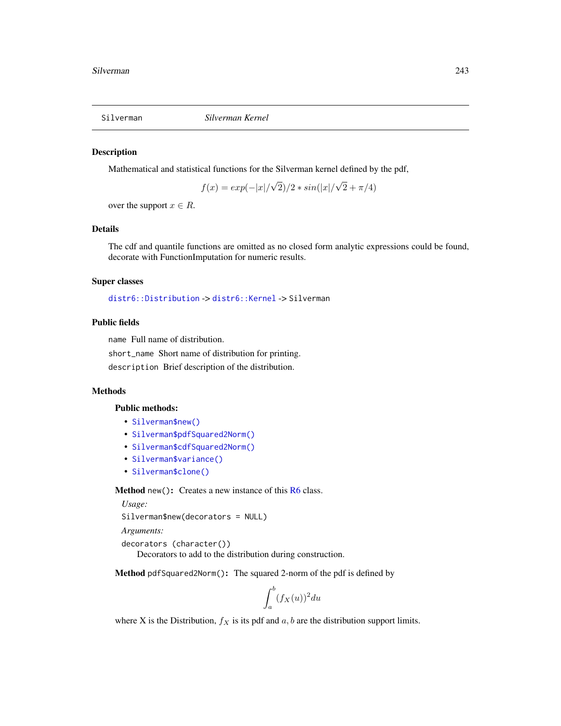<span id="page-242-0"></span>

#### Description

Mathematical and statistical functions for the Silverman kernel defined by the pdf,

$$
f(x) = exp(-|x|/\sqrt{2})/2 * sin(|x|/\sqrt{2} + \pi/4)
$$

over the support  $x \in R$ .

#### Details

The cdf and quantile functions are omitted as no closed form analytic expressions could be found, decorate with FunctionImputation for numeric results.

## Super classes

[distr6::Distribution](#page-0-0) -> [distr6::Kernel](#page-0-0) -> Silverman

## Public fields

name Full name of distribution.

short\_name Short name of distribution for printing.

description Brief description of the distribution.

#### Methods

## Public methods:

- [Silverman\\$new\(\)](#page-7-0)
- [Silverman\\$pdfSquared2Norm\(\)](#page-52-0)
- [Silverman\\$cdfSquared2Norm\(\)](#page-53-0)
- [Silverman\\$variance\(\)](#page-8-1)
- [Silverman\\$clone\(\)](#page-9-1)

**Method** new( $)$ : Creates a new instance of this  $R6$  class.

*Usage:*

Silverman\$new(decorators = NULL)

*Arguments:*

```
decorators (character())
   Decorators to add to the distribution during construction.
```
Method pdfSquared2Norm(): The squared 2-norm of the pdf is defined by

$$
\int_a^b (f_X(u))^2 du
$$

where X is the Distribution,  $f_X$  is its pdf and  $a, b$  are the distribution support limits.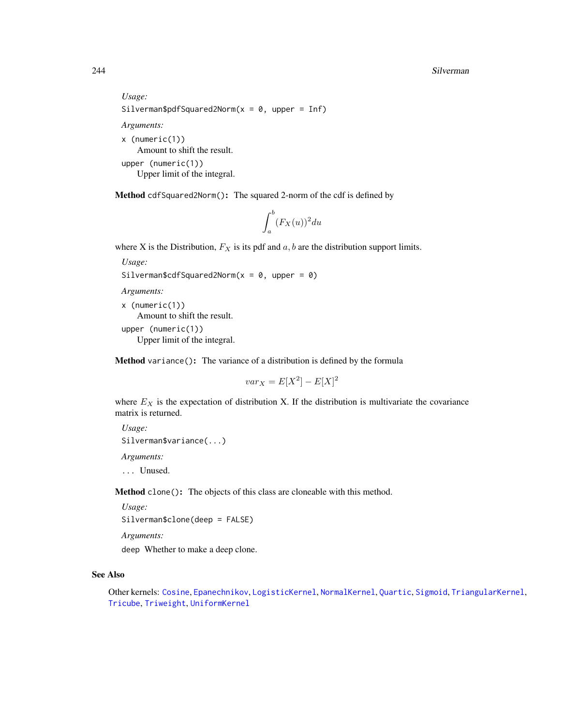#### 244 Silverman Superior Silverman Silverman Silverman Silverman Silverman Silverman Silverman Silverman Silverman

```
Usage:
Silverman$pdfSquared2Norm(x = 0, upper = Inf)
Arguments:
x (numeric(1))
   Amount to shift the result.
upper (numeric(1))
   Upper limit of the integral.
```
Method cdfSquared2Norm(): The squared 2-norm of the cdf is defined by

$$
\int_a^b (F_X(u))^2 du
$$

where X is the Distribution,  $F_X$  is its pdf and  $a, b$  are the distribution support limits.

*Usage:*

```
Silverman$cdfSquared2Norm(x = 0, upper = 0)
```
*Arguments:*

```
x (numeric(1))
   Amount to shift the result.
upper (numeric(1))
```
Upper limit of the integral.

Method variance(): The variance of a distribution is defined by the formula

$$
var_X = E[X^2] - E[X]^2
$$

where  $E_X$  is the expectation of distribution X. If the distribution is multivariate the covariance matrix is returned.

*Usage:* Silverman\$variance(...) *Arguments:*

... Unused.

Method clone(): The objects of this class are cloneable with this method.

*Usage:*

Silverman\$clone(deep = FALSE)

*Arguments:*

deep Whether to make a deep clone.

# See Also

Other kernels: [Cosine](#page-52-1), [Epanechnikov](#page-90-0), [LogisticKernel](#page-166-0), [NormalKernel](#page-209-0), [Quartic](#page-229-0), [Sigmoid](#page-240-0), [TriangularKernel](#page-272-0), [Tricube](#page-273-0), [Triweight](#page-275-0), [UniformKernel](#page-284-0)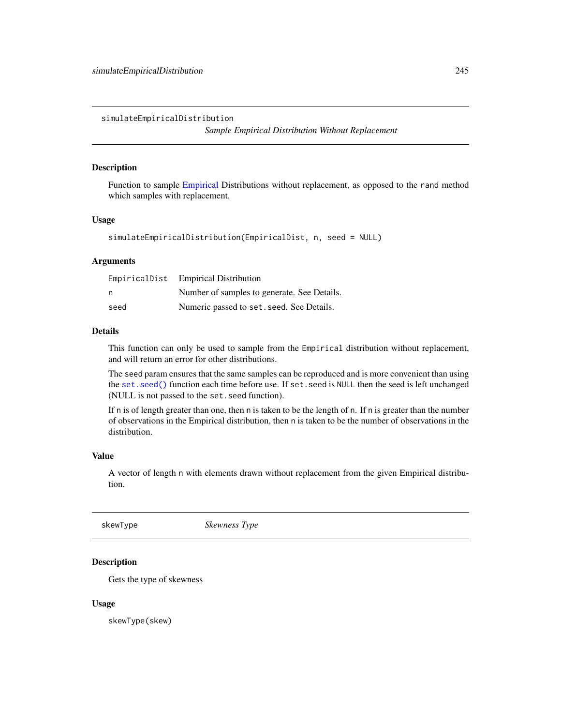simulateEmpiricalDistribution

*Sample Empirical Distribution Without Replacement*

# Description

Function to sample [Empirical](#page-82-0) Distributions without replacement, as opposed to the rand method which samples with replacement.

## Usage

```
simulateEmpiricalDistribution(EmpiricalDist, n, seed = NULL)
```
## Arguments

|      | EmpiricalDist Empirical Distribution        |
|------|---------------------------------------------|
| n    | Number of samples to generate. See Details. |
| seed | Numeric passed to set. seed. See Details.   |

## Details

This function can only be used to sample from the Empirical distribution without replacement, and will return an error for other distributions.

The seed param ensures that the same samples can be reproduced and is more convenient than using the [set.seed\(\)](#page-0-0) function each time before use. If set.seed is NULL then the seed is left unchanged (NULL is not passed to the set.seed function).

If n is of length greater than one, then n is taken to be the length of n. If n is greater than the number of observations in the Empirical distribution, then n is taken to be the number of observations in the distribution.

## Value

A vector of length n with elements drawn without replacement from the given Empirical distribution.

skewType *Skewness Type*

# Description

Gets the type of skewness

## Usage

skewType(skew)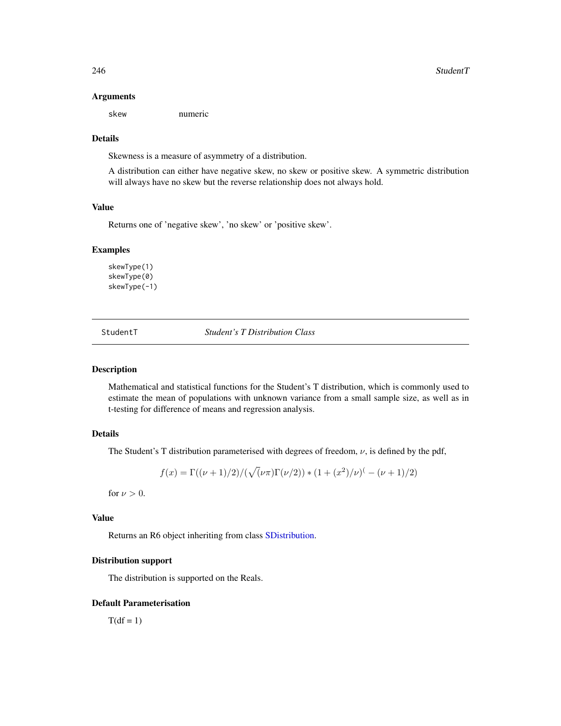#### Arguments

skew numeric

## **Details**

Skewness is a measure of asymmetry of a distribution.

A distribution can either have negative skew, no skew or positive skew. A symmetric distribution will always have no skew but the reverse relationship does not always hold.

## Value

Returns one of 'negative skew', 'no skew' or 'positive skew'.

#### Examples

skewType(1) skewType(0) skewType(-1)

<span id="page-245-0"></span>StudentT *Student's T Distribution Class*

#### Description

Mathematical and statistical functions for the Student's T distribution, which is commonly used to estimate the mean of populations with unknown variance from a small sample size, as well as in t-testing for difference of means and regression analysis.

# Details

The Student's T distribution parameterised with degrees of freedom,  $\nu$ , is defined by the pdf,

$$
f(x) = \Gamma((\nu + 1)/2)/(\sqrt{(\nu \pi)} \Gamma(\nu/2)) * (1 + (x^2)/\nu) - (\nu + 1)/2)
$$

for  $\nu > 0$ .

#### Value

Returns an R6 object inheriting from class [SDistribution.](#page-235-0)

#### Distribution support

The distribution is supported on the Reals.

## Default Parameterisation

 $T(df = 1)$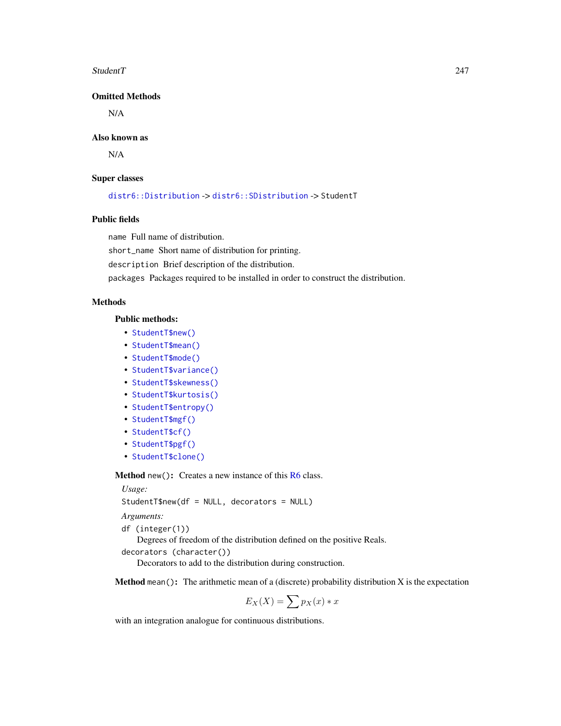#### StudentT 247

# Omitted Methods

N/A

## Also known as

N/A

## Super classes

[distr6::Distribution](#page-0-0) -> [distr6::SDistribution](#page-0-0) -> StudentT

## Public fields

name Full name of distribution.

short\_name Short name of distribution for printing.

description Brief description of the distribution.

packages Packages required to be installed in order to construct the distribution.

## Methods

# Public methods:

- [StudentT\\$new\(\)](#page-7-0)
- [StudentT\\$mean\(\)](#page-7-1)
- [StudentT\\$mode\(\)](#page-8-0)
- [StudentT\\$variance\(\)](#page-8-1)
- [StudentT\\$skewness\(\)](#page-8-2)
- [StudentT\\$kurtosis\(\)](#page-8-3)
- [StudentT\\$entropy\(\)](#page-9-2)
- [StudentT\\$mgf\(\)](#page-15-0)
- [StudentT\\$cf\(\)](#page-15-1)
- [StudentT\\$pgf\(\)](#page-9-0)
- [StudentT\\$clone\(\)](#page-9-1)

Method new(): Creates a new instance of this [R6](#page-0-0) class.

*Usage:*

StudentT\$new(df = NULL, decorators = NULL)

*Arguments:*

df (integer(1))

Degrees of freedom of the distribution defined on the positive Reals.

```
decorators (character())
```
Decorators to add to the distribution during construction.

**Method** mean(): The arithmetic mean of a (discrete) probability distribution  $X$  is the expectation

$$
E_X(X) = \sum p_X(x) * x
$$

with an integration analogue for continuous distributions.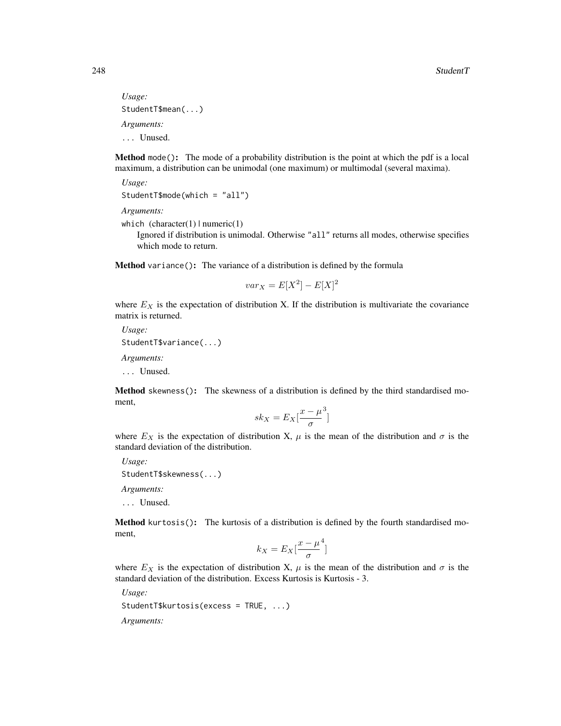*Usage:* StudentT\$mean(...) *Arguments:* ... Unused.

Method mode(): The mode of a probability distribution is the point at which the pdf is a local maximum, a distribution can be unimodal (one maximum) or multimodal (several maxima).

*Usage:* StudentT\$mode(which = "all")

*Arguments:*

```
which (character(1) | numeric(1))
```
Ignored if distribution is unimodal. Otherwise "all" returns all modes, otherwise specifies which mode to return.

Method variance(): The variance of a distribution is defined by the formula

$$
var_X = E[X^2] - E[X]^2
$$

where  $E<sub>X</sub>$  is the expectation of distribution X. If the distribution is multivariate the covariance matrix is returned.

*Usage:* StudentT\$variance(...) *Arguments:*

... Unused.

Method skewness(): The skewness of a distribution is defined by the third standardised moment,

$$
sk_X = E_X \left[ \frac{x - \mu^3}{\sigma} \right]
$$

where  $E_X$  is the expectation of distribution X,  $\mu$  is the mean of the distribution and  $\sigma$  is the standard deviation of the distribution.

*Usage:*

```
StudentT$skewness(...)
```
*Arguments:*

... Unused.

Method kurtosis(): The kurtosis of a distribution is defined by the fourth standardised moment,

$$
k_X = E_X \left[ \frac{x - \mu^4}{\sigma} \right]
$$

where  $E_X$  is the expectation of distribution X,  $\mu$  is the mean of the distribution and  $\sigma$  is the standard deviation of the distribution. Excess Kurtosis is Kurtosis - 3.

*Usage:*

StudentT\$kurtosis(excess = TRUE, ...)

*Arguments:*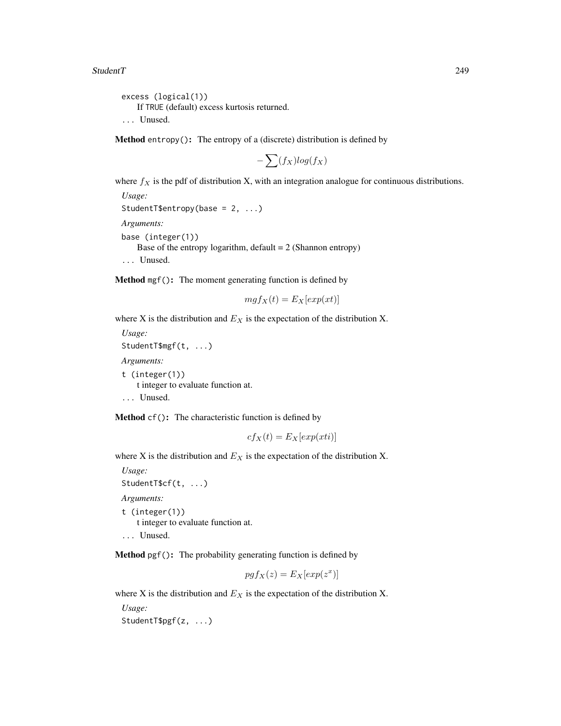excess (logical(1)) If TRUE (default) excess kurtosis returned. ... Unused.

**Method** entropy(): The entropy of a (discrete) distribution is defined by

$$
-\sum(f_X)log(f_X)
$$

where  $f_X$  is the pdf of distribution X, with an integration analogue for continuous distributions.

*Usage:* StudentT\$entropy(base = 2, ...) *Arguments:* base (integer(1)) Base of the entropy logarithm, default  $= 2$  (Shannon entropy) ... Unused.

Method mgf(): The moment generating function is defined by

$$
mgf_X(t) = E_X[exp(xt)]
$$

where X is the distribution and  $E<sub>X</sub>$  is the expectation of the distribution X.

*Usage:* StudentT\$mgf(t, ...) *Arguments:* t (integer(1)) t integer to evaluate function at. ... Unused.

Method cf(): The characteristic function is defined by

$$
cf_X(t) = E_X[exp(xti)]
$$

where X is the distribution and  $E<sub>X</sub>$  is the expectation of the distribution X.

*Usage:* StudentT\$cf(t, ...) *Arguments:* t (integer(1)) t integer to evaluate function at. ... Unused.

Method pgf(): The probability generating function is defined by

$$
pgf_X(z) = E_X[exp(z^x)]
$$

where X is the distribution and  $E<sub>X</sub>$  is the expectation of the distribution X.

*Usage:* StudentT\$pgf(z, ...)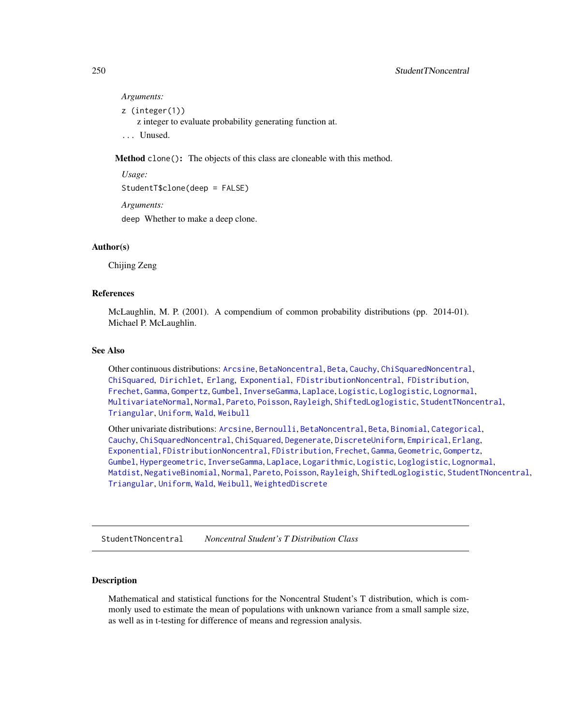#### *Arguments:*

z (integer(1))

z integer to evaluate probability generating function at.

... Unused.

Method clone(): The objects of this class are cloneable with this method.

*Usage:* StudentT\$clone(deep = FALSE) *Arguments:*

deep Whether to make a deep clone.

# Author(s)

Chijing Zeng

# References

McLaughlin, M. P. (2001). A compendium of common probability distributions (pp. 2014-01). Michael P. McLaughlin.

## See Also

Other continuous distributions: [Arcsine](#page-6-0), [BetaNoncentral](#page-21-0), [Beta](#page-17-0), [Cauchy](#page-34-0), [ChiSquaredNoncentral](#page-43-0), [ChiSquared](#page-38-0), [Dirichlet](#page-59-0), [Erlang](#page-92-0), [Exponential](#page-102-0), [FDistributionNoncentral](#page-110-0), [FDistribution](#page-106-0), [Frechet](#page-113-0), [Gamma](#page-119-0), [Gompertz](#page-129-0), [Gumbel](#page-132-0), [InverseGamma](#page-143-0), [Laplace](#page-149-0), [Logistic](#page-162-0), [Loglogistic](#page-168-0), [Lognormal](#page-172-0), [MultivariateNormal](#page-195-0), [Normal](#page-204-0), [Pareto](#page-211-0), [Poisson](#page-218-0), [Rayleigh](#page-231-0), [ShiftedLoglogistic](#page-236-0), [StudentTNoncentral](#page-249-0), [Triangular](#page-266-0), [Uniform](#page-279-0), [Wald](#page-294-0), [Weibull](#page-298-0)

Other univariate distributions: [Arcsine](#page-6-0), [Bernoulli](#page-12-0), [BetaNoncentral](#page-21-0), [Beta](#page-17-0), [Binomial](#page-23-0), [Categorical](#page-29-0), [Cauchy](#page-34-0), [ChiSquaredNoncentral](#page-43-0), [ChiSquared](#page-38-0), [Degenerate](#page-55-0), [DiscreteUniform](#page-62-0), [Empirical](#page-82-0), [Erlang](#page-92-0), [Exponential](#page-102-0), [FDistributionNoncentral](#page-110-0), [FDistribution](#page-106-0), [Frechet](#page-113-0), [Gamma](#page-119-0), [Geometric](#page-125-0), [Gompertz](#page-129-0), [Gumbel](#page-132-0), [Hypergeometric](#page-139-0), [InverseGamma](#page-143-0), [Laplace](#page-149-0), [Logarithmic](#page-158-0), [Logistic](#page-162-0), [Loglogistic](#page-168-0), [Lognormal](#page-172-0), [Matdist](#page-178-0), [NegativeBinomial](#page-200-0), [Normal](#page-204-0), [Pareto](#page-211-0), [Poisson](#page-218-0), [Rayleigh](#page-231-0), [ShiftedLoglogistic](#page-236-0), [StudentTNoncentral](#page-249-0), [Triangular](#page-266-0), [Uniform](#page-279-0), [Wald](#page-294-0), [Weibull](#page-298-0), [WeightedDiscrete](#page-302-0)

<span id="page-249-0"></span>StudentTNoncentral *Noncentral Student's T Distribution Class*

#### Description

Mathematical and statistical functions for the Noncentral Student's T distribution, which is commonly used to estimate the mean of populations with unknown variance from a small sample size, as well as in t-testing for difference of means and regression analysis.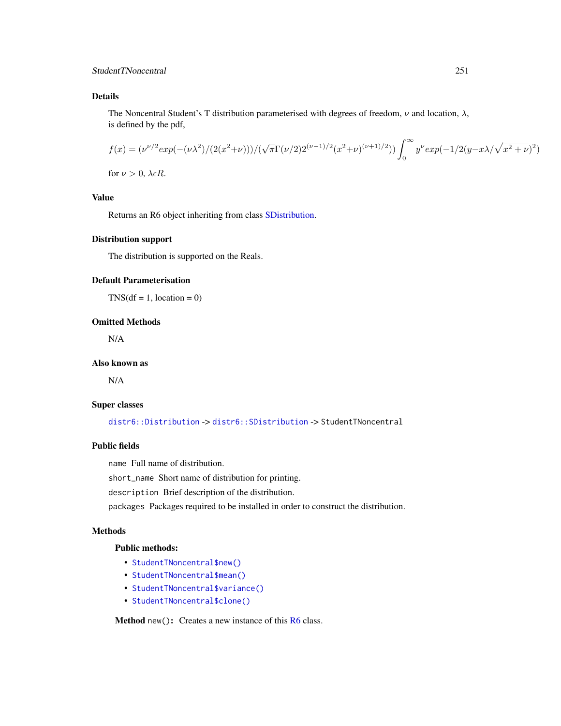# Details

The Noncentral Student's T distribution parameterised with degrees of freedom,  $\nu$  and location,  $\lambda$ , is defined by the pdf,

$$
f(x) = (\nu^{\nu/2} exp(-(\nu \lambda^2)/(2(x^2+\nu)))/(\sqrt{\pi} \Gamma(\nu/2)2^{(\nu-1)/2}(x^2+\nu)^{(\nu+1)/2})) \int_0^\infty y^{\nu} exp(-1/2(y-x\lambda/\sqrt{x^2+\nu})^2)
$$

for  $\nu > 0$ ,  $\lambda \epsilon R$ .

## Value

Returns an R6 object inheriting from class [SDistribution.](#page-235-0)

## Distribution support

The distribution is supported on the Reals.

# Default Parameterisation

 $TNS(df = 1, location = 0)$ 

## Omitted Methods

N/A

## Also known as

N/A

## Super classes

[distr6::Distribution](#page-0-0) -> [distr6::SDistribution](#page-0-0) -> StudentTNoncentral

## Public fields

name Full name of distribution.

short\_name Short name of distribution for printing.

description Brief description of the distribution.

packages Packages required to be installed in order to construct the distribution.

## Methods

## Public methods:

- [StudentTNoncentral\\$new\(\)](#page-7-0)
- [StudentTNoncentral\\$mean\(\)](#page-7-1)
- [StudentTNoncentral\\$variance\(\)](#page-8-1)
- [StudentTNoncentral\\$clone\(\)](#page-9-1)

Method new(): Creates a new instance of this [R6](#page-0-0) class.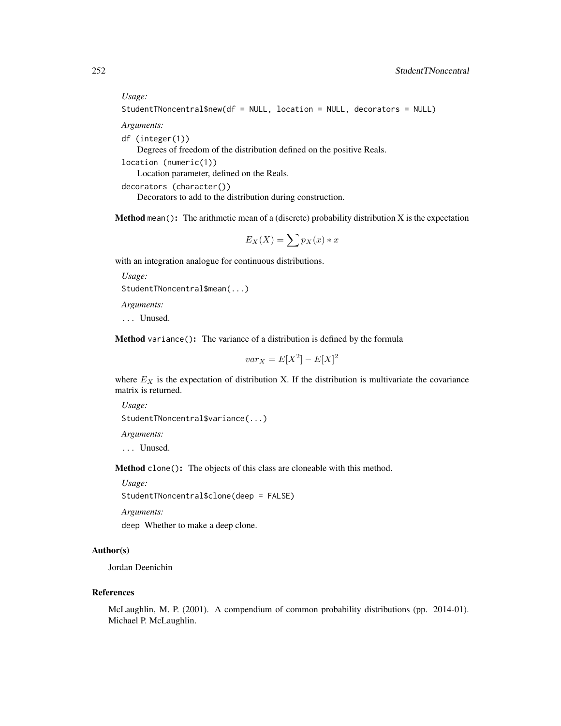## *Usage:*

StudentTNoncentral\$new(df = NULL, location = NULL, decorators = NULL)

*Arguments:*

df (integer(1))

Degrees of freedom of the distribution defined on the positive Reals.

location (numeric(1))

Location parameter, defined on the Reals.

```
decorators (character())
```
Decorators to add to the distribution during construction.

**Method** mean(): The arithmetic mean of a (discrete) probability distribution X is the expectation

$$
E_X(X) = \sum p_X(x) * x
$$

with an integration analogue for continuous distributions.

```
Usage:
StudentTNoncentral$mean(...)
```
*Arguments:*

... Unused.

Method variance(): The variance of a distribution is defined by the formula

$$
var_X = E[X^2] - E[X]^2
$$

where  $E<sub>X</sub>$  is the expectation of distribution X. If the distribution is multivariate the covariance matrix is returned.

```
Usage:
StudentTNoncentral$variance(...)
Arguments:
... Unused.
```
Method clone(): The objects of this class are cloneable with this method.

*Usage:*

StudentTNoncentral\$clone(deep = FALSE)

*Arguments:*

deep Whether to make a deep clone.

# Author(s)

Jordan Deenichin

## References

McLaughlin, M. P. (2001). A compendium of common probability distributions (pp. 2014-01). Michael P. McLaughlin.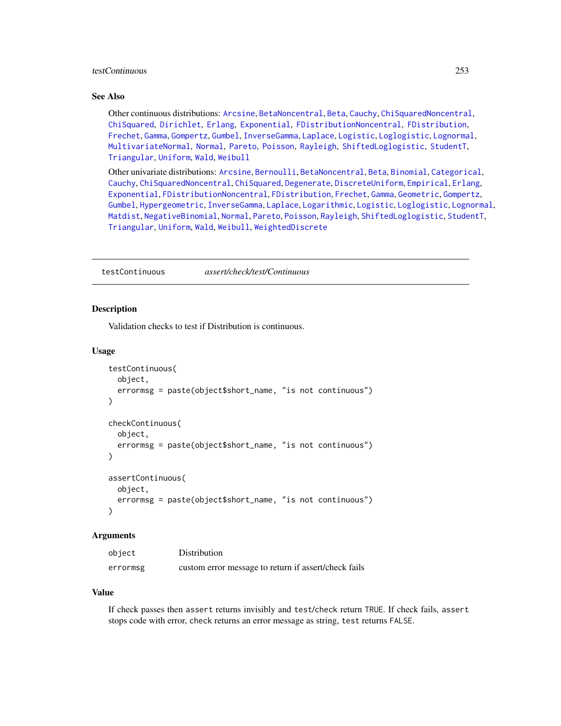## testContinuous 253

## See Also

Other continuous distributions: [Arcsine](#page-6-0), [BetaNoncentral](#page-21-0), [Beta](#page-17-0), [Cauchy](#page-34-0), [ChiSquaredNoncentral](#page-43-0), [ChiSquared](#page-38-0), [Dirichlet](#page-59-0), [Erlang](#page-92-0), [Exponential](#page-102-0), [FDistributionNoncentral](#page-110-0), [FDistribution](#page-106-0), [Frechet](#page-113-0), [Gamma](#page-119-0), [Gompertz](#page-129-0), [Gumbel](#page-132-0), [InverseGamma](#page-143-0), [Laplace](#page-149-0), [Logistic](#page-162-0), [Loglogistic](#page-168-0), [Lognormal](#page-172-0), [MultivariateNormal](#page-195-0), [Normal](#page-204-0), [Pareto](#page-211-0), [Poisson](#page-218-0), [Rayleigh](#page-231-0), [ShiftedLoglogistic](#page-236-0), [StudentT](#page-245-0), [Triangular](#page-266-0), [Uniform](#page-279-0), [Wald](#page-294-0), [Weibull](#page-298-0)

Other univariate distributions: [Arcsine](#page-6-0), [Bernoulli](#page-12-0), [BetaNoncentral](#page-21-0), [Beta](#page-17-0), [Binomial](#page-23-0), [Categorical](#page-29-0), [Cauchy](#page-34-0), [ChiSquaredNoncentral](#page-43-0), [ChiSquared](#page-38-0), [Degenerate](#page-55-0), [DiscreteUniform](#page-62-0), [Empirical](#page-82-0), [Erlang](#page-92-0), [Exponential](#page-102-0), [FDistributionNoncentral](#page-110-0), [FDistribution](#page-106-0), [Frechet](#page-113-0), [Gamma](#page-119-0), [Geometric](#page-125-0), [Gompertz](#page-129-0), [Gumbel](#page-132-0), [Hypergeometric](#page-139-0), [InverseGamma](#page-143-0), [Laplace](#page-149-0), [Logarithmic](#page-158-0), [Logistic](#page-162-0), [Loglogistic](#page-168-0), [Lognormal](#page-172-0), [Matdist](#page-178-0), [NegativeBinomial](#page-200-0), [Normal](#page-204-0), [Pareto](#page-211-0), [Poisson](#page-218-0), [Rayleigh](#page-231-0), [ShiftedLoglogistic](#page-236-0), [StudentT](#page-245-0), [Triangular](#page-266-0), [Uniform](#page-279-0), [Wald](#page-294-0), [Weibull](#page-298-0), [WeightedDiscrete](#page-302-0)

testContinuous *assert/check/test/Continuous*

#### Description

Validation checks to test if Distribution is continuous.

## Usage

```
testContinuous(
  object,
  errormsg = paste(object$short_name, "is not continuous")
)
checkContinuous(
 object,
  errormsg = paste(object$short_name, "is not continuous")
)
assertContinuous(
 object,
 errormsg = paste(object$short_name, "is not continuous")
)
```
#### **Arguments**

| object   | Distribution                                         |
|----------|------------------------------------------------------|
| errormsg | custom error message to return if assert/check fails |

#### Value

If check passes then assert returns invisibly and test/check return TRUE. If check fails, assert stops code with error, check returns an error message as string, test returns FALSE.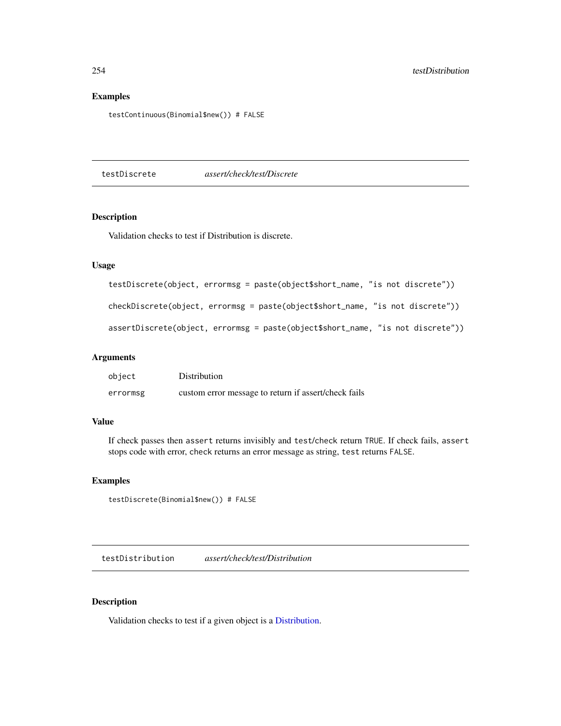## Examples

testContinuous(Binomial\$new()) # FALSE

testDiscrete *assert/check/test/Discrete*

## Description

Validation checks to test if Distribution is discrete.

## Usage

```
testDiscrete(object, errormsg = paste(object$short_name, "is not discrete"))
```
checkDiscrete(object, errormsg = paste(object\$short\_name, "is not discrete"))

```
assertDiscrete(object, errormsg = paste(object$short_name, "is not discrete"))
```
## Arguments

| object   | Distribution                                         |
|----------|------------------------------------------------------|
| errormsg | custom error message to return if assert/check fails |

#### Value

If check passes then assert returns invisibly and test/check return TRUE. If check fails, assert stops code with error, check returns an error message as string, test returns FALSE.

# Examples

testDiscrete(Binomial\$new()) # FALSE

testDistribution *assert/check/test/Distribution*

#### Description

Validation checks to test if a given object is a [Distribution.](#page-67-0)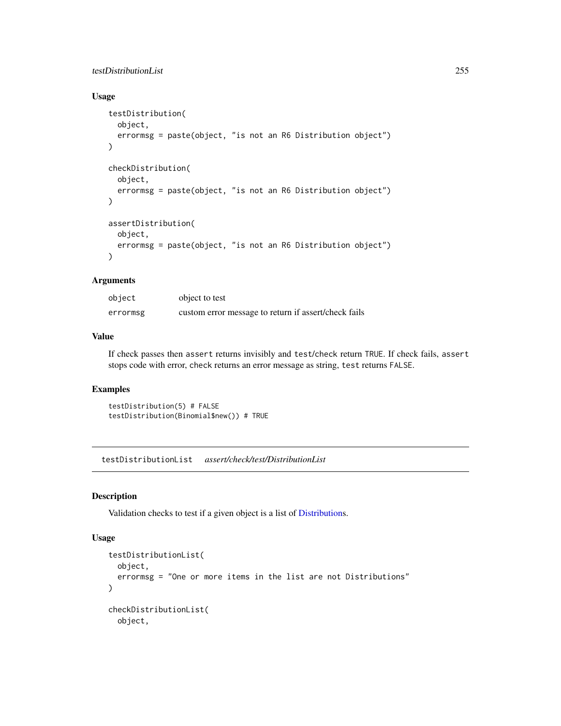# testDistributionList 255

# Usage

```
testDistribution(
 object,
  errormsg = paste(object, "is not an R6 Distribution object")
)
checkDistribution(
  object,
  errormsg = paste(object, "is not an R6 Distribution object")
)
assertDistribution(
 object,
 errormsg = paste(object, "is not an R6 Distribution object")
)
```
# Arguments

| object   | object to test                                       |
|----------|------------------------------------------------------|
| errormsg | custom error message to return if assert/check fails |

#### Value

If check passes then assert returns invisibly and test/check return TRUE. If check fails, assert stops code with error, check returns an error message as string, test returns FALSE.

## Examples

```
testDistribution(5) # FALSE
testDistribution(Binomial$new()) # TRUE
```
testDistributionList *assert/check/test/DistributionList*

#### Description

Validation checks to test if a given object is a list of [Distributions](#page-67-0).

#### Usage

```
testDistributionList(
  object,
 errormsg = "One or more items in the list are not Distributions"
)
checkDistributionList(
 object,
```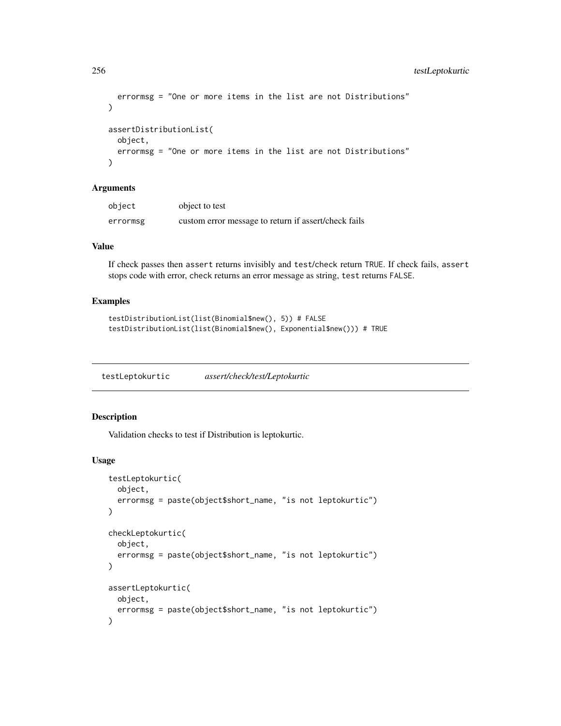```
errormsg = "One or more items in the list are not Distributions"
\lambdaassertDistributionList(
 object,
 errormsg = "One or more items in the list are not Distributions"
\lambda
```
#### Arguments

| object   | object to test                                       |
|----------|------------------------------------------------------|
| errormsg | custom error message to return if assert/check fails |

# Value

If check passes then assert returns invisibly and test/check return TRUE. If check fails, assert stops code with error, check returns an error message as string, test returns FALSE.

# Examples

```
testDistributionList(list(Binomial$new(), 5)) # FALSE
testDistributionList(list(Binomial$new(), Exponential$new())) # TRUE
```
testLeptokurtic *assert/check/test/Leptokurtic*

## Description

Validation checks to test if Distribution is leptokurtic.

#### Usage

```
testLeptokurtic(
  object,
  errormsg = paste(object$short_name, "is not leptokurtic")
\mathcal{L}checkLeptokurtic(
  object,
  errormsg = paste(object$short_name, "is not leptokurtic")
\lambdaassertLeptokurtic(
 object,
  errormsg = paste(object$short_name, "is not leptokurtic")
)
```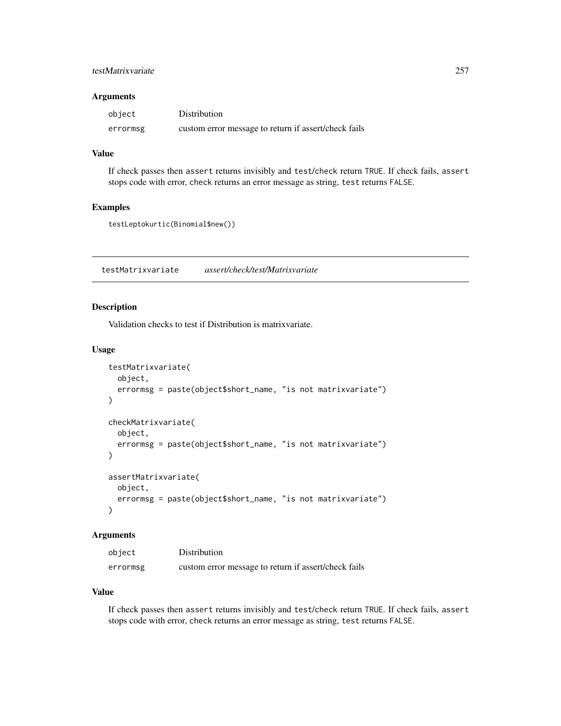# testMatrixvariate 257

## Arguments

| object   | Distribution                                         |
|----------|------------------------------------------------------|
| errormsg | custom error message to return if assert/check fails |

# Value

If check passes then assert returns invisibly and test/check return TRUE. If check fails, assert stops code with error, check returns an error message as string, test returns FALSE.

## Examples

```
testLeptokurtic(Binomial$new())
```
testMatrixvariate *assert/check/test/Matrixvariate*

# Description

Validation checks to test if Distribution is matrixvariate.

#### Usage

```
testMatrixvariate(
  object,
  errormsg = paste(object$short_name, "is not matrixvariate")
\mathcal{L}checkMatrixvariate(
 object,
  errormsg = paste(object$short_name, "is not matrixvariate")
\lambdaassertMatrixvariate(
  object,
  errormsg = paste(object$short_name, "is not matrixvariate")
)
```
#### **Arguments**

| object   | Distribution                                         |
|----------|------------------------------------------------------|
| errormsg | custom error message to return if assert/check fails |

#### Value

If check passes then assert returns invisibly and test/check return TRUE. If check fails, assert stops code with error, check returns an error message as string, test returns FALSE.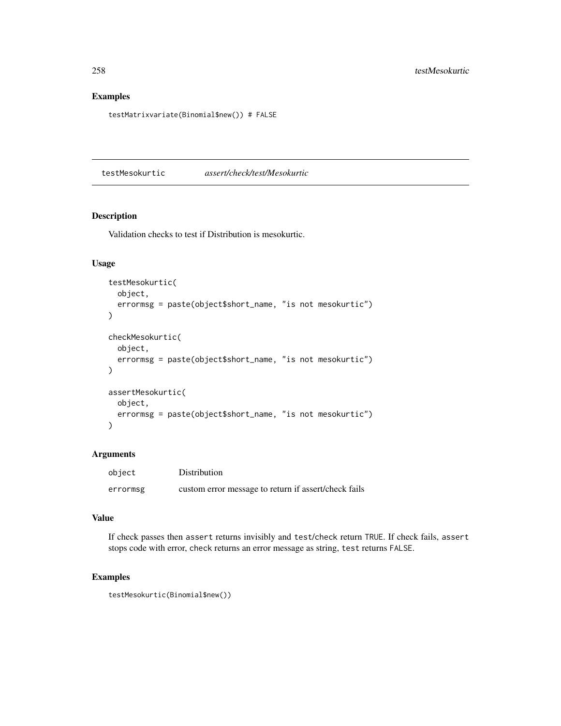# Examples

testMatrixvariate(Binomial\$new()) # FALSE

testMesokurtic *assert/check/test/Mesokurtic*

## Description

Validation checks to test if Distribution is mesokurtic.

#### Usage

```
testMesokurtic(
  object,
  errormsg = paste(object$short_name, "is not mesokurtic")
)
checkMesokurtic(
  object,
  errormsg = paste(object$short_name, "is not mesokurtic")
)
assertMesokurtic(
  object,
  errormsg = paste(object$short_name, "is not mesokurtic")
\mathcal{L}
```
# Arguments

| object   | Distribution                                         |
|----------|------------------------------------------------------|
| errormsg | custom error message to return if assert/check fails |

#### Value

If check passes then assert returns invisibly and test/check return TRUE. If check fails, assert stops code with error, check returns an error message as string, test returns FALSE.

## Examples

testMesokurtic(Binomial\$new())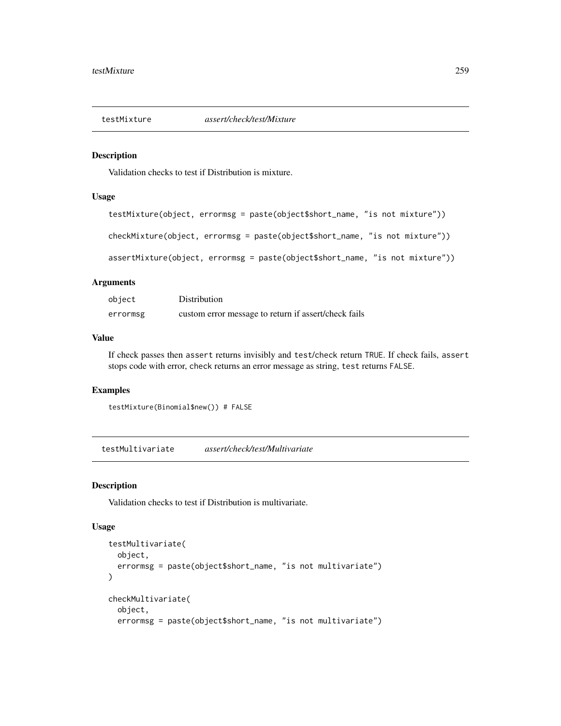#### Description

Validation checks to test if Distribution is mixture.

## Usage

```
testMixture(object, errormsg = paste(object$short_name, "is not mixture"))
checkMixture(object, errormsg = paste(object$short_name, "is not mixture"))
assertMixture(object, errormsg = paste(object$short_name, "is not mixture"))
```
# Arguments

| object   | Distribution                                         |
|----------|------------------------------------------------------|
| errormsg | custom error message to return if assert/check fails |

# Value

If check passes then assert returns invisibly and test/check return TRUE. If check fails, assert stops code with error, check returns an error message as string, test returns FALSE.

## Examples

testMixture(Binomial\$new()) # FALSE

testMultivariate *assert/check/test/Multivariate*

# Description

Validation checks to test if Distribution is multivariate.

## Usage

```
testMultivariate(
  object,
  errormsg = paste(object$short_name, "is not multivariate")
\lambdacheckMultivariate(
  object,
  errormsg = paste(object$short_name, "is not multivariate")
```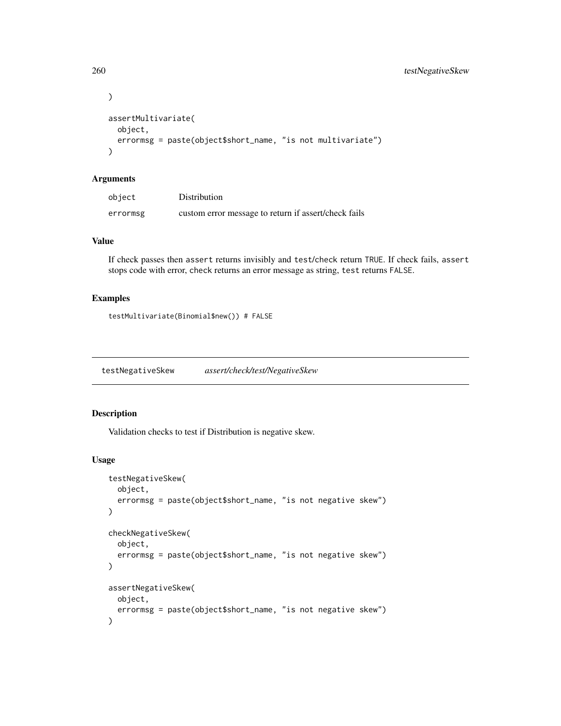```
\mathcal{L}assertMultivariate(
 object,
  errormsg = paste(object$short_name, "is not multivariate")
)
```
## Arguments

| object   | Distribution                                         |
|----------|------------------------------------------------------|
| errormsg | custom error message to return if assert/check fails |

# Value

If check passes then assert returns invisibly and test/check return TRUE. If check fails, assert stops code with error, check returns an error message as string, test returns FALSE.

# Examples

testMultivariate(Binomial\$new()) # FALSE

testNegativeSkew *assert/check/test/NegativeSkew*

# Description

Validation checks to test if Distribution is negative skew.

#### Usage

```
testNegativeSkew(
  object,
  errormsg = paste(object$short_name, "is not negative skew")
\mathcal{L}checkNegativeSkew(
  object,
  errormsg = paste(object$short_name, "is not negative skew")
\lambdaassertNegativeSkew(
 object,
  errormsg = paste(object$short_name, "is not negative skew")
)
```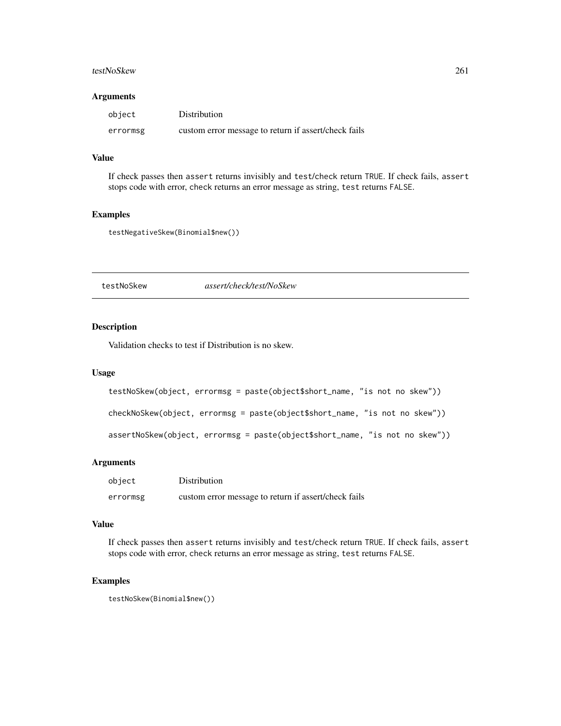#### testNoSkew 261

## Arguments

| object   | Distribution                                         |
|----------|------------------------------------------------------|
| errormsg | custom error message to return if assert/check fails |

## Value

If check passes then assert returns invisibly and test/check return TRUE. If check fails, assert stops code with error, check returns an error message as string, test returns FALSE.

## Examples

testNegativeSkew(Binomial\$new())

testNoSkew *assert/check/test/NoSkew*

## Description

Validation checks to test if Distribution is no skew.

# Usage

```
testNoSkew(object, errormsg = paste(object$short_name, "is not no skew"))
```
checkNoSkew(object, errormsg = paste(object\$short\_name, "is not no skew"))

assertNoSkew(object, errormsg = paste(object\$short\_name, "is not no skew"))

## Arguments

| object   | Distribution                                         |
|----------|------------------------------------------------------|
| errormsg | custom error message to return if assert/check fails |

## Value

If check passes then assert returns invisibly and test/check return TRUE. If check fails, assert stops code with error, check returns an error message as string, test returns FALSE.

# Examples

testNoSkew(Binomial\$new())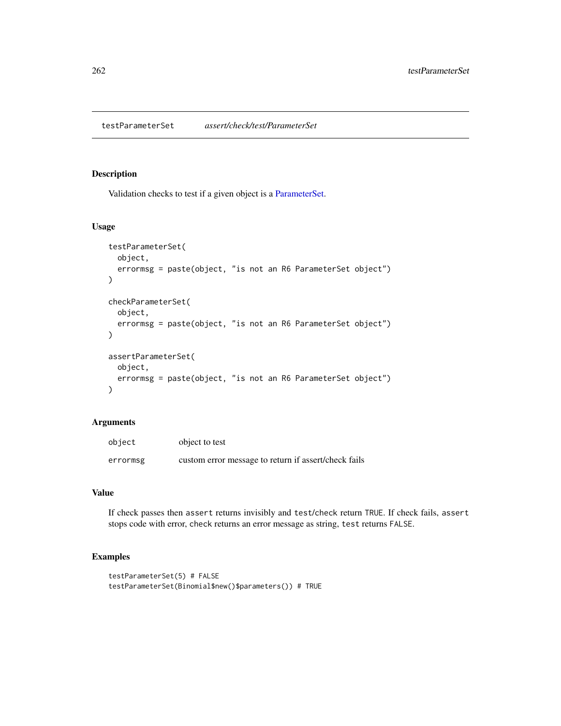testParameterSet *assert/check/test/ParameterSet*

#### Description

Validation checks to test if a given object is a [ParameterSet.](#page-0-0)

## Usage

```
testParameterSet(
  object,
  errormsg = paste(object, "is not an R6 ParameterSet object")
\lambdacheckParameterSet(
 object,
  errormsg = paste(object, "is not an R6 ParameterSet object")
)
assertParameterSet(
 object,
 errormsg = paste(object, "is not an R6 ParameterSet object")
)
```
## Arguments

| object   | object to test                                       |
|----------|------------------------------------------------------|
| errormsg | custom error message to return if assert/check fails |

## Value

If check passes then assert returns invisibly and test/check return TRUE. If check fails, assert stops code with error, check returns an error message as string, test returns FALSE.

```
testParameterSet(5) # FALSE
testParameterSet(Binomial$new()$parameters()) # TRUE
```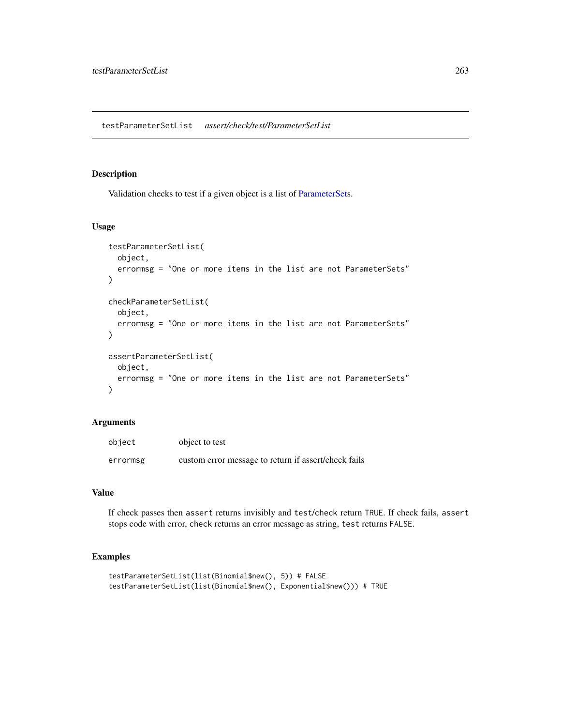#### Description

Validation checks to test if a given object is a list of [ParameterSets](#page-0-0).

## Usage

```
testParameterSetList(
 object,
 errormsg = "One or more items in the list are not ParameterSets"
)
checkParameterSetList(
 object,
 errormsg = "One or more items in the list are not ParameterSets"
)
assertParameterSetList(
 object,
 errormsg = "One or more items in the list are not ParameterSets"
)
```
## Arguments

| object   | object to test                                       |
|----------|------------------------------------------------------|
| errormsg | custom error message to return if assert/check fails |

## Value

If check passes then assert returns invisibly and test/check return TRUE. If check fails, assert stops code with error, check returns an error message as string, test returns FALSE.

```
testParameterSetList(list(Binomial$new(), 5)) # FALSE
testParameterSetList(list(Binomial$new(), Exponential$new())) # TRUE
```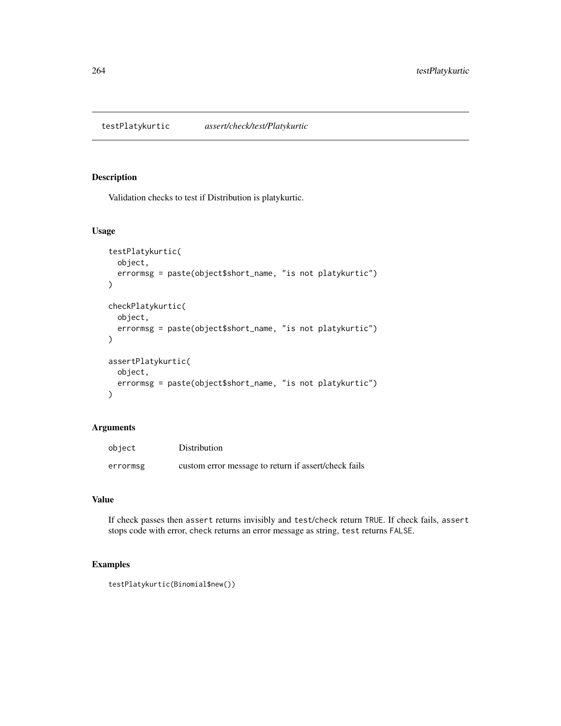testPlatykurtic *assert/check/test/Platykurtic*

# Description

Validation checks to test if Distribution is platykurtic.

# Usage

```
testPlatykurtic(
  object,
  errormsg = paste(object$short_name, "is not platykurtic")
)
checkPlatykurtic(
 object,
  errormsg = paste(object$short_name, "is not platykurtic")
)
assertPlatykurtic(
  object,
 errormsg = paste(object$short_name, "is not platykurtic")
)
```
#### Arguments

| object   | Distribution                                         |
|----------|------------------------------------------------------|
| errormsg | custom error message to return if assert/check fails |

# Value

If check passes then assert returns invisibly and test/check return TRUE. If check fails, assert stops code with error, check returns an error message as string, test returns FALSE.

```
testPlatykurtic(Binomial$new())
```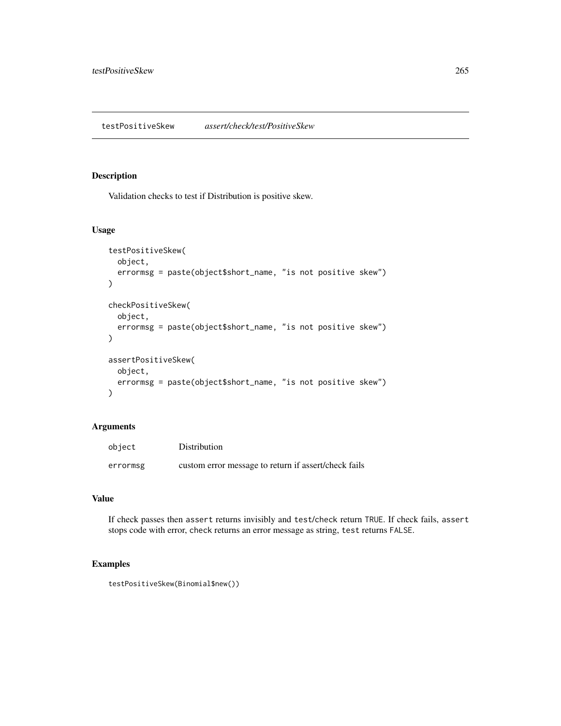# Description

Validation checks to test if Distribution is positive skew.

#### Usage

```
testPositiveSkew(
  object,
  errormsg = paste(object$short_name, "is not positive skew")
\mathcal{L}checkPositiveSkew(
 object,
  errormsg = paste(object$short_name, "is not positive skew")
)
assertPositiveSkew(
 object,
 errormsg = paste(object$short_name, "is not positive skew")
)
```
# Arguments

| object   | Distribution                                         |
|----------|------------------------------------------------------|
| errormsg | custom error message to return if assert/check fails |

# Value

If check passes then assert returns invisibly and test/check return TRUE. If check fails, assert stops code with error, check returns an error message as string, test returns FALSE.

```
testPositiveSkew(Binomial$new())
```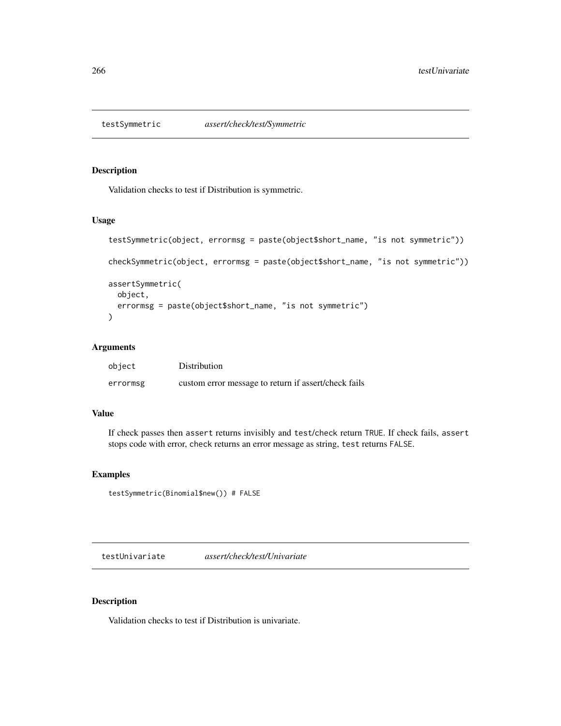# Description

Validation checks to test if Distribution is symmetric.

#### Usage

```
testSymmetric(object, errormsg = paste(object$short_name, "is not symmetric"))
checkSymmetric(object, errormsg = paste(object$short_name, "is not symmetric"))
assertSymmetric(
 object,
 errormsg = paste(object$short_name, "is not symmetric")
)
```
# Arguments

| object   | Distribution                                         |
|----------|------------------------------------------------------|
| errormsg | custom error message to return if assert/check fails |

## Value

If check passes then assert returns invisibly and test/check return TRUE. If check fails, assert stops code with error, check returns an error message as string, test returns FALSE.

# Examples

```
testSymmetric(Binomial$new()) # FALSE
```
testUnivariate *assert/check/test/Univariate*

# Description

Validation checks to test if Distribution is univariate.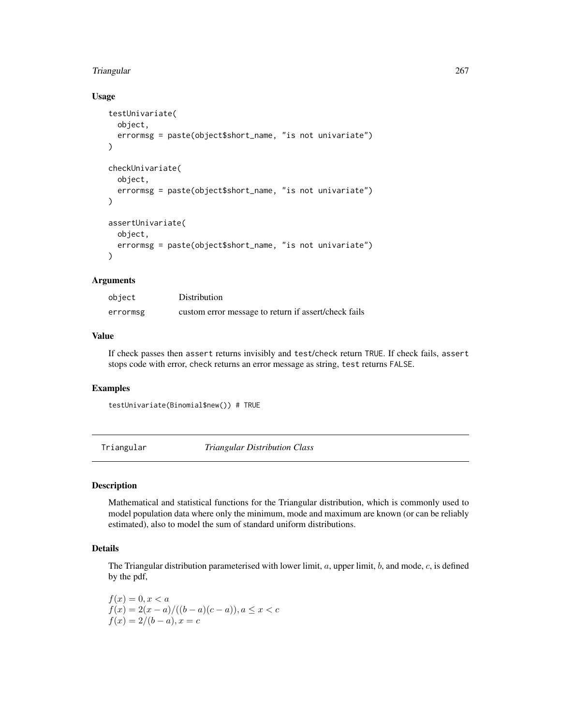# Usage

```
testUnivariate(
  object,
  errormsg = paste(object$short_name, "is not univariate")
)
checkUnivariate(
  object,
  errormsg = paste(object$short_name, "is not univariate")
)
assertUnivariate(
  object,
  errormsg = paste(object$short_name, "is not univariate")
)
```
# Arguments

| object   | Distribution                                         |
|----------|------------------------------------------------------|
| errormsg | custom error message to return if assert/check fails |

## Value

If check passes then assert returns invisibly and test/check return TRUE. If check fails, assert stops code with error, check returns an error message as string, test returns FALSE.

# Examples

```
testUnivariate(Binomial$new()) # TRUE
```
<span id="page-266-0"></span>Triangular *Triangular Distribution Class*

## Description

Mathematical and statistical functions for the Triangular distribution, which is commonly used to model population data where only the minimum, mode and maximum are known (or can be reliably estimated), also to model the sum of standard uniform distributions.

# Details

The Triangular distribution parameterised with lower limit,  $a$ , upper limit,  $b$ , and mode,  $c$ , is defined by the pdf,

 $f(x) = 0, x < a$  $f(x) = 2(x - a) / ((b - a)(c - a)), a \leq x < c$  $f(x) = 2/(b - a), x = c$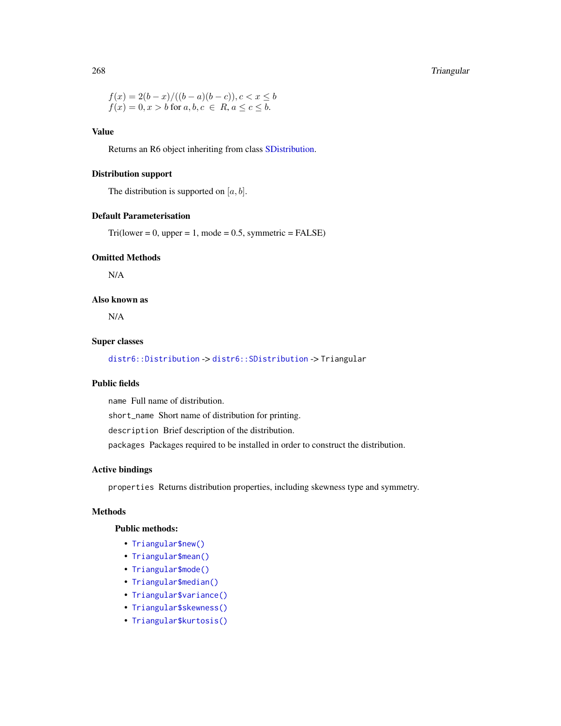$$
f(x) = 2(b - x) / ((b - a)(b - c)), c < x \le b
$$
  

$$
f(x) = 0, x > b \text{ for } a, b, c \in R, a \le c \le b.
$$

# Value

Returns an R6 object inheriting from class [SDistribution.](#page-235-0)

## Distribution support

The distribution is supported on  $[a, b]$ .

#### Default Parameterisation

 $Tri(lower = 0, upper = 1, mode = 0.5, symmetric = FALSE)$ 

# Omitted Methods

N/A

## Also known as

N/A

# Super classes

[distr6::Distribution](#page-0-0) -> [distr6::SDistribution](#page-0-0) -> Triangular

# Public fields

name Full name of distribution.

short\_name Short name of distribution for printing.

description Brief description of the distribution.

packages Packages required to be installed in order to construct the distribution.

# Active bindings

properties Returns distribution properties, including skewness type and symmetry.

# Methods

# Public methods:

- [Triangular\\$new\(\)](#page-7-0)
- [Triangular\\$mean\(\)](#page-7-1)
- [Triangular\\$mode\(\)](#page-8-0)
- [Triangular\\$median\(\)](#page-14-0)
- [Triangular\\$variance\(\)](#page-8-1)
- [Triangular\\$skewness\(\)](#page-8-2)
- [Triangular\\$kurtosis\(\)](#page-8-3)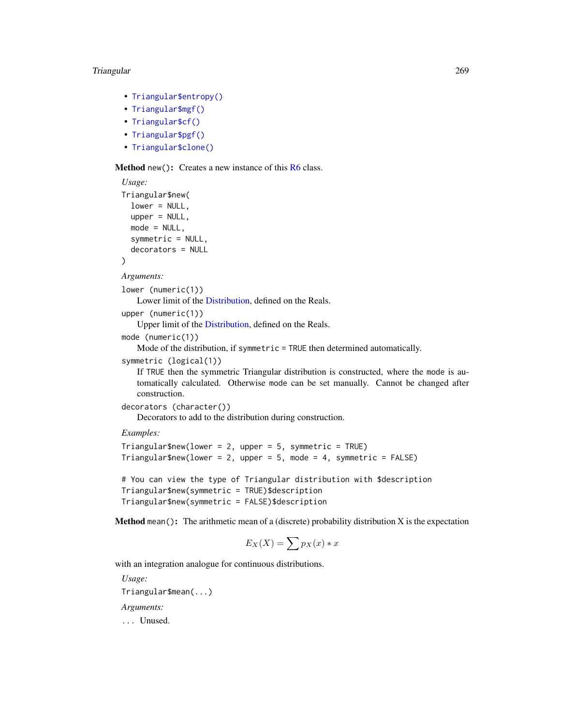- [Triangular\\$entropy\(\)](#page-9-0)
- [Triangular\\$mgf\(\)](#page-15-0)
- [Triangular\\$cf\(\)](#page-15-1)
- [Triangular\\$pgf\(\)](#page-9-1)
- [Triangular\\$clone\(\)](#page-9-2)

## Method new(): Creates a new instance of this [R6](#page-0-0) class.

```
Usage:
Triangular$new(
  lower = NULL,
  upper = NULL,
  mode = NULL,
  symmetric = NULL,
  decorators = NULL
\lambda
```
#### *Arguments:*

lower (numeric(1))

Lower limit of the [Distribution,](#page-67-0) defined on the Reals.

upper (numeric(1))

Upper limit of the [Distribution,](#page-67-0) defined on the Reals.

mode (numeric(1))

Mode of the distribution, if symmetric = TRUE then determined automatically.

```
symmetric (logical(1))
```
If TRUE then the symmetric Triangular distribution is constructed, where the mode is automatically calculated. Otherwise mode can be set manually. Cannot be changed after construction.

```
decorators (character())
```
Decorators to add to the distribution during construction.

*Examples:*

```
Triangular$new(lower = 2, upper = 5, symmetric = TRUE)Triangular$new(lower = 2, upper = 5, mode = 4, symmetric = FALSE)
```

```
# You can view the type of Triangular distribution with $description
Triangular$new(symmetric = TRUE)$description
Triangular$new(symmetric = FALSE)$description
```
**Method** mean(): The arithmetic mean of a (discrete) probability distribution  $X$  is the expectation

$$
E_X(X) = \sum p_X(x) * x
$$

with an integration analogue for continuous distributions.

*Usage:* Triangular\$mean(...) *Arguments:* ... Unused.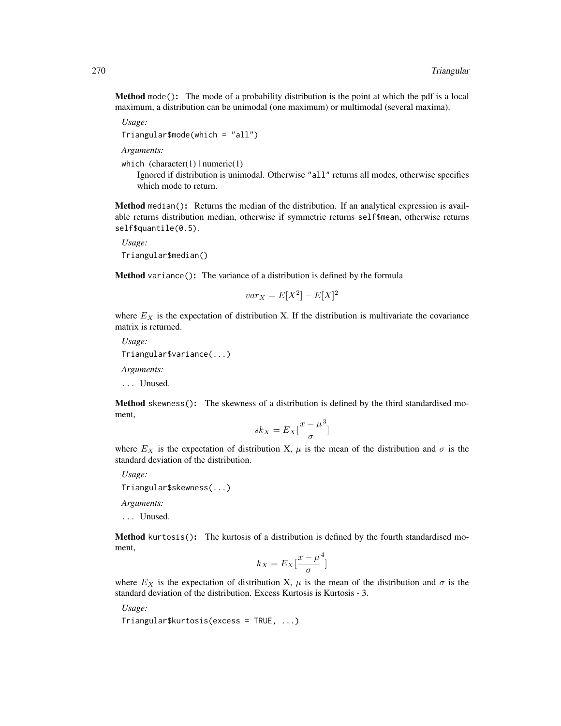Method mode(): The mode of a probability distribution is the point at which the pdf is a local maximum, a distribution can be unimodal (one maximum) or multimodal (several maxima).

```
Usage:
Triangular$mode(which = "all")
```
*Arguments:*

which  $(character(1) | numeric(1))$ 

Ignored if distribution is unimodal. Otherwise "all" returns all modes, otherwise specifies which mode to return.

Method median(): Returns the median of the distribution. If an analytical expression is available returns distribution median, otherwise if symmetric returns self\$mean, otherwise returns self\$quantile(0.5).

*Usage:* Triangular\$median()

Method variance(): The variance of a distribution is defined by the formula

$$
var_X = E[X^2] - E[X]^2
$$

where  $E<sub>X</sub>$  is the expectation of distribution X. If the distribution is multivariate the covariance matrix is returned.

*Usage:* Triangular\$variance(...) *Arguments:* ... Unused.

Method skewness(): The skewness of a distribution is defined by the third standardised moment,

$$
sk_X = E_X \left[ \frac{x - \mu^3}{\sigma} \right]
$$

where  $E_X$  is the expectation of distribution X,  $\mu$  is the mean of the distribution and  $\sigma$  is the standard deviation of the distribution.

*Usage:*

Triangular\$skewness(...)

*Arguments:*

... Unused.

Method kurtosis(): The kurtosis of a distribution is defined by the fourth standardised moment,

$$
k_X = E_X \left[ \frac{x - \mu^4}{\sigma} \right]
$$

where  $E_X$  is the expectation of distribution X,  $\mu$  is the mean of the distribution and  $\sigma$  is the standard deviation of the distribution. Excess Kurtosis is Kurtosis - 3.

*Usage:*

Triangular\$kurtosis(excess = TRUE, ...)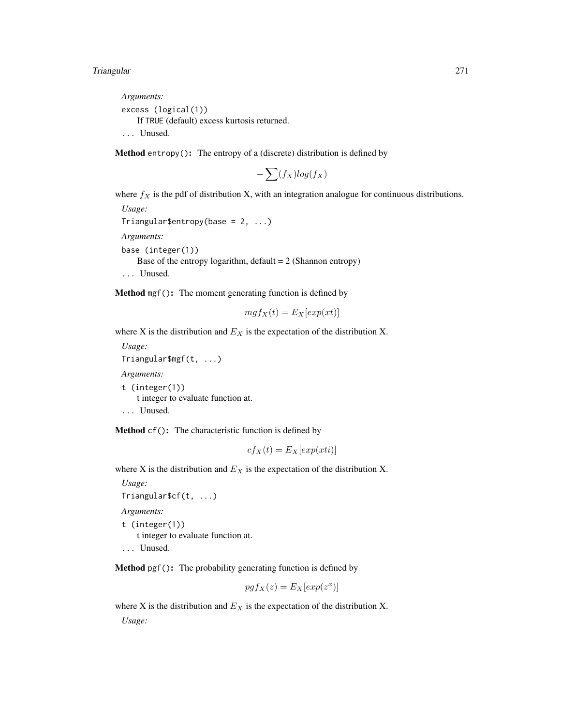*Arguments:* excess (logical(1)) If TRUE (default) excess kurtosis returned. ... Unused.

Method entropy(): The entropy of a (discrete) distribution is defined by

$$
-\sum(f_X)log(f_X)
$$

where  $f_X$  is the pdf of distribution X, with an integration analogue for continuous distributions. *Usage:*

```
Triangular$entropy(base = 2, ...)
Arguments:
base (integer(1))
   Base of the entropy logarithm, default = 2 (Shannon entropy)
... Unused.
```
Method mgf(): The moment generating function is defined by

$$
mgf_X(t) = E_X[exp(xt)]
$$

where X is the distribution and  $E_X$  is the expectation of the distribution X.

*Usage:* Triangular\$mgf(t, ...) *Arguments:* t (integer(1))

t integer to evaluate function at.

```
... Unused.
```
Method cf(): The characteristic function is defined by

$$
cf_X(t) = E_X[exp(xti)]
$$

where X is the distribution and  $E<sub>X</sub>$  is the expectation of the distribution X.

*Usage:*

```
Triangular$cf(t, ...)
```
*Arguments:* t (integer(1)) t integer to evaluate function at.

... Unused.

Method pgf(): The probability generating function is defined by

$$
pgf_X(z) = E_X[exp(z^x)]
$$

where X is the distribution and  $E<sub>X</sub>$  is the expectation of the distribution X. *Usage:*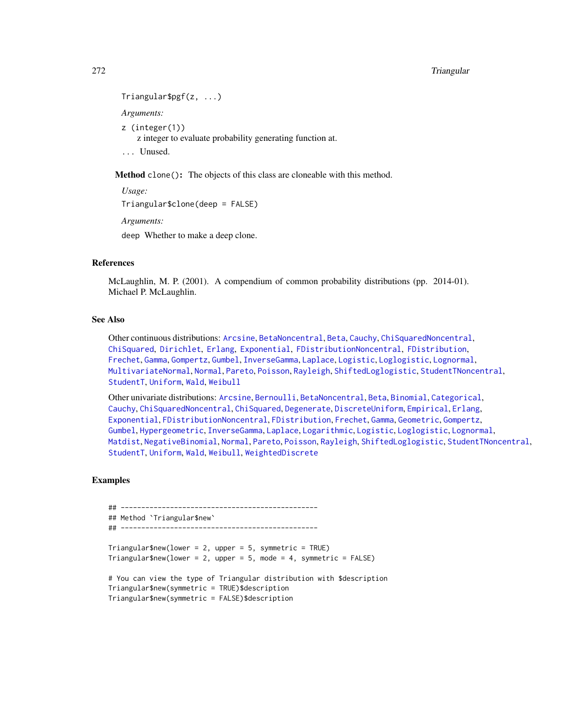#### 272 Triangular Series and the Community of the Community of the Community of the Community of the Community of the Community of the Community of the Community of the Community of the Community of the Community of the Commu

```
Triangular$pgf(z, ...)
Arguments:
z (integer(1))
    z integer to evaluate probability generating function at.
```
... Unused.

Method clone(): The objects of this class are cloneable with this method.

*Usage:*

Triangular\$clone(deep = FALSE)

*Arguments:*

deep Whether to make a deep clone.

## References

McLaughlin, M. P. (2001). A compendium of common probability distributions (pp. 2014-01). Michael P. McLaughlin.

#### See Also

Other continuous distributions: [Arcsine](#page-6-0), [BetaNoncentral](#page-21-0), [Beta](#page-17-0), [Cauchy](#page-34-0), [ChiSquaredNoncentral](#page-43-0), [ChiSquared](#page-38-0), [Dirichlet](#page-59-0), [Erlang](#page-92-0), [Exponential](#page-102-0), [FDistributionNoncentral](#page-110-0), [FDistribution](#page-106-0), [Frechet](#page-113-0), [Gamma](#page-119-0), [Gompertz](#page-129-0), [Gumbel](#page-132-0), [InverseGamma](#page-143-0), [Laplace](#page-149-0), [Logistic](#page-162-0), [Loglogistic](#page-168-0), [Lognormal](#page-172-0), [MultivariateNormal](#page-195-0), [Normal](#page-204-0), [Pareto](#page-211-0), [Poisson](#page-218-0), [Rayleigh](#page-231-0), [ShiftedLoglogistic](#page-236-0), [StudentTNoncentral](#page-249-0), [StudentT](#page-245-0), [Uniform](#page-279-0), [Wald](#page-294-0), [Weibull](#page-298-0)

Other univariate distributions: [Arcsine](#page-6-0), [Bernoulli](#page-12-0), [BetaNoncentral](#page-21-0), [Beta](#page-17-0), [Binomial](#page-23-0), [Categorical](#page-29-0), [Cauchy](#page-34-0), [ChiSquaredNoncentral](#page-43-0), [ChiSquared](#page-38-0), [Degenerate](#page-55-0), [DiscreteUniform](#page-62-0), [Empirical](#page-82-0), [Erlang](#page-92-0), [Exponential](#page-102-0), [FDistributionNoncentral](#page-110-0), [FDistribution](#page-106-0), [Frechet](#page-113-0), [Gamma](#page-119-0), [Geometric](#page-125-0), [Gompertz](#page-129-0), [Gumbel](#page-132-0), [Hypergeometric](#page-139-0), [InverseGamma](#page-143-0), [Laplace](#page-149-0), [Logarithmic](#page-158-0), [Logistic](#page-162-0), [Loglogistic](#page-168-0), [Lognormal](#page-172-0), [Matdist](#page-178-0), [NegativeBinomial](#page-200-0), [Normal](#page-204-0), [Pareto](#page-211-0), [Poisson](#page-218-0), [Rayleigh](#page-231-0), [ShiftedLoglogistic](#page-236-0), [StudentTNoncentral](#page-249-0), [StudentT](#page-245-0), [Uniform](#page-279-0), [Wald](#page-294-0), [Weibull](#page-298-0), [WeightedDiscrete](#page-302-0)

```
## ------------------------------------------------
## Method `Triangular$new`
## ------------------------------------------------
Triangular$new(lower = 2, upper = 5, symmetric = TRUE)Triangular$new(lower = 2, upper = 5, mode = 4, symmetric = FALSE)# You can view the type of Triangular distribution with $description
Triangular$new(symmetric = TRUE)$description
Triangular$new(symmetric = FALSE)$description
```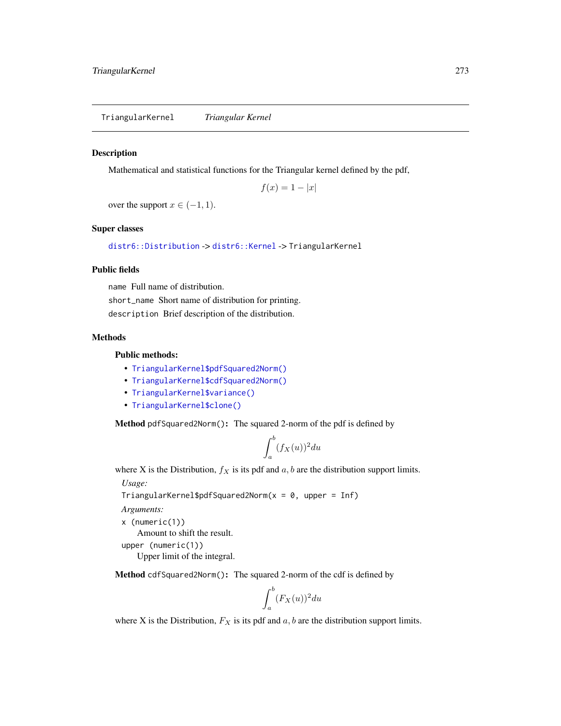<span id="page-272-0"></span>TriangularKernel *Triangular Kernel*

#### Description

Mathematical and statistical functions for the Triangular kernel defined by the pdf,

$$
f(x) = 1 - |x|
$$

over the support  $x \in (-1, 1)$ .

#### Super classes

[distr6::Distribution](#page-0-0) -> [distr6::Kernel](#page-0-0) -> TriangularKernel

#### Public fields

name Full name of distribution.

short\_name Short name of distribution for printing. description Brief description of the distribution.

# Methods

## Public methods:

- [TriangularKernel\\$pdfSquared2Norm\(\)](#page-52-0)
- [TriangularKernel\\$cdfSquared2Norm\(\)](#page-53-0)
- [TriangularKernel\\$variance\(\)](#page-8-1)
- [TriangularKernel\\$clone\(\)](#page-9-2)

Method pdfSquared2Norm(): The squared 2-norm of the pdf is defined by

$$
\int_a^b (f_X(u))^2 du
$$

where X is the Distribution,  $f_X$  is its pdf and  $a, b$  are the distribution support limits.

*Usage:*

```
TriangularKernel$pdfSquared2Norm(x = 0, upper = Inf)
```
*Arguments:*

```
x (numeric(1))
```
Amount to shift the result.

```
upper (numeric(1))
   Upper limit of the integral.
```
Method cdfSquared2Norm(): The squared 2-norm of the cdf is defined by

$$
\int_a^b (F_X(u))^2 du
$$

where X is the Distribution,  $F_X$  is its pdf and  $a, b$  are the distribution support limits.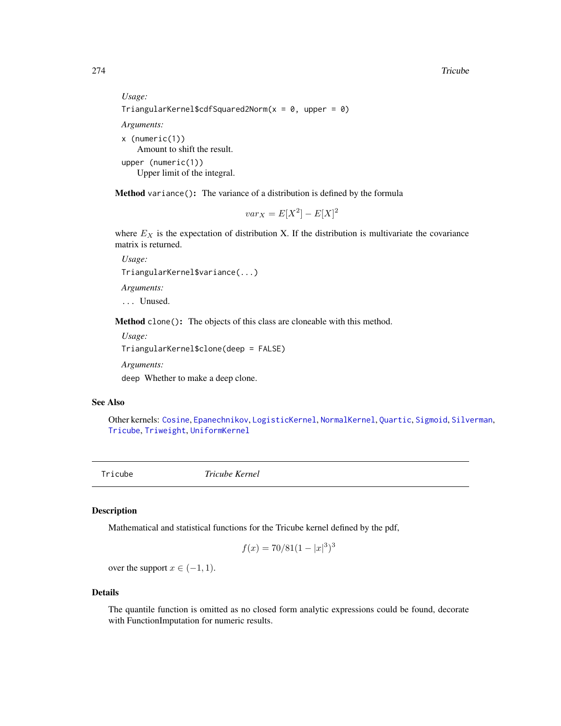274 Tricube

```
Usage:
TriangularKernel$cdfSquared2Norm(x = 0, upper = 0)
Arguments:
x (numeric(1))
   Amount to shift the result.
upper (numeric(1))
   Upper limit of the integral.
```
Method variance(): The variance of a distribution is defined by the formula

$$
var_X = E[X^2] - E[X]^2
$$

where  $E_X$  is the expectation of distribution X. If the distribution is multivariate the covariance matrix is returned.

*Usage:* TriangularKernel\$variance(...) *Arguments:*

... Unused.

Method clone(): The objects of this class are cloneable with this method.

*Usage:* TriangularKernel\$clone(deep = FALSE) *Arguments:* deep Whether to make a deep clone.

## See Also

Other kernels: [Cosine](#page-52-1), [Epanechnikov](#page-90-0), [LogisticKernel](#page-166-0), [NormalKernel](#page-209-0), [Quartic](#page-229-0), [Sigmoid](#page-240-0), [Silverman](#page-242-0), [Tricube](#page-273-0), [Triweight](#page-275-0), [UniformKernel](#page-284-0)

<span id="page-273-0"></span>Tricube *Tricube Kernel*

#### Description

Mathematical and statistical functions for the Tricube kernel defined by the pdf,

$$
f(x) = 70/81(1 - |x|^3)^3
$$

over the support  $x \in (-1, 1)$ .

#### Details

The quantile function is omitted as no closed form analytic expressions could be found, decorate with FunctionImputation for numeric results.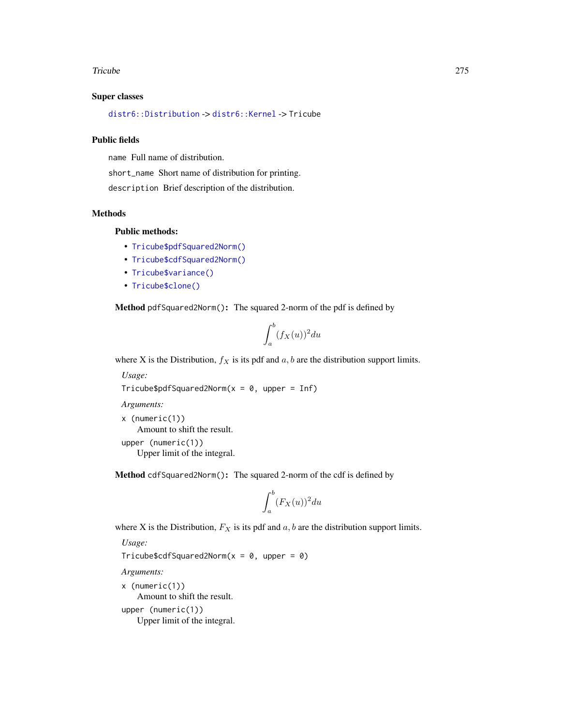#### Tricube 275

## Super classes

[distr6::Distribution](#page-0-0) -> [distr6::Kernel](#page-0-0) -> Tricube

#### Public fields

name Full name of distribution.

short\_name Short name of distribution for printing.

description Brief description of the distribution.

## Methods

# Public methods:

- [Tricube\\$pdfSquared2Norm\(\)](#page-52-0)
- [Tricube\\$cdfSquared2Norm\(\)](#page-53-0)
- [Tricube\\$variance\(\)](#page-8-1)
- [Tricube\\$clone\(\)](#page-9-2)

Method pdfSquared2Norm(): The squared 2-norm of the pdf is defined by

$$
\int_a^b (f_X(u))^2 du
$$

where X is the Distribution,  $f_X$  is its pdf and  $a, b$  are the distribution support limits.

*Usage:*

```
Tricube$pdfSquared2Norm(x = 0, upper = Inf)
```
*Arguments:*

x (numeric(1)) Amount to shift the result. upper (numeric(1)) Upper limit of the integral.

Method cdfSquared2Norm(): The squared 2-norm of the cdf is defined by

$$
\int_a^b (F_X(u))^2 du
$$

where X is the Distribution,  $F_X$  is its pdf and  $a, b$  are the distribution support limits.

*Usage:*

Tricube\$cdfSquared2Norm( $x = 0$ , upper = 0)

*Arguments:*

x (numeric(1)) Amount to shift the result. upper (numeric(1)) Upper limit of the integral.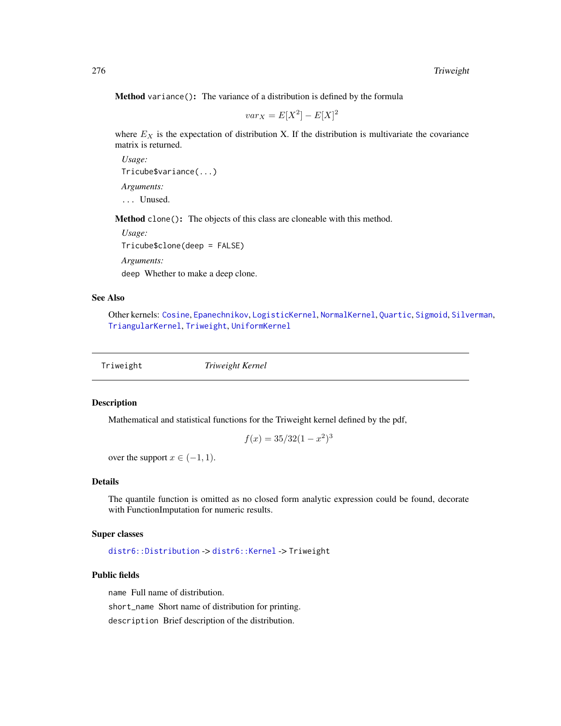Method variance(): The variance of a distribution is defined by the formula

$$
var_X = E[X^2] - E[X]^2
$$

where  $E<sub>X</sub>$  is the expectation of distribution X. If the distribution is multivariate the covariance matrix is returned.

*Usage:* Tricube\$variance(...) *Arguments:* ... Unused.

Method clone(): The objects of this class are cloneable with this method.

*Usage:* Tricube\$clone(deep = FALSE)

*Arguments:*

deep Whether to make a deep clone.

# See Also

Other kernels: [Cosine](#page-52-1), [Epanechnikov](#page-90-0), [LogisticKernel](#page-166-0), [NormalKernel](#page-209-0), [Quartic](#page-229-0), [Sigmoid](#page-240-0), [Silverman](#page-242-0), [TriangularKernel](#page-272-0), [Triweight](#page-275-0), [UniformKernel](#page-284-0)

<span id="page-275-0"></span>Triweight *Triweight Kernel*

## Description

Mathematical and statistical functions for the Triweight kernel defined by the pdf,

$$
f(x) = 35/32(1 - x^2)^3
$$

over the support  $x \in (-1, 1)$ .

#### Details

The quantile function is omitted as no closed form analytic expression could be found, decorate with FunctionImputation for numeric results.

#### Super classes

[distr6::Distribution](#page-0-0) -> [distr6::Kernel](#page-0-0) -> Triweight

## Public fields

name Full name of distribution.

short\_name Short name of distribution for printing.

description Brief description of the distribution.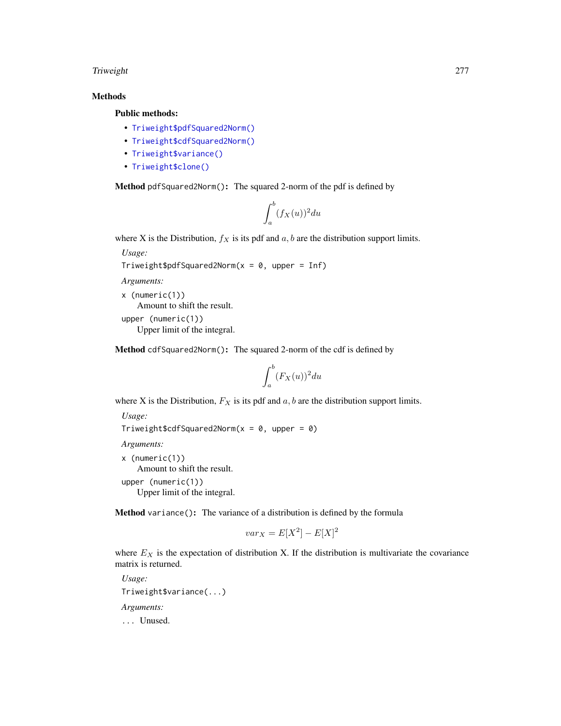## Triweight 277

# Methods

## Public methods:

- [Triweight\\$pdfSquared2Norm\(\)](#page-52-0)
- [Triweight\\$cdfSquared2Norm\(\)](#page-53-0)
- [Triweight\\$variance\(\)](#page-8-1)
- [Triweight\\$clone\(\)](#page-9-2)

Method pdfSquared2Norm(): The squared 2-norm of the pdf is defined by

$$
\int_a^b (f_X(u))^2 du
$$

where X is the Distribution,  $f_X$  is its pdf and  $a, b$  are the distribution support limits.

*Usage:*

```
Triweight$pdfSquared2Norm(x = 0, upper = Inf)
```
*Arguments:*

```
x (numeric(1))
   Amount to shift the result.
upper (numeric(1))
   Upper limit of the integral.
```
Method cdfSquared2Norm(): The squared 2-norm of the cdf is defined by

$$
\int_a^b (F_X(u))^2 du
$$

where X is the Distribution,  $F_X$  is its pdf and  $a, b$  are the distribution support limits.

*Usage:*

Triweight\$cdfSquared2Norm( $x = 0$ , upper = 0)

*Arguments:*

```
x (numeric(1))
```
Amount to shift the result.

upper (numeric(1)) Upper limit of the integral.

Method variance(): The variance of a distribution is defined by the formula

$$
var_X = E[X^2] - E[X]^2
$$

where  $E<sub>X</sub>$  is the expectation of distribution X. If the distribution is multivariate the covariance matrix is returned.

```
Usage:
Triweight$variance(...)
Arguments:
... Unused.
```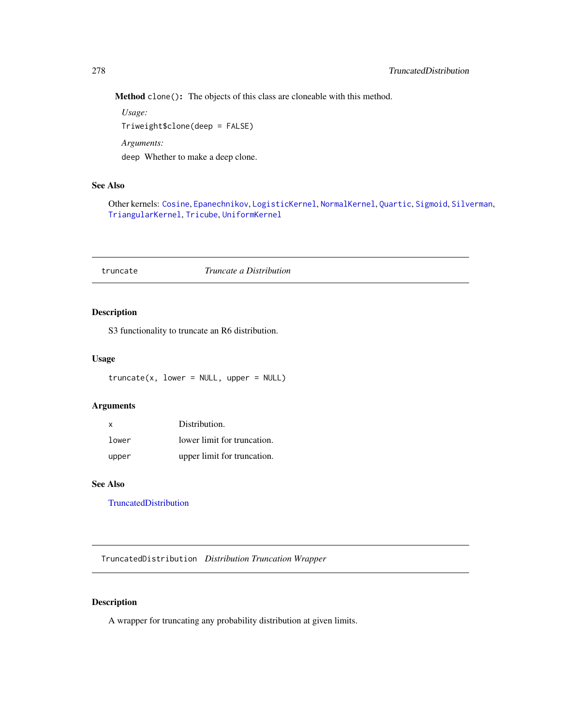Method clone(): The objects of this class are cloneable with this method.

*Usage:* Triweight\$clone(deep = FALSE) *Arguments:* deep Whether to make a deep clone.

## See Also

Other kernels: [Cosine](#page-52-1), [Epanechnikov](#page-90-0), [LogisticKernel](#page-166-0), [NormalKernel](#page-209-0), [Quartic](#page-229-0), [Sigmoid](#page-240-0), [Silverman](#page-242-0), [TriangularKernel](#page-272-0), [Tricube](#page-273-0), [UniformKernel](#page-284-0)

## truncate *Truncate a Distribution*

# Description

S3 functionality to truncate an R6 distribution.

## Usage

```
truncated(x, lower = NULL, upper = NULL)
```
## Arguments

| x     | Distribution.               |
|-------|-----------------------------|
| lower | lower limit for truncation. |
| upper | upper limit for truncation. |

## See Also

[TruncatedDistribution](#page-277-0)

<span id="page-277-0"></span>TruncatedDistribution *Distribution Truncation Wrapper*

# Description

A wrapper for truncating any probability distribution at given limits.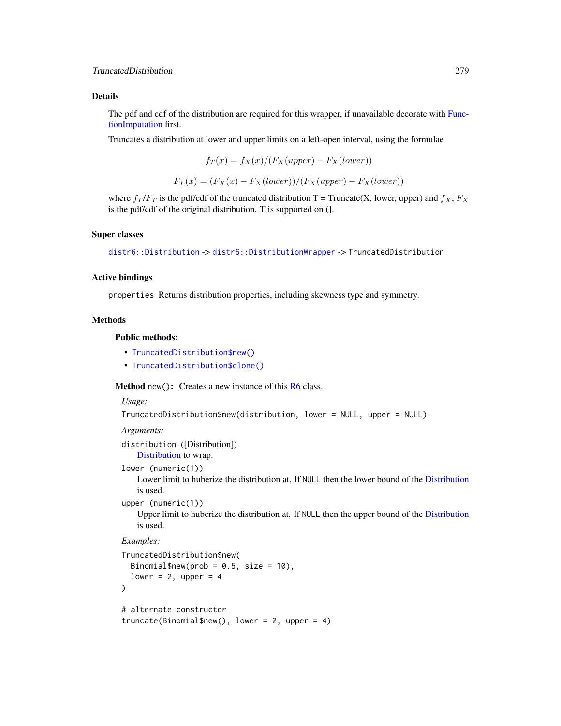## Details

The pdf and cdf of the distribution are required for this wrapper, if unavailable decorate with [Func](#page-117-0)[tionImputation](#page-117-0) first.

Truncates a distribution at lower and upper limits on a left-open interval, using the formulae

$$
f_T(x) = f_X(x)/(F_X(upper) - F_X(lower))
$$

$$
F_T(x) = (F_X(x) - F_X(lower))/(F_X(upper) - F_X(lower))
$$

where  $f_T / F_T$  is the pdf/cdf of the truncated distribution T = Truncate(X, lower, upper) and  $f_X$ ,  $F_X$ is the pdf/cdf of the original distribution. T is supported on (].

## Super classes

[distr6::Distribution](#page-0-0) -> [distr6::DistributionWrapper](#page-0-0) -> TruncatedDistribution

## Active bindings

properties Returns distribution properties, including skewness type and symmetry.

## **Methods**

## Public methods:

- [TruncatedDistribution\\$new\(\)](#page-7-0)
- [TruncatedDistribution\\$clone\(\)](#page-9-2)

#### **Method** new( $)$ : Creates a new instance of this  $R6$  class.

#### *Usage:*

```
TruncatedDistribution$new(distribution, lower = NULL, upper = NULL)
```
*Arguments:*

```
distribution ([Distribution])
    Distribution to wrap.
```

```
lower (numeric(1))
```
Lower limit to huberize the distribution at. If NULL then the lower bound of the [Distribution](#page-67-0) is used.

```
upper (numeric(1))
```
Upper limit to huberize the distribution at. If NULL then the upper bound of the [Distribution](#page-67-0) is used.

```
TruncatedDistribution$new(
 Binomial$new(prob = 0.5, size = 10),
  lower = 2, upper = 4\lambda# alternate constructor
truncate(Binomial$new(), lower = 2, upper = 4)
```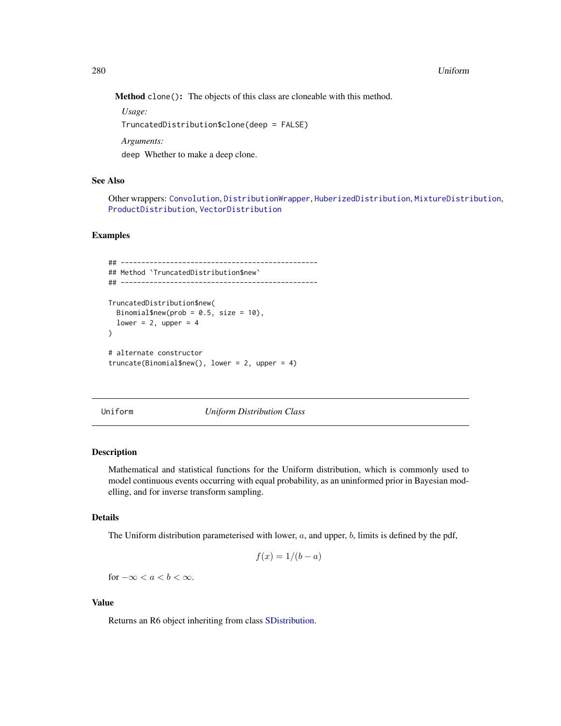#### 280 Uniform 2008 Uniform 2008 Uniform 2008 Uniform 2008 Uniform 2008 Uniform 2008 Uniform 2008 Uniform 2008 Uniform 2008 Uniform 2008 Uniform 2008 Uniform 2008 Uniform 2008 Uniform 2008 Uniform 2008 Uniform 2008 Uniform 20

Method clone(): The objects of this class are cloneable with this method.

*Usage:*

TruncatedDistribution\$clone(deep = FALSE)

*Arguments:*

deep Whether to make a deep clone.

# See Also

Other wrappers: [Convolution](#page-47-0), [DistributionWrapper](#page-78-0), [HuberizedDistribution](#page-137-0), [MixtureDistribution](#page-184-0), [ProductDistribution](#page-222-0), [VectorDistribution](#page-285-0)

## Examples

```
## ------------------------------------------------
## Method `TruncatedDistribution$new`
## ------------------------------------------------
TruncatedDistribution$new(
 Binomial$new(prob = 0.5, size = 10),
 lower = 2, upper = 4\mathcal{L}# alternate constructor
truncate(Binomial$new(), lower = 2, upper = 4)
```
<span id="page-279-0"></span>Uniform *Uniform Distribution Class*

#### Description

Mathematical and statistical functions for the Uniform distribution, which is commonly used to model continuous events occurring with equal probability, as an uninformed prior in Bayesian modelling, and for inverse transform sampling.

## Details

The Uniform distribution parameterised with lower,  $a$ , and upper,  $b$ , limits is defined by the pdf,

$$
f(x) = 1/(b - a)
$$

for  $-\infty < a < b < \infty$ .

#### Value

Returns an R6 object inheriting from class [SDistribution.](#page-235-0)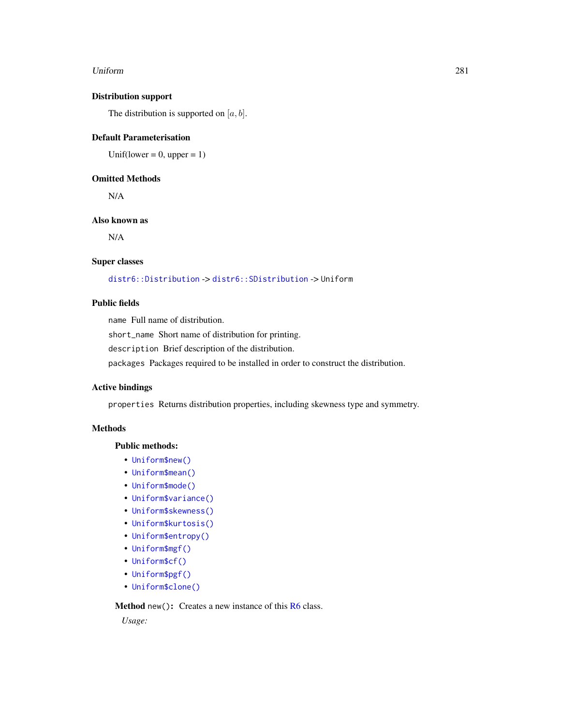#### Uniform 281

# Distribution support

The distribution is supported on  $[a, b]$ .

#### Default Parameterisation

Unif(lower =  $0$ , upper = 1)

## Omitted Methods

N/A

## Also known as

N/A

## Super classes

[distr6::Distribution](#page-0-0) -> [distr6::SDistribution](#page-0-0) -> Uniform

## Public fields

name Full name of distribution.

short\_name Short name of distribution for printing.

description Brief description of the distribution.

packages Packages required to be installed in order to construct the distribution.

# Active bindings

properties Returns distribution properties, including skewness type and symmetry.

## **Methods**

#### Public methods:

- [Uniform\\$new\(\)](#page-7-0)
- [Uniform\\$mean\(\)](#page-7-1)
- [Uniform\\$mode\(\)](#page-8-0)
- [Uniform\\$variance\(\)](#page-8-1)
- [Uniform\\$skewness\(\)](#page-8-2)
- [Uniform\\$kurtosis\(\)](#page-8-3)
- [Uniform\\$entropy\(\)](#page-9-0)
- [Uniform\\$mgf\(\)](#page-15-0)
- [Uniform\\$cf\(\)](#page-15-1)
- [Uniform\\$pgf\(\)](#page-9-1)
- [Uniform\\$clone\(\)](#page-9-2)

Method new(): Creates a new instance of this [R6](#page-0-0) class.

*Usage:*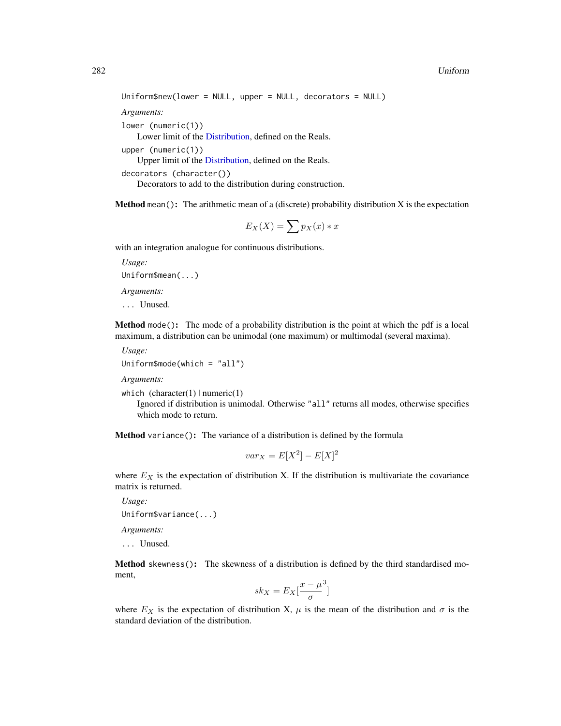```
Uniform$new(lower = NULL, upper = NULL, decorators = NULL)
Arguments:
lower (numeric(1))
    Lower limit of the Distribution, defined on the Reals.
upper (numeric(1))
    Upper limit of the Distribution, defined on the Reals.
decorators (character())
    Decorators to add to the distribution during construction.
```
**Method** mean(): The arithmetic mean of a (discrete) probability distribution  $X$  is the expectation

$$
E_X(X) = \sum p_X(x) * x
$$

with an integration analogue for continuous distributions.

*Usage:* Uniform\$mean(...) *Arguments:*

... Unused.

Method mode(): The mode of a probability distribution is the point at which the pdf is a local maximum, a distribution can be unimodal (one maximum) or multimodal (several maxima).

*Usage:*

Uniform\$mode(which = "all")

*Arguments:*

which  $(character(1) | numeric(1))$ 

Ignored if distribution is unimodal. Otherwise "all" returns all modes, otherwise specifies which mode to return.

Method variance(): The variance of a distribution is defined by the formula

$$
var_X = E[X^2] - E[X]^2
$$

where  $E<sub>X</sub>$  is the expectation of distribution X. If the distribution is multivariate the covariance matrix is returned.

*Usage:* Uniform\$variance(...)

*Arguments:*

... Unused.

Method skewness(): The skewness of a distribution is defined by the third standardised moment,

$$
sk_X = E_X \left[ \frac{x - \mu^3}{\sigma} \right]
$$

where  $E_X$  is the expectation of distribution X,  $\mu$  is the mean of the distribution and  $\sigma$  is the standard deviation of the distribution.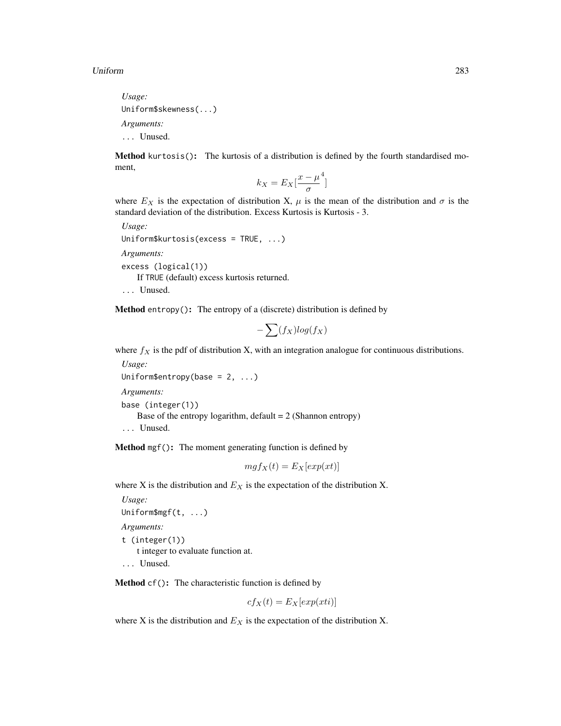*Usage:* Uniform\$skewness(...) *Arguments:* ... Unused.

Method kurtosis(): The kurtosis of a distribution is defined by the fourth standardised moment,

$$
k_X = E_X \left[ \frac{x - \mu^4}{\sigma} \right]
$$

where  $E_X$  is the expectation of distribution X,  $\mu$  is the mean of the distribution and  $\sigma$  is the standard deviation of the distribution. Excess Kurtosis is Kurtosis - 3.

*Usage:* Uniform\$kurtosis(excess = TRUE, ...) *Arguments:* excess (logical(1)) If TRUE (default) excess kurtosis returned.

... Unused.

**Method** entropy(): The entropy of a (discrete) distribution is defined by

$$
-\sum(f_X)log(f_X)
$$

where  $f_X$  is the pdf of distribution X, with an integration analogue for continuous distributions.

*Usage:* Uniform\$entropy(base =  $2, ...$ )

*Arguments:*

```
base (integer(1))
```
Base of the entropy logarithm, default  $= 2$  (Shannon entropy)

```
... Unused.
```
Method mgf(): The moment generating function is defined by

$$
mgf_X(t) = E_X[exp(xt)]
$$

where X is the distribution and  $E<sub>X</sub>$  is the expectation of the distribution X.

```
Usage:
Uniform$mgf(t, ...)
Arguments:
t (integer(1))
    t integer to evaluate function at.
... Unused.
```
Method cf(): The characteristic function is defined by

$$
cf_X(t) = E_X[exp(xti)]
$$

where X is the distribution and  $E<sub>X</sub>$  is the expectation of the distribution X.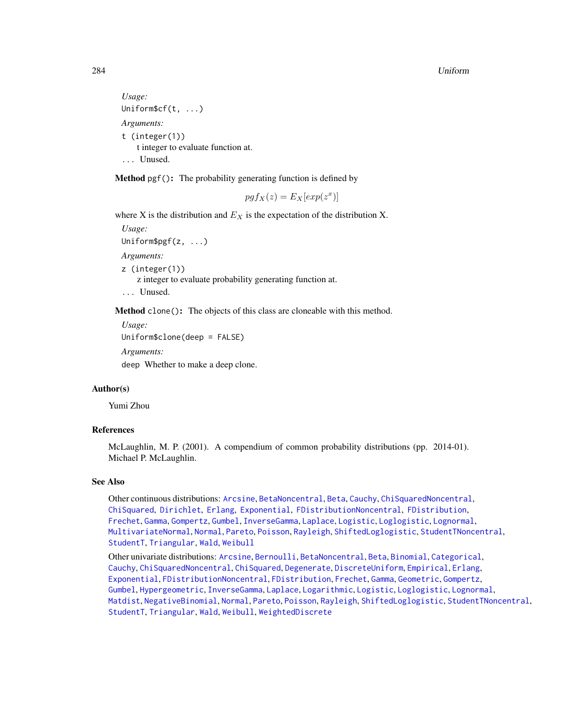#### 284 Uniform

```
Usage:
Uniform$cf(t, ...)
Arguments:
t (integer(1))
    t integer to evaluate function at.
... Unused.
```
Method pgf(): The probability generating function is defined by

$$
pgf_X(z) = E_X[exp(z^x)]
$$

where X is the distribution and  $E<sub>X</sub>$  is the expectation of the distribution X.

*Usage:* Uniform\$pgf(z, ...) *Arguments:* z (integer(1)) z integer to evaluate probability generating function at. ... Unused.

Method clone(): The objects of this class are cloneable with this method.

```
Usage:
Uniform$clone(deep = FALSE)
Arguments:
deep Whether to make a deep clone.
```
#### Author(s)

Yumi Zhou

# References

McLaughlin, M. P. (2001). A compendium of common probability distributions (pp. 2014-01). Michael P. McLaughlin.

## See Also

Other continuous distributions: [Arcsine](#page-6-0), [BetaNoncentral](#page-21-0), [Beta](#page-17-0), [Cauchy](#page-34-0), [ChiSquaredNoncentral](#page-43-0), [ChiSquared](#page-38-0), [Dirichlet](#page-59-0), [Erlang](#page-92-0), [Exponential](#page-102-0), [FDistributionNoncentral](#page-110-0), [FDistribution](#page-106-0), [Frechet](#page-113-0), [Gamma](#page-119-0), [Gompertz](#page-129-0), [Gumbel](#page-132-0), [InverseGamma](#page-143-0), [Laplace](#page-149-0), [Logistic](#page-162-0), [Loglogistic](#page-168-0), [Lognormal](#page-172-0), [MultivariateNormal](#page-195-0), [Normal](#page-204-0), [Pareto](#page-211-0), [Poisson](#page-218-0), [Rayleigh](#page-231-0), [ShiftedLoglogistic](#page-236-0), [StudentTNoncentral](#page-249-0), [StudentT](#page-245-0), [Triangular](#page-266-0), [Wald](#page-294-0), [Weibull](#page-298-0)

Other univariate distributions: [Arcsine](#page-6-0), [Bernoulli](#page-12-0), [BetaNoncentral](#page-21-0), [Beta](#page-17-0), [Binomial](#page-23-0), [Categorical](#page-29-0), [Cauchy](#page-34-0), [ChiSquaredNoncentral](#page-43-0), [ChiSquared](#page-38-0), [Degenerate](#page-55-0), [DiscreteUniform](#page-62-0), [Empirical](#page-82-0), [Erlang](#page-92-0), [Exponential](#page-102-0), [FDistributionNoncentral](#page-110-0), [FDistribution](#page-106-0), [Frechet](#page-113-0), [Gamma](#page-119-0), [Geometric](#page-125-0), [Gompertz](#page-129-0), [Gumbel](#page-132-0), [Hypergeometric](#page-139-0), [InverseGamma](#page-143-0), [Laplace](#page-149-0), [Logarithmic](#page-158-0), [Logistic](#page-162-0), [Loglogistic](#page-168-0), [Lognormal](#page-172-0), [Matdist](#page-178-0), [NegativeBinomial](#page-200-0), [Normal](#page-204-0), [Pareto](#page-211-0), [Poisson](#page-218-0), [Rayleigh](#page-231-0), [ShiftedLoglogistic](#page-236-0), [StudentTNoncentral](#page-249-0), [StudentT](#page-245-0), [Triangular](#page-266-0), [Wald](#page-294-0), [Weibull](#page-298-0), [WeightedDiscrete](#page-302-0)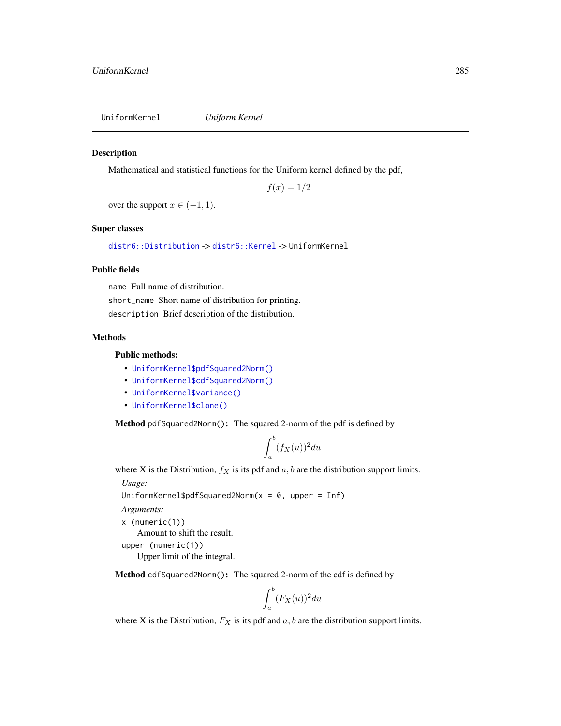<span id="page-284-0"></span>UniformKernel *Uniform Kernel*

#### Description

Mathematical and statistical functions for the Uniform kernel defined by the pdf,

 $f(x) = 1/2$ 

over the support  $x \in (-1, 1)$ .

#### Super classes

[distr6::Distribution](#page-0-0) -> [distr6::Kernel](#page-0-0) -> UniformKernel

# Public fields

name Full name of distribution.

short\_name Short name of distribution for printing. description Brief description of the distribution.

# Methods

## Public methods:

- [UniformKernel\\$pdfSquared2Norm\(\)](#page-52-0)
- [UniformKernel\\$cdfSquared2Norm\(\)](#page-53-0)
- [UniformKernel\\$variance\(\)](#page-8-1)
- [UniformKernel\\$clone\(\)](#page-9-2)

Method pdfSquared2Norm(): The squared 2-norm of the pdf is defined by

$$
\int_a^b (f_X(u))^2 du
$$

where X is the Distribution,  $f_X$  is its pdf and  $a, b$  are the distribution support limits.

*Usage:*

```
UniformKernel$pdfSquared2Norm(x = 0, upper = Inf)
```
*Arguments:*

```
x (numeric(1))
```
Amount to shift the result.

```
upper (numeric(1))
   Upper limit of the integral.
```
Method cdfSquared2Norm(): The squared 2-norm of the cdf is defined by

$$
\int_a^b (F_X(u))^2 du
$$

where X is the Distribution,  $F_X$  is its pdf and  $a, b$  are the distribution support limits.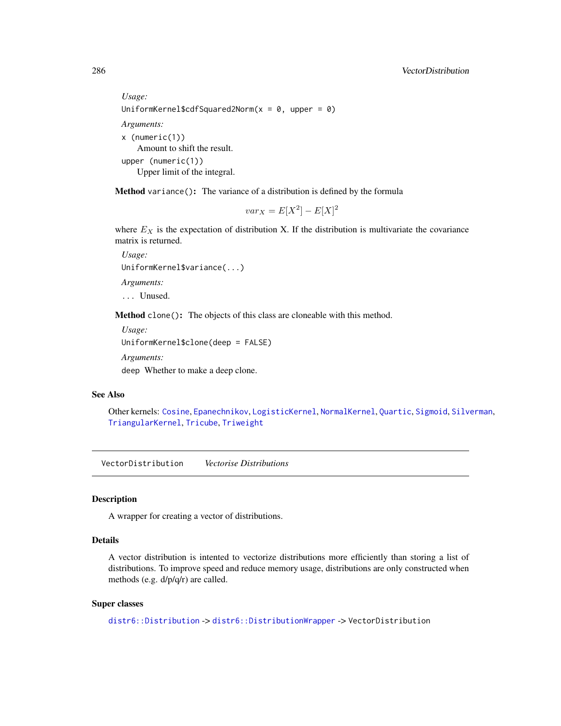```
Usage:
UniformKernel$cdfSquared2Norm(x = 0, upper = 0)
Arguments:
x (numeric(1))
   Amount to shift the result.
upper (numeric(1))
   Upper limit of the integral.
```
Method variance(): The variance of a distribution is defined by the formula

$$
var_X = E[X^2] - E[X]^2
$$

where  $E<sub>X</sub>$  is the expectation of distribution X. If the distribution is multivariate the covariance matrix is returned.

*Usage:* UniformKernel\$variance(...) *Arguments:* ... Unused.

Method clone(): The objects of this class are cloneable with this method.

```
Usage:
UniformKernel$clone(deep = FALSE)
Arguments:
```
deep Whether to make a deep clone.

# See Also

Other kernels: [Cosine](#page-52-1), [Epanechnikov](#page-90-0), [LogisticKernel](#page-166-0), [NormalKernel](#page-209-0), [Quartic](#page-229-0), [Sigmoid](#page-240-0), [Silverman](#page-242-0), [TriangularKernel](#page-272-0), [Tricube](#page-273-0), [Triweight](#page-275-0)

<span id="page-285-0"></span>VectorDistribution *Vectorise Distributions*

# **Description**

A wrapper for creating a vector of distributions.

# Details

A vector distribution is intented to vectorize distributions more efficiently than storing a list of distributions. To improve speed and reduce memory usage, distributions are only constructed when methods (e.g. d/p/q/r) are called.

## Super classes

[distr6::Distribution](#page-0-0) -> [distr6::DistributionWrapper](#page-0-0) -> VectorDistribution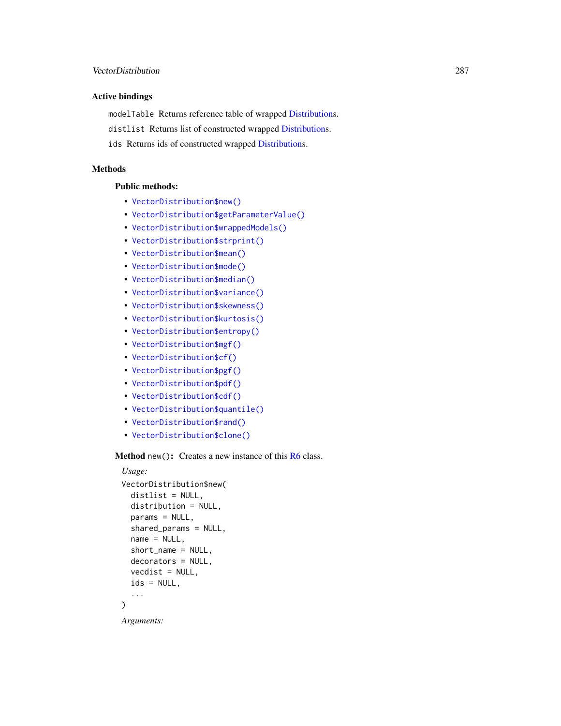# Active bindings

modelTable Returns reference table of wrapped [Distributions](#page-67-0).

distlist Returns list of constructed wrapped [Distributions](#page-67-0).

ids Returns ids of constructed wrapped [Distributions](#page-67-0).

## **Methods**

## Public methods:

- [VectorDistribution\\$new\(\)](#page-7-0)
- [VectorDistribution\\$getParameterValue\(\)](#page-71-0)
- [VectorDistribution\\$wrappedModels\(\)](#page-80-0)
- [VectorDistribution\\$strprint\(\)](#page-70-0)
- [VectorDistribution\\$mean\(\)](#page-7-1)
- [VectorDistribution\\$mode\(\)](#page-8-0)
- [VectorDistribution\\$median\(\)](#page-14-0)
- [VectorDistribution\\$variance\(\)](#page-8-1)
- [VectorDistribution\\$skewness\(\)](#page-8-2)
- [VectorDistribution\\$kurtosis\(\)](#page-8-3)
- [VectorDistribution\\$entropy\(\)](#page-9-0)
- [VectorDistribution\\$mgf\(\)](#page-15-0)
- [VectorDistribution\\$cf\(\)](#page-15-1)
- [VectorDistribution\\$pgf\(\)](#page-9-1)
- [VectorDistribution\\$pdf\(\)](#page-71-1)
- [VectorDistribution\\$cdf\(\)](#page-72-0)
- [VectorDistribution\\$quantile\(\)](#page-73-0)
- [VectorDistribution\\$rand\(\)](#page-74-0)
- [VectorDistribution\\$clone\(\)](#page-9-2)

Method new(): Creates a new instance of this [R6](#page-0-0) class.

```
Usage:
VectorDistribution$new(
  distlist = NULL,
  distribution = NULL,
  params = NULL,
  shared_params = NULL,
  name = NULL,short_name = NULL,
  decorators = NULL,
  vectors = NULL,ids = NULL,...
)
Arguments:
```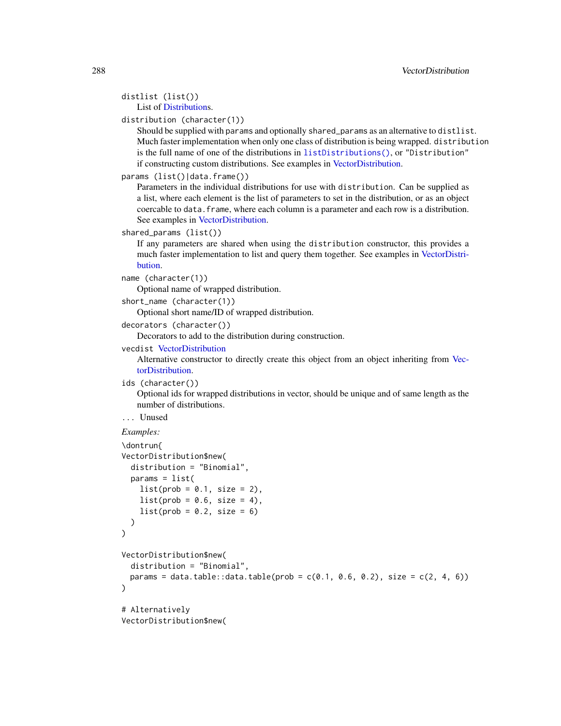```
distlist (list())
   List of Distributions.
```
#### distribution (character(1))

Should be supplied with params and optionally shared\_params as an alternative to distlist. Much faster implementation when only one class of distribution is being wrapped. distribution is the full name of one of the distributions in [listDistributions\(\)](#page-156-0), or "Distribution" if constructing custom distributions. See examples in [VectorDistribution.](#page-285-0)

```
params (list()|data.frame())
```
Parameters in the individual distributions for use with distribution. Can be supplied as a list, where each element is the list of parameters to set in the distribution, or as an object coercable to data.frame, where each column is a parameter and each row is a distribution. See examples in [VectorDistribution.](#page-285-0)

```
shared_params (list())
```
If any parameters are shared when using the distribution constructor, this provides a much faster implementation to list and query them together. See examples in [VectorDistri](#page-285-0)[bution.](#page-285-0)

```
name (character(1))
```
Optional name of wrapped distribution.

```
short_name (character(1))
```
Optional short name/ID of wrapped distribution.

```
decorators (character())
```
Decorators to add to the distribution during construction.

```
vecdist VectorDistribution
```
Alternative constructor to directly create this object from an object inheriting from [Vec](#page-285-0)[torDistribution.](#page-285-0)

```
ids (character())
```
Optional ids for wrapped distributions in vector, should be unique and of same length as the number of distributions.

```
... Unused
```

```
\dontrun{
VectorDistribution$new(
 distribution = "Binomial",
 params = list(list(prob = 0.1, size = 2),list(prob = 0.6, size = 4),
   list(prob = 0.2, size = 6))
)
VectorDistribution$new(
 distribution = "Binomial",
 params = data.table::data.table(prob = c(0.1, 0.6, 0.2), size = c(2, 4, 6)))
# Alternatively
VectorDistribution$new(
```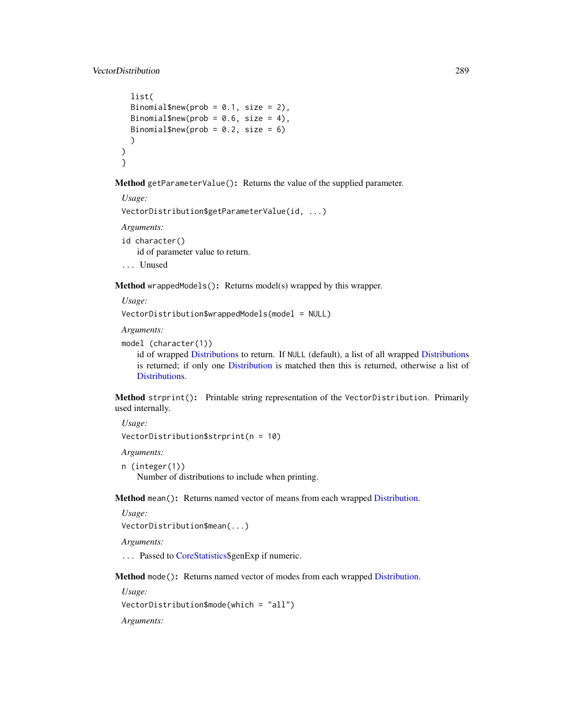```
list(
 Binomial$new(prob = 0.1, size = 2),
 Binomial$new(prob = 0.6, size = 4),
 Binomial$new(prob = 0.2, size = 6)
  )
)
}
```
Method getParameterValue(): Returns the value of the supplied parameter.

```
Usage:
VectorDistribution$getParameterValue(id, ...)
Arguments:
id character()
   id of parameter value to return.
... Unused
```
Method wrappedModels(): Returns model(s) wrapped by this wrapper.

*Usage:* VectorDistribution\$wrappedModels(model = NULL)

*Arguments:*

```
model (character(1))
```
id of wrapped [Distributions](#page-67-0) to return. If NULL (default), a list of all wrapped [Distributions](#page-67-0) is returned; if only one [Distribution](#page-67-0) is matched then this is returned, otherwise a list of [Distributions](#page-67-0).

Method strprint(): Printable string representation of the VectorDistribution. Primarily used internally.

*Usage:*

VectorDistribution\$strprint(n = 10)

*Arguments:*

```
n (integer(1))
```
Number of distributions to include when printing.

Method mean(): Returns named vector of means from each wrapped [Distribution.](#page-67-0)

```
Usage:
VectorDistribution$mean(...)
```
*Arguments:*

... Passed to [CoreStatistics\\$](#page-48-0)genExp if numeric.

Method mode(): Returns named vector of modes from each wrapped [Distribution.](#page-67-0)

*Usage:*

```
VectorDistribution$mode(which = "all")
```
*Arguments:*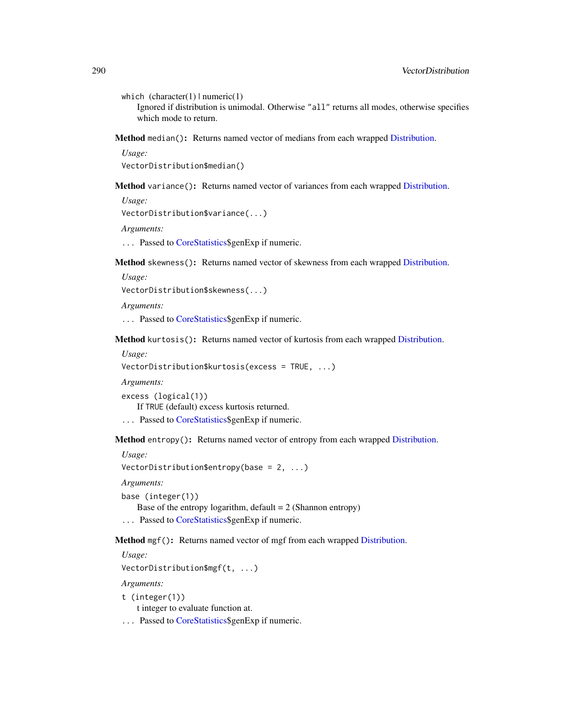which  $(character(1) | numeric(1))$ 

Ignored if distribution is unimodal. Otherwise "all" returns all modes, otherwise specifies which mode to return.

Method median(): Returns named vector of medians from each wrapped [Distribution.](#page-67-0)

*Usage:* VectorDistribution\$median()

Method variance(): Returns named vector of variances from each wrapped [Distribution.](#page-67-0)

*Usage:*

```
VectorDistribution$variance(...)
```
*Arguments:*

... Passed to [CoreStatistics\\$](#page-48-0)genExp if numeric.

Method skewness(): Returns named vector of skewness from each wrapped [Distribution.](#page-67-0)

*Usage:*

VectorDistribution\$skewness(...)

*Arguments:*

... Passed to [CoreStatistics\\$](#page-48-0)genExp if numeric.

Method kurtosis(): Returns named vector of kurtosis from each wrapped [Distribution.](#page-67-0)

*Usage:*

VectorDistribution\$kurtosis(excess = TRUE, ...)

*Arguments:*

excess (logical(1)) If TRUE (default) excess kurtosis returned. ... Passed to [CoreStatistics\\$](#page-48-0)genExp if numeric.

Method entropy(): Returns named vector of entropy from each wrapped [Distribution.](#page-67-0)

*Usage:*

VectorDistribution\$entropy(base = 2, ...)

*Arguments:*

```
base (integer(1))
```
Base of the entropy logarithm, default  $= 2$  (Shannon entropy)

... Passed to [CoreStatistics\\$](#page-48-0)genExp if numeric.

Method mgf(): Returns named vector of mgf from each wrapped [Distribution.](#page-67-0)

*Usage:*

```
VectorDistribution$mgf(t, ...)
```
*Arguments:*

```
t (integer(1))
```
t integer to evaluate function at.

... Passed to [CoreStatistics\\$](#page-48-0)genExp if numeric.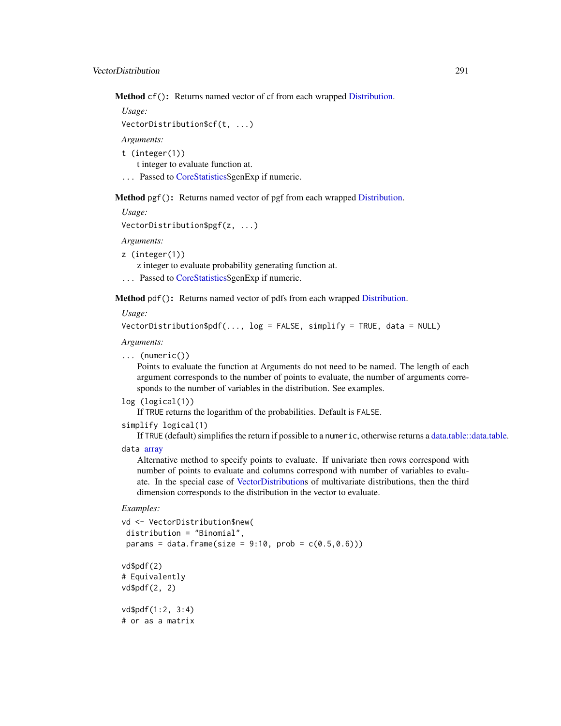<span id="page-290-0"></span>Method cf(): Returns named vector of cf from each wrapped [Distribution.](#page-67-0)

```
Usage:
VectorDistribution$cf(t, ...)
Arguments:
t (integer(1))
    t integer to evaluate function at.
... Passed to CoreStatistics$genExp if numeric.
```
Method pgf(): Returns named vector of pgf from each wrapped [Distribution.](#page-67-0)

```
Usage:
VectorDistribution$pgf(z, ...)
Arguments:
```
z (integer(1))

z integer to evaluate probability generating function at.

... Passed to [CoreStatistics\\$](#page-48-0)genExp if numeric.

Method pdf(): Returns named vector of pdfs from each wrapped [Distribution.](#page-67-0)

*Usage:*

```
VectorDistribution$pdf(..., log = FALSE, simplify = TRUE, data = NULL)
```
*Arguments:*

```
... (numeric())
```
Points to evaluate the function at Arguments do not need to be named. The length of each argument corresponds to the number of points to evaluate, the number of arguments corresponds to the number of variables in the distribution. See examples.

```
log (logical(1))
```
If TRUE returns the logarithm of the probabilities. Default is FALSE.

simplify logical(1)

If TRUE (default) simplifies the return if possible to a numeric, otherwise returns a [data.table::data.table.](#page-0-0) data [array](#page-0-0)

Alternative method to specify points to evaluate. If univariate then rows correspond with number of points to evaluate and columns correspond with number of variables to evaluate. In the special case of [VectorDistributions](#page-285-0) of multivariate distributions, then the third dimension corresponds to the distribution in the vector to evaluate.

*Examples:*

```
vd <- VectorDistribution$new(
distribution = "Binomial",
params = data frame(size = 9:10, prob = c(0.5, 0.6)))vd$pdf(2)
# Equivalently
vd$pdf(2, 2)
vd$pdf(1:2, 3:4)
# or as a matrix
```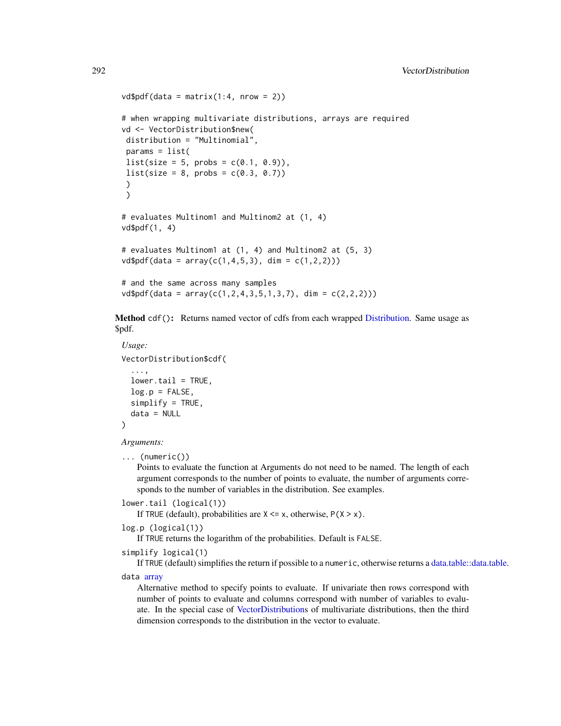```
vd$pdf(data = matrix(1:4, nrow = 2))# when wrapping multivariate distributions, arrays are required
vd <- VectorDistribution$new(
distribution = "Multinomial",
params = list(list(size = 5, probs = c(0.1, 0.9)),list(size = 8, probs = c(0.3, 0.7)))
)
# evaluates Multinom1 and Multinom2 at (1, 4)
vd$pdf(1, 4)
# evaluates Multinom1 at (1, 4) and Multinom2 at (5, 3)
vd$pdf(data = array(c(1, 4, 5, 3), dim = c(1, 2, 2)))# and the same across many samples
vd$pdf(data = array(c(1, 2, 4, 3, 5, 1, 3, 7), dim = c(2, 2, 2)))
```
Method cdf(): Returns named vector of cdfs from each wrapped [Distribution.](#page-67-0) Same usage as \$pdf.

```
Usage:
VectorDistribution$cdf(
  ...,
 lower.tail = TRUE,log.p = FALSE,simplify = TRUE,
  data = NULL
)
```
*Arguments:*

```
... (numeric())
```
Points to evaluate the function at Arguments do not need to be named. The length of each argument corresponds to the number of points to evaluate, the number of arguments corresponds to the number of variables in the distribution. See examples.

```
lower.tail (logical(1))
```
If TRUE (default), probabilities are  $X \le x$ , otherwise,  $P(X > x)$ .

log.p (logical(1))

If TRUE returns the logarithm of the probabilities. Default is FALSE.

```
simplify logical(1)
```
If TRUE (default) simplifies the return if possible to a numeric, otherwise returns a [data.table::data.table.](#page-0-0)

data [array](#page-0-0)

Alternative method to specify points to evaluate. If univariate then rows correspond with number of points to evaluate and columns correspond with number of variables to evaluate. In the special case of [VectorDistributions](#page-285-0) of multivariate distributions, then the third dimension corresponds to the distribution in the vector to evaluate.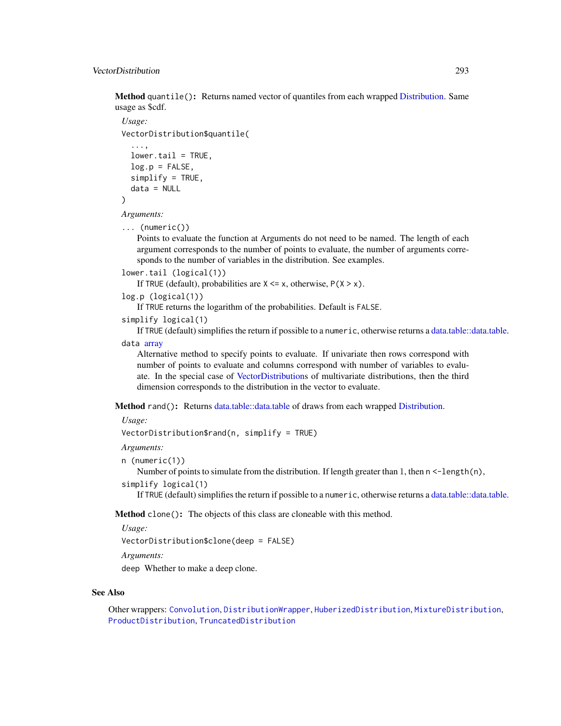<span id="page-292-0"></span>Method quantile(): Returns named vector of quantiles from each wrapped [Distribution.](#page-67-0) Same usage as \$cdf.

```
Usage:
VectorDistribution$quantile(
  ...,
  lower.tail = TRUE,log.p = FALSE,simplify = TRUE,
  data = NULL
```

```
)
```
*Arguments:*

... (numeric())

Points to evaluate the function at Arguments do not need to be named. The length of each argument corresponds to the number of points to evaluate, the number of arguments corresponds to the number of variables in the distribution. See examples.

```
lower.tail (logical(1))
```
If TRUE (default), probabilities are  $X \le x$ , otherwise,  $P(X > x)$ .

```
log.p (logical(1))
```
If TRUE returns the logarithm of the probabilities. Default is FALSE.

```
simplify logical(1)
```
If TRUE (default) simplifies the return if possible to a numeric, otherwise returns a [data.table::data.table.](#page-0-0) data [array](#page-0-0)

Alternative method to specify points to evaluate. If univariate then rows correspond with number of points to evaluate and columns correspond with number of variables to evaluate. In the special case of [VectorDistributions](#page-285-0) of multivariate distributions, then the third dimension corresponds to the distribution in the vector to evaluate.

Method rand(): Returns [data.table::data.table](#page-0-0) of draws from each wrapped [Distribution.](#page-67-0)

*Usage:*

VectorDistribution\$rand(n, simplify = TRUE)

*Arguments:*

```
n (numeric(1))
```
Number of points to simulate from the distribution. If length greater than 1, then  $n < -\text{length}(n)$ ,

simplify logical(1)

If TRUE (default) simplifies the return if possible to a numeric, otherwise returns a [data.table::data.table.](#page-0-0)

Method clone(): The objects of this class are cloneable with this method.

*Usage:* VectorDistribution\$clone(deep = FALSE) *Arguments:*

deep Whether to make a deep clone.

#### See Also

Other wrappers: [Convolution](#page-47-0), [DistributionWrapper](#page-78-0), [HuberizedDistribution](#page-137-0), [MixtureDistribution](#page-184-0), [ProductDistribution](#page-222-0), [TruncatedDistribution](#page-277-0)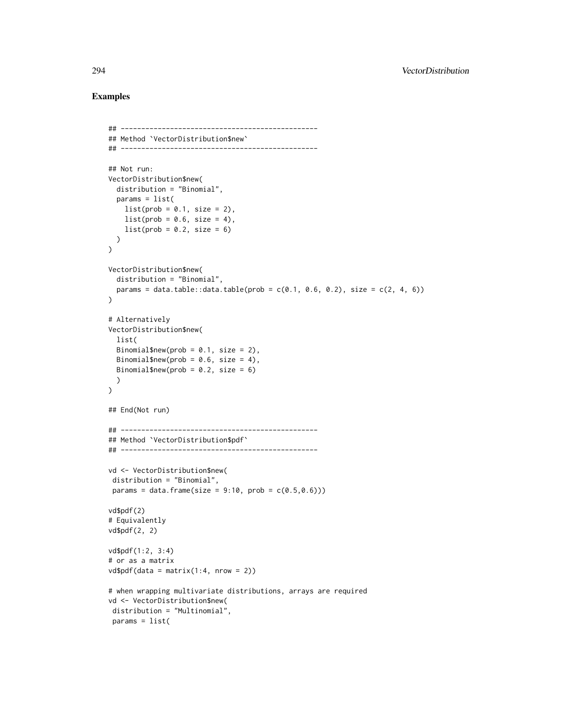## Examples

```
## ------------------------------------------------
## Method `VectorDistribution$new`
## ------------------------------------------------
## Not run:
VectorDistribution$new(
  distribution = "Binomial",
  params = list(list(prob = 0.1, size = 2),list(prob = 0.6, size = 4),list(prob = 0.2, size = 6))
\lambdaVectorDistribution$new(
  distribution = "Binomial",
  params = data.table::data.table(prob = c(0.1, 0.6, 0.2), size = c(2, 4, 6))
)
# Alternatively
VectorDistribution$new(
  list(
  Binomial$new(prob = 0.1, size = 2),
  Binomial$new(prob = 0.6, size = 4),
 Binomial$new(prob = 0.2, size = 6)
  )
\lambda## End(Not run)
## ------------------------------------------------
## Method `VectorDistribution$pdf`
## ------------------------------------------------
vd <- VectorDistribution$new(
 distribution = "Binomial",
 params = data frame(size = 9:10, prob = c(0.5, 0.6)))vd$pdf(2)
# Equivalently
vd$pdf(2, 2)
vd$pdf(1:2, 3:4)
# or as a matrix
vd$pdf(data = matrix(1:4, nrow = 2))# when wrapping multivariate distributions, arrays are required
vd <- VectorDistribution$new(
distribution = "Multinomial",
 params = list(
```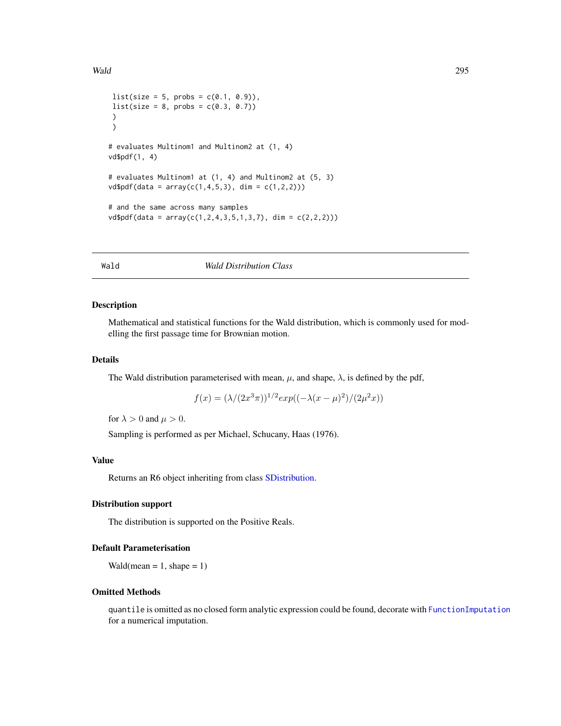```
list(size = 5, probs = c(0.1, 0.9)),list(size = 8, probs = c(0.3, 0.7)))
)
# evaluates Multinom1 and Multinom2 at (1, 4)
vd$pdf(1, 4)
# evaluates Multinom1 at (1, 4) and Multinom2 at (5, 3)
vd$pdf(data = array(c(1, 4, 5, 3), dim = c(1, 2, 2)))# and the same across many samples
vd$pdf(data = array(c(1, 2, 4, 3, 5, 1, 3, 7), dim = c(2, 2, 2)))
```
#### <span id="page-294-0"></span>Wald *Wald Distribution Class*

#### Description

Mathematical and statistical functions for the Wald distribution, which is commonly used for modelling the first passage time for Brownian motion.

#### Details

The Wald distribution parameterised with mean,  $\mu$ , and shape,  $\lambda$ , is defined by the pdf,

$$
f(x) = (\lambda/(2x^3\pi))^{1/2} exp((-\lambda(x-\mu)^2)/(2\mu^2 x))
$$

for  $\lambda > 0$  and  $\mu > 0$ .

Sampling is performed as per Michael, Schucany, Haas (1976).

## Value

Returns an R6 object inheriting from class [SDistribution.](#page-235-0)

# Distribution support

The distribution is supported on the Positive Reals.

# Default Parameterisation

 $Wald(mean = 1, shape = 1)$ 

## Omitted Methods

quantile is omitted as no closed form analytic expression could be found, decorate with [FunctionImputation](#page-117-0) for a numerical imputation.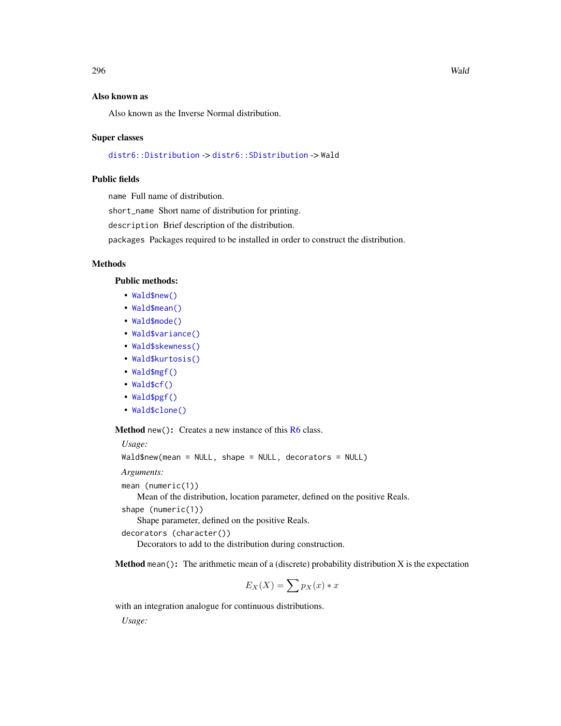## <span id="page-295-0"></span>Also known as

Also known as the Inverse Normal distribution.

#### Super classes

[distr6::Distribution](#page-0-0) -> [distr6::SDistribution](#page-0-0) -> Wald

## Public fields

name Full name of distribution.

short\_name Short name of distribution for printing.

description Brief description of the distribution.

packages Packages required to be installed in order to construct the distribution.

#### Methods

#### Public methods:

- [Wald\\$new\(\)](#page-7-0)
- [Wald\\$mean\(\)](#page-7-1)
- [Wald\\$mode\(\)](#page-8-0)
- [Wald\\$variance\(\)](#page-8-1)
- [Wald\\$skewness\(\)](#page-8-2)
- [Wald\\$kurtosis\(\)](#page-8-3)
- [Wald\\$mgf\(\)](#page-15-0)
- [Wald\\$cf\(\)](#page-15-1)
- [Wald\\$pgf\(\)](#page-9-0)
- [Wald\\$clone\(\)](#page-9-1)

Method new(): Creates a new instance of this [R6](#page-0-0) class.

*Usage:*

Wald\$new(mean = NULL, shape = NULL, decorators = NULL)

*Arguments:*

```
mean (numeric(1))
```
Mean of the distribution, location parameter, defined on the positive Reals.

```
shape (numeric(1))
```
Shape parameter, defined on the positive Reals.

```
decorators (character())
```
Decorators to add to the distribution during construction.

**Method mean():** The arithmetic mean of a (discrete) probability distribution  $X$  is the expectation

$$
E_X(X) = \sum p_X(x) * x
$$

with an integration analogue for continuous distributions.

*Usage:*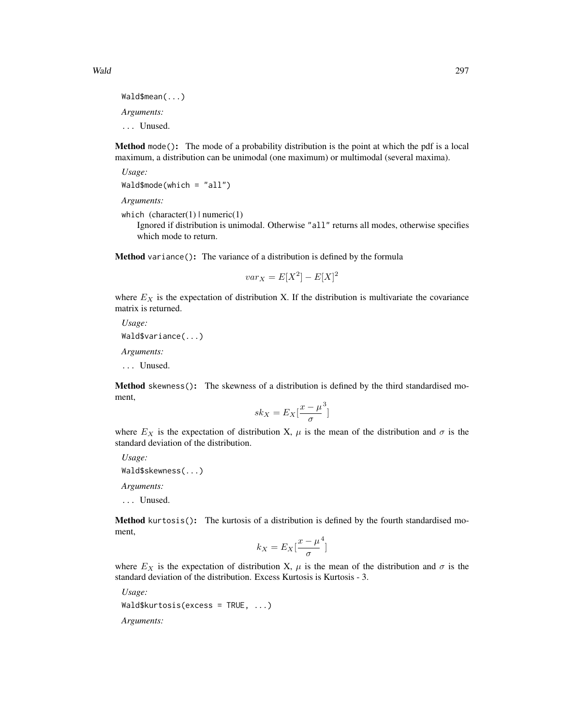Method mode(): The mode of a probability distribution is the point at which the pdf is a local maximum, a distribution can be unimodal (one maximum) or multimodal (several maxima).

*Usage:* Wald\$mode(which = "all")

*Arguments:*

which  $(character(1) | numeric(1))$ 

Ignored if distribution is unimodal. Otherwise "all" returns all modes, otherwise specifies which mode to return.

Method variance(): The variance of a distribution is defined by the formula

$$
var_X = E[X^2] - E[X]^2
$$

where  $E_X$  is the expectation of distribution X. If the distribution is multivariate the covariance matrix is returned.

*Usage:* Wald\$variance(...) *Arguments:* ... Unused.

**Method** skewness(): The skewness of a distribution is defined by the third standardised moment,

$$
sk_X = E_X \left[ \frac{x - \mu^3}{\sigma} \right]
$$

where  $E_X$  is the expectation of distribution X,  $\mu$  is the mean of the distribution and  $\sigma$  is the standard deviation of the distribution.

*Usage:* Wald\$skewness(...) *Arguments:* ... Unused.

Method kurtosis(): The kurtosis of a distribution is defined by the fourth standardised moment,

$$
k_X = E_X \left[ \frac{x - \mu^4}{\sigma} \right]
$$

where  $E_X$  is the expectation of distribution X,  $\mu$  is the mean of the distribution and  $\sigma$  is the standard deviation of the distribution. Excess Kurtosis is Kurtosis - 3.

*Usage:* Wald\$kurtosis(excess = TRUE, ...) *Arguments:*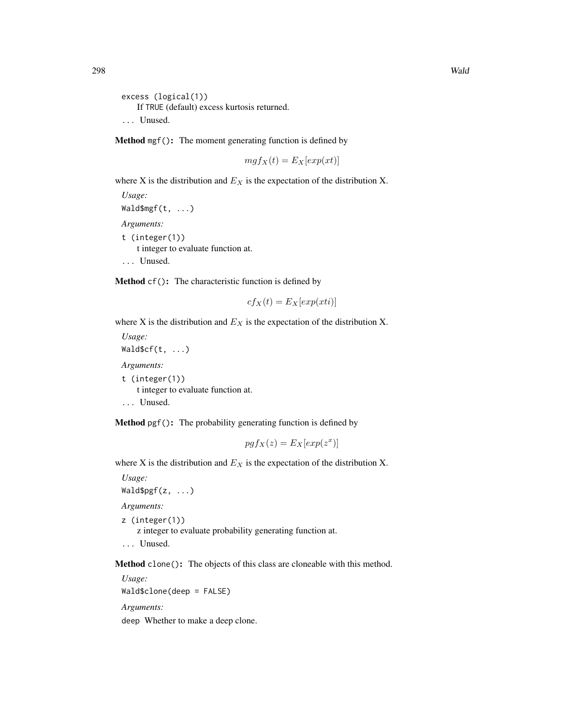```
excess (logical(1))
   If TRUE (default) excess kurtosis returned.
... Unused.
```
Method mgf(): The moment generating function is defined by

$$
mgf_X(t) = E_X[exp(xt)]
$$

where X is the distribution and  $E<sub>X</sub>$  is the expectation of the distribution X.

*Usage:* Wald\$mgf(t, ...) *Arguments:* t (integer(1)) t integer to evaluate function at. ... Unused.

Method cf(): The characteristic function is defined by

$$
cf_X(t) = E_X[exp(xti)]
$$

where X is the distribution and  $E<sub>X</sub>$  is the expectation of the distribution X.

*Usage:*  $WaldScf(t, ...)$ *Arguments:* t (integer(1)) t integer to evaluate function at.

... Unused.

Method pgf(): The probability generating function is defined by

$$
pgf_X(z) = E_X[exp(z^x)]
$$

where X is the distribution and  $E_X$  is the expectation of the distribution X.

*Usage:*

 $Waldspgf(z, ...)$ 

*Arguments:*

z (integer(1))

z integer to evaluate probability generating function at.

```
... Unused.
```
Method clone(): The objects of this class are cloneable with this method.

*Usage:* Wald\$clone(deep = FALSE) *Arguments:*

deep Whether to make a deep clone.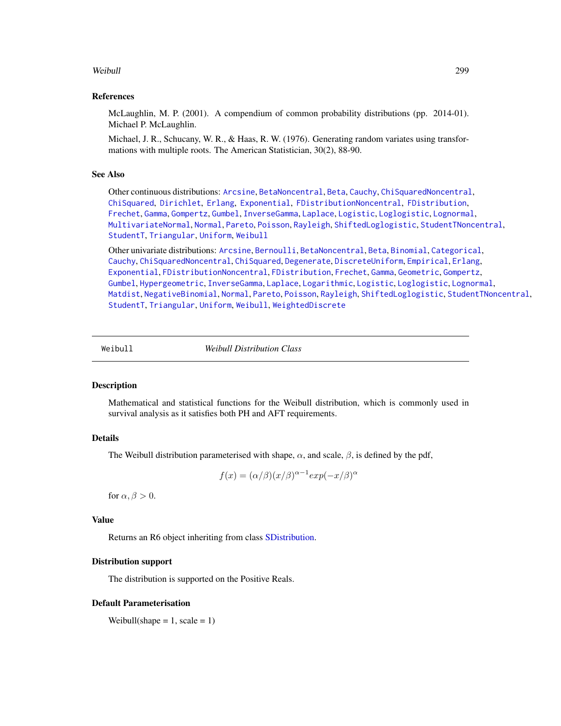## <span id="page-298-1"></span>Weibull 299

## References

McLaughlin, M. P. (2001). A compendium of common probability distributions (pp. 2014-01). Michael P. McLaughlin.

Michael, J. R., Schucany, W. R., & Haas, R. W. (1976). Generating random variates using transformations with multiple roots. The American Statistician, 30(2), 88-90.

## See Also

Other continuous distributions: [Arcsine](#page-6-0), [BetaNoncentral](#page-21-0), [Beta](#page-17-0), [Cauchy](#page-34-0), [ChiSquaredNoncentral](#page-43-0), [ChiSquared](#page-38-0), [Dirichlet](#page-59-0), [Erlang](#page-92-0), [Exponential](#page-102-0), [FDistributionNoncentral](#page-110-0), [FDistribution](#page-106-0), [Frechet](#page-113-0), [Gamma](#page-119-0), [Gompertz](#page-129-0), [Gumbel](#page-132-0), [InverseGamma](#page-143-0), [Laplace](#page-149-0), [Logistic](#page-162-0), [Loglogistic](#page-168-0), [Lognormal](#page-172-0), [MultivariateNormal](#page-195-0), [Normal](#page-204-0), [Pareto](#page-211-0), [Poisson](#page-218-0), [Rayleigh](#page-231-0), [ShiftedLoglogistic](#page-236-0), [StudentTNoncentral](#page-249-0), [StudentT](#page-245-0), [Triangular](#page-266-0), [Uniform](#page-279-0), [Weibull](#page-298-0)

Other univariate distributions: [Arcsine](#page-6-0), [Bernoulli](#page-12-0), [BetaNoncentral](#page-21-0), [Beta](#page-17-0), [Binomial](#page-23-0), [Categorical](#page-29-0), [Cauchy](#page-34-0), [ChiSquaredNoncentral](#page-43-0), [ChiSquared](#page-38-0), [Degenerate](#page-55-0), [DiscreteUniform](#page-62-0), [Empirical](#page-82-0), [Erlang](#page-92-0), [Exponential](#page-102-0), [FDistributionNoncentral](#page-110-0), [FDistribution](#page-106-0), [Frechet](#page-113-0), [Gamma](#page-119-0), [Geometric](#page-125-0), [Gompertz](#page-129-0), [Gumbel](#page-132-0), [Hypergeometric](#page-139-0), [InverseGamma](#page-143-0), [Laplace](#page-149-0), [Logarithmic](#page-158-0), [Logistic](#page-162-0), [Loglogistic](#page-168-0), [Lognormal](#page-172-0), [Matdist](#page-178-0), [NegativeBinomial](#page-200-0), [Normal](#page-204-0), [Pareto](#page-211-0), [Poisson](#page-218-0), [Rayleigh](#page-231-0), [ShiftedLoglogistic](#page-236-0), [StudentTNoncentral](#page-249-0), [StudentT](#page-245-0), [Triangular](#page-266-0), [Uniform](#page-279-0), [Weibull](#page-298-0), [WeightedDiscrete](#page-302-0)

<span id="page-298-0"></span>

Weibull *Weibull Distribution Class*

## Description

Mathematical and statistical functions for the Weibull distribution, which is commonly used in survival analysis as it satisfies both PH and AFT requirements.

## Details

The Weibull distribution parameterised with shape,  $\alpha$ , and scale,  $\beta$ , is defined by the pdf,

$$
f(x) = (\alpha/\beta)(x/\beta)^{\alpha - 1} exp(-x/\beta)^{\alpha}
$$

for  $\alpha$ ,  $\beta > 0$ .

## Value

Returns an R6 object inheriting from class [SDistribution.](#page-235-0)

#### Distribution support

The distribution is supported on the Positive Reals.

#### Default Parameterisation

Weibull(shape =  $1$ , scale =  $1$ )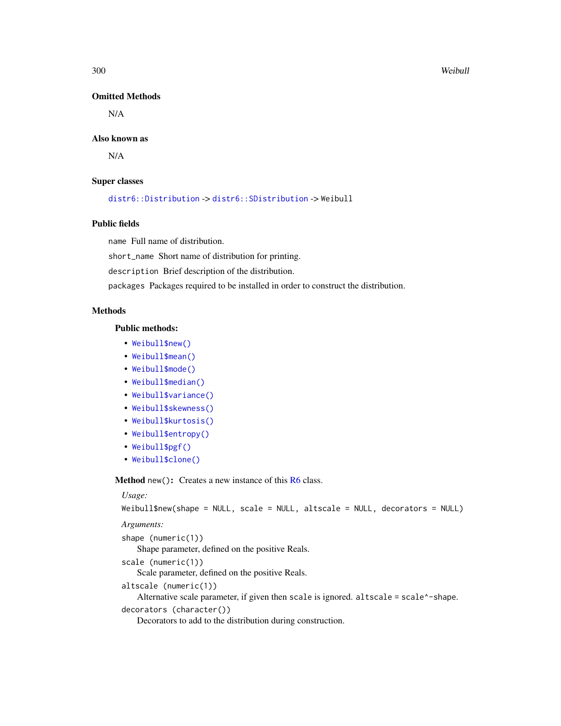#### 300 Weibull

## Omitted Methods

N/A

## Also known as

N/A

## Super classes

[distr6::Distribution](#page-0-0) -> [distr6::SDistribution](#page-0-0) -> Weibull

# Public fields

name Full name of distribution.

short\_name Short name of distribution for printing.

description Brief description of the distribution.

packages Packages required to be installed in order to construct the distribution.

## Methods

## Public methods:

- [Weibull\\$new\(\)](#page-7-0)
- [Weibull\\$mean\(\)](#page-7-1)
- [Weibull\\$mode\(\)](#page-8-0)
- [Weibull\\$median\(\)](#page-14-0)
- [Weibull\\$variance\(\)](#page-8-1)
- [Weibull\\$skewness\(\)](#page-8-2)
- [Weibull\\$kurtosis\(\)](#page-8-3)
- [Weibull\\$entropy\(\)](#page-9-2)
- [Weibull\\$pgf\(\)](#page-9-0)
- [Weibull\\$clone\(\)](#page-9-1)

Method new(): Creates a new instance of this [R6](#page-0-0) class.

#### *Usage:*

```
Weibull$new(shape = NULL, scale = NULL, altscale = NULL, decorators = NULL)
```
*Arguments:*

shape (numeric(1)) Shape parameter, defined on the positive Reals. scale (numeric(1)) Scale parameter, defined on the positive Reals. altscale (numeric(1)) Alternative scale parameter, if given then scale is ignored. altscale = scale^-shape. decorators (character()) Decorators to add to the distribution during construction.

<span id="page-299-0"></span>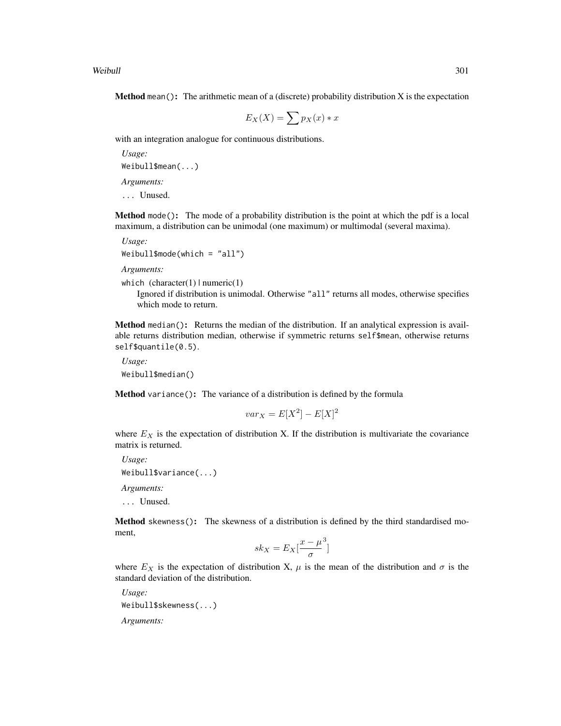Weibull 301

**Method** mean(): The arithmetic mean of a (discrete) probability distribution  $X$  is the expectation

$$
E_X(X) = \sum p_X(x) * x
$$

with an integration analogue for continuous distributions.

*Usage:* Weibull\$mean(...) *Arguments:*

... Unused.

Method mode(): The mode of a probability distribution is the point at which the pdf is a local maximum, a distribution can be unimodal (one maximum) or multimodal (several maxima).

*Usage:* Weibull\$mode(which = "all")

*Arguments:*

```
which (character(1) | numeric(1))
```
Ignored if distribution is unimodal. Otherwise "all" returns all modes, otherwise specifies which mode to return.

Method median(): Returns the median of the distribution. If an analytical expression is available returns distribution median, otherwise if symmetric returns self\$mean, otherwise returns self\$quantile(0.5).

*Usage:* Weibull\$median()

Method variance(): The variance of a distribution is defined by the formula

$$
var_X = E[X^2] - E[X]^2
$$

where  $E<sub>X</sub>$  is the expectation of distribution X. If the distribution is multivariate the covariance matrix is returned.

*Usage:* Weibull\$variance(...) *Arguments:* ... Unused.

Method skewness(): The skewness of a distribution is defined by the third standardised moment,

$$
sk_X = E_X \left[ \frac{x - \mu^3}{\sigma} \right]
$$

where  $E_X$  is the expectation of distribution X,  $\mu$  is the mean of the distribution and  $\sigma$  is the standard deviation of the distribution.

*Usage:* Weibull\$skewness(...) *Arguments:*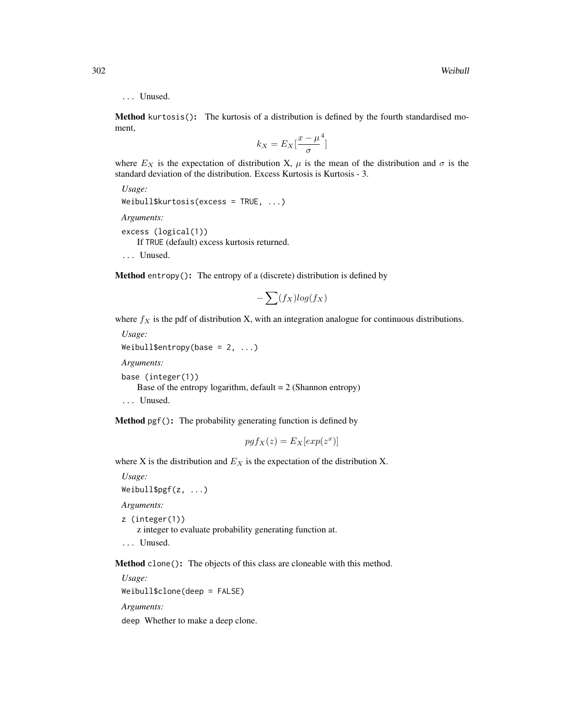## ... Unused.

Method kurtosis(): The kurtosis of a distribution is defined by the fourth standardised moment,

$$
k_X = E_X \left[ \frac{x - \mu^4}{\sigma} \right]
$$

where  $E_X$  is the expectation of distribution X,  $\mu$  is the mean of the distribution and  $\sigma$  is the standard deviation of the distribution. Excess Kurtosis is Kurtosis - 3.

```
Usage:
Weibull$kurtosis(excess = TRUE, ...)
Arguments:
excess (logical(1))
   If TRUE (default) excess kurtosis returned.
... Unused.
```
Method entropy(): The entropy of a (discrete) distribution is defined by

$$
-\sum(f_X)log(f_X)
$$

where  $f_X$  is the pdf of distribution X, with an integration analogue for continuous distributions.

*Usage:* Weibull\$entropy(base =  $2, ...$ ) *Arguments:* base (integer(1)) Base of the entropy logarithm, default  $= 2$  (Shannon entropy) ... Unused.

Method pgf(): The probability generating function is defined by

$$
pgf_X(z) = E_X[exp(z^x)]
$$

where X is the distribution and  $E_X$  is the expectation of the distribution X.

*Usage:*

Weibull\$pgf(z, ...)

*Arguments:*

```
z (integer(1))
```
z integer to evaluate probability generating function at.

... Unused.

Method clone(): The objects of this class are cloneable with this method.

*Usage:* Weibull\$clone(deep = FALSE)

*Arguments:*

deep Whether to make a deep clone.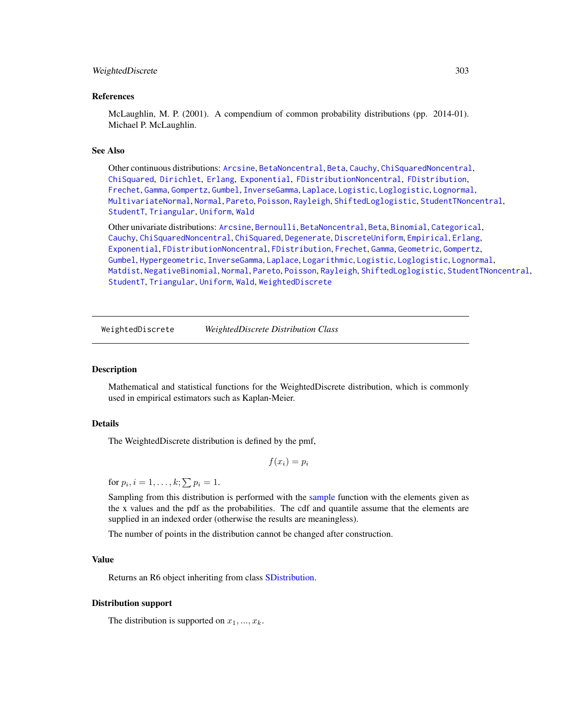#### <span id="page-302-1"></span>WeightedDiscrete 303

## References

McLaughlin, M. P. (2001). A compendium of common probability distributions (pp. 2014-01). Michael P. McLaughlin.

#### See Also

Other continuous distributions: [Arcsine](#page-6-0), [BetaNoncentral](#page-21-0), [Beta](#page-17-0), [Cauchy](#page-34-0), [ChiSquaredNoncentral](#page-43-0), [ChiSquared](#page-38-0), [Dirichlet](#page-59-0), [Erlang](#page-92-0), [Exponential](#page-102-0), [FDistributionNoncentral](#page-110-0), [FDistribution](#page-106-0), [Frechet](#page-113-0), [Gamma](#page-119-0), [Gompertz](#page-129-0), [Gumbel](#page-132-0), [InverseGamma](#page-143-0), [Laplace](#page-149-0), [Logistic](#page-162-0), [Loglogistic](#page-168-0), [Lognormal](#page-172-0), [MultivariateNormal](#page-195-0), [Normal](#page-204-0), [Pareto](#page-211-0), [Poisson](#page-218-0), [Rayleigh](#page-231-0), [ShiftedLoglogistic](#page-236-0), [StudentTNoncentral](#page-249-0), [StudentT](#page-245-0), [Triangular](#page-266-0), [Uniform](#page-279-0), [Wald](#page-294-0)

Other univariate distributions: [Arcsine](#page-6-0), [Bernoulli](#page-12-0), [BetaNoncentral](#page-21-0), [Beta](#page-17-0), [Binomial](#page-23-0), [Categorical](#page-29-0), [Cauchy](#page-34-0), [ChiSquaredNoncentral](#page-43-0), [ChiSquared](#page-38-0), [Degenerate](#page-55-0), [DiscreteUniform](#page-62-0), [Empirical](#page-82-0), [Erlang](#page-92-0), [Exponential](#page-102-0), [FDistributionNoncentral](#page-110-0), [FDistribution](#page-106-0), [Frechet](#page-113-0), [Gamma](#page-119-0), [Geometric](#page-125-0), [Gompertz](#page-129-0), [Gumbel](#page-132-0), [Hypergeometric](#page-139-0), [InverseGamma](#page-143-0), [Laplace](#page-149-0), [Logarithmic](#page-158-0), [Logistic](#page-162-0), [Loglogistic](#page-168-0), [Lognormal](#page-172-0), [Matdist](#page-178-0), [NegativeBinomial](#page-200-0), [Normal](#page-204-0), [Pareto](#page-211-0), [Poisson](#page-218-0), [Rayleigh](#page-231-0), [ShiftedLoglogistic](#page-236-0), [StudentTNoncentral](#page-249-0), [StudentT](#page-245-0), [Triangular](#page-266-0), [Uniform](#page-279-0), [Wald](#page-294-0), [WeightedDiscrete](#page-302-0)

<span id="page-302-0"></span>WeightedDiscrete *WeightedDiscrete Distribution Class*

#### Description

Mathematical and statistical functions for the WeightedDiscrete distribution, which is commonly used in empirical estimators such as Kaplan-Meier.

#### Details

The WeightedDiscrete distribution is defined by the pmf,

$$
f(x_i) = p_i
$$

for  $p_i$ ,  $i = 1, \ldots, k; \sum p_i = 1$ .

Sampling from this distribution is performed with the [sample](#page-0-0) function with the elements given as the x values and the pdf as the probabilities. The cdf and quantile assume that the elements are supplied in an indexed order (otherwise the results are meaningless).

The number of points in the distribution cannot be changed after construction.

## Value

Returns an R6 object inheriting from class [SDistribution.](#page-235-0)

#### Distribution support

The distribution is supported on  $x_1, ..., x_k$ .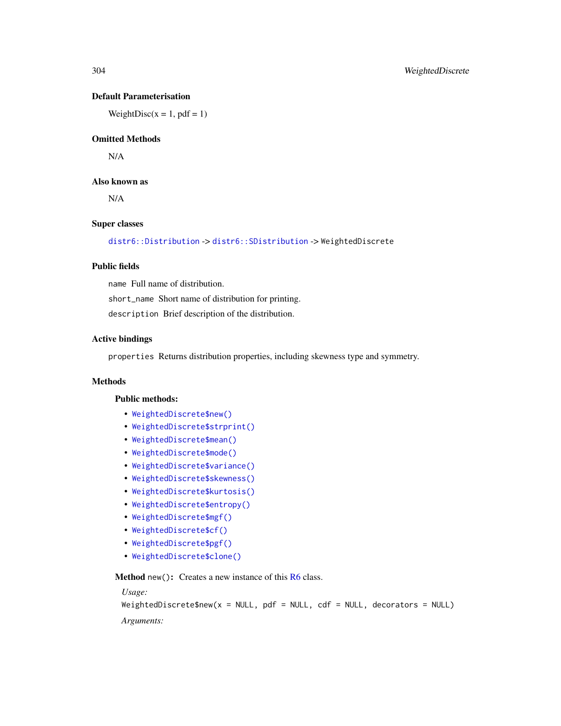# Default Parameterisation

WeightDisc( $x = 1$ ,  $pdf = 1$ )

# Omitted Methods

N/A

# Also known as

N/A

## Super classes

[distr6::Distribution](#page-0-0) -> [distr6::SDistribution](#page-0-0) -> WeightedDiscrete

# Public fields

name Full name of distribution.

short\_name Short name of distribution for printing.

description Brief description of the distribution.

## Active bindings

properties Returns distribution properties, including skewness type and symmetry.

#### Methods

#### Public methods:

- [WeightedDiscrete\\$new\(\)](#page-7-0)
- [WeightedDiscrete\\$strprint\(\)](#page-70-0)
- [WeightedDiscrete\\$mean\(\)](#page-7-1)
- [WeightedDiscrete\\$mode\(\)](#page-8-0)
- [WeightedDiscrete\\$variance\(\)](#page-8-1)
- [WeightedDiscrete\\$skewness\(\)](#page-8-2)
- [WeightedDiscrete\\$kurtosis\(\)](#page-8-3)
- [WeightedDiscrete\\$entropy\(\)](#page-9-2)
- [WeightedDiscrete\\$mgf\(\)](#page-15-0)
- [WeightedDiscrete\\$cf\(\)](#page-15-1)
- [WeightedDiscrete\\$pgf\(\)](#page-9-0)
- [WeightedDiscrete\\$clone\(\)](#page-9-1)

**Method** new( $)$ : Creates a new instance of this  $R6$  class.

#### *Usage:*

```
WeightedDiscrete$new(x = NULL, pdf = NULL, cdf = NULL, decorators = NULL)
```
*Arguments:*

<span id="page-303-0"></span>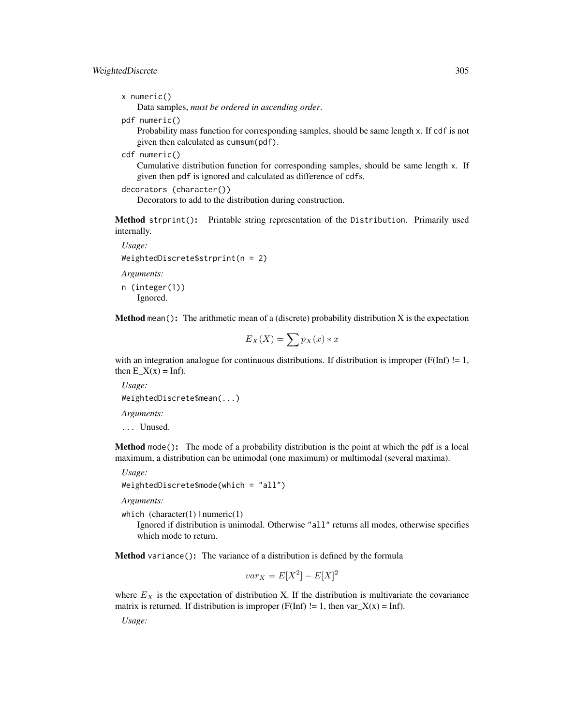# WeightedDiscrete 305

```
x numeric()
```
Data samples, *must be ordered in ascending order*.

pdf numeric()

Probability mass function for corresponding samples, should be same length x. If cdf is not given then calculated as cumsum(pdf).

```
cdf numeric()
```
Cumulative distribution function for corresponding samples, should be same length x. If given then pdf is ignored and calculated as difference of cdfs.

```
decorators (character())
```
Decorators to add to the distribution during construction.

Method strprint(): Printable string representation of the Distribution. Primarily used internally.

```
Usage:
WeightedDiscrete$strprint(n = 2)
Arguments:
n (integer(1))
   Ignored.
```
**Method** mean(): The arithmetic mean of a (discrete) probability distribution  $X$  is the expectation

$$
E_X(X) = \sum p_X(x) * x
$$

with an integration analogue for continuous distributions. If distribution is improper ( $F(Inf)$  != 1, then  $E_X(x) = \text{Inf}.$ 

*Usage:* WeightedDiscrete\$mean(...) *Arguments:* ... Unused.

Method mode(): The mode of a probability distribution is the point at which the pdf is a local maximum, a distribution can be unimodal (one maximum) or multimodal (several maxima).

*Usage:*

```
WeightedDiscrete$mode(which = "all")
```
*Arguments:*

which  $(character(1) | numeric(1))$ 

Ignored if distribution is unimodal. Otherwise "all" returns all modes, otherwise specifies which mode to return.

Method variance(): The variance of a distribution is defined by the formula

$$
var_X = E[X^2] - E[X]^2
$$

where  $E<sub>X</sub>$  is the expectation of distribution X. If the distribution is multivariate the covariance matrix is returned. If distribution is improper (F(Inf)  $!= 1$ , then var $_X(x) = \text{Inf}$ ).

*Usage:*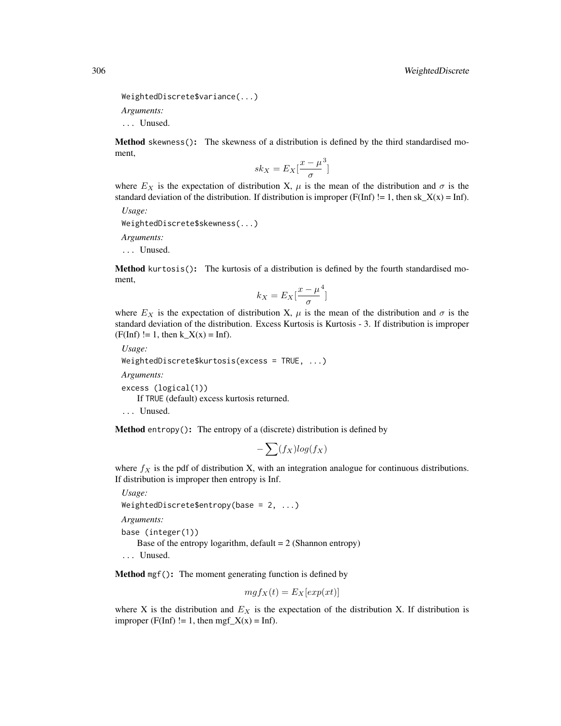```
WeightedDiscrete$variance(...)
```
*Arguments:*

... Unused.

Method skewness(): The skewness of a distribution is defined by the third standardised moment,

$$
sk_X = E_X \left[ \frac{x - \mu^3}{\sigma} \right]
$$

where  $E_X$  is the expectation of distribution X,  $\mu$  is the mean of the distribution and  $\sigma$  is the standard deviation of the distribution. If distribution is improper ( $F(Inf)$  != 1, then sk\_X(x) = Inf).

*Usage:*

WeightedDiscrete\$skewness(...)

*Arguments:*

... Unused.

Method kurtosis(): The kurtosis of a distribution is defined by the fourth standardised moment,

$$
k_X = E_X \left[ \frac{x - \mu^4}{\sigma} \right]
$$

where  $E_X$  is the expectation of distribution X,  $\mu$  is the mean of the distribution and  $\sigma$  is the standard deviation of the distribution. Excess Kurtosis is Kurtosis - 3. If distribution is improper  $(F(Inf) != 1, then k_X(x) = Inf).$ 

```
Usage:
WeightedDiscrete$kurtosis(excess = TRUE, ...)
```

```
Arguments:
```
excess (logical(1))

If TRUE (default) excess kurtosis returned.

```
... Unused.
```
**Method** entropy(): The entropy of a (discrete) distribution is defined by

$$
-\sum(f_X)log(f_X)
$$

where  $f_X$  is the pdf of distribution X, with an integration analogue for continuous distributions. If distribution is improper then entropy is Inf.

```
Usage:
WeightedDiscrete$entropy(base = 2, ...)
Arguments:
base (integer(1))
   Base of the entropy logarithm, default = 2 (Shannon entropy)
... Unused.
```
Method mgf(): The moment generating function is defined by

$$
mgf_X(t) = E_X[exp(xt)]
$$

where X is the distribution and  $E<sub>X</sub>$  is the expectation of the distribution X. If distribution is improper (F(Inf) != 1, then mgf\_X(x) = Inf).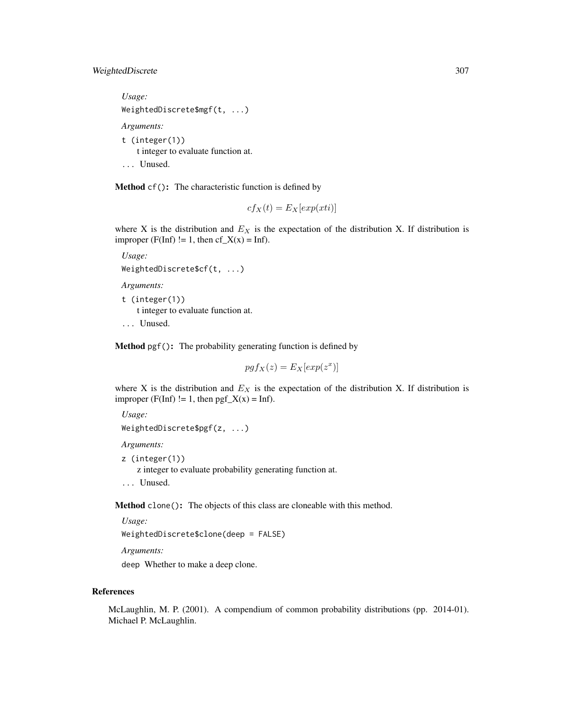# WeightedDiscrete 307

```
Usage:
WeightedDiscrete$mgf(t, ...)
Arguments:
t (integer(1))
   t integer to evaluate function at.
... Unused.
```
Method cf(): The characteristic function is defined by

$$
cf_X(t) = E_X[exp(xti)]
$$

where X is the distribution and  $E<sub>X</sub>$  is the expectation of the distribution X. If distribution is improper (F(Inf) != 1, then  $cf_X(x) = Inf$ ).

```
Usage:
WeightedDiscrete$cf(t, ...)
Arguments:
t (integer(1))
   t integer to evaluate function at.
... Unused.
```
Method pgf(): The probability generating function is defined by

$$
pgf_X(z) = E_X[exp(z^x)]
$$

where X is the distribution and  $E<sub>X</sub>$  is the expectation of the distribution X. If distribution is improper (F(Inf) != 1, then  $pgf_X(x) = Inf$ ).

```
Usage:
WeightedDiscrete$pgf(z, ...)
```
*Arguments:*

```
z (integer(1))
```
z integer to evaluate probability generating function at.

... Unused.

Method clone(): The objects of this class are cloneable with this method.

```
Usage:
WeightedDiscrete$clone(deep = FALSE)
```
*Arguments:*

deep Whether to make a deep clone.

## References

McLaughlin, M. P. (2001). A compendium of common probability distributions (pp. 2014-01). Michael P. McLaughlin.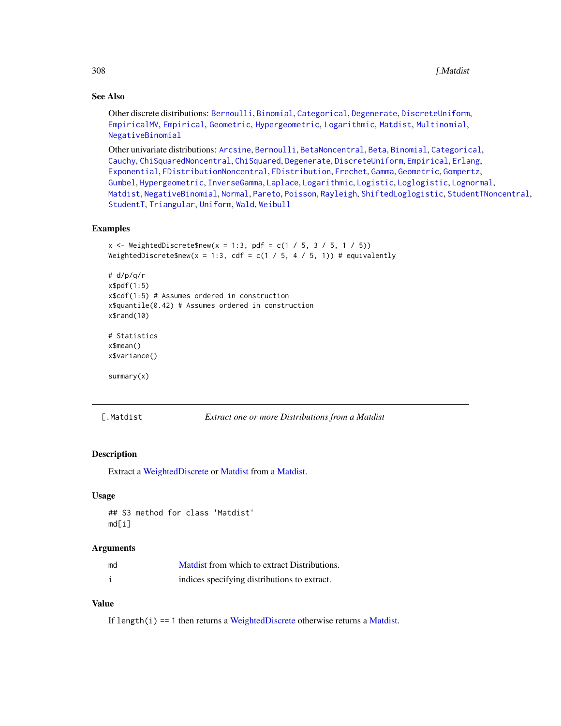# See Also

Other discrete distributions: [Bernoulli](#page-12-0), [Binomial](#page-23-0), [Categorical](#page-29-0), [Degenerate](#page-55-0), [DiscreteUniform](#page-62-0), [EmpiricalMV](#page-87-0), [Empirical](#page-82-0), [Geometric](#page-125-0), [Hypergeometric](#page-139-0), [Logarithmic](#page-158-0), [Matdist](#page-178-0), [Multinomial](#page-190-0), [NegativeBinomial](#page-200-0)

Other univariate distributions: [Arcsine](#page-6-0), [Bernoulli](#page-12-0), [BetaNoncentral](#page-21-0), [Beta](#page-17-0), [Binomial](#page-23-0), [Categorical](#page-29-0), [Cauchy](#page-34-0), [ChiSquaredNoncentral](#page-43-0), [ChiSquared](#page-38-0), [Degenerate](#page-55-0), [DiscreteUniform](#page-62-0), [Empirical](#page-82-0), [Erlang](#page-92-0), [Exponential](#page-102-0), [FDistributionNoncentral](#page-110-0), [FDistribution](#page-106-0), [Frechet](#page-113-0), [Gamma](#page-119-0), [Geometric](#page-125-0), [Gompertz](#page-129-0), [Gumbel](#page-132-0), [Hypergeometric](#page-139-0), [InverseGamma](#page-143-0), [Laplace](#page-149-0), [Logarithmic](#page-158-0), [Logistic](#page-162-0), [Loglogistic](#page-168-0), [Lognormal](#page-172-0), [Matdist](#page-178-0), [NegativeBinomial](#page-200-0), [Normal](#page-204-0), [Pareto](#page-211-0), [Poisson](#page-218-0), [Rayleigh](#page-231-0), [ShiftedLoglogistic](#page-236-0), [StudentTNoncentral](#page-249-0), [StudentT](#page-245-0), [Triangular](#page-266-0), [Uniform](#page-279-0), [Wald](#page-294-0), [Weibull](#page-298-0)

## Examples

```
x <- WeightedDiscrete$new(x = 1:3, pdf = c(1 / 5, 3 / 5, 1 / 5))
WeightedDiscrete$new(x = 1:3, cdf = c(1 / 5, 4 / 5, 1)) # equivalently
# d/p/q/r
x$pdf(1:5)
x$cdf(1:5) # Assumes ordered in construction
x$quantile(0.42) # Assumes ordered in construction
x$rand(10)
# Statistics
x$mean()
x$variance()
summary(x)
```
[.Matdist *Extract one or more Distributions from a Matdist*

## Description

Extract a [WeightedDiscrete](#page-302-0) or [Matdist](#page-178-0) from a [Matdist.](#page-178-0)

## Usage

```
## S3 method for class 'Matdist'
md[i]
```
#### Arguments

| md | Matdist from which to extract Distributions. |
|----|----------------------------------------------|
|    | indices specifying distributions to extract. |

# Value

If length $(i)$  == 1 then returns a [WeightedDiscrete](#page-302-0) otherwise returns a [Matdist.](#page-178-0)

<span id="page-307-0"></span>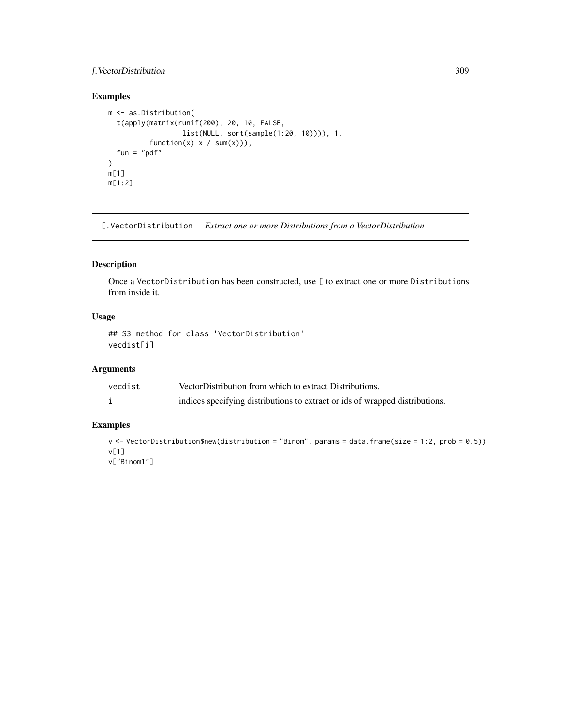# <span id="page-308-0"></span>[.VectorDistribution 309

# Examples

```
m <- as.Distribution(
  t(apply(matrix(runif(200), 20, 10, FALSE,
                  list(NULL, sort(sample(1:20, 10)))), 1,
          function(x) x / sum(x)),
  fun = "pdf"\mathcal{L}m[1]
m[1:2]
```
[.VectorDistribution *Extract one or more Distributions from a VectorDistribution*

# Description

Once a VectorDistribution has been constructed, use [ to extract one or more Distributions from inside it.

# Usage

```
## S3 method for class 'VectorDistribution'
vecdist[i]
```
# Arguments

| vecdist | VectorDistribution from which to extract Distributions.                      |
|---------|------------------------------------------------------------------------------|
|         | indices specifying distributions to extract or ids of wrapped distributions. |

# Examples

```
v <- VectorDistribution$new(distribution = "Binom", params = data.frame(size = 1:2, prob = 0.5))
v[1]
v["Binom1"]
```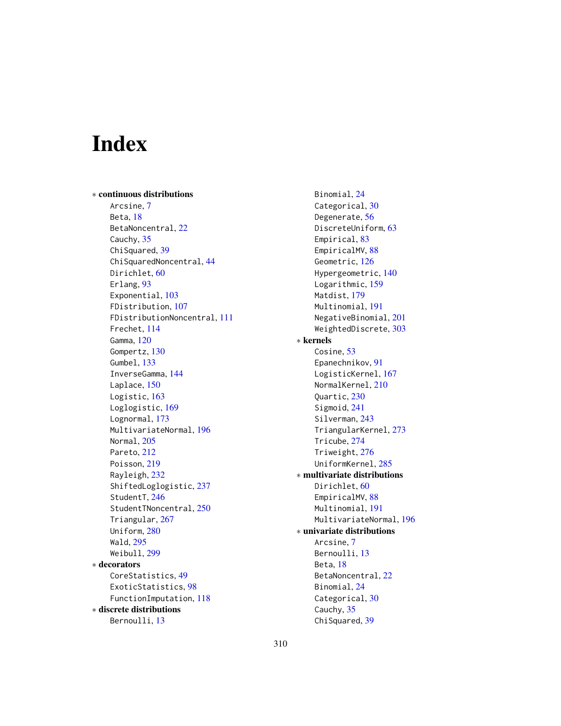# Index

∗ continuous distributions Arcsine, [7](#page-6-1) Beta, [18](#page-17-1) BetaNoncentral, [22](#page-21-1) Cauchy, [35](#page-34-1) ChiSquared, [39](#page-38-1) ChiSquaredNoncentral, [44](#page-43-1) Dirichlet, [60](#page-59-1) Erlang, [93](#page-92-1) Exponential, [103](#page-102-1) FDistribution, [107](#page-106-1) FDistributionNoncentral, [111](#page-110-1) Frechet, [114](#page-113-1) Gamma, [120](#page-119-1) Gompertz, [130](#page-129-1) Gumbel, [133](#page-132-1) InverseGamma, [144](#page-143-1) Laplace, [150](#page-149-1) Logistic, [163](#page-162-1) Loglogistic, [169](#page-168-1) Lognormal, [173](#page-172-1) MultivariateNormal, [196](#page-195-1) Normal, [205](#page-204-1) Pareto, [212](#page-211-1) Poisson, [219](#page-218-1) Rayleigh, [232](#page-231-1) ShiftedLoglogistic, [237](#page-236-1) StudentT, [246](#page-245-1) StudentTNoncentral, [250](#page-249-1) Triangular, [267](#page-266-1) Uniform, [280](#page-279-1) Wald, [295](#page-294-1) Weibull, [299](#page-298-1) ∗ decorators CoreStatistics, [49](#page-48-1) ExoticStatistics, [98](#page-97-0) FunctionImputation, [118](#page-117-1) ∗ discrete distributions Bernoulli, [13](#page-12-1)

Binomial, [24](#page-23-1) Categorical, [30](#page-29-1) Degenerate, [56](#page-55-1) DiscreteUniform, [63](#page-62-1) Empirical, [83](#page-82-1) EmpiricalMV, [88](#page-87-1) Geometric, [126](#page-125-1) Hypergeometric, [140](#page-139-1) Logarithmic, [159](#page-158-1) Matdist, [179](#page-178-1) Multinomial, [191](#page-190-1) NegativeBinomial, [201](#page-200-1) WeightedDiscrete, [303](#page-302-1) ∗ kernels Cosine, [53](#page-52-0) Epanechnikov, [91](#page-90-0) LogisticKernel, [167](#page-166-0) NormalKernel, [210](#page-209-0) Quartic, [230](#page-229-0) Sigmoid, [241](#page-240-0) Silverman, [243](#page-242-0) TriangularKernel, [273](#page-272-0) Tricube, [274](#page-273-0) Triweight, [276](#page-275-0) UniformKernel, [285](#page-284-0) ∗ multivariate distributions Dirichlet, [60](#page-59-1) EmpiricalMV, [88](#page-87-1) Multinomial, [191](#page-190-1) MultivariateNormal, [196](#page-195-1) ∗ univariate distributions Arcsine, [7](#page-6-1) Bernoulli, [13](#page-12-1) Beta, [18](#page-17-1) BetaNoncentral, [22](#page-21-1) Binomial, [24](#page-23-1) Categorical, [30](#page-29-1) Cauchy, [35](#page-34-1) ChiSquared, [39](#page-38-1)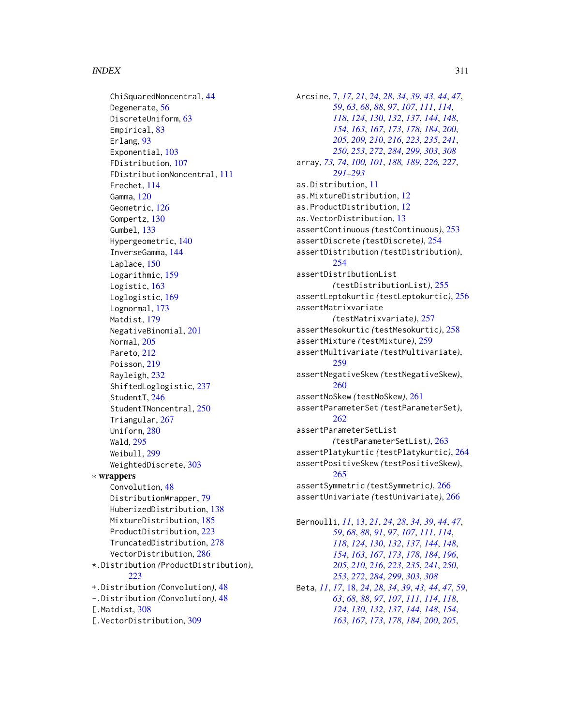## INDEX  $311$

ChiSquaredNoncentral, [44](#page-43-1) Degenerate, [56](#page-55-1) DiscreteUniform, [63](#page-62-1) Empirical, [83](#page-82-1) Erlang, [93](#page-92-1) Exponential, [103](#page-102-1) FDistribution, [107](#page-106-1) FDistributionNoncentral, [111](#page-110-1) Frechet, [114](#page-113-1) Gamma, [120](#page-119-1) Geometric, [126](#page-125-1) Gompertz, [130](#page-129-1) Gumbel, [133](#page-132-1) Hypergeometric, [140](#page-139-1) InverseGamma, [144](#page-143-1) Laplace, [150](#page-149-1) Logarithmic, [159](#page-158-1) Logistic, [163](#page-162-1) Loglogistic, [169](#page-168-1) Lognormal, [173](#page-172-1) Matdist, [179](#page-178-1) NegativeBinomial, [201](#page-200-1) Normal, [205](#page-204-1) Pareto, [212](#page-211-1) Poisson, [219](#page-218-1) Rayleigh, [232](#page-231-1) ShiftedLoglogistic, [237](#page-236-1) StudentT, [246](#page-245-1) StudentTNoncentral, [250](#page-249-1) Triangular, [267](#page-266-1) Uniform, [280](#page-279-1) Wald, [295](#page-294-1) Weibull, [299](#page-298-1) WeightedDiscrete, [303](#page-302-1) ∗ wrappers Convolution, [48](#page-47-1) DistributionWrapper, [79](#page-78-1) HuberizedDistribution, [138](#page-137-1) MixtureDistribution, [185](#page-184-1) ProductDistribution, [223](#page-222-1) TruncatedDistribution, [278](#page-277-1) VectorDistribution, [286](#page-285-1) \*.Distribution *(*ProductDistribution*)*, [223](#page-222-1) +.Distribution *(*Convolution*)*, [48](#page-47-1) -.Distribution *(*Convolution*)*, [48](#page-47-1) [.Matdist, [308](#page-307-0)] [.VectorDistribution, [309](#page-308-0)

Arcsine, [7,](#page-6-1) *[17](#page-16-0)*, *[21](#page-20-0)*, *[24](#page-23-1)*, *[28](#page-27-0)*, *[34](#page-33-0)*, *[39](#page-38-1)*, *[43,](#page-42-0) [44](#page-43-1)*, *[47](#page-46-0)*, *[59](#page-58-0)*, *[63](#page-62-1)*, *[68](#page-67-1)*, *[88](#page-87-1)*, *[97](#page-96-0)*, *[107](#page-106-1)*, *[111](#page-110-1)*, *[114](#page-113-1)*, *[118](#page-117-1)*, *[124](#page-123-0)*, *[130](#page-129-1)*, *[132](#page-131-0)*, *[137](#page-136-0)*, *[144](#page-143-1)*, *[148](#page-147-0)*, *[154](#page-153-0)*, *[163](#page-162-1)*, *[167](#page-166-0)*, *[173](#page-172-1)*, *[178](#page-177-0)*, *[184](#page-183-0)*, *[200](#page-199-0)*, *[205](#page-204-1)*, *[209,](#page-208-0) [210](#page-209-0)*, *[216](#page-215-0)*, *[223](#page-222-1)*, *[235](#page-234-0)*, *[241](#page-240-0)*, *[250](#page-249-1)*, *[253](#page-252-0)*, *[272](#page-271-0)*, *[284](#page-283-0)*, *[299](#page-298-1)*, *[303](#page-302-1)*, *[308](#page-307-0)* array, *[73,](#page-72-0) [74](#page-73-0)*, *[100,](#page-99-0) [101](#page-100-0)*, *[188,](#page-187-0) [189](#page-188-0)*, *[226,](#page-225-0) [227](#page-226-0)*, *[291](#page-290-0)[–293](#page-292-0)* as.Distribution, [11](#page-10-0) as.MixtureDistribution, [12](#page-11-0) as.ProductDistribution, [12](#page-11-0) as.VectorDistribution, [13](#page-12-1) assertContinuous *(*testContinuous*)*, [253](#page-252-0) assertDiscrete *(*testDiscrete*)*, [254](#page-253-0) assertDistribution *(*testDistribution*)*, [254](#page-253-0) assertDistributionList *(*testDistributionList*)*, [255](#page-254-0) assertLeptokurtic *(*testLeptokurtic*)*, [256](#page-255-0) assertMatrixvariate *(*testMatrixvariate*)*, [257](#page-256-0) assertMesokurtic *(*testMesokurtic*)*, [258](#page-257-0) assertMixture *(*testMixture*)*, [259](#page-258-0) assertMultivariate *(*testMultivariate*)*, [259](#page-258-0) assertNegativeSkew *(*testNegativeSkew*)*, [260](#page-259-0) assertNoSkew *(*testNoSkew*)*, [261](#page-260-0) assertParameterSet *(*testParameterSet*)*, [262](#page-261-0) assertParameterSetList *(*testParameterSetList*)*, [263](#page-262-0) assertPlatykurtic *(*testPlatykurtic*)*, [264](#page-263-0) assertPositiveSkew *(*testPositiveSkew*)*, [265](#page-264-0) assertSymmetric *(*testSymmetric*)*, [266](#page-265-0) assertUnivariate *(*testUnivariate*)*, [266](#page-265-0) Bernoulli, *[11](#page-10-0)*, [13,](#page-12-1) *[21](#page-20-0)*, *[24](#page-23-1)*, *[28](#page-27-0)*, *[34](#page-33-0)*, *[39](#page-38-1)*, *[44](#page-43-1)*, *[47](#page-46-0)*, *[59](#page-58-0)*, *[68](#page-67-1)*, *[88](#page-87-1)*, *[91](#page-90-0)*, *[97](#page-96-0)*, *[107](#page-106-1)*, *[111](#page-110-1)*, *[114](#page-113-1)*,

, *[124](#page-123-0)*, *[130](#page-129-1)*, *[132](#page-131-0)*, *[137](#page-136-0)*, *[144](#page-143-1)*, *[148](#page-147-0)*, , *[163](#page-162-1)*, *[167](#page-166-0)*, *[173](#page-172-1)*, *[178](#page-177-0)*, *[184](#page-183-0)*, *[196](#page-195-1)*, , *[210](#page-209-0)*, *[216](#page-215-0)*, *[223](#page-222-1)*, *[235](#page-234-0)*, *[241](#page-240-0)*, *[250](#page-249-1)*, , *[272](#page-271-0)*, *[284](#page-283-0)*, *[299](#page-298-1)*, *[303](#page-302-1)*, *[308](#page-307-0)* Beta, *[11](#page-10-0)*, *[17](#page-16-0)*, [18,](#page-17-1) *[24](#page-23-1)*, *[28](#page-27-0)*, *[34](#page-33-0)*, *[39](#page-38-1)*, *[43,](#page-42-0) [44](#page-43-1)*, *[47](#page-46-0)*, *[59](#page-58-0)*, , *[68](#page-67-1)*, *[88](#page-87-1)*, *[97](#page-96-0)*, *[107](#page-106-1)*, *[111](#page-110-1)*, *[114](#page-113-1)*, *[118](#page-117-1)*, , *[130](#page-129-1)*, *[132](#page-131-0)*, *[137](#page-136-0)*, *[144](#page-143-1)*, *[148](#page-147-0)*, *[154](#page-153-0)*, , *[167](#page-166-0)*, *[173](#page-172-1)*, *[178](#page-177-0)*, *[184](#page-183-0)*, *[200](#page-199-0)*, *[205](#page-204-1)*,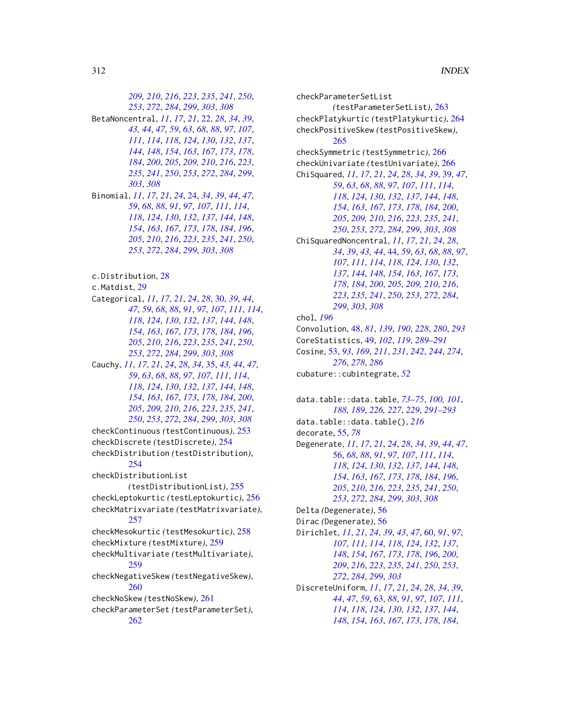*[209,](#page-208-0) [210](#page-209-0)*, *[216](#page-215-0)*, *[223](#page-222-1)*, *[235](#page-234-0)*, *[241](#page-240-0)*, *[250](#page-249-1)*, *[253](#page-252-0)*, *[272](#page-271-0)*, *[284](#page-283-0)*, *[299](#page-298-1)*, *[303](#page-302-1)*, *[308](#page-307-0)* BetaNoncentral, *[11](#page-10-0)*, *[17](#page-16-0)*, *[21](#page-20-0)*, [22,](#page-21-1) *[28](#page-27-0)*, *[34](#page-33-0)*, *[39](#page-38-1)*, *[43,](#page-42-0) [44](#page-43-1)*, *[47](#page-46-0)*, *[59](#page-58-0)*, *[63](#page-62-1)*, *[68](#page-67-1)*, *[88](#page-87-1)*, *[97](#page-96-0)*, *[107](#page-106-1)*, *[111](#page-110-1)*, *[114](#page-113-1)*, *[118](#page-117-1)*, *[124](#page-123-0)*, *[130](#page-129-1)*, *[132](#page-131-0)*, *[137](#page-136-0)*, *[144](#page-143-1)*, *[148](#page-147-0)*, *[154](#page-153-0)*, *[163](#page-162-1)*, *[167](#page-166-0)*, *[173](#page-172-1)*, *[178](#page-177-0)*, *[184](#page-183-0)*, *[200](#page-199-0)*, *[205](#page-204-1)*, *[209,](#page-208-0) [210](#page-209-0)*, *[216](#page-215-0)*, *[223](#page-222-1)*, *[235](#page-234-0)*, *[241](#page-240-0)*, *[250](#page-249-1)*, *[253](#page-252-0)*, *[272](#page-271-0)*, *[284](#page-283-0)*, *[299](#page-298-1)*, *[303](#page-302-1)*, *[308](#page-307-0)* Binomial, *[11](#page-10-0)*, *[17](#page-16-0)*, *[21](#page-20-0)*, *[24](#page-23-1)*, [24,](#page-23-1) *[34](#page-33-0)*, *[39](#page-38-1)*, *[44](#page-43-1)*, *[47](#page-46-0)*, *[59](#page-58-0)*, *[68](#page-67-1)*, *[88](#page-87-1)*, *[91](#page-90-0)*, *[97](#page-96-0)*, *[107](#page-106-1)*, *[111](#page-110-1)*, *[114](#page-113-1)*, *[118](#page-117-1)*, *[124](#page-123-0)*, *[130](#page-129-1)*, *[132](#page-131-0)*, *[137](#page-136-0)*, *[144](#page-143-1)*, *[148](#page-147-0)*, *[154](#page-153-0)*, *[163](#page-162-1)*, *[167](#page-166-0)*, *[173](#page-172-1)*, *[178](#page-177-0)*, *[184](#page-183-0)*, *[196](#page-195-1)*, *[205](#page-204-1)*, *[210](#page-209-0)*, *[216](#page-215-0)*, *[223](#page-222-1)*, *[235](#page-234-0)*, *[241](#page-240-0)*, *[250](#page-249-1)*, *[253](#page-252-0)*, *[272](#page-271-0)*, *[284](#page-283-0)*, *[299](#page-298-1)*, *[303](#page-302-1)*, *[308](#page-307-0)* c.Distribution, [28](#page-27-0) c.Matdist, [29](#page-28-0) Categorical, *[11](#page-10-0)*, *[17](#page-16-0)*, *[21](#page-20-0)*, *[24](#page-23-1)*, *[28](#page-27-0)*, [30,](#page-29-1) *[39](#page-38-1)*, *[44](#page-43-1)*, *[47](#page-46-0)*, *[59](#page-58-0)*, *[68](#page-67-1)*, *[88](#page-87-1)*, *[91](#page-90-0)*, *[97](#page-96-0)*, *[107](#page-106-1)*, *[111](#page-110-1)*, *[114](#page-113-1)*, *[118](#page-117-1)*, *[124](#page-123-0)*, *[130](#page-129-1)*, *[132](#page-131-0)*, *[137](#page-136-0)*, *[144](#page-143-1)*, *[148](#page-147-0)*, *[154](#page-153-0)*, *[163](#page-162-1)*, *[167](#page-166-0)*, *[173](#page-172-1)*, *[178](#page-177-0)*, *[184](#page-183-0)*, *[196](#page-195-1)*, *[205](#page-204-1)*, *[210](#page-209-0)*, *[216](#page-215-0)*, *[223](#page-222-1)*, *[235](#page-234-0)*, *[241](#page-240-0)*, *[250](#page-249-1)*, *[253](#page-252-0)*, *[272](#page-271-0)*, *[284](#page-283-0)*, *[299](#page-298-1)*, *[303](#page-302-1)*, *[308](#page-307-0)* Cauchy, *[11](#page-10-0)*, *[17](#page-16-0)*, *[21](#page-20-0)*, *[24](#page-23-1)*, *[28](#page-27-0)*, *[34](#page-33-0)*, [35,](#page-34-1) *[43,](#page-42-0) [44](#page-43-1)*, *[47](#page-46-0)*, *[59](#page-58-0)*, *[63](#page-62-1)*, *[68](#page-67-1)*, *[88](#page-87-1)*, *[97](#page-96-0)*, *[107](#page-106-1)*, *[111](#page-110-1)*, *[114](#page-113-1)*, *[118](#page-117-1)*, *[124](#page-123-0)*, *[130](#page-129-1)*, *[132](#page-131-0)*, *[137](#page-136-0)*, *[144](#page-143-1)*, *[148](#page-147-0)*, *[154](#page-153-0)*, *[163](#page-162-1)*, *[167](#page-166-0)*, *[173](#page-172-1)*, *[178](#page-177-0)*, *[184](#page-183-0)*, *[200](#page-199-0)*, *[205](#page-204-1)*, *[209,](#page-208-0) [210](#page-209-0)*, *[216](#page-215-0)*, *[223](#page-222-1)*, *[235](#page-234-0)*, *[241](#page-240-0)*, *[250](#page-249-1)*, *[253](#page-252-0)*, *[272](#page-271-0)*, *[284](#page-283-0)*, *[299](#page-298-1)*, *[303](#page-302-1)*, *[308](#page-307-0)* checkContinuous *(*testContinuous*)*, [253](#page-252-0) checkDiscrete *(*testDiscrete*)*, [254](#page-253-0) checkDistribution *(*testDistribution*)*, [254](#page-253-0) checkDistributionList *(*testDistributionList*)*, [255](#page-254-0) checkLeptokurtic *(*testLeptokurtic*)*, [256](#page-255-0) checkMatrixvariate *(*testMatrixvariate*)*, [257](#page-256-0) checkMesokurtic *(*testMesokurtic*)*, [258](#page-257-0) checkMixture *(*testMixture*)*, [259](#page-258-0) checkMultivariate *(*testMultivariate*)*, [259](#page-258-0) checkNegativeSkew *(*testNegativeSkew*)*, [260](#page-259-0) checkNoSkew *(*testNoSkew*)*, [261](#page-260-0) checkParameterSet *(*testParameterSet*)*, [262](#page-261-0)

checkParameterSetList *(*testParameterSetList*)*, [263](#page-262-0) checkPlatykurtic *(*testPlatykurtic*)*, [264](#page-263-0) checkPositiveSkew *(*testPositiveSkew*)*, [265](#page-264-0) checkSymmetric *(*testSymmetric*)*, [266](#page-265-0) checkUnivariate *(*testUnivariate*)*, [266](#page-265-0) ChiSquared, *[11](#page-10-0)*, *[17](#page-16-0)*, *[21](#page-20-0)*, *[24](#page-23-1)*, *[28](#page-27-0)*, *[34](#page-33-0)*, *[39](#page-38-1)*, [39,](#page-38-1) *[47](#page-46-0)*, *[59](#page-58-0)*, *[63](#page-62-1)*, *[68](#page-67-1)*, *[88](#page-87-1)*, *[97](#page-96-0)*, *[107](#page-106-1)*, *[111](#page-110-1)*, *[114](#page-113-1)*, *[118](#page-117-1)*, *[124](#page-123-0)*, *[130](#page-129-1)*, *[132](#page-131-0)*, *[137](#page-136-0)*, *[144](#page-143-1)*, *[148](#page-147-0)*, *[154](#page-153-0)*, *[163](#page-162-1)*, *[167](#page-166-0)*, *[173](#page-172-1)*, *[178](#page-177-0)*, *[184](#page-183-0)*, *[200](#page-199-0)*, *[205](#page-204-1)*, *[209,](#page-208-0) [210](#page-209-0)*, *[216](#page-215-0)*, *[223](#page-222-1)*, *[235](#page-234-0)*, *[241](#page-240-0)*, *[250](#page-249-1)*, *[253](#page-252-0)*, *[272](#page-271-0)*, *[284](#page-283-0)*, *[299](#page-298-1)*, *[303](#page-302-1)*, *[308](#page-307-0)* ChiSquaredNoncentral, *[11](#page-10-0)*, *[17](#page-16-0)*, *[21](#page-20-0)*, *[24](#page-23-1)*, *[28](#page-27-0)*, *[34](#page-33-0)*, *[39](#page-38-1)*, *[43,](#page-42-0) [44](#page-43-1)*, [44,](#page-43-1) *[59](#page-58-0)*, *[63](#page-62-1)*, *[68](#page-67-1)*, *[88](#page-87-1)*, *[97](#page-96-0)*, *[107](#page-106-1)*, *[111](#page-110-1)*, *[114](#page-113-1)*, *[118](#page-117-1)*, *[124](#page-123-0)*, *[130](#page-129-1)*, *[132](#page-131-0)*, *[137](#page-136-0)*, *[144](#page-143-1)*, *[148](#page-147-0)*, *[154](#page-153-0)*, *[163](#page-162-1)*, *[167](#page-166-0)*, *[173](#page-172-1)*, *[178](#page-177-0)*, *[184](#page-183-0)*, *[200](#page-199-0)*, *[205](#page-204-1)*, *[209,](#page-208-0) [210](#page-209-0)*, *[216](#page-215-0)*, *[223](#page-222-1)*, *[235](#page-234-0)*, *[241](#page-240-0)*, *[250](#page-249-1)*, *[253](#page-252-0)*, *[272](#page-271-0)*, *[284](#page-283-0)*, *[299](#page-298-1)*, *[303](#page-302-1)*, *[308](#page-307-0)* chol, *[196](#page-195-1)* Convolution, [48,](#page-47-1) *[81](#page-80-0)*, *[139](#page-138-0)*, *[190](#page-189-0)*, *[228](#page-227-0)*, *[280](#page-279-1)*, *[293](#page-292-0)* CoreStatistics, [49,](#page-48-1) *[102](#page-101-0)*, *[119](#page-118-0)*, *[289](#page-288-0)[–291](#page-290-0)* Cosine, [53,](#page-52-0) *[93](#page-92-1)*, *[169](#page-168-1)*, *[211](#page-210-0)*, *[231](#page-230-0)*, *[242](#page-241-0)*, *[244](#page-243-0)*, *[274](#page-273-0)*, *[276](#page-275-0)*, *[278](#page-277-1)*, *[286](#page-285-1)* cubature::cubintegrate, *[52](#page-51-0)* data.table::data.table, *[73](#page-72-0)[–75](#page-74-0)*, *[100,](#page-99-0) [101](#page-100-0)*, *[188,](#page-187-0) [189](#page-188-0)*, *[226,](#page-225-0) [227](#page-226-0)*, *[229](#page-228-0)*, *[291](#page-290-0)[–293](#page-292-0)* data.table::data.table(), *[216](#page-215-0)* decorate, [55,](#page-54-0) *[78](#page-77-0)* Degenerate, *[11](#page-10-0)*, *[17](#page-16-0)*, *[21](#page-20-0)*, *[24](#page-23-1)*, *[28](#page-27-0)*, *[34](#page-33-0)*, *[39](#page-38-1)*, *[44](#page-43-1)*, *[47](#page-46-0)*, [56,](#page-55-1) *[68](#page-67-1)*, *[88](#page-87-1)*, *[91](#page-90-0)*, *[97](#page-96-0)*, *[107](#page-106-1)*, *[111](#page-110-1)*, *[114](#page-113-1)*, *[118](#page-117-1)*, *[124](#page-123-0)*, *[130](#page-129-1)*, *[132](#page-131-0)*, *[137](#page-136-0)*, *[144](#page-143-1)*, *[148](#page-147-0)*, *[154](#page-153-0)*, *[163](#page-162-1)*, *[167](#page-166-0)*, *[173](#page-172-1)*, *[178](#page-177-0)*, *[184](#page-183-0)*, *[196](#page-195-1)*, *[205](#page-204-1)*, *[210](#page-209-0)*, *[216](#page-215-0)*, *[223](#page-222-1)*, *[235](#page-234-0)*, *[241](#page-240-0)*, *[250](#page-249-1)*, *[253](#page-252-0)*, *[272](#page-271-0)*, *[284](#page-283-0)*, *[299](#page-298-1)*, *[303](#page-302-1)*, *[308](#page-307-0)* Delta *(*Degenerate*)*, [56](#page-55-1) Dirac *(*Degenerate*)*, [56](#page-55-1) Dirichlet, *[11](#page-10-0)*, *[21](#page-20-0)*, *[24](#page-23-1)*, *[39](#page-38-1)*, *[43](#page-42-0)*, *[47](#page-46-0)*, [60,](#page-59-1) *[91](#page-90-0)*, *[97](#page-96-0)*, *[107](#page-106-1)*, *[111](#page-110-1)*, *[114](#page-113-1)*, *[118](#page-117-1)*, *[124](#page-123-0)*, *[132](#page-131-0)*, *[137](#page-136-0)*, *[148](#page-147-0)*, *[154](#page-153-0)*, *[167](#page-166-0)*, *[173](#page-172-1)*, *[178](#page-177-0)*, *[196](#page-195-1)*, *[200](#page-199-0)*, *[209](#page-208-0)*, *[216](#page-215-0)*, *[223](#page-222-1)*, *[235](#page-234-0)*, *[241](#page-240-0)*, *[250](#page-249-1)*, *[253](#page-252-0)*, *[272](#page-271-0)*, *[284](#page-283-0)*, *[299](#page-298-1)*, *[303](#page-302-1)* DiscreteUniform, *[11](#page-10-0)*, *[17](#page-16-0)*, *[21](#page-20-0)*, *[24](#page-23-1)*, *[28](#page-27-0)*, *[34](#page-33-0)*, *[39](#page-38-1)*, *[44](#page-43-1)*, *[47](#page-46-0)*, *[59](#page-58-0)*, [63,](#page-62-1) *[88](#page-87-1)*, *[91](#page-90-0)*, *[97](#page-96-0)*, *[107](#page-106-1)*, *[111](#page-110-1)*, *[114](#page-113-1)*, *[118](#page-117-1)*, *[124](#page-123-0)*, *[130](#page-129-1)*, *[132](#page-131-0)*, *[137](#page-136-0)*, *[144](#page-143-1)*, *[148](#page-147-0)*, *[154](#page-153-0)*, *[163](#page-162-1)*, *[167](#page-166-0)*, *[173](#page-172-1)*, *[178](#page-177-0)*, *[184](#page-183-0)*,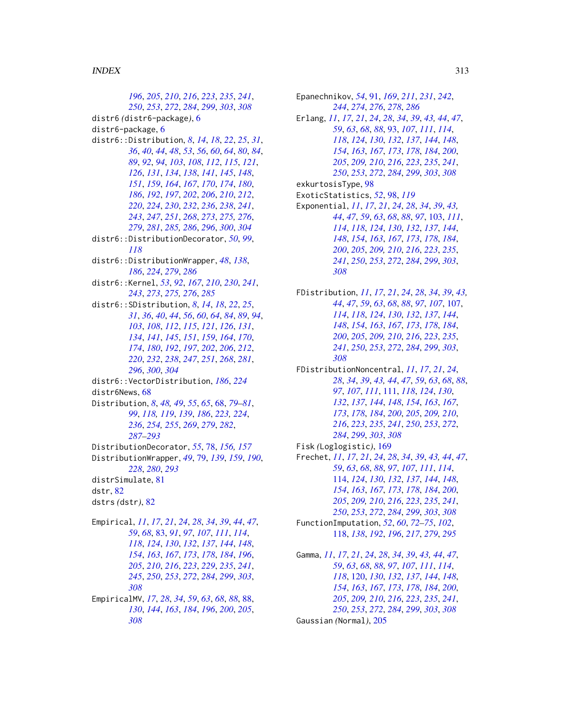, *[205](#page-204-1)*, *[210](#page-209-0)*, *[216](#page-215-0)*, *[223](#page-222-1)*, *[235](#page-234-0)*, *[241](#page-240-0)*, , *[253](#page-252-0)*, *[272](#page-271-0)*, *[284](#page-283-0)*, *[299](#page-298-1)*, *[303](#page-302-1)*, *[308](#page-307-0)* distr6 *(*distr6-package*)*, [6](#page-5-0) distr6-package, [6](#page-5-0) distr6::Distribution, *[8](#page-7-2)*, *[14](#page-13-0)*, *[18](#page-17-1)*, *[22](#page-21-1)*, *[25](#page-24-0)*, *[31](#page-30-0)*, , *[40](#page-39-0)*, *[44](#page-43-1)*, *[48](#page-47-1)*, *[53](#page-52-0)*, *[56](#page-55-1)*, *[60](#page-59-1)*, *[64](#page-63-0)*, *[80](#page-79-0)*, *[84](#page-83-0)*, , *[92](#page-91-0)*, *[94](#page-93-0)*, *[103](#page-102-1)*, *[108](#page-107-0)*, *[112](#page-111-0)*, *[115](#page-114-0)*, *[121](#page-120-0)*, , *[131](#page-130-0)*, *[134](#page-133-0)*, *[138](#page-137-1)*, *[141](#page-140-0)*, *[145](#page-144-0)*, *[148](#page-147-0)*, , *[159](#page-158-1)*, *[164](#page-163-0)*, *[167](#page-166-0)*, *[170](#page-169-0)*, *[174](#page-173-0)*, *[180](#page-179-0)*, , *[192](#page-191-0)*, *[197](#page-196-0)*, *[202](#page-201-0)*, *[206](#page-205-0)*, *[210](#page-209-0)*, *[212](#page-211-1)*, , *[224](#page-223-0)*, *[230](#page-229-0)*, *[232](#page-231-1)*, *[236](#page-235-1)*, *[238](#page-237-0)*, *[241](#page-240-0)*, , *[247](#page-246-0)*, *[251](#page-250-0)*, *[268](#page-267-0)*, *[273](#page-272-0)*, *[275,](#page-274-0) [276](#page-275-0)*, , *[281](#page-280-0)*, *[285,](#page-284-0) [286](#page-285-1)*, *[296](#page-295-0)*, *[300](#page-299-0)*, *[304](#page-303-0)* distr6::DistributionDecorator, *[50](#page-49-0)*, *[99](#page-98-0)*, distr6::DistributionWrapper, *[48](#page-47-1)*, *[138](#page-137-1)*, , *[224](#page-223-0)*, *[279](#page-278-0)*, *[286](#page-285-1)* distr6::Kernel, *[53](#page-52-0)*, *[92](#page-91-0)*, *[167](#page-166-0)*, *[210](#page-209-0)*, *[230](#page-229-0)*, *[241](#page-240-0)*, , *[273](#page-272-0)*, *[275,](#page-274-0) [276](#page-275-0)*, *[285](#page-284-0)* distr6::SDistribution, *[8](#page-7-2)*, *[14](#page-13-0)*, *[18](#page-17-1)*, *[22](#page-21-1)*, *[25](#page-24-0)*, , *[36](#page-35-0)*, *[40](#page-39-0)*, *[44](#page-43-1)*, *[56](#page-55-1)*, *[60](#page-59-1)*, *[64](#page-63-0)*, *[84](#page-83-0)*, *[89](#page-88-0)*, *[94](#page-93-0)*, , *[108](#page-107-0)*, *[112](#page-111-0)*, *[115](#page-114-0)*, *[121](#page-120-0)*, *[126](#page-125-1)*, *[131](#page-130-0)*, , *[141](#page-140-0)*, *[145](#page-144-0)*, *[151](#page-150-0)*, *[159](#page-158-1)*, *[164](#page-163-0)*, *[170](#page-169-0)*, , *[180](#page-179-0)*, *[192](#page-191-0)*, *[197](#page-196-0)*, *[202](#page-201-0)*, *[206](#page-205-0)*, *[212](#page-211-1)*, , *[232](#page-231-1)*, *[238](#page-237-0)*, *[247](#page-246-0)*, *[251](#page-250-0)*, *[268](#page-267-0)*, *[281](#page-280-0)*, , *[300](#page-299-0)*, *[304](#page-303-0)* distr6::VectorDistribution, *[186](#page-185-0)*, *[224](#page-223-0)* distr6News, [68](#page-67-1) Distribution, *[8](#page-7-2)*, *[48,](#page-47-1) [49](#page-48-1)*, *[55](#page-54-0)*, *[65](#page-64-0)*, [68,](#page-67-1) *[79–](#page-78-1)[81](#page-80-0)*, , *[118,](#page-117-1) [119](#page-118-0)*, *[139](#page-138-0)*, *[186](#page-185-0)*, *[223,](#page-222-1) [224](#page-223-0)*, , *[254,](#page-253-0) [255](#page-254-0)*, *[269](#page-268-0)*, *[279](#page-278-0)*, *[282](#page-281-0)*, *[–293](#page-292-0)* DistributionDecorator, *[55](#page-54-0)*, [78,](#page-77-0) *[156,](#page-155-0) [157](#page-156-0)* DistributionWrapper, *[49](#page-48-1)*, [79,](#page-78-1) *[139](#page-138-0)*, *[159](#page-158-1)*, *[190](#page-189-0)*, , *[280](#page-279-1)*, *[293](#page-292-0)* distrSimulate, [81](#page-80-0) dstr, [82](#page-81-0) dstrs *(*dstr*)*, [82](#page-81-0) Empirical, *[11](#page-10-0)*, *[17](#page-16-0)*, *[21](#page-20-0)*, *[24](#page-23-1)*, *[28](#page-27-0)*, *[34](#page-33-0)*, *[39](#page-38-1)*, *[44](#page-43-1)*, *[47](#page-46-0)*, , *[68](#page-67-1)*, [83,](#page-82-1) *[91](#page-90-0)*, *[97](#page-96-0)*, *[107](#page-106-1)*, *[111](#page-110-1)*, *[114](#page-113-1)*, , *[124](#page-123-0)*, *[130](#page-129-1)*, *[132](#page-131-0)*, *[137](#page-136-0)*, *[144](#page-143-1)*, *[148](#page-147-0)*, , *[163](#page-162-1)*, *[167](#page-166-0)*, *[173](#page-172-1)*, *[178](#page-177-0)*, *[184](#page-183-0)*, *[196](#page-195-1)*, , *[210](#page-209-0)*, *[216](#page-215-0)*, *[223](#page-222-1)*, *[229](#page-228-0)*, *[235](#page-234-0)*, *[241](#page-240-0)*, , *[250](#page-249-1)*, *[253](#page-252-0)*, *[272](#page-271-0)*, *[284](#page-283-0)*, *[299](#page-298-1)*, *[303](#page-302-1)*, EmpiricalMV, *[17](#page-16-0)*, *[28](#page-27-0)*, *[34](#page-33-0)*, *[59](#page-58-0)*, *[63](#page-62-1)*, *[68](#page-67-1)*, *[88](#page-87-1)*, [88,](#page-87-1)

, *[144](#page-143-1)*, *[163](#page-162-1)*, *[184](#page-183-0)*, *[196](#page-195-1)*, *[200](#page-199-0)*, *[205](#page-204-1)*, 

Epanechnikov, *[54](#page-53-0)*, [91,](#page-90-0) *[169](#page-168-1)*, *[211](#page-210-0)*, *[231](#page-230-0)*, *[242](#page-241-0)*, , *[274](#page-273-0)*, *[276](#page-275-0)*, *[278](#page-277-1)*, *[286](#page-285-1)* Erlang, *[11](#page-10-0)*, *[17](#page-16-0)*, *[21](#page-20-0)*, *[24](#page-23-1)*, *[28](#page-27-0)*, *[34](#page-33-0)*, *[39](#page-38-1)*, *[43,](#page-42-0) [44](#page-43-1)*, *[47](#page-46-0)*, , *[63](#page-62-1)*, *[68](#page-67-1)*, *[88](#page-87-1)*, [93,](#page-92-1) *[107](#page-106-1)*, *[111](#page-110-1)*, *[114](#page-113-1)*, , *[124](#page-123-0)*, *[130](#page-129-1)*, *[132](#page-131-0)*, *[137](#page-136-0)*, *[144](#page-143-1)*, *[148](#page-147-0)*, , *[163](#page-162-1)*, *[167](#page-166-0)*, *[173](#page-172-1)*, *[178](#page-177-0)*, *[184](#page-183-0)*, *[200](#page-199-0)*, , *[209,](#page-208-0) [210](#page-209-0)*, *[216](#page-215-0)*, *[223](#page-222-1)*, *[235](#page-234-0)*, *[241](#page-240-0)*, , *[253](#page-252-0)*, *[272](#page-271-0)*, *[284](#page-283-0)*, *[299](#page-298-1)*, *[303](#page-302-1)*, *[308](#page-307-0)* exkurtosisType, [98](#page-97-0) ExoticStatistics, *[52](#page-51-0)*, [98,](#page-97-0) *[119](#page-118-0)* Exponential, *[11](#page-10-0)*, *[17](#page-16-0)*, *[21](#page-20-0)*, *[24](#page-23-1)*, *[28](#page-27-0)*, *[34](#page-33-0)*, *[39](#page-38-1)*, *[43,](#page-42-0)* , *[47](#page-46-0)*, *[59](#page-58-0)*, *[63](#page-62-1)*, *[68](#page-67-1)*, *[88](#page-87-1)*, *[97](#page-96-0)*, [103,](#page-102-1) *[111](#page-110-1)*, , *[118](#page-117-1)*, *[124](#page-123-0)*, *[130](#page-129-1)*, *[132](#page-131-0)*, *[137](#page-136-0)*, *[144](#page-143-1)*, , *[154](#page-153-0)*, *[163](#page-162-1)*, *[167](#page-166-0)*, *[173](#page-172-1)*, *[178](#page-177-0)*, *[184](#page-183-0)*, , *[205](#page-204-1)*, *[209,](#page-208-0) [210](#page-209-0)*, *[216](#page-215-0)*, *[223](#page-222-1)*, *[235](#page-234-0)*, , *[250](#page-249-1)*, *[253](#page-252-0)*, *[272](#page-271-0)*, *[284](#page-283-0)*, *[299](#page-298-1)*, *[303](#page-302-1)*, FDistribution, *[11](#page-10-0)*, *[17](#page-16-0)*, *[21](#page-20-0)*, *[24](#page-23-1)*, *[28](#page-27-0)*, *[34](#page-33-0)*, *[39](#page-38-1)*, *[43,](#page-42-0)* , *[47](#page-46-0)*, *[59](#page-58-0)*, *[63](#page-62-1)*, *[68](#page-67-1)*, *[88](#page-87-1)*, *[97](#page-96-0)*, *[107](#page-106-1)*, [107,](#page-106-1) , *[118](#page-117-1)*, *[124](#page-123-0)*, *[130](#page-129-1)*, *[132](#page-131-0)*, *[137](#page-136-0)*, *[144](#page-143-1)*, , *[154](#page-153-0)*, *[163](#page-162-1)*, *[167](#page-166-0)*, *[173](#page-172-1)*, *[178](#page-177-0)*, *[184](#page-183-0)*, , *[205](#page-204-1)*, *[209,](#page-208-0) [210](#page-209-0)*, *[216](#page-215-0)*, *[223](#page-222-1)*, *[235](#page-234-0)*, , *[250](#page-249-1)*, *[253](#page-252-0)*, *[272](#page-271-0)*, *[284](#page-283-0)*, *[299](#page-298-1)*, *[303](#page-302-1)*, FDistributionNoncentral, *[11](#page-10-0)*, *[17](#page-16-0)*, *[21](#page-20-0)*, *[24](#page-23-1)*,

- , *[34](#page-33-0)*, *[39](#page-38-1)*, *[43,](#page-42-0) [44](#page-43-1)*, *[47](#page-46-0)*, *[59](#page-58-0)*, *[63](#page-62-1)*, *[68](#page-67-1)*, *[88](#page-87-1)*, , *[107](#page-106-1)*, *[111](#page-110-1)*, [111,](#page-110-1) *[118](#page-117-1)*, *[124](#page-123-0)*, *[130](#page-129-1)*, , *[137](#page-136-0)*, *[144](#page-143-1)*, *[148](#page-147-0)*, *[154](#page-153-0)*, *[163](#page-162-1)*, *[167](#page-166-0)*, , *[178](#page-177-0)*, *[184](#page-183-0)*, *[200](#page-199-0)*, *[205](#page-204-1)*, *[209,](#page-208-0) [210](#page-209-0)*, , *[223](#page-222-1)*, *[235](#page-234-0)*, *[241](#page-240-0)*, *[250](#page-249-1)*, *[253](#page-252-0)*, *[272](#page-271-0)*, , *[299](#page-298-1)*, *[303](#page-302-1)*, *[308](#page-307-0)*
- Fisk *(*Loglogistic*)*, [169](#page-168-1) Frechet, *[11](#page-10-0)*, *[17](#page-16-0)*, *[21](#page-20-0)*, *[24](#page-23-1)*, *[28](#page-27-0)*, *[34](#page-33-0)*, *[39](#page-38-1)*, *[43,](#page-42-0) [44](#page-43-1)*, *[47](#page-46-0)*, , *[63](#page-62-1)*, *[68](#page-67-1)*, *[88](#page-87-1)*, *[97](#page-96-0)*, *[107](#page-106-1)*, *[111](#page-110-1)*, *[114](#page-113-1)*, [114,](#page-113-1) *[124](#page-123-0)*, *[130](#page-129-1)*, *[132](#page-131-0)*, *[137](#page-136-0)*, *[144](#page-143-1)*, *[148](#page-147-0)*, , *[163](#page-162-1)*, *[167](#page-166-0)*, *[173](#page-172-1)*, *[178](#page-177-0)*, *[184](#page-183-0)*, *[200](#page-199-0)*, , *[209,](#page-208-0) [210](#page-209-0)*, *[216](#page-215-0)*, *[223](#page-222-1)*, *[235](#page-234-0)*, *[241](#page-240-0)*, , *[253](#page-252-0)*, *[272](#page-271-0)*, *[284](#page-283-0)*, *[299](#page-298-1)*, *[303](#page-302-1)*, *[308](#page-307-0)* FunctionImputation, *[52](#page-51-0)*, *[60](#page-59-1)*, *[72](#page-71-0)[–75](#page-74-0)*, *[102](#page-101-0)*, [118,](#page-117-1) *[138](#page-137-1)*, *[192](#page-191-0)*, *[196](#page-195-1)*, *[217](#page-216-0)*, *[279](#page-278-0)*, *[295](#page-294-1)*

Gamma, *[11](#page-10-0)*, *[17](#page-16-0)*, *[21](#page-20-0)*, *[24](#page-23-1)*, *[28](#page-27-0)*, *[34](#page-33-0)*, *[39](#page-38-1)*, *[43,](#page-42-0) [44](#page-43-1)*, *[47](#page-46-0)*, , *[63](#page-62-1)*, *[68](#page-67-1)*, *[88](#page-87-1)*, *[97](#page-96-0)*, *[107](#page-106-1)*, *[111](#page-110-1)*, *[114](#page-113-1)*, , [120,](#page-119-1) *[130](#page-129-1)*, *[132](#page-131-0)*, *[137](#page-136-0)*, *[144](#page-143-1)*, *[148](#page-147-0)*, , *[163](#page-162-1)*, *[167](#page-166-0)*, *[173](#page-172-1)*, *[178](#page-177-0)*, *[184](#page-183-0)*, *[200](#page-199-0)*, , *[209,](#page-208-0) [210](#page-209-0)*, *[216](#page-215-0)*, *[223](#page-222-1)*, *[235](#page-234-0)*, *[241](#page-240-0)*, , *[253](#page-252-0)*, *[272](#page-271-0)*, *[284](#page-283-0)*, *[299](#page-298-1)*, *[303](#page-302-1)*, *[308](#page-307-0)* Gaussian *(*Normal*)*, [205](#page-204-1)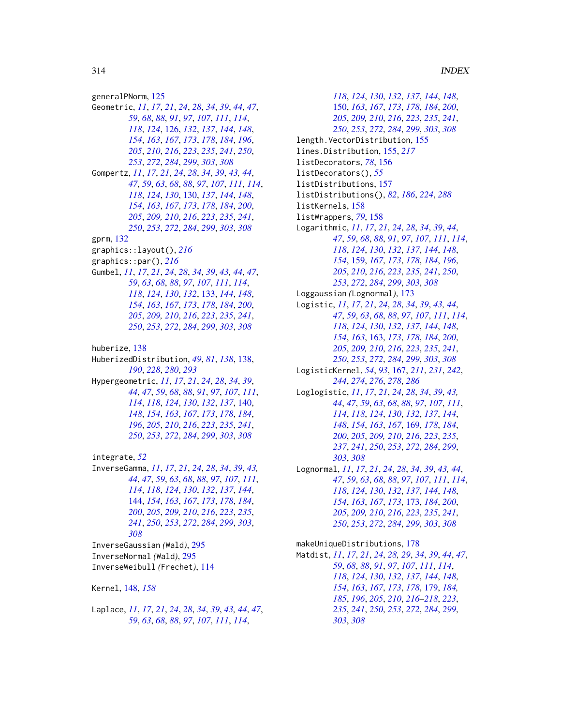generalPNorm, [125](#page-124-0) Geometric, *[11](#page-10-0)*, *[17](#page-16-0)*, *[21](#page-20-0)*, *[24](#page-23-1)*, *[28](#page-27-0)*, *[34](#page-33-0)*, *[39](#page-38-1)*, *[44](#page-43-1)*, *[47](#page-46-0)*, , *[68](#page-67-1)*, *[88](#page-87-1)*, *[91](#page-90-0)*, *[97](#page-96-0)*, *[107](#page-106-1)*, *[111](#page-110-1)*, *[114](#page-113-1)*, , *[124](#page-123-0)*, [126,](#page-125-1) *[132](#page-131-0)*, *[137](#page-136-0)*, *[144](#page-143-1)*, *[148](#page-147-0)*, , *[163](#page-162-1)*, *[167](#page-166-0)*, *[173](#page-172-1)*, *[178](#page-177-0)*, *[184](#page-183-0)*, *[196](#page-195-1)*, , *[210](#page-209-0)*, *[216](#page-215-0)*, *[223](#page-222-1)*, *[235](#page-234-0)*, *[241](#page-240-0)*, *[250](#page-249-1)*, , *[272](#page-271-0)*, *[284](#page-283-0)*, *[299](#page-298-1)*, *[303](#page-302-1)*, *[308](#page-307-0)* Gompertz, *[11](#page-10-0)*, *[17](#page-16-0)*, *[21](#page-20-0)*, *[24](#page-23-1)*, *[28](#page-27-0)*, *[34](#page-33-0)*, *[39](#page-38-1)*, *[43,](#page-42-0) [44](#page-43-1)*, , *[59](#page-58-0)*, *[63](#page-62-1)*, *[68](#page-67-1)*, *[88](#page-87-1)*, *[97](#page-96-0)*, *[107](#page-106-1)*, *[111](#page-110-1)*, *[114](#page-113-1)*, , *[124](#page-123-0)*, *[130](#page-129-1)*, [130,](#page-129-1) *[137](#page-136-0)*, *[144](#page-143-1)*, *[148](#page-147-0)*, , *[163](#page-162-1)*, *[167](#page-166-0)*, *[173](#page-172-1)*, *[178](#page-177-0)*, *[184](#page-183-0)*, *[200](#page-199-0)*, , *[209,](#page-208-0) [210](#page-209-0)*, *[216](#page-215-0)*, *[223](#page-222-1)*, *[235](#page-234-0)*, *[241](#page-240-0)*, , *[253](#page-252-0)*, *[272](#page-271-0)*, *[284](#page-283-0)*, *[299](#page-298-1)*, *[303](#page-302-1)*, *[308](#page-307-0)* gprm, [132](#page-131-0) graphics::layout(), *[216](#page-215-0)* graphics::par(), *[216](#page-215-0)* Gumbel, *[11](#page-10-0)*, *[17](#page-16-0)*, *[21](#page-20-0)*, *[24](#page-23-1)*, *[28](#page-27-0)*, *[34](#page-33-0)*, *[39](#page-38-1)*, *[43,](#page-42-0) [44](#page-43-1)*, *[47](#page-46-0)*, , *[63](#page-62-1)*, *[68](#page-67-1)*, *[88](#page-87-1)*, *[97](#page-96-0)*, *[107](#page-106-1)*, *[111](#page-110-1)*, *[114](#page-113-1)*, , *[124](#page-123-0)*, *[130](#page-129-1)*, *[132](#page-131-0)*, [133,](#page-132-1) *[144](#page-143-1)*, *[148](#page-147-0)*, , *[163](#page-162-1)*, *[167](#page-166-0)*, *[173](#page-172-1)*, *[178](#page-177-0)*, *[184](#page-183-0)*, *[200](#page-199-0)*, , *[209,](#page-208-0) [210](#page-209-0)*, *[216](#page-215-0)*, *[223](#page-222-1)*, *[235](#page-234-0)*, *[241](#page-240-0)*, , *[253](#page-252-0)*, *[272](#page-271-0)*, *[284](#page-283-0)*, *[299](#page-298-1)*, *[303](#page-302-1)*, *[308](#page-307-0)* huberize, [138](#page-137-1) HuberizedDistribution, *[49](#page-48-1)*, *[81](#page-80-0)*, *[138](#page-137-1)*, [138,](#page-137-1) , *[228](#page-227-0)*, *[280](#page-279-1)*, *[293](#page-292-0)* Hypergeometric, *[11](#page-10-0)*, *[17](#page-16-0)*, *[21](#page-20-0)*, *[24](#page-23-1)*, *[28](#page-27-0)*, *[34](#page-33-0)*, *[39](#page-38-1)*, , *[47](#page-46-0)*, *[59](#page-58-0)*, *[68](#page-67-1)*, *[88](#page-87-1)*, *[91](#page-90-0)*, *[97](#page-96-0)*, *[107](#page-106-1)*, *[111](#page-110-1)*, , *[118](#page-117-1)*, *[124](#page-123-0)*, *[130](#page-129-1)*, *[132](#page-131-0)*, *[137](#page-136-0)*, [140,](#page-139-1) , *[154](#page-153-0)*, *[163](#page-162-1)*, *[167](#page-166-0)*, *[173](#page-172-1)*, *[178](#page-177-0)*, *[184](#page-183-0)*, , *[205](#page-204-1)*, *[210](#page-209-0)*, *[216](#page-215-0)*, *[223](#page-222-1)*, *[235](#page-234-0)*, *[241](#page-240-0)*, , *[253](#page-252-0)*, *[272](#page-271-0)*, *[284](#page-283-0)*, *[299](#page-298-1)*, *[303](#page-302-1)*, *[308](#page-307-0)*

integrate, *[52](#page-51-0)* InverseGamma, *[11](#page-10-0)*, *[17](#page-16-0)*, *[21](#page-20-0)*, *[24](#page-23-1)*, *[28](#page-27-0)*, *[34](#page-33-0)*, *[39](#page-38-1)*, *[43,](#page-42-0)* , *[47](#page-46-0)*, *[59](#page-58-0)*, *[63](#page-62-1)*, *[68](#page-67-1)*, *[88](#page-87-1)*, *[97](#page-96-0)*, *[107](#page-106-1)*, *[111](#page-110-1)*, , *[118](#page-117-1)*, *[124](#page-123-0)*, *[130](#page-129-1)*, *[132](#page-131-0)*, *[137](#page-136-0)*, *[144](#page-143-1)*, [144,](#page-143-1) *[154](#page-153-0)*, *[163](#page-162-1)*, *[167](#page-166-0)*, *[173](#page-172-1)*, *[178](#page-177-0)*, *[184](#page-183-0)*, , *[205](#page-204-1)*, *[209,](#page-208-0) [210](#page-209-0)*, *[216](#page-215-0)*, *[223](#page-222-1)*, *[235](#page-234-0)*, , *[250](#page-249-1)*, *[253](#page-252-0)*, *[272](#page-271-0)*, *[284](#page-283-0)*, *[299](#page-298-1)*, *[303](#page-302-1)*, InverseGaussian *(*Wald*)*, [295](#page-294-1) InverseNormal *(*Wald*)*, [295](#page-294-1) InverseWeibull *(*Frechet*)*, [114](#page-113-1) Kernel, [148,](#page-147-0) *[158](#page-157-0)*

Laplace, *[11](#page-10-0)*, *[17](#page-16-0)*, *[21](#page-20-0)*, *[24](#page-23-1)*, *[28](#page-27-0)*, *[34](#page-33-0)*, *[39](#page-38-1)*, *[43,](#page-42-0) [44](#page-43-1)*, *[47](#page-46-0)*, , *[63](#page-62-1)*, *[68](#page-67-1)*, *[88](#page-87-1)*, *[97](#page-96-0)*, *[107](#page-106-1)*, *[111](#page-110-1)*, *[114](#page-113-1)*,

, *[124](#page-123-0)*, *[130](#page-129-1)*, *[132](#page-131-0)*, *[137](#page-136-0)*, *[144](#page-143-1)*, *[148](#page-147-0)*, [150,](#page-149-1) *[163](#page-162-1)*, *[167](#page-166-0)*, *[173](#page-172-1)*, *[178](#page-177-0)*, *[184](#page-183-0)*, *[200](#page-199-0)*, , *[209,](#page-208-0) [210](#page-209-0)*, *[216](#page-215-0)*, *[223](#page-222-1)*, *[235](#page-234-0)*, *[241](#page-240-0)*, , *[253](#page-252-0)*, *[272](#page-271-0)*, *[284](#page-283-0)*, *[299](#page-298-1)*, *[303](#page-302-1)*, *[308](#page-307-0)* length.VectorDistribution, [155](#page-154-0) lines.Distribution, [155,](#page-154-0) *[217](#page-216-0)* listDecorators, *[78](#page-77-0)*, [156](#page-155-0) listDecorators(), *[55](#page-54-0)* listDistributions, [157](#page-156-0) listDistributions(), *[82](#page-81-0)*, *[186](#page-185-0)*, *[224](#page-223-0)*, *[288](#page-287-0)* listKernels, [158](#page-157-0) listWrappers, *[79](#page-78-1)*, [158](#page-157-0) Logarithmic, *[11](#page-10-0)*, *[17](#page-16-0)*, *[21](#page-20-0)*, *[24](#page-23-1)*, *[28](#page-27-0)*, *[34](#page-33-0)*, *[39](#page-38-1)*, *[44](#page-43-1)*, , *[59](#page-58-0)*, *[68](#page-67-1)*, *[88](#page-87-1)*, *[91](#page-90-0)*, *[97](#page-96-0)*, *[107](#page-106-1)*, *[111](#page-110-1)*, *[114](#page-113-1)*, , *[124](#page-123-0)*, *[130](#page-129-1)*, *[132](#page-131-0)*, *[137](#page-136-0)*, *[144](#page-143-1)*, *[148](#page-147-0)*, , [159,](#page-158-1) *[167](#page-166-0)*, *[173](#page-172-1)*, *[178](#page-177-0)*, *[184](#page-183-0)*, *[196](#page-195-1)*, , *[210](#page-209-0)*, *[216](#page-215-0)*, *[223](#page-222-1)*, *[235](#page-234-0)*, *[241](#page-240-0)*, *[250](#page-249-1)*, , *[272](#page-271-0)*, *[284](#page-283-0)*, *[299](#page-298-1)*, *[303](#page-302-1)*, *[308](#page-307-0)* Loggaussian *(*Lognormal*)*, [173](#page-172-1) Logistic, *[11](#page-10-0)*, *[17](#page-16-0)*, *[21](#page-20-0)*, *[24](#page-23-1)*, *[28](#page-27-0)*, *[34](#page-33-0)*, *[39](#page-38-1)*, *[43,](#page-42-0) [44](#page-43-1)*, , *[59](#page-58-0)*, *[63](#page-62-1)*, *[68](#page-67-1)*, *[88](#page-87-1)*, *[97](#page-96-0)*, *[107](#page-106-1)*, *[111](#page-110-1)*, *[114](#page-113-1)*, , *[124](#page-123-0)*, *[130](#page-129-1)*, *[132](#page-131-0)*, *[137](#page-136-0)*, *[144](#page-143-1)*, *[148](#page-147-0)*, , *[163](#page-162-1)*, [163,](#page-162-1) *[173](#page-172-1)*, *[178](#page-177-0)*, *[184](#page-183-0)*, *[200](#page-199-0)*, , *[209,](#page-208-0) [210](#page-209-0)*, *[216](#page-215-0)*, *[223](#page-222-1)*, *[235](#page-234-0)*, *[241](#page-240-0)*, , *[253](#page-252-0)*, *[272](#page-271-0)*, *[284](#page-283-0)*, *[299](#page-298-1)*, *[303](#page-302-1)*, *[308](#page-307-0)* LogisticKernel, *[54](#page-53-0)*, *[93](#page-92-1)*, [167,](#page-166-0) *[211](#page-210-0)*, *[231](#page-230-0)*, *[242](#page-241-0)*, , *[274](#page-273-0)*, *[276](#page-275-0)*, *[278](#page-277-1)*, *[286](#page-285-1)* Loglogistic, *[11](#page-10-0)*, *[17](#page-16-0)*, *[21](#page-20-0)*, *[24](#page-23-1)*, *[28](#page-27-0)*, *[34](#page-33-0)*, *[39](#page-38-1)*, *[43,](#page-42-0)* , *[47](#page-46-0)*, *[59](#page-58-0)*, *[63](#page-62-1)*, *[68](#page-67-1)*, *[88](#page-87-1)*, *[97](#page-96-0)*, *[107](#page-106-1)*, *[111](#page-110-1)*, , *[118](#page-117-1)*, *[124](#page-123-0)*, *[130](#page-129-1)*, *[132](#page-131-0)*, *[137](#page-136-0)*, *[144](#page-143-1)*, , *[154](#page-153-0)*, *[163](#page-162-1)*, *[167](#page-166-0)*, [169,](#page-168-1) *[178](#page-177-0)*, *[184](#page-183-0)*, , *[205](#page-204-1)*, *[209,](#page-208-0) [210](#page-209-0)*, *[216](#page-215-0)*, *[223](#page-222-1)*, *[235](#page-234-0)*, , *[241](#page-240-0)*, *[250](#page-249-1)*, *[253](#page-252-0)*, *[272](#page-271-0)*, *[284](#page-283-0)*, *[299](#page-298-1)*, , *[308](#page-307-0)* Lognormal, *[11](#page-10-0)*, *[17](#page-16-0)*, *[21](#page-20-0)*, *[24](#page-23-1)*, *[28](#page-27-0)*, *[34](#page-33-0)*, *[39](#page-38-1)*, *[43,](#page-42-0) [44](#page-43-1)*, , *[59](#page-58-0)*, *[63](#page-62-1)*, *[68](#page-67-1)*, *[88](#page-87-1)*, *[97](#page-96-0)*, *[107](#page-106-1)*, *[111](#page-110-1)*, *[114](#page-113-1)*, , *[124](#page-123-0)*, *[130](#page-129-1)*, *[132](#page-131-0)*, *[137](#page-136-0)*, *[144](#page-143-1)*, *[148](#page-147-0)*, , *[163](#page-162-1)*, *[167](#page-166-0)*, *[173](#page-172-1)*, [173,](#page-172-1) *[184](#page-183-0)*, *[200](#page-199-0)*, , *[209,](#page-208-0) [210](#page-209-0)*, *[216](#page-215-0)*, *[223](#page-222-1)*, *[235](#page-234-0)*, *[241](#page-240-0)*, , *[253](#page-252-0)*, *[272](#page-271-0)*, *[284](#page-283-0)*, *[299](#page-298-1)*, *[303](#page-302-1)*, *[308](#page-307-0)* makeUniqueDistributions, [178](#page-177-0) Matdist, *[11](#page-10-0)*, *[17](#page-16-0)*, *[21](#page-20-0)*, *[24](#page-23-1)*, *[28,](#page-27-0) [29](#page-28-0)*, *[34](#page-33-0)*, *[39](#page-38-1)*, *[44](#page-43-1)*, *[47](#page-46-0)*, , *[68](#page-67-1)*, *[88](#page-87-1)*, *[91](#page-90-0)*, *[97](#page-96-0)*, *[107](#page-106-1)*, *[111](#page-110-1)*, *[114](#page-113-1)*, , *[124](#page-123-0)*, *[130](#page-129-1)*, *[132](#page-131-0)*, *[137](#page-136-0)*, *[144](#page-143-1)*, *[148](#page-147-0)*,

> , *[163](#page-162-1)*, *[167](#page-166-0)*, *[173](#page-172-1)*, *[178](#page-177-0)*, [179,](#page-178-1) *[184,](#page-183-0)* , *[196](#page-195-1)*, *[205](#page-204-1)*, *[210](#page-209-0)*, *[216](#page-215-0)[–218](#page-217-0)*, *[223](#page-222-1)*, , *[241](#page-240-0)*, *[250](#page-249-1)*, *[253](#page-252-0)*, *[272](#page-271-0)*, *[284](#page-283-0)*, *[299](#page-298-1)*,

, *[308](#page-307-0)*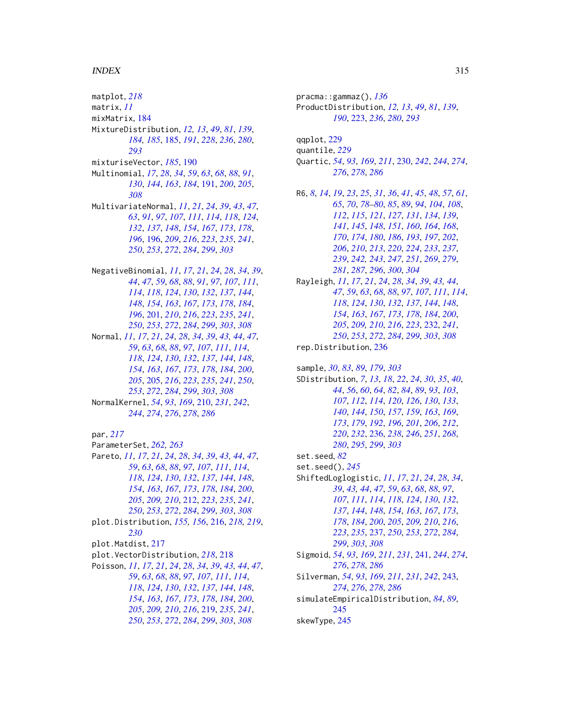## INDEX

matplot, *[218](#page-217-0)* matrix, *[11](#page-10-0)* mixMatrix, [184](#page-183-0) MixtureDistribution, *[12,](#page-11-0) [13](#page-12-1)*, *[49](#page-48-1)*, *[81](#page-80-0)*, *[139](#page-138-0)*, *[184,](#page-183-0) [185](#page-184-1)*, [185,](#page-184-1) *[191](#page-190-1)*, *[228](#page-227-0)*, *[236](#page-235-1)*, *[280](#page-279-1)*, mixturiseVector, *[185](#page-184-1)*, [190](#page-189-0) Multinomial, *[17](#page-16-0)*, *[28](#page-27-0)*, *[34](#page-33-0)*, *[59](#page-58-0)*, *[63](#page-62-1)*, *[68](#page-67-1)*, *[88](#page-87-1)*, *[91](#page-90-0)*, , *[144](#page-143-1)*, *[163](#page-162-1)*, *[184](#page-183-0)*, [191,](#page-190-1) *[200](#page-199-0)*, *[205](#page-204-1)*, MultivariateNormal, *[11](#page-10-0)*, *[21](#page-20-0)*, *[24](#page-23-1)*, *[39](#page-38-1)*, *[43](#page-42-0)*, *[47](#page-46-0)*, , *[91](#page-90-0)*, *[97](#page-96-0)*, *[107](#page-106-1)*, *[111](#page-110-1)*, *[114](#page-113-1)*, *[118](#page-117-1)*, *[124](#page-123-0)*, , *[137](#page-136-0)*, *[148](#page-147-0)*, *[154](#page-153-0)*, *[167](#page-166-0)*, *[173](#page-172-1)*, *[178](#page-177-0)*, , [196,](#page-195-1) *[209](#page-208-0)*, *[216](#page-215-0)*, *[223](#page-222-1)*, *[235](#page-234-0)*, *[241](#page-240-0)*, , *[253](#page-252-0)*, *[272](#page-271-0)*, *[284](#page-283-0)*, *[299](#page-298-1)*, *[303](#page-302-1)* NegativeBinomial, *[11](#page-10-0)*, *[17](#page-16-0)*, *[21](#page-20-0)*, *[24](#page-23-1)*, *[28](#page-27-0)*, *[34](#page-33-0)*, *[39](#page-38-1)*, , *[47](#page-46-0)*, *[59](#page-58-0)*, *[68](#page-67-1)*, *[88](#page-87-1)*, *[91](#page-90-0)*, *[97](#page-96-0)*, *[107](#page-106-1)*, *[111](#page-110-1)*, , *[118](#page-117-1)*, *[124](#page-123-0)*, *[130](#page-129-1)*, *[132](#page-131-0)*, *[137](#page-136-0)*, *[144](#page-143-1)*, , *[154](#page-153-0)*, *[163](#page-162-1)*, *[167](#page-166-0)*, *[173](#page-172-1)*, *[178](#page-177-0)*, *[184](#page-183-0)*,

, [201,](#page-200-1) *[210](#page-209-0)*, *[216](#page-215-0)*, *[223](#page-222-1)*, *[235](#page-234-0)*, *[241](#page-240-0)*, , *[253](#page-252-0)*, *[272](#page-271-0)*, *[284](#page-283-0)*, *[299](#page-298-1)*, *[303](#page-302-1)*, *[308](#page-307-0)* Normal, *[11](#page-10-0)*, *[17](#page-16-0)*, *[21](#page-20-0)*, *[24](#page-23-1)*, *[28](#page-27-0)*, *[34](#page-33-0)*, *[39](#page-38-1)*, *[43,](#page-42-0) [44](#page-43-1)*, *[47](#page-46-0)*, , *[63](#page-62-1)*, *[68](#page-67-1)*, *[88](#page-87-1)*, *[97](#page-96-0)*, *[107](#page-106-1)*, *[111](#page-110-1)*, *[114](#page-113-1)*, , *[124](#page-123-0)*, *[130](#page-129-1)*, *[132](#page-131-0)*, *[137](#page-136-0)*, *[144](#page-143-1)*, *[148](#page-147-0)*, , *[163](#page-162-1)*, *[167](#page-166-0)*, *[173](#page-172-1)*, *[178](#page-177-0)*, *[184](#page-183-0)*, *[200](#page-199-0)*, , [205,](#page-204-1) *[216](#page-215-0)*, *[223](#page-222-1)*, *[235](#page-234-0)*, *[241](#page-240-0)*, *[250](#page-249-1)*, , *[272](#page-271-0)*, *[284](#page-283-0)*, *[299](#page-298-1)*, *[303](#page-302-1)*, *[308](#page-307-0)* NormalKernel, *[54](#page-53-0)*, *[93](#page-92-1)*, *[169](#page-168-1)*, [210,](#page-209-0) *[231](#page-230-0)*, *[242](#page-241-0)*,

, *[274](#page-273-0)*, *[276](#page-275-0)*, *[278](#page-277-1)*, *[286](#page-285-1)*

par, *[217](#page-216-0)*

ParameterSet, *[262,](#page-261-0) [263](#page-262-0)*

Pareto, *[11](#page-10-0)*, *[17](#page-16-0)*, *[21](#page-20-0)*, *[24](#page-23-1)*, *[28](#page-27-0)*, *[34](#page-33-0)*, *[39](#page-38-1)*, *[43,](#page-42-0) [44](#page-43-1)*, *[47](#page-46-0)*, , *[63](#page-62-1)*, *[68](#page-67-1)*, *[88](#page-87-1)*, *[97](#page-96-0)*, *[107](#page-106-1)*, *[111](#page-110-1)*, *[114](#page-113-1)*, , *[124](#page-123-0)*, *[130](#page-129-1)*, *[132](#page-131-0)*, *[137](#page-136-0)*, *[144](#page-143-1)*, *[148](#page-147-0)*, , *[163](#page-162-1)*, *[167](#page-166-0)*, *[173](#page-172-1)*, *[178](#page-177-0)*, *[184](#page-183-0)*, *[200](#page-199-0)*, , *[209,](#page-208-0) [210](#page-209-0)*, [212,](#page-211-1) *[223](#page-222-1)*, *[235](#page-234-0)*, *[241](#page-240-0)*, , *[253](#page-252-0)*, *[272](#page-271-0)*, *[284](#page-283-0)*, *[299](#page-298-1)*, *[303](#page-302-1)*, *[308](#page-307-0)* plot.Distribution, *[155,](#page-154-0) [156](#page-155-0)*, [216,](#page-215-0) *[218,](#page-217-0) [219](#page-218-1)*, plot.Matdist, [217](#page-216-0) plot.VectorDistribution, *[218](#page-217-0)*, [218](#page-217-0) Poisson, *[11](#page-10-0)*, *[17](#page-16-0)*, *[21](#page-20-0)*, *[24](#page-23-1)*, *[28](#page-27-0)*, *[34](#page-33-0)*, *[39](#page-38-1)*, *[43,](#page-42-0) [44](#page-43-1)*, *[47](#page-46-0)*, , *[63](#page-62-1)*, *[68](#page-67-1)*, *[88](#page-87-1)*, *[97](#page-96-0)*, *[107](#page-106-1)*, *[111](#page-110-1)*, *[114](#page-113-1)*, , *[124](#page-123-0)*, *[130](#page-129-1)*, *[132](#page-131-0)*, *[137](#page-136-0)*, *[144](#page-143-1)*, *[148](#page-147-0)*, , *[163](#page-162-1)*, *[167](#page-166-0)*, *[173](#page-172-1)*, *[178](#page-177-0)*, *[184](#page-183-0)*, *[200](#page-199-0)*, , *[209,](#page-208-0) [210](#page-209-0)*, *[216](#page-215-0)*, [219,](#page-218-1) *[235](#page-234-0)*, *[241](#page-240-0)*, , *[253](#page-252-0)*, *[272](#page-271-0)*, *[284](#page-283-0)*, *[299](#page-298-1)*, *[303](#page-302-1)*, *[308](#page-307-0)*

pracma::gammaz(), *[136](#page-135-0)* ProductDistribution, *[12,](#page-11-0) [13](#page-12-1)*, *[49](#page-48-1)*, *[81](#page-80-0)*, *[139](#page-138-0)*, , [223,](#page-222-1) *[236](#page-235-1)*, *[280](#page-279-1)*, *[293](#page-292-0)* qqplot, [229](#page-228-0) quantile, *[229](#page-228-0)* Quartic, *[54](#page-53-0)*, *[93](#page-92-1)*, *[169](#page-168-1)*, *[211](#page-210-0)*, [230,](#page-229-0) *[242](#page-241-0)*, *[244](#page-243-0)*, *[274](#page-273-0)*, , *[278](#page-277-1)*, *[286](#page-285-1)* R6, *[8](#page-7-2)*, *[14](#page-13-0)*, *[19](#page-18-0)*, *[23](#page-22-0)*, *[25](#page-24-0)*, *[31](#page-30-0)*, *[36](#page-35-0)*, *[41](#page-40-0)*, *[45](#page-44-0)*, *[48](#page-47-1)*, *[57](#page-56-0)*, *[61](#page-60-0)*, , *[70](#page-69-0)*, *[78](#page-77-0)[–80](#page-79-0)*, *[85](#page-84-0)*, *[89](#page-88-0)*, *[94](#page-93-0)*, *[104](#page-103-0)*, *[108](#page-107-0)*, , *[115](#page-114-0)*, *[121](#page-120-0)*, *[127](#page-126-0)*, *[131](#page-130-0)*, *[134](#page-133-0)*, *[139](#page-138-0)*, , *[145](#page-144-0)*, *[148](#page-147-0)*, *[151](#page-150-0)*, *[160](#page-159-0)*, *[164](#page-163-0)*, *[168](#page-167-0)*, , *[174](#page-173-0)*, *[180](#page-179-0)*, *[186](#page-185-0)*, *[193](#page-192-0)*, *[197](#page-196-0)*, *[202](#page-201-0)*, , *[210](#page-209-0)*, *[213](#page-212-0)*, *[220](#page-219-0)*, *[224](#page-223-0)*, *[233](#page-232-0)*, *[237](#page-236-1)*, , *[242,](#page-241-0) [243](#page-242-0)*, *[247](#page-246-0)*, *[251](#page-250-0)*, *[269](#page-268-0)*, *[279](#page-278-0)*, , *[287](#page-286-0)*, *[296](#page-295-0)*, *[300](#page-299-0)*, *[304](#page-303-0)* Rayleigh, *[11](#page-10-0)*, *[17](#page-16-0)*, *[21](#page-20-0)*, *[24](#page-23-1)*, *[28](#page-27-0)*, *[34](#page-33-0)*, *[39](#page-38-1)*, *[43,](#page-42-0) [44](#page-43-1)*, , *[59](#page-58-0)*, *[63](#page-62-1)*, *[68](#page-67-1)*, *[88](#page-87-1)*, *[97](#page-96-0)*, *[107](#page-106-1)*, *[111](#page-110-1)*, *[114](#page-113-1)*, , *[124](#page-123-0)*, *[130](#page-129-1)*, *[132](#page-131-0)*, *[137](#page-136-0)*, *[144](#page-143-1)*, *[148](#page-147-0)*, , *[163](#page-162-1)*, *[167](#page-166-0)*, *[173](#page-172-1)*, *[178](#page-177-0)*, *[184](#page-183-0)*, *[200](#page-199-0)*, , *[209,](#page-208-0) [210](#page-209-0)*, *[216](#page-215-0)*, *[223](#page-222-1)*, [232,](#page-231-1) *[241](#page-240-0)*, , *[253](#page-252-0)*, *[272](#page-271-0)*, *[284](#page-283-0)*, *[299](#page-298-1)*, *[303](#page-302-1)*, *[308](#page-307-0)* rep.Distribution, [236](#page-235-1) sample, *[30](#page-29-1)*, *[83](#page-82-1)*, *[89](#page-88-0)*, *[179](#page-178-1)*, *[303](#page-302-1)* SDistribution, *[7](#page-6-1)*, *[13](#page-12-1)*, *[18](#page-17-1)*, *[22](#page-21-1)*, *[24](#page-23-1)*, *[30](#page-29-1)*, *[35](#page-34-1)*, *[40](#page-39-0)*, , *[56](#page-55-1)*, *[60](#page-59-1)*, *[64](#page-63-0)*, *[82](#page-81-0)*, *[84](#page-83-0)*, *[89](#page-88-0)*, *[93](#page-92-1)*, *[103](#page-102-1)*, , *[112](#page-111-0)*, *[114](#page-113-1)*, *[120](#page-119-1)*, *[126](#page-125-1)*, *[130](#page-129-1)*, *[133](#page-132-1)*, , *[144](#page-143-1)*, *[150](#page-149-1)*, *[157](#page-156-0)*, *[159](#page-158-1)*, *[163](#page-162-1)*, *[169](#page-168-1)*, , *[179](#page-178-1)*, *[192](#page-191-0)*, *[196](#page-195-1)*, *[201](#page-200-1)*, *[206](#page-205-0)*, *[212](#page-211-1)*, , *[232](#page-231-1)*, [236,](#page-235-1) *[238](#page-237-0)*, *[246](#page-245-1)*, *[251](#page-250-0)*, *[268](#page-267-0)*, , *[295](#page-294-1)*, *[299](#page-298-1)*, *[303](#page-302-1)* set.seed, *[82](#page-81-0)* set.seed(), *[245](#page-244-0)* ShiftedLoglogistic, *[11](#page-10-0)*, *[17](#page-16-0)*, *[21](#page-20-0)*, *[24](#page-23-1)*, *[28](#page-27-0)*, *[34](#page-33-0)*, , *[43,](#page-42-0) [44](#page-43-1)*, *[47](#page-46-0)*, *[59](#page-58-0)*, *[63](#page-62-1)*, *[68](#page-67-1)*, *[88](#page-87-1)*, *[97](#page-96-0)*, , *[111](#page-110-1)*, *[114](#page-113-1)*, *[118](#page-117-1)*, *[124](#page-123-0)*, *[130](#page-129-1)*, *[132](#page-131-0)*, , *[144](#page-143-1)*, *[148](#page-147-0)*, *[154](#page-153-0)*, *[163](#page-162-1)*, *[167](#page-166-0)*, *[173](#page-172-1)*, , *[184](#page-183-0)*, *[200](#page-199-0)*, *[205](#page-204-1)*, *[209,](#page-208-0) [210](#page-209-0)*, *[216](#page-215-0)*, , *[235](#page-234-0)*, [237,](#page-236-1) *[250](#page-249-1)*, *[253](#page-252-0)*, *[272](#page-271-0)*, *[284](#page-283-0)*, , *[303](#page-302-1)*, *[308](#page-307-0)* Sigmoid, *[54](#page-53-0)*, *[93](#page-92-1)*, *[169](#page-168-1)*, *[211](#page-210-0)*, *[231](#page-230-0)*, [241,](#page-240-0) *[244](#page-243-0)*, *[274](#page-273-0)*, , *[278](#page-277-1)*, *[286](#page-285-1)* Silverman, *[54](#page-53-0)*, *[93](#page-92-1)*, *[169](#page-168-1)*, *[211](#page-210-0)*, *[231](#page-230-0)*, *[242](#page-241-0)*, [243,](#page-242-0) , *[276](#page-275-0)*, *[278](#page-277-1)*, *[286](#page-285-1)*

simulateEmpiricalDistribution, *[84](#page-83-0)*, *[89](#page-88-0)*, 

skewType, [245](#page-244-0)